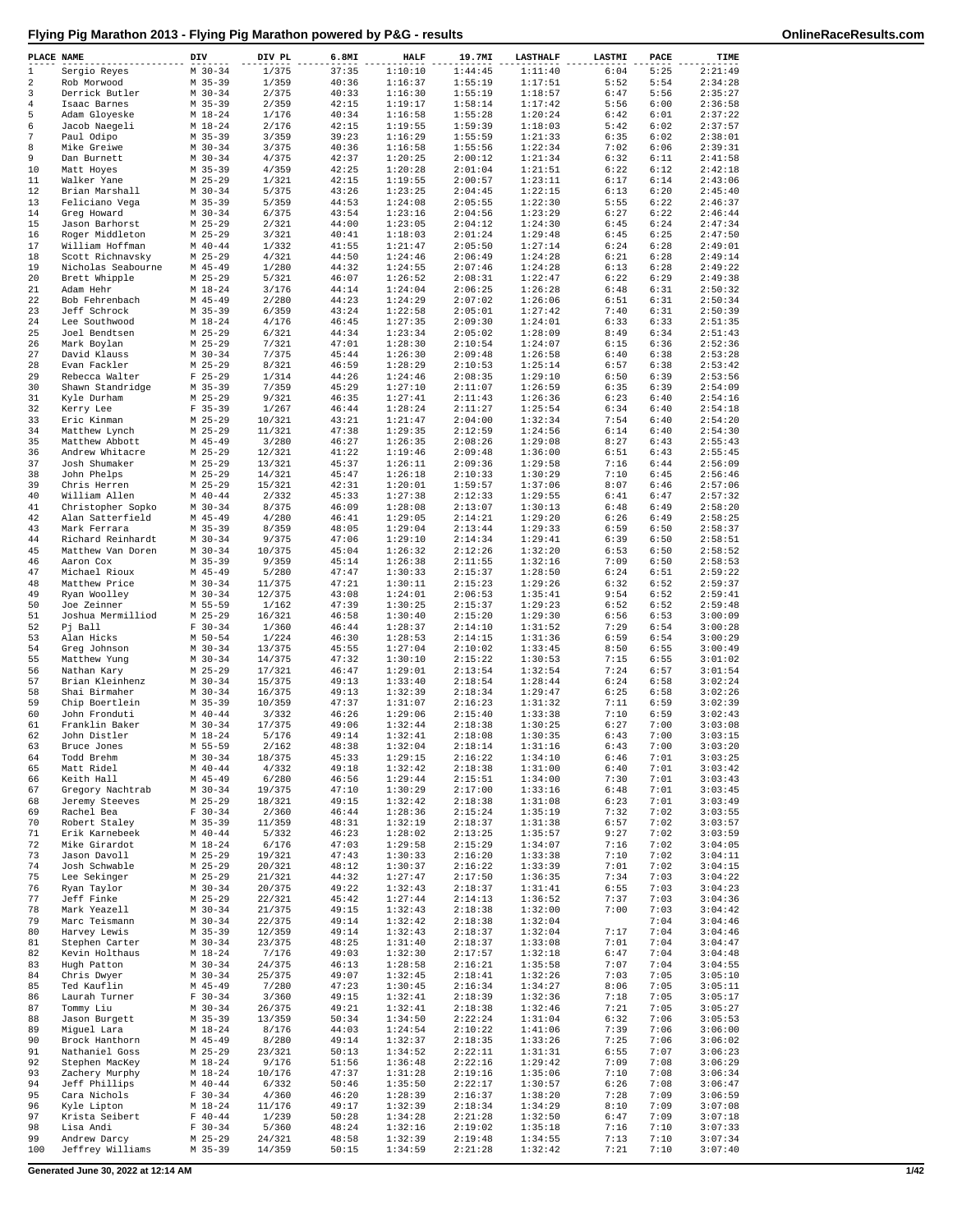| PLACE NAME |                                       | DIV                      | DIV PL           | 6.8MI          | <b>HALF</b>        | 19.7MI             | <b>LASTHALF</b>    | LASTMI       | PACE         | TIME               |
|------------|---------------------------------------|--------------------------|------------------|----------------|--------------------|--------------------|--------------------|--------------|--------------|--------------------|
| 1          | Sergio Reyes                          | $M$ 30-34                | 1/375            | 37:35          | 1:10:10            | 1:44:45            | 1:11:40            | 6:04         | 5:25         | 2:21:49            |
| 2          | Rob Morwood                           | $M$ 35-39                | 1/359            | 40:36          | 1:16:37            | 1:55:19            | 1:17:51            | 5:52         | 5:54         | 2:34:28            |
| 3<br>4     | Derrick Butler<br>Isaac Barnes        | $M$ 30-34<br>$M$ 35-39   | 2/375<br>2/359   | 40:33<br>42:15 | 1:16:30<br>1:19:17 | 1:55:19<br>1:58:14 | 1:18:57<br>1:17:42 | 6:47<br>5:56 | 5:56<br>6:00 | 2:35:27<br>2:36:58 |
| 5          | Adam Gloyeske                         | $M_18-24$                | 1/176            | 40:34          | 1:16:58            | 1:55:28            | 1:20:24            | 6:42         | 6:01         | 2:37:22            |
| 6          | Jacob Naegeli                         | $M_18-24$                | 2/176            | 42:15          | 1:19:55            | 1:59:39            | 1:18:03            | 5:42         | 6:02         | 2:37:57            |
| 7          | Paul Odipo                            | $M$ 35-39                | 3/359            | 39:23          | 1:16:29            | 1:55:59            | 1:21:33            | 6:35         | 6:02         | 2:38:01            |
| 8          | Mike Greiwe                           | $M$ 30-34                | 3/375            | 40:36          | 1:16:58            | 1:55:56            | 1:22:34            | 7:02         | 6:06         | 2:39:31            |
| 9<br>10    | Dan Burnett                           | $M$ 30-34<br>$M$ 35-39   | 4/375            | 42:37<br>42:25 | 1:20:25<br>1:20:28 | 2:00:12<br>2:01:04 | 1:21:34<br>1:21:51 | 6:32<br>6:22 | 6:11<br>6:12 | 2:41:58<br>2:42:18 |
| 11         | Matt Hoyes<br>Walker Yane             | $M$ 25-29                | 4/359<br>1/321   | 42:15          | 1:19:55            | 2:00:57            | 1:23:11            | 6:17         | 6:14         | 2:43:06            |
| 12         | Brian Marshall                        | $M$ 30-34                | 5/375            | 43:26          | 1:23:25            | 2:04:45            | 1:22:15            | 6:13         | 6:20         | 2:45:40            |
| 13         | Feliciano Vega                        | $M$ 35-39                | 5/359            | 44:53          | 1:24:08            | 2:05:55            | 1:22:30            | 5:55         | 6:22         | 2:46:37            |
| 14         | Greg Howard                           | $M$ 30-34                | 6/375            | 43:54          | 1:23:16            | 2:04:56            | 1:23:29            | 6:27         | 6:22         | 2:46:44            |
| 15         | Jason Barhorst                        | $M$ 25-29<br>$M$ 25-29   | 2/321            | 44:00          | 1:23:05<br>1:18:03 | 2:04:12<br>2:01:24 | 1:24:30<br>1:29:48 | 6:45<br>6:45 | 6:24<br>6:25 | 2:47:34<br>2:47:50 |
| 16<br>17   | Roger Middleton<br>William Hoffman    | $M$ 40-44                | 3/321<br>1/332   | 40:41<br>41:55 | 1:21:47            | 2:05:50            | 1:27:14            | 6:24         | 6:28         | 2:49:01            |
| 18         | Scott Richnavsky                      | $M$ 25-29                | 4/321            | 44:50          | 1:24:46            | 2:06:49            | 1:24:28            | 6:21         | 6:28         | 2:49:14            |
| 19         | Nicholas Seabourne                    | $M$ 45-49                | 1/280            | 44:32          | 1:24:55            | 2:07:46            | 1:24:28            | 6:13         | 6:28         | 2:49:22            |
| 20         | Brett Whipple                         | $M$ 25-29                | 5/321            | 46:07          | 1:26:52            | 2:08:31            | 1:22:47            | 6:22         | 6:29         | 2:49:38            |
| 21<br>22   | Adam Hehr<br>Bob Fehrenbach           | $M$ 18-24<br>$M$ 45-49   | 3/176            | 44:14<br>44:23 | 1:24:04<br>1:24:29 | 2:06:25<br>2:07:02 | 1:26:28<br>1:26:06 | 6:48<br>6:51 | 6:31<br>6:31 | 2:50:32<br>2:50:34 |
| 23         | Jeff Schrock                          | $M$ 35-39                | 2/280<br>6/359   | 43:24          | 1:22:58            | 2:05:01            | 1:27:42            | 7:40         | 6:31         | 2:50:39            |
| 24         | Lee Southwood                         | $M$ 18-24                | 4/176            | 46:45          | 1:27:35            | 2:09:30            | 1:24:01            | 6:33         | 6:33         | 2:51:35            |
| 25         | Joel Bendtsen                         | $M$ 25-29                | 6/321            | 44:34          | 1:23:34            | 2:05:02            | 1:28:09            | 8:49         | 6:34         | 2:51:43            |
| 26         | Mark Boylan                           | M 25-29                  | 7/321            | 47:01          | 1:28:30            | 2:10:54            | 1:24:07            | 6:15         | 6:36         | 2:52:36            |
| 27         | David Klauss                          | $M$ 30-34                | 7/375            | 45:44          | 1:26:30            | 2:09:48            | 1:26:58            | 6:40         | 6:38         | 2:53:28<br>2:53:42 |
| 28<br>29   | Evan Fackler<br>Rebecca Walter        | $M$ 25-29<br>$F$ 25-29   | 8/321<br>1/314   | 46:59<br>44:26 | 1:28:29<br>1:24:46 | 2:10:53<br>2:08:35 | 1:25:14<br>1:29:10 | 6:57<br>6:50 | 6:38<br>6:39 | 2:53:56            |
| 30         | Shawn Standridge                      | $M$ 35-39                | 7/359            | 45:29          | 1:27:10            | 2:11:07            | 1:26:59            | 6:35         | 6:39         | 2:54:09            |
| 31         | Kyle Durham                           | $M$ 25-29                | 9/321            | 46:35          | 1:27:41            | 2:11:43            | 1:26:36            | 6:23         | 6:40         | 2:54:16            |
| 32         | Kerry Lee                             | $F$ 35-39                | 1/267            | 46:44          | 1:28:24            | 2:11:27            | 1:25:54            | 6:34         | 6:40         | 2:54:18            |
| 33         | Eric Kinman                           | $M$ 25-29                | 10/321           | 43:21          | 1:21:47            | 2:04:00            | 1:32:34            | 7:54         | 6:40         | 2:54:20            |
| 34<br>35   | Matthew Lynch<br>Matthew Abbott       | $M$ 25-29<br>$M$ 45-49   | 11/321<br>3/280  | 47:38<br>46:27 | 1:29:35<br>1:26:35 | 2:12:59<br>2:08:26 | 1:24:56<br>1:29:08 | 6:14<br>8:27 | 6:40<br>6:43 | 2:54:30<br>2:55:43 |
| 36         | Andrew Whitacre                       | $M$ 25-29                | 12/321           | 41:22          | 1:19:46            | 2:09:48            | 1:36:00            | 6:51         | 6:43         | 2:55:45            |
| 37         | Josh Shumaker                         | $M$ 25-29                | 13/321           | 45:37          | 1:26:11            | 2:09:36            | 1:29:58            | 7:16         | 6:44         | 2:56:09            |
| 38         | John Phelps                           | $M$ 25-29                | 14/321           | 45:47          | 1:26:18            | 2:10:33            | 1:30:29            | 7:10         | 6:45         | 2:56:46            |
| 39         | Chris Herren                          | $M$ 25-29                | 15/321           | 42:31          | 1:20:01            | 1:59:57            | 1:37:06            | 8:07         | 6:46         | 2:57:06            |
| 40         | William Allen                         | $M$ 40-44                | 2/332            | 45:33          | 1:27:38            | 2:12:33            | 1:29:55            | 6:41         | 6:47         | 2:57:32            |
| 41<br>42   | Christopher Sopko<br>Alan Satterfield | $M 30 - 34$<br>$M$ 45-49 | 8/375<br>4/280   | 46:09<br>46:41 | 1:28:08<br>1:29:05 | 2:13:07<br>2:14:21 | 1:30:13<br>1:29:20 | 6:48<br>6:26 | 6:49<br>6:49 | 2:58:20<br>2:58:25 |
| 43         | Mark Ferrara                          | $M$ 35-39                | 8/359            | 48:05          | 1:29:04            | 2:13:44            | 1:29:33            | 6:59         | 6:50         | 2:58:37            |
| 44         | Richard Reinhardt                     | $M$ 30-34                | 9/375            | 47:06          | 1:29:10            | 2:14:34            | 1:29:41            | 6:39         | 6:50         | 2:58:51            |
| 45         | Matthew Van Doren                     | $M$ 30-34                | 10/375           | 45:04          | 1:26:32            | 2:12:26            | 1:32:20            | 6:53         | 6:50         | 2:58:52            |
| 46         | Aaron Cox                             | $M$ 35-39                | 9/359            | 45:14          | 1:26:38            | 2:11:55            | 1:32:16            | 7:09         | 6:50         | 2:58:53            |
| 47<br>48   | Michael Rioux<br>Matthew Price        | $M$ 45-49<br>$M$ 30-34   | 5/280<br>11/375  | 47:47<br>47:21 | 1:30:33<br>1:30:11 | 2:15:37<br>2:15:23 | 1:28:50<br>1:29:26 | 6:24<br>6:32 | 6:51<br>6:52 | 2:59:22<br>2:59:37 |
| 49         | Ryan Woolley                          | $M$ 30-34                | 12/375           | 43:08          | 1:24:01            | 2:06:53            | 1:35:41            | 9:54         | 6:52         | 2:59:41            |
| 50         | Joe Zeinner                           | M 55-59                  | 1/162            | 47:39          | 1:30:25            | 2:15:37            | 1:29:23            | 6:52         | 6:52         | 2:59:48            |
| 51         | Joshua Mermilliod                     | $M$ 25-29                | 16/321           | 46:58          | 1:30:40            | 2:15:20            | 1:29:30            | 6:56         | 6:53         | 3:00:09            |
| 52         | Pi Ball                               | $F 30-34$                | 1/360            | 46:44          | 1:28:37            | 2:14:10            | 1:31:52            | 7:29         | 6:54         | 3:00:28            |
| 53<br>54   | Alan Hicks                            | M 50-54<br>$M$ 30-34     | 1/224<br>13/375  | 46:30<br>45:55 | 1:28:53<br>1:27:04 | 2:14:15<br>2:10:02 | 1:31:36<br>1:33:45 | 6:59<br>8:50 | 6:54<br>6:55 | 3:00:29<br>3:00:49 |
| 55         | Greg Johnson<br>Matthew Yung          | $M$ 30-34                | 14/375           | 47:32          | 1:30:10            | 2:15:22            | 1:30:53            | 7:15         | 6:55         | 3:01:02            |
| 56         | Nathan Kary                           | $M$ 25-29                | 17/321           | 46:47          | 1:29:01            | 2:13:54            | 1:32:54            | 7:24         | 6:57         | 3:01:54            |
| 57         | Brian Kleinhenz                       | $M$ 30-34                | 15/375           | 49:13          | 1:33:40            | 2:18:54            | 1:28:44            | 6:24         | 6:58         | 3:02:24            |
| 58         | Shai Birmaher                         | $M$ 30-34                | 16/375           | 49:13          | 1:32:39            | 2:18:34            | 1:29:47            | 6:25         | 6:58         | 3:02:26            |
| 59         | Chip Boertlein<br>John Fronduti       | $M$ 35-39                | 10/359           | 47:37          | 1:31:07            | 2:16:23            | 1:31:32            | 7:11         | 6:59         | 3:02:39            |
| 60<br>61   | Franklin Baker                        | $M$ 40-44<br>$M$ 30-34   | 3/332<br>17/375  | 46:26<br>49:06 | 1:29:06<br>1:32:44 | 2:15:40<br>2:18:38 | 1:33:38<br>1:30:25 | 7:10<br>6:27 | 6:59<br>7:00 | 3:02:43<br>3:03:08 |
| 62         | John Distler                          | $M_18-24$                | 5/176            | 49:14          | 1:32:41            | 2:18:08            | 1:30:35            | 6:43         | 7:00         | 3:03:15            |
| 63         | Bruce Jones                           | M 55-59                  | 2/162            | 48:38          | 1:32:04            | 2:18:14            | 1:31:16            | 6:43         | 7:00         | 3:03:20            |
| 64         | Todd Brehm                            | $M$ 30-34                | 18/375           | 45:33          | 1:29:15            | 2:16:22            | 1:34:10            | 6:46         | 7:01         | 3:03:25            |
| 65         | Matt Ridel                            | $M$ 40-44                | 4/332            | 49:18          | 1:32:42            | 2:18:38            | 1:31:00            | 6:40         | 7:01         | 3:03:42            |
| 66<br>67   | Keith Hall<br>Gregory Nachtrab        | $M$ 45-49<br>$M$ 30-34   | 6/280<br>19/375  | 46:56<br>47:10 | 1:29:44<br>1:30:29 | 2:15:51<br>2:17:00 | 1:34:00<br>1:33:16 | 7:30<br>6:48 | 7:01<br>7:01 | 3:03:43<br>3:03:45 |
| 68         | Jeremy Steeves                        | $M$ 25-29                | 18/321           | 49:15          | 1:32:42            | 2:18:38            | 1:31:08            | 6:23         | 7:01         | 3:03:49            |
| 69         | Rachel Bea                            | $F 30-34$                | 2/360            | 46:44          | 1:28:36            | 2:15:24            | 1:35:19            | 7:32         | 7:02         | 3:03:55            |
| 70         | Robert Staley                         | $M$ 35-39                | 11/359           | 48:31          | 1:32:19            | 2:18:37            | 1:31:38            | 6:57         | 7:02         | 3:03:57            |
| 71         | Erik Karnebeek                        | $M$ 40-44                | 5/332            | 46:23          | 1:28:02            | 2:13:25            | 1:35:57            | 9:27         | 7:02         | 3:03:59            |
| 72<br>73   | Mike Girardot<br>Jason Davoll         | $M_18-24$<br>$M$ 25-29   | 6/176<br>19/321  | 47:03<br>47:43 | 1:29:58<br>1:30:33 | 2:15:29<br>2:16:20 | 1:34:07<br>1:33:38 | 7:16<br>7:10 | 7:02<br>7:02 | 3:04:05<br>3:04:11 |
| 74         | Josh Schwable                         | $M$ 25-29                | 20/321           | 48:12          | 1:30:37            | 2:16:22            | 1:33:39            | 7:01         | 7:02         | 3:04:15            |
| 75         | Lee Sekinger                          | $M$ 25-29                | 21/321           | 44:32          | 1:27:47            | 2:17:50            | 1:36:35            | 7:34         | 7:03         | 3:04:22            |
| 76         | Ryan Taylor                           | $M$ 30-34                | 20/375           | 49:22          | 1:32:43            | 2:18:37            | 1:31:41            | 6:55         | 7:03         | 3:04:23            |
| 77         | Jeff Finke                            | $M$ 25-29                | 22/321           | 45:42          | 1:27:44            | 2:14:13            | 1:36:52            | 7:37         | 7:03         | 3:04:36            |
| 78         | Mark Yeazell                          | $M$ 30-34                | 21/375<br>22/375 | 49:15          | 1:32:43            | 2:18:38            | 1:32:00            | 7:00         | 7:03         | 3:04:42            |
| 79<br>80   | Marc Teismann<br>Harvey Lewis         | $M$ 30-34<br>$M$ 35-39   | 12/359           | 49:14<br>49:14 | 1:32:42<br>1:32:43 | 2:18:38<br>2:18:37 | 1:32:04<br>1:32:04 | 7:17         | 7:04<br>7:04 | 3:04:46<br>3:04:46 |
| 81         | Stephen Carter                        | $M$ 30-34                | 23/375           | 48:25          | 1:31:40            | 2:18:37            | 1:33:08            | 7:01         | 7:04         | 3:04:47            |
| 82         | Kevin Holthaus                        | $M_18-24$                | 7/176            | 49:03          | 1:32:30            | 2:17:57            | 1:32:18            | 6:47         | 7:04         | 3:04:48            |
| 83         | Hugh Patton                           | $M$ 30-34                | 24/375           | 46:13          | 1:28:58            | 2:16:21            | 1:35:58            | 7:07         | 7:04         | 3:04:55            |
| 84         | Chris Dwyer                           | $M$ 30-34                | 25/375           | 49:07          | 1:32:45            | 2:18:41            | 1:32:26            | 7:03         | 7:05         | 3:05:10            |
| 85<br>86   | Ted Kauflin<br>Laurah Turner          | $M$ 45-49<br>$F 30-34$   | 7/280<br>3/360   | 47:23<br>49:15 | 1:30:45<br>1:32:41 | 2:16:34<br>2:18:39 | 1:34:27<br>1:32:36 | 8:06<br>7:18 | 7:05<br>7:05 | 3:05:11<br>3:05:17 |
| 87         | Tommy Liu                             | $M$ 30-34                | 26/375           | 49:21          | 1:32:41            | 2:18:38            | 1:32:46            | 7:21         | 7:05         | 3:05:27            |
| 88         | Jason Burgett                         | $M$ 35-39                | 13/359           | 50:34          | 1:34:50            | 2:22:24            | 1:31:04            | 6:32         | 7:06         | 3:05:53            |
| 89         | Miguel Lara                           | $M_18-24$                | 8/176            | 44:03          | 1:24:54            | 2:10:22            | 1:41:06            | 7:39         | 7:06         | 3:06:00            |
| 90         | Brock Hanthorn                        | $M$ 45-49                | 8/280            | 49:14          | 1:32:37            | 2:18:35            | 1:33:26            | 7:25         | 7:06         | 3:06:02            |
| 91         | Nathaniel Goss                        | $M$ 25-29                | 23/321           | 50:13          | 1:34:52            | 2:22:11            | 1:31:31            | 6:55         | 7:07         | 3:06:23            |
| 92<br>93   | Stephen MacKey<br>Zachery Murphy      | $M_18-24$<br>$M_18-24$   | 9/176<br>10/176  | 51:56<br>47:37 | 1:36:48<br>1:31:28 | 2:22:16<br>2:19:16 | 1:29:42<br>1:35:06 | 7:09<br>7:10 | 7:08<br>7:08 | 3:06:29<br>3:06:34 |
| 94         | Jeff Phillips                         | $M$ 40-44                | 6/332            | 50:46          | 1:35:50            | 2:22:17            | 1:30:57            | 6:26         | 7:08         | 3:06:47            |
| 95         | Cara Nichols                          | $F 30-34$                | 4/360            | 46:20          | 1:28:39            | 2:16:37            | 1:38:20            | 7:28         | 7:09         | 3:06:59            |
| 96         | Kyle Lipton                           | $M_18-24$                | 11/176           | 49:17          | 1:32:39            | 2:18:34            | 1:34:29            | 8:10         | 7:09         | 3:07:08            |
| 97         | Krista Seibert                        | $F 40 - 44$              | 1/239            | 50:28          | 1:34:28            | 2:21:28            | 1:32:50            | 6:47         | 7:09         | 3:07:18            |
| 98<br>99   | Lisa Andi<br>Andrew Darcy             | $F 30-34$<br>$M$ 25-29   | 5/360<br>24/321  | 48:24<br>48:58 | 1:32:16<br>1:32:39 | 2:19:02<br>2:19:48 | 1:35:18<br>1:34:55 | 7:16<br>7:13 | 7:10<br>7:10 | 3:07:33<br>3:07:34 |
| 100        | Jeffrey Williams                      | M 35-39                  | 14/359           | 50:15          | 1:34:59            | 2:21:28            | 1:32:42            | 7:21         | 7:10         | 3:07:40            |
|            |                                       |                          |                  |                |                    |                    |                    |              |              |                    |

**Generated June 30, 2022 at 12:14 AM 1/42**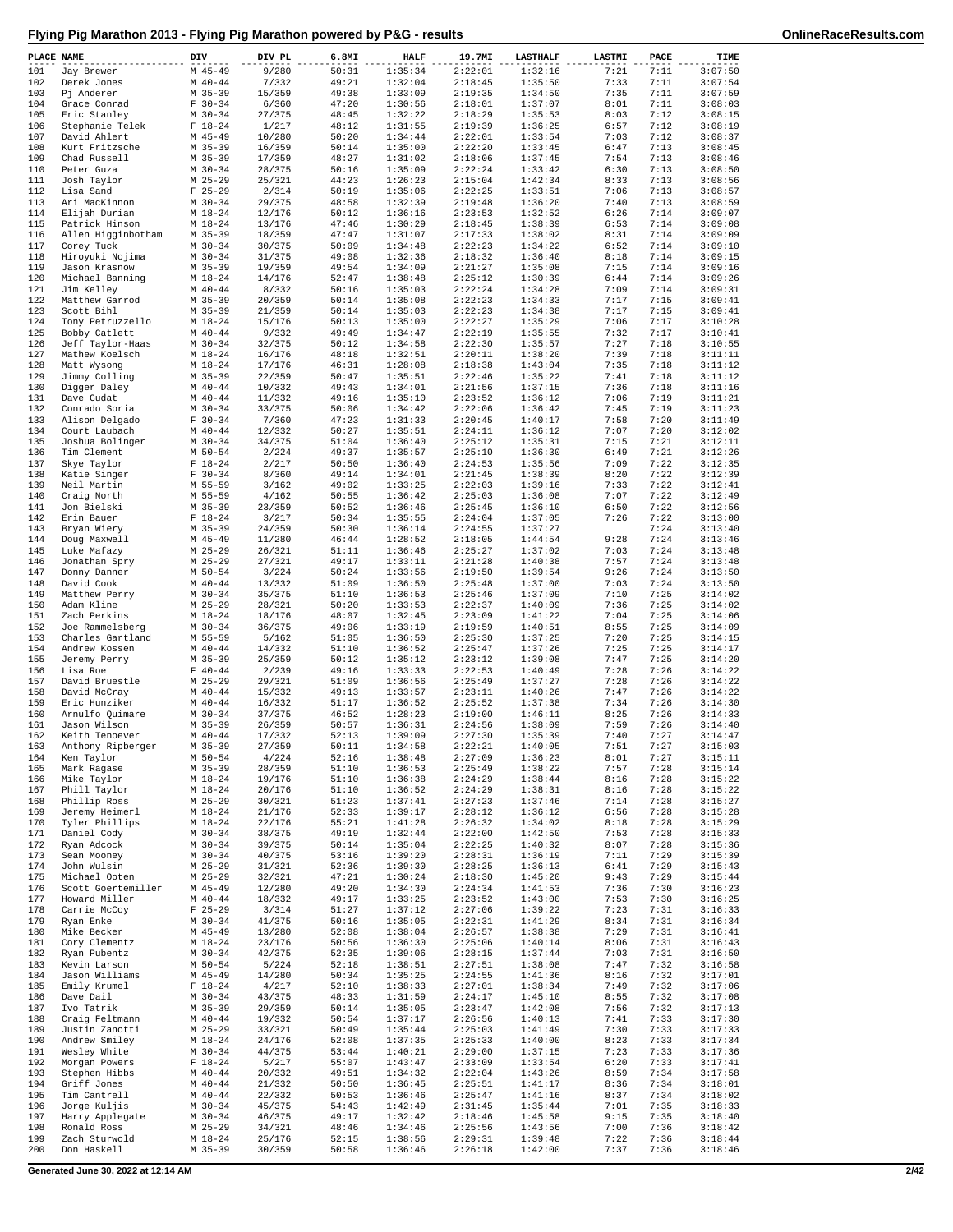| PLACE NAME |                                      | DIV                        | DIV PL           | 6.8MI          | <b>HALF</b>        | 19.7MI             | <b>LASTHALF</b>    | LASTMI       | PACE         | TIME               |
|------------|--------------------------------------|----------------------------|------------------|----------------|--------------------|--------------------|--------------------|--------------|--------------|--------------------|
| 101<br>102 | Jay Brewer                           | $M$ 45-49<br>$M$ 40-44     | 9/280<br>7/332   | 50:31<br>49:21 | 1:35:34<br>1:32:04 | 2:22:01<br>2:18:45 | 1:32:16<br>1:35:50 | 7:21<br>7:33 | 7:11<br>7:11 | 3:07:50<br>3:07:54 |
| 103        | Derek Jones<br>Pj Anderer            | $M$ 35-39                  | 15/359           | 49:38          | 1:33:09            | 2:19:35            | 1:34:50            | 7:35         | 7:11         | 3:07:59            |
| 104        | Grace Conrad                         | $F 30-34$                  | 6/360            | 47:20          | 1:30:56            | 2:18:01            | 1:37:07            | 8:01         | 7:11         | 3:08:03            |
| 105        | Eric Stanley                         | $M$ 30-34                  | 27/375           | 48:45          | 1:32:22            | 2:18:29            | 1:35:53            | 8:03         | 7:12         | 3:08:15            |
| 106<br>107 | Stephanie Telek<br>David Ahlert      | $F 18-24$<br>$M$ 45-49     | 1/217<br>10/280  | 48:12<br>50:20 | 1:31:55<br>1:34:44 | 2:19:39<br>2:22:01 | 1:36:25<br>1:33:54 | 6:57<br>7:03 | 7:12<br>7:12 | 3:08:19<br>3:08:37 |
| 108        | Kurt Fritzsche                       | $M$ 35-39                  | 16/359           | 50:14          | 1:35:00            | 2:22:20            | 1:33:45            | 6:47         | 7:13         | 3:08:45            |
| 109        | Chad Russell                         | $M$ 35-39                  | 17/359           | 48:27          | 1:31:02            | 2:18:06            | 1:37:45            | 7:54         | 7:13         | 3:08:46            |
| 110<br>111 | Peter Guza<br>Josh Taylor            | $M$ 30-34<br>$M$ 25-29     | 28/375<br>25/321 | 50:16<br>44:23 | 1:35:09<br>1:26:23 | 2:22:24<br>2:15:04 | 1:33:42<br>1:42:34 | 6:30<br>8:33 | 7:13<br>7:13 | 3:08:50<br>3:08:56 |
| 112        | Lisa Sand                            | $F$ 25-29                  | 2/314            | 50:19          | 1:35:06            | 2:22:25            | 1:33:51            | 7:06         | 7:13         | 3:08:57            |
| 113        | Ari MacKinnon                        | $M$ 30-34                  | 29/375           | 48:58          | 1:32:39            | 2:19:48            | 1:36:20            | 7:40         | 7:13         | 3:08:59            |
| 114        | Elijah Durian                        | $M_1 18 - 24$              | 12/176           | 50:12          | 1:36:16<br>1:30:29 | 2:23:53            | 1:32:52            | 6:26         | 7:14<br>7:14 | 3:09:07            |
| 115<br>116 | Patrick Hinson<br>Allen Higginbotham | $M_18-24$<br>$M$ 35-39     | 13/176<br>18/359 | 47:46<br>47:47 | 1:31:07            | 2:18:45<br>2:17:33 | 1:38:39<br>1:38:02 | 6:53<br>8:31 | 7:14         | 3:09:08<br>3:09:09 |
| 117        | Corey Tuck                           | $M$ 30-34                  | 30/375           | 50:09          | 1:34:48            | 2:22:23            | 1:34:22            | 6:52         | 7:14         | 3:09:10            |
| 118        | Hiroyuki Nojima                      | $M$ 30-34                  | 31/375           | 49:08          | 1:32:36            | 2:18:32            | 1:36:40            | 8:18         | 7:14         | 3:09:15            |
| 119<br>120 | Jason Krasnow                        | $M$ 35-39                  | 19/359           | 49:54<br>52:47 | 1:34:09            | 2:21:27<br>2:25:12 | 1:35:08<br>1:30:39 | 7:15         | 7:14<br>7:14 | 3:09:16<br>3:09:26 |
| 121        | Michael Banning<br>Jim Kelley        | $M_1 18 - 24$<br>$M$ 40-44 | 14/176<br>8/332  | 50:16          | 1:38:48<br>1:35:03 | 2:22:24            | 1:34:28            | 6:44<br>7:09 | 7:14         | 3:09:31            |
| 122        | Matthew Garrod                       | $M$ 35-39                  | 20/359           | 50:14          | 1:35:08            | 2:22:23            | 1:34:33            | 7:17         | 7:15         | 3:09:41            |
| 123        | Scott Bihl                           | $M$ 35-39                  | 21/359           | 50:14          | 1:35:03            | 2:22:23            | 1:34:38            | 7:17         | 7:15         | 3:09:41            |
| 124<br>125 | Tony Petruzzello<br>Bobby Catlett    | $M_18-24$<br>$M$ 40-44     | 15/176<br>9/332  | 50:13<br>49:49 | 1:35:00<br>1:34:47 | 2:22:27<br>2:22:19 | 1:35:29<br>1:35:55 | 7:06<br>7:32 | 7:17<br>7:17 | 3:10:28<br>3:10:41 |
| 126        | Jeff Taylor-Haas                     | $M$ 30-34                  | 32/375           | 50:12          | 1:34:58            | 2:22:30            | 1:35:57            | 7:27         | 7:18         | 3:10:55            |
| 127        | Mathew Koelsch                       | $M_18-24$                  | 16/176           | 48:18          | 1:32:51            | 2:20:11            | 1:38:20            | 7:39         | 7:18         | 3:11:11            |
| 128        | Matt Wysong                          | $M_18-24$                  | 17/176           | 46:31          | 1:28:08            | 2:18:38            | 1:43:04            | 7:35         | 7:18         | 3:11:12            |
| 129<br>130 | Jimmy Colling<br>Digger Daley        | $M$ 35-39<br>$M$ 40-44     | 22/359<br>10/332 | 50:47<br>49:43 | 1:35:51<br>1:34:01 | 2:22:46<br>2:21:56 | 1:35:22<br>1:37:15 | 7:41<br>7:36 | 7:18<br>7:18 | 3:11:12<br>3:11:16 |
| 131        | Dave Gudat                           | $M$ 40-44                  | 11/332           | 49:16          | 1:35:10            | 2:23:52            | 1:36:12            | 7:06         | 7:19         | 3:11:21            |
| 132        | Conrado Soria                        | $M$ 30-34                  | 33/375           | 50:06          | 1:34:42            | 2:22:06            | 1:36:42            | 7:45         | 7:19         | 3:11:23            |
| 133        | Alison Delgado                       | $F 30-34$                  | 7/360            | 47:23          | 1:31:33            | 2:20:45            | 1:40:17            | 7:58         | 7:20         | 3:11:49            |
| 134<br>135 | Court Laubach<br>Joshua Bolinger     | $M$ 40-44<br>$M$ 30-34     | 12/332<br>34/375 | 50:27<br>51:04 | 1:35:51<br>1:36:40 | 2:24:11<br>2:25:12 | 1:36:12<br>1:35:31 | 7:07<br>7:15 | 7:20<br>7:21 | 3:12:02<br>3:12:11 |
| 136        | Tim Clement                          | $M$ 50-54                  | 2/224            | 49:37          | 1:35:57            | 2:25:10            | 1:36:30            | 6:49         | 7:21         | 3:12:26            |
| 137        | Skye Taylor                          | $F 18-24$                  | 2/217            | 50:50          | 1:36:40            | 2:24:53            | 1:35:56            | 7:09         | 7:22         | 3:12:35            |
| 138        | Katie Singer                         | $F 30-34$                  | 8/360            | 49:14          | 1:34:01            | 2:21:45            | 1:38:39            | 8:20         | 7:22         | 3:12:39            |
| 139<br>140 | Neil Martin<br>Craig North           | M 55-59<br>M 55-59         | 3/162<br>4/162   | 49:02<br>50:55 | 1:33:25<br>1:36:42 | 2:22:03<br>2:25:03 | 1:39:16<br>1:36:08 | 7:33<br>7:07 | 7:22<br>7:22 | 3:12:41<br>3:12:49 |
| 141        | Jon Bielski                          | $M$ 35-39                  | 23/359           | 50:52          | 1:36:46            | 2:25:45            | 1:36:10            | 6:50         | 7:22         | 3:12:56            |
| 142        | Erin Bauer                           | $F 18-24$                  | 3/217            | 50:34          | 1:35:55            | 2:24:04            | 1:37:05            | 7:26         | 7:22         | 3:13:00            |
| 143        | Bryan Wiery                          | $M$ 35-39                  | 24/359           | 50:30          | 1:36:14            | 2:24:55            | 1:37:27            |              | 7:24         | 3:13:40            |
| 144<br>145 | Doug Maxwell<br>Luke Mafazy          | $M$ 45-49<br>$M$ 25-29     | 11/280<br>26/321 | 46:44<br>51:11 | 1:28:52<br>1:36:46 | 2:18:05<br>2:25:27 | 1:44:54<br>1:37:02 | 9:28<br>7:03 | 7:24<br>7:24 | 3:13:46<br>3:13:48 |
| 146        | Jonathan Spry                        | M 25-29                    | 27/321           | 49:17          | 1:33:11            | 2:21:28            | 1:40:38            | 7:57         | 7:24         | 3:13:48            |
| 147        | Donny Danner                         | $M$ 50-54                  | 3/224            | 50:24          | 1:33:56            | 2:19:50            | 1:39:54            | 9:26         | 7:24         | 3:13:50            |
| 148        | David Cook                           | $M$ 40-44                  | 13/332           | 51:09          | 1:36:50            | 2:25:48            | 1:37:00            | 7:03         | 7:24         | 3:13:50            |
| 149<br>150 | Matthew Perry<br>Adam Kline          | $M$ 30-34<br>$M$ 25-29     | 35/375<br>28/321 | 51:10<br>50:20 | 1:36:53<br>1:33:53 | 2:25:46<br>2:22:37 | 1:37:09<br>1:40:09 | 7:10<br>7:36 | 7:25<br>7:25 | 3:14:02<br>3:14:02 |
| 151        | Zach Perkins                         | $M_18-24$                  | 18/176           | 48:07          | 1:32:45            | 2:23:09            | 1:41:22            | 7:04         | 7:25         | 3:14:06            |
| 152        | Joe Rammelsberg                      | $M$ 30-34                  | 36/375           | 49:06          | 1:33:19            | 2:19:59            | 1:40:51            | 8:55         | 7:25         | 3:14:09            |
| 153        | Charles Gartland                     | M 55-59                    | 5/162            | 51:05          | 1:36:50            | 2:25:30            | 1:37:25            | 7:20         | 7:25         | 3:14:15            |
| 154<br>155 | Andrew Kossen<br>Jeremy Perry        | $M$ 40-44<br>$M$ 35-39     | 14/332<br>25/359 | 51:10<br>50:12 | 1:36:52<br>1:35:12 | 2:25:47<br>2:23:12 | 1:37:26<br>1:39:08 | 7:25<br>7:47 | 7:25<br>7:25 | 3:14:17<br>3:14:20 |
| 156        | Lisa Roe                             | $F 40 - 44$                | 2/239            | 49:16          | 1:33:33            | 2:22:53            | 1:40:49            | 7:28         | 7:26         | 3:14:22            |
| 157        | David Bruestle                       | $M$ 25-29                  | 29/321           | 51:09          | 1:36:56            | 2:25:49            | 1:37:27            | 7:28         | 7:26         | 3:14:22            |
| 158<br>159 | David McCray<br>Eric Hunziker        | $M$ 40-44<br>$M$ 40-44     | 15/332<br>16/332 | 49:13<br>51:17 | 1:33:57<br>1:36:52 | 2:23:11<br>2:25:52 | 1:40:26<br>1:37:38 | 7:47<br>7:34 | 7:26<br>7:26 | 3:14:22<br>3:14:30 |
| 160        | Arnulfo Quimare                      | $M$ 30-34                  | 37/375           | 46:52          | 1:28:23            | 2:19:00            | 1:46:11            | 8:25         | 7:26         | 3:14:33            |
| 161        | Jason Wilson                         | $M$ 35-39                  | 26/359           | 50:57          | 1:36:31            | 2:24:56            | 1:38:09            | 7:59         | 7:26         | 3:14:40            |
| 162<br>163 | Keith Tenoever                       | $M$ 40-44                  | 17/332           | 52:13<br>50:11 | 1:39:09            | 2:27:30<br>2:22:21 | 1:35:39<br>1:40:05 | 7:40         | 7:27<br>7:27 | 3:14:47<br>3:15:03 |
| 164        | Anthony Ripberger<br>Ken Taylor      | M 35-39<br>$M 50 - 54$     | 27/359<br>4/224  | 52:16          | 1:34:58<br>1:38:48 | 2:27:09            | 1:36:23            | 7:51<br>8:01 | 7:27         | 3:15:11            |
| 165        | Mark Ragase                          | $M$ 35-39                  | 28/359           | 51:10          | 1:36:53            | 2:25:49            | 1:38:22            | 7:57         | 7:28         | 3:15:14            |
| 166        | Mike Taylor                          | $M_18-24$                  | 19/176           | 51:10          | 1:36:38            | 2:24:29            | 1:38:44            | 8:16         | 7:28         | 3:15:22            |
| 167<br>168 | Phill Taylor<br>Phillip Ross         | $M_18-24$<br>$M$ 25-29     | 20/176<br>30/321 | 51:10<br>51:23 | 1:36:52<br>1:37:41 | 2:24:29<br>2:27:23 | 1:38:31<br>1:37:46 | 8:16<br>7:14 | 7:28<br>7:28 | 3:15:22<br>3:15:27 |
| 169        | Jeremy Heimerl                       | $M_18-24$                  | 21/176           | 52:33          | 1:39:17            | 2:28:12            | 1:36:12            | 6:56         | 7:28         | 3:15:28            |
| 170        | Tyler Phillips                       | $M 18 - 24$                | 22/176           | 55:21          | 1:41:28            | 2:26:32            | 1:34:02            | 8:18         | 7:28         | 3:15:29            |
| 171<br>172 | Daniel Cody                          | $M$ 30-34                  | 38/375           | 49:19<br>50:14 | 1:32:44            | 2:22:00            | 1:42:50            | 7:53<br>8:07 | 7:28         | 3:15:33            |
| 173        | Ryan Adcock<br>Sean Mooney           | $M$ 30-34<br>$M$ 30-34     | 39/375<br>40/375 | 53:16          | 1:35:04<br>1:39:20 | 2:22:25<br>2:28:31 | 1:40:32<br>1:36:19 | 7:11         | 7:28<br>7:29 | 3:15:36<br>3:15:39 |
| 174        | John Wulsin                          | $M$ 25-29                  | 31/321           | 52:36          | 1:39:30            | 2:28:25            | 1:36:13            | 6:41         | 7:29         | 3:15:43            |
| 175        | Michael Ooten                        | $M$ 25-29                  | 32/321           | 47:21          | 1:30:24            | 2:18:30            | 1:45:20            | 9:43         | 7:29         | 3:15:44            |
| 176        | Scott Goertemiller<br>Howard Miller  | $M$ 45-49                  | 12/280           | 49:20          | 1:34:30            | 2:24:34            | 1:41:53            | 7:36         | 7:30         | 3:16:23<br>3:16:25 |
| 177<br>178 | Carrie McCoy                         | $M$ 40-44<br>$F$ 25-29     | 18/332<br>3/314  | 49:17<br>51:27 | 1:33:25<br>1:37:12 | 2:23:52<br>2:27:06 | 1:43:00<br>1:39:22 | 7:53<br>7:23 | 7:30<br>7:31 | 3:16:33            |
| 179        | Ryan Enke                            | $M$ 30-34                  | 41/375           | 50:16          | 1:35:05            | 2:22:31            | 1:41:29            | 8:34         | 7:31         | 3:16:34            |
| 180        | Mike Becker                          | $M$ 45-49                  | 13/280           | 52:08          | 1:38:04            | 2:26:57            | 1:38:38            | 7:29         | 7:31         | 3:16:41            |
| 181        | Cory Clementz                        | $M_1 18 - 24$<br>$M$ 30-34 | 23/176           | 50:56          | 1:36:30            | 2:25:06            | 1:40:14            | 8:06<br>7:03 | 7:31<br>7:31 | 3:16:43<br>3:16:50 |
| 182<br>183 | Ryan Pubentz<br>Kevin Larson         | M 50-54                    | 42/375<br>5/224  | 52:35<br>52:18 | 1:39:06<br>1:38:51 | 2:28:15<br>2:27:51 | 1:37:44<br>1:38:08 | 7:47         | 7:32         | 3:16:58            |
| 184        | Jason Williams                       | $M$ 45-49                  | 14/280           | 50:34          | 1:35:25            | 2:24:55            | 1:41:36            | 8:16         | 7:32         | 3:17:01            |
| 185        | Emily Krumel                         | $F 18-24$                  | 4/217            | 52:10          | 1:38:33            | 2:27:01            | 1:38:34            | 7:49         | 7:32         | 3:17:06            |
| 186<br>187 | Dave Dail<br>Ivo Tatrik              | $M$ 30-34<br>$M$ 35-39     | 43/375<br>29/359 | 48:33<br>50:14 | 1:31:59<br>1:35:05 | 2:24:17<br>2:23:47 | 1:45:10<br>1:42:08 | 8:55<br>7:56 | 7:32<br>7:32 | 3:17:08<br>3:17:13 |
| 188        | Craig Feltmann                       | $M$ 40-44                  | 19/332           | 50:54          | 1:37:17            | 2:26:56            | 1:40:13            | 7:41         | 7:33         | 3:17:30            |
| 189        | Justin Zanotti                       | $M$ 25-29                  | 33/321           | 50:49          | 1:35:44            | 2:25:03            | 1:41:49            | 7:30         | 7:33         | 3:17:33            |
| 190        | Andrew Smiley                        | $M_18-24$                  | 24/176           | 52:08          | 1:37:35            | 2:25:33            | 1:40:00            | 8:23         | 7:33         | 3:17:34            |
| 191<br>192 | Wesley White<br>Morgan Powers        | $M$ 30-34<br>$F 18 - 24$   | 44/375<br>5/217  | 53:44<br>55:07 | 1:40:21<br>1:43:47 | 2:29:00<br>2:33:09 | 1:37:15<br>1:33:54 | 7:23<br>6:20 | 7:33<br>7:33 | 3:17:36<br>3:17:41 |
| 193        | Stephen Hibbs                        | $M$ 40-44                  | 20/332           | 49:51          | 1:34:32            | 2:22:04            | 1:43:26            | 8:59         | 7:34         | 3:17:58            |
| 194        | Griff Jones                          | $M$ 40-44                  | 21/332           | 50:50          | 1:36:45            | 2:25:51            | 1:41:17            | 8:36         | 7:34         | 3:18:01            |
| 195        | Tim Cantrell                         | $M$ 40-44                  | 22/332           | 50:53          | 1:36:46            | 2:25:47            | 1:41:16            | 8:37         | 7:34         | 3:18:02            |
| 196<br>197 | Jorge Kuljis<br>Harry Applegate      | $M$ 30-34<br>$M$ 30-34     | 45/375<br>46/375 | 54:43<br>49:17 | 1:42:49<br>1:32:42 | 2:31:45<br>2:18:46 | 1:35:44<br>1:45:58 | 7:01<br>9:15 | 7:35<br>7:35 | 3:18:33<br>3:18:40 |
| 198        | Ronald Ross                          | $M$ 25-29                  | 34/321           | 48:46          | 1:34:46            | 2:25:56            | 1:43:56            | 7:00         | 7:36         | 3:18:42            |
| 199        | Zach Sturwold                        | $M_18-24$                  | 25/176           | 52:15          | 1:38:56            | 2:29:31            | 1:39:48            | 7:22         | 7:36         | 3:18:44            |
| 200        | Don Haskell                          | M 35-39                    | 30/359           | 50:58          | 1:36:46            | 2:26:18            | 1:42:00            | 7:37         | 7:36         | 3:18:46            |

**Generated June 30, 2022 at 12:14 AM 2/42**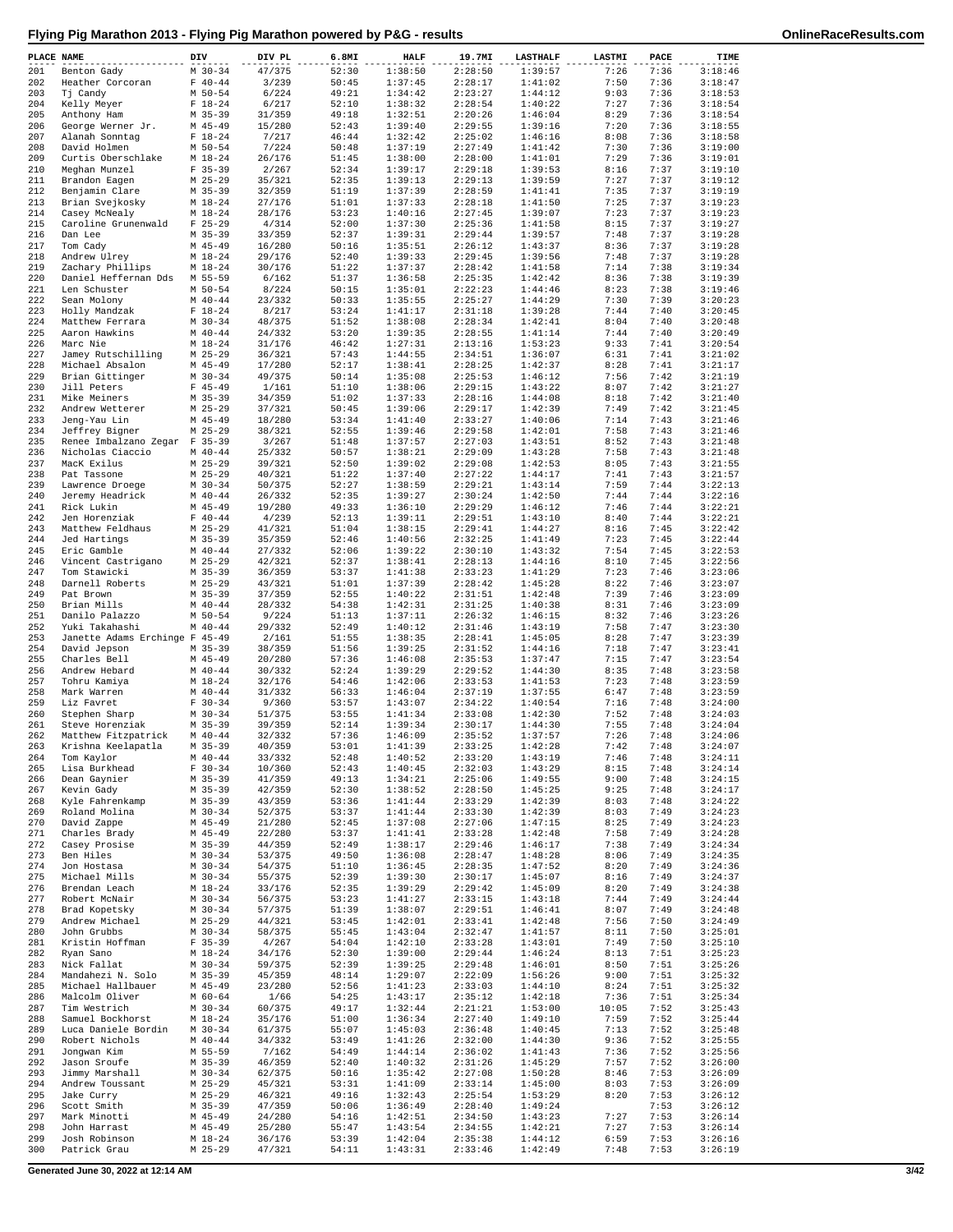| PLACE NAME |                                        | DIV                      | DIV PL           | 6.8MI          | <b>HALF</b>        | 19.7MI             | <b>LASTHALF</b>    | LASTMI       | PACE         | TIME               |
|------------|----------------------------------------|--------------------------|------------------|----------------|--------------------|--------------------|--------------------|--------------|--------------|--------------------|
| 201        | Benton Gady                            | $M$ 30-34                | 47/375           | 52:30          | 1:38:50            | 2:28:50            | 1:39:57            | 7:26         | 7:36         | 3:18:46            |
| 202<br>203 | Heather Corcoran<br>Tj Candy           | $F 40 - 44$<br>$M$ 50-54 | 3/239<br>6/224   | 50:45<br>49:21 | 1:37:45<br>1:34:42 | 2:28:17<br>2:23:27 | 1:41:02<br>1:44:12 | 7:50<br>9:03 | 7:36<br>7:36 | 3:18:47<br>3:18:53 |
| 204        | Kelly Meyer                            | $F 18-24$                | 6/217            | 52:10          | 1:38:32            | 2:28:54            | 1:40:22            | 7:27         | 7:36         | 3:18:54            |
| 205        | Anthony Ham                            | $M$ 35-39                | 31/359           | 49:18          | 1:32:51            | 2:20:26            | 1:46:04            | 8:29         | 7:36         | 3:18:54            |
| 206        | George Werner Jr.                      | $M$ 45-49                | 15/280           | 52:43          | 1:39:40            | 2:29:55            | 1:39:16            | 7:20         | 7:36         | 3:18:55            |
| 207        | Alanah Sonntag                         | $F 18-24$                | 7/217            | 46:44          | 1:32:42            | 2:25:02            | 1:46:16            | 8:08         | 7:36         | 3:18:58            |
| 208<br>209 | David Holmen<br>Curtis Oberschlake     | $M$ 50-54<br>$M_18-24$   | 7/224<br>26/176  | 50:48<br>51:45 | 1:37:19<br>1:38:00 | 2:27:49<br>2:28:00 | 1:41:42<br>1:41:01 | 7:30<br>7:29 | 7:36<br>7:36 | 3:19:00<br>3:19:01 |
| 210        | Meghan Munzel                          | $F$ 35-39                | 2/267            | 52:34          | 1:39:17            | 2:29:18            | 1:39:53            | 8:16         | 7:37         | 3:19:10            |
| 211        | Brandon Eagen                          | $M$ 25-29                | 35/321           | 52:35          | 1:39:13            | 2:29:13            | 1:39:59            | 7:27         | 7:37         | 3:19:12            |
| 212        | Benjamin Clare                         | $M$ 35-39                | 32/359           | 51:19          | 1:37:39            | 2:28:59            | 1:41:41            | 7:35         | 7:37         | 3:19:19            |
| 213        | Brian Svejkosky                        | $M_18-24$                | 27/176           | 51:01          | 1:37:33            | 2:28:18            | 1:41:50            | 7:25         | 7:37         | 3:19:23            |
| 214<br>215 | Casey McNealy<br>Caroline Grunenwald   | $M$ 18-24<br>$F$ 25-29   | 28/176<br>4/314  | 53:23<br>52:00 | 1:40:16<br>1:37:30 | 2:27:45<br>2:25:36 | 1:39:07<br>1:41:58 | 7:23<br>8:15 | 7:37<br>7:37 | 3:19:23<br>3:19:27 |
| 216        | Dan Lee                                | $M$ 35-39                | 33/359           | 52:37          | 1:39:31            | 2:29:44            | 1:39:57            | 7:48         | 7:37         | 3:19:28            |
| 217        | Tom Cady                               | $M$ 45-49                | 16/280           | 50:16          | 1:35:51            | 2:26:12            | 1:43:37            | 8:36         | 7:37         | 3:19:28            |
| 218        | Andrew Ulrey                           | $M_18-24$                | 29/176           | 52:40          | 1:39:33            | 2:29:45            | 1:39:56            | 7:48         | 7:37         | 3:19:28            |
| 219        | Zachary Phillips                       | $M_18-24$                | 30/176           | 51:22          | 1:37:37            | 2:28:42            | 1:41:58            | 7:14         | 7:38         | 3:19:34            |
| 220<br>221 | Daniel Heffernan Dds<br>Len Schuster   | M 55-59<br>M 50-54       | 6/162<br>8/224   | 51:37<br>50:15 | 1:36:58<br>1:35:01 | 2:25:35<br>2:22:23 | 1:42:42<br>1:44:46 | 8:36<br>8:23 | 7:38<br>7:38 | 3:19:39<br>3:19:46 |
| 222        | Sean Molony                            | $M$ 40-44                | 23/332           | 50:33          | 1:35:55            | 2:25:27            | 1:44:29            | 7:30         | 7:39         | 3:20:23            |
| 223        | Holly Mandzak                          | $F 18-24$                | 8/217            | 53:24          | 1:41:17            | 2:31:18            | 1:39:28            | 7:44         | 7:40         | 3:20:45            |
| 224        | Matthew Ferrara                        | $M$ 30-34                | 48/375           | 51:52          | 1:38:08            | 2:28:34            | 1:42:41            | 8:04         | 7:40         | 3:20:48            |
| 225<br>226 | Aaron Hawkins<br>Marc Nie              | $M$ 40-44<br>$M$ 18-24   | 24/332<br>31/176 | 53:20<br>46:42 | 1:39:35<br>1:27:31 | 2:28:55<br>2:13:16 | 1:41:14<br>1:53:23 | 7:44<br>9:33 | 7:40<br>7:41 | 3:20:49<br>3:20:54 |
| 227        | Jamey Rutschilling                     | $M$ 25-29                | 36/321           | 57:43          | 1:44:55            | 2:34:51            | 1:36:07            | 6:31         | 7:41         | 3:21:02            |
| 228        | Michael Absalon                        | $M$ 45-49                | 17/280           | 52:17          | 1:38:41            | 2:28:25            | 1:42:37            | 8:28         | 7:41         | 3:21:17            |
| 229        | Brian Gittinger                        | $M$ 30-34                | 49/375           | 50:14          | 1:35:08            | 2:25:53            | 1:46:12            | 7:56         | 7:42         | 3:21:19            |
| 230<br>231 | Jill Peters                            | $F$ 45-49                | 1/161            | 51:10          | 1:38:06            | 2:29:15            | 1:43:22<br>1:44:08 | 8:07         | 7:42         | 3:21:27            |
| 232        | Mike Meiners<br>Andrew Wetterer        | $M$ 35-39<br>$M$ 25-29   | 34/359<br>37/321 | 51:02<br>50:45 | 1:37:33<br>1:39:06 | 2:28:16<br>2:29:17 | 1:42:39            | 8:18<br>7:49 | 7:42<br>7:42 | 3:21:40<br>3:21:45 |
| 233        | Jeng-Yau Lin                           | $M$ 45-49                | 18/280           | 53:34          | 1:41:40            | 2:33:27            | 1:40:06            | 7:14         | 7:43         | 3:21:46            |
| 234        | Jeffrey Bigner                         | $M$ 25-29                | 38/321           | 52:55          | 1:39:46            | 2:29:58            | 1:42:01            | 7:58         | 7:43         | 3:21:46            |
| 235        | Renee Imbalzano Zegar F 35-39          |                          | 3/267            | 51:48          | 1:37:57            | 2:27:03            | 1:43:51            | 8:52         | 7:43         | 3:21:48            |
| 236        | Nicholas Ciaccio                       | $M$ 40-44                | 25/332           | 50:57          | 1:38:21            | 2:29:09            | 1:43:28            | 7:58         | 7:43         | 3:21:48            |
| 237<br>238 | MacK Exilus<br>Pat Tassone             | $M$ 25-29<br>$M$ 25-29   | 39/321<br>40/321 | 52:50<br>51:22 | 1:39:02<br>1:37:40 | 2:29:08<br>2:27:22 | 1:42:53<br>1:44:17 | 8:05<br>7:41 | 7:43<br>7:43 | 3:21:55<br>3:21:57 |
| 239        | Lawrence Droege                        | $M$ 30-34                | 50/375           | 52:27          | 1:38:59            | 2:29:21            | 1:43:14            | 7:59         | 7:44         | 3:22:13            |
| 240        | Jeremy Headrick                        | $M$ 40-44                | 26/332           | 52:35          | 1:39:27            | 2:30:24            | 1:42:50            | 7:44         | 7:44         | 3:22:16            |
| 241        | Rick Lukin                             | $M$ 45-49                | 19/280           | 49:33          | 1:36:10            | 2:29:29            | 1:46:12            | 7:46         | 7:44         | 3:22:21            |
| 242        | Jen Horenziak                          | $F 40 - 44$              | 4/239            | 52:13          | 1:39:11            | 2:29:51            | 1:43:10            | 8:40         | 7:44<br>7:45 | 3:22:21            |
| 243<br>244 | Matthew Feldhaus<br>Jed Hartings       | $M$ 25-29<br>$M$ 35-39   | 41/321<br>35/359 | 51:04<br>52:46 | 1:38:15<br>1:40:56 | 2:29:41<br>2:32:25 | 1:44:27<br>1:41:49 | 8:16<br>7:23 | 7:45         | 3:22:42<br>3:22:44 |
| 245        | Eric Gamble                            | $M$ 40-44                | 27/332           | 52:06          | 1:39:22            | 2:30:10            | 1:43:32            | 7:54         | 7:45         | 3:22:53            |
| 246        | Vincent Castrigano                     | $M$ 25-29                | 42/321           | 52:37          | 1:38:41            | 2:28:13            | 1:44:16            | 8:10         | 7:45         | 3:22:56            |
| 247        | Tom Stawicki                           | $M$ 35-39                | 36/359           | 53:37          | 1:41:38            | 2:33:23            | 1:41:29            | 7:23         | 7:46         | 3:23:06            |
| 248        | Darnell Roberts                        | $M$ 25-29                | 43/321           | 51:01          | 1:37:39            | 2:28:42            | 1:45:28            | 8:22         | 7:46         | 3:23:07            |
| 249<br>250 | Pat Brown<br>Brian Mills               | $M$ 35-39<br>$M$ 40-44   | 37/359<br>28/332 | 52:55<br>54:38 | 1:40:22<br>1:42:31 | 2:31:51<br>2:31:25 | 1:42:48<br>1:40:38 | 7:39<br>8:31 | 7:46<br>7:46 | 3:23:09<br>3:23:09 |
| 251        | Danilo Palazzo                         | $M$ 50-54                | 9/224            | 51:13          | 1:37:11            | 2:26:32            | 1:46:15            | 8:32         | 7:46         | 3:23:26            |
| 252        | Yuki Takahashi                         | $M$ 40-44                | 29/332           | 52:49          | 1:40:12            | 2:31:46            | 1:43:19            | 7:58         | 7:47         | 3:23:30            |
| 253        | Janette Adams Erchinge F 45-49         |                          | 2/161            | 51:55          | 1:38:35            | 2:28:41            | 1:45:05            | 8:28         | 7:47         | 3:23:39            |
| 254<br>255 | David Jepson<br>Charles Bell           | $M$ 35-39<br>$M$ 45-49   | 38/359<br>20/280 | 51:56<br>57:36 | 1:39:25<br>1:46:08 | 2:31:52<br>2:35:53 | 1:44:16<br>1:37:47 | 7:18<br>7:15 | 7:47<br>7:47 | 3:23:41<br>3:23:54 |
| 256        | Andrew Hebard                          | $M$ 40-44                | 30/332           | 52:24          | 1:39:29            | 2:29:52            | 1:44:30            | 8:35         | 7:48         | 3:23:58            |
| 257        | Tohru Kamiya                           | $M_18-24$                | 32/176           | 54:46          | 1:42:06            | 2:33:53            | 1:41:53            | 7:23         | 7:48         | 3:23:59            |
| 258        | Mark Warren                            | $M$ 40-44                | 31/332           | 56:33          | 1:46:04            | 2:37:19            | 1:37:55            | 6:47         | 7:48         | 3:23:59            |
| 259        | Liz Favret                             | $F 30-34$                | 9/360            | 53:57          | 1:43:07            | 2:34:22            | 1:40:54            | 7:16         | 7:48         | 3:24:00            |
| 260<br>261 | Stephen Sharp<br>Steve Horenziak       | $M$ 30-34<br>$M$ 35-39   | 51/375<br>39/359 | 53:55<br>52:14 | 1:41:34<br>1:39:34 | 2:33:08<br>2:30:17 | 1:42:30<br>1:44:30 | 7:52<br>7:55 | 7:48<br>7:48 | 3:24:03<br>3:24:04 |
| 262        | Matthew Fitzpatrick                    | $M$ 40-44                | 32/332           | 57:36          | 1:46:09            | 2:35:52            | 1:37:57            | 7:26         | 7:48         | 3:24:06            |
| 263        | Krishna Keelapatla                     | M 35-39                  | 40/359           | 53:01          | 1:41:39            | 2:33:25            | 1:42:28            | 7:42         | 7:48         | 3:24:07            |
| 264        | Tom Kaylor                             | $M$ 40-44                | 33/332           | 52:48          | 1:40:52            | 2:33:20            | 1:43:19            | 7:46         | 7:48         | 3:24:11            |
| 265        | Lisa Burkhead                          | $F 30-34$                | 10/360           | 52:43          | 1:40:45            | 2:32:03            | 1:43:29            | 8:15         | 7:48         | 3:24:14            |
| 266<br>267 | Dean Gaynier<br>Kevin Gady             | $M$ 35-39<br>$M$ 35-39   | 41/359<br>42/359 | 49:13<br>52:30 | 1:34:21<br>1:38:52 | 2:25:06<br>2:28:50 | 1:49:55<br>1:45:25 | 9:00<br>9:25 | 7:48<br>7:48 | 3:24:15<br>3:24:17 |
| 268        | Kyle Fahrenkamp                        | $M$ 35-39                | 43/359           | 53:36          | 1:41:44            | 2:33:29            | 1:42:39            | 8:03         | 7:48         | 3:24:22            |
| 269        | Roland Molina                          | $M$ 30-34                | 52/375           | 53:37          | 1:41:44            | 2:33:30            | 1:42:39            | 8:03         | 7:49         | 3:24:23            |
| 270        | David Zappe                            | $M$ 45-49                | 21/280           | 52:45          | 1:37:08            | 2:27:06            | 1:47:15            | 8:25         | 7:49         | 3:24:23            |
| 271        | Charles Brady                          | $M$ 45-49                | 22/280           | 53:37          | 1:41:41            | 2:33:28            | 1:42:48            | 7:58         | 7:49         | 3:24:28            |
| 272<br>273 | Casey Prosise<br>Ben Hiles             | $M$ 35-39<br>$M$ 30-34   | 44/359<br>53/375 | 52:49<br>49:50 | 1:38:17<br>1:36:08 | 2:29:46<br>2:28:47 | 1:46:17<br>1:48:28 | 7:38<br>8:06 | 7:49<br>7:49 | 3:24:34<br>3:24:35 |
| 274        | Jon Hostasa                            | $M$ 30-34                | 54/375           | 51:10          | 1:36:45            | 2:28:35            | 1:47:52            | 8:20         | 7:49         | 3:24:36            |
| 275        | Michael Mills                          | $M$ 30-34                | 55/375           | 52:39          | 1:39:30            | 2:30:17            | 1:45:07            | 8:16         | 7:49         | 3:24:37            |
| 276        | Brendan Leach                          | $M 18 - 24$              | 33/176           | 52:35          | 1:39:29            | 2:29:42            | 1:45:09            | 8:20         | 7:49         | 3:24:38            |
| 277        | Robert McNair                          | $M$ 30-34                | 56/375           | 53:23          | 1:41:27            | 2:33:15            | 1:43:18            | 7:44         | 7:49         | 3:24:44            |
| 278<br>279 | Brad Kopetsky<br>Andrew Michael        | $M$ 30-34<br>$M$ 25-29   | 57/375<br>44/321 | 51:39<br>53:45 | 1:38:07<br>1:42:01 | 2:29:51<br>2:33:41 | 1:46:41<br>1:42:48 | 8:07<br>7:56 | 7:49<br>7:50 | 3:24:48<br>3:24:49 |
| 280        | John Grubbs                            | $M$ 30-34                | 58/375           | 55:45          | 1:43:04            | 2:32:47            | 1:41:57            | 8:11         | 7:50         | 3:25:01            |
| 281        | Kristin Hoffman                        | $F$ 35-39                | 4/267            | 54:04          | 1:42:10            | 2:33:28            | 1:43:01            | 7:49         | 7:50         | 3:25:10            |
| 282        | Ryan Sano                              | $M_18-24$                | 34/176           | 52:30          | 1:39:00            | 2:29:44            | 1:46:24            | 8:13         | 7:51         | 3:25:23            |
| 283        | Nick Fallat                            | $M$ 30-34                | 59/375           | 52:39          | 1:39:25            | 2:29:48            | 1:46:01            | 8:50         | 7:51         | 3:25:26            |
| 284<br>285 | Mandahezi N. Solo<br>Michael Hallbauer | $M$ 35-39<br>$M$ 45-49   | 45/359<br>23/280 | 48:14<br>52:56 | 1:29:07<br>1:41:23 | 2:22:09<br>2:33:03 | 1:56:26<br>1:44:10 | 9:00<br>8:24 | 7:51<br>7:51 | 3:25:32<br>3:25:32 |
| 286        | Malcolm Oliver                         | $M$ 60-64                | 1/66             | 54:25          | 1:43:17            | 2:35:12            | 1:42:18            | 7:36         | 7:51         | 3:25:34            |
| 287        | Tim Westrich                           | $M$ 30-34                | 60/375           | 49:17          | 1:32:44            | 2:21:21            | 1:53:00            | 10:05        | 7:52         | 3:25:43            |
| 288        | Samuel Bockhorst                       | $M_18-24$                | 35/176           | 51:00          | 1:36:34            | 2:27:40            | 1:49:10            | 7:59         | 7:52         | 3:25:44            |
| 289        | Luca Daniele Bordin                    | $M$ 30-34                | 61/375           | 55:07          | 1:45:03            | 2:36:48            | 1:40:45            | 7:13         | 7:52         | 3:25:48            |
| 290<br>291 | Robert Nichols<br>Jongwan Kim          | $M$ 40-44<br>M 55-59     | 34/332<br>7/162  | 53:49<br>54:49 | 1:41:26<br>1:44:14 | 2:32:00<br>2:36:02 | 1:44:30<br>1:41:43 | 9:36<br>7:36 | 7:52<br>7:52 | 3:25:55<br>3:25:56 |
| 292        | Jason Sroufe                           | $M$ 35-39                | 46/359           | 52:40          | 1:40:32            | 2:31:26            | 1:45:29            | 7:57         | 7:52         | 3:26:00            |
| 293        | Jimmy Marshall                         | $M$ 30-34                | 62/375           | 50:16          | 1:35:42            | 2:27:08            | 1:50:28            | 8:46         | 7:53         | 3:26:09            |
| 294        | Andrew Toussant                        | $M$ 25-29                | 45/321           | 53:31          | 1:41:09            | 2:33:14            | 1:45:00            | 8:03         | 7:53         | 3:26:09            |
| 295        | Jake Curry                             | $M$ 25-29                | 46/321           | 49:16          | 1:32:43            | 2:25:54            | 1:53:29            | 8:20         | 7:53         | 3:26:12            |
| 296<br>297 | Scott Smith<br>Mark Minotti            | $M$ 35-39<br>$M$ 45-49   | 47/359<br>24/280 | 50:06<br>54:16 | 1:36:49<br>1:42:51 | 2:28:40<br>2:34:50 | 1:49:24<br>1:43:23 | 7:27         | 7:53<br>7:53 | 3:26:12<br>3:26:14 |
| 298        | John Harrast                           | $M$ 45-49                | 25/280           | 55:47          | 1:43:54            | 2:34:55            | 1:42:21            | 7:27         | 7:53         | 3:26:14            |
| 299        | Josh Robinson                          | $M_18-24$                | 36/176           | 53:39          | 1:42:04            | 2:35:38            | 1:44:12            | 6:59         | 7:53         | 3:26:16            |
| 300        | Patrick Grau                           | M 25-29                  | 47/321           | 54:11          | 1:43:31            | 2:33:46            | 1:42:49            | 7:48         | 7:53         | 3:26:19            |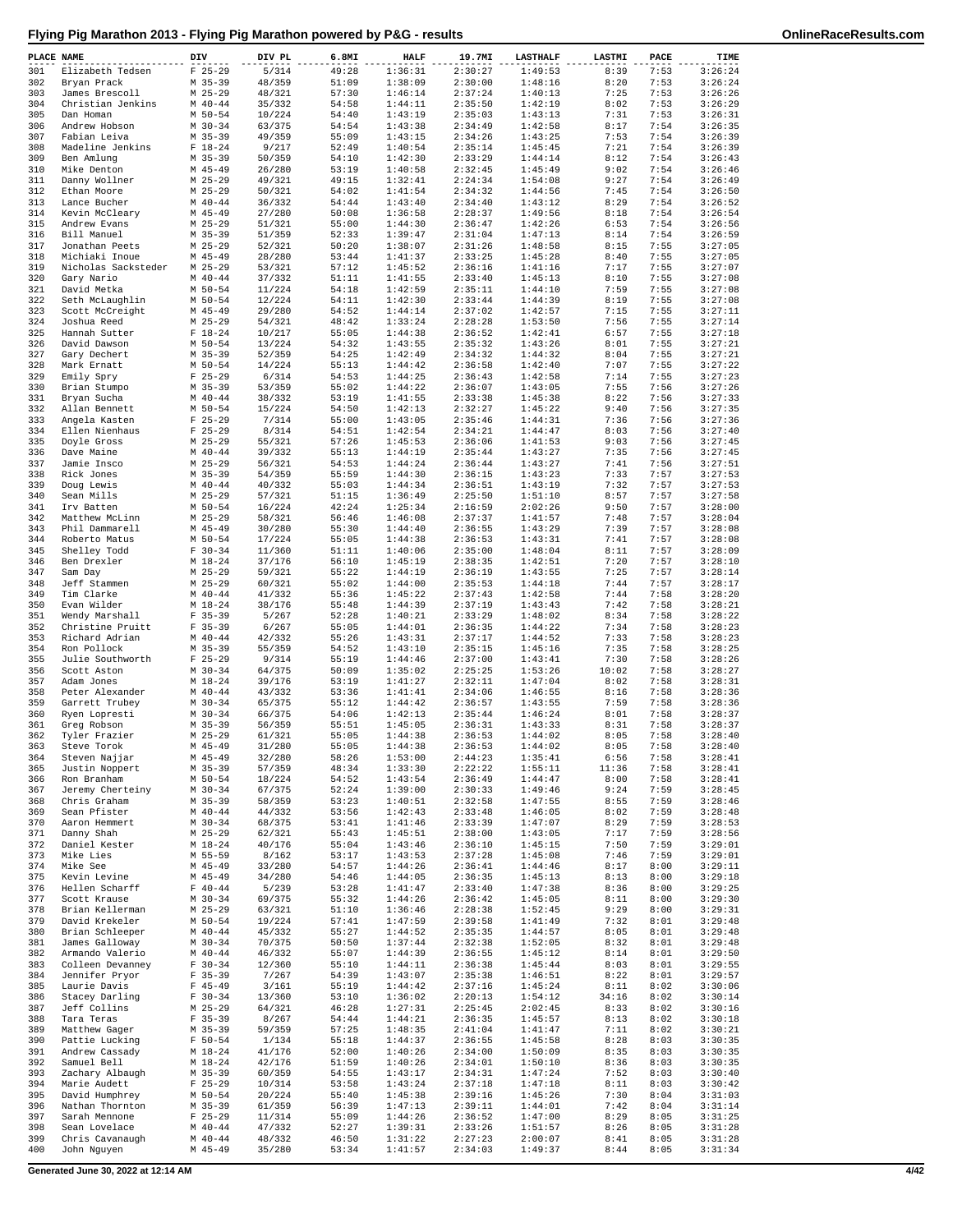| PLACE NAME |                                     | DIV                      | DIV PL           | 6.8MI          | <b>HALF</b>        | 19.7MI             | <b>LASTHALF</b>    | LASTMI        | PACE         | TIME               |
|------------|-------------------------------------|--------------------------|------------------|----------------|--------------------|--------------------|--------------------|---------------|--------------|--------------------|
| 301        | Elizabeth Tedsen                    | $F$ 25-29                | 5/314            | 49:28          | 1:36:31            | 2:30:27            | 1:49:53            | 8:39          | 7:53         | 3:26:24            |
| 302<br>303 | Bryan Prack<br>James Brescoll       | $M$ 35-39<br>$M$ 25-29   | 48/359<br>48/321 | 51:09<br>57:30 | 1:38:09<br>1:46:14 | 2:30:00<br>2:37:24 | 1:48:16<br>1:40:13 | 8:20<br>7:25  | 7:53<br>7:53 | 3:26:24<br>3:26:26 |
| 304        | Christian Jenkins                   | $M$ 40-44                | 35/332           | 54:58          | 1:44:11            | 2:35:50            | 1:42:19            | 8:02          | 7:53         | 3:26:29            |
| 305        | Dan Homan                           | M 50-54                  | 10/224           | 54:40          | 1:43:19            | 2:35:03            | 1:43:13            | 7:31          | 7:53         | 3:26:31            |
| 306<br>307 | Andrew Hobson<br>Fabian Leiva       | $M$ 30-34                | 63/375           | 54:54<br>55:09 | 1:43:38            | 2:34:49            | 1:42:58<br>1:43:25 | 8:17          | 7:54<br>7:54 | 3:26:35<br>3:26:39 |
| 308        | Madeline Jenkins                    | $M$ 35-39<br>$F 18-24$   | 49/359<br>9/217  | 52:49          | 1:43:15<br>1:40:54 | 2:34:26<br>2:35:14 | 1:45:45            | 7:53<br>7:21  | 7:54         | 3:26:39            |
| 309        | Ben Amlung                          | $M$ 35-39                | 50/359           | 54:10          | 1:42:30            | 2:33:29            | 1:44:14            | 8:12          | 7:54         | 3:26:43            |
| 310        | Mike Denton                         | $M$ 45-49                | 26/280           | 53:19          | 1:40:58            | 2:32:45            | 1:45:49            | 9:02          | 7:54         | 3:26:46            |
| 311<br>312 | Danny Wollner<br>Ethan Moore        | $M$ 25-29<br>$M$ 25-29   | 49/321<br>50/321 | 49:15<br>54:02 | 1:32:41<br>1:41:54 | 2:24:34<br>2:34:32 | 1:54:08<br>1:44:56 | 9:27<br>7:45  | 7:54<br>7:54 | 3:26:49<br>3:26:50 |
| 313        | Lance Bucher                        | $M$ 40-44                | 36/332           | 54:44          | 1:43:40            | 2:34:40            | 1:43:12            | 8:29          | 7:54         | 3:26:52            |
| 314        | Kevin McCleary                      | $M$ 45-49                | 27/280           | 50:08          | 1:36:58            | 2:28:37            | 1:49:56            | 8:18          | 7:54         | 3:26:54            |
| 315        | Andrew Evans                        | $M$ 25-29                | 51/321           | 55:00          | 1:44:30            | 2:36:47            | 1:42:26            | 6:53          | 7:54         | 3:26:56            |
| 316<br>317 | Bill Manuel<br>Jonathan Peets       | $M$ 35-39<br>$M$ 25-29   | 51/359<br>52/321 | 52:33<br>50:20 | 1:39:47<br>1:38:07 | 2:31:04<br>2:31:26 | 1:47:13<br>1:48:58 | 8:14<br>8:15  | 7:54<br>7:55 | 3:26:59<br>3:27:05 |
| 318        | Michiaki Inoue                      | M 45-49                  | 28/280           | 53:44          | 1:41:37            | 2:33:25            | 1:45:28            | 8:40          | 7:55         | 3:27:05            |
| 319        | Nicholas Sacksteder                 | $M$ 25-29                | 53/321           | 57:12          | 1:45:52            | 2:36:16            | 1:41:16            | 7:17          | 7:55         | 3:27:07            |
| 320        | Gary Nario                          | $M$ 40-44                | 37/332           | 51:11          | 1:41:55            | 2:33:40            | 1:45:13            | 8:10          | 7:55         | 3:27:08            |
| 321<br>322 | David Metka<br>Seth McLaughlin      | $M$ 50-54<br>$M$ 50-54   | 11/224<br>12/224 | 54:18<br>54:11 | 1:42:59<br>1:42:30 | 2:35:11<br>2:33:44 | 1:44:10<br>1:44:39 | 7:59<br>8:19  | 7:55<br>7:55 | 3:27:08<br>3:27:08 |
| 323        | Scott McCreight                     | $M$ 45-49                | 29/280           | 54:52          | 1:44:14            | 2:37:02            | 1:42:57            | 7:15          | 7:55         | 3:27:11            |
| 324        | Joshua Reed                         | $M$ 25-29                | 54/321           | 48:42          | 1:33:24            | 2:28:28            | 1:53:50            | 7:56          | 7:55         | 3:27:14            |
| 325<br>326 | Hannah Sutter                       | $F 18-24$<br>M 50-54     | 10/217           | 55:05          | 1:44:38            | 2:36:52            | 1:42:41<br>1:43:26 | 6:57          | 7:55<br>7:55 | 3:27:18<br>3:27:21 |
| 327        | David Dawson<br>Gary Dechert        | $M$ 35-39                | 13/224<br>52/359 | 54:32<br>54:25 | 1:43:55<br>1:42:49 | 2:35:32<br>2:34:32 | 1:44:32            | 8:01<br>8:04  | 7:55         | 3:27:21            |
| 328        | Mark Ernatt                         | M 50-54                  | 14/224           | 55:13          | 1:44:42            | 2:36:58            | 1:42:40            | 7:07          | 7:55         | 3:27:22            |
| 329        | Emily Spry                          | $F$ 25-29                | 6/314            | 54:53          | 1:44:25            | 2:36:43            | 1:42:58            | 7:14          | 7:55         | 3:27:23            |
| 330<br>331 | Brian Stumpo<br>Bryan Sucha         | $M$ 35-39<br>$M$ 40-44   | 53/359<br>38/332 | 55:02<br>53:19 | 1:44:22<br>1:41:55 | 2:36:07<br>2:33:38 | 1:43:05<br>1:45:38 | 7:55<br>8:22  | 7:56<br>7:56 | 3:27:26<br>3:27:33 |
| 332        | Allan Bennett                       | $M$ 50-54                | 15/224           | 54:50          | 1:42:13            | 2:32:27            | 1:45:22            | 9:40          | 7:56         | 3:27:35            |
| 333        | Angela Kasten                       | $F$ 25-29                | 7/314            | 55:00          | 1:43:05            | 2:35:46            | 1:44:31            | 7:36          | 7:56         | 3:27:36            |
| 334        | Ellen Nienhaus                      | $F$ 25-29                | 8/314            | 54:51          | 1:42:54            | 2:34:21            | 1:44:47            | 8:03          | 7:56         | 3:27:40            |
| 335<br>336 | Doyle Gross<br>Dave Maine           | $M$ 25-29<br>$M$ 40-44   | 55/321<br>39/332 | 57:26<br>55:13 | 1:45:53<br>1:44:19 | 2:36:06<br>2:35:44 | 1:41:53<br>1:43:27 | 9:03<br>7:35  | 7:56<br>7:56 | 3:27:45<br>3:27:45 |
| 337        | Jamie Insco                         | $M$ 25-29                | 56/321           | 54:53          | 1:44:24            | 2:36:44            | 1:43:27            | 7:41          | 7:56         | 3:27:51            |
| 338        | Rick Jones                          | $M$ 35-39                | 54/359           | 55:59          | 1:44:30            | 2:36:15            | 1:43:23            | 7:33          | 7:57         | 3:27:53            |
| 339        | Doug Lewis                          | $M$ 40-44                | 40/332           | 55:03          | 1:44:34            | 2:36:51            | 1:43:19            | 7:32          | 7:57         | 3:27:53            |
| 340<br>341 | Sean Mills<br>Irv Batten            | $M$ 25-29<br>M 50-54     | 57/321<br>16/224 | 51:15<br>42:24 | 1:36:49<br>1:25:34 | 2:25:50<br>2:16:59 | 1:51:10<br>2:02:26 | 8:57<br>9:50  | 7:57<br>7:57 | 3:27:58<br>3:28:00 |
| 342        | Matthew McLinn                      | $M$ 25-29                | 58/321           | 56:46          | 1:46:08            | 2:37:37            | 1:41:57            | 7:48          | 7:57         | 3:28:04            |
| 343        | Phil Dammarell                      | $M$ 45-49                | 30/280           | 55:30          | 1:44:40            | 2:36:55            | 1:43:29            | 7:39          | 7:57         | 3:28:08            |
| 344        | Roberto Matus                       | M 50-54                  | 17/224           | 55:05          | 1:44:38            | 2:36:53            | 1:43:31            | 7:41          | 7:57         | 3:28:08            |
| 345<br>346 | Shelley Todd<br>Ben Drexler         | $F 30-34$<br>$M_18-24$   | 11/360<br>37/176 | 51:11<br>56:10 | 1:40:06<br>1:45:19 | 2:35:00<br>2:38:35 | 1:48:04<br>1:42:51 | 8:11<br>7:20  | 7:57<br>7:57 | 3:28:09<br>3:28:10 |
| 347        | Sam Day                             | $M$ 25-29                | 59/321           | 55:22          | 1:44:19            | 2:36:19            | 1:43:55            | 7:25          | 7:57         | 3:28:14            |
| 348        | Jeff Stammen                        | $M$ 25-29                | 60/321           | 55:02          | 1:44:00            | 2:35:53            | 1:44:18            | 7:44          | 7:57         | 3:28:17            |
| 349        | Tim Clarke                          | $M$ 40-44                | 41/332           | 55:36          | 1:45:22            | 2:37:43            | 1:42:58            | 7:44          | 7:58         | 3:28:20            |
| 350<br>351 | Evan Wilder<br>Wendy Marshall       | $M_18-24$<br>$F$ 35-39   | 38/176<br>5/267  | 55:48<br>52:28 | 1:44:39<br>1:40:21 | 2:37:19<br>2:33:29 | 1:43:43<br>1:48:02 | 7:42<br>8:34  | 7:58<br>7:58 | 3:28:21<br>3:28:22 |
| 352        | Christine Pruitt                    | $F$ 35-39                | 6/267            | 55:05          | 1:44:01            | 2:36:35            | 1:44:22            | 7:34          | 7:58         | 3:28:23            |
| 353        | Richard Adrian                      | $M$ 40-44                | 42/332           | 55:26          | 1:43:31            | 2:37:17            | 1:44:52            | 7:33          | 7:58         | 3:28:23            |
| 354<br>355 | Ron Pollock<br>Julie Southworth     | $M$ 35-39<br>$F$ 25-29   | 55/359<br>9/314  | 54:52<br>55:19 | 1:43:10<br>1:44:46 | 2:35:15<br>2:37:00 | 1:45:16<br>1:43:41 | 7:35<br>7:30  | 7:58<br>7:58 | 3:28:25<br>3:28:26 |
| 356        | Scott Aston                         | $M$ 30-34                | 64/375           | 50:09          | 1:35:02            | 2:25:25            | 1:53:26            | 10:02         | 7:58         | 3:28:27            |
| 357        | Adam Jones                          | $M_18-24$                | 39/176           | 53:19          | 1:41:27            | 2:32:11            | 1:47:04            | 8:02          | 7:58         | 3:28:31            |
| 358        | Peter Alexander                     | $M$ 40-44                | 43/332           | 53:36          | 1:41:41            | 2:34:06            | 1:46:55            | 8:16          | 7:58         | 3:28:36            |
| 359<br>360 | Garrett Trubey<br>Ryen Lopresti     | $M$ 30-34<br>M 30-34     | 65/375<br>66/375 | 55:12<br>54:06 | 1:44:42<br>1:42:13 | 2:36:57<br>2:35:44 | 1:43:55<br>1:46:24 | 7:59<br>8:01  | 7:58<br>7:58 | 3:28:36<br>3:28:37 |
| 361        | Greg Robson                         | $M$ 35-39                | 56/359           | 55:51          | 1:45:05            | 2:36:31            | 1:43:33            | 8:31          | 7:58         | 3:28:37            |
| 362        | Tyler Frazier                       | $M$ 25-29                | 61/321           | 55:05          | 1:44:38            | 2:36:53            | 1:44:02            | 8:05          | 7:58         | 3:28:40            |
| 363        | Steve Torok                         | M 45-49                  | 31/280           | 55:05          | 1:44:38            | 2:36:53            | 1:44:02            | 8:05          | 7:58         | 3:28:40            |
| 364<br>365 | Steven Najjar<br>Justin Noppert     | $M$ 45-49<br>M 35-39     | 32/280<br>57/359 | 58:26<br>48:34 | 1:53:00<br>1:33:30 | 2:44:23<br>2:22:22 | 1:35:41<br>1:55:11 | 6:56<br>11:36 | 7:58<br>7:58 | 3:28:41<br>3:28:41 |
| 366        | Ron Branham                         | M 50-54                  | 18/224           | 54:52          | 1:43:54            | 2:36:49            | 1:44:47            | 8:00          | 7:58         | 3:28:41            |
| 367        | Jeremy Cherteiny                    | $M$ 30-34                | 67/375           | 52:24          | 1:39:00            | 2:30:33            | 1:49:46            | 9:24          | 7:59         | 3:28:45            |
| 368<br>369 | Chris Graham<br>Sean Pfister        | $M$ 35-39<br>$M$ 40-44   | 58/359<br>44/332 | 53:23<br>53:56 | 1:40:51<br>1:42:43 | 2:32:58<br>2:33:48 | 1:47:55<br>1:46:05 | 8:55<br>8:02  | 7:59<br>7:59 | 3:28:46<br>3:28:48 |
| 370        | Aaron Hemmert                       | $M$ 30-34                | 68/375           | 53:41          | 1:41:46            | 2:33:39            | 1:47:07            | 8:29          | 7:59         | 3:28:53            |
| 371        | Danny Shah                          | $M$ 25-29                | 62/321           | 55:43          | 1:45:51            | 2:38:00            | 1:43:05            | 7:17          | 7:59         | 3:28:56            |
| 372        | Daniel Kester                       | $M_18-24$                | 40/176           | 55:04          | 1:43:46            | 2:36:10            | 1:45:15            | 7:50          | 7:59         | 3:29:01            |
| 373<br>374 | Mike Lies<br>Mike See               | M 55-59<br>$M$ 45-49     | 8/162<br>33/280  | 53:17<br>54:57 | 1:43:53<br>1:44:26 | 2:37:28<br>2:36:41 | 1:45:08<br>1:44:46 | 7:46<br>8:17  | 7:59<br>8:00 | 3:29:01<br>3:29:11 |
| 375        | Kevin Levine                        | $M$ 45-49                | 34/280           | 54:46          | 1:44:05            | 2:36:35            | 1:45:13            | 8:13          | 8:00         | 3:29:18            |
| 376        | Hellen Scharff                      | $F 40 - 44$              | 5/239            | 53:28          | 1:41:47            | 2:33:40            | 1:47:38            | 8:36          | 8:00         | 3:29:25            |
| 377        | Scott Krause                        | $M$ 30-34                | 69/375           | 55:32          | 1:44:26            | 2:36:42            | 1:45:05            | 8:11          | 8:00         | 3:29:30            |
| 378<br>379 | Brian Kellerman<br>David Krekeler   | M 25-29<br>M 50-54       | 63/321<br>19/224 | 51:10<br>57:41 | 1:36:46<br>1:47:59 | 2:28:38<br>2:39:58 | 1:52:45<br>1:41:49 | 9:29<br>7:32  | 8:00<br>8:01 | 3:29:31<br>3:29:48 |
| 380        | Brian Schleeper                     | $M$ 40-44                | 45/332           | 55:27          | 1:44:52            | 2:35:35            | 1:44:57            | 8:05          | 8:01         | 3:29:48            |
| 381        | James Galloway                      | $M$ 30-34                | 70/375           | 50:50          | 1:37:44            | 2:32:38            | 1:52:05            | 8:32          | 8:01         | 3:29:48            |
| 382<br>383 | Armando Valerio<br>Colleen Devanney | $M$ 40-44<br>$F 30-34$   | 46/332<br>12/360 | 55:07<br>55:10 | 1:44:39<br>1:44:11 | 2:36:55<br>2:36:38 | 1:45:12<br>1:45:44 | 8:14<br>8:03  | 8:01<br>8:01 | 3:29:50<br>3:29:55 |
| 384        | Jennifer Pryor                      | $F$ 35-39                | 7/267            | 54:39          | 1:43:07            | 2:35:38            | 1:46:51            | 8:22          | 8:01         | 3:29:57            |
| 385        | Laurie Davis                        | $F 45 - 49$              | 3/161            | 55:19          | 1:44:42            | 2:37:16            | 1:45:24            | 8:11          | 8:02         | 3:30:06            |
| 386        | Stacey Darling                      | $F 30-34$                | 13/360           | 53:10          | 1:36:02            | 2:20:13            | 1:54:12            | 34:16         | 8:02         | 3:30:14            |
| 387<br>388 | Jeff Collins<br>Tara Teras          | $M$ 25-29<br>$F 35 - 39$ | 64/321<br>8/267  | 46:28<br>54:44 | 1:27:31<br>1:44:21 | 2:25:45<br>2:36:35 | 2:02:45<br>1:45:57 | 8:33<br>8:13  | 8:02<br>8:02 | 3:30:16<br>3:30:18 |
| 389        | Matthew Gager                       | $M$ 35-39                | 59/359           | 57:25          | 1:48:35            | 2:41:04            | 1:41:47            | 7:11          | 8:02         | 3:30:21            |
| 390        | Pattie Lucking                      | $F 50 - 54$              | 1/134            | 55:18          | 1:44:37            | 2:36:55            | 1:45:58            | 8:28          | 8:03         | 3:30:35            |
| 391        | Andrew Cassady                      | $M_18-24$                | 41/176           | 52:00          | 1:40:26            | 2:34:00            | 1:50:09            | 8:35          | 8:03         | 3:30:35            |
| 392<br>393 | Samuel Bell<br>Zachary Albaugh      | $M 18 - 24$<br>$M$ 35-39 | 42/176<br>60/359 | 51:59<br>54:55 | 1:40:26<br>1:43:17 | 2:34:01<br>2:34:31 | 1:50:10<br>1:47:24 | 8:36<br>7:52  | 8:03<br>8:03 | 3:30:35<br>3:30:40 |
| 394        | Marie Audett                        | $F$ 25-29                | 10/314           | 53:58          | 1:43:24            | 2:37:18            | 1:47:18            | 8:11          | 8:03         | 3:30:42            |
| 395        | David Humphrey                      | $M$ 50-54                | 20/224           | 55:40          | 1:45:38            | 2:39:16            | 1:45:26            | 7:30          | 8:04         | 3:31:03            |
| 396        | Nathan Thornton                     | M 35-39                  | 61/359           | 56:39          | 1:47:13            | 2:39:11            | 1:44:01            | 7:42          | 8:04         | 3:31:14            |
| 397<br>398 | Sarah Mennone<br>Sean Lovelace      | $F$ 25-29<br>$M$ 40-44   | 11/314<br>47/332 | 55:09<br>52:27 | 1:44:26<br>1:39:31 | 2:36:52<br>2:33:26 | 1:47:00<br>1:51:57 | 8:29<br>8:26  | 8:05<br>8:05 | 3:31:25<br>3:31:28 |
| 399        | Chris Cavanaugh                     | $M$ 40-44                | 48/332           | 46:50          | 1:31:22            | 2:27:23            | 2:00:07            | 8:41          | 8:05         | 3:31:28            |
| 400        | John Nguyen                         | M 45-49                  | 35/280           | 53:34          | 1:41:57            | 2:34:03            | 1:49:37            | 8:44          | 8:05         | 3:31:34            |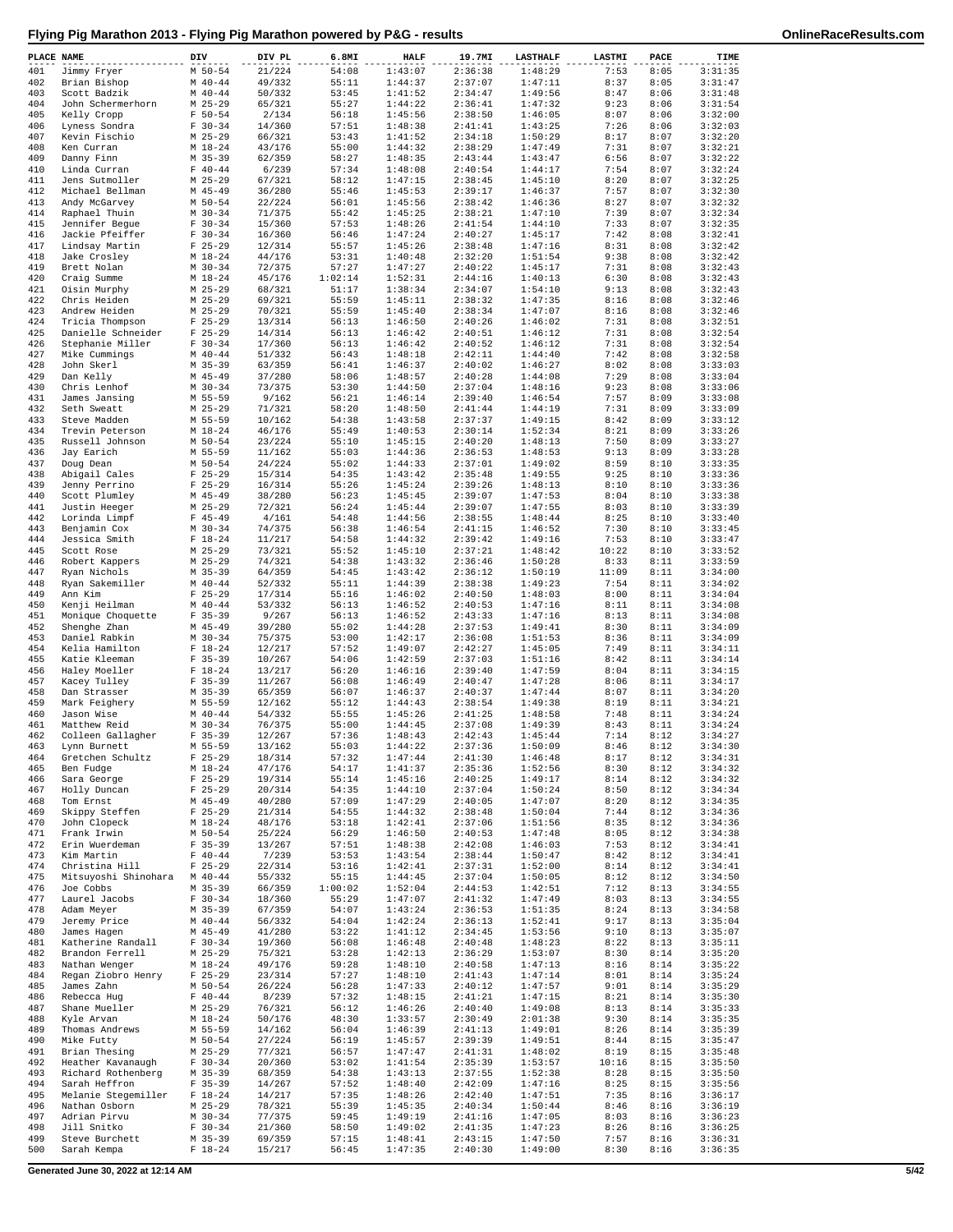| PLACE NAME |                                      | DIV                        | DIV PL           | 6.8MI            | <b>HALF</b>        | 19.7MI             | <b>LASTHALF</b>    | LASTMI        | PACE         | TIME               |
|------------|--------------------------------------|----------------------------|------------------|------------------|--------------------|--------------------|--------------------|---------------|--------------|--------------------|
| 401        | Jimmy Fryer                          | $M$ 50-54                  | 21/224           | 54:08            | 1:43:07            | 2:36:38            | 1:48:29            | 7:53          | 8:05         | 3:31:35            |
| 402<br>403 | Brian Bishop<br>Scott Badzik         | $M$ 40-44<br>$M$ 40-44     | 49/332<br>50/332 | 55:11<br>53:45   | 1:44:37<br>1:41:52 | 2:37:07<br>2:34:47 | 1:47:11<br>1:49:56 | 8:37<br>8:47  | 8:05<br>8:06 | 3:31:47<br>3:31:48 |
| 404        | John Schermerhorn                    | $M$ 25-29                  | 65/321           | 55:27            | 1:44:22            | 2:36:41            | 1:47:32            | 9:23          | 8:06         | 3:31:54            |
| 405        | Kelly Cropp                          | $F 50 - 54$                | 2/134            | 56:18            | 1:45:56            | 2:38:50            | 1:46:05            | 8:07          | 8:06         | 3:32:00            |
| 406        | Lyness Sondra                        | $F 30-34$                  | 14/360           | 57:51            | 1:48:38            | 2:41:41            | 1:43:25            | 7:26          | 8:06         | 3:32:03            |
| 407        | Kevin Fischio                        | $M$ 25-29                  | 66/321           | 53:43            | 1:41:52            | 2:34:18            | 1:50:29            | 8:17          | 8:07         | 3:32:20            |
| 408<br>409 | Ken Curran<br>Danny Finn             | $M_18-24$<br>$M$ 35-39     | 43/176<br>62/359 | 55:00<br>58:27   | 1:44:32<br>1:48:35 | 2:38:29<br>2:43:44 | 1:47:49<br>1:43:47 | 7:31<br>6:56  | 8:07<br>8:07 | 3:32:21<br>3:32:22 |
| 410        | Linda Curran                         | $F 40 - 44$                | 6/239            | 57:34            | 1:48:08            | 2:40:54            | 1:44:17            | 7:54          | 8:07         | 3:32:24            |
| 411        | Jens Sutmoller                       | $M$ 25-29                  | 67/321           | 58:12            | 1:47:15            | 2:38:45            | 1:45:10            | 8:20          | 8:07         | 3:32:25            |
| 412        | Michael Bellman                      | $M$ 45-49                  | 36/280           | 55:46            | 1:45:53            | 2:39:17            | 1:46:37            | 7:57          | 8:07         | 3:32:30            |
| 413        | Andy McGarvey                        | M 50-54                    | 22/224           | 56:01            | 1:45:56            | 2:38:42            | 1:46:36            | 8:27          | 8:07         | 3:32:32            |
| 414<br>415 | Raphael Thuin<br>Jennifer Begue      | $M$ 30-34<br>$F 30-34$     | 71/375<br>15/360 | 55:42<br>57:53   | 1:45:25<br>1:48:26 | 2:38:21<br>2:41:54 | 1:47:10<br>1:44:10 | 7:39<br>7:33  | 8:07<br>8:07 | 3:32:34<br>3:32:35 |
| 416        | Jackie Pfeiffer                      | $F 30-34$                  | 16/360           | 56:46            | 1:47:24            | 2:40:27            | 1:45:17            | 7:42          | 8:08         | 3:32:41            |
| 417        | Lindsay Martin                       | $F$ 25-29                  | 12/314           | 55:57            | 1:45:26            | 2:38:48            | 1:47:16            | 8:31          | 8:08         | 3:32:42            |
| 418        | Jake Crosley                         | $M_18-24$                  | 44/176           | 53:31            | 1:40:48            | 2:32:20            | 1:51:54            | 9:38          | 8:08         | 3:32:42            |
| 419        | Brett Nolan                          | $M$ 30-34                  | 72/375           | 57:27            | 1:47:27            | 2:40:22            | 1:45:17            | 7:31          | 8:08         | 3:32:43            |
| 420<br>421 | Craig Summe<br>Oisin Murphy          | $M_18-24$<br>$M$ 25-29     | 45/176<br>68/321 | 1:02:14<br>51:17 | 1:52:31<br>1:38:34 | 2:44:16<br>2:34:07 | 1:40:13<br>1:54:10 | 6:30<br>9:13  | 8:08<br>8:08 | 3:32:43<br>3:32:43 |
| 422        | Chris Heiden                         | $M$ 25-29                  | 69/321           | 55:59            | 1:45:11            | 2:38:32            | 1:47:35            | 8:16          | 8:08         | 3:32:46            |
| 423        | Andrew Heiden                        | $M$ 25-29                  | 70/321           | 55:59            | 1:45:40            | 2:38:34            | 1:47:07            | 8:16          | 8:08         | 3:32:46            |
| 424        | Tricia Thompson                      | $F$ 25-29                  | 13/314           | 56:13            | 1:46:50            | 2:40:26            | 1:46:02            | 7:31          | 8:08         | 3:32:51            |
| 425        | Danielle Schneider                   | $F$ 25-29                  | 14/314           | 56:13            | 1:46:42            | 2:40:51            | 1:46:12            | 7:31          | 8:08         | 3:32:54            |
| 426<br>427 | Stephanie Miller                     | $F 30-34$<br>$M$ 40-44     | 17/360<br>51/332 | 56:13<br>56:43   | 1:46:42<br>1:48:18 | 2:40:52<br>2:42:11 | 1:46:12<br>1:44:40 | 7:31<br>7:42  | 8:08<br>8:08 | 3:32:54<br>3:32:58 |
| 428        | Mike Cummings<br>John Skerl          | $M$ 35-39                  | 63/359           | 56:41            | 1:46:37            | 2:40:02            | 1:46:27            | 8:02          | 8:08         | 3:33:03            |
| 429        | Dan Kelly                            | $M$ 45-49                  | 37/280           | 58:06            | 1:48:57            | 2:40:28            | 1:44:08            | 7:29          | 8:08         | 3:33:04            |
| 430        | Chris Lenhof                         | $M$ 30-34                  | 73/375           | 53:30            | 1:44:50            | 2:37:04            | 1:48:16            | 9:23          | 8:08         | 3:33:06            |
| 431        | James Jansing                        | M 55-59                    | 9/162            | 56:21            | 1:46:14            | 2:39:40            | 1:46:54            | 7:57          | 8:09         | 3:33:08            |
| 432        | Seth Sweatt                          | $M$ 25-29                  | 71/321           | 58:20            | 1:48:50            | 2:41:44            | 1:44:19            | 7:31          | 8:09         | 3:33:09            |
| 433<br>434 | Steve Madden<br>Trevin Peterson      | M 55-59<br>$M_18-24$       | 10/162<br>46/176 | 54:38<br>55:49   | 1:43:58<br>1:40:53 | 2:37:37<br>2:30:14 | 1:49:15<br>1:52:34 | 8:42<br>8:21  | 8:09<br>8:09 | 3:33:12<br>3:33:26 |
| 435        | Russell Johnson                      | M 50-54                    | 23/224           | 55:10            | 1:45:15            | 2:40:20            | 1:48:13            | 7:50          | 8:09         | 3:33:27            |
| 436        | Jay Earich                           | M 55-59                    | 11/162           | 55:03            | 1:44:36            | 2:36:53            | 1:48:53            | 9:13          | 8:09         | 3:33:28            |
| 437        | Doug Dean                            | M 50-54                    | 24/224           | 55:02            | 1:44:33            | 2:37:01            | 1:49:02            | 8:59          | 8:10         | 3:33:35            |
| 438        | Abigail Cales                        | $F$ 25-29                  | 15/314           | 54:35            | 1:43:42            | 2:35:48            | 1:49:55            | 9:25          | 8:10         | 3:33:36            |
| 439        | Jenny Perrino                        | $F$ 25-29                  | 16/314           | 55:26            | 1:45:24            | 2:39:26            | 1:48:13            | 8:10          | 8:10         | 3:33:36<br>3:33:38 |
| 440<br>441 | Scott Plumley<br>Justin Heeger       | $M$ 45-49<br>$M$ 25-29     | 38/280<br>72/321 | 56:23<br>56:24   | 1:45:45<br>1:45:44 | 2:39:07<br>2:39:07 | 1:47:53<br>1:47:55 | 8:04<br>8:03  | 8:10<br>8:10 | 3:33:39            |
| 442        | Lorinda Limpf                        | $F$ 45-49                  | 4/161            | 54:48            | 1:44:56            | 2:38:55            | 1:48:44            | 8:25          | 8:10         | 3:33:40            |
| 443        | Benjamin Cox                         | $M$ 30-34                  | 74/375           | 56:38            | 1:46:54            | 2:41:15            | 1:46:52            | 7:30          | 8:10         | 3:33:45            |
| 444        | Jessica Smith                        | $F 18-24$                  | 11/217           | 54:58            | 1:44:32            | 2:39:42            | 1:49:16            | 7:53          | 8:10         | 3:33:47            |
| 445        | Scott Rose                           | $M$ 25-29                  | 73/321           | 55:52            | 1:45:10            | 2:37:21            | 1:48:42            | 10:22         | 8:10         | 3:33:52<br>3:33:59 |
| 446<br>447 | Robert Kappers<br>Ryan Nichols       | $M$ 25-29<br>M 35-39       | 74/321<br>64/359 | 54:38<br>54:45   | 1:43:32<br>1:43:42 | 2:36:46<br>2:36:12 | 1:50:28<br>1:50:19 | 8:33<br>11:09 | 8:11<br>8:11 | 3:34:00            |
| 448        | Ryan Sakemiller                      | $M$ 40-44                  | 52/332           | 55:11            | 1:44:39            | 2:38:38            | 1:49:23            | 7:54          | 8:11         | 3:34:02            |
| 449        | Ann Kim                              | $F$ 25-29                  | 17/314           | 55:16            | 1:46:02            | 2:40:50            | 1:48:03            | 8:00          | 8:11         | 3:34:04            |
| 450        | Kenji Heilman                        | $M$ 40-44                  | 53/332           | 56:13            | 1:46:52            | 2:40:53            | 1:47:16            | 8:11          | 8:11         | 3:34:08            |
| 451        | Monique Choquette                    | $F$ 35-39                  | 9/267            | 56:13            | 1:46:52            | 2:43:33            | 1:47:16            | 8:13          | 8:11         | 3:34:08            |
| 452<br>453 | Shenghe Zhan<br>Daniel Rabkin        | $M$ 45-49<br>$M$ 30-34     | 39/280<br>75/375 | 55:02<br>53:00   | 1:44:28<br>1:42:17 | 2:37:53<br>2:36:08 | 1:49:41<br>1:51:53 | 8:30<br>8:36  | 8:11<br>8:11 | 3:34:09<br>3:34:09 |
| 454        | Kelia Hamilton                       | $F 18-24$                  | 12/217           | 57:52            | 1:49:07            | 2:42:27            | 1:45:05            | 7:49          | 8:11         | 3:34:11            |
| 455        | Katie Kleeman                        | $F$ 35-39                  | 10/267           | 54:06            | 1:42:59            | 2:37:03            | 1:51:16            | 8:42          | 8:11         | 3:34:14            |
| 456        | Haley Moeller                        | $F 18-24$                  | 13/217           | 56:20            | 1:46:16            | 2:39:40            | 1:47:59            | 8:04          | 8:11         | 3:34:15            |
| 457        | Kacey Tulley                         | $F$ 35-39                  | 11/267           | 56:08            | 1:46:49            | 2:40:47            | 1:47:28            | 8:06          | 8:11         | 3:34:17            |
| 458<br>459 | Dan Strasser<br>Mark Feighery        | $M$ 35-39<br>M 55-59       | 65/359<br>12/162 | 56:07<br>55:12   | 1:46:37<br>1:44:43 | 2:40:37<br>2:38:54 | 1:47:44<br>1:49:38 | 8:07<br>8:19  | 8:11<br>8:11 | 3:34:20<br>3:34:21 |
| 460        | Jason Wise                           | $M$ 40-44                  | 54/332           | 55:55            | 1:45:26            | 2:41:25            | 1:48:58            | 7:48          | 8:11         | 3:34:24            |
| 461        | Matthew Reid                         | $M$ 30-34                  | 76/375           | 55:00            | 1:44:45            | 2:37:08            | 1:49:39            | 8:43          | 8:11         | 3:34:24            |
| 462        | Colleen Gallagher                    | $F$ 35-39                  | 12/267           | 57:36            | 1:48:43            | 2:42:43            | 1:45:44            | 7:14          | 8:12         | 3:34:27            |
| 463        | Lynn Burnett                         | M 55-59                    | 13/162           | 55:03            | 1:44:22            | 2:37:36            | 1:50:09            | 8:46          | 8:12         | 3:34:30            |
| 464<br>465 | Gretchen Schultz<br>Ben Fudge        | $F$ 25-29<br>$M_18-24$     | 18/314<br>47/176 | 57:32<br>54:17   | 1:47:44<br>1:41:37 | 2:41:30<br>2:35:36 | 1:46:48<br>1:52:56 | 8:17<br>8:30  | 8:12<br>8:12 | 3:34:31<br>3:34:32 |
| 466        | Sara George                          | $F$ 25-29                  | 19/314           | 55:14            | 1:45:16            | 2:40:25            | 1:49:17            | 8:14          | 8:12         | 3:34:32            |
| 467        | Holly Duncan                         | $F$ 25-29                  | 20/314           | 54:35            | 1:44:10            | 2:37:04            | 1:50:24            | 8:50          | 8:12         | 3:34:34            |
| 468        | Tom Ernst                            | $M$ 45-49                  | 40/280           | 57:09            | 1:47:29            | 2:40:05            | 1:47:07            | 8:20          | 8:12         | 3:34:35            |
| 469        | Skippy Steffen                       | $F$ 25-29                  | 21/314           | 54:55            | 1:44:32            | 2:38:48            | 1:50:04            | 7:44          | 8:12         | 3:34:36            |
| 470<br>471 | John Clopeck<br>Frank Irwin          | $M_1 18 - 24$<br>$M$ 50-54 | 48/176<br>25/224 | 53:18<br>56:29   | 1:42:41<br>1:46:50 | 2:37:06<br>2:40:53 | 1:51:56<br>1:47:48 | 8:35<br>8:05  | 8:12<br>8:12 | 3:34:36<br>3:34:38 |
| 472        | Erin Wuerdeman                       | $F$ 35-39                  | 13/267           | 57:51            | 1:48:38            | 2:42:08            | 1:46:03            | 7:53          | 8:12         | 3:34:41            |
| 473        | Kim Martin                           | $F 40 - 44$                | 7/239            | 53:53            | 1:43:54            | 2:38:44            | 1:50:47            | 8:42          | 8:12         | 3:34:41            |
| 474        | Christina Hill                       | $F$ 25-29                  | 22/314           | 53:16            | 1:42:41            | 2:37:31            | 1:52:00            | 8:14          | 8:12         | 3:34:41            |
| 475        | Mitsuyoshi Shinohara                 | $M$ 40-44                  | 55/332           | 55:15            | 1:44:45            | 2:37:04            | 1:50:05            | 8:12          | 8:12         | 3:34:50            |
| 476<br>477 | Joe Cobbs<br>Laurel Jacobs           | $M$ 35-39<br>$F 30-34$     | 66/359<br>18/360 | 1:00:02<br>55:29 | 1:52:04<br>1:47:07 | 2:44:53<br>2:41:32 | 1:42:51<br>1:47:49 | 7:12<br>8:03  | 8:13<br>8:13 | 3:34:55<br>3:34:55 |
| 478        | Adam Meyer                           | $M$ 35-39                  | 67/359           | 54:07            | 1:43:24            | 2:36:53            | 1:51:35            | 8:24          | 8:13         | 3:34:58            |
| 479        | Jeremy Price                         | $M$ 40-44                  | 56/332           | 54:04            | 1:42:24            | 2:36:13            | 1:52:41            | 9:17          | 8:13         | 3:35:04            |
| 480        | James Hagen                          | $M$ 45-49                  | 41/280           | 53:22            | 1:41:12            | 2:34:45            | 1:53:56            | 9:10          | 8:13         | 3:35:07            |
| 481        | Katherine Randall                    | $F 30-34$                  | 19/360           | 56:08            | 1:46:48            | 2:40:48            | 1:48:23            | 8:22          | 8:13         | 3:35:11            |
| 482        | Brandon Ferrell<br>Nathan Wenger     | $M$ 25-29                  | 75/321           | 53:28            | 1:42:13<br>1:48:10 | 2:36:29            | 1:53:07<br>1:47:13 | 8:30<br>8:16  | 8:14         | 3:35:20<br>3:35:22 |
| 483<br>484 | Regan Ziobro Henry                   | $M_18-24$<br>$F$ 25-29     | 49/176<br>23/314 | 59:28<br>57:27   | 1:48:10            | 2:40:58<br>2:41:43 | 1:47:14            | 8:01          | 8:14<br>8:14 | 3:35:24            |
| 485        | James Zahn                           | M 50-54                    | 26/224           | 56:28            | 1:47:33            | 2:40:12            | 1:47:57            | 9:01          | 8:14         | 3:35:29            |
| 486        | Rebecca Hug                          | $F 40 - 44$                | 8/239            | 57:32            | 1:48:15            | 2:41:21            | 1:47:15            | 8:21          | 8:14         | 3:35:30            |
| 487        | Shane Mueller                        | $M$ 25-29                  | 76/321           | 56:12            | 1:46:26            | 2:40:40            | 1:49:08            | 8:13          | 8:14         | 3:35:33            |
| 488        | Kyle Arvan                           | $M_18-24$                  | 50/176           | 48:30            | 1:33:57            | 2:30:49            | 2:01:38            | 9:30          | 8:14         | 3:35:35<br>3:35:39 |
| 489<br>490 | Thomas Andrews<br>Mike Futty         | M 55-59<br>M 50-54         | 14/162<br>27/224 | 56:04<br>56:19   | 1:46:39<br>1:45:57 | 2:41:13<br>2:39:39 | 1:49:01<br>1:49:51 | 8:26<br>8:44  | 8:14<br>8:15 | 3:35:47            |
| 491        | Brian Thesing                        | $M$ 25-29                  | 77/321           | 56:57            | 1:47:47            | 2:41:31            | 1:48:02            | 8:19          | 8:15         | 3:35:48            |
| 492        | Heather Kavanaugh                    | $F 30-34$                  | 20/360           | 53:02            | 1:41:54            | 2:35:39            | 1:53:57            | 10:16         | 8:15         | 3:35:50            |
| 493        | Richard Rothenberg                   | $M$ 35-39                  | 68/359           | 54:38            | 1:43:13            | 2:37:55            | 1:52:38            | 8:28          | 8:15         | 3:35:50            |
| 494        | Sarah Heffron                        | $F$ 35-39                  | 14/267           | 57:52            | 1:48:40            | 2:42:09            | 1:47:16            | 8:25          | 8:15         | 3:35:56            |
| 495<br>496 | Melanie Stegemiller<br>Nathan Osborn | $F 18-24$<br>$M$ 25-29     | 14/217<br>78/321 | 57:35<br>55:39   | 1:48:26<br>1:45:35 | 2:42:40<br>2:40:34 | 1:47:51<br>1:50:44 | 7:35<br>8:46  | 8:16<br>8:16 | 3:36:17<br>3:36:19 |
| 497        | Adrian Pirvu                         | $M$ 30-34                  | 77/375           | 59:45            | 1:49:19            | 2:41:16            | 1:47:05            | 8:03          | 8:16         | 3:36:23            |
| 498        | Jill Snitko                          | $F 30-34$                  | 21/360           | 58:50            | 1:49:02            | 2:41:35            | 1:47:23            | 8:26          | 8:16         | 3:36:25            |
| 499        | Steve Burchett                       | $M$ 35-39                  | 69/359           | 57:15            | 1:48:41            | 2:43:15            | 1:47:50            | 7:57          | 8:16         | 3:36:31            |
| 500        | Sarah Kempa                          | $F 18-24$                  | 15/217           | 56:45            | 1:47:35            | 2:40:30            | 1:49:00            | 8:30          | 8:16         | 3:36:35            |

**Generated June 30, 2022 at 12:14 AM 5/42**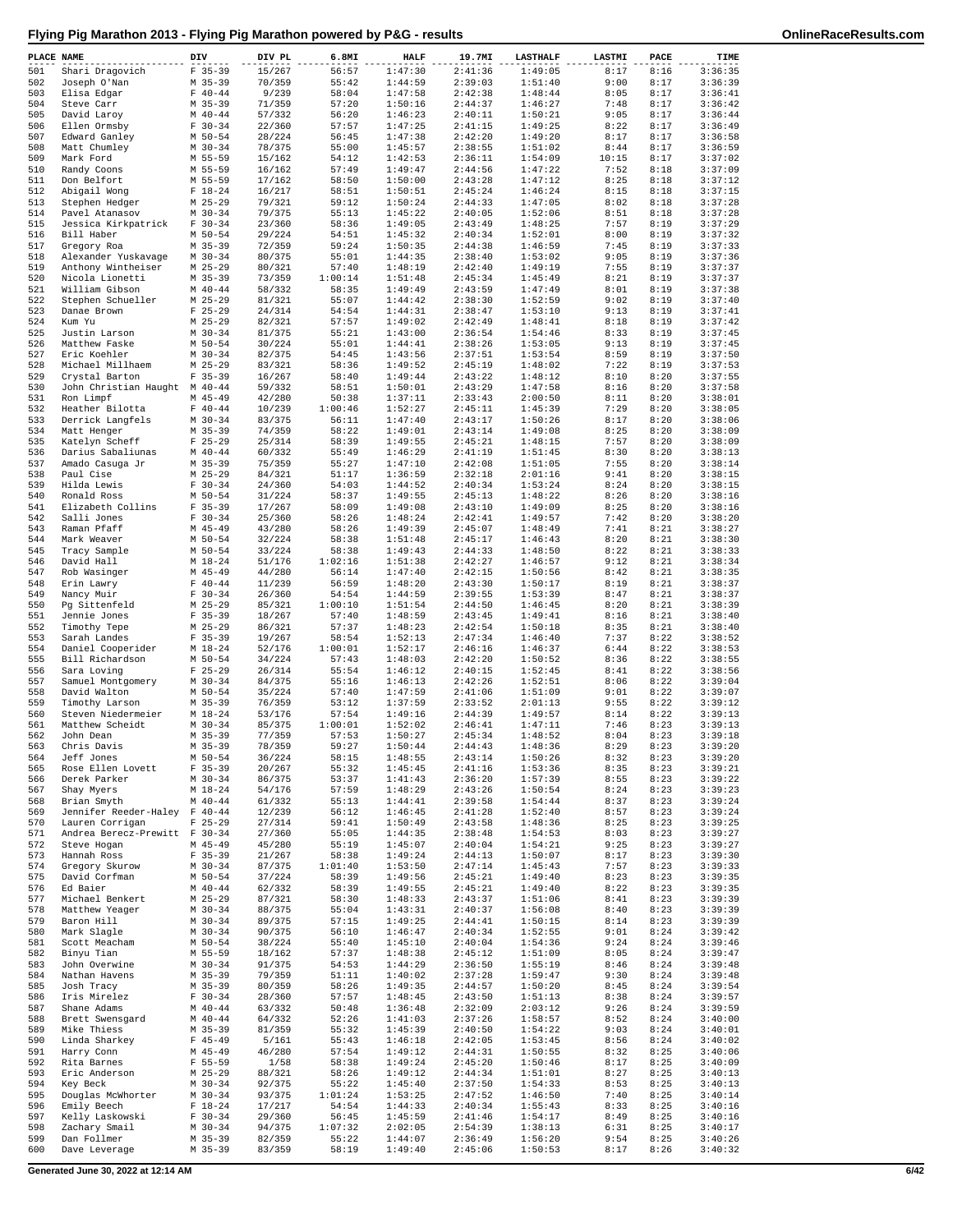| PLACE NAME |                                                 | DIV                      | DIV PL           | 6.8MI            | <b>HALF</b>        | 19.7MI             | <b>LASTHALF</b>    | LASTMI        | PACE         | TIME               |
|------------|-------------------------------------------------|--------------------------|------------------|------------------|--------------------|--------------------|--------------------|---------------|--------------|--------------------|
| 501        | Shari Dragovich                                 | $F$ 35-39                | 15/267           | 56:57            | 1:47:30            | 2:41:36            | 1:49:05            | 8:17          | 8:16         | 3:36:35            |
| 502        | Joseph O'Nan                                    | $M$ 35-39                | 70/359           | 55:42            | 1:44:59            | 2:39:03            | 1:51:40            | 9:00          | 8:17         | 3:36:39            |
| 503<br>504 | Elisa Edgar<br>Steve Carr                       | $F 40 - 44$<br>$M$ 35-39 | 9/239<br>71/359  | 58:04<br>57:20   | 1:47:58<br>1:50:16 | 2:42:38<br>2:44:37 | 1:48:44<br>1:46:27 | 8:05<br>7:48  | 8:17<br>8:17 | 3:36:41<br>3:36:42 |
| 505        | David Laroy                                     | $M$ 40-44                | 57/332           | 56:20            | 1:46:23            | 2:40:11            | 1:50:21            | 9:05          | 8:17         | 3:36:44            |
| 506        | Ellen Ormsby                                    | $F 30-34$                | 22/360           | 57:57            | 1:47:25            | 2:41:15            | 1:49:25            | 8:22          | 8:17         | 3:36:49            |
| 507        | Edward Ganley                                   | M 50-54                  | 28/224           | 56:45            | 1:47:38            | 2:42:20            | 1:49:20            | 8:17          | 8:17         | 3:36:58            |
| 508        | Matt Chumley                                    | $M$ 30-34                | 78/375           | 55:00            | 1:45:57            | 2:38:55            | 1:51:02            | 8:44          | 8:17         | 3:36:59            |
| 509<br>510 | Mark Ford<br>Randy Coons                        | M 55-59<br>M 55-59       | 15/162<br>16/162 | 54:12<br>57:49   | 1:42:53<br>1:49:47 | 2:36:11<br>2:44:56 | 1:54:09<br>1:47:22 | 10:15<br>7:52 | 8:17<br>8:18 | 3:37:02<br>3:37:09 |
| 511        | Don Belfort                                     | M 55-59                  | 17/162           | 58:50            | 1:50:00            | 2:43:28            | 1:47:12            | 8:25          | 8:18         | 3:37:12            |
| 512        | Abigail Wong                                    | $F 18-24$                | 16/217           | 58:51            | 1:50:51            | 2:45:24            | 1:46:24            | 8:15          | 8:18         | 3:37:15            |
| 513        | Stephen Hedger                                  | $M$ 25-29                | 79/321           | 59:12            | 1:50:24            | 2:44:33            | 1:47:05            | 8:02          | 8:18         | 3:37:28            |
| 514        | Pavel Atanasov                                  | $M$ 30-34                | 79/375           | 55:13            | 1:45:22            | 2:40:05            | 1:52:06            | 8:51          | 8:18         | 3:37:28            |
| 515<br>516 | Jessica Kirkpatrick                             | $F 30-34$                | 23/360           | 58:36            | 1:49:05<br>1:45:32 | 2:43:49<br>2:40:34 | 1:48:25            | 7:57          | 8:19         | 3:37:29<br>3:37:32 |
| 517        | Bill Haber<br>Gregory Roa                       | M 50-54<br>$M$ 35-39     | 29/224<br>72/359 | 54:51<br>59:24   | 1:50:35            | 2:44:38            | 1:52:01<br>1:46:59 | 8:00<br>7:45  | 8:19<br>8:19 | 3:37:33            |
| 518        | Alexander Yuskavage                             | $M$ 30-34                | 80/375           | 55:01            | 1:44:35            | 2:38:40            | 1:53:02            | 9:05          | 8:19         | 3:37:36            |
| 519        | Anthony Wintheiser                              | $M$ 25-29                | 80/321           | 57:40            | 1:48:19            | 2:42:40            | 1:49:19            | 7:55          | 8:19         | 3:37:37            |
| 520        | Nicola Lionetti                                 | $M$ 35-39                | 73/359           | 1:00:14          | 1:51:48            | 2:45:34            | 1:45:49            | 8:21          | 8:19         | 3:37:37            |
| 521        | William Gibson                                  | $M$ 40-44                | 58/332           | 58:35            | 1:49:49            | 2:43:59            | 1:47:49            | 8:01          | 8:19         | 3:37:38            |
| 522<br>523 | Stephen Schueller<br>Danae Brown                | $M$ 25-29<br>$F$ 25-29   | 81/321<br>24/314 | 55:07<br>54:54   | 1:44:42<br>1:44:31 | 2:38:30<br>2:38:47 | 1:52:59<br>1:53:10 | 9:02<br>9:13  | 8:19<br>8:19 | 3:37:40<br>3:37:41 |
| 524        | Kum Yu                                          | $M$ 25-29                | 82/321           | 57:57            | 1:49:02            | 2:42:49            | 1:48:41            | 8:18          | 8:19         | 3:37:42            |
| 525        | Justin Larson                                   | $M$ 30-34                | 81/375           | 55:21            | 1:43:00            | 2:36:54            | 1:54:46            | 8:33          | 8:19         | 3:37:45            |
| 526        | Matthew Faske                                   | $M$ 50-54                | 30/224           | 55:01            | 1:44:41            | 2:38:26            | 1:53:05            | 9:13          | 8:19         | 3:37:45            |
| 527        | Eric Koehler                                    | $M$ 30-34                | 82/375           | 54:45            | 1:43:56            | 2:37:51            | 1:53:54            | 8:59          | 8:19         | 3:37:50            |
| 528        | Michael Millhaem                                | $M$ 25-29                | 83/321<br>16/267 | 58:36<br>58:40   | 1:49:52<br>1:49:44 | 2:45:19            | 1:48:02            | 7:22          | 8:19         | 3:37:53            |
| 529<br>530 | Crystal Barton<br>John Christian Haught M 40-44 | $F$ 35-39                | 59/332           | 58:51            | 1:50:01            | 2:43:22<br>2:43:29 | 1:48:12<br>1:47:58 | 8:10<br>8:16  | 8:20<br>8:20 | 3:37:55<br>3:37:58 |
| 531        | Ron Limpf                                       | $M$ 45-49                | 42/280           | 50:38            | 1:37:11            | 2:33:43            | 2:00:50            | 8:11          | 8:20         | 3:38:01            |
| 532        | Heather Bilotta                                 | $F 40 - 44$              | 10/239           | 1:00:46          | 1:52:27            | 2:45:11            | 1:45:39            | 7:29          | 8:20         | 3:38:05            |
| 533        | Derrick Langfels                                | $M$ 30-34                | 83/375           | 56:11            | 1:47:40            | 2:43:17            | 1:50:26            | 8:17          | 8:20         | 3:38:06            |
| 534        | Matt Henger                                     | $M$ 35-39                | 74/359           | 58:22            | 1:49:01            | 2:43:14            | 1:49:08            | 8:25          | 8:20         | 3:38:09            |
| 535<br>536 | Katelyn Scheff                                  | $F$ 25-29<br>$M$ 40-44   | 25/314           | 58:39<br>55:49   | 1:49:55            | 2:45:21<br>2:41:19 | 1:48:15<br>1:51:45 | 7:57<br>8:30  | 8:20<br>8:20 | 3:38:09            |
| 537        | Darius Sabaliunas<br>Amado Casuga Jr            | $M$ 35-39                | 60/332<br>75/359 | 55:27            | 1:46:29<br>1:47:10 | 2:42:08            | 1:51:05            | 7:55          | 8:20         | 3:38:13<br>3:38:14 |
| 538        | Paul Cise                                       | $M$ 25-29                | 84/321           | 51:17            | 1:36:59            | 2:32:18            | 2:01:16            | 9:41          | 8:20         | 3:38:15            |
| 539        | Hilda Lewis                                     | $F 30-34$                | 24/360           | 54:03            | 1:44:52            | 2:40:34            | 1:53:24            | 8:24          | 8:20         | 3:38:15            |
| 540        | Ronald Ross                                     | $M$ 50-54                | 31/224           | 58:37            | 1:49:55            | 2:45:13            | 1:48:22            | 8:26          | 8:20         | 3:38:16            |
| 541        | Elizabeth Collins                               | $F$ 35-39                | 17/267           | 58:09            | 1:49:08            | 2:43:10            | 1:49:09            | 8:25          | 8:20         | 3:38:16            |
| 542<br>543 | Salli Jones<br>Raman Pfaff                      | $F 30-34$                | 25/360           | 58:26            | 1:48:24            | 2:42:41<br>2:45:07 | 1:49:57            | 7:42<br>7:41  | 8:20         | 3:38:20<br>3:38:27 |
| 544        | Mark Weaver                                     | $M$ 45-49<br>$M$ 50-54   | 43/280<br>32/224 | 58:26<br>58:38   | 1:49:39<br>1:51:48 | 2:45:17            | 1:48:49<br>1:46:43 | 8:20          | 8:21<br>8:21 | 3:38:30            |
| 545        | Tracy Sample                                    | $M$ 50-54                | 33/224           | 58:38            | 1:49:43            | 2:44:33            | 1:48:50            | 8:22          | 8:21         | 3:38:33            |
| 546        | David Hall                                      | $M_18-24$                | 51/176           | 1:02:16          | 1:51:38            | 2:42:27            | 1:46:57            | 9:12          | 8:21         | 3:38:34            |
| 547        | Rob Wasinger                                    | $M$ 45-49                | 44/280           | 56:14            | 1:47:40            | 2:42:15            | 1:50:56            | 8:42          | 8:21         | 3:38:35            |
| 548        | Erin Lawry                                      | $F 40 - 44$              | 11/239           | 56:59            | 1:48:20            | 2:43:30            | 1:50:17            | 8:19          | 8:21         | 3:38:37            |
| 549<br>550 | Nancy Muir                                      | $F 30-34$<br>$M$ 25-29   | 26/360<br>85/321 | 54:54<br>1:00:10 | 1:44:59<br>1:51:54 | 2:39:55<br>2:44:50 | 1:53:39<br>1:46:45 | 8:47<br>8:20  | 8:21<br>8:21 | 3:38:37<br>3:38:39 |
| 551        | Pg Sittenfeld<br>Jennie Jones                   | $F$ 35-39                | 18/267           | 57:40            | 1:48:59            | 2:43:45            | 1:49:41            | 8:16          | 8:21         | 3:38:40            |
| 552        | Timothy Tepe                                    | $M$ 25-29                | 86/321           | 57:37            | 1:48:23            | 2:42:54            | 1:50:18            | 8:35          | 8:21         | 3:38:40            |
| 553        | Sarah Landes                                    | $F$ 35-39                | 19/267           | 58:54            | 1:52:13            | 2:47:34            | 1:46:40            | 7:37          | 8:22         | 3:38:52            |
| 554        | Daniel Cooperider                               | $M_18-24$                | 52/176           | 1:00:01          | 1:52:17            | 2:46:16            | 1:46:37            | 6:44          | 8:22         | 3:38:53            |
| 555        | Bill Richardson                                 | $M$ 50-54                | 34/224           | 57:43            | 1:48:03            | 2:42:20<br>2:40:15 | 1:50:52<br>1:52:45 | 8:36          | 8:22         | 3:38:55<br>3:38:56 |
| 556<br>557 | Sara Loving<br>Samuel Montgomery                | $F$ 25-29<br>$M$ 30-34   | 26/314<br>84/375 | 55:54<br>55:16   | 1:46:12<br>1:46:13 | 2:42:26            | 1:52:51            | 8:41<br>8:06  | 8:22<br>8:22 | 3:39:04            |
| 558        | David Walton                                    | M 50-54                  | 35/224           | 57:40            | 1:47:59            | 2:41:06            | 1:51:09            | 9:01          | 8:22         | 3:39:07            |
| 559        | Timothy Larson                                  | $M$ 35-39                | 76/359           | 53:12            | 1:37:59            | 2:33:52            | 2:01:13            | 9:55          | 8:22         | 3:39:12            |
| 560        | Steven Niedermeier                              | $M_18-24$                | 53/176           | 57:54            | 1:49:16            | 2:44:39            | 1:49:57            | 8:14          | 8:22         | 3:39:13            |
| 561        | Matthew Scheidt                                 | $M$ 30-34                | 85/375           | 1:00:01          | 1:52:02            | 2:46:41            | 1:47:11            | 7:46<br>8:04  | 8:23         | 3:39:13            |
| 562<br>563 | John Dean<br>Chris Davis                        | $M$ 35-39<br>M 35-39     | 77/359<br>78/359 | 57:53<br>59:27   | 1:50:27<br>1:50:44 | 2:45:34<br>2:44:43 | 1:48:52<br>1:48:36 | 8:29          | 8:23<br>8:23 | 3:39:18<br>3:39:20 |
| 564        | Jeff Jones                                      | $M 50 - 54$              | 36/224           | 58:15            | 1:48:55            | 2:43:14            | 1:50:26            | 8:32          | 8:23         | 3:39:20            |
| 565        | Rose Ellen Lovett                               | $F 35-39$                | 20/267           | 55:32            | 1:45:45            | 2:41:16            | 1:53:36            | 8:35          | 8:23         | 3:39:21            |
| 566        | Derek Parker                                    | $M$ 30-34                | 86/375           | 53:37            | 1:41:43            | 2:36:20            | 1:57:39            | 8:55          | 8:23         | 3:39:22            |
| 567        | Shay Myers                                      | $M_18-24$                | 54/176           | 57:59            | 1:48:29            | 2:43:26            | 1:50:54            | 8:24          | 8:23         | 3:39:23            |
| 568<br>569 | Brian Smyth<br>Jennifer Reeder-Haley F 40-44    | $M$ 40-44                | 61/332<br>12/239 | 55:13<br>56:12   | 1:44:41<br>1:46:45 | 2:39:58<br>2:41:28 | 1:54:44<br>1:52:40 | 8:37<br>8:57  | 8:23<br>8:23 | 3:39:24<br>3:39:24 |
| 570        | Lauren Corrigan                                 | $F$ 25-29                | 27/314           | 59:41            | 1:50:49            | 2:43:58            | 1:48:36            | 8:25          | 8:23         | 3:39:25            |
| 571        | Andrea Berecz-Prewitt F 30-34                   |                          | 27/360           | 55:05            | 1:44:35            | 2:38:48            | 1:54:53            | 8:03          | 8:23         | 3:39:27            |
| 572        | Steve Hogan                                     | $M$ 45-49                | 45/280           | 55:19            | 1:45:07            | 2:40:04            | 1:54:21            | 9:25          | 8:23         | 3:39:27            |
| 573        | Hannah Ross                                     | $F 35-39$                | 21/267           | 58:38            | 1:49:24            | 2:44:13            | 1:50:07            | 8:17          | 8:23         | 3:39:30            |
| 574<br>575 | Gregory Skurow<br>David Corfman                 | $M$ 30-34<br>M 50-54     | 87/375<br>37/224 | 1:01:40<br>58:39 | 1:53:50<br>1:49:56 | 2:47:14<br>2:45:21 | 1:45:43<br>1:49:40 | 7:57<br>8:23  | 8:23<br>8:23 | 3:39:33<br>3:39:35 |
| 576        | Ed Baier                                        | $M$ 40-44                | 62/332           | 58:39            | 1:49:55            | 2:45:21            | 1:49:40            | 8:22          | 8:23         | 3:39:35            |
| 577        | Michael Benkert                                 | $M$ 25-29                | 87/321           | 58:30            | 1:48:33            | 2:43:37            | 1:51:06            | 8:41          | 8:23         | 3:39:39            |
| 578        | Matthew Yeager                                  | $M$ 30-34                | 88/375           | 55:04            | 1:43:31            | 2:40:37            | 1:56:08            | 8:40          | 8:23         | 3:39:39            |
| 579        | Baron Hill                                      | $M$ 30-34                | 89/375           | 57:15            | 1:49:25            | 2:44:41            | 1:50:15            | 8:14          | 8:23         | 3:39:39            |
| 580        | Mark Slagle                                     | $M$ 30-34                | 90/375<br>38/224 | 56:10            | 1:46:47            | 2:40:34            | 1:52:55            | 9:01          | 8:24         | 3:39:42            |
| 581<br>582 | Scott Meacham<br>Binyu Tian                     | M 50-54<br>M 55-59       | 18/162           | 55:40<br>57:37   | 1:45:10<br>1:48:38 | 2:40:04<br>2:45:12 | 1:54:36<br>1:51:09 | 9:24<br>8:05  | 8:24<br>8:24 | 3:39:46<br>3:39:47 |
| 583        | John Overwine                                   | $M$ 30-34                | 91/375           | 54:53            | 1:44:29            | 2:36:50            | 1:55:19            | 8:46          | 8:24         | 3:39:48            |
| 584        | Nathan Havens                                   | $M$ 35-39                | 79/359           | 51:11            | 1:40:02            | 2:37:28            | 1:59:47            | 9:30          | 8:24         | 3:39:48            |
| 585        | Josh Tracy                                      | $M$ 35-39                | 80/359           | 58:26            | 1:49:35            | 2:44:57            | 1:50:20            | 8:45          | 8:24         | 3:39:54            |
| 586        | Iris Mirelez                                    | $F 30 - 34$              | 28/360           | 57:57            | 1:48:45            | 2:43:50            | 1:51:13            | 8:38          | 8:24         | 3:39:57            |
| 587<br>588 | Shane Adams<br>Brett Swensgard                  | $M$ 40-44<br>$M$ 40-44   | 63/332<br>64/332 | 50:48<br>52:26   | 1:36:48<br>1:41:03 | 2:32:09<br>2:37:26 | 2:03:12<br>1:58:57 | 9:26<br>8:52  | 8:24<br>8:24 | 3:39:59<br>3:40:00 |
| 589        | Mike Thiess                                     | $M$ 35-39                | 81/359           | 55:32            | 1:45:39            | 2:40:50            | 1:54:22            | 9:03          | 8:24         | 3:40:01            |
| 590        | Linda Sharkey                                   | $F$ 45-49                | 5/161            | 55:43            | 1:46:18            | 2:42:05            | 1:53:45            | 8:56          | 8:24         | 3:40:02            |
| 591        | Harry Conn                                      | $M$ 45-49                | 46/280           | 57:54            | 1:49:12            | 2:44:31            | 1:50:55            | 8:32          | 8:25         | 3:40:06            |
| 592        | Rita Barnes                                     | $F 55 - 59$              | 1/58             | 58:38            | 1:49:24            | 2:45:20            | 1:50:46            | 8:17          | 8:25         | 3:40:09            |
| 593<br>594 | Eric Anderson                                   | $M$ 25-29                | 88/321           | 58:26<br>55:22   | 1:49:12<br>1:45:40 | 2:44:34<br>2:37:50 | 1:51:01<br>1:54:33 | 8:27<br>8:53  | 8:25<br>8:25 | 3:40:13<br>3:40:13 |
| 595        | Key Beck<br>Douglas McWhorter                   | $M$ 30-34<br>$M$ 30-34   | 92/375<br>93/375 | 1:01:24          | 1:53:25            | 2:47:52            | 1:46:50            | 7:40          | 8:25         | 3:40:14            |
| 596        | Emily Beech                                     | $F 18-24$                | 17/217           | 54:54            | 1:44:33            | 2:40:34            | 1:55:43            | 8:33          | 8:25         | 3:40:16            |
| 597        | Kelly Laskowski                                 | $F 30-34$                | 29/360           | 56:45            | 1:45:59            | 2:41:46            | 1:54:17            | 8:49          | 8:25         | 3:40:16            |
| 598        | Zachary Smail                                   | $M$ 30-34                | 94/375           | 1:07:32          | 2:02:05            | 2:54:39            | 1:38:13            | 6:31          | 8:25         | 3:40:17            |
| 599        | Dan Follmer                                     | M 35-39                  | 82/359           | 55:22            | 1:44:07            | 2:36:49            | 1:56:20            | 9:54          | 8:25         | 3:40:26            |
| 600        | Dave Leverage                                   | M 35-39                  | 83/359           | 58:19            | 1:49:40            | 2:45:06            | 1:50:53            | 8:17          | 8:26         | 3:40:32            |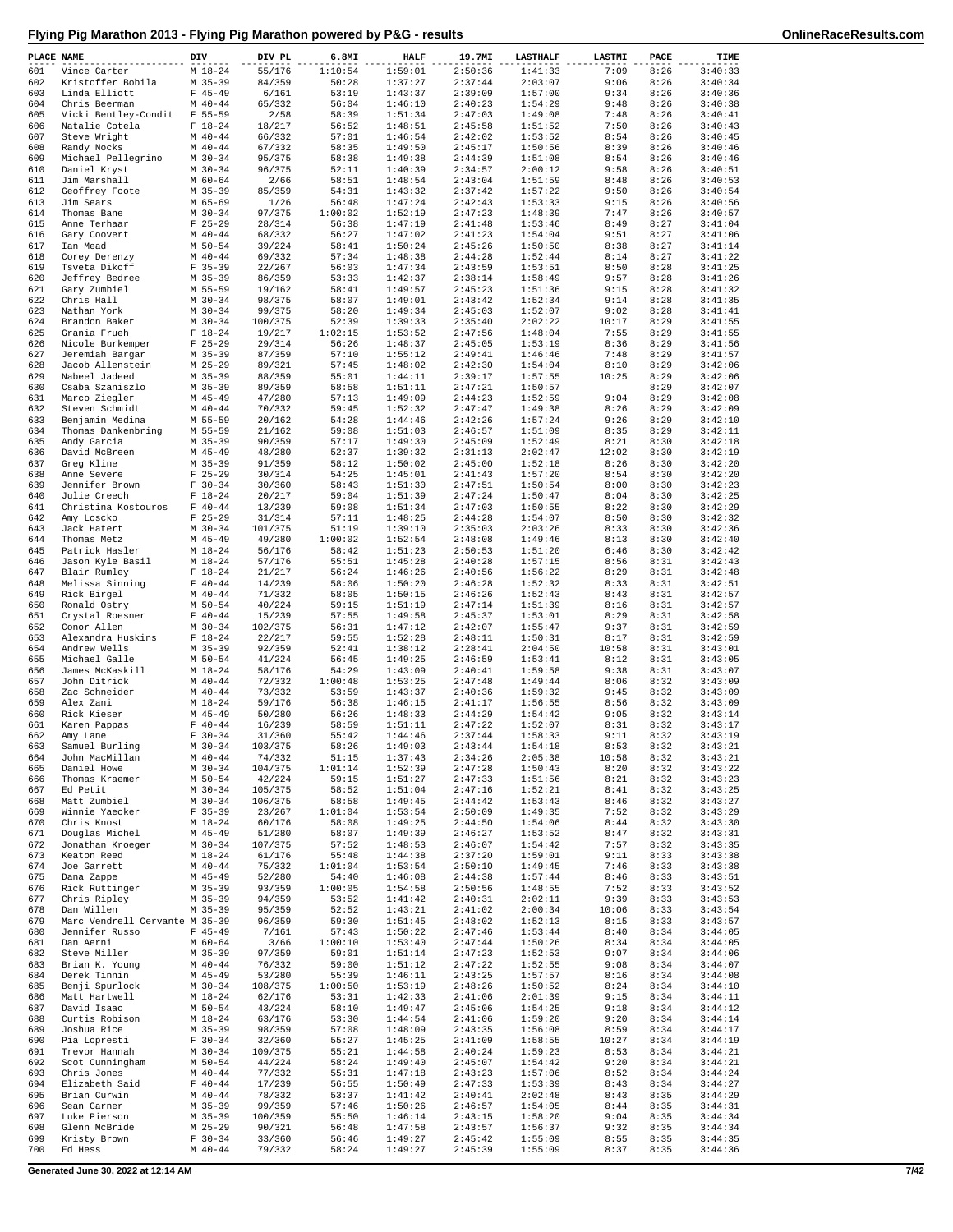| PLACE NAME |                                              | DIV                        | DIV PL            | 6.8MI            | <b>HALF</b>        | 19.7MI             | <b>LASTHALF</b>    | LASTMI        | PACE         | TIME               |
|------------|----------------------------------------------|----------------------------|-------------------|------------------|--------------------|--------------------|--------------------|---------------|--------------|--------------------|
| 601        | Vince Carter                                 | $M_18-24$                  | 55/176            | 1:10:54          | 1:59:01            | 2:50:36            | 1:41:33            | 7:09          | 8:26         | 3:40:33            |
| 602<br>603 | Kristoffer Bobila<br>Linda Elliott           | $M$ 35-39<br>$F$ 45-49     | 84/359<br>6/161   | 50:28<br>53:19   | 1:37:27<br>1:43:37 | 2:37:44<br>2:39:09 | 2:03:07<br>1:57:00 | 9:06<br>9:34  | 8:26<br>8:26 | 3:40:34<br>3:40:36 |
| 604        | Chris Beerman                                | $M$ 40-44                  | 65/332            | 56:04            | 1:46:10            | 2:40:23            | 1:54:29            | 9:48          | 8:26         | 3:40:38            |
| 605        | Vicki Bentley-Condit                         | $F 55 - 59$                | 2/58              | 58:39            | 1:51:34            | 2:47:03            | 1:49:08            | 7:48          | 8:26         | 3:40:41            |
| 606<br>607 | Natalie Cotela<br>Steve Wright               | $F 18-24$<br>$M$ 40-44     | 18/217<br>66/332  | 56:52<br>57:01   | 1:48:51<br>1:46:54 | 2:45:58<br>2:42:02 | 1:51:52<br>1:53:52 | 7:50<br>8:54  | 8:26<br>8:26 | 3:40:43<br>3:40:45 |
| 608        | Randy Nocks                                  | $M$ 40-44                  | 67/332            | 58:35            | 1:49:50            | 2:45:17            | 1:50:56            | 8:39          | 8:26         | 3:40:46            |
| 609        | Michael Pellegrino                           | $M$ 30-34                  | 95/375            | 58:38            | 1:49:38            | 2:44:39            | 1:51:08            | 8:54          | 8:26         | 3:40:46            |
| 610        | Daniel Kryst                                 | $M$ 30-34                  | 96/375            | 52:11            | 1:40:39            | 2:34:57            | 2:00:12            | 9:58          | 8:26         | 3:40:51            |
| 611<br>612 | Jim Marshall<br>Geoffrey Foote               | $M$ 60-64<br>$M$ 35-39     | 2/66<br>85/359    | 58:51<br>54:31   | 1:48:54<br>1:43:32 | 2:43:04<br>2:37:42 | 1:51:59<br>1:57:22 | 8:48<br>9:50  | 8:26<br>8:26 | 3:40:53<br>3:40:54 |
| 613        | Jim Sears                                    | M 65-69                    | 1/26              | 56:48            | 1:47:24            | 2:42:43            | 1:53:33            | 9:15          | 8:26         | 3:40:56            |
| 614        | Thomas Bane                                  | $M$ 30-34                  | 97/375            | 1:00:02          | 1:52:19            | 2:47:23            | 1:48:39            | 7:47          | 8:26         | 3:40:57            |
| 615<br>616 | Anne Terhaar<br>Gary Coovert                 | $F$ 25-29<br>$M$ 40-44     | 28/314<br>68/332  | 56:38<br>56:27   | 1:47:19<br>1:47:02 | 2:41:48<br>2:41:23 | 1:53:46<br>1:54:04 | 8:49<br>9:51  | 8:27<br>8:27 | 3:41:04<br>3:41:06 |
| 617        | Ian Mead                                     | $M$ 50-54                  | 39/224            | 58:41            | 1:50:24            | 2:45:26            | 1:50:50            | 8:38          | 8:27         | 3:41:14            |
| 618        | Corey Derenzy                                | $M$ 40-44                  | 69/332            | 57:34            | 1:48:38            | 2:44:28            | 1:52:44            | 8:14          | 8:27         | 3:41:22            |
| 619        | Tsveta Dikoff                                | $F$ 35-39                  | 22/267            | 56:03            | 1:47:34            | 2:43:59            | 1:53:51            | 8:50          | 8:28         | 3:41:25            |
| 620<br>621 | Jeffrey Bedree<br>Gary Zumbiel               | $M$ 35-39<br>M 55-59       | 86/359<br>19/162  | 53:33<br>58:41   | 1:42:37<br>1:49:57 | 2:38:14<br>2:45:23 | 1:58:49<br>1:51:36 | 9:57<br>9:15  | 8:28<br>8:28 | 3:41:26<br>3:41:32 |
| 622        | Chris Hall                                   | $M$ 30-34                  | 98/375            | 58:07            | 1:49:01            | 2:43:42            | 1:52:34            | 9:14          | 8:28         | 3:41:35            |
| 623        | Nathan York                                  | $M$ 30-34                  | 99/375            | 58:20            | 1:49:34            | 2:45:03            | 1:52:07            | 9:02          | 8:28         | 3:41:41            |
| 624<br>625 | Brandon Baker<br>Grania Frueh                | $M$ 30-34<br>$F 18-24$     | 100/375<br>19/217 | 52:39<br>1:02:15 | 1:39:33<br>1:53:52 | 2:35:40<br>2:47:56 | 2:02:22<br>1:48:04 | 10:17<br>7:55 | 8:29<br>8:29 | 3:41:55<br>3:41:55 |
| 626        | Nicole Burkemper                             | $F$ 25-29                  | 29/314            | 56:26            | 1:48:37            | 2:45:05            | 1:53:19            | 8:36          | 8:29         | 3:41:56            |
| 627        | Jeremiah Bargar                              | $M$ 35-39                  | 87/359            | 57:10            | 1:55:12            | 2:49:41            | 1:46:46            | 7:48          | 8:29         | 3:41:57            |
| 628        | Jacob Allenstein                             | $M$ 25-29                  | 89/321            | 57:45<br>55:01   | 1:48:02            | 2:42:30            | 1:54:04            | 8:10          | 8:29         | 3:42:06            |
| 629<br>630 | Nabeel Jadeed<br>Csaba Szaniszlo             | $M$ 35-39<br>$M$ 35-39     | 88/359<br>89/359  | 58:58            | 1:44:11<br>1:51:11 | 2:39:17<br>2:47:21 | 1:57:55<br>1:50:57 | 10:25         | 8:29<br>8:29 | 3:42:06<br>3:42:07 |
| 631        | Marco Ziegler                                | $M$ 45-49                  | 47/280            | 57:13            | 1:49:09            | 2:44:23            | 1:52:59            | 9:04          | 8:29         | 3:42:08            |
| 632        | Steven Schmidt                               | $M$ 40-44                  | 70/332            | 59:45            | 1:52:32            | 2:47:47            | 1:49:38            | 8:26          | 8:29         | 3:42:09            |
| 633<br>634 | Benjamin Medina<br>Thomas Dankenbring        | M 55-59<br>M 55-59         | 20/162<br>21/162  | 54:28<br>59:08   | 1:44:46<br>1:51:03 | 2:42:26<br>2:46:57 | 1:57:24<br>1:51:09 | 9:26<br>8:35  | 8:29<br>8:29 | 3:42:10<br>3:42:11 |
| 635        | Andy Garcia                                  | $M$ 35-39                  | 90/359            | 57:17            | 1:49:30            | 2:45:09            | 1:52:49            | 8:21          | 8:30         | 3:42:18            |
| 636        | David McBreen                                | $M$ 45-49                  | 48/280            | 52:37            | 1:39:32            | 2:31:13            | 2:02:47            | 12:02         | 8:30         | 3:42:19            |
| 637        | Greq Kline                                   | $M$ 35-39                  | 91/359            | 58:12            | 1:50:02            | 2:45:00            | 1:52:18            | 8:26          | 8:30         | 3:42:20            |
| 638<br>639 | Anne Severe<br>Jennifer Brown                | $F$ 25-29<br>$F 30-34$     | 30/314<br>30/360  | 54:25<br>58:43   | 1:45:01<br>1:51:30 | 2:41:43<br>2:47:51 | 1:57:20<br>1:50:54 | 8:54<br>8:00  | 8:30<br>8:30 | 3:42:20<br>3:42:23 |
| 640        | Julie Creech                                 | $F 18-24$                  | 20/217            | 59:04            | 1:51:39            | 2:47:24            | 1:50:47            | 8:04          | 8:30         | 3:42:25            |
| 641        | Christina Kostouros                          | $F 40 - 44$                | 13/239            | 59:08            | 1:51:34            | 2:47:03            | 1:50:55            | 8:22          | 8:30         | 3:42:29            |
| 642<br>643 | Amy Loscko<br>Jack Hatert                    | $F$ 25-29<br>$M$ 30-34     | 31/314<br>101/375 | 57:11<br>51:19   | 1:48:25<br>1:39:10 | 2:44:28<br>2:35:03 | 1:54:07<br>2:03:26 | 8:50<br>8:33  | 8:30<br>8:30 | 3:42:32<br>3:42:36 |
| 644        | Thomas Metz                                  | $M$ 45-49                  | 49/280            | 1:00:02          | 1:52:54            | 2:48:08            | 1:49:46            | 8:13          | 8:30         | 3:42:40            |
| 645        | Patrick Hasler                               | $M_18-24$                  | 56/176            | 58:42            | 1:51:23            | 2:50:53            | 1:51:20            | 6:46          | 8:30         | 3:42:42            |
| 646        | Jason Kyle Basil                             | $M_18-24$                  | 57/176            | 55:51            | 1:45:28            | 2:40:28            | 1:57:15            | 8:56          | 8:31         | 3:42:43            |
| 647<br>648 | Blair Rumley<br>Melissa Sinning              | $F 18-24$<br>$F 40 - 44$   | 21/217<br>14/239  | 56:24<br>58:06   | 1:46:26<br>1:50:20 | 2:40:56<br>2:46:28 | 1:56:22<br>1:52:32 | 8:29<br>8:33  | 8:31<br>8:31 | 3:42:48<br>3:42:51 |
| 649        | Rick Birgel                                  | $M$ 40-44                  | 71/332            | 58:05            | 1:50:15            | 2:46:26            | 1:52:43            | 8:43          | 8:31         | 3:42:57            |
| 650        | Ronald Ostry                                 | $M$ 50-54                  | 40/224            | 59:15            | 1:51:19            | 2:47:14            | 1:51:39            | 8:16          | 8:31         | 3:42:57            |
| 651<br>652 | Crystal Roesner<br>Conor Allen               | $F 40 - 44$<br>$M$ 30-34   | 15/239<br>102/375 | 57:55<br>56:31   | 1:49:58<br>1:47:12 | 2:45:37<br>2:42:07 | 1:53:01<br>1:55:47 | 8:29<br>9:37  | 8:31<br>8:31 | 3:42:58<br>3:42:59 |
| 653        | Alexandra Huskins                            | $F 18 - 24$                | 22/217            | 59:55            | 1:52:28            | 2:48:11            | 1:50:31            | 8:17          | 8:31         | 3:42:59            |
| 654        | Andrew Wells                                 | $M$ 35-39                  | 92/359            | 52:41            | 1:38:12            | 2:28:41            | 2:04:50            | 10:58         | 8:31         | 3:43:01            |
| 655        | Michael Galle                                | $M$ 50-54                  | 41/224            | 56:45            | 1:49:25            | 2:46:59            | 1:53:41            | 8:12          | 8:31         | 3:43:05<br>3:43:07 |
| 656<br>657 | James McKaskill<br>John Ditrick              | $M_1 18 - 24$<br>$M$ 40-44 | 58/176<br>72/332  | 54:29<br>1:00:48 | 1:43:09<br>1:53:25 | 2:40:41<br>2:47:48 | 1:59:58<br>1:49:44 | 9:38<br>8:06  | 8:31<br>8:32 | 3:43:09            |
| 658        | Zac Schneider                                | $M$ 40-44                  | 73/332            | 53:59            | 1:43:37            | 2:40:36            | 1:59:32            | 9:45          | 8:32         | 3:43:09            |
| 659        | Alex Zani                                    | $M_18-24$                  | 59/176            | 56:38            | 1:46:15            | 2:41:17            | 1:56:55            | 8:56          | 8:32         | 3:43:09            |
| 660<br>661 | Rick Kieser<br>Karen Pappas                  | $M$ 45-49<br>$F 40 - 44$   | 50/280<br>16/239  | 56:26<br>58:59   | 1:48:33<br>1:51:11 | 2:44:29<br>2:47:22 | 1:54:42<br>1:52:07 | 9:05<br>8:31  | 8:32<br>8:32 | 3:43:14<br>3:43:17 |
| 662        | Amy Lane                                     | $F 30-34$                  | 31/360            | 55:42            | 1:44:46            | 2:37:44            | 1:58:33            | 9:11          | 8:32         | 3:43:19            |
| 663        | Samuel Burling                               | M 30-34                    | 103/375           | 58:26            | 1:49:03            | 2:43:44            | 1:54:18            | 8:53          | 8:32         | 3:43:21            |
| 664        | John MacMillan                               | $M$ 40-44                  | 74/332            | 51:15            | 1:37:43<br>1:52:39 | 2:34:26            | 2:05:38            | 10:58         | 8:32         | 3:43:21            |
| 665<br>666 | Daniel Howe<br>Thomas Kraemer                | $M$ 30-34<br>M 50-54       | 104/375<br>42/224 | 1:01:14<br>59:15 | 1:51:27            | 2:47:28<br>2:47:33 | 1:50:43<br>1:51:56 | 8:20<br>8:21  | 8:32<br>8:32 | 3:43:22<br>3:43:23 |
| 667        | Ed Petit                                     | $M$ 30-34                  | 105/375           | 58:52            | 1:51:04            | 2:47:16            | 1:52:21            | 8:41          | 8:32         | 3:43:25            |
| 668        | Matt Zumbiel                                 | $M$ 30-34                  | 106/375           | 58:58            | 1:49:45            | 2:44:42            | 1:53:43            | 8:46          | 8:32         | 3:43:27            |
| 669<br>670 | Winnie Yaecker<br>Chris Knost                | $F$ 35-39<br>$M_18-24$     | 23/267<br>60/176  | 1:01:04<br>58:08 | 1:53:54<br>1:49:25 | 2:50:09<br>2:44:50 | 1:49:35<br>1:54:06 | 7:52<br>8:44  | 8:32<br>8:32 | 3:43:29<br>3:43:30 |
| 671        | Douglas Michel                               | $M$ 45-49                  | 51/280            | 58:07            | 1:49:39            | 2:46:27            | 1:53:52            | 8:47          | 8:32         | 3:43:31            |
| 672        | Jonathan Kroeger                             | $M$ 30-34                  | 107/375           | 57:52            | 1:48:53            | 2:46:07            | 1:54:42            | 7:57          | 8:32         | 3:43:35            |
| 673<br>674 | Keaton Reed<br>Joe Garrett                   | $M_18-24$<br>$M$ 40-44     | 61/176<br>75/332  | 55:48<br>1:01:04 | 1:44:38<br>1:53:54 | 2:37:20<br>2:50:10 | 1:59:01<br>1:49:45 | 9:11<br>7:46  | 8:33<br>8:33 | 3:43:38<br>3:43:38 |
| 675        | Dana Zappe                                   | $M$ 45-49                  | 52/280            | 54:40            | 1:46:08            | 2:44:38            | 1:57:44            | 8:46          | 8:33         | 3:43:51            |
| 676        | Rick Ruttinger                               | $M$ 35-39                  | 93/359            | 1:00:05          | 1:54:58            | 2:50:56            | 1:48:55            | 7:52          | 8:33         | 3:43:52            |
| 677        | Chris Ripley                                 | $M$ 35-39                  | 94/359            | 53:52            | 1:41:42            | 2:40:31            | 2:02:11            | 9:39          | 8:33         | 3:43:53            |
| 678<br>679 | Dan Willen<br>Marc Vendrell Cervante M 35-39 | $M$ 35-39                  | 95/359<br>96/359  | 52:52<br>59:30   | 1:43:21<br>1:51:45 | 2:41:02<br>2:48:02 | 2:00:34<br>1:52:13 | 10:06<br>8:15 | 8:33<br>8:33 | 3:43:54<br>3:43:57 |
| 680        | Jennifer Russo                               | $F$ 45-49                  | 7/161             | 57:43            | 1:50:22            | 2:47:46            | 1:53:44            | 8:40          | 8:34         | 3:44:05            |
| 681        | Dan Aerni                                    | $M$ 60-64                  | 3/66              | 1:00:10          | 1:53:40            | 2:47:44            | 1:50:26            | 8:34          | 8:34         | 3:44:05            |
| 682<br>683 | Steve Miller                                 | $M$ 35-39<br>$M$ 40-44     | 97/359<br>76/332  | 59:01<br>59:00   | 1:51:14<br>1:51:12 | 2:47:23<br>2:47:22 | 1:52:53<br>1:52:55 | 9:07<br>9:08  | 8:34         | 3:44:06<br>3:44:07 |
| 684        | Brian K. Young<br>Derek Tinnin               | $M$ 45-49                  | 53/280            | 55:39            | 1:46:11            | 2:43:25            | 1:57:57            | 8:16          | 8:34<br>8:34 | 3:44:08            |
| 685        | Benji Spurlock                               | $M$ 30-34                  | 108/375           | 1:00:50          | 1:53:19            | 2:48:26            | 1:50:52            | 8:24          | 8:34         | 3:44:10            |
| 686        | Matt Hartwell                                | $M_18-24$                  | 62/176            | 53:31            | 1:42:33            | 2:41:06            | 2:01:39            | 9:15          | 8:34         | 3:44:11            |
| 687<br>688 | David Isaac<br>Curtis Robison                | M 50-54<br>$M_18-24$       | 43/224<br>63/176  | 58:10<br>53:30   | 1:49:47<br>1:44:54 | 2:45:06<br>2:41:06 | 1:54:25<br>1:59:20 | 9:18<br>9:20  | 8:34<br>8:34 | 3:44:12<br>3:44:14 |
| 689        | Joshua Rice                                  | $M$ 35-39                  | 98/359            | 57:08            | 1:48:09            | 2:43:35            | 1:56:08            | 8:59          | 8:34         | 3:44:17            |
| 690        | Pia Lopresti                                 | $F 30-34$                  | 32/360            | 55:27            | 1:45:25            | 2:41:09            | 1:58:55            | 10:27         | 8:34         | 3:44:19            |
| 691<br>692 | Trevor Hannah<br>Scot Cunningham             | $M$ 30-34<br>M 50-54       | 109/375<br>44/224 | 55:21<br>58:24   | 1:44:58<br>1:49:40 | 2:40:24<br>2:45:07 | 1:59:23<br>1:54:42 | 8:53<br>9:20  | 8:34<br>8:34 | 3:44:21<br>3:44:21 |
| 693        | Chris Jones                                  | $M$ 40-44                  | 77/332            | 55:31            | 1:47:18            | 2:43:23            | 1:57:06            | 8:52          | 8:34         | 3:44:24            |
| 694        | Elizabeth Said                               | $F 40 - 44$                | 17/239            | 56:55            | 1:50:49            | 2:47:33            | 1:53:39            | 8:43          | 8:34         | 3:44:27            |
| 695<br>696 | Brian Curwin<br>Sean Garner                  | $M$ 40-44<br>$M$ 35-39     | 78/332<br>99/359  | 53:37<br>57:46   | 1:41:42<br>1:50:26 | 2:40:41<br>2:46:57 | 2:02:48<br>1:54:05 | 8:43<br>8:44  | 8:35<br>8:35 | 3:44:29<br>3:44:31 |
| 697        | Luke Pierson                                 | $M$ 35-39                  | 100/359           | 55:50            | 1:46:14            | 2:43:15            | 1:58:20            | 9:04          | 8:35         | 3:44:34            |
| 698        | Glenn McBride                                | $M$ 25-29                  | 90/321            | 56:48            | 1:47:58            | 2:43:57            | 1:56:37            | 9:32          | 8:35         | 3:44:34            |
| 699<br>700 | Kristy Brown<br>Ed Hess                      | $F 30-34$<br>$M$ 40-44     | 33/360            | 56:46<br>58:24   | 1:49:27            | 2:45:42            | 1:55:09            | 8:55<br>8:37  | 8:35<br>8:35 | 3:44:35<br>3:44:36 |
|            |                                              |                            | 79/332            |                  | 1:49:27            | 2:45:39            | 1:55:09            |               |              |                    |

**Generated June 30, 2022 at 12:14 AM 7/42**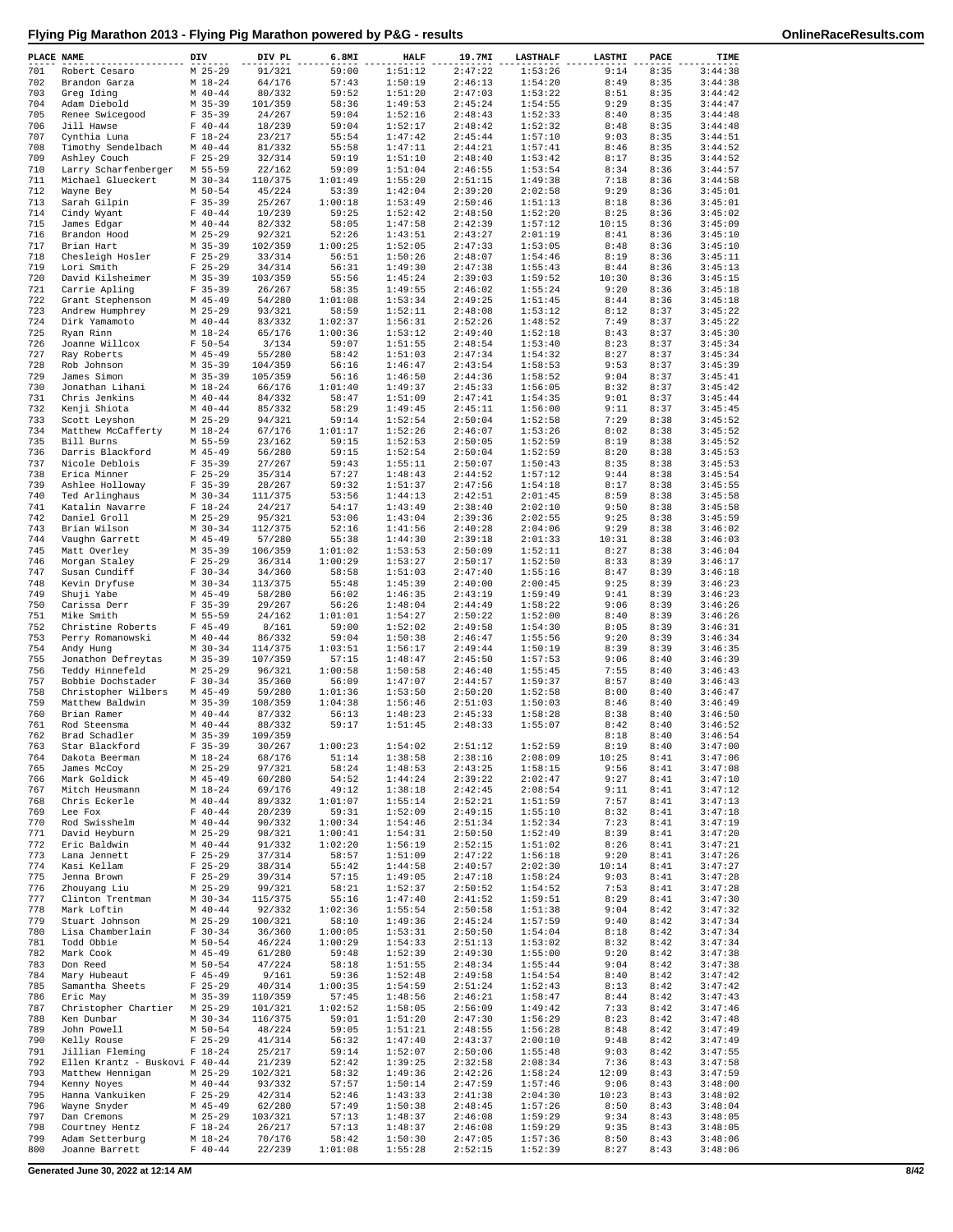|  | Flying Pig Marathon 2013 - Flying Pig Marathon powered by P&G - results |  |
|--|-------------------------------------------------------------------------|--|
|  |                                                                         |  |

| PLACE NAME |                                    | DIV                        | DIV PL             | 6.8MI              | <b>HALF</b>        | 19.7MI             | <b>LASTHALF</b>    | <b>LASTMI</b> | PACE         | TIME               |
|------------|------------------------------------|----------------------------|--------------------|--------------------|--------------------|--------------------|--------------------|---------------|--------------|--------------------|
| 701        | Robert Cesaro                      | $M$ 25-29                  | 91/321             | 59:00              | 1:51:12            | 2:47:22            | 1:53:26            | 9:14          | 8:35         | 3:44:38            |
| 702<br>703 | Brandon Garza<br>Greg Iding        | $M_1 18 - 24$<br>$M$ 40-44 | 64/176<br>80/332   | 57:43<br>59:52     | 1:50:19<br>1:51:20 | 2:46:13<br>2:47:03 | 1:54:20<br>1:53:22 | 8:49<br>8:51  | 8:35<br>8:35 | 3:44:38<br>3:44:42 |
| 704        | Adam Diebold                       | $M$ 35-39                  | 101/359            | 58:36              | 1:49:53            | 2:45:24            | 1:54:55            | 9:29          | 8:35         | 3:44:47            |
| 705        | Renee Swicegood                    | $F$ 35-39                  | 24/267             | 59:04              | 1:52:16            | 2:48:43            | 1:52:33            | 8:40          | 8:35         | 3:44:48            |
| 706        | Jill Hawse                         | $F 40 - 44$                | 18/239             | 59:04              | 1:52:17            | 2:48:42            | 1:52:32            | 8:48          | 8:35         | 3:44:48            |
| 707<br>708 | Cynthia Luna                       | $F 18-24$<br>$M$ 40-44     | 23/217             | 55:54<br>55:58     | 1:47:42<br>1:47:11 | 2:45:44<br>2:44:21 | 1:57:10<br>1:57:41 | 9:03<br>8:46  | 8:35<br>8:35 | 3:44:51<br>3:44:52 |
| 709        | Timothy Sendelbach<br>Ashley Couch | $F$ 25-29                  | 81/332<br>32/314   | 59:19              | 1:51:10            | 2:48:40            | 1:53:42            | 8:17          | 8:35         | 3:44:52            |
| 710        | Larry Scharfenberger               | M 55-59                    | 22/162             | 59:09              | 1:51:04            | 2:46:55            | 1:53:54            | 8:34          | 8:36         | 3:44:57            |
| 711        | Michael Glueckert                  | $M$ 30-34                  | 110/375            | 1:01:49            | 1:55:20            | 2:51:15            | 1:49:38            | 7:18          | 8:36         | 3:44:58            |
| 712        | Wayne Bey                          | $M$ 50-54                  | 45/224             | 53:39              | 1:42:04            | 2:39:20            | 2:02:58            | 9:29          | 8:36         | 3:45:01            |
| 713<br>714 | Sarah Gilpin<br>Cindy Wyant        | $F$ 35-39<br>$F 40 - 44$   | 25/267<br>19/239   | 1:00:18<br>59:25   | 1:53:49<br>1:52:42 | 2:50:46<br>2:48:50 | 1:51:13<br>1:52:20 | 8:18<br>8:25  | 8:36<br>8:36 | 3:45:01<br>3:45:02 |
| 715        | James Edgar                        | $M$ 40-44                  | 82/332             | 58:05              | 1:47:58            | 2:42:39            | 1:57:12            | 10:15         | 8:36         | 3:45:09            |
| 716        | Brandon Hood                       | $M$ 25-29                  | 92/321             | 52:26              | 1:43:51            | 2:43:27            | 2:01:19            | 8:41          | 8:36         | 3:45:10            |
| 717        | Brian Hart                         | $M$ 35-39                  | 102/359            | 1:00:25            | 1:52:05            | 2:47:33            | 1:53:05            | 8:48          | 8:36         | 3:45:10            |
| 718        | Chesleigh Hosler                   | $F$ 25-29                  | 33/314             | 56:51              | 1:50:26            | 2:48:07            | 1:54:46            | 8:19          | 8:36         | 3:45:11            |
| 719<br>720 | Lori Smith<br>David Kilsheimer     | $F$ 25-29<br>$M$ 35-39     | 34/314<br>103/359  | 56:31<br>55:56     | 1:49:30<br>1:45:24 | 2:47:38<br>2:39:03 | 1:55:43<br>1:59:52 | 8:44<br>10:30 | 8:36<br>8:36 | 3:45:13<br>3:45:15 |
| 721        | Carrie Apling                      | $F$ 35-39                  | 26/267             | 58:35              | 1:49:55            | 2:46:02            | 1:55:24            | 9:20          | 8:36         | 3:45:18            |
| 722        | Grant Stephenson                   | $M$ 45-49                  | 54/280             | 1:01:08            | 1:53:34            | 2:49:25            | 1:51:45            | 8:44          | 8:36         | 3:45:18            |
| 723        | Andrew Humphrey                    | $M$ 25-29                  | 93/321             | 58:59              | 1:52:11            | 2:48:08            | 1:53:12            | 8:12          | 8:37         | 3:45:22            |
| 724        | Dirk Yamamoto                      | $M$ 40-44                  | 83/332             | 1:02:37            | 1:56:31            | 2:52:26            | 1:48:52            | 7:49          | 8:37         | 3:45:22            |
| 725<br>726 | Ryan Rinn<br>Joanne Willcox        | $M_18-24$<br>$F 50 - 54$   | 65/176<br>3/134    | 1:00:36<br>59:07   | 1:53:12<br>1:51:55 | 2:49:40<br>2:48:54 | 1:52:18<br>1:53:40 | 8:43<br>8:23  | 8:37<br>8:37 | 3:45:30<br>3:45:34 |
| 727        | Ray Roberts                        | $M$ 45-49                  | 55/280             | 58:42              | 1:51:03            | 2:47:34            | 1:54:32            | 8:27          | 8:37         | 3:45:34            |
| 728        | Rob Johnson                        | $M$ 35-39                  | 104/359            | 56:16              | 1:46:47            | 2:43:54            | 1:58:53            | 9:53          | 8:37         | 3:45:39            |
| 729        | James Simon                        | $M$ 35-39                  | 105/359            | 56:16              | 1:46:50            | 2:44:36            | 1:58:52            | 9:04          | 8:37         | 3:45:41            |
| 730<br>731 | Jonathan Lihani<br>Chris Jenkins   | $M_18-24$<br>$M$ 40-44     | 66/176<br>84/332   | 1:01:40<br>58:47   | 1:49:37<br>1:51:09 | 2:45:33<br>2:47:41 | 1:56:05<br>1:54:35 | 8:32<br>9:01  | 8:37<br>8:37 | 3:45:42<br>3:45:44 |
| 732        | Kenji Shiota                       | $M$ 40-44                  | 85/332             | 58:29              | 1:49:45            | 2:45:11            | 1:56:00            | 9:11          | 8:37         | 3:45:45            |
| 733        | Scott Leyshon                      | $M$ 25-29                  | 94/321             | 59:14              | 1:52:54            | 2:50:04            | 1:52:58            | 7:29          | 8:38         | 3:45:52            |
| 734        | Matthew McCafferty                 | $M_18-24$                  | 67/176             | 1:01:17            | 1:52:26            | 2:46:07            | 1:53:26            | 8:02          | 8:38         | 3:45:52            |
| 735        | Bill Burns                         | M 55-59                    | 23/162             | 59:15              | 1:52:53            | 2:50:05            | 1:52:59            | 8:19          | 8:38         | 3:45:52            |
| 736<br>737 | Darris Blackford<br>Nicole Deblois | $M$ 45-49<br>$F$ 35-39     | 56/280             | 59:15<br>59:43     | 1:52:54<br>1:55:11 | 2:50:04<br>2:50:07 | 1:52:59<br>1:50:43 | 8:20<br>8:35  | 8:38<br>8:38 | 3:45:53<br>3:45:53 |
| 738        | Erica Minner                       | $F$ 25-29                  | 27/267<br>35/314   | 57:27              | 1:48:43            | 2:44:52            | 1:57:12            | 9:44          | 8:38         | 3:45:54            |
| 739        | Ashlee Holloway                    | $F$ 35-39                  | 28/267             | 59:32              | 1:51:37            | 2:47:56            | 1:54:18            | 8:17          | 8:38         | 3:45:55            |
| 740        | Ted Arlinghaus                     | $M$ 30-34                  | 111/375            | 53:56              | 1:44:13            | 2:42:51            | 2:01:45            | 8:59          | 8:38         | 3:45:58            |
| 741        | Katalin Navarre                    | $F 18-24$                  | 24/217             | 54:17              | 1:43:49            | 2:38:40            | 2:02:10            | 9:50          | 8:38         | 3:45:58            |
| 742<br>743 | Daniel Groll<br>Brian Wilson       | $M$ 25-29<br>$M$ 30-34     | 95/321<br>112/375  | 53:06<br>52:16     | 1:43:04<br>1:41:56 | 2:39:36<br>2:40:28 | 2:02:55<br>2:04:06 | 9:25<br>9:29  | 8:38<br>8:38 | 3:45:59<br>3:46:02 |
| 744        | Vaughn Garrett                     | $M$ 45-49                  | 57/280             | 55:38              | 1:44:30            | 2:39:18            | 2:01:33            | 10:31         | 8:38         | 3:46:03            |
| 745        | Matt Overley                       | M 35-39                    | 106/359            | 1:01:02            | 1:53:53            | 2:50:09            | 1:52:11            | 8:27          | 8:38         | 3:46:04            |
| 746        | Morgan Staley                      | $F$ 25-29                  | 36/314             | 1:00:29            | 1:53:27            | 2:50:17            | 1:52:50            | 8:33          | 8:39         | 3:46:17            |
| 747        | Susan Cundiff                      | $F 30-34$                  | 34/360             | 58:58              | 1:51:03            | 2:47:40            | 1:55:16            | 8:47          | 8:39         | 3:46:18            |
| 748<br>749 | Kevin Dryfuse<br>Shuji Yabe        | $M$ 30-34<br>$M$ 45-49     | 113/375<br>58/280  | 55:48<br>56:02     | 1:45:39<br>1:46:35 | 2:40:00<br>2:43:19 | 2:00:45<br>1:59:49 | 9:25<br>9:41  | 8:39<br>8:39 | 3:46:23<br>3:46:23 |
| 750        | Carissa Derr                       | $F$ 35-39                  | 29/267             | 56:26              | 1:48:04            | 2:44:49            | 1:58:22            | 9:06          | 8:39         | 3:46:26            |
| 751        | Mike Smith                         | M 55-59                    | 24/162             | 1:01:01            | 1:54:27            | 2:50:22            | 1:52:00            | 8:40          | 8:39         | 3:46:26            |
| 752        | Christine Roberts                  | $F$ 45-49                  | 8/161              | 59:00              | 1:52:02            | 2:49:58            | 1:54:30            | 8:05          | 8:39         | 3:46:31            |
| 753        | Perry Romanowski                   | $M$ 40-44                  | 86/332             | 59:04              | 1:50:38            | 2:46:47            | 1:55:56            | 9:20          | 8:39         | 3:46:34            |
| 754<br>755 | Andy Hung<br>Jonathon Defreytas    | $M$ 30-34<br>$M$ 35-39     | 114/375<br>107/359 | 1:03:51<br>57:15   | 1:56:17<br>1:48:47 | 2:49:44<br>2:45:50 | 1:50:19<br>1:57:53 | 8:39<br>9:06  | 8:39<br>8:40 | 3:46:35<br>3:46:39 |
| 756        | Teddy Hinnefeld                    | $M$ 25-29                  | 96/321             | 1:00:58            | 1:50:58            | 2:46:40            | 1:55:45            | 7:55          | 8:40         | 3:46:43            |
| 757        | Bobbie Dochstader                  | $F 30-34$                  | 35/360             | 56:09              | 1:47:07            | 2:44:57            | 1:59:37            | 8:57          | 8:40         | 3:46:43            |
| 758        | Christopher Wilbers                | $M$ 45-49                  | 59/280             | 1:01:36            | 1:53:50            | 2:50:20            | 1:52:58            | 8:00          | 8:40         | 3:46:47            |
| 759<br>760 | Matthew Baldwin                    | M 35-39                    | 108/359            | 1:04:38            | 1:56:46            | 2:51:03            | 1:50:03            | 8:46          | 8:40         | 3:46:49            |
| 761        | Brian Ramer<br>Rod Steensma        | $M$ 40-44<br>$M$ 40-44     | 87/332<br>88/332   | 56:13<br>59:17     | 1:48:23<br>1:51:45 | 2:45:33<br>2:48:33 | 1:58:28<br>1:55:07 | 8:38<br>8:42  | 8:40<br>8:40 | 3:46:50<br>3:46:52 |
| 762        | Brad Schadler                      | $M$ 35-39                  | 109/359            |                    |                    |                    |                    | 8:18          | 8:40         | 3:46:54            |
| 763        | Star Blackford                     | $F$ 35-39                  | 30/267             | 1:00:23            | 1:54:02            | 2:51:12            | 1:52:59            | 8:19          | 8:40         | 3:47:00            |
| 764        | Dakota Beerman                     | $M_18-24$                  | 68/176             | 51:14              | 1:38:58            | 2:38:16            | 2:08:09            | 10:25         | 8:41         | 3:47:06            |
| 765<br>766 | James McCoy<br>Mark Goldick        | $M$ 25-29<br>$M$ 45-49     | 97/321             | 58:24<br>54:52     | 1:48:53<br>1:44:24 | 2:43:25<br>2:39:22 | 1:58:15<br>2:02:47 | 9:56<br>9:27  | 8:41<br>8:41 | 3:47:08<br>3:47:10 |
| 767        | Mitch Heusmann                     | $M_18-24$                  | 60/280<br>69/176   | 49:12              | 1:38:18            | 2:42:45            | 2:08:54            | 9:11          | 8:41         | 3:47:12            |
| 768        | Chris Eckerle                      | $M$ 40-44                  | 89/332             | 1:01:07            | 1:55:14            | 2:52:21            | 1:51:59            | 7:57          | 8:41         | 3:47:13            |
| 769        | Lee Fox                            | $F 40 - 44$                | 20/239             | 59:31              | 1:52:09            | 2:49:15            | 1:55:10            | 8:32          | 8:41         | 3:47:18            |
| 770        | Rod Swisshelm                      | $M$ 40-44                  | 90/332             | 1:00:34            | 1:54:46            | 2:51:34            | 1:52:34            | 7:23          | 8:41         | 3:47:19            |
| 771<br>772 | David Heyburn<br>Eric Baldwin      | $M$ 25-29<br>$M$ 40-44     | 98/321<br>91/332   | 1:00:41<br>1:02:20 | 1:54:31<br>1:56:19 | 2:50:50<br>2:52:15 | 1:52:49<br>1:51:02 | 8:39<br>8:26  | 8:41<br>8:41 | 3:47:20<br>3:47:21 |
| 773        | Lana Jennett                       | $F$ 25-29                  | 37/314             | 58:57              | 1:51:09            | 2:47:22            | 1:56:18            | 9:20          | 8:41         | 3:47:26            |
| 774        | Kasi Kellam                        | $F$ 25-29                  | 38/314             | 55:42              | 1:44:58            | 2:40:57            | 2:02:30            | 10:14         | 8:41         | 3:47:27            |
| 775        | Jenna Brown                        | $F$ 25-29                  | 39/314             | 57:15              | 1:49:05            | 2:47:18            | 1:58:24            | 9:03          | 8:41         | 3:47:28            |
| 776        | Zhouyang Liu                       | $M$ 25-29                  | 99/321             | 58:21              | 1:52:37            | 2:50:52            | 1:54:52            | 7:53          | 8:41         | 3:47:28            |
| 777<br>778 | Clinton Trentman<br>Mark Loftin    | $M$ 30-34<br>$M$ 40-44     | 115/375<br>92/332  | 55:16<br>1:02:36   | 1:47:40<br>1:55:54 | 2:41:52<br>2:50:58 | 1:59:51<br>1:51:38 | 8:29<br>9:04  | 8:41<br>8:42 | 3:47:30<br>3:47:32 |
| 779        | Stuart Johnson                     | $M$ 25-29                  | 100/321            | 58:10              | 1:49:36            | 2:45:24            | 1:57:59            | 9:40          | 8:42         | 3:47:34            |
| 780        | Lisa Chamberlain                   | $F 30-34$                  | 36/360             | 1:00:05            | 1:53:31            | 2:50:50            | 1:54:04            | 8:18          | 8:42         | 3:47:34            |
| 781        | Todd Obbie                         | M 50-54                    | 46/224             | 1:00:29            | 1:54:33            | 2:51:13            | 1:53:02            | 8:32          | 8:42         | 3:47:34            |
| 782        | Mark Cook                          | $M$ 45-49                  | 61/280             | 59:48              | 1:52:39            | 2:49:30            | 1:55:00            | 9:20          | 8:42         | 3:47:38            |
| 783<br>784 | Don Reed<br>Mary Hubeaut           | M 50-54<br>$F$ 45-49       | 47/224<br>9/161    | 58:18<br>59:36     | 1:51:55<br>1:52:48 | 2:48:34<br>2:49:58 | 1:55:44<br>1:54:54 | 9:04<br>8:40  | 8:42<br>8:42 | 3:47:38<br>3:47:42 |
| 785        | Samantha Sheets                    | $F$ 25-29                  | 40/314             | 1:00:35            | 1:54:59            | 2:51:24            | 1:52:43            | 8:13          | 8:42         | 3:47:42            |
| 786        | Eric May                           | $M$ 35-39                  | 110/359            | 57:45              | 1:48:56            | 2:46:21            | 1:58:47            | 8:44          | 8:42         | 3:47:43            |
| 787        | Christopher Chartier               | $M$ 25-29                  | 101/321            | 1:02:52            | 1:58:05            | 2:56:09            | 1:49:42            | 7:33          | 8:42         | 3:47:46            |
| 788        | Ken Dunbar                         | $M$ 30-34                  | 116/375            | 59:01              | 1:51:20            | 2:47:30            | 1:56:29            | 8:23          | 8:42         | 3:47:48            |
| 789<br>790 | John Powell<br>Kelly Rouse         | $M$ 50-54<br>$F$ 25-29     | 48/224<br>41/314   | 59:05<br>56:32     | 1:51:21<br>1:47:40 | 2:48:55<br>2:43:37 | 1:56:28<br>2:00:10 | 8:48<br>9:48  | 8:42<br>8:42 | 3:47:49<br>3:47:49 |
| 791        | Jillian Fleming                    | $F 18-24$                  | 25/217             | 59:14              | 1:52:07            | 2:50:06            | 1:55:48            | 9:03          | 8:42         | 3:47:55            |
| 792        | Ellen Krantz - Buskovi F 40-44     |                            | 21/239             | 52:42              | 1:39:25            | 2:32:58            | 2:08:34            | 7:36          | 8:43         | 3:47:58            |
| 793        | Matthew Hennigan                   | $M$ 25-29                  | 102/321            | 58:32              | 1:49:36            | 2:42:26            | 1:58:24            | 12:09         | 8:43         | 3:47:59            |
| 794        | Kenny Noyes                        | $M$ 40-44                  | 93/332             | 57:57              | 1:50:14            | 2:47:59            | 1:57:46            | 9:06          | 8:43         | 3:48:00            |
| 795<br>796 | Hanna Vankuiken<br>Wayne Snyder    | $F$ 25-29<br>$M$ 45-49     | 42/314<br>62/280   | 52:46<br>57:49     | 1:43:33<br>1:50:38 | 2:41:38<br>2:48:45 | 2:04:30<br>1:57:26 | 10:23<br>8:50 | 8:43<br>8:43 | 3:48:02<br>3:48:04 |
| 797        | Dan Cremons                        | $M$ 25-29                  | 103/321            | 57:13              | 1:48:37            | 2:46:08            | 1:59:29            | 9:34          | 8:43         | 3:48:05            |
| 798        | Courtney Hentz                     | $F 18-24$                  | 26/217             | 57:13              | 1:48:37            | 2:46:08            | 1:59:29            | 9:35          | 8:43         | 3:48:05            |
| 799        | Adam Setterburg                    | $M_18-24$                  | 70/176             | 58:42              | 1:50:30            | 2:47:05            | 1:57:36            | 8:50          | 8:43         | 3:48:06            |
| 800        | Joanne Barrett                     | $F 40 - 44$                | 22/239             | 1:01:08            | 1:55:28            | 2:52:15            | 1:52:39            | 8:27          | 8:43         | 3:48:06            |

**Generated June 30, 2022 at 12:14 AM 8/42**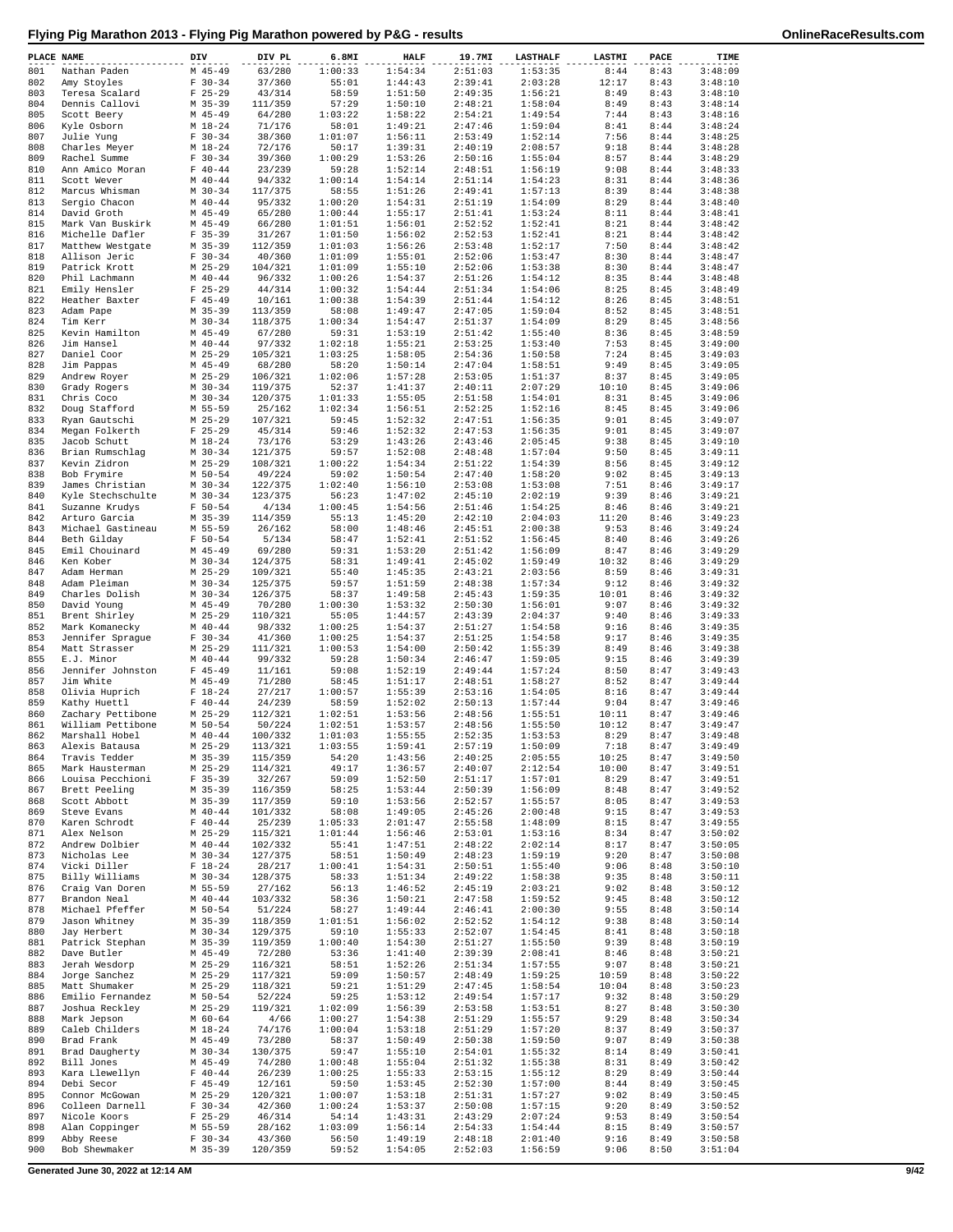| PLACE NAME |                                    | DIV                    | DIV PL             | 6.8MI              | <b>HALF</b>        | 19.7MI             | <b>LASTHALF</b>    | LASTMI        | PACE         | TIME               |
|------------|------------------------------------|------------------------|--------------------|--------------------|--------------------|--------------------|--------------------|---------------|--------------|--------------------|
| 801        | Nathan Paden                       | $M$ 45-49              | 63/280             | 1:00:33            | 1:54:34            | 2:51:03            | 1:53:35            | 8:44          | 8:43         | 3:48:09            |
| 802        | Amy Stoyles                        | $F 30-34$              | 37/360             | 55:01              | 1:44:43            | 2:39:41            | 2:03:28            | 12:17         | 8:43         | 3:48:10            |
| 803        | Teresa Scalard                     | $F$ 25-29              | 43/314             | 58:59              | 1:51:50            | 2:49:35            | 1:56:21            | 8:49          | 8:43         | 3:48:10            |
| 804<br>805 | Dennis Callovi                     | $M$ 35-39<br>$M$ 45-49 | 111/359<br>64/280  | 57:29<br>1:03:22   | 1:50:10<br>1:58:22 | 2:48:21<br>2:54:21 | 1:58:04<br>1:49:54 | 8:49<br>7:44  | 8:43<br>8:43 | 3:48:14<br>3:48:16 |
| 806        | Scott Beery<br>Kyle Osborn         | $M_18-24$              | 71/176             | 58:01              | 1:49:21            | 2:47:46            | 1:59:04            | 8:41          | 8:44         | 3:48:24            |
| 807        | Julie Yung                         | $F 30-34$              | 38/360             | 1:01:07            | 1:56:11            | 2:53:49            | 1:52:14            | 7:56          | 8:44         | 3:48:25            |
| 808        | Charles Meyer                      | $M_18-24$              | 72/176             | 50:17              | 1:39:31            | 2:40:19            | 2:08:57            | 9:18          | 8:44         | 3:48:28            |
| 809        | Rachel Summe                       | $F 30-34$              | 39/360             | 1:00:29            | 1:53:26            | 2:50:16            | 1:55:04            | 8:57          | 8:44         | 3:48:29            |
| 810        | Ann Amico Moran                    | $F 40 - 44$            | 23/239             | 59:28              | 1:52:14            | 2:48:51            | 1:56:19            | 9:08          | 8:44         | 3:48:33            |
| 811        | Scott Wever                        | $M$ 40-44              | 94/332             | 1:00:14            | 1:54:14            | 2:51:14            | 1:54:23            | 8:31          | 8:44         | 3:48:36            |
| 812<br>813 | Marcus Whisman<br>Sergio Chacon    | $M$ 30-34<br>$M$ 40-44 | 117/375<br>95/332  | 58:55<br>1:00:20   | 1:51:26<br>1:54:31 | 2:49:41<br>2:51:19 | 1:57:13<br>1:54:09 | 8:39<br>8:29  | 8:44<br>8:44 | 3:48:38<br>3:48:40 |
| 814        | David Groth                        | $M$ 45-49              | 65/280             | 1:00:44            | 1:55:17            | 2:51:41            | 1:53:24            | 8:11          | 8:44         | 3:48:41            |
| 815        | Mark Van Buskirk                   | $M$ 45-49              | 66/280             | 1:01:51            | 1:56:01            | 2:52:52            | 1:52:41            | 8:21          | 8:44         | 3:48:42            |
| 816        | Michelle Dafler                    | $F$ 35-39              | 31/267             | 1:01:50            | 1:56:02            | 2:52:53            | 1:52:41            | 8:21          | 8:44         | 3:48:42            |
| 817        | Matthew Westgate                   | $M$ 35-39              | 112/359            | 1:01:03            | 1:56:26            | 2:53:48            | 1:52:17            | 7:50          | 8:44         | 3:48:42            |
| 818        | Allison Jeric                      | $F 30-34$              | 40/360             | 1:01:09            | 1:55:01            | 2:52:06            | 1:53:47            | 8:30          | 8:44         | 3:48:47            |
| 819        | Patrick Krott                      | $M$ 25-29              | 104/321            | 1:01:09            | 1:55:10            | 2:52:06            | 1:53:38            | 8:30          | 8:44         | 3:48:47            |
| 820<br>821 | Phil Lachmann                      | $M$ 40-44<br>$F$ 25-29 | 96/332<br>44/314   | 1:00:26            | 1:54:37<br>1:54:44 | 2:51:26<br>2:51:34 | 1:54:12<br>1:54:06 | 8:35<br>8:25  | 8:44<br>8:45 | 3:48:48<br>3:48:49 |
| 822        | Emily Hensler<br>Heather Baxter    | $F$ 45-49              | 10/161             | 1:00:32<br>1:00:38 | 1:54:39            | 2:51:44            | 1:54:12            | 8:26          | 8:45         | 3:48:51            |
| 823        | Adam Pape                          | $M$ 35-39              | 113/359            | 58:08              | 1:49:47            | 2:47:05            | 1:59:04            | 8:52          | 8:45         | 3:48:51            |
| 824        | Tim Kerr                           | $M$ 30-34              | 118/375            | 1:00:34            | 1:54:47            | 2:51:37            | 1:54:09            | 8:29          | 8:45         | 3:48:56            |
| 825        | Kevin Hamilton                     | $M$ 45-49              | 67/280             | 59:31              | 1:53:19            | 2:51:42            | 1:55:40            | 8:36          | 8:45         | 3:48:59            |
| 826        | Jim Hansel                         | $M$ 40-44              | 97/332             | 1:02:18            | 1:55:21            | 2:53:25            | 1:53:40            | 7:53          | 8:45         | 3:49:00            |
| 827        | Daniel Coor                        | $M$ 25-29              | 105/321            | 1:03:25            | 1:58:05            | 2:54:36            | 1:50:58            | 7:24          | 8:45         | 3:49:03            |
| 828        | Jim Pappas                         | $M$ 45-49              | 68/280             | 58:20              | 1:50:14            | 2:47:04            | 1:58:51            | 9:49          | 8:45         | 3:49:05            |
| 829<br>830 | Andrew Royer<br>Grady Rogers       | $M$ 25-29<br>$M$ 30-34 | 106/321<br>119/375 | 1:02:06<br>52:37   | 1:57:28<br>1:41:37 | 2:53:05<br>2:40:11 | 1:51:37<br>2:07:29 | 8:37<br>10:10 | 8:45<br>8:45 | 3:49:05<br>3:49:06 |
| 831        | Chris Coco                         | $M$ 30-34              | 120/375            | 1:01:33            | 1:55:05            | 2:51:58            | 1:54:01            | 8:31          | 8:45         | 3:49:06            |
| 832        | Doug Stafford                      | M 55-59                | 25/162             | 1:02:34            | 1:56:51            | 2:52:25            | 1:52:16            | 8:45          | 8:45         | 3:49:06            |
| 833        | Ryan Gautschi                      | $M$ 25-29              | 107/321            | 59:45              | 1:52:32            | 2:47:51            | 1:56:35            | 9:01          | 8:45         | 3:49:07            |
| 834        | Megan Folkerth                     | $F$ 25-29              | 45/314             | 59:46              | 1:52:32            | 2:47:53            | 1:56:35            | 9:01          | 8:45         | 3:49:07            |
| 835        | Jacob Schutt                       | $M_18-24$              | 73/176             | 53:29              | 1:43:26            | 2:43:46            | 2:05:45            | 9:38          | 8:45         | 3:49:10            |
| 836        | Brian Rumschlag                    | $M$ 30-34              | 121/375            | 59:57              | 1:52:08            | 2:48:48            | 1:57:04            | 9:50          | 8:45         | 3:49:11            |
| 837        | Kevin Zidron                       | $M$ 25-29              | 108/321            | 1:00:22            | 1:54:34            | 2:51:22            | 1:54:39            | 8:56          | 8:45         | 3:49:12            |
| 838<br>839 | Bob Frymire<br>James Christian     | $M$ 50-54<br>$M$ 30-34 | 49/224<br>122/375  | 59:02<br>1:02:40   | 1:50:54<br>1:56:10 | 2:47:40<br>2:53:08 | 1:58:20<br>1:53:08 | 9:02<br>7:51  | 8:45<br>8:46 | 3:49:13<br>3:49:17 |
| 840        | Kyle Stechschulte                  | $M$ 30-34              | 123/375            | 56:23              | 1:47:02            | 2:45:10            | 2:02:19            | 9:39          | 8:46         | 3:49:21            |
| 841        | Suzanne Krudys                     | $F 50 - 54$            | 4/134              | 1:00:45            | 1:54:56            | 2:51:46            | 1:54:25            | 8:46          | 8:46         | 3:49:21            |
| 842        | Arturo Garcia                      | $M$ 35-39              | 114/359            | 55:13              | 1:45:20            | 2:42:10            | 2:04:03            | 11:20         | 8:46         | 3:49:23            |
| 843        | Michael Gastineau                  | M 55-59                | 26/162             | 58:00              | 1:48:46            | 2:45:51            | 2:00:38            | 9:53          | 8:46         | 3:49:24            |
| 844        | Beth Gilday                        | $F 50 - 54$            | 5/134              | 58:47              | 1:52:41            | 2:51:52            | 1:56:45            | 8:40          | 8:46         | 3:49:26            |
| 845        | Emil Chouinard                     | M 45-49                | 69/280             | 59:31              | 1:53:20            | 2:51:42            | 1:56:09            | 8:47          | 8:46         | 3:49:29            |
| 846        | Ken Kober                          | $M$ 30-34              | 124/375            | 58:31              | 1:49:41            | 2:45:02            | 1:59:49            | 10:32         | 8:46         | 3:49:29            |
| 847<br>848 | Adam Herman<br>Adam Pleiman        | $M$ 25-29<br>$M$ 30-34 | 109/321<br>125/375 | 55:40<br>59:57     | 1:45:35<br>1:51:59 | 2:43:21<br>2:48:38 | 2:03:56<br>1:57:34 | 8:59<br>9:12  | 8:46<br>8:46 | 3:49:31<br>3:49:32 |
| 849        | Charles Dolish                     | $M$ 30-34              | 126/375            | 58:37              | 1:49:58            | 2:45:43            | 1:59:35            | 10:01         | 8:46         | 3:49:32            |
| 850        | David Young                        | $M$ 45-49              | 70/280             | 1:00:30            | 1:53:32            | 2:50:30            | 1:56:01            | 9:07          | 8:46         | 3:49:32            |
| 851        | Brent Shirley                      | $M$ 25-29              | 110/321            | 55:05              | 1:44:57            | 2:43:39            | 2:04:37            | 9:40          | 8:46         | 3:49:33            |
| 852        | Mark Komanecky                     | $M$ 40-44              | 98/332             | 1:00:25            | 1:54:37            | 2:51:27            | 1:54:58            | 9:16          | 8:46         | 3:49:35            |
| 853        | Jennifer Sprague                   | $F 30-34$              | 41/360             | 1:00:25            | 1:54:37            | 2:51:25            | 1:54:58            | 9:17          | 8:46         | 3:49:35            |
| 854        | Matt Strasser                      | $M$ 25-29              | 111/321            | 1:00:53            | 1:54:00            | 2:50:42            | 1:55:39            | 8:49          | 8:46         | 3:49:38            |
| 855<br>856 | E.J. Minor<br>Jennifer Johnston    | $M$ 40-44<br>$F$ 45-49 | 99/332<br>11/161   | 59:28<br>59:08     | 1:50:34<br>1:52:19 | 2:46:47<br>2:49:44 | 1:59:05<br>1:57:24 | 9:15<br>8:50  | 8:46<br>8:47 | 3:49:39<br>3:49:43 |
| 857        | Jim White                          | $M$ 45-49              | 71/280             | 58:45              | 1:51:17            | 2:48:51            | 1:58:27            | 8:52          | 8:47         | 3:49:44            |
| 858        | Olivia Huprich                     | $F 18 - 24$            | 27/217             | 1:00:57            | 1:55:39            | 2:53:16            | 1:54:05            | 8:16          | 8:47         | 3:49:44            |
| 859        | Kathy Huettl                       | $F 40 - 44$            | 24/239             | 58:59              | 1:52:02            | 2:50:13            | 1:57:44            | 9:04          | 8:47         | 3:49:46            |
| 860        | Zachary Pettibone                  | $M$ 25-29              | 112/321            | 1:02:51            | 1:53:56            | 2:48:56            | 1:55:51            | 10:11         | 8:47         | 3:49:46            |
| 861        | William Pettibone                  | $M$ 50-54              | 50/224             | 1:02:51            | 1:53:57            | 2:48:56            | 1:55:50            | 10:12         | 8:47         | 3:49:47            |
| 862        | Marshall Hobel                     | $M$ 40-44              | 100/332            | 1:01:03            | 1:55:55            | 2:52:35            | 1:53:53            | 8:29          | 8:47         | 3:49:48            |
| 863<br>864 | Alexis Batausa<br>Travis Tedder    | $M$ 25-29<br>$M$ 35-39 | 113/321<br>115/359 | 1:03:55<br>54:20   | 1:59:41<br>1:43:56 | 2:57:19<br>2:40:25 | 1:50:09<br>2:05:55 | 7:18<br>10:25 | 8:47<br>8:47 | 3:49:49<br>3:49:50 |
| 865        | Mark Hausterman                    | $M$ 25-29              | 114/321            | 49:17              | 1:36:57            | 2:40:07            | 2:12:54            | 10:00         | 8:47         | 3:49:51            |
| 866        | Louisa Pecchioni                   | $F 35 - 39$            | 32/267             | 59:09              | 1:52:50            | 2:51:17            | 1:57:01            | 8:29          | 8:47         | 3:49:51            |
| 867        | Brett Peeling                      | M 35-39                | 116/359            | 58:25              | 1:53:44            | 2:50:39            | 1:56:09            | 8:48          | 8:47         | 3:49:52            |
| 868        | Scott Abbott                       | $M$ 35-39              | 117/359            | 59:10              | 1:53:56            | 2:52:57            | 1:55:57            | 8:05          | 8:47         | 3:49:53            |
| 869        | Steve Evans                        | $M$ 40-44              | 101/332            | 58:08              | 1:49:05            | 2:45:26            | 2:00:48            | 9:15          | 8:47         | 3:49:53            |
| 870        | Karen Schrodt                      | $F 40 - 44$            | 25/239             | 1:05:33            | 2:01:47            | 2:55:58<br>2:53:01 | 1:48:09            | 8:15          | 8:47         | 3:49:55            |
| 871<br>872 | Alex Nelson<br>Andrew Dolbier      | $M$ 25-29<br>$M$ 40-44 | 115/321<br>102/332 | 1:01:44<br>55:41   | 1:56:46<br>1:47:51 | 2:48:22            | 1:53:16<br>2:02:14 | 8:34<br>8:17  | 8:47<br>8:47 | 3:50:02<br>3:50:05 |
| 873        | Nicholas Lee                       | $M$ 30-34              | 127/375            | 58:51              | 1:50:49            | 2:48:23            | 1:59:19            | 9:20          | 8:47         | 3:50:08            |
| 874        | Vicki Diller                       | $F 18-24$              | 28/217             | 1:00:41            | 1:54:31            | 2:50:51            | 1:55:40            | 9:06          | 8:48         | 3:50:10            |
| 875        | Billy Williams                     | $M$ 30-34              | 128/375            | 58:33              | 1:51:34            | 2:49:22            | 1:58:38            | 9:35          | 8:48         | 3:50:11            |
| 876        | Craig Van Doren                    | M 55-59                | 27/162             | 56:13              | 1:46:52            | 2:45:19            | 2:03:21            | 9:02          | 8:48         | 3:50:12            |
| 877        | Brandon Neal                       | $M$ 40-44              | 103/332            | 58:36              | 1:50:21            | 2:47:58            | 1:59:52            | 9:45          | 8:48         | 3:50:12            |
| 878<br>879 | Michael Pfeffer<br>Jason Whitney   | M 50-54<br>$M$ 35-39   | 51/224<br>118/359  | 58:27<br>1:01:51   | 1:49:44<br>1:56:02 | 2:46:41<br>2:52:52 | 2:00:30<br>1:54:12 | 9:55<br>9:38  | 8:48<br>8:48 | 3:50:14<br>3:50:14 |
| 880        | Jay Herbert                        | $M$ 30-34              | 129/375            | 59:10              | 1:55:33            | 2:52:07            | 1:54:45            | 8:41          | 8:48         | 3:50:18            |
| 881        | Patrick Stephan                    | $M$ 35-39              | 119/359            | 1:00:40            | 1:54:30            | 2:51:27            | 1:55:50            | 9:39          | 8:48         | 3:50:19            |
| 882        | Dave Butler                        | $M$ 45-49              | 72/280             | 53:36              | 1:41:40            | 2:39:39            | 2:08:41            | 8:46          | 8:48         | 3:50:21            |
| 883        | Jerah Wesdorp                      | $M$ 25-29              | 116/321            | 58:51              | 1:52:26            | 2:51:34            | 1:57:55            | 9:07          | 8:48         | 3:50:21            |
| 884        | Jorge Sanchez                      | $M$ 25-29              | 117/321            | 59:09              | 1:50:57            | 2:48:49            | 1:59:25            | 10:59         | 8:48         | 3:50:22            |
| 885        | Matt Shumaker                      | $M$ 25-29              | 118/321            | 59:21              | 1:51:29            | 2:47:45            | 1:58:54            | 10:04         | 8:48         | 3:50:23            |
| 886<br>887 | Emilio Fernandez<br>Joshua Reckley | $M$ 50-54<br>$M$ 25-29 | 52/224             | 59:25              | 1:53:12            | 2:49:54            | 1:57:17            | 9:32<br>8:27  | 8:48<br>8:48 | 3:50:29<br>3:50:30 |
| 888        | Mark Jepson                        | $M$ 60-64              | 119/321<br>4/66    | 1:02:09<br>1:00:27 | 1:56:39<br>1:54:38 | 2:53:58<br>2:51:29 | 1:53:51<br>1:55:57 | 9:29          | 8:48         | 3:50:34            |
| 889        | Caleb Childers                     | $M_18-24$              | 74/176             | 1:00:04            | 1:53:18            | 2:51:29            | 1:57:20            | 8:37          | 8:49         | 3:50:37            |
| 890        | Brad Frank                         | $M$ 45-49              | 73/280             | 58:37              | 1:50:49            | 2:50:38            | 1:59:50            | 9:07          | 8:49         | 3:50:38            |
| 891        | Brad Daugherty                     | $M$ 30-34              | 130/375            | 59:47              | 1:55:10            | 2:54:01            | 1:55:32            | 8:14          | 8:49         | 3:50:41            |
| 892        | Bill Jones                         | $M$ 45-49              | 74/280             | 1:00:48            | 1:55:04            | 2:51:32            | 1:55:38            | 8:31          | 8:49         | 3:50:42            |
| 893        | Kara Llewellyn                     | $F 40 - 44$            | 26/239             | 1:00:25            | 1:55:33            | 2:53:15            | 1:55:12            | 8:29          | 8:49         | 3:50:44            |
| 894        | Debi Secor                         | $F 45 - 49$            | 12/161             | 59:50              | 1:53:45            | 2:52:30            | 1:57:00            | 8:44          | 8:49         | 3:50:45            |
| 895<br>896 | Connor McGowan<br>Colleen Darnell  | $M$ 25-29<br>$F 30-34$ | 120/321<br>42/360  | 1:00:07<br>1:00:24 | 1:53:18<br>1:53:37 | 2:51:31<br>2:50:08 | 1:57:27<br>1:57:15 | 9:02<br>9:20  | 8:49<br>8:49 | 3:50:45<br>3:50:52 |
| 897        | Nicole Koors                       | $F$ 25-29              | 46/314             | 54:14              | 1:43:31            | 2:43:29            | 2:07:24            | 9:53          | 8:49         | 3:50:54            |
| 898        | Alan Coppinger                     | M 55-59                | 28/162             | 1:03:09            | 1:56:14            | 2:54:33            | 1:54:44            | 8:15          | 8:49         | 3:50:57            |
| 899        | Abby Reese                         | $F 30-34$              | 43/360             | 56:50              | 1:49:19            | 2:48:18            | 2:01:40            | 9:16          | 8:49         | 3:50:58            |
| 900        | Bob Shewmaker                      | M 35-39                | 120/359            | 59:52              | 1:54:05            | 2:52:03            | 1:56:59            | 9:06          | 8:50         | 3:51:04            |

**Generated June 30, 2022 at 12:14 AM 9/42**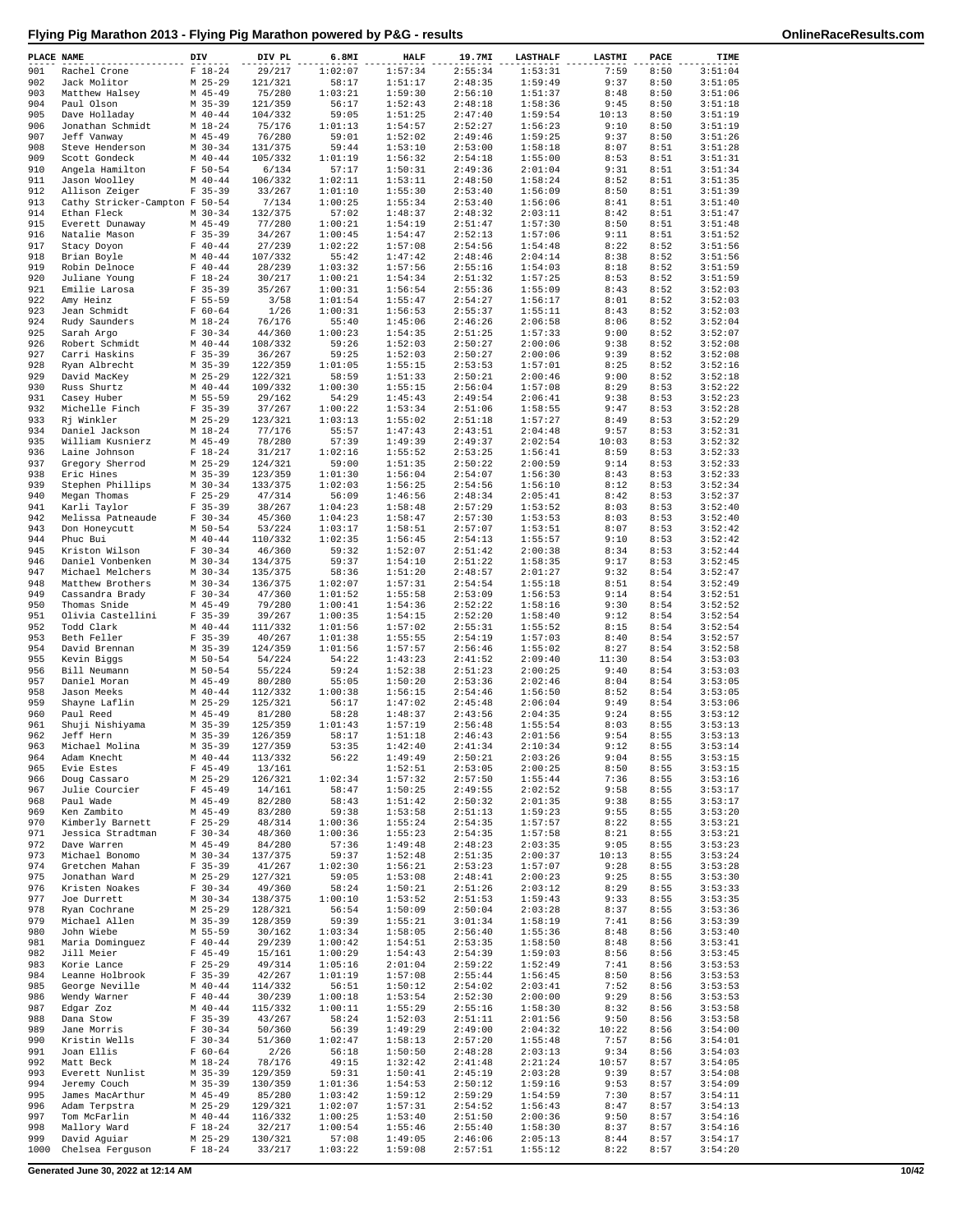| PLACE NAME |                                  | DIV                      | DIV PL             | 6.8MI              | <b>HALF</b>        | 19.7MI             | <b>LASTHALF</b>    | LASTMI        | PACE         | TIME               |
|------------|----------------------------------|--------------------------|--------------------|--------------------|--------------------|--------------------|--------------------|---------------|--------------|--------------------|
| 901        | Rachel Crone                     | $F 18-24$                | 29/217             | 1:02:07            | 1:57:34            | 2:55:34            | 1:53:31            | 7:59          | 8:50         | 3:51:04            |
| 902<br>903 | Jack Molitor<br>Matthew Halsey   | $M$ 25-29<br>$M$ 45-49   | 121/321<br>75/280  | 58:17<br>1:03:21   | 1:51:17<br>1:59:30 | 2:48:35<br>2:56:10 | 1:59:49<br>1:51:37 | 9:37<br>8:48  | 8:50<br>8:50 | 3:51:05<br>3:51:06 |
| 904        | Paul Olson                       | $M$ 35-39                | 121/359            | 56:17              | 1:52:43            | 2:48:18            | 1:58:36            | 9:45          | 8:50         | 3:51:18            |
| 905        | Dave Holladay                    | $M$ 40-44                | 104/332            | 59:05              | 1:51:25            | 2:47:40            | 1:59:54            | 10:13         | 8:50         | 3:51:19            |
| 906        | Jonathan Schmidt                 | $M_18-24$                | 75/176             | 1:01:13            | 1:54:57            | 2:52:27            | 1:56:23            | 9:10          | 8:50         | 3:51:19            |
| 907        | Jeff Vanway                      | $M$ 45-49                | 76/280             | 59:01              | 1:52:02            | 2:49:46            | 1:59:25            | 9:37          | 8:50         | 3:51:26            |
| 908<br>909 | Steve Henderson<br>Scott Gondeck | $M$ 30-34<br>$M$ 40-44   | 131/375<br>105/332 | 59:44<br>1:01:19   | 1:53:10<br>1:56:32 | 2:53:00<br>2:54:18 | 1:58:18<br>1:55:00 | 8:07<br>8:53  | 8:51<br>8:51 | 3:51:28<br>3:51:31 |
| 910        | Angela Hamilton                  | $F 50 - 54$              | 6/134              | 57:17              | 1:50:31            | 2:49:36            | 2:01:04            | 9:31          | 8:51         | 3:51:34            |
| 911        | Jason Woolley                    | $M$ 40-44                | 106/332            | 1:02:11            | 1:53:11            | 2:48:50            | 1:58:24            | 8:52          | 8:51         | 3:51:35            |
| 912        | Allison Zeiger                   | $F$ 35-39                | 33/267             | 1:01:10            | 1:55:30            | 2:53:40            | 1:56:09            | 8:50          | 8:51         | 3:51:39            |
| 913        | Cathy Stricker-Campton F 50-54   |                          | 7/134              | 1:00:25            | 1:55:34            | 2:53:40            | 1:56:06            | 8:41          | 8:51         | 3:51:40            |
| 914<br>915 | Ethan Fleck<br>Everett Dunaway   | $M$ 30-34<br>$M$ 45-49   | 132/375<br>77/280  | 57:02<br>1:00:21   | 1:48:37<br>1:54:19 | 2:48:32<br>2:51:47 | 2:03:11<br>1:57:30 | 8:42<br>8:50  | 8:51<br>8:51 | 3:51:47<br>3:51:48 |
| 916        | Natalie Mason                    | $F$ 35-39                | 34/267             | 1:00:45            | 1:54:47            | 2:52:13            | 1:57:06            | 9:11          | 8:51         | 3:51:52            |
| 917        | Stacy Doyon                      | $F 40 - 44$              | 27/239             | 1:02:22            | 1:57:08            | 2:54:56            | 1:54:48            | 8:22          | 8:52         | 3:51:56            |
| 918        | Brian Boyle                      | $M$ 40-44                | 107/332            | 55:42              | 1:47:42            | 2:48:46            | 2:04:14            | 8:38          | 8:52         | 3:51:56            |
| 919        | Robin Delnoce                    | $F 40 - 44$              | 28/239             | 1:03:32            | 1:57:56            | 2:55:16            | 1:54:03            | 8:18          | 8:52         | 3:51:59            |
| 920<br>921 | Juliane Young<br>Emilie Larosa   | $F 18-24$<br>$F$ 35-39   | 30/217<br>35/267   | 1:00:21<br>1:00:31 | 1:54:34<br>1:56:54 | 2:51:32<br>2:55:36 | 1:57:25<br>1:55:09 | 8:53<br>8:43  | 8:52<br>8:52 | 3:51:59<br>3:52:03 |
| 922        | Amy Heinz                        | $F 55 - 59$              | 3/58               | 1:01:54            | 1:55:47            | 2:54:27            | 1:56:17            | 8:01          | 8:52         | 3:52:03            |
| 923        | Jean Schmidt                     | $F 60 - 64$              | 1/26               | 1:00:31            | 1:56:53            | 2:55:37            | 1:55:11            | 8:43          | 8:52         | 3:52:03            |
| 924        | Rudy Saunders                    | $M_18-24$                | 76/176             | 55:40              | 1:45:06            | 2:46:26            | 2:06:58            | 8:06          | 8:52         | 3:52:04            |
| 925<br>926 | Sarah Argo                       | $F 30-34$<br>$M$ 40-44   | 44/360<br>108/332  | 1:00:23            | 1:54:35            | 2:51:25            | 1:57:33            | 9:00          | 8:52<br>8:52 | 3:52:07<br>3:52:08 |
| 927        | Robert Schmidt<br>Carri Haskins  | $F$ 35-39                | 36/267             | 59:26<br>59:25     | 1:52:03<br>1:52:03 | 2:50:27<br>2:50:27 | 2:00:06<br>2:00:06 | 9:38<br>9:39  | 8:52         | 3:52:08            |
| 928        | Ryan Albrecht                    | $M$ 35-39                | 122/359            | 1:01:05            | 1:55:15            | 2:53:53            | 1:57:01            | 8:25          | 8:52         | 3:52:16            |
| 929        | David MacKey                     | $M$ 25-29                | 122/321            | 58:59              | 1:51:33            | 2:50:21            | 2:00:46            | 9:00          | 8:52         | 3:52:18            |
| 930        | Russ Shurtz                      | $M$ 40-44                | 109/332            | 1:00:30            | 1:55:15            | 2:56:04            | 1:57:08            | 8:29          | 8:53         | 3:52:22            |
| 931<br>932 | Casey Huber<br>Michelle Finch    | M 55-59<br>$F$ 35-39     | 29/162<br>37/267   | 54:29<br>1:00:22   | 1:45:43<br>1:53:34 | 2:49:54<br>2:51:06 | 2:06:41<br>1:58:55 | 9:38<br>9:47  | 8:53<br>8:53 | 3:52:23<br>3:52:28 |
| 933        | Rj Winkler                       | $M$ 25-29                | 123/321            | 1:03:13            | 1:55:02            | 2:51:18            | 1:57:27            | 8:49          | 8:53         | 3:52:29            |
| 934        | Daniel Jackson                   | $M_18-24$                | 77/176             | 55:57              | 1:47:43            | 2:43:51            | 2:04:48            | 9:57          | 8:53         | 3:52:31            |
| 935        | William Kusnierz                 | $M$ 45-49                | 78/280             | 57:39              | 1:49:39            | 2:49:37            | 2:02:54            | 10:03         | 8:53         | 3:52:32            |
| 936        | Laine Johnson                    | $F 18 - 24$              | 31/217             | 1:02:16            | 1:55:52            | 2:53:25            | 1:56:41            | 8:59          | 8:53         | 3:52:33            |
| 937<br>938 | Gregory Sherrod<br>Eric Hines    | $M$ 25-29<br>$M$ 35-39   | 124/321<br>123/359 | 59:00<br>1:01:30   | 1:51:35<br>1:56:04 | 2:50:22<br>2:54:07 | 2:00:59<br>1:56:30 | 9:14<br>8:43  | 8:53<br>8:53 | 3:52:33<br>3:52:33 |
| 939        | Stephen Phillips                 | $M$ 30-34                | 133/375            | 1:02:03            | 1:56:25            | 2:54:56            | 1:56:10            | 8:12          | 8:53         | 3:52:34            |
| 940        | Megan Thomas                     | $F$ 25-29                | 47/314             | 56:09              | 1:46:56            | 2:48:34            | 2:05:41            | 8:42          | 8:53         | 3:52:37            |
| 941        | Karli Taylor                     | $F$ 35-39                | 38/267             | 1:04:23            | 1:58:48            | 2:57:29            | 1:53:52            | 8:03          | 8:53         | 3:52:40            |
| 942        | Melissa Patneaude                | $F 30-34$                | 45/360             | 1:04:23            | 1:58:47            | 2:57:30            | 1:53:53            | 8:03          | 8:53         | 3:52:40            |
| 943<br>944 | Don Honeycutt<br>Phuc Bui        | $M$ 50-54<br>$M$ 40-44   | 53/224<br>110/332  | 1:03:17<br>1:02:35 | 1:58:51<br>1:56:45 | 2:57:07<br>2:54:13 | 1:53:51<br>1:55:57 | 8:07<br>9:10  | 8:53<br>8:53 | 3:52:42<br>3:52:42 |
| 945        | Kriston Wilson                   | $F 30-34$                | 46/360             | 59:32              | 1:52:07            | 2:51:42            | 2:00:38            | 8:34          | 8:53         | 3:52:44            |
| 946        | Daniel Vonbenken                 | $M$ 30-34                | 134/375            | 59:37              | 1:54:10            | 2:51:22            | 1:58:35            | 9:17          | 8:53         | 3:52:45            |
| 947        | Michael Melchers                 | $M$ 30-34                | 135/375            | 58:36              | 1:51:20            | 2:48:57            | 2:01:27            | 9:32          | 8:54         | 3:52:47            |
| 948        | Matthew Brothers                 | $M$ 30-34                | 136/375            | 1:02:07            | 1:57:31            | 2:54:54            | 1:55:18            | 8:51          | 8:54         | 3:52:49            |
| 949<br>950 | Cassandra Brady<br>Thomas Snide  | $F 30-34$<br>$M$ 45-49   | 47/360<br>79/280   | 1:01:52<br>1:00:41 | 1:55:58<br>1:54:36 | 2:53:09<br>2:52:22 | 1:56:53<br>1:58:16 | 9:14<br>9:30  | 8:54<br>8:54 | 3:52:51<br>3:52:52 |
| 951        | Olivia Castellini                | $F$ 35-39                | 39/267             | 1:00:35            | 1:54:15            | 2:52:20            | 1:58:40            | 9:12          | 8:54         | 3:52:54            |
| 952        | Todd Clark                       | $M$ 40-44                | 111/332            | 1:01:56            | 1:57:02            | 2:55:31            | 1:55:52            | 8:15          | 8:54         | 3:52:54            |
| 953        | Beth Feller                      | $F$ 35-39                | 40/267             | 1:01:38            | 1:55:55            | 2:54:19            | 1:57:03            | 8:40          | 8:54         | 3:52:57            |
| 954        | David Brennan                    | $M$ 35-39                | 124/359            | 1:01:56            | 1:57:57            | 2:56:46            | 1:55:02            | 8:27          | 8:54         | 3:52:58            |
| 955<br>956 | Kevin Biggs<br>Bill Neumann      | $M$ 50-54<br>$M$ 50-54   | 54/224<br>55/224   | 54:22<br>59:24     | 1:43:23<br>1:52:38 | 2:41:52<br>2:51:23 | 2:09:40<br>2:00:25 | 11:30<br>9:40 | 8:54<br>8:54 | 3:53:03<br>3:53:03 |
| 957        | Daniel Moran                     | $M$ 45-49                | 80/280             | 55:05              | 1:50:20            | 2:53:36            | 2:02:46            | 8:04          | 8:54         | 3:53:05            |
| 958        | Jason Meeks                      | $M$ 40-44                | 112/332            | 1:00:38            | 1:56:15            | 2:54:46            | 1:56:50            | 8:52          | 8:54         | 3:53:05            |
| 959        | Shayne Laflin                    | $M$ 25-29                | 125/321            | 56:17              | 1:47:02            | 2:45:48            | 2:06:04            | 9:49          | 8:54         | 3:53:06            |
| 960        | Paul Reed                        | $M$ 45-49                | 81/280             | 58:28              | 1:48:37            | 2:43:56            | 2:04:35            | 9:24          | 8:55         | 3:53:12            |
| 961<br>962 | Shuji Nishiyama<br>Jeff Hern     | $M$ 35-39<br>$M$ 35-39   | 125/359<br>126/359 | 1:01:43<br>58:17   | 1:57:19<br>1:51:18 | 2:56:48<br>2:46:43 | 1:55:54<br>2:01:56 | 8:03<br>9:54  | 8:55<br>8:55 | 3:53:13<br>3:53:13 |
| 963        | Michael Molina                   | M 35-39                  | 127/359            | 53:35              | 1:42:40            | 2:41:34            | 2:10:34            | 9:12          | 8:55         | 3:53:14            |
| 964        | Adam Knecht                      | $M$ 40-44                | 113/332            | 56:22              | 1:49:49            | 2:50:21            | 2:03:26            | 9:04          | 8:55         | 3:53:15            |
| 965        | Evie Estes                       | $F$ 45-49                | 13/161             |                    | 1:52:51            | 2:53:05            | 2:00:25            | 8:50          | 8:55         | 3:53:15            |
| 966        | Doug Cassaro                     | $M$ 25-29                | 126/321            | 1:02:34            | 1:57:32            | 2:57:50            | 1:55:44            | 7:36          | 8:55         | 3:53:16            |
| 967<br>968 | Julie Courcier<br>Paul Wade      | $F$ 45-49<br>$M$ 45-49   | 14/161<br>82/280   | 58:47<br>58:43     | 1:50:25<br>1:51:42 | 2:49:55<br>2:50:32 | 2:02:52<br>2:01:35 | 9:58<br>9:38  | 8:55<br>8:55 | 3:53:17<br>3:53:17 |
| 969        | Ken Zambito                      | $M$ 45-49                | 83/280             | 59:38              | 1:53:58            | 2:51:13            | 1:59:23            | 9:55          | 8:55         | 3:53:20            |
| 970        | Kimberly Barnett                 | $F$ 25-29                | 48/314             | 1:00:36            | 1:55:24            | 2:54:35            | 1:57:57            | 8:22          | 8:55         | 3:53:21            |
| 971        | Jessica Stradtman                | $F 30-34$                | 48/360             | 1:00:36            | 1:55:23            | 2:54:35            | 1:57:58            | 8:21          | 8:55         | 3:53:21            |
| 972        | Dave Warren                      | $M$ 45-49                | 84/280             | 57:36              | 1:49:48            | 2:48:23            | 2:03:35            | 9:05          | 8:55         | 3:53:23            |
| 973<br>974 | Michael Bonomo<br>Gretchen Mahan | $M$ 30-34<br>$F$ 35-39   | 137/375<br>41/267  | 59:37<br>1:02:30   | 1:52:48<br>1:56:21 | 2:51:35<br>2:53:23 | 2:00:37<br>1:57:07 | 10:13<br>9:28 | 8:55<br>8:55 | 3:53:24<br>3:53:28 |
| 975        | Jonathan Ward                    | $M$ 25-29                | 127/321            | 59:05              | 1:53:08            | 2:48:41            | 2:00:23            | 9:25          | 8:55         | 3:53:30            |
| 976        | Kristen Noakes                   | $F 30-34$                | 49/360             | 58:24              | 1:50:21            | 2:51:26            | 2:03:12            | 8:29          | 8:55         | 3:53:33            |
| 977        | Joe Durrett                      | $M$ 30-34                | 138/375            | 1:00:10            | 1:53:52            | 2:51:53            | 1:59:43            | 9:33          | 8:55         | 3:53:35            |
| 978        | Ryan Cochrane                    | $M$ 25-29                | 128/321            | 56:54              | 1:50:09            | 2:50:04            | 2:03:28            | 8:37          | 8:55         | 3:53:36            |
| 979<br>980 | Michael Allen<br>John Wiebe      | $M$ 35-39<br>M 55-59     | 128/359<br>30/162  | 59:39<br>1:03:34   | 1:55:21<br>1:58:05 | 3:01:34<br>2:56:40 | 1:58:19<br>1:55:36 | 7:41<br>8:48  | 8:56<br>8:56 | 3:53:39<br>3:53:40 |
| 981        | Maria Dominguez                  | $F 40 - 44$              | 29/239             | 1:00:42            | 1:54:51            | 2:53:35            | 1:58:50            | 8:48          | 8:56         | 3:53:41            |
| 982        | Jill Meier                       | $F$ 45-49                | 15/161             | 1:00:29            | 1:54:43            | 2:54:39            | 1:59:03            | 8:56          | 8:56         | 3:53:45            |
| 983        | Korie Lance                      | $F$ 25-29                | 49/314             | 1:05:16            | 2:01:04            | 2:59:22            | 1:52:49            | 7:41          | 8:56         | 3:53:53            |
| 984        | Leanne Holbrook                  | $F 35 - 39$              | 42/267             | 1:01:19            | 1:57:08            | 2:55:44            | 1:56:45            | 8:50          | 8:56         | 3:53:53            |
| 985<br>986 | George Neville<br>Wendy Warner   | $M$ 40-44<br>$F 40 - 44$ | 114/332<br>30/239  | 56:51<br>1:00:18   | 1:50:12<br>1:53:54 | 2:54:02<br>2:52:30 | 2:03:41<br>2:00:00 | 7:52<br>9:29  | 8:56<br>8:56 | 3:53:53<br>3:53:53 |
| 987        | Edgar Zoz                        | $M$ 40-44                | 115/332            | 1:00:11            | 1:55:29            | 2:55:16            | 1:58:30            | 8:32          | 8:56         | 3:53:58            |
| 988        | Dana Stow                        | $F$ 35-39                | 43/267             | 58:24              | 1:52:03            | 2:51:11            | 2:01:56            | 9:50          | 8:56         | 3:53:58            |
| 989        | Jane Morris                      | $F 30-34$                | 50/360             | 56:39              | 1:49:29            | 2:49:00            | 2:04:32            | 10:22         | 8:56         | 3:54:00            |
| 990        | Kristin Wells                    | $F 30-34$                | 51/360             | 1:02:47            | 1:58:13            | 2:57:20            | 1:55:48            | 7:57          | 8:56         | 3:54:01            |
| 991<br>992 | Joan Ellis                       | $F 60 - 64$<br>$M_18-24$ | 2/26<br>78/176     | 56:18              | 1:50:50<br>1:32:42 | 2:48:28            | 2:03:13            | 9:34<br>10:57 | 8:56         | 3:54:03<br>3:54:05 |
| 993        | Matt Beck<br>Everett Nunlist     | $M$ 35-39                | 129/359            | 49:15<br>59:31     | 1:50:41            | 2:41:48<br>2:45:19 | 2:21:24<br>2:03:28 | 9:39          | 8:57<br>8:57 | 3:54:08            |
| 994        | Jeremy Couch                     | $M$ 35-39                | 130/359            | 1:01:36            | 1:54:53            | 2:50:12            | 1:59:16            | 9:53          | 8:57         | 3:54:09            |
| 995        | James MacArthur                  | $M$ 45-49                | 85/280             | 1:03:42            | 1:59:12            | 2:59:29            | 1:54:59            | 7:30          | 8:57         | 3:54:11            |
| 996        | Adam Terpstra                    | $M$ 25-29                | 129/321            | 1:02:07            | 1:57:31            | 2:54:52            | 1:56:43            | 8:47          | 8:57         | 3:54:13            |
| 997<br>998 | Tom McFarlin<br>Mallory Ward     | $M$ 40-44<br>$F 18-24$   | 116/332            | 1:00:25            | 1:53:40            | 2:51:50            | 2:00:36            | 9:50          | 8:57         | 3:54:16<br>3:54:16 |
| 999        | David Aguiar                     | $M$ 25-29                | 32/217<br>130/321  | 1:00:54<br>57:08   | 1:55:46<br>1:49:05 | 2:55:40<br>2:46:06 | 1:58:30<br>2:05:13 | 8:37<br>8:44  | 8:57<br>8:57 | 3:54:17            |
| 1000       | Chelsea Ferguson                 | $F 18-24$                | 33/217             | 1:03:22            | 1:59:08            | 2:57:51            | 1:55:12            | 8:22          | 8:57         | 3:54:20            |

**Generated June 30, 2022 at 12:14 AM 10/42**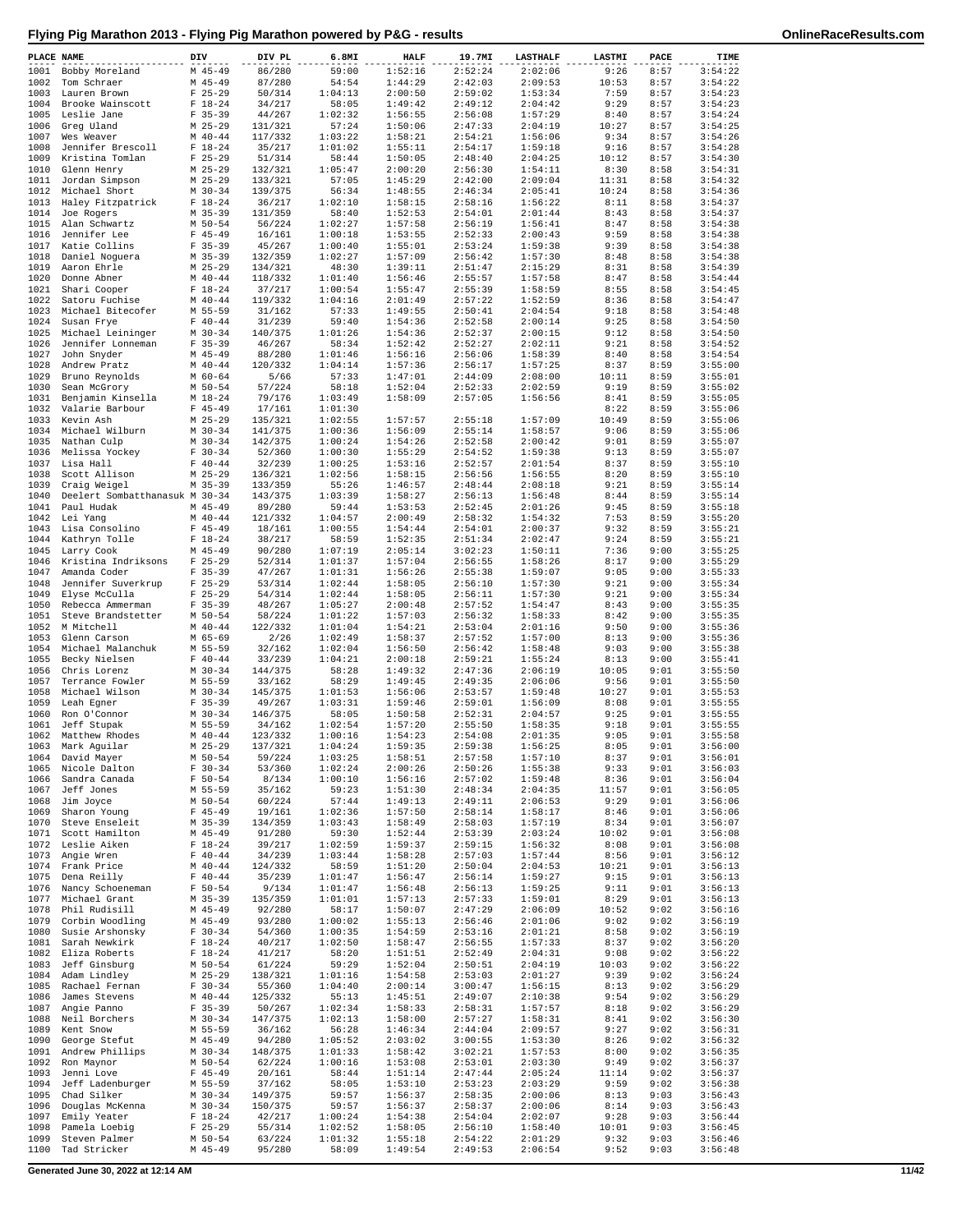| PLACE NAME   |                                              | DIV |                          | DIV PL             | 6.8MI              | <b>HALF</b>        | 19.7MI             | <b>LASTHALF</b>    | LASTMI        | PACE         | TIME               |
|--------------|----------------------------------------------|-----|--------------------------|--------------------|--------------------|--------------------|--------------------|--------------------|---------------|--------------|--------------------|
| 1001         | Bobby Moreland                               |     | $M$ 45-49                | 86/280             | 59:00              | 1:52:16            | 2:52:24            | 2:02:06            | 9:26          | 8:57         | 3:54:22            |
| 1002         | Tom Schraer                                  |     | $M$ 45-49                | 87/280             | 54:54              | 1:44:29            | 2:42:03            | 2:09:53<br>1:53:34 | 10:53         | 8:57         | 3:54:22            |
| 1003<br>1004 | Lauren Brown<br>Brooke Wainscott             |     | $F$ 25-29<br>$F 18-24$   | 50/314<br>34/217   | 1:04:13<br>58:05   | 2:00:50<br>1:49:42 | 2:59:02<br>2:49:12 | 2:04:42            | 7:59<br>9:29  | 8:57<br>8:57 | 3:54:23<br>3:54:23 |
| 1005         | Leslie Jane                                  |     | $F$ 35-39                | 44/267             | 1:02:32            | 1:56:55            | 2:56:08            | 1:57:29            | 8:40          | 8:57         | 3:54:24            |
| 1006         | Greg Uland                                   |     | $M$ 25-29                | 131/321            | 57:24              | 1:50:06            | 2:47:33            | 2:04:19            | 10:27         | 8:57         | 3:54:25            |
| 1007         | Wes Weaver                                   |     | $M$ 40-44                | 117/332            | 1:03:22            | 1:58:21            | 2:54:21            | 1:56:06            | 9:34          | 8:57         | 3:54:26            |
| 1008<br>1009 | Jennifer Brescoll<br>Kristina Tomlan         |     | $F 18 - 24$<br>$F$ 25-29 | 35/217<br>51/314   | 1:01:02<br>58:44   | 1:55:11<br>1:50:05 | 2:54:17<br>2:48:40 | 1:59:18<br>2:04:25 | 9:16<br>10:12 | 8:57<br>8:57 | 3:54:28<br>3:54:30 |
| 1010         | Glenn Henry                                  |     | $M$ 25-29                | 132/321            | 1:05:47            | 2:00:20            | 2:56:30            | 1:54:11            | 8:30          | 8:58         | 3:54:31            |
| 1011         | Jordan Simpson                               |     | $M$ 25-29                | 133/321            | 57:05              | 1:45:29            | 2:42:00            | 2:09:04            | 11:31         | 8:58         | 3:54:32            |
| 1012         | Michael Short                                |     | $M$ 30-34                | 139/375            | 56:34              | 1:48:55            | 2:46:34            | 2:05:41            | 10:24         | 8:58         | 3:54:36            |
| 1013         | Haley Fitzpatrick                            |     | $F 18-24$<br>$M$ 35-39   | 36/217             | 1:02:10<br>58:40   | 1:58:15            | 2:58:16<br>2:54:01 | 1:56:22            | 8:11          | 8:58         | 3:54:37            |
| 1014<br>1015 | Joe Rogers<br>Alan Schwartz                  |     | M 50-54                  | 131/359<br>56/224  | 1:02:27            | 1:52:53<br>1:57:58 | 2:56:19            | 2:01:44<br>1:56:41 | 8:43<br>8:47  | 8:58<br>8:58 | 3:54:37<br>3:54:38 |
| 1016         | Jennifer Lee                                 |     | $F$ 45-49                | 16/161             | 1:00:18            | 1:53:55            | 2:52:33            | 2:00:43            | 9:59          | 8:58         | 3:54:38            |
| 1017         | Katie Collins                                |     | $F$ 35-39                | 45/267             | 1:00:40            | 1:55:01            | 2:53:24            | 1:59:38            | 9:39          | 8:58         | 3:54:38            |
| 1018         | Daniel Noguera                               |     | $M$ 35-39                | 132/359            | 1:02:27            | 1:57:09            | 2:56:42            | 1:57:30            | 8:48          | 8:58         | 3:54:38            |
| 1019<br>1020 | Aaron Ehrle<br>Donne Abner                   |     | $M$ 25-29<br>$M$ 40-44   | 134/321<br>118/332 | 48:30<br>1:01:40   | 1:39:11<br>1:56:46 | 2:51:47<br>2:55:57 | 2:15:29<br>1:57:58 | 8:31<br>8:47  | 8:58<br>8:58 | 3:54:39<br>3:54:44 |
| 1021         | Shari Cooper                                 |     | $F 18-24$                | 37/217             | 1:00:54            | 1:55:47            | 2:55:39            | 1:58:59            | 8:55          | 8:58         | 3:54:45            |
| 1022         | Satoru Fuchise                               |     | $M$ 40-44                | 119/332            | 1:04:16            | 2:01:49            | 2:57:22            | 1:52:59            | 8:36          | 8:58         | 3:54:47            |
| 1023         | Michael Bitecofer                            |     | M 55-59                  | 31/162             | 57:33              | 1:49:55            | 2:50:41            | 2:04:54            | 9:18          | 8:58         | 3:54:48            |
| 1024<br>1025 | Susan Frye<br>Michael Leininger              |     | $F 40 - 44$<br>$M$ 30-34 | 31/239<br>140/375  | 59:40<br>1:01:26   | 1:54:36<br>1:54:36 | 2:52:58<br>2:52:37 | 2:00:14<br>2:00:15 | 9:25<br>9:12  | 8:58<br>8:58 | 3:54:50<br>3:54:50 |
| 1026         | Jennifer Lonneman                            |     | $F$ 35-39                | 46/267             | 58:34              | 1:52:42            | 2:52:27            | 2:02:11            | 9:21          | 8:58         | 3:54:52            |
| 1027         | John Snyder                                  |     | M 45-49                  | 88/280             | 1:01:46            | 1:56:16            | 2:56:06            | 1:58:39            | 8:40          | 8:58         | 3:54:54            |
| 1028         | Andrew Pratz                                 |     | $M$ 40-44                | 120/332            | 1:04:14            | 1:57:36            | 2:56:17            | 1:57:25            | 8:37          | 8:59         | 3:55:00            |
| 1029<br>1030 | Bruno Reynolds<br>Sean McGrory               |     | $M$ 60-64<br>$M$ 50-54   | 5/66<br>57/224     | 57:33<br>58:18     | 1:47:01<br>1:52:04 | 2:44:09<br>2:52:33 | 2:08:00<br>2:02:59 | 10:11<br>9:19 | 8:59<br>8:59 | 3:55:01<br>3:55:02 |
| 1031         | Benjamin Kinsella                            |     | $M$ 18-24                | 79/176             | 1:03:49            | 1:58:09            | 2:57:05            | 1:56:56            | 8:41          | 8:59         | 3:55:05            |
| 1032         | Valarie Barbour                              |     | $F$ 45-49                | 17/161             | 1:01:30            |                    |                    |                    | 8:22          | 8:59         | 3:55:06            |
| 1033         | Kevin Ash                                    |     | $M$ 25-29                | 135/321            | 1:02:55            | 1:57:57            | 2:55:18            | 1:57:09            | 10:49         | 8:59         | 3:55:06            |
| 1034         | Michael Wilburn                              |     | $M$ 30-34                | 141/375            | 1:00:36            | 1:56:09            | 2:55:14            | 1:58:57            | 9:06          | 8:59         | 3:55:06            |
| 1035<br>1036 | Nathan Culp<br>Melissa Yockey                |     | $M$ 30-34<br>$F 30-34$   | 142/375<br>52/360  | 1:00:24<br>1:00:30 | 1:54:26<br>1:55:29 | 2:52:58<br>2:54:52 | 2:00:42<br>1:59:38 | 9:01<br>9:13  | 8:59<br>8:59 | 3:55:07<br>3:55:07 |
| 1037         | Lisa Hall                                    |     | $F 40 - 44$              | 32/239             | 1:00:25            | 1:53:16            | 2:52:57            | 2:01:54            | 8:37          | 8:59         | 3:55:10            |
| 1038         | Scott Allison                                |     | $M$ 25-29                | 136/321            | 1:02:56            | 1:58:15            | 2:56:56            | 1:56:55            | 8:20          | 8:59         | 3:55:10            |
| 1039         | Craig Weigel                                 |     | $M$ 35-39                | 133/359            | 55:26              | 1:46:57            | 2:48:44            | 2:08:18            | 9:21          | 8:59         | 3:55:14            |
| 1040<br>1041 | Deelert Sombatthanasuk M 30-34<br>Paul Hudak |     | $M$ 45-49                | 143/375<br>89/280  | 1:03:39<br>59:44   | 1:58:27<br>1:53:53 | 2:56:13<br>2:52:45 | 1:56:48<br>2:01:26 | 8:44<br>9:45  | 8:59<br>8:59 | 3:55:14<br>3:55:18 |
| 1042         | Lei Yang                                     |     | $M$ 40-44                | 121/332            | 1:04:57            | 2:00:49            | 2:58:32            | 1:54:32            | 7:53          | 8:59         | 3:55:20            |
| 1043         | Lisa Consolino                               |     | $F$ 45-49                | 18/161             | 1:00:55            | 1:54:44            | 2:54:01            | 2:00:37            | 9:32          | 8:59         | 3:55:21            |
| 1044         | Kathryn Tolle                                |     | $F 18-24$                | 38/217             | 58:59              | 1:52:35            | 2:51:34            | 2:02:47            | 9:24          | 8:59         | 3:55:21            |
| 1045         | Larry Cook                                   |     | $M$ 45-49                | 90/280             | 1:07:19            | 2:05:14            | 3:02:23            | 1:50:11            | 7:36          | 9:00         | 3:55:25            |
| 1046<br>1047 | Kristina Indriksons<br>Amanda Coder          |     | $F$ 25-29<br>$F$ 35-39   | 52/314<br>47/267   | 1:01:37<br>1:01:31 | 1:57:04<br>1:56:26 | 2:56:55<br>2:55:38 | 1:58:26<br>1:59:07 | 8:17<br>9:05  | 9:00<br>9:00 | 3:55:29<br>3:55:33 |
| 1048         | Jennifer Suverkrup                           |     | $F$ 25-29                | 53/314             | 1:02:44            | 1:58:05            | 2:56:10            | 1:57:30            | 9:21          | 9:00         | 3:55:34            |
| 1049         | Elyse McCulla                                |     | $F$ 25-29                | 54/314             | 1:02:44            | 1:58:05            | 2:56:11            | 1:57:30            | 9:21          | 9:00         | 3:55:34            |
| 1050         | Rebecca Ammerman                             |     | $F$ 35-39                | 48/267             | 1:05:27            | 2:00:48            | 2:57:52            | 1:54:47            | 8:43          | 9:00         | 3:55:35            |
| 1051<br>1052 | Steve Brandstetter<br>M Mitchell             |     | M 50-54<br>$M$ 40-44     | 58/224<br>122/332  | 1:01:22<br>1:01:04 | 1:57:03<br>1:54:21 | 2:56:32<br>2:53:04 | 1:58:33<br>2:01:16 | 8:42<br>9:50  | 9:00<br>9:00 | 3:55:35<br>3:55:36 |
| 1053         | Glenn Carson                                 |     | M 65-69                  | 2/26               | 1:02:49            | 1:58:37            | 2:57:52            | 1:57:00            | 8:13          | 9:00         | 3:55:36            |
| 1054         | Michael Malanchuk                            |     | M 55-59                  | 32/162             | 1:02:04            | 1:56:50            | 2:56:42            | 1:58:48            | 9:03          | 9:00         | 3:55:38            |
| 1055         | Becky Nielsen                                |     | $F 40 - 44$              | 33/239             | 1:04:21            | 2:00:18            | 2:59:21            | 1:55:24            | 8:13          | 9:00         | 3:55:41            |
| 1056<br>1057 | Chris Lorenz<br>Terrance Fowler              |     | $M$ 30-34<br>M 55-59     | 144/375<br>33/162  | 58:28<br>58:29     | 1:49:32<br>1:49:45 | 2:47:36<br>2:49:35 | 2:06:19<br>2:06:06 | 10:05<br>9:56 | 9:01<br>9:01 | 3:55:50<br>3:55:50 |
| 1058         | Michael Wilson                               |     | $M$ 30-34                | 145/375            | 1:01:53            | 1:56:06            | 2:53:57            | 1:59:48            | 10:27         | 9:01         | 3:55:53            |
| 1059         | Leah Eqner                                   |     | $F$ 35-39                | 49/267             | 1:03:31            | 1:59:46            | 2:59:01            | 1:56:09            | 8:08          | 9:01         | 3:55:55            |
| 1060         | Ron O'Connor                                 |     | $M$ 30-34                | 146/375            | 58:05              | 1:50:58            | 2:52:31            | 2:04:57            | 9:25          | 9:01         | 3:55:55            |
| 1061<br>1062 | Jeff Stupak<br>Matthew Rhodes                |     | M 55-59<br>$M$ 40-44     | 34/162<br>123/332  | 1:02:54<br>1:00:16 | 1:57:20<br>1:54:23 | 2:55:50<br>2:54:08 | 1:58:35<br>2:01:35 | 9:18<br>9:05  | 9:01<br>9:01 | 3:55:55<br>3:55:58 |
|              | 1063 Mark Aguilar                            |     | $M$ 25-29                | 137/321            | 1:04:24            | 1:59:35            | 2:59:38            | 1:56:25            | 8:05          | 9:01         | 3:56:00            |
|              | 1064 David Mayer                             |     | M 50-54                  | 59/224             | 1:03:25            | 1:58:51            | 2:57:58            | 1:57:10            | 8:37          | 9:01         | 3:56:01            |
| 1065         | Nicole Dalton                                |     | $F 30-34$                | 53/360             | 1:02:24            | 2:00:26            | 2:50:26            | 1:55:38            | 9:33          | 9:01         | 3:56:03            |
| 1066<br>1067 | Sandra Canada<br>Jeff Jones                  |     | $F 50 - 54$<br>M 55-59   | 8/134<br>35/162    | 1:00:10<br>59:23   | 1:56:16<br>1:51:30 | 2:57:02<br>2:48:34 | 1:59:48<br>2:04:35 | 8:36<br>11:57 | 9:01<br>9:01 | 3:56:04<br>3:56:05 |
| 1068         | Jim Joyce                                    |     | $M$ 50-54                | 60/224             | 57:44              | 1:49:13            | 2:49:11            | 2:06:53            | 9:29          | 9:01         | 3:56:06            |
| 1069         | Sharon Young                                 |     | $F$ 45-49                | 19/161             | 1:02:36            | 1:57:50            | 2:58:14            | 1:58:17            | 8:46          | 9:01         | 3:56:06            |
| 1070         | Steve Enseleit                               |     | $M$ 35-39                | 134/359            | 1:03:43            | 1:58:49            | 2:58:03            | 1:57:19            | 8:34          | 9:01         | 3:56:07            |
| 1071         | Scott Hamilton                               |     | $M$ 45-49                | 91/280             | 59:30              | 1:52:44            | 2:53:39            | 2:03:24            | 10:02<br>8:08 | 9:01         | 3:56:08<br>3:56:08 |
| 1072<br>1073 | Leslie Aiken<br>Angie Wren                   |     | $F 18-24$<br>$F 40 - 44$ | 39/217<br>34/239   | 1:02:59<br>1:03:44 | 1:59:37<br>1:58:28 | 2:59:15<br>2:57:03 | 1:56:32<br>1:57:44 | 8:56          | 9:01<br>9:01 | 3:56:12            |
| 1074         | Frank Price                                  |     | $M$ 40-44                | 124/332            | 58:59              | 1:51:20            | 2:50:04            | 2:04:53            | 10:21         | 9:01         | 3:56:13            |
| 1075         | Dena Reilly                                  |     | $F 40 - 44$              | 35/239             | 1:01:47            | 1:56:47            | 2:56:14            | 1:59:27            | 9:15          | 9:01         | 3:56:13            |
| 1076         | Nancy Schoeneman                             |     | $F 50 - 54$              | 9/134              | 1:01:47            | 1:56:48            | 2:56:13            | 1:59:25            | 9:11          | 9:01         | 3:56:13            |
| 1077<br>1078 | Michael Grant<br>Phil Rudisill               |     | $M$ 35-39<br>$M$ 45-49   | 135/359<br>92/280  | 1:01:01<br>58:17   | 1:57:13<br>1:50:07 | 2:57:33<br>2:47:29 | 1:59:01<br>2:06:09 | 8:29<br>10:52 | 9:01<br>9:02 | 3:56:13<br>3:56:16 |
| 1079         | Corbin Woodling                              |     | $M$ 45-49                | 93/280             | 1:00:02            | 1:55:13            | 2:56:46            | 2:01:06            | 9:02          | 9:02         | 3:56:19            |
| 1080         | Susie Arshonsky                              |     | $F 30-34$                | 54/360             | 1:00:35            | 1:54:59            | 2:53:16            | 2:01:21            | 8:58          | 9:02         | 3:56:19            |
| 1081         | Sarah Newkirk                                |     | $F 18-24$                | 40/217             | 1:02:50            | 1:58:47            | 2:56:55            | 1:57:33            | 8:37          | 9:02         | 3:56:20            |
| 1083         | 1082 Eliza Roberts<br>Jeff Ginsburg          |     | $F 18-24$<br>M 50-54     | 41/217<br>61/224   | 58:20<br>59:29     | 1:51:51<br>1:52:04 | 2:52:49<br>2:50:51 | 2:04:31<br>2:04:19 | 9:08<br>10:03 | 9:02<br>9:02 | 3:56:22<br>3:56:22 |
| 1084         | Adam Lindley                                 |     | $M$ 25-29                | 138/321            | 1:01:16            | 1:54:58            | 2:53:03            | 2:01:27            | 9:39          | 9:02         | 3:56:24            |
| 1085         | Rachael Fernan                               |     | $F 30-34$                | 55/360             | 1:04:40            | 2:00:14            | 3:00:47            | 1:56:15            | 8:13          | 9:02         | 3:56:29            |
| 1086         | James Stevens                                |     | $M$ 40-44                | 125/332            | 55:13              | 1:45:51            | 2:49:07            | 2:10:38            | 9:54          | 9:02         | 3:56:29            |
| 1087<br>1088 | Angie Panno<br>Neil Borchers                 |     | $F$ 35-39<br>$M$ 30-34   | 50/267<br>147/375  | 1:02:34<br>1:02:13 | 1:58:33<br>1:58:00 | 2:58:31<br>2:57:27 | 1:57:57<br>1:58:31 | 8:18<br>8:41  | 9:02<br>9:02 | 3:56:29<br>3:56:30 |
| 1089         | Kent Snow                                    |     | M 55-59                  | 36/162             | 56:28              | 1:46:34            | 2:44:04            | 2:09:57            | 9:27          | 9:02         | 3:56:31            |
| 1090         | George Stefut                                |     | $M$ 45-49                | 94/280             | 1:05:52            | 2:03:02            | 3:00:55            | 1:53:30            | 8:26          | 9:02         | 3:56:32            |
| 1091         | Andrew Phillips                              |     | $M$ 30-34                | 148/375            | 1:01:33            | 1:58:42            | 3:02:21            | 1:57:53            | 8:00          | 9:02         | 3:56:35            |
| 1092         | Ron Maynor                                   |     | $M$ 50-54                | 62/224             | 1:00:16            | 1:53:08            | 2:53:01            | 2:03:30            | 9:49          | 9:02<br>9:02 | 3:56:37<br>3:56:37 |
| 1093<br>1094 | Jenni Love<br>Jeff Ladenburger               |     | $F$ 45-49<br>M 55-59     | 20/161<br>37/162   | 58:44<br>58:05     | 1:51:14<br>1:53:10 | 2:47:44<br>2:53:23 | 2:05:24<br>2:03:29 | 11:14<br>9:59 | 9:02         | 3:56:38            |
| 1095         | Chad Silker                                  |     | $M$ 30-34                | 149/375            | 59:57              | 1:56:37            | 2:58:35            | 2:00:06            | 8:13          | 9:03         | 3:56:43            |
| 1096         | Douglas McKenna                              |     | $M$ 30-34                | 150/375            | 59:57              | 1:56:37            | 2:58:37            | 2:00:06            | 8:14          | 9:03         | 3:56:43            |
| 1097         | Emily Yeater                                 |     | $F 18-24$                | 42/217             | 1:00:24            | 1:54:38            | 2:54:04            | 2:02:07            | 9:28          | 9:03         | 3:56:44            |
| 1098<br>1099 | Pamela Loebig<br>Steven Palmer               |     | $F$ 25-29<br>M 50-54     | 55/314<br>63/224   | 1:02:52<br>1:01:32 | 1:58:05<br>1:55:18 | 2:56:10<br>2:54:22 | 1:58:40<br>2:01:29 | 10:01<br>9:32 | 9:03<br>9:03 | 3:56:45<br>3:56:46 |
| 1100         | Tad Stricker                                 |     | $M$ 45-49                | 95/280             | 58:09              | 1:49:54            | 2:49:53            | 2:06:54            | 9:52          | 9:03         | 3:56:48            |

**Generated June 30, 2022 at 12:14 AM 11/42**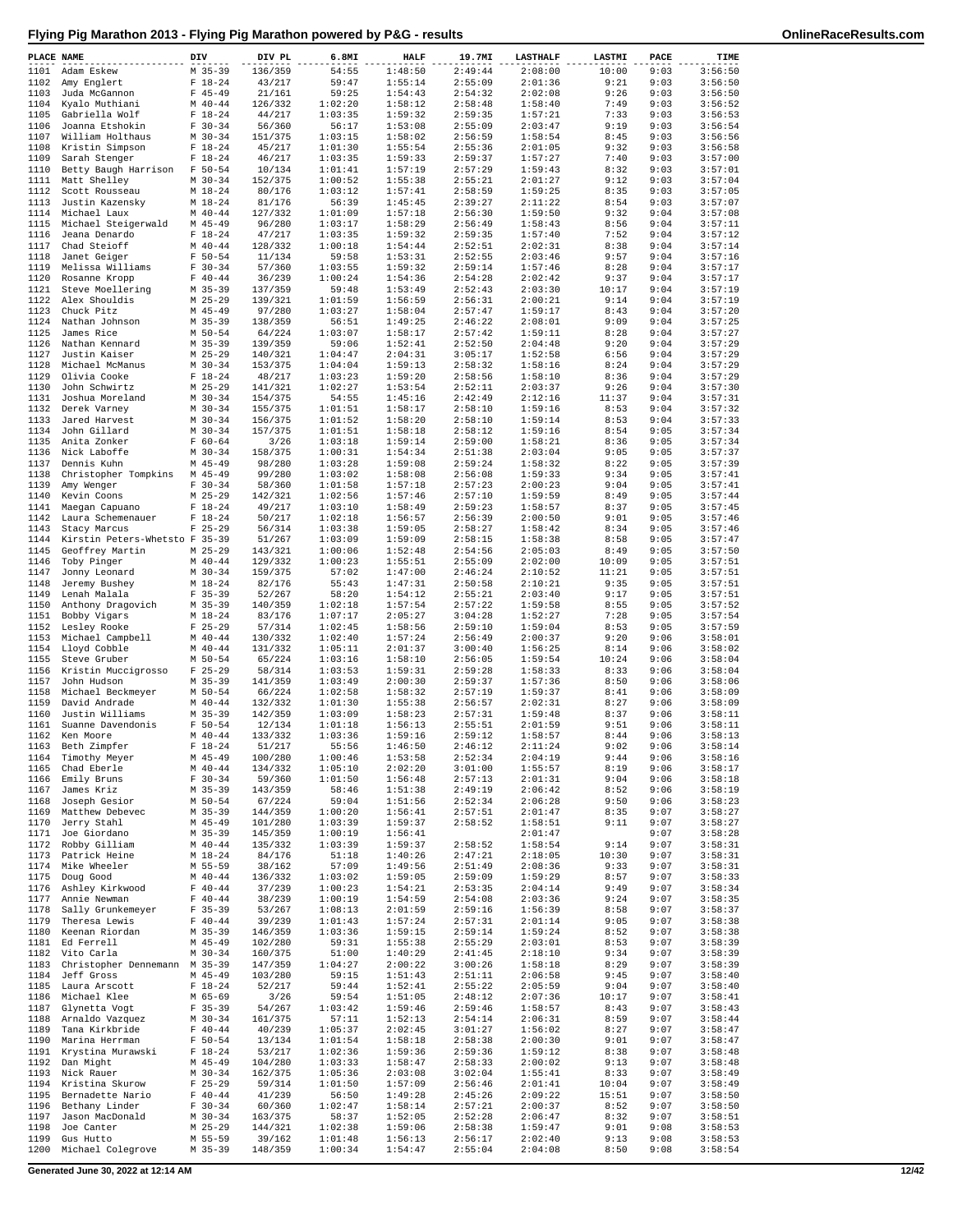| PLACE NAME   |                                         | DIV |                          | DIV PL             | 6.8MI              | <b>HALF</b>        | 19.7MI             | <b>LASTHALF</b>    | LASTMI        | PACE         | TIME               |
|--------------|-----------------------------------------|-----|--------------------------|--------------------|--------------------|--------------------|--------------------|--------------------|---------------|--------------|--------------------|
| 1101         | Adam Eskew                              |     | $M$ 35-39                | 136/359            | 54:55              | 1:48:50            | 2:49:44            | 2:08:00            | 10:00         | 9:03         | 3:56:50            |
| 1102         | Amy Englert                             |     | $F 18-24$                | 43/217             | 59:47              | 1:55:14            | 2:55:09            | 2:01:36            | 9:21          | 9:03         | 3:56:50            |
| 1103         | Juda McGannon                           |     | $F$ 45-49                | 21/161             | 59:25              | 1:54:43            | 2:54:32            | 2:02:08            | 9:26          | 9:03         | 3:56:50            |
| 1104         | Kyalo Muthiani                          |     | $M$ 40-44                | 126/332            | 1:02:20            | 1:58:12            | 2:58:48            | 1:58:40            | 7:49          | 9:03         | 3:56:52            |
| 1105<br>1106 | Gabriella Wolf<br>Joanna Etshokin       |     | $F 18-24$<br>$F 30-34$   | 44/217<br>56/360   | 1:03:35<br>56:17   | 1:59:32<br>1:53:08 | 2:59:35<br>2:55:09 | 1:57:21<br>2:03:47 | 7:33<br>9:19  | 9:03<br>9:03 | 3:56:53<br>3:56:54 |
| 1107         | William Holthaus                        |     | $M$ 30-34                | 151/375            | 1:03:15            | 1:58:02            | 2:56:59            | 1:58:54            | 8:45          | 9:03         | 3:56:56            |
| 1108         | Kristin Simpson                         |     | $F 18-24$                | 45/217             | 1:01:30            | 1:55:54            | 2:55:36            | 2:01:05            | 9:32          | 9:03         | 3:56:58            |
| 1109         | Sarah Stenger                           |     | $F 18-24$                | 46/217             | 1:03:35            | 1:59:33            | 2:59:37            | 1:57:27            | 7:40          | 9:03         | 3:57:00            |
| 1110         | Betty Baugh Harrison                    |     | $F 50 - 54$              | 10/134             | 1:01:41            | 1:57:19            | 2:57:29            | 1:59:43            | 8:32          | 9:03         | 3:57:01            |
| 1111         | Matt Shelley                            |     | $M$ 30-34                | 152/375            | 1:00:52            | 1:55:38            | 2:55:21            | 2:01:27            | 9:12          | 9:03         | 3:57:04            |
| 1112         | Scott Rousseau                          |     | $M_18-24$                | 80/176             | 1:03:12            | 1:57:41            | 2:58:59            | 1:59:25            | 8:35          | 9:03         | 3:57:05            |
| 1113         | Justin Kazensky                         |     | $M_18-24$                | 81/176<br>127/332  | 56:39              | 1:45:45            | 2:39:27            | 2:11:22            | 8:54          | 9:03         | 3:57:07<br>3:57:08 |
| 1114<br>1115 | Michael Laux<br>Michael Steigerwald     |     | $M$ 40-44<br>$M$ 45-49   | 96/280             | 1:01:09<br>1:03:17 | 1:57:18<br>1:58:29 | 2:56:30<br>2:56:49 | 1:59:50<br>1:58:43 | 9:32<br>8:56  | 9:04<br>9:04 | 3:57:11            |
| 1116         | Jeana Denardo                           |     | $F 18-24$                | 47/217             | 1:03:35            | 1:59:32            | 2:59:35            | 1:57:40            | 7:52          | 9:04         | 3:57:12            |
| 1117         | Chad Steioff                            |     | $M$ 40-44                | 128/332            | 1:00:18            | 1:54:44            | 2:52:51            | 2:02:31            | 8:38          | 9:04         | 3:57:14            |
| 1118         | Janet Geiger                            |     | $F 50 - 54$              | 11/134             | 59:58              | 1:53:31            | 2:52:55            | 2:03:46            | 9:57          | 9:04         | 3:57:16            |
| 1119         | Melissa Williams                        |     | $F 30-34$                | 57/360             | 1:03:55            | 1:59:32            | 2:59:14            | 1:57:46            | 8:28          | 9:04         | 3:57:17            |
| 1120         | Rosanne Kropp                           |     | $F 40 - 44$              | 36/239             | 1:00:24            | 1:54:36            | 2:54:28            | 2:02:42            | 9:37          | 9:04         | 3:57:17            |
| 1121         | Steve Moellering                        |     | $M$ 35-39                | 137/359            | 59:48              | 1:53:49            | 2:52:43            | 2:03:30            | 10:17         | 9:04         | 3:57:19            |
| 1122<br>1123 | Alex Shouldis<br>Chuck Pitz             |     | $M$ 25-29<br>$M$ 45-49   | 139/321<br>97/280  | 1:01:59<br>1:03:27 | 1:56:59<br>1:58:04 | 2:56:31<br>2:57:47 | 2:00:21<br>1:59:17 | 9:14<br>8:43  | 9:04<br>9:04 | 3:57:19<br>3:57:20 |
| 1124         | Nathan Johnson                          |     | $M$ 35-39                | 138/359            | 56:51              | 1:49:25            | 2:46:22            | 2:08:01            | 9:09          | 9:04         | 3:57:25            |
| 1125         | James Rice                              |     | M 50-54                  | 64/224             | 1:03:07            | 1:58:17            | 2:57:42            | 1:59:11            | 8:28          | 9:04         | 3:57:27            |
| 1126         | Nathan Kennard                          |     | $M$ 35-39                | 139/359            | 59:06              | 1:52:41            | 2:52:50            | 2:04:48            | 9:20          | 9:04         | 3:57:29            |
| 1127         | Justin Kaiser                           |     | $M$ 25-29                | 140/321            | 1:04:47            | 2:04:31            | 3:05:17            | 1:52:58            | 6:56          | 9:04         | 3:57:29            |
| 1128         | Michael McManus                         |     | $M$ 30-34                | 153/375            | 1:04:04            | 1:59:13            | 2:58:32            | 1:58:16            | 8:24          | 9:04         | 3:57:29            |
| 1129         | Olivia Cooke                            |     | $F 18-24$<br>$M$ 25-29   | 48/217             | 1:03:23            | 1:59:20<br>1:53:54 | 2:58:56            | 1:58:10            | 8:36          | 9:04         | 3:57:29            |
| 1130<br>1131 | John Schwirtz<br>Joshua Moreland        |     | $M$ 30-34                | 141/321<br>154/375 | 1:02:27<br>54:55   | 1:45:16            | 2:52:11<br>2:42:49 | 2:03:37<br>2:12:16 | 9:26<br>11:37 | 9:04<br>9:04 | 3:57:30<br>3:57:31 |
| 1132         | Derek Varney                            |     | $M$ 30-34                | 155/375            | 1:01:51            | 1:58:17            | 2:58:10            | 1:59:16            | 8:53          | 9:04         | 3:57:32            |
| 1133         | Jared Harvest                           |     | $M$ 30-34                | 156/375            | 1:01:52            | 1:58:20            | 2:58:10            | 1:59:14            | 8:53          | 9:04         | 3:57:33            |
| 1134         | John Gillard                            |     | $M$ 30-34                | 157/375            | 1:01:51            | 1:58:18            | 2:58:12            | 1:59:16            | 8:54          | 9:05         | 3:57:34            |
| 1135         | Anita Zonker                            |     | $F 60 - 64$              | 3/26               | 1:03:18            | 1:59:14            | 2:59:00            | 1:58:21            | 8:36          | 9:05         | 3:57:34            |
| 1136         | Nick Laboffe                            |     | $M$ 30-34                | 158/375            | 1:00:31            | 1:54:34            | 2:51:38            | 2:03:04            | 9:05          | 9:05         | 3:57:37            |
| 1137         | Dennis Kuhn                             |     | $M$ 45-49                | 98/280             | 1:03:28            | 1:59:08            | 2:59:24            | 1:58:32            | 8:22          | 9:05         | 3:57:39            |
| 1138         | Christopher Tompkins                    |     | $M$ 45-49                | 99/280             | 1:03:02            | 1:58:08            | 2:56:08            | 1:59:33            | 9:34          | 9:05         | 3:57:41            |
| 1139<br>1140 | Amy Wenger<br>Kevin Coons               |     | $F 30-34$<br>$M$ 25-29   | 58/360<br>142/321  | 1:01:58<br>1:02:56 | 1:57:18<br>1:57:46 | 2:57:23<br>2:57:10 | 2:00:23<br>1:59:59 | 9:04<br>8:49  | 9:05<br>9:05 | 3:57:41<br>3:57:44 |
| 1141         | Maegan Capuano                          |     | $F 18 - 24$              | 49/217             | 1:03:10            | 1:58:49            | 2:59:23            | 1:58:57            | 8:37          | 9:05         | 3:57:45            |
| 1142         | Laura Schemenauer                       |     | $F 18-24$                | 50/217             | 1:02:18            | 1:56:57            | 2:56:39            | 2:00:50            | 9:01          | 9:05         | 3:57:46            |
| 1143         | Stacy Marcus                            |     | $F$ 25-29                | 56/314             | 1:03:38            | 1:59:05            | 2:58:27            | 1:58:42            | 8:34          | 9:05         | 3:57:46            |
| 1144         | Kirstin Peters-Whetsto F 35-39          |     |                          | 51/267             | 1:03:09            | 1:59:09            | 2:58:15            | 1:58:38            | 8:58          | 9:05         | 3:57:47            |
| 1145         | Geoffrey Martin                         |     | $M$ 25-29                | 143/321            | 1:00:06            | 1:52:48            | 2:54:56            | 2:05:03            | 8:49          | 9:05         | 3:57:50            |
| 1146         | Toby Pinger                             |     | $M$ 40-44                | 129/332            | 1:00:23            | 1:55:51            | 2:55:09            | 2:02:00            | 10:09         | 9:05         | 3:57:51            |
| 1147<br>1148 | Jonny Leonard<br>Jeremy Bushey          |     | $M$ 30-34<br>$M_18-24$   | 159/375<br>82/176  | 57:02<br>55:43     | 1:47:00<br>1:47:31 | 2:46:24<br>2:50:58 | 2:10:52<br>2:10:21 | 11:21<br>9:35 | 9:05<br>9:05 | 3:57:51<br>3:57:51 |
| 1149         | Lenah Malala                            |     | $F$ 35-39                | 52/267             | 58:20              | 1:54:12            | 2:55:21            | 2:03:40            | 9:17          | 9:05         | 3:57:51            |
| 1150         | Anthony Dragovich                       |     | M 35-39                  | 140/359            | 1:02:18            | 1:57:54            | 2:57:22            | 1:59:58            | 8:55          | 9:05         | 3:57:52            |
| 1151         | Bobby Vigars                            |     | $M_18-24$                | 83/176             | 1:07:17            | 2:05:27            | 3:04:28            | 1:52:27            | 7:28          | 9:05         | 3:57:54            |
| 1152         | Lesley Rooke                            |     | $F$ 25-29                | 57/314             | 1:02:45            | 1:58:56            | 2:59:10            | 1:59:04            | 8:53          | 9:05         | 3:57:59            |
| 1153         | Michael Campbell                        |     | $M$ 40-44                | 130/332            | 1:02:40            | 1:57:24            | 2:56:49            | 2:00:37            | 9:20          | 9:06         | 3:58:01            |
| 1154         | Lloyd Cobble                            |     | $M$ 40-44                | 131/332            | 1:05:11            | 2:01:37            | 3:00:40            | 1:56:25            | 8:14          | 9:06         | 3:58:02            |
| 1155<br>1156 | Steve Gruber<br>Kristin Muccigrosso     |     | $M$ 50-54<br>$F$ 25-29   | 65/224<br>58/314   | 1:03:16<br>1:03:53 | 1:58:10<br>1:59:31 | 2:56:05<br>2:59:28 | 1:59:54<br>1:58:33 | 10:24<br>8:33 | 9:06<br>9:06 | 3:58:04<br>3:58:04 |
| 1157         | John Hudson                             |     | $M$ 35-39                | 141/359            | 1:03:49            | 2:00:30            | 2:59:37            | 1:57:36            | 8:50          | 9:06         | 3:58:06            |
| 1158         | Michael Beckmeyer                       |     | M 50-54                  | 66/224             | 1:02:58            | 1:58:32            | 2:57:19            | 1:59:37            | 8:41          | 9:06         | 3:58:09            |
| 1159         | David Andrade                           |     | $M$ 40-44                | 132/332            | 1:01:30            | 1:55:38            | 2:56:57            | 2:02:31            | 8:27          | 9:06         | 3:58:09            |
| 1160         | Justin Williams                         |     | $M$ 35-39                | 142/359            | 1:03:09            | 1:58:23            | 2:57:31            | 1:59:48            | 8:37          | 9:06         | 3:58:11            |
| 1161         | Suanne Davendonis                       |     | $F 50 - 54$              | 12/134             | 1:01:18            | 1:56:13            | 2:55:51            | 2:01:59            | 9:51          | 9:06         | 3:58:11            |
| 1162         | Ken Moore                               |     | $M$ 40-44                | 133/332            | 1:03:36            | 1:59:16            | 2:59:12            | 1:58:57            | 8:44          | 9:06         | 3:58:13            |
|              | 1163 Beth Zimpfer<br>1164 Timothy Meyer |     | $F 18-24$<br>$M$ 45-49   | 51/217<br>100/280  | 55:56<br>1:00:46   | 1:46:50<br>1:53:58 | 2:46:12<br>2:52:34 | 2:11:24<br>2:04:19 | 9:02<br>9:44  | 9:06<br>9:06 | 3:58:14<br>3:58:16 |
| 1165         | Chad Eberle                             |     | $M$ 40-44                | 134/332            | 1:05:10            | 2:02:20            | 3:01:00            | 1:55:57            | 8:19          | 9:06         | 3:58:17            |
| 1166         | Emily Bruns                             |     | $F 30-34$                | 59/360             | 1:01:50            | 1:56:48            | 2:57:13            | 2:01:31            | 9:04          | 9:06         | 3:58:18            |
| 1167         | James Kriz                              |     | $M$ 35-39                | 143/359            | 58:46              | 1:51:38            | 2:49:19            | 2:06:42            | 8:52          | 9:06         | 3:58:19            |
| 1168         | Joseph Gesior                           |     | $M$ 50-54                | 67/224             | 59:04              | 1:51:56            | 2:52:34            | 2:06:28            | 9:50          | 9:06         | 3:58:23            |
| 1169         | Matthew Debevec                         |     | $M$ 35-39                | 144/359            | 1:00:20            | 1:56:41            | 2:57:51            | 2:01:47            | 8:35          | 9:07         | 3:58:27            |
| 1170<br>1171 | Jerry Stahl<br>Joe Giordano             |     | $M$ 45-49<br>M 35-39     | 101/280<br>145/359 | 1:03:39<br>1:00:19 | 1:59:37<br>1:56:41 | 2:58:52            | 1:58:51<br>2:01:47 | 9:11          | 9:07<br>9:07 | 3:58:27<br>3:58:28 |
| 1172         | Robby Gilliam                           |     | $M$ 40-44                | 135/332            | 1:03:39            | 1:59:37            | 2:58:52            | 1:58:54            | 9:14          | 9:07         | 3:58:31            |
| 1173         | Patrick Heine                           |     | $M_18-24$                | 84/176             | 51:18              | 1:40:26            | 2:47:21            | 2:18:05            | 10:30         | 9:07         | 3:58:31            |
| 1174         | Mike Wheeler                            |     | M 55-59                  | 38/162             | 57:09              | 1:49:56            | 2:51:49            | 2:08:36            | 9:33          | 9:07         | 3:58:31            |
| 1175         | Doug Good                               |     | $M$ 40-44                | 136/332            | 1:03:02            | 1:59:05            | 2:59:09            | 1:59:29            | 8:57          | 9:07         | 3:58:33            |
|              | 1176 Ashley Kirkwood                    |     | $F 40 - 44$              | 37/239             | 1:00:23            | 1:54:21            | 2:53:35            | 2:04:14            | 9:49          | 9:07         | 3:58:34            |
| 1177<br>1178 | Annie Newman                            |     | $F 40 - 44$<br>$F$ 35-39 | 38/239             | 1:00:19            | 1:54:59<br>2:01:59 | 2:54:08<br>2:59:16 | 2:03:36<br>1:56:39 | 9:24<br>8:58  | 9:07<br>9:07 | 3:58:35<br>3:58:37 |
| 1179         | Sally Grunkemeyer<br>Theresa Lewis      |     | $F 40 - 44$              | 53/267<br>39/239   | 1:08:13<br>1:01:43 | 1:57:24            | 2:57:31            | 2:01:14            | 9:05          | 9:07         | 3:58:38            |
| 1180         | Keenan Riordan                          |     | $M$ 35-39                | 146/359            | 1:03:36            | 1:59:15            | 2:59:14            | 1:59:24            | 8:52          | 9:07         | 3:58:38            |
| 1181         | Ed Ferrell                              |     | $M$ 45-49                | 102/280            | 59:31              | 1:55:38            | 2:55:29            | 2:03:01            | 8:53          | 9:07         | 3:58:39            |
|              | 1182 Vito Carla                         |     | $M$ 30-34                | 160/375            | 51:00              | 1:40:29            | 2:41:45            | 2:18:10            | 9:34          | 9:07         | 3:58:39            |
| 1183         | Christopher Dennemann M 35-39           |     |                          | 147/359            | 1:04:27            | 2:00:22            | 3:00:26            | 1:58:18            | 8:29          | 9:07         | 3:58:39            |
| 1184         | Jeff Gross                              |     | $M$ 45-49                | 103/280            | 59:15              | 1:51:43            | 2:51:11            | 2:06:58            | 9:45          | 9:07         | 3:58:40            |
| 1185<br>1186 | Laura Arscott<br>Michael Klee           |     | $F 18-24$<br>M 65-69     | 52/217<br>3/26     | 59:44<br>59:54     | 1:52:41<br>1:51:05 | 2:55:22<br>2:48:12 | 2:05:59<br>2:07:36 | 9:04<br>10:17 | 9:07<br>9:07 | 3:58:40<br>3:58:41 |
| 1187         | Glynetta Vogt                           |     | $F$ 35-39                | 54/267             | 1:03:42            | 1:59:46            | 2:59:46            | 1:58:57            | 8:43          | 9:07         | 3:58:43            |
| 1188         | Arnaldo Vazquez                         |     | $M$ 30-34                | 161/375            | 57:11              | 1:52:13            | 2:54:14            | 2:06:31            | 8:59          | 9:07         | 3:58:44            |
| 1189         | Tana Kirkbride                          |     | $F 40 - 44$              | 40/239             | 1:05:37            | 2:02:45            | 3:01:27            | 1:56:02            | 8:27          | 9:07         | 3:58:47            |
| 1190         | Marina Herrman                          |     | $F 50 - 54$              | 13/134             | 1:01:54            | 1:58:18            | 2:58:38            | 2:00:30            | 9:01          | 9:07         | 3:58:47            |
| 1191         | Krystina Murawski                       |     | $F 18-24$                | 53/217             | 1:02:36            | 1:59:36            | 2:59:36            | 1:59:12            | 8:38          | 9:07         | 3:58:48            |
| 1192<br>1193 | Dan Might<br>Nick Rauer                 |     | $M$ 45-49<br>$M$ 30-34   | 104/280            | 1:03:33<br>1:05:36 | 1:58:47<br>2:03:08 | 2:58:33<br>3:02:04 | 2:00:02<br>1:55:41 | 9:13<br>8:33  | 9:07<br>9:07 | 3:58:48<br>3:58:49 |
| 1194         | Kristina Skurow                         |     | $F$ 25-29                | 162/375<br>59/314  | 1:01:50            | 1:57:09            | 2:56:46            | 2:01:41            | 10:04         | 9:07         | 3:58:49            |
| 1195         | Bernadette Nario                        |     | $F 40 - 44$              | 41/239             | 56:50              | 1:49:28            | 2:45:26            | 2:09:22            | 15:51         | 9:07         | 3:58:50            |
| 1196         | Bethany Linder                          |     | $F 30-34$                | 60/360             | 1:02:47            | 1:58:14            | 2:57:21            | 2:00:37            | 8:52          | 9:07         | 3:58:50            |
| 1197         | Jason MacDonald                         |     | $M$ 30-34                | 163/375            | 58:37              | 1:52:05            | 2:52:28            | 2:06:47            | 8:32          | 9:07         | 3:58:51            |
| 1198         | Joe Canter                              |     | $M$ 25-29                | 144/321            | 1:02:38            | 1:59:06            | 2:58:38            | 1:59:47            | 9:01          | 9:08         | 3:58:53            |
| 1199         | Gus Hutto                               |     | M 55-59                  | 39/162             | 1:01:48            | 1:56:13            | 2:56:17            | 2:02:40            | 9:13          | 9:08         | 3:58:53            |
| 1200         | Michael Colegrove                       |     | $M$ 35-39                | 148/359            | 1:00:34            | 1:54:47            | 2:55:04            | 2:04:08            | 8:50          | 9:08         | 3:58:54            |

**Generated June 30, 2022 at 12:14 AM 12/42**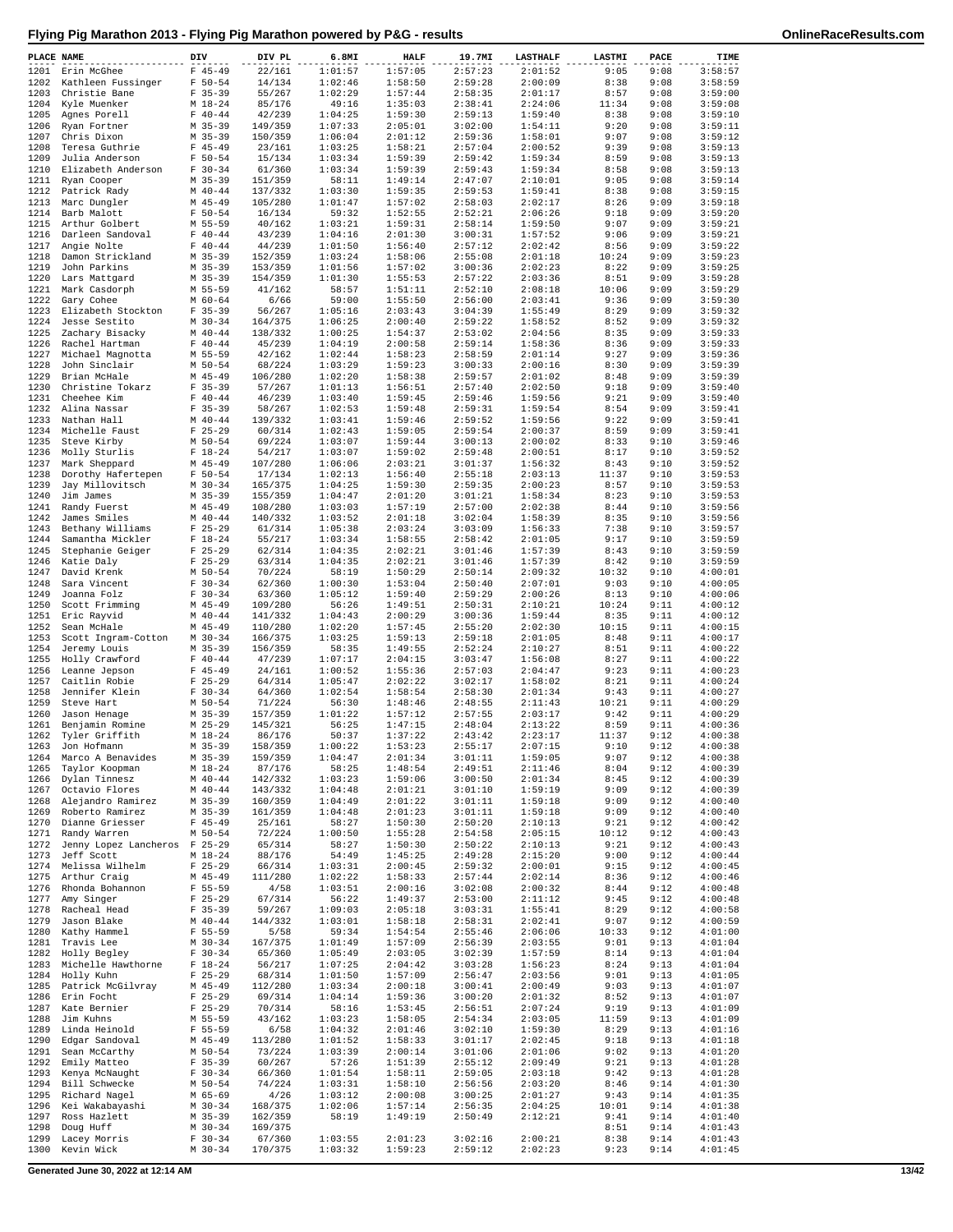|  |  | Flying Pig Marathon 2013 - Flying Pig Marathon powered by P&G - results |  |
|--|--|-------------------------------------------------------------------------|--|
|  |  |                                                                         |  |

| PLACE NAME   |                                               | DIV                      | DIV PL             | 6.8MI              | <b>HALF</b>        | 19.7MI             | <b>LASTHALF</b>    | LASTMI        | PACE         | TIME               |
|--------------|-----------------------------------------------|--------------------------|--------------------|--------------------|--------------------|--------------------|--------------------|---------------|--------------|--------------------|
|              | 1201 Erin McGhee                              | $F$ 45-49                | 22/161             | 1:01:57            | 1:57:05            | 2:57:23            | 2:01:52            | 9:05          | 9:08         | 3:58:57            |
| 1202         | Kathleen Fussinger                            | $F 50 - 54$              | 14/134             | 1:02:46            | 1:58:50            | 2:59:28            | 2:00:09            | 8:38          | 9:08         | 3:58:59            |
| 1203         | Christie Bane                                 | $F$ 35-39                | 55/267             | 1:02:29            | 1:57:44            | 2:58:35            | 2:01:17            | 8:57          | 9:08         | 3:59:00            |
| 1204<br>1205 | Kyle Muenker<br>Agnes Porell                  | $M_18-24$<br>$F 40 - 44$ | 85/176<br>42/239   | 49:16<br>1:04:25   | 1:35:03<br>1:59:30 | 2:38:41<br>2:59:13 | 2:24:06<br>1:59:40 | 11:34<br>8:38 | 9:08<br>9:08 | 3:59:08<br>3:59:10 |
| 1206         | Ryan Fortner                                  | M 35-39                  | 149/359            | 1:07:33            | 2:05:01            | 3:02:00            | 1:54:11            | 9:20          | 9:08         | 3:59:11            |
| 1207         | Chris Dixon                                   | M 35-39                  | 150/359            | 1:06:04            | 2:01:12            | 2:59:36            | 1:58:01            | 9:07          | 9:08         | 3:59:12            |
| 1208         | Teresa Guthrie                                | $F$ 45-49                | 23/161             | 1:03:25            | 1:58:21            | 2:57:04            | 2:00:52            | 9:39          | 9:08         | 3:59:13            |
| 1209         | Julia Anderson                                | $F 50 - 54$              | 15/134             | 1:03:34            | 1:59:39            | 2:59:42            | 1:59:34            | 8:59          | 9:08         | 3:59:13            |
| 1210         | Elizabeth Anderson                            | $F 30-34$                | 61/360             | 1:03:34            | 1:59:39            | 2:59:43            | 1:59:34            | 8:58          | 9:08         | 3:59:13            |
| 1211<br>1212 | Ryan Cooper<br>Patrick Rady                   | $M$ 35-39<br>$M$ 40-44   | 151/359<br>137/332 | 58:11<br>1:03:30   | 1:49:14<br>1:59:35 | 2:47:07<br>2:59:53 | 2:10:01<br>1:59:41 | 9:05<br>8:38  | 9:08<br>9:08 | 3:59:14<br>3:59:15 |
| 1213         | Marc Dungler                                  | $M$ 45-49                | 105/280            | 1:01:47            | 1:57:02            | 2:58:03            | 2:02:17            | 8:26          | 9:09         | 3:59:18            |
| 1214         | Barb Malott                                   | $F 50 - 54$              | 16/134             | 59:32              | 1:52:55            | 2:52:21            | 2:06:26            | 9:18          | 9:09         | 3:59:20            |
| 1215         | Arthur Golbert                                | M 55-59                  | 40/162             | 1:03:21            | 1:59:31            | 2:58:14            | 1:59:50            | 9:07          | 9:09         | 3:59:21            |
| 1216         | Darleen Sandoval                              | $F 40 - 44$              | 43/239             | 1:04:16            | 2:01:30            | 3:00:31            | 1:57:52            | 9:06          | 9:09         | 3:59:21            |
| 1217         | Angie Nolte                                   | $F 40 - 44$              | 44/239             | 1:01:50            | 1:56:40            | 2:57:12            | 2:02:42            | 8:56          | 9:09         | 3:59:22            |
| 1218<br>1219 | Damon Strickland<br>John Parkins              | $M$ 35-39<br>$M$ 35-39   | 152/359<br>153/359 | 1:03:24<br>1:01:56 | 1:58:06<br>1:57:02 | 2:55:08<br>3:00:36 | 2:01:18<br>2:02:23 | 10:24<br>8:22 | 9:09<br>9:09 | 3:59:23<br>3:59:25 |
| 1220         | Lars Mattgard                                 | $M$ 35-39                | 154/359            | 1:01:30            | 1:55:53            | 2:57:22            | 2:03:36            | 8:51          | 9:09         | 3:59:28            |
|              | 1221 Mark Casdorph                            | M 55-59                  | 41/162             | 58:57              | 1:51:11            | 2:52:10            | 2:08:18            | 10:06         | 9:09         | 3:59:29            |
| 1222         | Gary Cohee                                    | $M$ 60-64                | 6/66               | 59:00              | 1:55:50            | 2:56:00            | 2:03:41            | 9:36          | 9:09         | 3:59:30            |
| 1223         | Elizabeth Stockton                            | $F$ 35-39                | 56/267             | 1:05:16            | 2:03:43            | 3:04:39            | 1:55:49            | 8:29          | 9:09         | 3:59:32            |
| 1224         | Jesse Sestito                                 | $M$ 30-34                | 164/375            | 1:06:25            | 2:00:40            | 2:59:22            | 1:58:52            | 8:52          | 9:09         | 3:59:32            |
| 1225<br>1226 | Zachary Bisacky<br>Rachel Hartman             | $M$ 40-44<br>$F 40 - 44$ | 138/332<br>45/239  | 1:00:25<br>1:04:19 | 1:54:37<br>2:00:58 | 2:53:02<br>2:59:14 | 2:04:56<br>1:58:36 | 8:35<br>8:36  | 9:09<br>9:09 | 3:59:33<br>3:59:33 |
| 1227         | Michael Magnotta                              | M 55-59                  | 42/162             | 1:02:44            | 1:58:23            | 2:58:59            | 2:01:14            | 9:27          | 9:09         | 3:59:36            |
| 1228         | John Sinclair                                 | M 50-54                  | 68/224             | 1:03:29            | 1:59:23            | 3:00:33            | 2:00:16            | 8:30          | 9:09         | 3:59:39            |
| 1229         | Brian McHale                                  | $M$ 45-49                | 106/280            | 1:02:20            | 1:58:38            | 2:59:57            | 2:01:02            | 8:48          | 9:09         | 3:59:39            |
| 1230         | Christine Tokarz                              | $F$ 35-39                | 57/267             | 1:01:13            | 1:56:51            | 2:57:40            | 2:02:50            | 9:18          | 9:09         | 3:59:40            |
| 1231         | Cheehee Kim                                   | $F 40 - 44$              | 46/239             | 1:03:40            | 1:59:45<br>1:59:48 | 2:59:46<br>2:59:31 | 1:59:56            | 9:21          | 9:09         | 3:59:40<br>3:59:41 |
| 1232<br>1233 | Alina Nassar<br>Nathan Hall                   | $F$ 35-39<br>$M$ 40-44   | 58/267<br>139/332  | 1:02:53<br>1:03:41 | 1:59:46            | 2:59:52            | 1:59:54<br>1:59:56 | 8:54<br>9:22  | 9:09<br>9:09 | 3:59:41            |
| 1234         | Michelle Faust                                | $F$ 25-29                | 60/314             | 1:02:43            | 1:59:05            | 2:59:54            | 2:00:37            | 8:59          | 9:09         | 3:59:41            |
| 1235         | Steve Kirby                                   | M 50-54                  | 69/224             | 1:03:07            | 1:59:44            | 3:00:13            | 2:00:02            | 8:33          | 9:10         | 3:59:46            |
| 1236         | Molly Sturlis                                 | $F 18-24$                | 54/217             | 1:03:07            | 1:59:02            | 2:59:48            | 2:00:51            | 8:17          | 9:10         | 3:59:52            |
| 1237         | Mark Sheppard                                 | $M$ 45-49                | 107/280            | 1:06:06            | 2:03:21            | 3:01:37            | 1:56:32            | 8:43          | 9:10         | 3:59:52            |
| 1238<br>1239 | Dorothy Hafertepen<br>Jay Millovitsch         | $F 50 - 54$<br>$M$ 30-34 | 17/134<br>165/375  | 1:02:13<br>1:04:25 | 1:56:40<br>1:59:30 | 2:55:18<br>2:59:35 | 2:03:13<br>2:00:23 | 11:37<br>8:57 | 9:10<br>9:10 | 3:59:53<br>3:59:53 |
| 1240         | Jim James                                     | $M$ 35-39                | 155/359            | 1:04:47            | 2:01:20            | 3:01:21            | 1:58:34            | 8:23          | 9:10         | 3:59:53            |
| 1241         | Randy Fuerst                                  | M 45-49                  | 108/280            | 1:03:03            | 1:57:19            | 2:57:00            | 2:02:38            | 8:44          | 9:10         | 3:59:56            |
| 1242         | James Smiles                                  | $M$ 40-44                | 140/332            | 1:03:52            | 2:01:18            | 3:02:04            | 1:58:39            | 8:35          | 9:10         | 3:59:56            |
| 1243         | Bethany Williams                              | $F$ 25-29                | 61/314             | 1:05:38            | 2:03:24            | 3:03:09            | 1:56:33            | 7:38          | 9:10         | 3:59:57            |
| 1244         | Samantha Mickler                              | $F 18-24$                | 55/217             | 1:03:34            | 1:58:55            | 2:58:42            | 2:01:05            | 9:17          | 9:10         | 3:59:59            |
| 1245         | Stephanie Geiger                              | $F$ 25-29                | 62/314             | 1:04:35            | 2:02:21            | 3:01:46            | 1:57:39            | 8:43          | 9:10         | 3:59:59            |
| 1246<br>1247 | Katie Daly<br>David Krenk                     | $F$ 25-29<br>M 50-54     | 63/314<br>70/224   | 1:04:35<br>58:19   | 2:02:21<br>1:50:29 | 3:01:46<br>2:50:14 | 1:57:39<br>2:09:32 | 8:42<br>10:32 | 9:10<br>9:10 | 3:59:59<br>4:00:01 |
| 1248         | Sara Vincent                                  | $F 30-34$                | 62/360             | 1:00:30            | 1:53:04            | 2:50:40            | 2:07:01            | 9:03          | 9:10         | 4:00:05            |
| 1249         | Joanna Folz                                   | $F 30-34$                | 63/360             | 1:05:12            | 1:59:40            | 2:59:29            | 2:00:26            | 8:13          | 9:10         | 4:00:06            |
| 1250         | Scott Frimming                                | $M$ 45-49                | 109/280            | 56:26              | 1:49:51            | 2:50:31            | 2:10:21            | 10:24         | 9:11         | 4:00:12            |
| 1251         | Eric Rayvid                                   | $M$ 40-44                | 141/332            | 1:04:43            | 2:00:29            | 3:00:36            | 1:59:44            | 8:35          | 9:11         | 4:00:12            |
| 1252<br>1253 | Sean McHale                                   | $M$ 45-49<br>$M$ 30-34   | 110/280<br>166/375 | 1:02:20<br>1:03:25 | 1:57:45<br>1:59:13 | 2:55:20<br>2:59:18 | 2:02:30<br>2:01:05 | 10:15<br>8:48 | 9:11<br>9:11 | 4:00:15<br>4:00:17 |
| 1254         | Scott Ingram-Cotton<br>Jeremy Louis           | M 35-39                  | 156/359            | 58:35              | 1:49:55            | 2:52:24            | 2:10:27            | 8:51          | 9:11         | 4:00:22            |
| 1255         | Holly Crawford                                | $F 40 - 44$              | 47/239             | 1:07:17            | 2:04:15            | 3:03:47            | 1:56:08            | 8:27          | 9:11         | 4:00:22            |
| 1256         | Leanne Jepson                                 | $F$ 45-49                | 24/161             | 1:00:52            | 1:55:36            | 2:57:03            | 2:04:47            | 9:23          | 9:11         | 4:00:23            |
| 1257         | Caitlin Robie                                 | $F$ 25-29                | 64/314             | 1:05:47            | 2:02:22            | 3:02:17            | 1:58:02            | 8:21          | 9:11         | 4:00:24            |
| 1258         | Jennifer Klein                                | $F 30-34$                | 64/360             | 1:02:54            | 1:58:54            | 2:58:30            | 2:01:34            | 9:43          | 9:11         | 4:00:27            |
| 1259<br>1260 | Steve Hart<br>Jason Henage                    | M 50-54<br>$M$ 35-39     | 71/224<br>157/359  | 56:30<br>1:01:22   | 1:48:46<br>1:57:12 | 2:48:55<br>2:57:55 | 2:11:43<br>2:03:17 | 10:21<br>9:42 | 9:11<br>9:11 | 4:00:29<br>4:00:29 |
| 1261         | Benjamin Romine                               | $M$ 25-29                | 145/321            | 56:25              | 1:47:15            | 2:48:04            | 2:13:22            | 8:59          | 9:11         | 4:00:36            |
| 1262         | Tyler Griffith                                | $M_18-24$                | 86/176             | 50:37              | 1:37:22            | 2:43:42            | 2:23:17            | 11:37         | 9:12         | 4:00:38            |
|              | 1263 Jon Hofmann                              | $M$ 35-39                | 158/359            | 1:00:22            | 1:53:23            | 2:55:17            | 2:07:15            | 9:10          | 9:12         | 4:00:38            |
| 1264         | Marco A Benavides                             | $M$ 35-39                | 159/359            | 1:04:47            | 2:01:34            | 3:01:11            | 1:59:05            | 9:07          | 9:12         | 4:00:38            |
| 1265<br>1266 | Taylor Koopman<br>Dylan Tinnesz               | $M 18 - 24$<br>$M$ 40-44 | 87/176<br>142/332  | 58:25<br>1:03:23   | 1:48:54<br>1:59:06 | 2:49:51<br>3:00:50 | 2:11:46<br>2:01:34 | 8:04<br>8:45  | 9:12<br>9:12 | 4:00:39<br>4:00:39 |
| 1267         | Octavio Flores                                | $M$ 40-44                | 143/332            | 1:04:48            | 2:01:21            | 3:01:10            | 1:59:19            | 9:09          | 9:12         | 4:00:39            |
| 1268         | Alejandro Ramirez                             | $M$ 35-39                | 160/359            | 1:04:49            | 2:01:22            | 3:01:11            | 1:59:18            | 9:09          | 9:12         | 4:00:40            |
| 1269         | Roberto Ramirez                               | $M$ 35-39                | 161/359            | 1:04:48            | 2:01:23            | 3:01:11            | 1:59:18            | 9:09          | 9:12         | 4:00:40            |
| 1270         | Dianne Griesser                               | $F$ 45-49                | 25/161             | 58:27              | 1:50:30            | 2:50:20            | 2:10:13            | 9:21          | 9:12         | 4:00:42            |
| 1271<br>1272 | Randy Warren<br>Jenny Lopez Lancheros F 25-29 | $M$ 50-54                | 72/224<br>65/314   | 1:00:50<br>58:27   | 1:55:28<br>1:50:30 | 2:54:58<br>2:50:22 | 2:05:15<br>2:10:13 | 10:12<br>9:21 | 9:12<br>9:12 | 4:00:43<br>4:00:43 |
| 1273         | Jeff Scott                                    | $M_18-24$                | 88/176             | 54:49              | 1:45:25            | 2:49:28            | 2:15:20            | 9:00          | 9:12         | 4:00:44            |
| 1274         | Melissa Wilhelm                               | $F$ 25-29                | 66/314             | 1:03:31            | 2:00:45            | 2:59:32            | 2:00:01            | 9:15          | 9:12         | 4:00:45            |
| 1275         | Arthur Craig                                  | $M$ 45-49                | 111/280            | 1:02:22            | 1:58:33            | 2:57:44            | 2:02:14            | 8:36          | 9:12         | 4:00:46            |
| 1276         | Rhonda Bohannon                               | $F 55 - 59$              | 4/58               | 1:03:51            | 2:00:16            | 3:02:08            | 2:00:32            | 8:44          | 9:12         | 4:00:48            |
| 1277<br>1278 | Amy Singer<br>Racheal Head                    | $F$ 25-29<br>$F$ 35-39   | 67/314<br>59/267   | 56:22<br>1:09:03   | 1:49:37<br>2:05:18 | 2:53:00<br>3:03:31 | 2:11:12<br>1:55:41 | 9:45<br>8:29  | 9:12<br>9:12 | 4:00:48<br>4:00:58 |
| 1279         | Jason Blake                                   | $M$ 40-44                | 144/332            | 1:03:01            | 1:58:18            | 2:58:31            | 2:02:41            | 9:07          | 9:12         | 4:00:59            |
| 1280         | Kathy Hammel                                  | $F 55 - 59$              | 5/58               | 59:34              | 1:54:54            | 2:55:46            | 2:06:06            | 10:33         | 9:12         | 4:01:00            |
| 1281         | Travis Lee                                    | $M$ 30-34                | 167/375            | 1:01:49            | 1:57:09            | 2:56:39            | 2:03:55            | 9:01          | 9:13         | 4:01:04            |
| 1282         | Holly Begley                                  | $F 30-34$                | 65/360             | 1:05:49            | 2:03:05            | 3:02:39            | 1:57:59            | 8:14          | 9:13         | 4:01:04            |
| 1283<br>1284 | Michelle Hawthorne                            | $F 18-24$<br>$F$ 25-29   | 56/217             | 1:07:25<br>1:01:50 | 2:04:42<br>1:57:09 | 3:03:28<br>2:56:47 | 1:56:23<br>2:03:56 | 8:24<br>9:01  | 9:13<br>9:13 | 4:01:04<br>4:01:05 |
| 1285         | Holly Kuhn<br>Patrick McGilvray               | $M$ 45-49                | 68/314<br>112/280  | 1:03:34            | 2:00:18            | 3:00:41            | 2:00:49            | 9:03          | 9:13         | 4:01:07            |
| 1286         | Erin Focht                                    | $F$ 25-29                | 69/314             | 1:04:14            | 1:59:36            | 3:00:20            | 2:01:32            | 8:52          | 9:13         | 4:01:07            |
| 1287         | Kate Bernier                                  | $F$ 25-29                | 70/314             | 58:16              | 1:53:45            | 2:56:51            | 2:07:24            | 9:19          | 9:13         | 4:01:09            |
| 1288         | Jim Kuhns                                     | M 55-59                  | 43/162             | 1:03:23            | 1:58:05            | 2:54:34            | 2:03:05            | 11:59         | 9:13         | 4:01:09            |
| 1289         | Linda Heinold                                 | $F 55 - 59$              | 6/58               | 1:04:32            | 2:01:46            | 3:02:10            | 1:59:30            | 8:29          | 9:13         | 4:01:16            |
| 1290         | Edgar Sandoval                                | $M$ 45-49                | 113/280            | 1:01:52            | 1:58:33            | 3:01:17            | 2:02:45            | 9:18          | 9:13         | 4:01:18            |
| 1291<br>1292 | Sean McCarthy<br>Emily Matteo                 | M 50-54<br>$F$ 35-39     | 73/224<br>60/267   | 1:03:39<br>57:26   | 2:00:14<br>1:51:39 | 3:01:06<br>2:55:12 | 2:01:06<br>2:09:49 | 9:02<br>9:21  | 9:13<br>9:13 | 4:01:20<br>4:01:28 |
| 1293         | Kenya McNaught                                | $F 30-34$                | 66/360             | 1:01:54            | 1:58:11            | 2:59:05            | 2:03:18            | 9:42          | 9:13         | 4:01:28            |
| 1294         | Bill Schwecke                                 | M 50-54                  | 74/224             | 1:03:31            | 1:58:10            | 2:56:56            | 2:03:20            | 8:46          | 9:14         | 4:01:30            |
| 1295         | Richard Nagel                                 | M 65-69                  | 4/26               | 1:03:12            | 2:00:08            | 3:00:25            | 2:01:27            | 9:43          | 9:14         | 4:01:35            |
| 1296         | Kei Wakabayashi                               | $M$ 30-34                | 168/375            | 1:02:06            | 1:57:14            | 2:56:35            | 2:04:25            | 10:01         | 9:14         | 4:01:38            |
| 1297<br>1298 | Ross Hazlett<br>Doug Huff                     | $M$ 35-39<br>$M$ 30-34   | 162/359<br>169/375 | 58:19              | 1:49:19            | 2:50:49            | 2:12:21            | 9:41<br>8:51  | 9:14<br>9:14 | 4:01:40<br>4:01:43 |
| 1299         | Lacey Morris                                  | $F 30-34$                | 67/360             | 1:03:55            | 2:01:23            | 3:02:16            | 2:00:21            | 8:38          | 9:14         | 4:01:43            |
| 1300         | Kevin Wick                                    | $M$ 30-34                | 170/375            | 1:03:32            | 1:59:23            | 2:59:12            | 2:02:23            | 9:23          | 9:14         | 4:01:45            |

**Generated June 30, 2022 at 12:14 AM 13/42**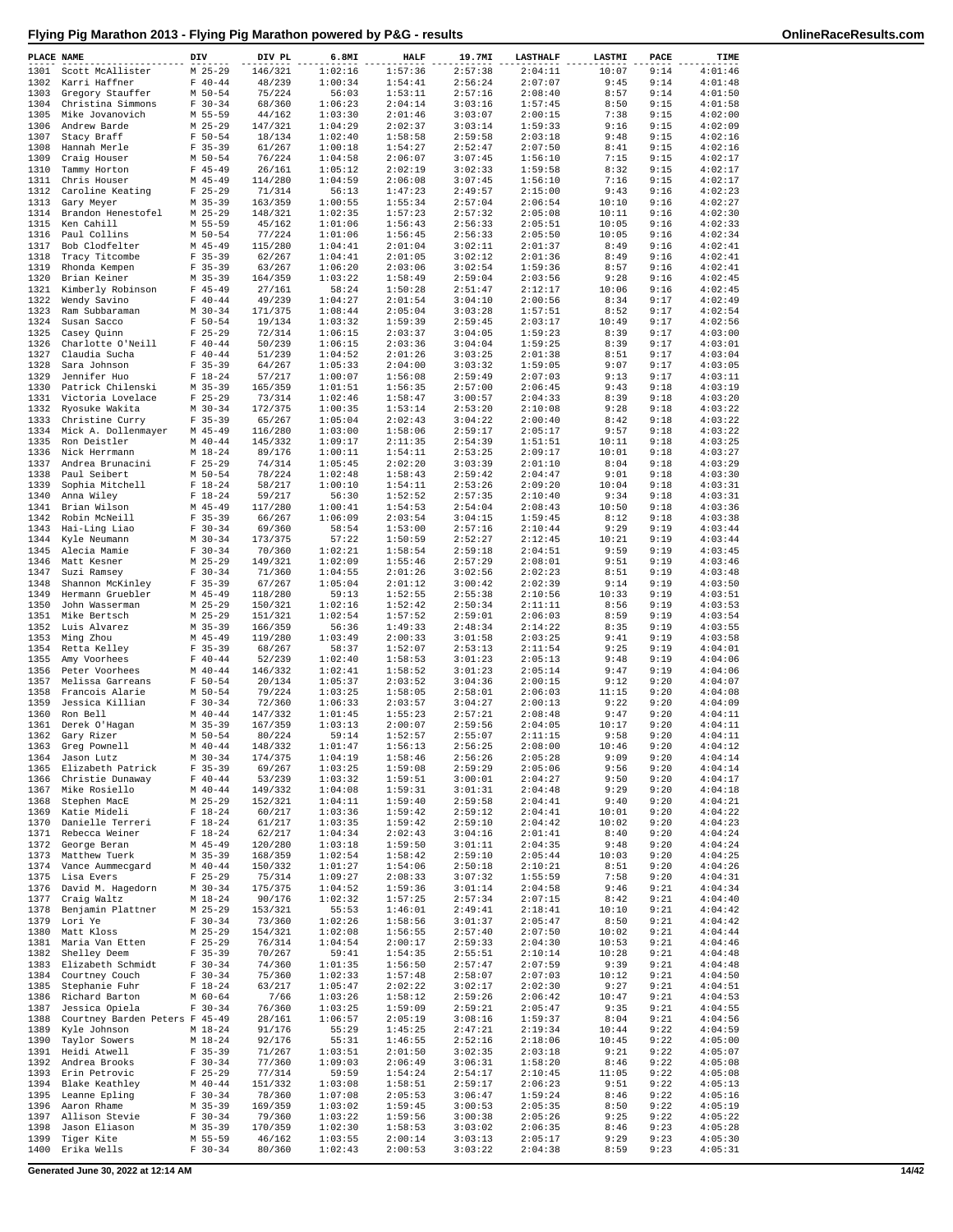|  | Flying Pig Marathon 2013 - Flying Pig Marathon powered by P&G - results |  |
|--|-------------------------------------------------------------------------|--|
|  |                                                                         |  |

| PLACE NAME   |                                        | DIV                      | DIV PL             | 6.8MI              | <b>HALF</b>        | 19.7MI             | <b>LASTHALF</b>    | LASTMI        | PACE         | TIME               |
|--------------|----------------------------------------|--------------------------|--------------------|--------------------|--------------------|--------------------|--------------------|---------------|--------------|--------------------|
| 1301         | Scott McAllister                       | $M$ 25-29                | 146/321            | 1:02:16            | 1:57:36            | 2:57:38            | 2:04:11            | 10:07         | 9:14         | 4:01:46            |
| 1302         | Karri Haffner                          | $F 40 - 44$              | 48/239             | 1:00:34            | 1:54:41            | 2:56:24            | 2:07:07            | 9:45          | 9:14         | 4:01:48            |
| 1303         | Gregory Stauffer                       | $M$ 50-54                | 75/224             | 56:03              | 1:53:11            | 2:57:16            | 2:08:40            | 8:57          | 9:14         | 4:01:50            |
| 1304<br>1305 | Christina Simmons<br>Mike Jovanovich   | $F 30-34$<br>M 55-59     | 68/360<br>44/162   | 1:06:23<br>1:03:30 | 2:04:14<br>2:01:46 | 3:03:16<br>3:03:07 | 1:57:45<br>2:00:15 | 8:50<br>7:38  | 9:15<br>9:15 | 4:01:58<br>4:02:00 |
| 1306         | Andrew Barde                           | $M$ 25-29                | 147/321            | 1:04:29            | 2:02:37            | 3:03:14            | 1:59:33            | 9:16          | 9:15         | 4:02:09            |
| 1307         | Stacy Braff                            | $F 50 - 54$              | 18/134             | 1:02:40            | 1:58:58            | 2:59:58            | 2:03:18            | 9:48          | 9:15         | 4:02:16            |
| 1308         | Hannah Merle                           | $F$ 35-39                | 61/267             | 1:00:18            | 1:54:27            | 2:52:47            | 2:07:50            | 8:41          | 9:15         | 4:02:16            |
| 1309         | Craig Houser                           | M 50-54                  | 76/224             | 1:04:58            | 2:06:07            | 3:07:45            | 1:56:10            | 7:15          | 9:15         | 4:02:17            |
| 1310<br>1311 | Tammy Horton<br>Chris Houser           | $F$ 45-49<br>$M$ 45-49   | 26/161<br>114/280  | 1:05:12<br>1:04:59 | 2:02:19<br>2:06:08 | 3:02:33<br>3:07:45 | 1:59:58<br>1:56:10 | 8:32<br>7:16  | 9:15<br>9:15 | 4:02:17<br>4:02:17 |
| 1312         | Caroline Keating                       | $F$ 25-29                | 71/314             | 56:13              | 1:47:23            | 2:49:57            | 2:15:00            | 9:43          | 9:16         | 4:02:23            |
| 1313         | Gary Meyer                             | $M$ 35-39                | 163/359            | 1:00:55            | 1:55:34            | 2:57:04            | 2:06:54            | 10:10         | 9:16         | 4:02:27            |
| 1314         | Brandon Henestofel                     | $M$ 25-29                | 148/321            | 1:02:35            | 1:57:23            | 2:57:32            | 2:05:08            | 10:11         | 9:16         | 4:02:30            |
| 1315         | Ken Cahill                             | M 55-59                  | 45/162             | 1:01:06            | 1:56:43            | 2:56:33            | 2:05:51            | 10:05         | 9:16         | 4:02:33            |
| 1316         | Paul Collins                           | M 50-54                  | 77/224             | 1:01:06            | 1:56:45            | 2:56:33            | 2:05:50            | 10:05         | 9:16         | 4:02:34            |
| 1317<br>1318 | Bob Clodfelter<br>Tracy Titcombe       | $M$ 45-49<br>$F$ 35-39   | 115/280<br>62/267  | 1:04:41<br>1:04:41 | 2:01:04<br>2:01:05 | 3:02:11<br>3:02:12 | 2:01:37<br>2:01:36 | 8:49<br>8:49  | 9:16<br>9:16 | 4:02:41<br>4:02:41 |
| 1319         | Rhonda Kempen                          | $F$ 35-39                | 63/267             | 1:06:20            | 2:03:06            | 3:02:54            | 1:59:36            | 8:57          | 9:16         | 4:02:41            |
| 1320         | Brian Keiner                           | $M$ 35-39                | 164/359            | 1:03:22            | 1:58:49            | 2:59:04            | 2:03:56            | 9:28          | 9:16         | 4:02:45            |
| 1321         | Kimberly Robinson                      | $F$ 45-49                | 27/161             | 58:24              | 1:50:28            | 2:51:47            | 2:12:17            | 10:06         | 9:16         | 4:02:45            |
| 1322         | Wendy Savino                           | $F 40 - 44$              | 49/239             | 1:04:27            | 2:01:54            | 3:04:10            | 2:00:56            | 8:34          | 9:17         | 4:02:49            |
| 1323<br>1324 | Ram Subbaraman<br>Susan Sacco          | $M$ 30-34<br>$F 50 - 54$ | 171/375<br>19/134  | 1:08:44<br>1:03:32 | 2:05:04<br>1:59:39 | 3:03:28<br>2:59:45 | 1:57:51<br>2:03:17 | 8:52<br>10:49 | 9:17<br>9:17 | 4:02:54<br>4:02:56 |
| 1325         | Casey Quinn                            | $F$ 25-29                | 72/314             | 1:06:15            | 2:03:37            | 3:04:05            | 1:59:23            | 8:39          | 9:17         | 4:03:00            |
| 1326         | Charlotte O'Neill                      | $F 40 - 44$              | 50/239             | 1:06:15            | 2:03:36            | 3:04:04            | 1:59:25            | 8:39          | 9:17         | 4:03:01            |
| 1327         | Claudia Sucha                          | $F 40 - 44$              | 51/239             | 1:04:52            | 2:01:26            | 3:03:25            | 2:01:38            | 8:51          | 9:17         | 4:03:04            |
| 1328         | Sara Johnson                           | $F$ 35-39                | 64/267             | 1:05:33            | 2:04:00            | 3:03:32            | 1:59:05            | 9:07          | 9:17         | 4:03:05            |
| 1329<br>1330 | Jennifer Huo                           | $F 18-24$<br>$M$ 35-39   | 57/217             | 1:00:07<br>1:01:51 | 1:56:08<br>1:56:35 | 2:59:49<br>2:57:00 | 2:07:03<br>2:06:45 | 9:13<br>9:43  | 9:17<br>9:18 | 4:03:11<br>4:03:19 |
| 1331         | Patrick Chilenski<br>Victoria Lovelace | $F$ 25-29                | 165/359<br>73/314  | 1:02:46            | 1:58:47            | 3:00:57            | 2:04:33            | 8:39          | 9:18         | 4:03:20            |
| 1332         | Rvosuke Wakita                         | $M$ 30-34                | 172/375            | 1:00:35            | 1:53:14            | 2:53:20            | 2:10:08            | 9:28          | 9:18         | 4:03:22            |
| 1333         | Christine Curry                        | $F$ 35-39                | 65/267             | 1:05:04            | 2:02:43            | 3:04:22            | 2:00:40            | 8:42          | 9:18         | 4:03:22            |
|              | 1334 Mick A. Dollenmayer               | $M$ 45-49                | 116/280            | 1:03:00            | 1:58:06            | 2:59:17            | 2:05:17            | 9:57          | 9:18         | 4:03:22            |
| 1335<br>1336 | Ron Deistler                           | $M$ 40-44<br>$M_18-24$   | 145/332            | 1:09:17<br>1:00:11 | 2:11:35<br>1:54:11 | 2:54:39<br>2:53:25 | 1:51:51<br>2:09:17 | 10:11         | 9:18<br>9:18 | 4:03:25<br>4:03:27 |
| 1337         | Nick Herrmann<br>Andrea Brunacini      | $F$ 25-29                | 89/176<br>74/314   | 1:05:45            | 2:02:20            | 3:03:39            | 2:01:10            | 10:01<br>8:04 | 9:18         | 4:03:29            |
| 1338         | Paul Seibert                           | $M$ 50-54                | 78/224             | 1:02:48            | 1:58:43            | 2:59:42            | 2:04:47            | 9:01          | 9:18         | 4:03:30            |
| 1339         | Sophia Mitchell                        | $F 18-24$                | 58/217             | 1:00:10            | 1:54:11            | 2:53:26            | 2:09:20            | 10:04         | 9:18         | 4:03:31            |
| 1340         | Anna Wiley                             | $F 18-24$                | 59/217             | 56:30              | 1:52:52            | 2:57:35            | 2:10:40            | 9:34          | 9:18         | 4:03:31            |
| 1341         | Brian Wilson                           | $M$ 45-49                | 117/280            | 1:00:41            | 1:54:53            | 2:54:04            | 2:08:43            | 10:50         | 9:18         | 4:03:36            |
| 1342<br>1343 | Robin McNeill<br>Hai-Ling Liao         | $F$ 35-39<br>$F 30-34$   | 66/267<br>69/360   | 1:06:09<br>58:54   | 2:03:54<br>1:53:00 | 3:04:15<br>2:57:16 | 1:59:45<br>2:10:44 | 8:12<br>9:29  | 9:18<br>9:19 | 4:03:38<br>4:03:44 |
| 1344         | Kyle Neumann                           | $M$ 30-34                | 173/375            | 57:22              | 1:50:59            | 2:52:27            | 2:12:45            | 10:21         | 9:19         | 4:03:44            |
| 1345         | Alecia Mamie                           | $F 30-34$                | 70/360             | 1:02:21            | 1:58:54            | 2:59:18            | 2:04:51            | 9:59          | 9:19         | 4:03:45            |
| 1346         | Matt Kesner                            | $M$ 25-29                | 149/321            | 1:02:09            | 1:55:46            | 2:57:29            | 2:08:01            | 9:51          | 9:19         | 4:03:46            |
| 1347         | Suzi Ramsey                            | $F 30-34$                | 71/360             | 1:04:55            | 2:01:26            | 3:02:56            | 2:02:23            | 8:51          | 9:19         | 4:03:48            |
| 1348<br>1349 | Shannon McKinley<br>Hermann Gruebler   | $F$ 35-39<br>$M$ 45-49   | 67/267<br>118/280  | 1:05:04<br>59:13   | 2:01:12<br>1:52:55 | 3:00:42<br>2:55:38 | 2:02:39<br>2:10:56 | 9:14<br>10:33 | 9:19<br>9:19 | 4:03:50<br>4:03:51 |
| 1350         | John Wasserman                         | $M$ 25-29                | 150/321            | 1:02:16            | 1:52:42            | 2:50:34            | 2:11:11            | 8:56          | 9:19         | 4:03:53            |
| 1351         | Mike Bertsch                           | $M$ 25-29                | 151/321            | 1:02:54            | 1:57:52            | 2:59:01            | 2:06:03            | 8:59          | 9:19         | 4:03:54            |
| 1352         | Luis Alvarez                           | $M$ 35-39                | 166/359            | 56:36              | 1:49:33            | 2:48:34            | 2:14:22            | 8:35          | 9:19         | 4:03:55            |
| 1353         | Ming Zhou                              | $M$ 45-49                | 119/280            | 1:03:49            | 2:00:33            | 3:01:58            | 2:03:25            | 9:41          | 9:19         | 4:03:58            |
| 1354         | Retta Kelley                           | $F$ 35-39                | 68/267             | 58:37              | 1:52:07            | 2:53:13<br>3:01:23 | 2:11:54            | 9:25          | 9:19         | 4:04:01            |
| 1355<br>1356 | Amy Voorhees<br>Peter Voorhees         | $F 40 - 44$<br>$M$ 40-44 | 52/239<br>146/332  | 1:02:40<br>1:02:41 | 1:58:53<br>1:58:52 | 3:01:23            | 2:05:13<br>2:05:14 | 9:48<br>9:47  | 9:19<br>9:19 | 4:04:06<br>4:04:06 |
| 1357         | Melissa Garreans                       | $F 50 - 54$              | 20/134             | 1:05:37            | 2:03:52            | 3:04:36            | 2:00:15            | 9:12          | 9:20         | 4:04:07            |
| 1358         | Francois Alarie                        | M 50-54                  | 79/224             | 1:03:25            | 1:58:05            | 2:58:01            | 2:06:03            | 11:15         | 9:20         | 4:04:08            |
| 1359         | Jessica Killian                        | $F 30-34$                | 72/360             | 1:06:33            | 2:03:57            | 3:04:27            | 2:00:13            | 9:22          | 9:20         | 4:04:09            |
| 1360         | Ron Bell                               | $M$ 40-44                | 147/332            | 1:01:45            | 1:55:23            | 2:57:21            | 2:08:48            | 9:47          | 9:20         | 4:04:11            |
| 1361<br>1362 | Derek O'Hagan<br>Gary Rizer            | $M$ 35-39<br>$M$ 50-54   | 167/359<br>80/224  | 1:03:13<br>59:14   | 2:00:07<br>1:52:57 | 2:59:56<br>2:55:07 | 2:04:05<br>2:11:15 | 10:17<br>9:58 | 9:20<br>9:20 | 4:04:11<br>4:04:11 |
| 1363         | Greg Pownell                           | $M$ 40-44                | 148/332            | 1:01:47            | 1:56:13            | 2:56:25            | 2:08:00            | 10:46         | 9:20         | 4:04:12            |
|              | 1364 Jason Lutz                        | $M$ 30-34                | 174/375            | 1:04:19            | 1:58:46            | 2:56:26            | 2:05:28            | 9:09          | 9:20         | 4:04:14            |
| 1365         | Elizabeth Patrick                      | $F$ 35-39                | 69/267             | 1:03:25            | 1:59:08            | 2:59:29            | 2:05:06            | 9:56          | 9:20         | 4:04:14            |
| 1366         | Christie Dunaway                       | $F 40 - 44$              | 53/239             | 1:03:32            | 1:59:51            | 3:00:01            | 2:04:27            | 9:50          | 9:20         | 4:04:17            |
| 1367<br>1368 | Mike Rosiello<br>Stephen MacE          | $M$ 40-44<br>$M$ 25-29   | 149/332<br>152/321 | 1:04:08<br>1:04:11 | 1:59:31<br>1:59:40 | 3:01:31<br>2:59:58 | 2:04:48<br>2:04:41 | 9:29<br>9:40  | 9:20<br>9:20 | 4:04:18<br>4:04:21 |
| 1369         | Katie Mideli                           | $F 18-24$                | 60/217             | 1:03:36            | 1:59:42            | 2:59:12            | 2:04:41            | 10:01         | 9:20         | 4:04:22            |
| 1370         | Danielle Terreri                       | $F 18-24$                | 61/217             | 1:03:35            | 1:59:42            | 2:59:10            | 2:04:42            | 10:02         | 9:20         | 4:04:23            |
| 1371         | Rebecca Weiner                         | $F 18-24$                | 62/217             | 1:04:34            | 2:02:43            | 3:04:16            | 2:01:41            | 8:40          | 9:20         | 4:04:24            |
| 1372         | George Beran                           | $M$ 45-49                | 120/280            | 1:03:18            | 1:59:50            | 3:01:11            | 2:04:35            | 9:48          | 9:20         | 4:04:24            |
| 1373<br>1374 | Matthew Tuerk<br>Vance Aummecgard      | $M$ 35-39<br>$M$ 40-44   | 168/359<br>150/332 | 1:02:54<br>1:01:27 | 1:58:42<br>1:54:06 | 2:59:10<br>2:50:18 | 2:05:44<br>2:10:21 | 10:03<br>8:51 | 9:20<br>9:20 | 4:04:25<br>4:04:26 |
| 1375         | Lisa Evers                             | $F$ 25-29                | 75/314             | 1:09:27            | 2:08:33            | 3:07:32            | 1:55:59            | 7:58          | 9:20         | 4:04:31            |
| 1376         | David M. Hagedorn                      | $M$ 30-34                | 175/375            | 1:04:52            | 1:59:36            | 3:01:14            | 2:04:58            | 9:46          | 9:21         | 4:04:34            |
| 1377         | Craig Waltz                            | $M_18-24$                | 90/176             | 1:02:32            | 1:57:25            | 2:57:34            | 2:07:15            | 8:42          | 9:21         | 4:04:40            |
| 1378         | Benjamin Plattner                      | $M$ 25-29                | 153/321            | 55:53              | 1:46:01            | 2:49:41            | 2:18:41            | 10:10         | 9:21         | 4:04:42            |
| 1379         | Lori Ye<br>Matt Kloss                  | $F 30-34$<br>$M$ 25-29   | 73/360             | 1:02:26            | 1:58:56<br>1:56:55 | 3:01:37            | 2:05:47            | 8:50<br>10:02 | 9:21<br>9:21 | 4:04:42<br>4:04:44 |
| 1380<br>1381 | Maria Van Etten                        | $F$ 25-29                | 154/321<br>76/314  | 1:02:08<br>1:04:54 | 2:00:17            | 2:57:40<br>2:59:33 | 2:07:50<br>2:04:30 | 10:53         | 9:21         | 4:04:46            |
| 1382         | Shelley Deem                           | $F$ 35-39                | 70/267             | 59:41              | 1:54:35            | 2:55:51            | 2:10:14            | 10:28         | 9:21         | 4:04:48            |
| 1383         | Elizabeth Schmidt                      | $F 30-34$                | 74/360             | 1:01:35            | 1:56:50            | 2:57:47            | 2:07:59            | 9:39          | 9:21         | 4:04:48            |
| 1384         | Courtney Couch                         | $F 30-34$                | 75/360             | 1:02:33            | 1:57:48            | 2:58:07            | 2:07:03            | 10:12         | 9:21         | 4:04:50            |
| 1385         | Stephanie Fuhr                         | $F 18-24$                | 63/217             | 1:05:47            | 2:02:22            | 3:02:17            | 2:02:30            | 9:27          | 9:21         | 4:04:51            |
| 1386<br>1387 | Richard Barton<br>Jessica Opiela       | $M$ 60-64<br>$F 30-34$   | 7/66<br>76/360     | 1:03:26<br>1:03:25 | 1:58:12<br>1:59:09 | 2:59:26<br>2:59:21 | 2:06:42<br>2:05:47 | 10:47<br>9:35 | 9:21<br>9:21 | 4:04:53<br>4:04:55 |
| 1388         | Courtney Barden Peters F 45-49         |                          | 28/161             | 1:06:57            | 2:05:19            | 3:08:16            | 1:59:37            | 8:04          | 9:21         | 4:04:56            |
| 1389         | Kyle Johnson                           | $M_18-24$                | 91/176             | 55:29              | 1:45:25            | 2:47:21            | 2:19:34            | 10:44         | 9:22         | 4:04:59            |
| 1390         | Taylor Sowers                          | $M_18-24$                | 92/176             | 55:31              | 1:46:55            | 2:52:16            | 2:18:06            | 10:45         | 9:22         | 4:05:00            |
| 1391         | Heidi Atwell                           | $F$ 35-39                | 71/267             | 1:03:51            | 2:01:50            | 3:02:35            | 2:03:18            | 9:21          | 9:22         | 4:05:07            |
| 1392<br>1393 | Andrea Brooks<br>Erin Petrovic         | $F 30-34$<br>$F$ 25-29   | 77/360<br>77/314   | 1:09:03<br>59:59   | 2:06:49<br>1:54:24 | 3:06:31<br>2:54:17 | 1:58:20<br>2:10:45 | 8:46<br>11:05 | 9:22<br>9:22 | 4:05:08<br>4:05:08 |
| 1394         | Blake Keathley                         | $M$ 40-44                | 151/332            | 1:03:08            | 1:58:51            | 2:59:17            | 2:06:23            | 9:51          | 9:22         | 4:05:13            |
| 1395         | Leanne Epling                          | $F 30-34$                | 78/360             | 1:07:08            | 2:05:53            | 3:06:47            | 1:59:24            | 8:46          | 9:22         | 4:05:16            |
| 1396         | Aaron Rhame                            | $M$ 35-39                | 169/359            | 1:03:02            | 1:59:45            | 3:00:53            | 2:05:35            | 8:50          | 9:22         | 4:05:19            |
| 1397         | Allison Stevie                         | $F 30-34$                | 79/360             | 1:03:22            | 1:59:56            | 3:00:38            | 2:05:26            | 9:25          | 9:22         | 4:05:22            |
| 1398<br>1399 | Jason Eliason<br>Tiger Kite            | $M$ 35-39<br>M 55-59     | 170/359<br>46/162  | 1:02:30<br>1:03:55 | 1:58:53<br>2:00:14 | 3:03:02<br>3:03:13 | 2:06:35<br>2:05:17 | 8:46<br>9:29  | 9:23<br>9:23 | 4:05:28<br>4:05:30 |
| 1400         | Erika Wells                            | $F 30-34$                | 80/360             | 1:02:43            | 2:00:53            | 3:03:22            | 2:04:38            | 8:59          | 9:23         | 4:05:31            |
|              |                                        |                          |                    |                    |                    |                    |                    |               |              |                    |

**Generated June 30, 2022 at 12:14 AM 14/42**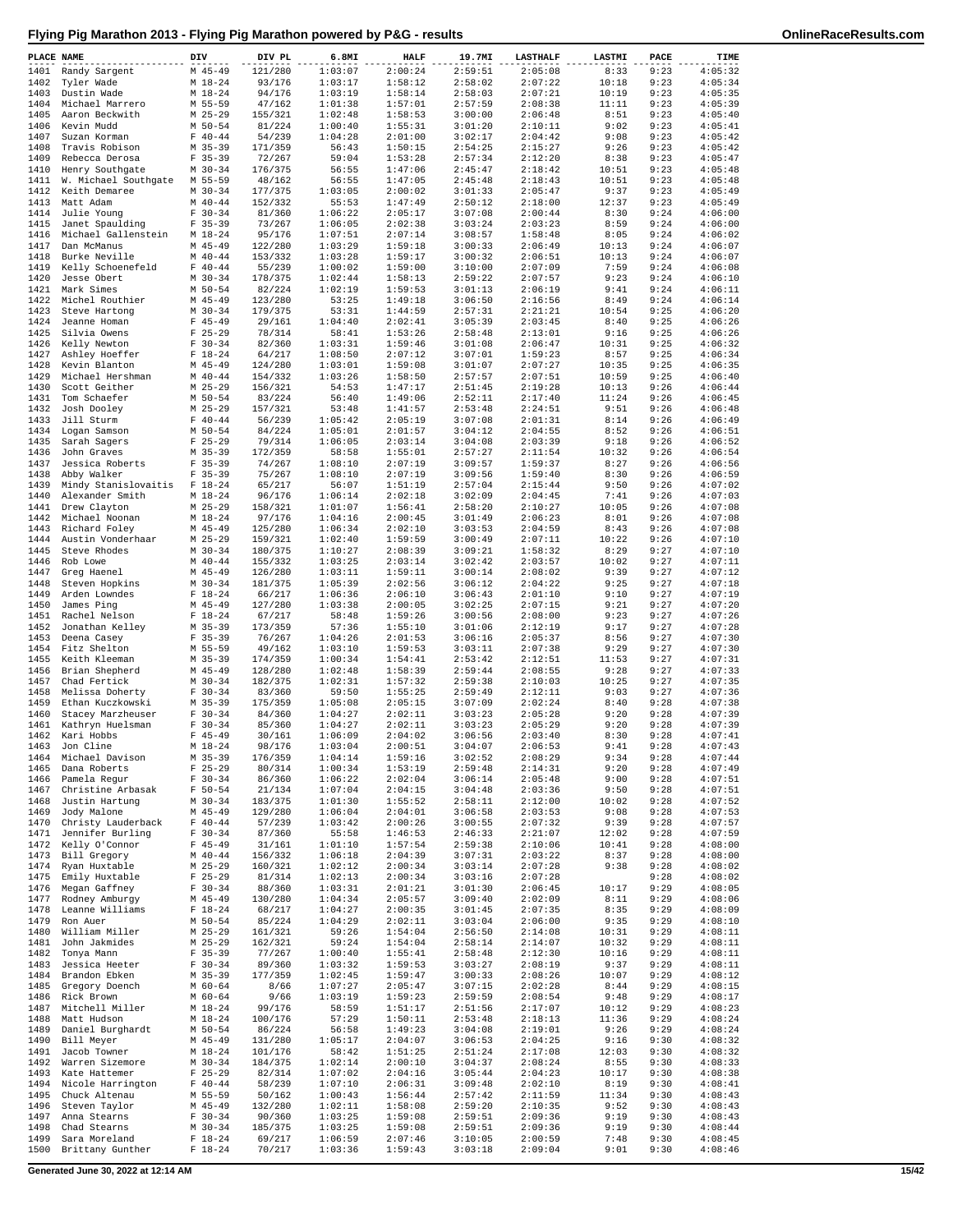|  |  | Flying Pig Marathon 2013 - Flying Pig Marathon powered by P&G - results |  |
|--|--|-------------------------------------------------------------------------|--|
|  |  |                                                                         |  |

| PLACE NAME   |                                        | DIV                      | DIV PL             | 6.8MI              | <b>HALF</b>        | 19.7MI             | <b>LASTHALF</b>    | LASTMI         | PACE         | TIME               |
|--------------|----------------------------------------|--------------------------|--------------------|--------------------|--------------------|--------------------|--------------------|----------------|--------------|--------------------|
| 1401         | Randy Sargent                          | $M$ 45-49                | 121/280            | 1:03:07            | 2:00:24            | 2:59:51            | 2:05:08            | 8:33           | 9:23         | 4:05:32            |
| 1402         | Tyler Wade                             | $M_18-24$                | 93/176             | 1:03:17            | 1:58:12            | 2:58:02            | 2:07:22            | 10:18          | 9:23         | 4:05:34            |
| 1403         | Dustin Wade                            | M 18-24                  | 94/176             | 1:03:19            | 1:58:14            | 2:58:03            | 2:07:21            | 10:19          | 9:23         | 4:05:35            |
| 1404         | Michael Marrero                        | M 55-59                  | 47/162             | 1:01:38            | 1:57:01            | 2:57:59            | 2:08:38            | 11:11          | 9:23         | 4:05:39            |
| 1405<br>1406 | Aaron Beckwith<br>Kevin Mudd           | $M$ 25-29<br>$M$ 50-54   | 155/321<br>81/224  | 1:02:48<br>1:00:40 | 1:58:53<br>1:55:31 | 3:00:00<br>3:01:20 | 2:06:48<br>2:10:11 | 8:51<br>9:02   | 9:23<br>9:23 | 4:05:40<br>4:05:41 |
| 1407         | Suzan Korman                           | $F 40 - 44$              | 54/239             | 1:04:28            | 2:01:00            | 3:02:17            | 2:04:42            | 9:08           | 9:23         | 4:05:42            |
| 1408         | Travis Robison                         | $M$ 35-39                | 171/359            | 56:43              | 1:50:15            | 2:54:25            | 2:15:27            | 9:26           | 9:23         | 4:05:42            |
| 1409         | Rebecca Derosa                         | $F$ 35-39                | 72/267             | 59:04              | 1:53:28            | 2:57:34            | 2:12:20            | 8:38           | 9:23         | 4:05:47            |
| 1410         | Henry Southgate                        | $M$ 30-34                | 176/375            | 56:55              | 1:47:06            | 2:45:47            | 2:18:42            | 10:51          | 9:23         | 4:05:48            |
| 1411         | W. Michael Southgate                   | M 55-59                  | 48/162             | 56:55              | 1:47:05            | 2:45:48            | 2:18:43            | 10:51          | 9:23         | 4:05:48            |
| 1412         | Keith Demaree                          | $M$ 30-34                | 177/375            | 1:03:05            | 2:00:02            | 3:01:33            | 2:05:47            | 9:37           | 9:23         | 4:05:49            |
| 1413<br>1414 | Matt Adam<br>Julie Young               | $M$ 40-44<br>$F 30-34$   | 152/332<br>81/360  | 55:53<br>1:06:22   | 1:47:49<br>2:05:17 | 2:50:12<br>3:07:08 | 2:18:00<br>2:00:44 | 12:37<br>8:30  | 9:23<br>9:24 | 4:05:49<br>4:06:00 |
| 1415         | Janet Spaulding                        | $F$ 35-39                | 73/267             | 1:06:05            | 2:02:38            | 3:03:24            | 2:03:23            | 8:59           | 9:24         | 4:06:00            |
| 1416         | Michael Gallenstein                    | $M_18-24$                | 95/176             | 1:07:51            | 2:07:14            | 3:08:57            | 1:58:48            | 8:05           | 9:24         | 4:06:02            |
| 1417         | Dan McManus                            | $M$ 45-49                | 122/280            | 1:03:29            | 1:59:18            | 3:00:33            | 2:06:49            | 10:13          | 9:24         | 4:06:07            |
| 1418         | Burke Neville                          | $M$ 40-44                | 153/332            | 1:03:28            | 1:59:17            | 3:00:32            | 2:06:51            | 10:13          | 9:24         | 4:06:07            |
| 1419         | Kelly Schoenefeld                      | $F 40 - 44$              | 55/239             | 1:00:02            | 1:59:00            | 3:10:00            | 2:07:09            | 7:59           | 9:24         | 4:06:08            |
| 1420         | Jesse Obert                            | $M$ 30-34                | 178/375            | 1:02:44            | 1:58:13            | 2:59:22            | 2:07:57            | 9:23           | 9:24         | 4:06:10            |
| 1421<br>1422 | Mark Simes<br>Michel Routhier          | $M$ 50-54<br>$M$ 45-49   | 82/224<br>123/280  | 1:02:19<br>53:25   | 1:59:53<br>1:49:18 | 3:01:13<br>3:06:50 | 2:06:19<br>2:16:56 | 9:41<br>8:49   | 9:24<br>9:24 | 4:06:11<br>4:06:14 |
| 1423         | Steve Hartong                          | $M$ 30-34                | 179/375            | 53:31              | 1:44:59            | 2:57:31            | 2:21:21            | 10:54          | 9:25         | 4:06:20            |
| 1424         | Jeanne Homan                           | $F$ 45-49                | 29/161             | 1:04:40            | 2:02:41            | 3:05:39            | 2:03:45            | 8:40           | 9:25         | 4:06:26            |
| 1425         | Silvia Owens                           | $F$ 25-29                | 78/314             | 58:41              | 1:53:26            | 2:58:48            | 2:13:01            | 9:16           | 9:25         | 4:06:26            |
| 1426         | Kelly Newton                           | $F 30-34$                | 82/360             | 1:03:31            | 1:59:46            | 3:01:08            | 2:06:47            | 10:31          | 9:25         | 4:06:32            |
| 1427         | Ashley Hoeffer                         | $F 18-24$                | 64/217             | 1:08:50            | 2:07:12            | 3:07:01            | 1:59:23            | 8:57           | 9:25         | 4:06:34            |
| 1428         | Kevin Blanton                          | $M$ 45-49                | 124/280            | 1:03:01            | 1:59:08            | 3:01:07            | 2:07:27            | 10:35          | 9:25         | 4:06:35            |
| 1429<br>1430 | Michael Hershman<br>Scott Geither      | $M$ 40-44<br>$M$ 25-29   | 154/332<br>156/321 | 1:03:26<br>54:53   | 1:58:50<br>1:47:17 | 2:57:57<br>2:51:45 | 2:07:51<br>2:19:28 | 10:59<br>10:13 | 9:25<br>9:26 | 4:06:40<br>4:06:44 |
| 1431         | Tom Schaefer                           | $M$ 50-54                | 83/224             | 56:40              | 1:49:06            | 2:52:11            | 2:17:40            | 11:24          | 9:26         | 4:06:45            |
| 1432         | Josh Dooley                            | $M$ 25-29                | 157/321            | 53:48              | 1:41:57            | 2:53:48            | 2:24:51            | 9:51           | 9:26         | 4:06:48            |
| 1433         | Jill Sturm                             | $F 40 - 44$              | 56/239             | 1:05:42            | 2:05:19            | 3:07:08            | 2:01:31            | 8:14           | 9:26         | 4:06:49            |
| 1434         | Logan Samson                           | $M$ 50-54                | 84/224             | 1:05:01            | 2:01:57            | 3:04:12            | 2:04:55            | 8:52           | 9:26         | 4:06:51            |
| 1435         | Sarah Sagers                           | $F$ 25-29                | 79/314             | 1:06:05            | 2:03:14            | 3:04:08            | 2:03:39            | 9:18           | 9:26         | 4:06:52            |
| 1436         | John Graves                            | $M$ 35-39                | 172/359            | 58:58              | 1:55:01            | 2:57:27            | 2:11:54            | 10:32          | 9:26         | 4:06:54            |
| 1437         | Jessica Roberts                        | $F$ 35-39                | 74/267             | 1:08:10            | 2:07:19            | 3:09:57            | 1:59:37            | 8:27           | 9:26         | 4:06:56            |
| 1438<br>1439 | Abby Walker<br>Mindy Stanislovaitis    | $F$ 35-39<br>$F 18-24$   | 75/267<br>65/217   | 1:08:10<br>56:07   | 2:07:19<br>1:51:19 | 3:09:56<br>2:57:04 | 1:59:40<br>2:15:44 | 8:30<br>9:50   | 9:26<br>9:26 | 4:06:59<br>4:07:02 |
| 1440         | Alexander Smith                        | $M_18-24$                | 96/176             | 1:06:14            | 2:02:18            | 3:02:09            | 2:04:45            | 7:41           | 9:26         | 4:07:03            |
| 1441         | Drew Clayton                           | $M$ 25-29                | 158/321            | 1:01:07            | 1:56:41            | 2:58:20            | 2:10:27            | 10:05          | 9:26         | 4:07:08            |
| 1442         | Michael Noonan                         | $M_18-24$                | 97/176             | 1:04:16            | 2:00:45            | 3:01:49            | 2:06:23            | 8:01           | 9:26         | 4:07:08            |
| 1443         | Richard Foley                          | $M$ 45-49                | 125/280            | 1:06:34            | 2:02:10            | 3:03:53            | 2:04:59            | 8:43           | 9:26         | 4:07:08            |
| 1444         | Austin Vonderhaar                      | $M$ 25-29                | 159/321            | 1:02:40            | 1:59:59            | 3:00:49            | 2:07:11            | 10:22          | 9:26         | 4:07:10            |
| 1445         | Steve Rhodes                           | $M$ 30-34                | 180/375            | 1:10:27            | 2:08:39            | 3:09:21            | 1:58:32            | 8:29           | 9:27         | 4:07:10            |
| 1446         | Rob Lowe                               | $M$ 40-44                | 155/332            | 1:03:25            | 2:03:14            | 3:02:42            | 2:03:57            | 10:02          | 9:27         | 4:07:11            |
| 1447<br>1448 | Greg Haenel<br>Steven Hopkins          | $M$ 45-49<br>$M$ 30-34   | 126/280<br>181/375 | 1:03:11<br>1:05:39 | 1:59:11<br>2:02:56 | 3:00:14<br>3:06:12 | 2:08:02<br>2:04:22 | 9:39<br>9:25   | 9:27<br>9:27 | 4:07:12<br>4:07:18 |
| 1449         | Arden Lowndes                          | $F 18-24$                | 66/217             | 1:06:36            | 2:06:10            | 3:06:43            | 2:01:10            | 9:10           | 9:27         | 4:07:19            |
| 1450         | James Ping                             | $M$ 45-49                | 127/280            | 1:03:38            | 2:00:05            | 3:02:25            | 2:07:15            | 9:21           | 9:27         | 4:07:20            |
| 1451         | Rachel Nelson                          | $F 18-24$                | 67/217             | 58:48              | 1:59:26            | 3:00:56            | 2:08:00            | 9:23           | 9:27         | 4:07:26            |
| 1452         | Jonathan Kelley                        | $M$ 35-39                | 173/359            | 57:36              | 1:55:10            | 3:01:06            | 2:12:19            | 9:17           | 9:27         | 4:07:28            |
| 1453         | Deena Casey                            | $F$ 35-39                | 76/267             | 1:04:26            | 2:01:53            | 3:06:16            | 2:05:37            | 8:56           | 9:27         | 4:07:30            |
| 1454         | Fitz Shelton                           | M 55-59                  | 49/162             | 1:03:10            | 1:59:53            | 3:03:11<br>2:53:42 | 2:07:38            | 9:29           | 9:27         | 4:07:30            |
| 1455<br>1456 | Keith Kleeman<br>Brian Shepherd        | $M$ 35-39<br>$M$ 45-49   | 174/359<br>128/280 | 1:00:34<br>1:02:48 | 1:54:41<br>1:58:39 | 2:59:44            | 2:12:51<br>2:08:55 | 11:53<br>9:28  | 9:27<br>9:27 | 4:07:31<br>4:07:33 |
| 1457         | Chad Fertick                           | $M$ 30-34                | 182/375            | 1:02:31            | 1:57:32            | 2:59:38            | 2:10:03            | 10:25          | 9:27         | 4:07:35            |
| 1458         | Melissa Doherty                        | $F 30-34$                | 83/360             | 59:50              | 1:55:25            | 2:59:49            | 2:12:11            | 9:03           | 9:27         | 4:07:36            |
| 1459         | Ethan Kuczkowski                       | $M$ 35-39                | 175/359            | 1:05:08            | 2:05:15            | 3:07:09            | 2:02:24            | 8:40           | 9:28         | 4:07:38            |
| 1460         | Stacey Marzheuser                      | $F 30-34$                | 84/360             | 1:04:27            | 2:02:11            | 3:03:23            | 2:05:28            | 9:20           | 9:28         | 4:07:39            |
| 1461         | Kathryn Huelsman                       | $F 30-34$                | 85/360             | 1:04:27            | 2:02:11            | 3:03:23            | 2:05:29            | 9:20           | 9:28         | 4:07:39            |
| 1462         | Kari Hobbs                             | $F$ 45-49                | 30/161<br>98/176   | 1:06:09<br>1:03:04 | 2:04:02            | 3:06:56            | 2:03:40            | 8:30           | 9:28         | 4:07:41            |
| 1464         | 1463 Jon Cline<br>Michael Davison      | M 18-24<br>$M$ 35-39     | 176/359            | 1:04:14            | 2:00:51<br>1:59:16 | 3:04:07<br>3:02:52 | 2:06:53<br>2:08:29 | 9:41<br>9:34   | 9:28<br>9:28 | 4:07:43<br>4:07:44 |
| 1465         | Dana Roberts                           | $F$ 25-29                | 80/314             | 1:00:34            | 1:53:19            | 2:59:48            | 2:14:31            | 9:20           | 9:28         | 4:07:49            |
| 1466         | Pamela Requr                           | $F 30-34$                | 86/360             | 1:06:22            | 2:02:04            | 3:06:14            | 2:05:48            | 9:00           | 9:28         | 4:07:51            |
| 1467         | Christine Arbasak                      | $F 50 - 54$              | 21/134             | 1:07:04            | 2:04:15            | 3:04:48            | 2:03:36            | 9:50           | 9:28         | 4:07:51            |
| 1468         | Justin Hartung                         | $M$ 30-34                | 183/375            | 1:01:30            | 1:55:52            | 2:58:11            | 2:12:00            | 10:02          | 9:28         | 4:07:52            |
| 1469         | Jody Malone                            | $M$ 45-49                | 129/280            | 1:06:04            | 2:04:01            | 3:06:58            | 2:03:53            | 9:08           | 9:28         | 4:07:53            |
| 1470<br>1471 | Christy Lauderback<br>Jennifer Burling | $F 40 - 44$<br>$F 30-34$ | 57/239<br>87/360   | 1:03:42<br>55:58   | 2:00:26<br>1:46:53 | 3:00:55<br>2:46:33 | 2:07:32<br>2:21:07 | 9:39<br>12:02  | 9:28<br>9:28 | 4:07:57<br>4:07:59 |
| 1472         | Kelly O'Connor                         | $F$ 45-49                | 31/161             | 1:01:10            | 1:57:54            | 2:59:38            | 2:10:06            | 10:41          | 9:28         | 4:08:00            |
| 1473         | Bill Gregory                           | $M$ 40-44                | 156/332            | 1:06:18            | 2:04:39            | 3:07:31            | 2:03:22            | 8:37           | 9:28         | 4:08:00            |
| 1474         | Rvan Huxtable                          | $M$ 25-29                | 160/321            | 1:02:12            | 2:00:34            | 3:03:14            | 2:07:28            | 9:38           | 9:28         | 4:08:02            |
| 1475         | Emily Huxtable                         | $F$ 25-29                | 81/314             | 1:02:13            | 2:00:34            | 3:03:16            | 2:07:28            |                | 9:28         | 4:08:02            |
| 1476         | Megan Gaffney                          | $F 30-34$                | 88/360             | 1:03:31            | 2:01:21            | 3:01:30            | 2:06:45            | 10:17          | 9:29         | 4:08:05            |
| 1477<br>1478 | Rodney Amburgy<br>Leanne Williams      | $M$ 45-49<br>$F 18-24$   | 130/280<br>68/217  | 1:04:34<br>1:04:27 | 2:05:57<br>2:00:35 | 3:09:40<br>3:01:45 | 2:02:09<br>2:07:35 | 8:11<br>8:35   | 9:29<br>9:29 | 4:08:06<br>4:08:09 |
| 1479         | Ron Auer                               | M 50-54                  | 85/224             | 1:04:29            | 2:02:11            | 3:03:04            | 2:06:00            | 9:35           | 9:29         | 4:08:10            |
| 1480         | William Miller                         | $M$ 25-29                | 161/321            | 59:26              | 1:54:04            | 2:56:50            | 2:14:08            | 10:31          | 9:29         | 4:08:11            |
| 1481         | John Jakmides                          | $M$ 25-29                | 162/321            | 59:24              | 1:54:04            | 2:58:14            | 2:14:07            | 10:32          | 9:29         | 4:08:11            |
| 1482         | Tonya Mann                             | $F$ 35-39                | 77/267             | 1:00:40            | 1:55:41            | 2:58:48            | 2:12:30            | 10:16          | 9:29         | 4:08:11            |
| 1483         | Jessica Heeter                         | $F 30-34$                | 89/360             | 1:03:32            | 1:59:53            | 3:03:27            | 2:08:19            | 9:37           | 9:29         | 4:08:11            |
| 1484         | Brandon Ebken                          | $M$ 35-39                | 177/359            | 1:02:45            | 1:59:47            | 3:00:33            | 2:08:26            | 10:07          | 9:29         | 4:08:12            |
| 1485<br>1486 | Gregory Doench<br>Rick Brown           | M 60-64<br>$M$ 60-64     | 8/66<br>9/66       | 1:07:27<br>1:03:19 | 2:05:47<br>1:59:23 | 3:07:15<br>2:59:59 | 2:02:28<br>2:08:54 | 8:44<br>9:48   | 9:29<br>9:29 | 4:08:15<br>4:08:17 |
| 1487         | Mitchell Miller                        | $M_18-24$                | 99/176             | 58:59              | 1:51:17            | 2:51:56            | 2:17:07            | 10:12          | 9:29         | 4:08:23            |
| 1488         | Matt Hudson                            | M 18-24                  | 100/176            | 57:29              | 1:50:11            | 2:53:48            | 2:18:13            | 11:36          | 9:29         | 4:08:24            |
| 1489         | Daniel Burghardt                       | $M$ 50-54                | 86/224             | 56:58              | 1:49:23            | 3:04:08            | 2:19:01            | 9:26           | 9:29         | 4:08:24            |
| 1490         | Bill Meyer                             | $M$ 45-49                | 131/280            | 1:05:17            | 2:04:07            | 3:06:53            | 2:04:25            | 9:16           | 9:30         | 4:08:32            |
| 1491         | Jacob Towner                           | $M 18-24$                | 101/176            | 58:42              | 1:51:25            | 2:51:24            | 2:17:08            | 12:03          | 9:30         | 4:08:32            |
| 1492         | Warren Sizemore                        | $M$ 30-34                | 184/375            | 1:02:14            | 2:00:10            | 3:04:37            | 2:08:24            | 8:55           | 9:30         | 4:08:33            |
| 1493<br>1494 | Kate Hattemer<br>Nicole Harrington     | $F$ 25-29<br>$F 40 - 44$ | 82/314<br>58/239   | 1:07:02<br>1:07:10 | 2:04:16<br>2:06:31 | 3:05:44<br>3:09:48 | 2:04:23<br>2:02:10 | 10:17<br>8:19  | 9:30<br>9:30 | 4:08:38<br>4:08:41 |
| 1495         | Chuck Altenau                          | M 55-59                  | 50/162             | 1:00:43            | 1:56:44            | 2:57:42            | 2:11:59            | 11:34          | 9:30         | 4:08:43            |
| 1496         | Steven Taylor                          | $M$ 45-49                | 132/280            | 1:02:11            | 1:58:08            | 2:59:20            | 2:10:35            | 9:52           | 9:30         | 4:08:43            |
| 1497         | Anna Stearns                           | $F 30-34$                | 90/360             | 1:03:25            | 1:59:08            | 2:59:51            | 2:09:36            | 9:19           | 9:30         | 4:08:43            |
| 1498         | Chad Stearns                           | $M$ 30-34                | 185/375            | 1:03:25            | 1:59:08            | 2:59:51            | 2:09:36            | 9:19           | 9:30         | 4:08:44            |
| 1499         | Sara Moreland                          | $F 18-24$                | 69/217             | 1:06:59            | 2:07:46            | 3:10:05            | 2:00:59            | 7:48           | 9:30         | 4:08:45            |
| 1500         | Brittany Gunther                       | $F 18-24$                | 70/217             | 1:03:36            | 1:59:43            | 3:03:18            | 2:09:04            | 9:01           | 9:30         | 4:08:46            |

**Generated June 30, 2022 at 12:14 AM 15/42**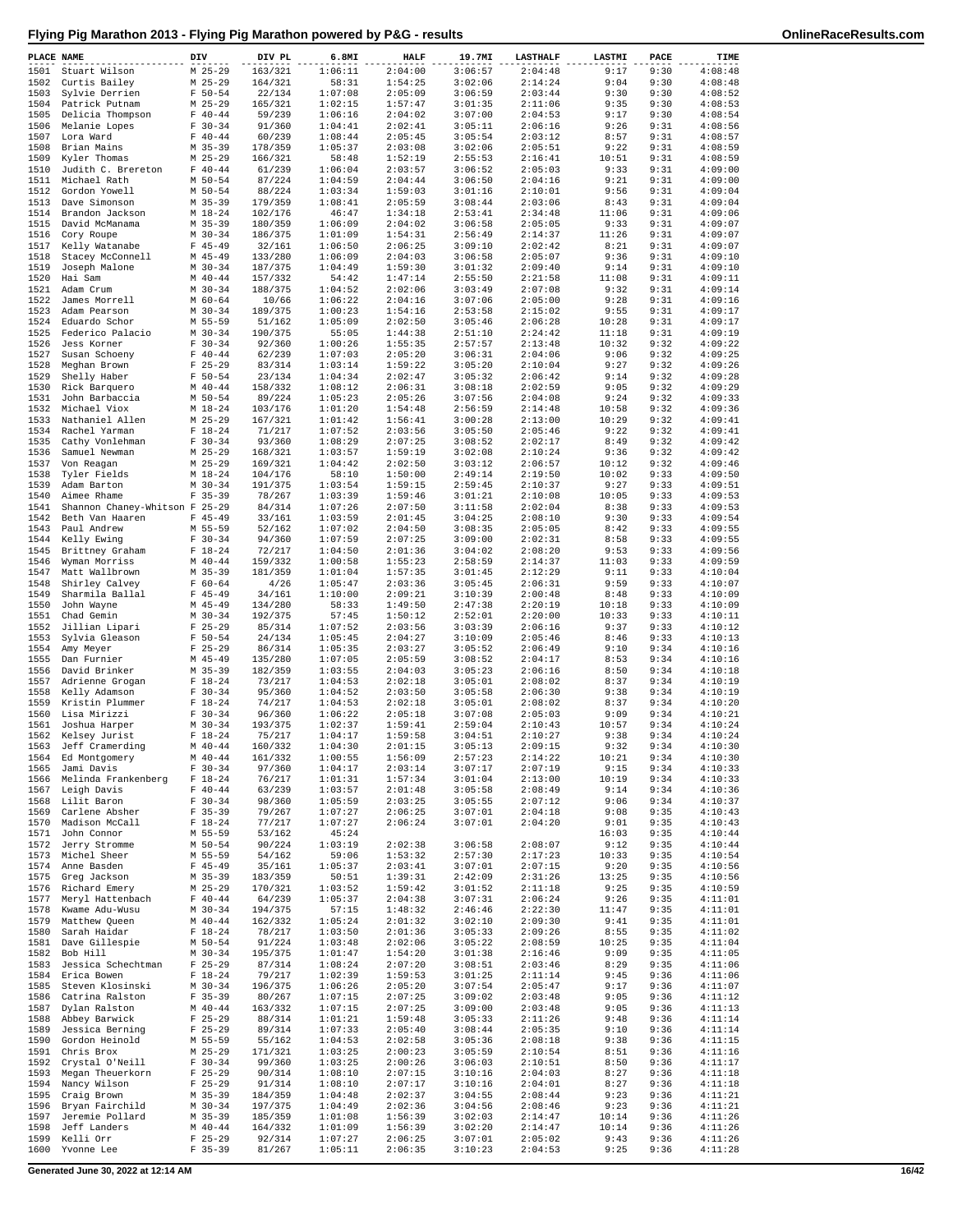| PLACE NAME   |                                     | DIV |                          | DIV PL             | 6.8MI              | <b>HALF</b>        | 19.7MI             | <b>LASTHALF</b>    | LASTMI         | PACE         | TIME               |
|--------------|-------------------------------------|-----|--------------------------|--------------------|--------------------|--------------------|--------------------|--------------------|----------------|--------------|--------------------|
| 1501         | Stuart Wilson                       |     | $M$ 25-29                | 163/321            | 1:06:11            | 2:04:00            | 3:06:57            | 2:04:48            | 9:17           | 9:30         | 4:08:48            |
| 1502         | Curtis Bailey                       |     | $M$ 25-29                | 164/321            | 58:31              | 1:54:25            | 3:02:06            | 2:14:24            | 9:04           | 9:30         | 4:08:48            |
| 1503<br>1504 | Sylvie Derrien<br>Patrick Putnam    |     | $F 50 - 54$<br>$M$ 25-29 | 22/134<br>165/321  | 1:07:08<br>1:02:15 | 2:05:09<br>1:57:47 | 3:06:59<br>3:01:35 | 2:03:44<br>2:11:06 | 9:30<br>9:35   | 9:30<br>9:30 | 4:08:52<br>4:08:53 |
| 1505         | Delicia Thompson                    |     | $F 40 - 44$              | 59/239             | 1:06:16            | 2:04:02            | 3:07:00            | 2:04:53            | 9:17           | 9:30         | 4:08:54            |
| 1506         | Melanie Lopes                       |     | $F 30-34$                | 91/360             | 1:04:41            | 2:02:41            | 3:05:11            | 2:06:16            | 9:26           | 9:31         | 4:08:56            |
| 1507         | Lora Ward                           |     | $F 40 - 44$              | 60/239             | 1:08:44            | 2:05:45            | 3:05:54            | 2:03:12            | 8:57           | 9:31         | 4:08:57            |
| 1508         | Brian Mains                         |     | $M$ 35-39                | 178/359            | 1:05:37            | 2:03:08            | 3:02:06            | 2:05:51            | 9:22           | 9:31         | 4:08:59            |
| 1509         | Kyler Thomas                        |     | $M$ 25-29                | 166/321            | 58:48              | 1:52:19            | 2:55:53            | 2:16:41            | 10:51          | 9:31         | 4:08:59            |
| 1510<br>1511 | Judith C. Brereton<br>Michael Rath  |     | $F 40 - 44$<br>$M$ 50-54 | 61/239<br>87/224   | 1:06:04<br>1:04:59 | 2:03:57<br>2:04:44 | 3:06:52<br>3:06:50 | 2:05:03<br>2:04:16 | 9:33<br>9:21   | 9:31<br>9:31 | 4:09:00<br>4:09:00 |
| 1512         | Gordon Yowell                       |     | $M$ 50-54                | 88/224             | 1:03:34            | 1:59:03            | 3:01:16            | 2:10:01            | 9:56           | 9:31         | 4:09:04            |
| 1513         | Dave Simonson                       |     | $M$ 35-39                | 179/359            | 1:08:41            | 2:05:59            | 3:08:44            | 2:03:06            | 8:43           | 9:31         | 4:09:04            |
| 1514         | Brandon Jackson                     |     | $M_18-24$                | 102/176            | 46:47              | 1:34:18            | 2:53:41            | 2:34:48            | 11:06          | 9:31         | 4:09:06            |
| 1515         | David McManama                      |     | $M$ 35-39                | 180/359            | 1:06:09            | 2:04:02            | 3:06:58            | 2:05:05            | 9:33           | 9:31         | 4:09:07            |
| 1516         | Cory Roupe                          |     | $M$ 30-34                | 186/375            | 1:01:09            | 1:54:31            | 2:56:49            | 2:14:37            | 11:26          | 9:31         | 4:09:07            |
| 1517<br>1518 | Kelly Watanabe<br>Stacey McConnell  |     | $F$ 45-49<br>$M$ 45-49   | 32/161<br>133/280  | 1:06:50<br>1:06:09 | 2:06:25<br>2:04:03 | 3:09:10<br>3:06:58 | 2:02:42<br>2:05:07 | 8:21<br>9:36   | 9:31<br>9:31 | 4:09:07<br>4:09:10 |
| 1519         | Joseph Malone                       |     | $M$ 30-34                | 187/375            | 1:04:49            | 1:59:30            | 3:01:32            | 2:09:40            | 9:14           | 9:31         | 4:09:10            |
| 1520         | Hai Sam                             |     | $M$ 40-44                | 157/332            | 54:42              | 1:47:14            | 2:55:50            | 2:21:58            | 11:08          | 9:31         | 4:09:11            |
| 1521         | Adam Crum                           |     | $M$ 30-34                | 188/375            | 1:04:52            | 2:02:06            | 3:03:49            | 2:07:08            | 9:32           | 9:31         | 4:09:14            |
| 1522         | James Morrell                       |     | $M$ 60-64                | 10/66              | 1:06:22            | 2:04:16            | 3:07:06            | 2:05:00            | 9:28           | 9:31         | 4:09:16            |
| 1523         | Adam Pearson                        |     | $M$ 30-34                | 189/375            | 1:00:23            | 1:54:16            | 2:53:58            | 2:15:02            | 9:55           | 9:31         | 4:09:17            |
| 1524<br>1525 | Eduardo Schor                       |     | M 55-59<br>$M$ 30-34     | 51/162             | 1:05:09            | 2:02:50            | 3:05:46<br>2:51:10 | 2:06:28            | 10:28          | 9:31<br>9:31 | 4:09:17<br>4:09:19 |
| 1526         | Federico Palacio<br>Jess Korner     |     | $F 30-34$                | 190/375<br>92/360  | 55:05<br>1:00:26   | 1:44:38<br>1:55:35 | 2:57:57            | 2:24:42<br>2:13:48 | 11:18<br>10:32 | 9:32         | 4:09:22            |
| 1527         | Susan Schoeny                       |     | $F 40 - 44$              | 62/239             | 1:07:03            | 2:05:20            | 3:06:31            | 2:04:06            | 9:06           | 9:32         | 4:09:25            |
| 1528         | Meghan Brown                        |     | $F$ 25-29                | 83/314             | 1:03:14            | 1:59:22            | 3:05:20            | 2:10:04            | 9:27           | 9:32         | 4:09:26            |
| 1529         | Shelly Haber                        |     | $F 50 - 54$              | 23/134             | 1:04:34            | 2:02:47            | 3:05:32            | 2:06:42            | 9:14           | 9:32         | 4:09:28            |
| 1530         | Rick Barquero                       |     | $M$ 40-44                | 158/332            | 1:08:12            | 2:06:31            | 3:08:18            | 2:02:59            | 9:05           | 9:32         | 4:09:29            |
| 1531         | John Barbaccia                      |     | M 50-54                  | 89/224             | 1:05:23            | 2:05:26<br>1:54:48 | 3:07:56            | 2:04:08<br>2:14:48 | 9:24           | 9:32         | 4:09:33            |
| 1532<br>1533 | Michael Viox<br>Nathaniel Allen     |     | $M_18-24$<br>$M$ 25-29   | 103/176<br>167/321 | 1:01:20<br>1:01:42 | 1:56:41            | 2:56:59<br>3:00:28 | 2:13:00            | 10:58<br>10:29 | 9:32<br>9:32 | 4:09:36<br>4:09:41 |
| 1534         | Rachel Yarman                       |     | $F 18-24$                | 71/217             | 1:07:52            | 2:03:56            | 3:05:50            | 2:05:46            | 9:22           | 9:32         | 4:09:41            |
| 1535         | Cathy Vonlehman                     |     | $F 30-34$                | 93/360             | 1:08:29            | 2:07:25            | 3:08:52            | 2:02:17            | 8:49           | 9:32         | 4:09:42            |
| 1536         | Samuel Newman                       |     | $M$ 25-29                | 168/321            | 1:03:57            | 1:59:19            | 3:02:08            | 2:10:24            | 9:36           | 9:32         | 4:09:42            |
| 1537         | Von Reagan                          |     | $M$ 25-29                | 169/321            | 1:04:42            | 2:02:50            | 3:03:12            | 2:06:57            | 10:12          | 9:32         | 4:09:46            |
| 1538         | Tyler Fields                        |     | $M_18-24$                | 104/176            | 58:10              | 1:50:00            | 2:49:14            | 2:19:50            | 10:02          | 9:33         | 4:09:50            |
| 1539<br>1540 | Adam Barton<br>Aimee Rhame          |     | $M$ 30-34<br>$F$ 35-39   | 191/375<br>78/267  | 1:03:54<br>1:03:39 | 1:59:15<br>1:59:46 | 2:59:45<br>3:01:21 | 2:10:37<br>2:10:08 | 9:27<br>10:05  | 9:33<br>9:33 | 4:09:51<br>4:09:53 |
| 1541         | Shannon Chaney-Whitson F 25-29      |     |                          | 84/314             | 1:07:26            | 2:07:50            | 3:11:58            | 2:02:04            | 8:38           | 9:33         | 4:09:53            |
| 1542         | Beth Van Haaren                     |     | $F$ 45-49                | 33/161             | 1:03:59            | 2:01:45            | 3:04:25            | 2:08:10            | 9:30           | 9:33         | 4:09:54            |
| 1543         | Paul Andrew                         |     | M 55-59                  | 52/162             | 1:07:02            | 2:04:50            | 3:08:35            | 2:05:05            | 8:42           | 9:33         | 4:09:55            |
| 1544         | Kelly Ewing                         |     | $F 30-34$                | 94/360             | 1:07:59            | 2:07:25            | 3:09:00            | 2:02:31            | 8:58           | 9:33         | 4:09:55            |
| 1545         | Brittney Graham                     |     | $F 18-24$                | 72/217             | 1:04:50            | 2:01:36            | 3:04:02            | 2:08:20            | 9:53           | 9:33         | 4:09:56            |
| 1546<br>1547 | Wyman Morriss<br>Matt Wallbrown     |     | $M$ 40-44<br>$M$ 35-39   | 159/332<br>181/359 | 1:00:58<br>1:01:04 | 1:55:23<br>1:57:35 | 2:58:59<br>3:01:45 | 2:14:37<br>2:12:29 | 11:03<br>9:11  | 9:33<br>9:33 | 4:09:59<br>4:10:04 |
| 1548         | Shirley Calvey                      |     | $F 60 - 64$              | 4/26               | 1:05:47            | 2:03:36            | 3:05:45            | 2:06:31            | 9:59           | 9:33         | 4:10:07            |
| 1549         | Sharmila Ballal                     |     | $F$ 45-49                | 34/161             | 1:10:00            | 2:09:21            | 3:10:39            | 2:00:48            | 8:48           | 9:33         | 4:10:09            |
| 1550         | John Wayne                          |     | $M$ 45-49                | 134/280            | 58:33              | 1:49:50            | 2:47:38            | 2:20:19            | 10:18          | 9:33         | 4:10:09            |
| 1551         | Chad Gemin                          |     | $M$ 30-34                | 192/375            | 57:45              | 1:50:12            | 2:52:01            | 2:20:00            | 10:33          | 9:33         | 4:10:11            |
| 1552         | Jillian Lipari                      |     | $F$ 25-29                | 85/314             | 1:07:52            | 2:03:56            | 3:03:39            | 2:06:16            | 9:37           | 9:33         | 4:10:12            |
| 1553<br>1554 | Sylvia Gleason<br>Amy Meyer         |     | $F 50 - 54$<br>$F$ 25-29 | 24/134<br>86/314   | 1:05:45<br>1:05:35 | 2:04:27<br>2:03:27 | 3:10:09<br>3:05:52 | 2:05:46<br>2:06:49 | 8:46<br>9:10   | 9:33<br>9:34 | 4:10:13<br>4:10:16 |
| 1555         | Dan Furnier                         |     | $M$ 45-49                | 135/280            | 1:07:05            | 2:05:59            | 3:08:52            | 2:04:17            | 8:53           | 9:34         | 4:10:16            |
| 1556         | David Brinker                       |     | $M$ 35-39                | 182/359            | 1:03:55            | 2:04:03            | 3:05:23            | 2:06:16            | 8:50           | 9:34         | 4:10:18            |
| 1557         | Adrienne Grogan                     |     | $F 18-24$                | 73/217             | 1:04:53            | 2:02:18            | 3:05:01            | 2:08:02            | 8:37           | 9:34         | 4:10:19            |
| 1558         | Kelly Adamson                       |     | $F 30-34$                | 95/360             | 1:04:52            | 2:03:50            | 3:05:58            | 2:06:30            | 9:38           | 9:34         | 4:10:19            |
| 1559<br>1560 | Kristin Plummer<br>Lisa Mirizzi     |     | $F 18 - 24$<br>$F 30-34$ | 74/217<br>96/360   | 1:04:53<br>1:06:22 | 2:02:18<br>2:05:18 | 3:05:01<br>3:07:08 | 2:08:02<br>2:05:03 | 8:37<br>9:09   | 9:34<br>9:34 | 4:10:20<br>4:10:21 |
| 1561         | Joshua Harper                       |     | $M$ 30-34                | 193/375            | 1:02:37            | 1:59:41            | 2:59:04            | 2:10:43            | 10:57          | 9:34         | 4:10:24            |
| 1562         | Kelsey Jurist                       |     | $F 18-24$                | 75/217             | 1:04:17            | 1:59:58            | 3:04:51            | 2:10:27            | 9:38           | 9:34         | 4:10:24            |
|              | 1563 Jeff Cramerding                |     | $M$ 40-44                | 160/332            | 1:04:30            | 2:01:15            | 3:05:13            | 2:09:15            | 9:32           | 9:34         | 4:10:30            |
|              | 1564 Ed Montgomery                  |     | $M$ 40-44                | 161/332            | 1:00:55            | 1:56:09            | 2:57:23            | 2:14:22            | 10:21          | 9:34         | 4:10:30            |
| 1565         | Jami Davis                          |     | $F 30-34$                | 97/360             | 1:04:17            | 2:03:14            | 3:07:17            | 2:07:19            | 9:15           | 9:34         | 4:10:33<br>4:10:33 |
| 1566<br>1567 | Melinda Frankenberg<br>Leigh Davis  |     | $F 18-24$<br>$F 40 - 44$ | 76/217<br>63/239   | 1:01:31<br>1:03:57 | 1:57:34<br>2:01:48 | 3:01:04<br>3:05:58 | 2:13:00<br>2:08:49 | 10:19<br>9:14  | 9:34<br>9:34 | 4:10:36            |
| 1568         | Lilit Baron                         |     | $F 30-34$                | 98/360             | 1:05:59            | 2:03:25            | 3:05:55            | 2:07:12            | 9:06           | 9:34         | 4:10:37            |
| 1569         | Carlene Absher                      |     | $F$ 35-39                | 79/267             | 1:07:27            | 2:06:25            | 3:07:01            | 2:04:18            | 9:08           | 9:35         | 4:10:43            |
| 1570         | Madison McCall                      |     | $F 18-24$                | 77/217             | 1:07:27            | 2:06:24            | 3:07:01            | 2:04:20            | 9:01           | 9:35         | 4:10:43            |
| 1571         | John Connor                         |     | M 55-59                  | 53/162             | 45:24              |                    |                    |                    | 16:03          | 9:35         | 4:10:44            |
| 1572<br>1573 | Jerry Stromme<br>Michel Sheer       |     | M 50-54<br>M 55-59       | 90/224<br>54/162   | 1:03:19<br>59:06   | 2:02:38<br>1:53:32 | 3:06:58<br>2:57:30 | 2:08:07<br>2:17:23 | 9:12<br>10:33  | 9:35<br>9:35 | 4:10:44<br>4:10:54 |
| 1574         | Anne Basden                         |     | $F$ 45-49                | 35/161             | 1:05:37            | 2:03:41            | 3:07:01            | 2:07:15            | 9:20           | 9:35         | 4:10:56            |
| 1575         | Greg Jackson                        |     | $M$ 35-39                | 183/359            | 50:51              | 1:39:31            | 2:42:09            | 2:31:26            | 13:25          | 9:35         | 4:10:56            |
| 1576         | Richard Emery                       |     | $M$ 25-29                | 170/321            | 1:03:52            | 1:59:42            | 3:01:52            | 2:11:18            | 9:25           | 9:35         | 4:10:59            |
| 1577         | Meryl Hattenbach                    |     | $F 40 - 44$              | 64/239             | 1:05:37            | 2:04:38            | 3:07:31            | 2:06:24            | 9:26           | 9:35         | 4:11:01            |
| 1578         | Kwame Adu-Wusu                      |     | $M$ 30-34                | 194/375            | 57:15              | 1:48:32            | 2:46:46            | 2:22:30            | 11:47          | 9:35         | 4:11:01            |
| 1579<br>1580 | Matthew Queen<br>Sarah Haidar       |     | $M$ 40-44<br>$F 18-24$   | 162/332<br>78/217  | 1:05:24<br>1:03:50 | 2:01:32<br>2:01:36 | 3:02:10<br>3:05:33 | 2:09:30<br>2:09:26 | 9:41<br>8:55   | 9:35<br>9:35 | 4:11:01<br>4:11:02 |
| 1581         | Dave Gillespie                      |     | M 50-54                  | 91/224             | 1:03:48            | 2:02:06            | 3:05:22            | 2:08:59            | 10:25          | 9:35         | 4:11:04            |
| 1582         | Bob Hill                            |     | $M$ 30-34                | 195/375            | 1:01:47            | 1:54:20            | 3:01:38            | 2:16:46            | 9:09           | 9:35         | 4:11:05            |
| 1583         | Jessica Schechtman                  |     | $F$ 25-29                | 87/314             | 1:08:24            | 2:07:20            | 3:08:51            | 2:03:46            | 8:29           | 9:35         | 4:11:06            |
| 1584         | Erica Bowen                         |     | $F 18-24$                | 79/217             | 1:02:39            | 1:59:53            | 3:01:25            | 2:11:14            | 9:45           | 9:36         | 4:11:06            |
| 1585         | Steven Klosinski                    |     | $M$ 30-34                | 196/375            | 1:06:26            | 2:05:20            | 3:07:54            | 2:05:47            | 9:17           | 9:36         | 4:11:07            |
| 1586<br>1587 | Catrina Ralston<br>Dylan Ralston    |     | $F$ 35-39<br>$M$ 40-44   | 80/267<br>163/332  | 1:07:15<br>1:07:15 | 2:07:25<br>2:07:25 | 3:09:02<br>3:09:00 | 2:03:48<br>2:03:48 | 9:05<br>9:05   | 9:36<br>9:36 | 4:11:12<br>4:11:13 |
| 1588         | Abbey Barwick                       |     | $F$ 25-29                | 88/314             | 1:01:21            | 1:59:48            | 3:05:33            | 2:11:26            | 9:48           | 9:36         | 4:11:14            |
| 1589         | Jessica Berning                     |     | $F$ 25-29                | 89/314             | 1:07:33            | 2:05:40            | 3:08:44            | 2:05:35            | 9:10           | 9:36         | 4:11:14            |
| 1590         | Gordon Heinold                      |     | M 55-59                  | 55/162             | 1:04:53            | 2:02:58            | 3:05:36            | 2:08:18            | 9:38           | 9:36         | 4:11:15            |
| 1591         | Chris Brox                          |     | $M$ 25-29                | 171/321            | 1:03:25            | 2:00:23            | 3:05:59            | 2:10:54            | 8:51           | 9:36         | 4:11:16            |
| 1592<br>1593 | Crystal O'Neill<br>Megan Theuerkorn |     | $F 30-34$<br>$F$ 25-29   | 99/360             | 1:03:25<br>1:08:10 | 2:00:26<br>2:07:15 | 3:06:03<br>3:10:16 | 2:10:51<br>2:04:03 | 8:50<br>8:27   | 9:36<br>9:36 | 4:11:17<br>4:11:18 |
| 1594         | Nancy Wilson                        |     | $F$ 25-29                | 90/314<br>91/314   | 1:08:10            | 2:07:17            | 3:10:16            | 2:04:01            | 8:27           | 9:36         | 4:11:18            |
| 1595         | Craig Brown                         |     | $M$ 35-39                | 184/359            | 1:04:48            | 2:02:37            | 3:04:55            | 2:08:44            | 9:23           | 9:36         | 4:11:21            |
| 1596         | Bryan Fairchild                     |     | $M$ 30-34                | 197/375            | 1:04:49            | 2:02:36            | 3:04:56            | 2:08:46            | 9:23           | 9:36         | 4:11:21            |
| 1597         | Jeremie Pollard                     |     | $M$ 35-39                | 185/359            | 1:01:08            | 1:56:39            | 3:02:03            | 2:14:47            | 10:14          | 9:36         | 4:11:26            |
| 1598         | Jeff Landers                        |     | $M$ 40-44                | 164/332            | 1:01:09            | 1:56:39            | 3:02:20            | 2:14:47            | 10:14          | 9:36         | 4:11:26            |
| 1599<br>1600 | Kelli Orr<br>Yvonne Lee             |     | $F$ 25-29<br>$F$ 35-39   | 92/314<br>81/267   | 1:07:27<br>1:05:11 | 2:06:25<br>2:06:35 | 3:07:01<br>3:10:23 | 2:05:02<br>2:04:53 | 9:43<br>9:25   | 9:36<br>9:36 | 4:11:26<br>4:11:28 |
|              |                                     |     |                          |                    |                    |                    |                    |                    |                |              |                    |

**Generated June 30, 2022 at 12:14 AM 16/42**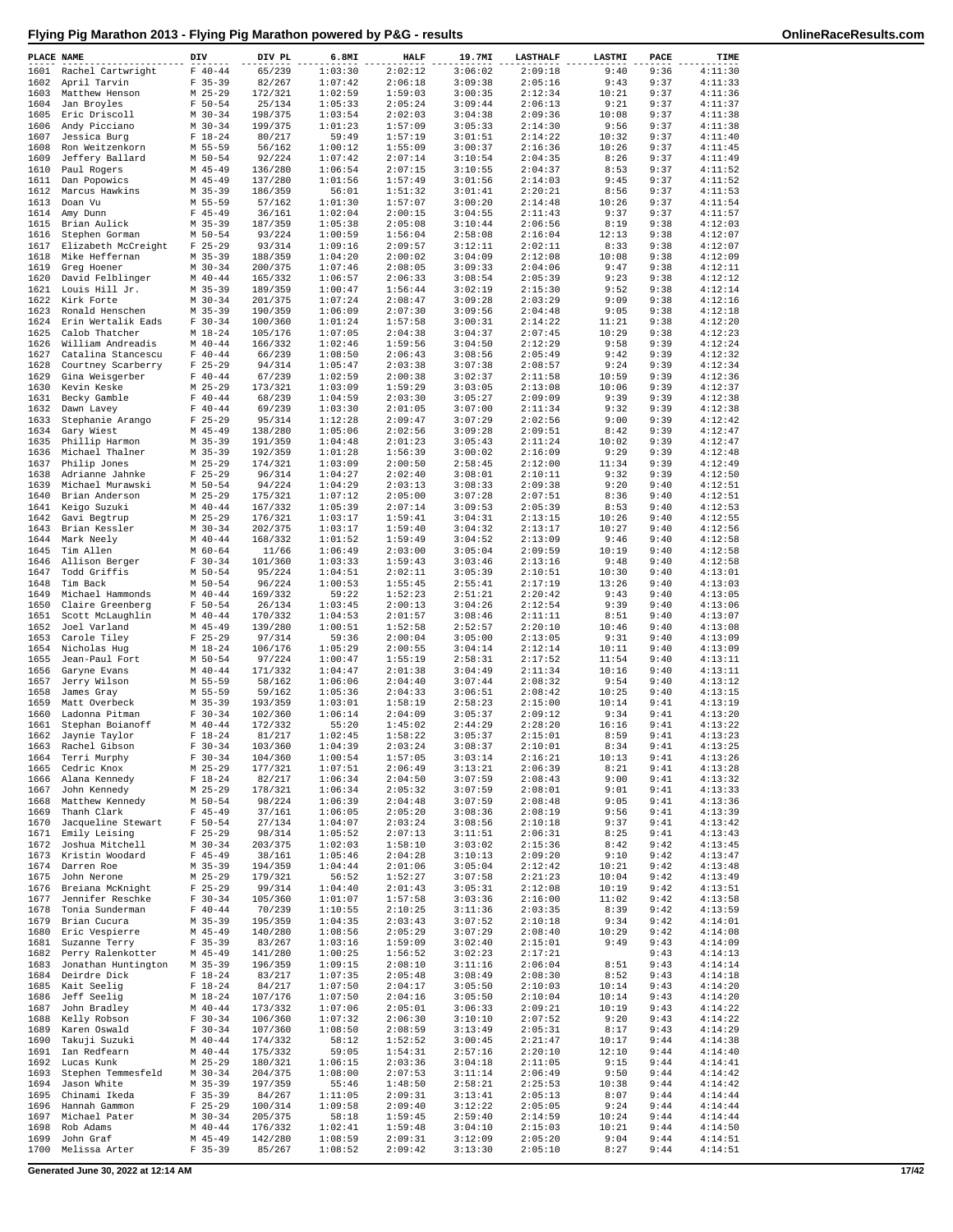|  |  | Flying Pig Marathon 2013 - Flying Pig Marathon powered by P&G - results |  |
|--|--|-------------------------------------------------------------------------|--|
|  |  |                                                                         |  |

| PLACE NAME   |                                       | DIV                      | DIV PL             | 6.8MI              | <b>HALF</b>        | 19.7MI             | <b>LASTHALF</b>    | LASTMI         | PACE         | TIME               |
|--------------|---------------------------------------|--------------------------|--------------------|--------------------|--------------------|--------------------|--------------------|----------------|--------------|--------------------|
| 1601         | Rachel Cartwright                     | $F 40 - 44$              | 65/239             | 1:03:30            | 2:02:12            | 3:06:02            | 2:09:18            | 9:40           | 9:36         | 4:11:30            |
| 1602         | April Tarvin                          | $F$ 35-39                | 82/267             | 1:07:42            | 2:06:18            | 3:09:38            | 2:05:16            | 9:43           | 9:37         | 4:11:33            |
| 1603         | Matthew Henson                        | $M$ 25-29                | 172/321            | 1:02:59            | 1:59:03            | 3:00:35            | 2:12:34            | 10:21          | 9:37         | 4:11:36            |
| 1604         | Jan Broyles                           | $F 50 - 54$              | 25/134             | 1:05:33            | 2:05:24            | 3:09:44            | 2:06:13            | 9:21           | 9:37         | 4:11:37            |
| 1605         | Eric Driscoll                         | $M$ 30-34                | 198/375            | 1:03:54            | 2:02:03            | 3:04:38            | 2:09:36            | 10:08          | 9:37         | 4:11:38            |
| 1606<br>1607 | Andy Picciano<br>Jessica Burg         | $M$ 30-34<br>$F 18-24$   | 199/375<br>80/217  | 1:01:23<br>59:49   | 1:57:09<br>1:57:19 | 3:05:33<br>3:01:51 | 2:14:30<br>2:14:22 | 9:56<br>10:32  | 9:37<br>9:37 | 4:11:38<br>4:11:40 |
| 1608         | Ron Weitzenkorn                       | M 55-59                  | 56/162             | 1:00:12            | 1:55:09            | 3:00:37            | 2:16:36            | 10:26          | 9:37         | 4:11:45            |
| 1609         | Jeffery Ballard                       | M 50-54                  | 92/224             | 1:07:42            | 2:07:14            | 3:10:54            | 2:04:35            | 8:26           | 9:37         | 4:11:49            |
| 1610         | Paul Rogers                           | $M$ 45-49                | 136/280            | 1:06:54            | 2:07:15            | 3:10:55            | 2:04:37            | 8:53           | 9:37         | 4:11:52            |
| 1611         | Dan Popowics                          | $M$ 45-49                | 137/280            | 1:01:56            | 1:57:49            | 3:01:56            | 2:14:03            | 9:45           | 9:37         | 4:11:52            |
| 1612         | Marcus Hawkins                        | $M$ 35-39                | 186/359            | 56:01              | 1:51:32            | 3:01:41            | 2:20:21            | 8:56           | 9:37         | 4:11:53            |
| 1613         | Doan Vu                               | M 55-59                  | 57/162             | 1:01:30            | 1:57:07            | 3:00:20            | 2:14:48            | 10:26          | 9:37         | 4:11:54            |
| 1614         | Amy Dunn                              | $F$ 45-49                | 36/161             | 1:02:04            | 2:00:15            | 3:04:55            | 2:11:43            | 9:37           | 9:37         | 4:11:57            |
| 1615         | Brian Aulick                          | $M$ 35-39                | 187/359            | 1:05:38            | 2:05:08            | 3:10:44            | 2:06:56            | 8:19           | 9:38         | 4:12:03            |
| 1616         | Stephen Gorman                        | M 50-54                  | 93/224             | 1:00:59            | 1:56:04            | 2:58:08            | 2:16:04            | 12:13          | 9:38         | 4:12:07            |
| 1617<br>1618 | Elizabeth McCreight<br>Mike Heffernan | $F$ 25-29<br>$M$ 35-39   | 93/314<br>188/359  | 1:09:16<br>1:04:20 | 2:09:57<br>2:00:02 | 3:12:11<br>3:04:09 | 2:02:11<br>2:12:08 | 8:33<br>10:08  | 9:38<br>9:38 | 4:12:07<br>4:12:09 |
| 1619         | Greg Hoener                           | $M$ 30-34                | 200/375            | 1:07:46            | 2:08:05            | 3:09:33            | 2:04:06            | 9:47           | 9:38         | 4:12:11            |
| 1620         | David Felblinger                      | $M$ 40-44                | 165/332            | 1:06:57            | 2:06:33            | 3:08:54            | 2:05:39            | 9:23           | 9:38         | 4:12:12            |
|              | 1621 Louis Hill Jr.                   | $M$ 35-39                | 189/359            | 1:00:47            | 1:56:44            | 3:02:19            | 2:15:30            | 9:52           | 9:38         | 4:12:14            |
|              | 1622 Kirk Forte                       | $M$ 30-34                | 201/375            | 1:07:24            | 2:08:47            | 3:09:28            | 2:03:29            | 9:09           | 9:38         | 4:12:16            |
| 1623         | Ronald Henschen                       | $M$ 35-39                | 190/359            | 1:06:09            | 2:07:30            | 3:09:56            | 2:04:48            | 9:05           | 9:38         | 4:12:18            |
|              | 1624 Erin Wertalik Eads               | $F 30-34$                | 100/360            | 1:01:24            | 1:57:58            | 3:00:31            | 2:14:22            | 11:21          | 9:38         | 4:12:20            |
| 1625         | Calob Thatcher                        | $M_18-24$                | 105/176            | 1:07:05            | 2:04:38            | 3:04:37            | 2:07:45            | 10:29          | 9:38         | 4:12:23            |
| 1626         | William Andreadis                     | $M$ 40-44                | 166/332            | 1:02:46            | 1:59:56            | 3:04:50            | 2:12:29            | 9:58           | 9:39         | 4:12:24            |
| 1627         | Catalina Stancescu                    | $F 40 - 44$              | 66/239             | 1:08:50            | 2:06:43            | 3:08:56            | 2:05:49            | 9:42           | 9:39         | 4:12:32            |
| 1628         | Courtney Scarberry                    | $F$ 25-29                | 94/314             | 1:05:47            | 2:03:38            | 3:07:38            | 2:08:57            | 9:24           | 9:39         | 4:12:34            |
| 1629<br>1630 | Gina Weisgerber                       | $F 40 - 44$<br>$M$ 25-29 | 67/239             | 1:02:59<br>1:03:09 | 2:00:38<br>1:59:29 | 3:02:37<br>3:03:05 | 2:11:58<br>2:13:08 | 10:59<br>10:06 | 9:39<br>9:39 | 4:12:36<br>4:12:37 |
| 1631         | Kevin Keske<br>Becky Gamble           | $F 40 - 44$              | 173/321<br>68/239  | 1:04:59            | 2:03:30            | 3:05:27            | 2:09:09            | 9:39           | 9:39         | 4:12:38            |
| 1632         | Dawn Lavey                            | $F 40 - 44$              | 69/239             | 1:03:30            | 2:01:05            | 3:07:00            | 2:11:34            | 9:32           | 9:39         | 4:12:38            |
| 1633         | Stephanie Arango                      | $F$ 25-29                | 95/314             | 1:12:28            | 2:09:47            | 3:07:29            | 2:02:56            | 9:00           | 9:39         | 4:12:42            |
| 1634         | Gary Wiest                            | $M$ 45-49                | 138/280            | 1:05:06            | 2:02:56            | 3:09:28            | 2:09:51            | 8:42           | 9:39         | 4:12:47            |
| 1635         | Phillip Harmon                        | $M$ 35-39                | 191/359            | 1:04:48            | 2:01:23            | 3:05:43            | 2:11:24            | 10:02          | 9:39         | 4:12:47            |
| 1636         | Michael Thalner                       | $M$ 35-39                | 192/359            | 1:01:28            | 1:56:39            | 3:00:02            | 2:16:09            | 9:29           | 9:39         | 4:12:48            |
| 1637         | Philip Jones                          | $M$ 25-29                | 174/321            | 1:03:09            | 2:00:50            | 2:58:45            | 2:12:00            | 11:34          | 9:39         | 4:12:49            |
| 1638         | Adrianne Jahnke                       | $F$ 25-29                | 96/314             | 1:04:27            | 2:02:40            | 3:08:01            | 2:10:11            | 9:32           | 9:39         | 4:12:50            |
| 1639         | Michael Murawski                      | $M$ 50-54                | 94/224             | 1:04:29            | 2:03:13            | 3:08:33            | 2:09:38            | 9:20           | 9:40         | 4:12:51            |
| 1640         | Brian Anderson                        | $M$ 25-29                | 175/321            | 1:07:12            | 2:05:00            | 3:07:28            | 2:07:51            | 8:36           | 9:40         | 4:12:51            |
| 1641<br>1642 | Keigo Suzuki                          | $M$ 40-44<br>$M$ 25-29   | 167/332<br>176/321 | 1:05:39<br>1:03:17 | 2:07:14<br>1:59:41 | 3:09:53<br>3:04:31 | 2:05:39<br>2:13:15 | 8:53<br>10:26  | 9:40<br>9:40 | 4:12:53<br>4:12:55 |
| 1643         | Gavi Begtrup<br>Brian Kessler         | $M$ 30-34                | 202/375            | 1:03:17            | 1:59:40            | 3:04:32            | 2:13:17            | 10:27          | 9:40         | 4:12:56            |
| 1644         | Mark Neely                            | $M$ 40-44                | 168/332            | 1:01:52            | 1:59:49            | 3:04:52            | 2:13:09            | 9:46           | 9:40         | 4:12:58            |
| 1645         | Tim Allen                             | $M$ 60-64                | 11/66              | 1:06:49            | 2:03:00            | 3:05:04            | 2:09:59            | 10:19          | 9:40         | 4:12:58            |
| 1646         | Allison Berger                        | $F 30-34$                | 101/360            | 1:03:33            | 1:59:43            | 3:03:46            | 2:13:16            | 9:48           | 9:40         | 4:12:58            |
| 1647         | Todd Griffis                          | $M$ 50-54                | 95/224             | 1:04:51            | 2:02:11            | 3:05:39            | 2:10:51            | 10:30          | 9:40         | 4:13:01            |
| 1648         | Tim Back                              | $M$ 50-54                | 96/224             | 1:00:53            | 1:55:45            | 2:55:41            | 2:17:19            | 13:26          | 9:40         | 4:13:03            |
| 1649         | Michael Hammonds                      | $M$ 40-44                | 169/332            | 59:22              | 1:52:23            | 2:51:21            | 2:20:42            | 9:43           | 9:40         | 4:13:05            |
| 1650         | Claire Greenberg                      | $F 50 - 54$              | 26/134             | 1:03:45            | 2:00:13            | 3:04:26            | 2:12:54            | 9:39           | 9:40         | 4:13:06            |
| 1651         | Scott McLaughlin                      | $M$ 40-44                | 170/332            | 1:04:53            | 2:01:57            | 3:08:46            | 2:11:11            | 8:51           | 9:40         | 4:13:07            |
| 1653         | 1652 Joel Varland<br>Carole Tiley     | $M$ 45-49<br>$F$ 25-29   | 139/280<br>97/314  | 1:00:51<br>59:36   | 1:52:58<br>2:00:04 | 2:52:57<br>3:05:00 | 2:20:10<br>2:13:05 | 10:46<br>9:31  | 9:40<br>9:40 | 4:13:08<br>4:13:09 |
| 1654         | Nicholas Hug                          | M 18-24                  | 106/176            | 1:05:29            | 2:00:55            | 3:04:14            | 2:12:14            | 10:11          | 9:40         | 4:13:09            |
| 1655         | Jean-Paul Fort                        | $M$ 50-54                | 97/224             | 1:00:47            | 1:55:19            | 2:58:31            | 2:17:52            | 11:54          | 9:40         | 4:13:11            |
| 1656         | Garvne Evans                          | $M$ 40-44                | 171/332            | 1:04:47            | 2:01:38            | 3:04:49            | 2:11:34            | 10:16          | 9:40         | 4:13:11            |
| 1657         | Jerry Wilson                          | M 55-59                  | 58/162             | 1:06:06            | 2:04:40            | 3:07:44            | 2:08:32            | 9:54           | 9:40         | 4:13:12            |
| 1658         | James Gray                            | M 55-59                  | 59/162             | 1:05:36            | 2:04:33            | 3:06:51            | 2:08:42            | 10:25          | 9:40         | 4:13:15            |
| 1659         | Matt Overbeck                         | $M$ 35-39                | 193/359            | 1:03:01            | 1:58:19            | 2:58:23            | 2:15:00            | 10:14          | 9:41         | 4:13:19            |
| 1660         | Ladonna Pitman                        | $F 30-34$                | 102/360            | 1:06:14            | 2:04:09            | 3:05:37            | 2:09:12            | 9:34           | 9:41         | 4:13:20            |
| 1661         | Stephan Boianoff                      | $M$ 40-44                | 172/332            | 55:20              | 1:45:02            | 2:44:29            | 2:28:20            | 16:16          | 9:41         | 4:13:22            |
| 1662         | Jaynie Taylor                         | $F 18-24$                | 81/217             | 1:02:45            | 1:58:22            | 3:05:37            | 2:15:01            | 8:59           | 9:41         | 4:13:23            |
| 1664         | 1663 Rachel Gibson<br>Terri Murphy    | $F 30-34$<br>$F 30-34$   | 103/360<br>104/360 | 1:04:39<br>1:00:54 | 2:03:24<br>1:57:05 | 3:08:37<br>3:03:14 | 2:10:01<br>2:16:21 | 8:34<br>10:13  | 9:41<br>9:41 | 4:13:25<br>4:13:26 |
| 1665         | Cedric Knox                           | $M$ 25-29                | 177/321            | 1:07:51            | 2:06:49            | 3:13:21            | 2:06:39            | 8:21           | 9:41         | 4:13:28            |
| 1666         | Alana Kennedy                         | $F 18-24$                | 82/217             | 1:06:34            | 2:04:50            | 3:07:59            | 2:08:43            | 9:00           | 9:41         | 4:13:32            |
| 1667         | John Kennedy                          | $M$ 25-29                | 178/321            | 1:06:34            | 2:05:32            | 3:07:59            | 2:08:01            | 9:01           | 9:41         | 4:13:33            |
| 1668         | Matthew Kennedy                       | $M$ 50-54                | 98/224             | 1:06:39            | 2:04:48            | 3:07:59            | 2:08:48            | 9:05           | 9:41         | 4:13:36            |
| 1669         | Thanh Clark                           | $F$ 45-49                | 37/161             | 1:06:05            | 2:05:20            | 3:08:36            | 2:08:19            | 9:56           | 9:41         | 4:13:39            |
| 1670         | Jacqueline Stewart                    | $F 50 - 54$              | 27/134             | 1:04:07            | 2:03:24            | 3:08:56            | 2:10:18            | 9:37           | 9:41         | 4:13:42            |
| 1671         | Emily Leising                         | $F$ 25-29                | 98/314             | 1:05:52            | 2:07:13            | 3:11:51            | 2:06:31            | 8:25           | 9:41         | 4:13:43            |
| 1672         | Joshua Mitchell                       | $M$ 30-34                | 203/375            | 1:02:03            | 1:58:10            | 3:03:02<br>3:10:13 | 2:15:36            | 8:42           | 9:42         | 4:13:45            |
| 1673         | Kristin Woodard                       | $F$ 45-49<br>$M$ 35-39   | 38/161             | 1:05:46<br>1:04:44 | 2:04:28            | 3:05:04            | 2:09:20            | 9:10           | 9:42<br>9:42 | 4:13:47<br>4:13:48 |
| 1674<br>1675 | Darren Roe<br>John Nerone             | $M$ 25-29                | 194/359<br>179/321 | 56:52              | 2:01:06<br>1:52:27 | 3:07:58            | 2:12:42<br>2:21:23 | 10:21<br>10:04 | 9:42         | 4:13:49            |
| 1676         | Breiana McKnight                      | $F$ 25-29                | 99/314             | 1:04:40            | 2:01:43            | 3:05:31            | 2:12:08            | 10:19          | 9:42         | 4:13:51            |
| 1677         | Jennifer Reschke                      | $F 30-34$                | 105/360            | 1:01:07            | 1:57:58            | 3:03:36            | 2:16:00            | 11:02          | 9:42         | 4:13:58            |
| 1678         | Tonia Sunderman                       | $F 40 - 44$              | 70/239             | 1:10:55            | 2:10:25            | 3:11:36            | 2:03:35            | 8:39           | 9:42         | 4:13:59            |
| 1679         | Brian Cucura                          | $M$ 35-39                | 195/359            | 1:04:35            | 2:03:43            | 3:07:52            | 2:10:18            | 9:34           | 9:42         | 4:14:01            |
| 1680         | Eric Vespierre                        | $M$ 45-49                | 140/280            | 1:08:56            | 2:05:29            | 3:07:29            | 2:08:40            | 10:29          | 9:42         | 4:14:08            |
| 1681         | Suzanne Terry                         | $F$ 35-39                | 83/267             | 1:03:16            | 1:59:09            | 3:02:40            | 2:15:01            | 9:49           | 9:43         | 4:14:09            |
| 1682         | Perry Ralenkotter                     | $M$ 45-49                | 141/280            | 1:00:25            | 1:56:52            | 3:02:23            | 2:17:21            |                | 9:43         | 4:14:13            |
| 1683         | Jonathan Huntington                   | $M$ 35-39                | 196/359            | 1:09:15            | 2:08:10            | 3:11:16            | 2:06:04            | 8:51           | 9:43         | 4:14:14            |
| 1684         | Deirdre Dick                          | $F 18-24$                | 83/217             | 1:07:35            | 2:05:48            | 3:08:49            | 2:08:30            | 8:52           | 9:43         | 4:14:18            |
| 1685         | Kait Seelig<br>Jeff Seelig            | $F 18-24$<br>$M_18-24$   | 84/217             | 1:07:50<br>1:07:50 | 2:04:17<br>2:04:16 | 3:05:50<br>3:05:50 | 2:10:03<br>2:10:04 | 10:14<br>10:14 | 9:43<br>9:43 | 4:14:20<br>4:14:20 |
| 1686<br>1687 | John Bradley                          | $M$ 40-44                | 107/176<br>173/332 | 1:07:06            | 2:05:01            | 3:06:33            | 2:09:21            | 10:19          | 9:43         | 4:14:22            |
| 1688         | Kelly Robson                          | $F 30-34$                | 106/360            | 1:07:32            | 2:06:30            | 3:10:10            | 2:07:52            | 9:20           | 9:43         | 4:14:22            |
| 1689         | Karen Oswald                          | $F 30-34$                | 107/360            | 1:08:50            | 2:08:59            | 3:13:49            | 2:05:31            | 8:17           | 9:43         | 4:14:29            |
| 1690         | Takuji Suzuki                         | $M$ 40-44                | 174/332            | 58:12              | 1:52:52            | 3:00:45            | 2:21:47            | 10:17          | 9:44         | 4:14:38            |
| 1691         | Ian Redfearn                          | $M$ 40-44                | 175/332            | 59:05              | 1:54:31            | 2:57:16            | 2:20:10            | 12:10          | 9:44         | 4:14:40            |
| 1692         | Lucas Kunk                            | $M$ 25-29                | 180/321            | 1:06:15            | 2:03:36            | 3:04:18            | 2:11:05            | 9:15           | 9:44         | 4:14:41            |
| 1693         | Stephen Temmesfeld                    | $M$ 30-34                | 204/375            | 1:08:00            | 2:07:53            | 3:11:14            | 2:06:49            | 9:50           | 9:44         | 4:14:42            |
| 1694         | Jason White                           | $M$ 35-39                | 197/359            | 55:46              | 1:48:50            | 2:58:21            | 2:25:53            | 10:38          | 9:44         | 4:14:42            |
| 1695         | Chinami Ikeda                         | $F$ 35-39                | 84/267             | 1:11:05            | 2:09:31            | 3:13:41            | 2:05:13            | 8:07           | 9:44         | 4:14:44            |
| 1696         | Hannah Gammon                         | $F$ 25-29                | 100/314            | 1:09:58            | 2:09:40            | 3:12:22            | 2:05:05            | 9:24           | 9:44         | 4:14:44            |
| 1697<br>1698 | Michael Pater                         | $M$ 30-34<br>$M$ 40-44   | 205/375            | 58:18              | 1:59:45<br>1:59:48 | 2:59:40<br>3:04:10 | 2:14:59            | 10:24          | 9:44<br>9:44 | 4:14:44<br>4:14:50 |
| 1699         | Rob Adams<br>John Graf                | M 45-49                  | 176/332<br>142/280 | 1:02:41<br>1:08:59 | 2:09:31            | 3:12:09            | 2:15:03<br>2:05:20 | 10:21<br>9:04  | 9:44         | 4:14:51            |
| 1700         | Melissa Arter                         | $F 35 - 39$              | 85/267             | 1:08:52            | 2:09:42            | 3:13:30            | 2:05:10            | 8:27           | 9:44         | 4:14:51            |
|              |                                       |                          |                    |                    |                    |                    |                    |                |              |                    |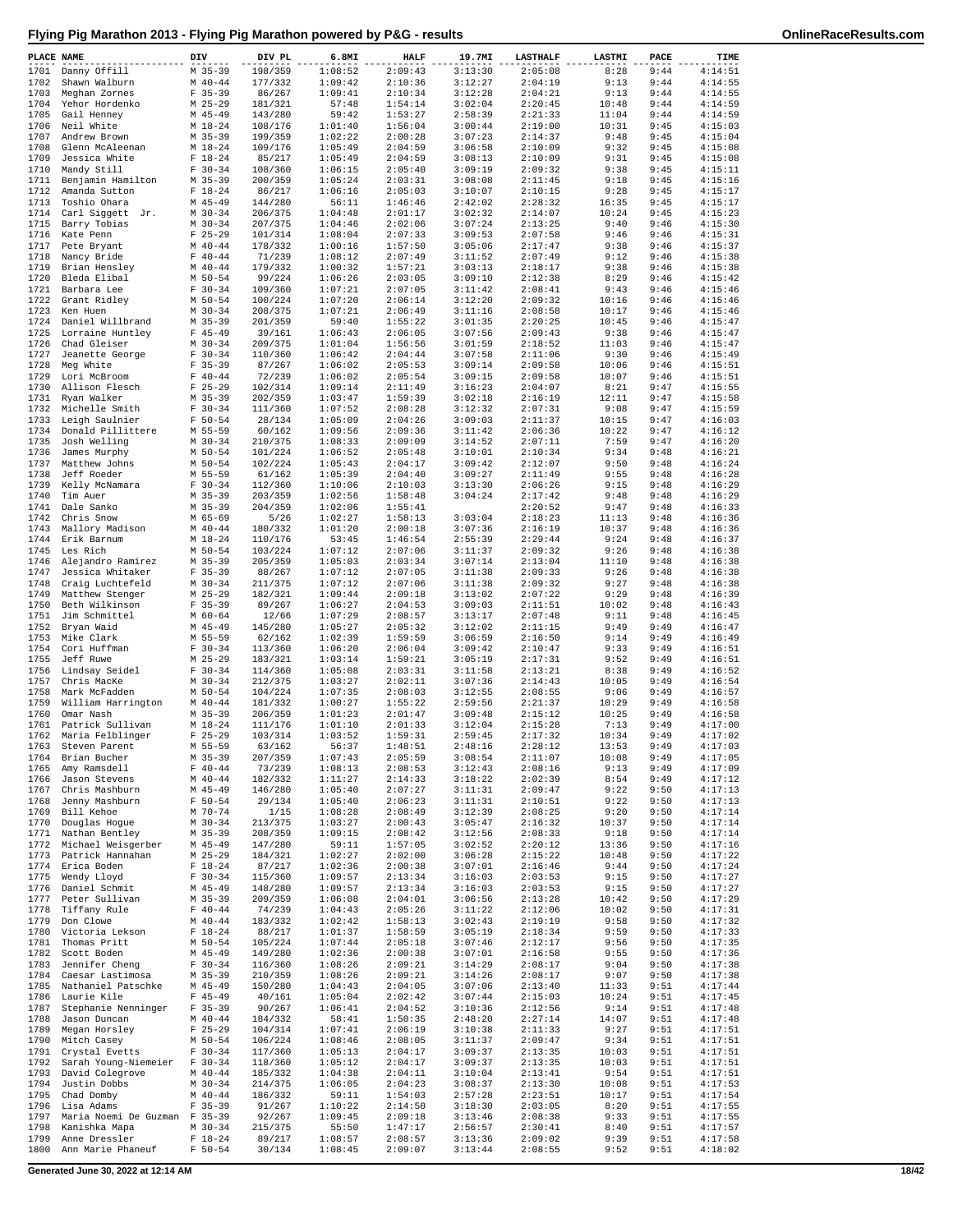| PLACE NAME   |                                             | DIV                      | DIV PL             | 6.8MI              | <b>HALF</b>        | 19.7MI             | <b>LASTHALF</b>    | LASTMI        | PACE         | TIME               |
|--------------|---------------------------------------------|--------------------------|--------------------|--------------------|--------------------|--------------------|--------------------|---------------|--------------|--------------------|
| 1701         | Danny Offill                                | $M$ 35-39                | 198/359            | 1:08:52            | 2:09:43            | 3:13:30            | 2:05:08            | 8:28          | 9:44         | 4:14:51            |
| 1702         | Shawn Walburn                               | $M$ 40-44                | 177/332            | 1:09:42            | 2:10:36            | 3:12:27            | 2:04:19            | 9:13          | 9:44         | 4:14:55            |
| 1703         | Meghan Zornes                               | $F$ 35-39                | 86/267             | 1:09:41            | 2:10:34            | 3:12:28            | 2:04:21            | 9:13          | 9:44         | 4:14:55            |
| 1704         | Yehor Hordenko                              | $M$ 25-29                | 181/321            | 57:48              | 1:54:14            | 3:02:04            | 2:20:45            | 10:48         | 9:44         | 4:14:59            |
| 1705<br>1706 | Gail Henney                                 | $M$ 45-49<br>$M$ 18-24   | 143/280            | 59:42              | 1:53:27            | 2:58:39            | 2:21:33            | 11:04         | 9:44         | 4:14:59<br>4:15:03 |
| 1707         | Neil White<br>Andrew Brown                  | $M$ 35-39                | 108/176<br>199/359 | 1:01:40<br>1:02:22 | 1:56:04<br>2:00:28 | 3:00:44<br>3:07:23 | 2:19:00<br>2:14:37 | 10:31<br>9:48 | 9:45<br>9:45 | 4:15:04            |
| 1708         | Glenn McAleenan                             | $M_18-24$                | 109/176            | 1:05:49            | 2:04:59            | 3:06:58            | 2:10:09            | 9:32          | 9:45         | 4:15:08            |
| 1709         | Jessica White                               | $F 18-24$                | 85/217             | 1:05:49            | 2:04:59            | 3:08:13            | 2:10:09            | 9:31          | 9:45         | 4:15:08            |
| 1710         | Mandy Still                                 | $F 30-34$                | 108/360            | 1:06:15            | 2:05:40            | 3:09:19            | 2:09:32            | 9:38          | 9:45         | 4:15:11            |
| 1711         | Benjamin Hamilton                           | $M$ 35-39                | 200/359            | 1:05:24            | 2:03:31            | 3:08:08            | 2:11:45            | 9:18          | 9:45         | 4:15:16            |
| 1712         | Amanda Sutton                               | $F 18-24$                | 86/217             | 1:06:16            | 2:05:03            | 3:10:07            | 2:10:15            | 9:28          | 9:45         | 4:15:17            |
| 1713         | Toshio Ohara                                | $M$ 45-49                | 144/280            | 56:11              | 1:46:46            | 2:42:02            | 2:28:32            | 16:35         | 9:45         | 4:15:17            |
| 1714         | Carl Siggett Jr.                            | $M$ 30-34                | 206/375            | 1:04:48            | 2:01:17            | 3:02:32            | 2:14:07            | 10:24         | 9:45         | 4:15:23            |
| 1715         | Barry Tobias                                | $M$ 30-34                | 207/375            | 1:04:46            | 2:02:06            | 3:07:24            | 2:13:25            | 9:40          | 9:46         | 4:15:30            |
| 1716<br>1717 | Kate Penn                                   | $F$ 25-29<br>$M$ 40-44   | 101/314<br>178/332 | 1:08:04<br>1:00:16 | 2:07:33<br>1:57:50 | 3:09:53<br>3:05:06 | 2:07:58<br>2:17:47 | 9:46<br>9:38  | 9:46<br>9:46 | 4:15:31<br>4:15:37 |
| 1718         | Pete Bryant<br>Nancy Bride                  | $F 40 - 44$              | 71/239             | 1:08:12            | 2:07:49            | 3:11:52            | 2:07:49            | 9:12          | 9:46         | 4:15:38            |
| 1719         | Brian Hensley                               | $M$ 40-44                | 179/332            | 1:00:32            | 1:57:21            | 3:03:13            | 2:18:17            | 9:38          | 9:46         | 4:15:38            |
| 1720         | Bleda Elibal                                | M 50-54                  | 99/224             | 1:06:26            | 2:03:05            | 3:09:10            | 2:12:38            | 8:29          | 9:46         | 4:15:42            |
| 1721         | Barbara Lee                                 | $F 30-34$                | 109/360            | 1:07:21            | 2:07:05            | 3:11:42            | 2:08:41            | 9:43          | 9:46         | 4:15:46            |
| 1722         | Grant Ridley                                | M 50-54                  | 100/224            | 1:07:20            | 2:06:14            | 3:12:20            | 2:09:32            | 10:16         | 9:46         | 4:15:46            |
| 1723         | Ken Huen                                    | $M$ 30-34                | 208/375            | 1:07:21            | 2:06:49            | 3:11:16            | 2:08:58            | 10:17         | 9:46         | 4:15:46            |
| 1724         | Daniel Willbrand                            | $M$ 35-39                | 201/359            | 59:40              | 1:55:22            | 3:01:35            | 2:20:25            | 10:45         | 9:46         | 4:15:47            |
| 1725         | Lorraine Huntley                            | $F$ 45-49                | 39/161             | 1:06:43            | 2:06:05            | 3:07:56            | 2:09:43            | 9:38          | 9:46         | 4:15:47            |
| 1726<br>1727 | Chad Gleiser<br>Jeanette George             | $M$ 30-34<br>$F 30-34$   | 209/375<br>110/360 | 1:01:04<br>1:06:42 | 1:56:56<br>2:04:44 | 3:01:59<br>3:07:58 | 2:18:52<br>2:11:06 | 11:03<br>9:30 | 9:46<br>9:46 | 4:15:47<br>4:15:49 |
| 1728         | Meg White                                   | $F$ 35-39                | 87/267             | 1:06:02            | 2:05:53            | 3:09:14            | 2:09:58            | 10:06         | 9:46         | 4:15:51            |
| 1729         | Lori McBroom                                | $F 40 - 44$              | 72/239             | 1:06:02            | 2:05:54            | 3:09:15            | 2:09:58            | 10:07         | 9:46         | 4:15:51            |
| 1730         | Allison Flesch                              | $F$ 25-29                | 102/314            | 1:09:14            | 2:11:49            | 3:16:23            | 2:04:07            | 8:21          | 9:47         | 4:15:55            |
| 1731         | Ryan Walker                                 | M 35-39                  | 202/359            | 1:03:47            | 1:59:39            | 3:02:18            | 2:16:19            | 12:11         | 9:47         | 4:15:58            |
| 1732         | Michelle Smith                              | $F 30-34$                | 111/360            | 1:07:52            | 2:08:28            | 3:12:32            | 2:07:31            | 9:08          | 9:47         | 4:15:59            |
| 1733         | Leigh Saulnier                              | $F 50 - 54$              | 28/134             | 1:05:09            | 2:04:26            | 3:09:03            | 2:11:37            | 10:15         | 9:47         | 4:16:03            |
| 1734         | Donald Pillittere                           | M 55-59                  | 60/162             | 1:09:56            | 2:09:36            | 3:11:42            | 2:06:36            | 10:22         | 9:47         | 4:16:12            |
| 1735         | Josh Welling                                | $M$ 30-34                | 210/375            | 1:08:33            | 2:09:09            | 3:14:52            | 2:07:11            | 7:59          | 9:47         | 4:16:20            |
| 1736         | James Murphy                                | M 50-54                  | 101/224            | 1:06:52            | 2:05:48            | 3:10:01            | 2:10:34<br>2:12:07 | 9:34          | 9:48         | 4:16:21            |
| 1737<br>1738 | Matthew Johns<br>Jeff Roeder                | $M$ 50-54<br>M 55-59     | 102/224<br>61/162  | 1:05:43<br>1:05:39 | 2:04:17<br>2:04:40 | 3:09:42<br>3:09:27 | 2:11:49            | 9:50<br>9:55  | 9:48<br>9:48 | 4:16:24<br>4:16:28 |
| 1739         | Kelly McNamara                              | $F 30-34$                | 112/360            | 1:10:06            | 2:10:03            | 3:13:30            | 2:06:26            | 9:15          | 9:48         | 4:16:29            |
| 1740         | Tim Auer                                    | $M$ 35-39                | 203/359            | 1:02:56            | 1:58:48            | 3:04:24            | 2:17:42            | 9:48          | 9:48         | 4:16:29            |
| 1741         | Dale Sanko                                  | $M$ 35-39                | 204/359            | 1:02:06            | 1:55:41            |                    | 2:20:52            | 9:47          | 9:48         | 4:16:33            |
| 1742         | Chris Snow                                  | M 65-69                  | 5/26               | 1:02:27            | 1:58:13            | 3:03:04            | 2:18:23            | 11:13         | 9:48         | 4:16:36            |
| 1743         | Mallory Madison                             | $M$ 40-44                | 180/332            | 1:01:20            | 2:00:18            | 3:07:36            | 2:16:19            | 10:37         | 9:48         | 4:16:36            |
| 1744         | Erik Barnum                                 | $M_18-24$                | 110/176            | 53:45              | 1:46:54            | 2:55:39            | 2:29:44            | 9:24          | 9:48         | 4:16:37            |
| 1745         | Les Rich                                    | $M$ 50-54                | 103/224            | 1:07:12            | 2:07:06            | 3:11:37            | 2:09:32            | 9:26          | 9:48         | 4:16:38            |
| 1746         | Alejandro Ramirez                           | $M$ 35-39                | 205/359            | 1:05:03            | 2:03:34            | 3:07:14            | 2:13:04            | 11:10         | 9:48         | 4:16:38            |
| 1747<br>1748 | Jessica Whitaker                            | $F$ 35-39<br>$M$ 30-34   | 88/267             | 1:07:12<br>1:07:12 | 2:07:05<br>2:07:06 | 3:11:38<br>3:11:38 | 2:09:33<br>2:09:32 | 9:26<br>9:27  | 9:48<br>9:48 | 4:16:38<br>4:16:38 |
| 1749         | Craig Luchtefeld<br>Matthew Stenger         | $M$ 25-29                | 211/375<br>182/321 | 1:09:44            | 2:09:18            | 3:13:02            | 2:07:22            | 9:29          | 9:48         | 4:16:39            |
| 1750         | Beth Wilkinson                              | $F$ 35-39                | 89/267             | 1:06:27            | 2:04:53            | 3:09:03            | 2:11:51            | 10:02         | 9:48         | 4:16:43            |
| 1751         | Jim Schmittel                               | $M$ 60-64                | 12/66              | 1:07:29            | 2:08:57            | 3:13:17            | 2:07:48            | 9:11          | 9:48         | 4:16:45            |
| 1752         | Bryan Waid                                  | $M$ 45-49                | 145/280            | 1:05:27            | 2:05:32            | 3:12:02            | 2:11:15            | 9:49          | 9:49         | 4:16:47            |
| 1753         | Mike Clark                                  | M 55-59                  | 62/162             | 1:02:39            | 1:59:59            | 3:06:59            | 2:16:50            | 9:14          | 9:49         | 4:16:49            |
| 1754         | Cori Huffman                                | $F 30-34$                | 113/360            | 1:06:20            | 2:06:04            | 3:09:42            | 2:10:47            | 9:33          | 9:49         | 4:16:51            |
| 1755         | Jeff Ruwe                                   | $M$ 25-29                | 183/321            | 1:03:14            | 1:59:21            | 3:05:19            | 2:17:31            | 9:52          | 9:49         | 4:16:51            |
| 1756         | Lindsay Seidel                              | $F 30-34$                | 114/360            | 1:05:08            | 2:03:31            | 3:11:58            | 2:13:21            | 8:38          | 9:49         | 4:16:52            |
| 1757<br>1758 | Chris MacKe                                 | $M$ 30-34<br>$M$ 50-54   | 212/375            | 1:03:27<br>1:07:35 | 2:02:11<br>2:08:03 | 3:07:36<br>3:12:55 | 2:14:43            | 10:05<br>9:06 | 9:49<br>9:49 | 4:16:54<br>4:16:57 |
| 1759         | Mark McFadden<br>William Harrington         | $M$ 40-44                | 104/224<br>181/332 | 1:00:27            | 1:55:22            | 2:59:56            | 2:08:55<br>2:21:37 | 10:29         | 9:49         | 4:16:58            |
| 1760         | Omar Nash                                   | $M$ 35-39                | 206/359            | 1:01:23            | 2:01:47            | 3:09:48            | 2:15:12            | 10:25         | 9:49         | 4:16:58            |
| 1761         | Patrick Sullivan                            | $M_18-24$                | 111/176            | 1:01:10            | 2:01:33            | 3:12:04            | 2:15:28            | 7:13          | 9:49         | 4:17:00            |
| 1762         | Maria Felblinger                            | $F$ 25-29                | 103/314            | 1:03:52            | 1:59:31            | 2:59:45            | 2:17:32            | 10:34         | 9:49         | 4:17:02            |
| 1763         | Steven Parent                               | M 55-59                  | 63/162             | 56:37              | 1:48:51            | 2:48:16            | 2:28:12            | 13:53         | 9:49         | 4:17:03            |
| 1764         | Brian Bucher                                | $M$ 35-39                | 207/359            | 1:07:43            | 2:05:59            | 3:08:54            | 2:11:07            | 10:08         | 9:49         | 4:17:05            |
| 1765         | Amy Ramsdell                                | $F 40 - 44$              | 73/239             | 1:08:13            | 2:08:53            | 3:12:43            | 2:08:16            | 9:13          | 9:49         | 4:17:09            |
| 1766         | Jason Stevens<br>Chris Mashburn             | $M$ 40-44                | 182/332            | 1:11:27            | 2:14:33            | 3:18:22            | 2:02:39            | 8:54          | 9:49         | 4:17:12            |
| 1767<br>1768 | Jenny Mashburn                              | $M$ 45-49<br>$F 50 - 54$ | 146/280<br>29/134  | 1:05:40<br>1:05:40 | 2:07:27<br>2:06:23 | 3:11:31<br>3:11:31 | 2:09:47<br>2:10:51 | 9:22<br>9:22  | 9:50<br>9:50 | 4:17:13<br>4:17:13 |
| 1769         | Bill Kehoe                                  | M 70-74                  | 1/15               | 1:08:28            | 2:08:49            | 3:12:39            | 2:08:25            | 9:20          | 9:50         | 4:17:14            |
| 1770         | Douglas Hogue                               | $M$ 30-34                | 213/375            | 1:03:27            | 2:00:43            | 3:05:47            | 2:16:32            | 10:37         | 9:50         | 4:17:14            |
| 1771         | Nathan Bentley                              | $M$ 35-39                | 208/359            | 1:09:15            | 2:08:42            | 3:12:56            | 2:08:33            | 9:18          | 9:50         | 4:17:14            |
| 1772         | Michael Weisgerber                          | $M$ 45-49                | 147/280            | 59:11              | 1:57:05            | 3:02:52            | 2:20:12            | 13:36         | 9:50         | 4:17:16            |
| 1773         | Patrick Hannahan                            | $M$ 25-29                | 184/321            | 1:02:27            | 2:02:00            | 3:06:28            | 2:15:22            | 10:48         | 9:50         | 4:17:22            |
| 1774         | Erica Boden                                 | $F 18-24$                | 87/217             | 1:02:36            | 2:00:38            | 3:07:01            | 2:16:46            | 9:44          | 9:50         | 4:17:24            |
| 1775<br>1776 | Wendy Lloyd                                 | $F 30-34$<br>$M$ 45-49   | 115/360<br>148/280 | 1:09:57            | 2:13:34<br>2:13:34 | 3:16:03<br>3:16:03 | 2:03:53<br>2:03:53 | 9:15          | 9:50<br>9:50 | 4:17:27<br>4:17:27 |
| 1777         | Daniel Schmit<br>Peter Sullivan             | $M$ 35-39                | 209/359            | 1:09:57            | 2:04:01            |                    | 2:13:28            | 9:15<br>10:42 | 9:50         | 4:17:29            |
| 1778         | Tiffany Rule                                | $F 40 - 44$              | 74/239             | 1:06:08<br>1:04:43 | 2:05:26            | 3:06:56<br>3:11:22 | 2:12:06            | 10:02         | 9:50         | 4:17:31            |
| 1779         | Don Clowe                                   | $M$ 40-44                | 183/332            | 1:02:42            | 1:58:13            | 3:02:43            | 2:19:19            | 9:58          | 9:50         | 4:17:32            |
| 1780         | Victoria Lekson                             | $F 18-24$                | 88/217             | 1:01:37            | 1:58:59            | 3:05:19            | 2:18:34            | 9:59          | 9:50         | 4:17:33            |
| 1781         | Thomas Pritt                                | M 50-54                  | 105/224            | 1:07:44            | 2:05:18            | 3:07:46            | 2:12:17            | 9:56          | 9:50         | 4:17:35            |
| 1782         | Scott Boden                                 | $M$ 45-49                | 149/280            | 1:02:36            | 2:00:38            | 3:07:01            | 2:16:58            | 9:55          | 9:50         | 4:17:36            |
| 1783         | Jennifer Cheng                              | $F 30-34$                | 116/360            | 1:08:26            | 2:09:21            | 3:14:29            | 2:08:17            | 9:04          | 9:50         | 4:17:38            |
| 1784         | Caesar Lastimosa                            | $M$ 35-39                | 210/359            | 1:08:26            | 2:09:21            | 3:14:26            | 2:08:17            | 9:07          | 9:50         | 4:17:38            |
| 1785         | Nathaniel Patschke                          | $M$ 45-49                | 150/280            | 1:04:43            | 2:04:05            | 3:07:06            | 2:13:40            | 11:33         | 9:51         | 4:17:44            |
| 1786<br>1787 | Laurie Kile<br>Stephanie Nenninger          | $F$ 45-49<br>$F$ 35-39   | 40/161<br>90/267   | 1:05:04<br>1:06:41 | 2:02:42<br>2:04:52 | 3:07:44<br>3:10:36 | 2:15:03<br>2:12:56 | 10:24<br>9:14 | 9:51<br>9:51 | 4:17:45<br>4:17:48 |
| 1788         | Jason Duncan                                | $M$ 40-44                | 184/332            | 58:41              | 1:50:35            | 2:48:20            | 2:27:14            | 14:07         | 9:51         | 4:17:48            |
| 1789         | Megan Horsley                               | $F$ 25-29                | 104/314            | 1:07:41            | 2:06:19            | 3:10:38            | 2:11:33            | 9:27          | 9:51         | 4:17:51            |
| 1790         | Mitch Casey                                 | M 50-54                  | 106/224            | 1:08:46            | 2:08:05            | 3:11:37            | 2:09:47            | 9:34          | 9:51         | 4:17:51            |
| 1791         | Crystal Evetts                              | $F 30-34$                | 117/360            | 1:05:13            | 2:04:17            | 3:09:37            | 2:13:35            | 10:03         | 9:51         | 4:17:51            |
| 1792         | Sarah Young-Niemeier                        | $F 30-34$                | 118/360            | 1:05:12            | 2:04:17            | 3:09:37            | 2:13:35            | 10:03         | 9:51         | 4:17:51            |
| 1793         | David Colegrove                             | $M$ 40-44                | 185/332            | 1:04:38            | 2:04:11            | 3:10:04            | 2:13:41            | 9:54          | 9:51         | 4:17:51            |
| 1794         | Justin Dobbs                                | $M$ 30-34                | 214/375            | 1:06:05            | 2:04:23            | 3:08:37            | 2:13:30            | 10:08         | 9:51         | 4:17:53            |
| 1795<br>1796 | Chad Domby                                  | $M$ 40-44                | 186/332            | 59:11              | 1:54:03            | 2:57:28            | 2:23:51            | 10:17         | 9:51         | 4:17:54            |
| 1797         | Lisa Adams<br>Maria Noemi De Guzman F 35-39 | $F$ 35-39                | 91/267<br>92/267   | 1:10:22<br>1:09:45 | 2:14:50<br>2:09:18 | 3:18:30<br>3:13:46 | 2:03:05<br>2:08:38 | 8:20<br>9:33  | 9:51<br>9:51 | 4:17:55<br>4:17:55 |
| 1798         | Kanishka Mapa                               | $M$ 30-34                | 215/375            | 55:50              | 1:47:17            | 2:56:57            | 2:30:41            | 8:40          | 9:51         | 4:17:57            |
| 1799         | Anne Dressler                               | $F 18-24$                | 89/217             | 1:08:57            | 2:08:57            | 3:13:36            | 2:09:02            | 9:39          | 9:51         | 4:17:58            |
| 1800         | Ann Marie Phaneuf                           | $F 50 - 54$              | 30/134             | 1:08:45            | 2:09:07            | 3:13:44            | 2:08:55            | 9:52          | 9:51         | 4:18:02            |

**Generated June 30, 2022 at 12:14 AM 18/42**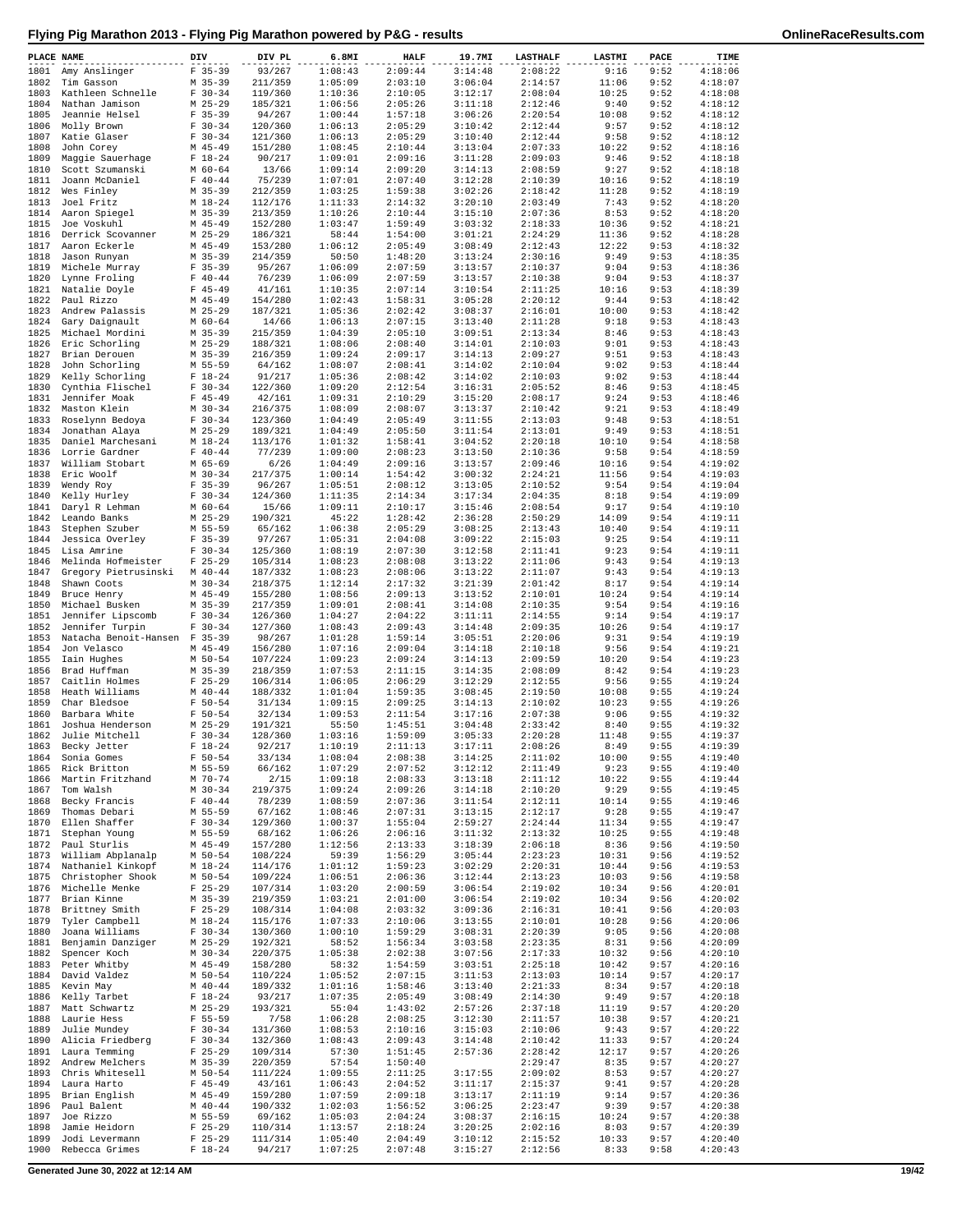| PLACE NAME   |                                     | DIV                         | DIV PL             | 6.8MI              | <b>HALF</b>        | 19.7MI             | <b>LASTHALF</b>    | LASTMI         | PACE         | TIME               |
|--------------|-------------------------------------|-----------------------------|--------------------|--------------------|--------------------|--------------------|--------------------|----------------|--------------|--------------------|
| 1801         | Amy Anslinger                       | $F$ 35-39                   | 93/267             | 1:08:43            | 2:09:44            | 3:14:48            | 2:08:22            | 9:16           | 9:52         | 4:18:06            |
| 1802         | Tim Gasson                          | $M$ 35-39                   | 211/359            | 1:05:09            | 2:03:10            | 3:06:04            | 2:14:57            | 11:06          | 9:52         | 4:18:07            |
| 1803         | Kathleen Schnelle                   | $F 30-34$                   | 119/360            | 1:10:36            | 2:10:05            | 3:12:17            | 2:08:04            | 10:25          | 9:52         | 4:18:08            |
| 1804<br>1805 | Nathan Jamison<br>Jeannie Helsel    | $M$ 25-29<br>$F$ 35-39      | 185/321<br>94/267  | 1:06:56<br>1:00:44 | 2:05:26<br>1:57:18 | 3:11:18<br>3:06:26 | 2:12:46<br>2:20:54 | 9:40<br>10:08  | 9:52<br>9:52 | 4:18:12<br>4:18:12 |
| 1806         | Molly Brown                         | $F 30-34$                   | 120/360            | 1:06:13            | 2:05:29            | 3:10:42            | 2:12:44            | 9:57           | 9:52         | 4:18:12            |
| 1807         | Katie Glaser                        | $F 30-34$                   | 121/360            | 1:06:13            | 2:05:29            | 3:10:40            | 2:12:44            | 9:58           | 9:52         | 4:18:12            |
| 1808         | John Corey                          | $M$ 45-49                   | 151/280            | 1:08:45            | 2:10:44            | 3:13:04            | 2:07:33            | 10:22          | 9:52         | 4:18:16            |
| 1809         | Maggie Sauerhage                    | $F 18-24$                   | 90/217             | 1:09:01            | 2:09:16            | 3:11:28            | 2:09:03            | 9:46           | 9:52         | 4:18:18            |
| 1810         | Scott Szumanski                     | $M$ 60-64                   | 13/66              | 1:09:14            | 2:09:20            | 3:14:13            | 2:08:59            | 9:27           | 9:52         | 4:18:18            |
| 1811<br>1812 | Joann McDaniel<br>Wes Finley        | $F 40 - 44$<br>$M$ 35-39    | 75/239<br>212/359  | 1:07:01<br>1:03:25 | 2:07:40<br>1:59:38 | 3:12:28<br>3:02:26 | 2:10:39<br>2:18:42 | 10:16<br>11:28 | 9:52<br>9:52 | 4:18:19<br>4:18:19 |
| 1813         | Joel Fritz                          | $M_18-24$                   | 112/176            | 1:11:33            | 2:14:32            | 3:20:10            | 2:03:49            | 7:43           | 9:52         | 4:18:20            |
| 1814         | Aaron Spiegel                       | $M$ 35-39                   | 213/359            | 1:10:26            | 2:10:44            | 3:15:10            | 2:07:36            | 8:53           | 9:52         | 4:18:20            |
| 1815         | Joe Voskuhl                         | $M$ 45-49                   | 152/280            | 1:03:47            | 1:59:49            | 3:03:32            | 2:18:33            | 10:36          | 9:52         | 4:18:21            |
| 1816         | Derrick Scovanner                   | $M$ 25-29                   | 186/321            | 58:44              | 1:54:00            | 3:01:21            | 2:24:29            | 11:36          | 9:52         | 4:18:28            |
| 1817         | Aaron Eckerle                       | $M$ 45-49                   | 153/280            | 1:06:12            | 2:05:49            | 3:08:49            | 2:12:43            | 12:22          | 9:53         | 4:18:32            |
| 1818         | Jason Runyan<br>Michele Murray      | $M$ 35-39                   | 214/359<br>95/267  | 50:50              | 1:48:20            | 3:13:24            | 2:30:16            | 9:49           | 9:53         | 4:18:35            |
| 1819<br>1820 | Lynne Froling                       | $F$ 35-39<br>$F 40 - 44$    | 76/239             | 1:06:09<br>1:06:09 | 2:07:59<br>2:07:59 | 3:13:57<br>3:13:57 | 2:10:37<br>2:10:38 | 9:04<br>9:04   | 9:53<br>9:53 | 4:18:36<br>4:18:37 |
| 1821         | Natalie Doyle                       | $F$ 45-49                   | 41/161             | 1:10:35            | 2:07:14            | 3:10:54            | 2:11:25            | 10:16          | 9:53         | 4:18:39            |
| 1822         | Paul Rizzo                          | $M$ 45-49                   | 154/280            | 1:02:43            | 1:58:31            | 3:05:28            | 2:20:12            | 9:44           | 9:53         | 4:18:42            |
| 1823         | Andrew Palassis                     | $M$ 25-29                   | 187/321            | 1:05:36            | 2:02:42            | 3:08:37            | 2:16:01            | 10:00          | 9:53         | 4:18:42            |
| 1824         | Gary Daignault                      | $M$ 60-64                   | 14/66              | 1:06:13            | 2:07:15            | 3:13:40            | 2:11:28            | 9:18           | 9:53         | 4:18:43            |
| 1825         | Michael Mordini                     | $M$ 35-39                   | 215/359            | 1:04:39            | 2:05:10            | 3:09:51            | 2:13:34            | 8:46           | 9:53         | 4:18:43            |
| 1826<br>1827 | Eric Schorling<br>Brian Derouen     | $M$ 25-29<br>M 35-39        | 188/321<br>216/359 | 1:08:06<br>1:09:24 | 2:08:40<br>2:09:17 | 3:14:01<br>3:14:13 | 2:10:03<br>2:09:27 | 9:01<br>9:51   | 9:53<br>9:53 | 4:18:43<br>4:18:43 |
| 1828         | John Schorling                      | M 55-59                     | 64/162             | 1:08:07            | 2:08:41            | 3:14:02            | 2:10:04            | 9:02           | 9:53         | 4:18:44            |
| 1829         | Kelly Schorling                     | $F 18-24$                   | 91/217             | 1:05:36            | 2:08:42            | 3:14:02            | 2:10:03            | 9:02           | 9:53         | 4:18:44            |
| 1830         | Cynthia Flischel                    | $F 30-34$                   | 122/360            | 1:09:20            | 2:12:54            | 3:16:31            | 2:05:52            | 8:46           | 9:53         | 4:18:45            |
| 1831         | Jennifer Moak                       | $F$ 45-49                   | 42/161             | 1:09:31            | 2:10:29            | 3:15:20            | 2:08:17            | 9:24           | 9:53         | 4:18:46            |
| 1832         | Maston Klein                        | $M$ 30-34                   | 216/375            | 1:08:09            | 2:08:07            | 3:13:37            | 2:10:42            | 9:21           | 9:53         | 4:18:49            |
| 1833<br>1834 | Roselynn Bedoya                     | $F 30-34$<br>$M$ 25-29      | 123/360            | 1:04:49<br>1:04:49 | 2:05:49<br>2:05:50 | 3:11:55<br>3:11:54 | 2:13:03<br>2:13:01 | 9:48<br>9:49   | 9:53<br>9:53 | 4:18:51<br>4:18:51 |
| 1835         | Jonathan Alaya<br>Daniel Marchesani | $M_18-24$                   | 189/321<br>113/176 | 1:01:32            | 1:58:41            | 3:04:52            | 2:20:18            | 10:10          | 9:54         | 4:18:58            |
| 1836         | Lorrie Gardner                      | $F 40 - 44$                 | 77/239             | 1:09:00            | 2:08:23            | 3:13:50            | 2:10:36            | 9:58           | 9:54         | 4:18:59            |
| 1837         | William Stobart                     | M 65-69                     | 6/26               | 1:04:49            | 2:09:16            | 3:13:57            | 2:09:46            | 10:16          | 9:54         | 4:19:02            |
| 1838         | Eric Woolf                          | $M$ 30-34                   | 217/375            | 1:00:14            | 1:54:42            | 3:00:32            | 2:24:21            | 11:56          | 9:54         | 4:19:03            |
| 1839         | Wendy Roy                           | $F$ 35-39                   | 96/267             | 1:05:51            | 2:08:12            | 3:13:05            | 2:10:52            | 9:54           | 9:54         | 4:19:04            |
| 1840         | Kelly Hurley                        | $F 30 - 34$                 | 124/360            | 1:11:35            | 2:14:34            | 3:17:34            | 2:04:35            | 8:18           | 9:54         | 4:19:09            |
| 1841<br>1842 | Daryl R Lehman<br>Leando Banks      | $M$ 60-64<br>$M$ 25-29      | 15/66<br>190/321   | 1:09:11<br>45:22   | 2:10:17<br>1:28:42 | 3:15:46<br>2:36:28 | 2:08:54<br>2:50:29 | 9:17<br>14:09  | 9:54<br>9:54 | 4:19:10<br>4:19:11 |
| 1843         | Stephen Szuber                      | M 55-59                     | 65/162             | 1:06:38            | 2:05:29            | 3:08:25            | 2:13:43            | 10:40          | 9:54         | 4:19:11            |
| 1844         | Jessica Overley                     | $F$ 35-39                   | 97/267             | 1:05:31            | 2:04:08            | 3:09:22            | 2:15:03            | 9:25           | 9:54         | 4:19:11            |
| 1845         | Lisa Amrine                         | $F 30-34$                   | 125/360            | 1:08:19            | 2:07:30            | 3:12:58            | 2:11:41            | 9:23           | 9:54         | 4:19:11            |
| 1846         | Melinda Hofmeister                  | $F$ 25-29                   | 105/314            | 1:08:23            | 2:08:08            | 3:13:22            | 2:11:06            | 9:43           | 9:54         | 4:19:13            |
| 1847         | Gregory Pietrusinski                | $M$ 40-44                   | 187/332            | 1:08:23            | 2:08:06            | 3:13:22            | 2:11:07            | 9:43           | 9:54         | 4:19:13            |
| 1848         | Shawn Coots                         | $M$ 30-34                   | 218/375            | 1:12:14            | 2:17:32            | 3:21:39            | 2:01:42            | 8:17           | 9:54         | 4:19:14            |
| 1849<br>1850 | Bruce Henry<br>Michael Busken       | $M$ 45-49<br>$M$ 35-39      | 155/280<br>217/359 | 1:08:56<br>1:09:01 | 2:09:13<br>2:08:41 | 3:13:52<br>3:14:08 | 2:10:01<br>2:10:35 | 10:24<br>9:54  | 9:54<br>9:54 | 4:19:14<br>4:19:16 |
| 1851         | Jennifer Lipscomb                   | $F 30-34$                   | 126/360            | 1:04:27            | 2:04:22            | 3:11:11            | 2:14:55            | 9:14           | 9:54         | 4:19:17            |
| 1852         | Jennifer Turpin                     | $F 30-34$                   | 127/360            | 1:08:43            | 2:09:43            | 3:14:48            | 2:09:35            | 10:26          | 9:54         | 4:19:17            |
| 1853         | Natacha Benoit-Hansen F 35-39       |                             | 98/267             | 1:01:28            | 1:59:14            | 3:05:51            | 2:20:06            | 9:31           | 9:54         | 4:19:19            |
| 1854         | Jon Velasco                         | $M$ 45-49                   | 156/280            | 1:07:16            | 2:09:04            | 3:14:18            | 2:10:18            | 9:56           | 9:54         | 4:19:21            |
| 1855         | Iain Hughes                         | $M$ 50-54                   | 107/224            | 1:09:23            | 2:09:24            | 3:14:13            | 2:09:59            | 10:20          | 9:54         | 4:19:23            |
| 1856<br>1857 | Brad Huffman<br>Caitlin Holmes      | $M$ 35-39<br>$F$ 25-29      | 218/359<br>106/314 | 1:07:53<br>1:06:05 | 2:11:15<br>2:06:29 | 3:14:35<br>3:12:29 | 2:08:09<br>2:12:55 | 8:42<br>9:56   | 9:54<br>9:55 | 4:19:23<br>4:19:24 |
| 1858         | Heath Williams                      | $M$ 40-44                   | 188/332            | 1:01:04            | 1:59:35            | 3:08:45            | 2:19:50            | 10:08          | 9:55         | 4:19:24            |
| 1859         | Char Bledsoe                        | $F 50 - 54$                 | 31/134             | 1:09:15            | 2:09:25            | 3:14:13            | 2:10:02            | 10:23          | 9:55         | 4:19:26            |
| 1860         | Barbara White                       | $F 50 - 54$                 | 32/134             | 1:09:53            | 2:11:54            | 3:17:16            | 2:07:38            | 9:06           | 9:55         | 4:19:32            |
| 1861         | Joshua Henderson                    | $M$ 25-29                   | 191/321            | 55:50              | 1:45:51            | 3:04:48            | 2:33:42            | 8:40           | 9:55         | 4:19:32            |
| 1862         | Julie Mitchell                      | $F 30-34$                   | 128/360            | 1:03:16            | 1:59:09            | 3:05:33            | 2:20:28            | 11:48          | 9:55         | 4:19:37            |
| 1863<br>1864 | Becky Jetter<br>Sonia Gomes         | $F 18-24$<br>$F 50 - 54$    | 92/217<br>33/134   | 1:10:19<br>1:08:04 | 2:11:13<br>2:08:38 | 3:17:11<br>3:14:25 | 2:08:26<br>2:11:02 | 8:49<br>10:00  | 9:55<br>9:55 | 4:19:39<br>4:19:40 |
| 1865         | Rick Britton                        | M 55-59                     | 66/162             | 1:07:29            | 2:07:52            | 3:12:12            | 2:11:49            | 9:23           | 9:55         | 4:19:40            |
| 1866         | Martin Fritzhand                    | M 70-74                     | 2/15               | 1:09:18            | 2:08:33            | 3:13:18            | 2:11:12            | 10:22          | 9:55         | 4:19:44            |
| 1867         | Tom Walsh                           | $M$ 30-34                   | 219/375            | 1:09:24            | 2:09:26            | 3:14:18            | 2:10:20            | 9:29           | 9:55         | 4:19:45            |
| 1868         | Becky Francis                       | $F 40 - 44$                 | 78/239             | 1:08:59            | 2:07:36            | 3:11:54            | 2:12:11            | 10:14          | 9:55         | 4:19:46            |
| 1869         | Thomas Debari                       | M 55-59                     | 67/162             | 1:08:46            | 2:07:31            | 3:13:15            | 2:12:17            | 9:28           | 9:55         | 4:19:47            |
| 1870<br>1871 | Ellen Shaffer<br>Stephan Young      | $F 30-34$<br>M 55-59        | 129/360<br>68/162  | 1:00:37<br>1:06:26 | 1:55:04<br>2:06:16 | 2:59:27<br>3:11:32 | 2:24:44<br>2:13:32 | 11:34<br>10:25 | 9:55<br>9:55 | 4:19:47<br>4:19:48 |
| 1872         | Paul Sturlis                        | $M$ 45-49                   | 157/280            | 1:12:56            | 2:13:33            | 3:18:39            | 2:06:18            | 8:36           | 9:56         | 4:19:50            |
| 1873         | William Abplanalp                   | M 50-54                     | 108/224            | 59:39              | 1:56:29            | 3:05:44            | 2:23:23            | 10:31          | 9:56         | 4:19:52            |
| 1874         | Nathaniel Kinkopf                   | $M 18 - 24$                 | 114/176            | 1:01:12            | 1:59:23            | 3:02:29            | 2:20:31            | 10:44          | 9:56         | 4:19:53            |
| 1875         | Christopher Shook                   | M 50-54                     | 109/224            | 1:06:51            | 2:06:36            | 3:12:44            | 2:13:23            | 10:03          | 9:56         | 4:19:58            |
| 1876         | Michelle Menke                      | $F$ 25-29                   | 107/314            | 1:03:20            | 2:00:59            | 3:06:54            | 2:19:02            | 10:34          | 9:56         | 4:20:01            |
| 1877<br>1878 | Brian Kinne<br>Brittney Smith       | $35 - 39$<br>М<br>$F$ 25-29 | 219/359<br>108/314 | 1:03:21<br>1:04:08 | 2:01:00<br>2:03:32 | 3:06:54<br>3:09:36 | 2:19:02<br>2:16:31 | 10:34<br>10:41 | 9:56<br>9:56 | 4:20:02<br>4:20:03 |
| 1879         | Tyler Campbell                      | $M_18-24$                   | 115/176            | 1:07:33            | 2:10:06            | 3:13:55            | 2:10:01            | 10:28          | 9:56         | 4:20:06            |
| 1880         | Joana Williams                      | $F 30-34$                   | 130/360            | 1:00:10            | 1:59:29            | 3:08:31            | 2:20:39            | 9:05           | 9:56         | 4:20:08            |
| 1881         | Benjamin Danziger                   | $M$ 25-29                   | 192/321            | 58:52              | 1:56:34            | 3:03:58            | 2:23:35            | 8:31           | 9:56         | 4:20:09            |
| 1882         | Spencer Koch                        | $M$ 30-34                   | 220/375            | 1:05:38            | 2:02:38            | 3:07:56            | 2:17:33            | 10:32          | 9:56         | 4:20:10            |
| 1883         | Peter Whitby                        | $M$ 45-49                   | 158/280            | 58:32              | 1:54:59            | 3:03:51            | 2:25:18            | 10:42          | 9:57         | 4:20:16            |
| 1884<br>1885 | David Valdez<br>Kevin May           | M 50-54<br>$M$ 40-44        | 110/224<br>189/332 | 1:05:52<br>1:01:16 | 2:07:15<br>1:58:46 | 3:11:53<br>3:13:40 | 2:13:03<br>2:21:33 | 10:14<br>8:34  | 9:57<br>9:57 | 4:20:17<br>4:20:18 |
| 1886         | Kelly Tarbet                        | $F 18-24$                   | 93/217             | 1:07:35            | 2:05:49            | 3:08:49            | 2:14:30            | 9:49           | 9:57         | 4:20:18            |
| 1887         | Matt Schwartz                       | $M$ 25-29                   | 193/321            | 55:04              | 1:43:02            | 2:57:26            | 2:37:18            | 11:19          | 9:57         | 4:20:20            |
| 1888         | Laurie Hess                         | $F 55 - 59$                 | 7/58               | 1:06:28            | 2:08:25            | 3:12:30            | 2:11:57            | 10:38          | 9:57         | 4:20:21            |
| 1889         | Julie Mundey                        | $F 30-34$                   | 131/360            | 1:08:53            | 2:10:16            | 3:15:03            | 2:10:06            | 9:43           | 9:57         | 4:20:22            |
| 1890         | Alicia Friedberg                    | $F 30-34$                   | 132/360            | 1:08:43            | 2:09:43            | 3:14:48            | 2:10:42            | 11:33          | 9:57         | 4:20:24            |
| 1891<br>1892 | Laura Temming<br>Andrew Melchers    | $F$ 25-29<br>$M$ 35-39      | 109/314<br>220/359 | 57:30<br>57:54     | 1:51:45<br>1:50:40 | 2:57:36            | 2:28:42<br>2:29:47 | 12:17<br>8:35  | 9:57<br>9:57 | 4:20:26<br>4:20:27 |
| 1893         | Chris Whitesell                     | M 50-54                     | 111/224            | 1:09:55            | 2:11:25            | 3:17:55            | 2:09:02            | 8:53           | 9:57         | 4:20:27            |
| 1894         | Laura Harto                         | $F$ 45-49                   | 43/161             | 1:06:43            | 2:04:52            | 3:11:17            | 2:15:37            | 9:41           | 9:57         | 4:20:28            |
| 1895         | Brian English                       | $M$ 45-49                   | 159/280            | 1:07:59            | 2:09:18            | 3:13:17            | 2:11:19            | 9:14           | 9:57         | 4:20:36            |
| 1896         | Paul Balent                         | $M$ 40-44                   | 190/332            | 1:02:03            | 1:56:52            | 3:06:25            | 2:23:47            | 9:39           | 9:57         | 4:20:38            |
| 1897         | Joe Rizzo                           | M 55-59                     | 69/162             | 1:05:03            | 2:04:24            | 3:08:37            | 2:16:15            | 10:24          | 9:57         | 4:20:38            |
| 1898<br>1899 | Jamie Heidorn<br>Jodi Levermann     | $F$ 25-29<br>$F$ 25-29      | 110/314<br>111/314 | 1:13:57<br>1:05:40 | 2:18:24<br>2:04:49 | 3:20:25<br>3:10:12 | 2:02:16<br>2:15:52 | 8:03<br>10:33  | 9:57<br>9:57 | 4:20:39<br>4:20:40 |
| 1900         | Rebecca Grimes                      | $F 18-24$                   | 94/217             | 1:07:25            | 2:07:48            | 3:15:27            | 2:12:56            | 8:33           | 9:58         | 4:20:43            |
|              |                                     |                             |                    |                    |                    |                    |                    |                |              |                    |

**Generated June 30, 2022 at 12:14 AM 19/42**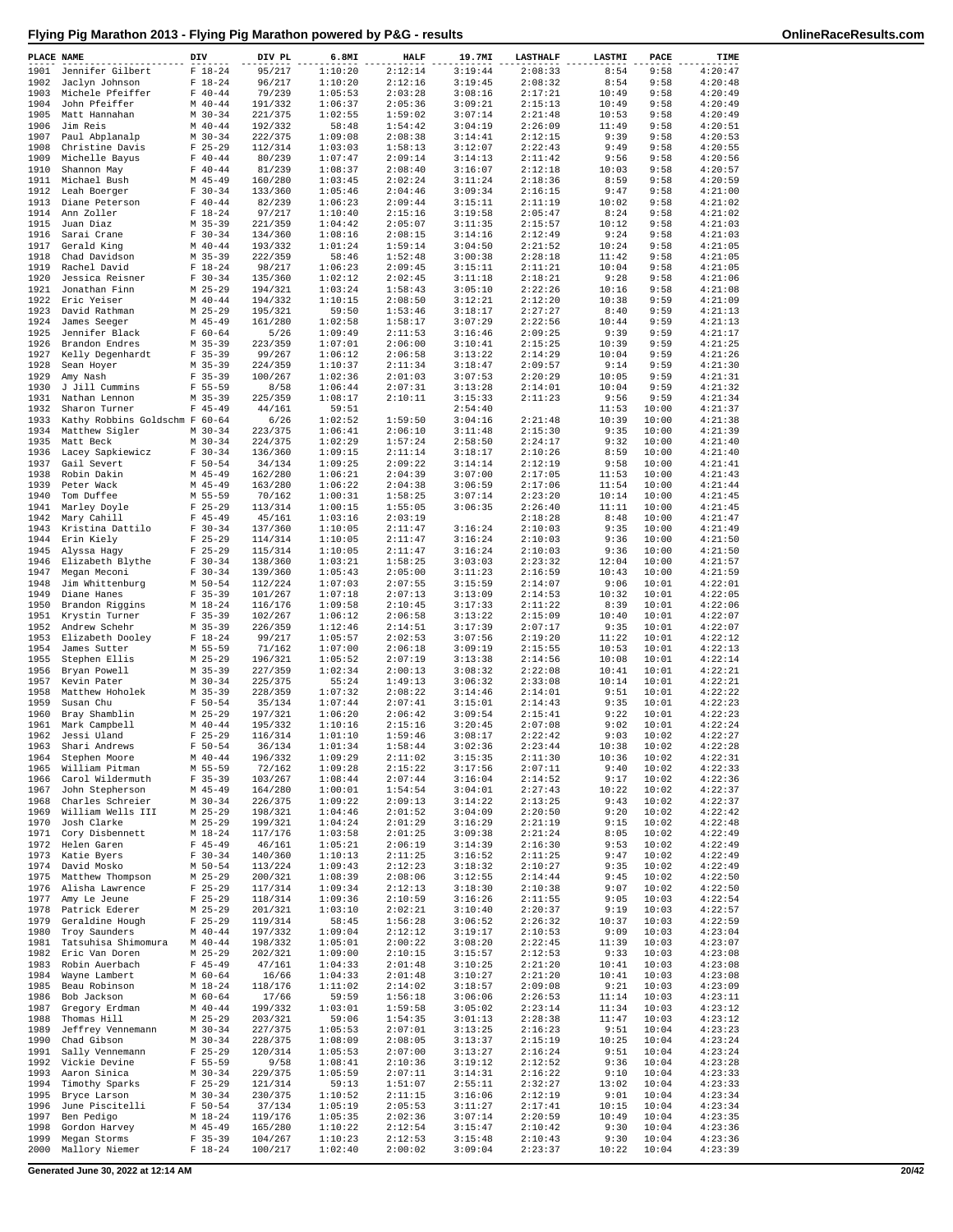| PLACE NAME   |                                     | DIV |                          | DIV PL             | 6.8MI              | <b>HALF</b>        | 19.7MI             | <b>LASTHALF</b>    | LASTMI         | PACE           | TIME               |
|--------------|-------------------------------------|-----|--------------------------|--------------------|--------------------|--------------------|--------------------|--------------------|----------------|----------------|--------------------|
| 1901         | Jennifer Gilbert                    |     | $F 18-24$                | 95/217             | 1:10:20            | 2:12:14            | 3:19:44            | 2:08:33            | 8:54           | 9:58           | 4:20:47            |
| 1902         | Jaclyn Johnson                      |     | $F 18-24$                | 96/217             | 1:10:20<br>1:05:53 | 2:12:16            | 3:19:45            | 2:08:32            | 8:54           | 9:58           | 4:20:48<br>4:20:49 |
| 1903<br>1904 | Michele Pfeiffer<br>John Pfeiffer   |     | $F 40 - 44$<br>$M$ 40-44 | 79/239<br>191/332  | 1:06:37            | 2:03:28<br>2:05:36 | 3:08:16<br>3:09:21 | 2:17:21<br>2:15:13 | 10:49<br>10:49 | 9:58<br>9:58   | 4:20:49            |
| 1905         | Matt Hannahan                       |     | $M$ 30-34                | 221/375            | 1:02:55            | 1:59:02            | 3:07:14            | 2:21:48            | 10:53          | 9:58           | 4:20:49            |
| 1906         | Jim Reis                            |     | $M$ 40-44                | 192/332            | 58:48              | 1:54:42            | 3:04:19            | 2:26:09            | 11:49          | 9:58           | 4:20:51            |
| 1907         | Paul Abplanalp                      |     | $M$ 30-34                | 222/375            | 1:09:08            | 2:08:38            | 3:14:41            | 2:12:15            | 9:39           | 9:58           | 4:20:53            |
| 1908<br>1909 | Christine Davis<br>Michelle Bayus   |     | $F$ 25-29<br>$F 40 - 44$ | 112/314<br>80/239  | 1:03:03<br>1:07:47 | 1:58:13<br>2:09:14 | 3:12:07<br>3:14:13 | 2:22:43<br>2:11:42 | 9:49<br>9:56   | 9:58<br>9:58   | 4:20:55<br>4:20:56 |
| 1910         | Shannon May                         |     | $F 40 - 44$              | 81/239             | 1:08:37            | 2:08:40            | 3:16:07            | 2:12:18            | 10:03          | 9:58           | 4:20:57            |
| 1911         | Michael Bush                        |     | $M$ 45-49                | 160/280            | 1:03:45            | 2:02:24            | 3:11:24            | 2:18:36            | 8:59           | 9:58           | 4:20:59            |
| 1912         | Leah Boerger                        |     | $F 30-34$                | 133/360            | 1:05:46            | 2:04:46            | 3:09:34            | 2:16:15            | 9:47           | 9:58           | 4:21:00            |
| 1913         | Diane Peterson                      |     | $F 40 - 44$              | 82/239             | 1:06:23            | 2:09:44            | 3:15:11            | 2:11:19            | 10:02          | 9:58           | 4:21:02            |
| 1914<br>1915 | Ann Zoller<br>Juan Diaz             |     | $F 18-24$<br>$M$ 35-39   | 97/217<br>221/359  | 1:10:40<br>1:04:42 | 2:15:16<br>2:05:07 | 3:19:58<br>3:11:35 | 2:05:47<br>2:15:57 | 8:24<br>10:12  | 9:58<br>9:58   | 4:21:02<br>4:21:03 |
| 1916         | Sarai Crane                         |     | $F 30-34$                | 134/360            | 1:08:16            | 2:08:15            | 3:14:16            | 2:12:49            | 9:24           | 9:58           | 4:21:03            |
| 1917         | Gerald King                         |     | $M$ 40-44                | 193/332            | 1:01:24            | 1:59:14            | 3:04:50            | 2:21:52            | 10:24          | 9:58           | 4:21:05            |
| 1918         | Chad Davidson                       |     | $M$ 35-39                | 222/359            | 58:46              | 1:52:48            | 3:00:38            | 2:28:18            | 11:42          | 9:58           | 4:21:05            |
| 1919<br>1920 | Rachel David<br>Jessica Reisner     |     | $F 18-24$<br>$F 30-34$   | 98/217<br>135/360  | 1:06:23<br>1:02:12 | 2:09:45<br>2:02:45 | 3:15:11<br>3:11:18 | 2:11:21<br>2:18:21 | 10:04<br>9:28  | 9:58<br>9:58   | 4:21:05<br>4:21:06 |
| 1921         | Jonathan Finn                       |     | $M$ 25-29                | 194/321            | 1:03:24            | 1:58:43            | 3:05:10            | 2:22:26            | 10:16          | 9:58           | 4:21:08            |
| 1922         | Eric Yeiser                         |     | $M$ 40-44                | 194/332            | 1:10:15            | 2:08:50            | 3:12:21            | 2:12:20            | 10:38          | 9:59           | 4:21:09            |
| 1923         | David Rathman                       |     | $M$ 25-29                | 195/321            | 59:50              | 1:53:46            | 3:18:17            | 2:27:27            | 8:40           | 9:59           | 4:21:13            |
| 1924<br>1925 | James Seeger<br>Jennifer Black      |     | $M$ 45-49<br>$F 60 - 64$ | 161/280<br>5/26    | 1:02:58<br>1:09:49 | 1:58:17<br>2:11:53 | 3:07:29<br>3:16:46 | 2:22:56<br>2:09:25 | 10:44<br>9:39  | 9:59<br>9:59   | 4:21:13<br>4:21:17 |
| 1926         | Brandon Endres                      |     | $M$ 35-39                | 223/359            | 1:07:01            | 2:06:00            | 3:10:41            | 2:15:25            | 10:39          | 9:59           | 4:21:25            |
| 1927         | Kelly Degenhardt                    |     | $F$ 35-39                | 99/267             | 1:06:12            | 2:06:58            | 3:13:22            | 2:14:29            | 10:04          | 9:59           | 4:21:26            |
| 1928         | Sean Hoyer                          |     | $M$ 35-39                | 224/359            | 1:10:37            | 2:11:34            | 3:18:47            | 2:09:57            | 9:14           | 9:59           | 4:21:30            |
| 1929<br>1930 | Amy Nash<br>J Jill Cummins          |     | $F$ 35-39<br>$F 55 - 59$ | 100/267<br>8/58    | 1:02:36<br>1:06:44 | 2:01:03<br>2:07:31 | 3:07:53<br>3:13:28 | 2:20:29<br>2:14:01 | 10:05<br>10:04 | 9:59<br>9:59   | 4:21:31<br>4:21:32 |
| 1931         | Nathan Lennon                       |     | $M$ 35-39                | 225/359            | 1:08:17            | 2:10:11            | 3:15:33            | 2:11:23            | 9:56           | 9:59           | 4:21:34            |
| 1932         | Sharon Turner                       |     | $F$ 45-49                | 44/161             | 59:51              |                    | 2:54:40            |                    | 11:53          | 10:00          | 4:21:37            |
| 1933         | Kathy Robbins Goldschm F 60-64      |     |                          | 6/26               | 1:02:52            | 1:59:50            | 3:04:16            | 2:21:48            | 10:39          | 10:00          | 4:21:38            |
| 1934         | Matthew Sigler                      |     | $M$ 30-34                | 223/375            | 1:06:41            | 2:06:10            | 3:11:48            | 2:15:30            | 9:35           | 10:00          | 4:21:39            |
| 1935<br>1936 | Matt Beck<br>Lacey Sapkiewicz       |     | $M$ 30-34<br>$F 30-34$   | 224/375<br>136/360 | 1:02:29<br>1:09:15 | 1:57:24<br>2:11:14 | 2:58:50<br>3:18:17 | 2:24:17<br>2:10:26 | 9:32<br>8:59   | 10:00<br>10:00 | 4:21:40<br>4:21:40 |
| 1937         | Gail Severt                         |     | $F 50 - 54$              | 34/134             | 1:09:25            | 2:09:22            | 3:14:14            | 2:12:19            | 9:58           | 10:00          | 4:21:41            |
| 1938         | Robin Dakin                         |     | $M$ 45-49                | 162/280            | 1:06:21            | 2:04:39            | 3:07:00            | 2:17:05            | 11:53          | 10:00          | 4:21:43            |
| 1939         | Peter Wack                          |     | $M$ 45-49                | 163/280            | 1:06:22            | 2:04:38            | 3:06:59            | 2:17:06            | 11:54          | 10:00          | 4:21:44            |
| 1940         | Tom Duffee                          |     | M 55-59                  | 70/162             | 1:00:31            | 1:58:25            | 3:07:14            | 2:23:20            | 10:14          | 10:00          | 4:21:45            |
| 1941<br>1942 | Marley Doyle<br>Mary Cahill         |     | $F$ 25-29<br>$F$ 45-49   | 113/314<br>45/161  | 1:00:15<br>1:03:16 | 1:55:05<br>2:03:19 | 3:06:35            | 2:26:40<br>2:18:28 | 11:11<br>8:48  | 10:00<br>10:00 | 4:21:45<br>4:21:47 |
| 1943         | Kristina Dattilo                    |     | $F 30-34$                | 137/360            | 1:10:05            | 2:11:47            | 3:16:24            | 2:10:03            | 9:35           | 10:00          | 4:21:49            |
| 1944         | Erin Kiely                          |     | $F$ 25-29                | 114/314            | 1:10:05            | 2:11:47            | 3:16:24            | 2:10:03            | 9:36           | 10:00          | 4:21:50            |
| 1945         | Alyssa Hagy                         |     | $F$ 25-29                | 115/314            | 1:10:05            | 2:11:47            | 3:16:24            | 2:10:03            | 9:36           | 10:00          | 4:21:50            |
| 1946<br>1947 | Elizabeth Blythe<br>Megan Meconi    |     | $F 30-34$<br>$F 30-34$   | 138/360<br>139/360 | 1:03:21<br>1:05:43 | 1:58:25<br>2:05:00 | 3:03:03<br>3:11:23 | 2:23:32<br>2:16:59 | 12:04<br>10:43 | 10:00<br>10:00 | 4:21:57<br>4:21:59 |
| 1948         | Jim Whittenburg                     |     | $M$ 50-54                | 112/224            | 1:07:03            | 2:07:55            | 3:15:59            | 2:14:07            | 9:06           | 10:01          | 4:22:01            |
| 1949         | Diane Hanes                         |     | $F$ 35-39                | 101/267            | 1:07:18            | 2:07:13            | 3:13:09            | 2:14:53            | 10:32          | 10:01          | 4:22:05            |
| 1950         | Brandon Riggins                     |     | $M_18-24$                | 116/176            | 1:09:58            | 2:10:45            | 3:17:33            | 2:11:22            | 8:39           | 10:01          | 4:22:06            |
| 1951<br>1952 | Krystin Turner<br>Andrew Schehr     |     | $F$ 35-39<br>$M$ 35-39   | 102/267<br>226/359 | 1:06:12<br>1:12:46 | 2:06:58<br>2:14:51 | 3:13:22<br>3:17:39 | 2:15:09<br>2:07:17 | 10:40<br>9:35  | 10:01<br>10:01 | 4:22:07<br>4:22:07 |
| 1953         | Elizabeth Dooley                    |     | $F 18-24$                | 99/217             | 1:05:57            | 2:02:53            | 3:07:56            | 2:19:20            | 11:22          | 10:01          | 4:22:12            |
| 1954         | James Sutter                        |     | M 55-59                  | 71/162             | 1:07:00            | 2:06:18            | 3:09:19            | 2:15:55            | 10:53          | 10:01          | 4:22:13            |
| 1955         | Stephen Ellis                       |     | $M$ 25-29                | 196/321            | 1:05:52            | 2:07:19            | 3:13:38            | 2:14:56            | 10:08          | 10:01          | 4:22:14            |
| 1956<br>1957 | Brvan Powell<br>Kevin Pater         |     | $M$ 35-39<br>$M$ 30-34   | 227/359<br>225/375 | 1:02:34<br>55:24   | 2:00:13<br>1:49:13 | 3:08:32<br>3:06:32 | 2:22:08<br>2:33:08 | 10:41<br>10:14 | 10:01<br>10:01 | 4:22:21<br>4:22:21 |
| 1958         | Matthew Hoholek                     |     | $M$ 35-39                | 228/359            | 1:07:32            | 2:08:22            | 3:14:46            | 2:14:01            | 9:51           | 10:01          | 4:22:22            |
| 1959         | Susan Chu                           |     | $F 50 - 54$              | 35/134             | 1:07:44            | 2:07:41            | 3:15:01            | 2:14:43            | 9:35           | 10:01          | 4:22:23            |
| 1960         | Bray Shamblin                       |     | $M$ 25-29                | 197/321            | 1:06:20            | 2:06:42            | 3:09:54            | 2:15:41            | 9:22           | 10:01          | 4:22:23            |
| 1961<br>1962 | Mark Campbell<br>Jessi Uland        |     | $M$ 40-44<br>$F$ 25-29   | 195/332<br>116/314 | 1:10:16<br>1:01:10 | 2:15:16<br>1:59:46 | 3:20:45<br>3:08:17 | 2:07:08<br>2:22:42 | 9:02<br>9:03   | 10:01<br>10:02 | 4:22:24<br>4:22:27 |
|              | 1963 Shari Andrews                  |     | $F 50 - 54$              | 36/134             | 1:01:34            | 1:58:44            | 3:02:36            | 2:23:44            | 10:38          | 10:02          | 4:22:28            |
| 1964         | Stephen Moore                       |     | $M$ 40-44                | 196/332            | 1:09:29            | 2:11:02            | 3:15:35            | 2:11:30            | 10:36          | 10:02          | 4:22:31            |
| 1965         | William Pitman                      |     | M 55-59                  | 72/162             | 1:09:28            | 2:15:22            | 3:17:56            | 2:07:11            | 9:40           | 10:02          | 4:22:33            |
| 1966         | Carol Wildermuth                    |     | $F$ 35-39                | 103/267            | 1:08:44            | 2:07:44            | 3:16:04            | 2:14:52            | 9:17           | 10:02          | 4:22:36<br>4:22:37 |
| 1967<br>1968 | John Stepherson<br>Charles Schreier |     | $M$ 45-49<br>$M$ 30-34   | 164/280<br>226/375 | 1:00:01<br>1:09:22 | 1:54:54<br>2:09:13 | 3:04:01<br>3:14:22 | 2:27:43<br>2:13:25 | 10:22<br>9:43  | 10:02<br>10:02 | 4:22:37            |
| 1969         | William Wells III                   |     | $M$ 25-29                | 198/321            | 1:04:46            | 2:01:52            | 3:04:09            | 2:20:50            | 9:20           | 10:02          | 4:22:42            |
| 1970         | Josh Clarke                         |     | $M$ 25-29                | 199/321            | 1:04:24            | 2:01:29            | 3:16:29            | 2:21:19            | 9:15           | 10:02          | 4:22:48            |
| 1971         | Cory Disbennett                     |     | $M_18-24$                | 117/176            | 1:03:58            | 2:01:25            | 3:09:38            | 2:21:24            | 8:05           | 10:02          | 4:22:49            |
| 1972<br>1973 | Helen Garen<br>Katie Byers          |     | $F$ 45-49<br>$F 30-34$   | 46/161<br>140/360  | 1:05:21<br>1:10:13 | 2:06:19<br>2:11:25 | 3:14:39<br>3:16:52 | 2:16:30<br>2:11:25 | 9:53<br>9:47   | 10:02<br>10:02 | 4:22:49<br>4:22:49 |
| 1974         | David Mosko                         |     | $M$ 50-54                | 113/224            | 1:09:43            | 2:12:23            | 3:18:32            | 2:10:27            | 9:35           | 10:02          | 4:22:49            |
| 1975         | Matthew Thompson                    |     | $M$ 25-29                | 200/321            | 1:08:39            | 2:08:06            | 3:12:55            | 2:14:44            | 9:45           | 10:02          | 4:22:50            |
| 1976         | Alisha Lawrence                     |     | $F$ 25-29                | 117/314            | 1:09:34            | 2:12:13            | 3:18:30            | 2:10:38            | 9:07           | 10:02          | 4:22:50            |
| 1977<br>1978 | Amy Le Jeune<br>Patrick Ederer      |     | $F$ 25-29<br>$M$ 25-29   | 118/314<br>201/321 | 1:09:36<br>1:03:10 | 2:10:59<br>2:02:21 | 3:16:26<br>3:10:40 | 2:11:55<br>2:20:37 | 9:05<br>9:19   | 10:03<br>10:03 | 4:22:54<br>4:22:57 |
| 1979         | Geraldine Hough                     |     | $F$ 25-29                | 119/314            | 58:45              | 1:56:28            | 3:06:52            | 2:26:32            | 10:37          | 10:03          | 4:22:59            |
| 1980         | Troy Saunders                       |     | $M$ 40-44                | 197/332            | 1:09:04            | 2:12:12            | 3:19:17            | 2:10:53            | 9:09           | 10:03          | 4:23:04            |
| 1981         | Tatsuhisa Shimomura                 |     | $M$ 40-44                | 198/332            | 1:05:01            | 2:00:22            | 3:08:20            | 2:22:45            | 11:39          | 10:03          | 4:23:07            |
| 1982         | Eric Van Doren                      |     | $M$ 25-29                | 202/321            | 1:09:00            | 2:10:15            | 3:15:57            | 2:12:53            | 9:33           | 10:03          | 4:23:08            |
| 1983<br>1984 | Robin Auerbach<br>Wayne Lambert     |     | $F$ 45-49<br>$M$ 60-64   | 47/161<br>16/66    | 1:04:33<br>1:04:33 | 2:01:48<br>2:01:48 | 3:10:25<br>3:10:27 | 2:21:20<br>2:21:20 | 10:41<br>10:41 | 10:03<br>10:03 | 4:23:08<br>4:23:08 |
| 1985         | Beau Robinson                       |     | $M_18-24$                | 118/176            | 1:11:02            | 2:14:02            | 3:18:57            | 2:09:08            | 9:21           | 10:03          | 4:23:09            |
| 1986         | Bob Jackson                         |     | $M$ 60-64                | 17/66              | 59:59              | 1:56:18            | 3:06:06            | 2:26:53            | 11:14          | 10:03          | 4:23:11            |
| 1987         | Gregory Erdman                      |     | $M$ 40-44                | 199/332            | 1:03:01            | 1:59:58            | 3:05:02            | 2:23:14            | 11:34          | 10:03          | 4:23:12            |
| 1988<br>1989 | Thomas Hill<br>Jeffrey Vennemann    |     | $M$ 25-29<br>$M$ 30-34   | 203/321<br>227/375 | 59:06<br>1:05:53   | 1:54:35<br>2:07:01 | 3:01:13<br>3:13:25 | 2:28:38<br>2:16:23 | 11:47<br>9:51  | 10:03<br>10:04 | 4:23:12<br>4:23:23 |
| 1990         | Chad Gibson                         |     | $M$ 30-34                | 228/375            | 1:08:09            | 2:08:05            | 3:13:37            | 2:15:19            | 10:25          | 10:04          | 4:23:24            |
| 1991         | Sally Vennemann                     |     | $F$ 25-29                | 120/314            | 1:05:53            | 2:07:00            | 3:13:27            | 2:16:24            | 9:51           | 10:04          | 4:23:24            |
| 1992         | Vickie Devine                       |     | $F 55 - 59$              | 9/58               | 1:08:41            | 2:10:36            | 3:19:12            | 2:12:52            | 9:36           | 10:04          | 4:23:28            |
| 1993<br>1994 | Aaron Sinica<br>Timothy Sparks      |     | $M$ 30-34<br>$F$ 25-29   | 229/375<br>121/314 | 1:05:59<br>59:13   | 2:07:11<br>1:51:07 | 3:14:31<br>2:55:11 | 2:16:22<br>2:32:27 | 9:10<br>13:02  | 10:04<br>10:04 | 4:23:33<br>4:23:33 |
| 1995         | Bryce Larson                        |     | $M$ 30-34                | 230/375            | 1:10:52            | 2:11:15            | 3:16:06            | 2:12:19            | 9:01           | 10:04          | 4:23:34            |
| 1996         | June Piscitelli                     |     | $F 50 - 54$              | 37/134             | 1:05:19            | 2:05:53            | 3:11:27            | 2:17:41            | 10:15          | 10:04          | 4:23:34            |
| 1997         | Ben Pedigo                          |     | $M_18-24$                | 119/176            | 1:05:35            | 2:02:36            | 3:07:14            | 2:20:59            | 10:49          | 10:04          | 4:23:35            |
| 1998<br>1999 | Gordon Harvey<br>Megan Storms       |     | $M$ 45-49<br>$F$ 35-39   | 165/280<br>104/267 | 1:10:22<br>1:10:23 | 2:12:54<br>2:12:53 | 3:15:47<br>3:15:48 | 2:10:42<br>2:10:43 | 9:30<br>9:30   | 10:04<br>10:04 | 4:23:36<br>4:23:36 |
| 2000         | Mallory Niemer                      |     | $F 18-24$                | 100/217            | 1:02:40            | 2:00:02            | 3:09:04            | 2:23:37            | 10:22          | 10:04          | 4:23:39            |
|              |                                     |     |                          |                    |                    |                    |                    |                    |                |                |                    |

**Generated June 30, 2022 at 12:14 AM 20/42**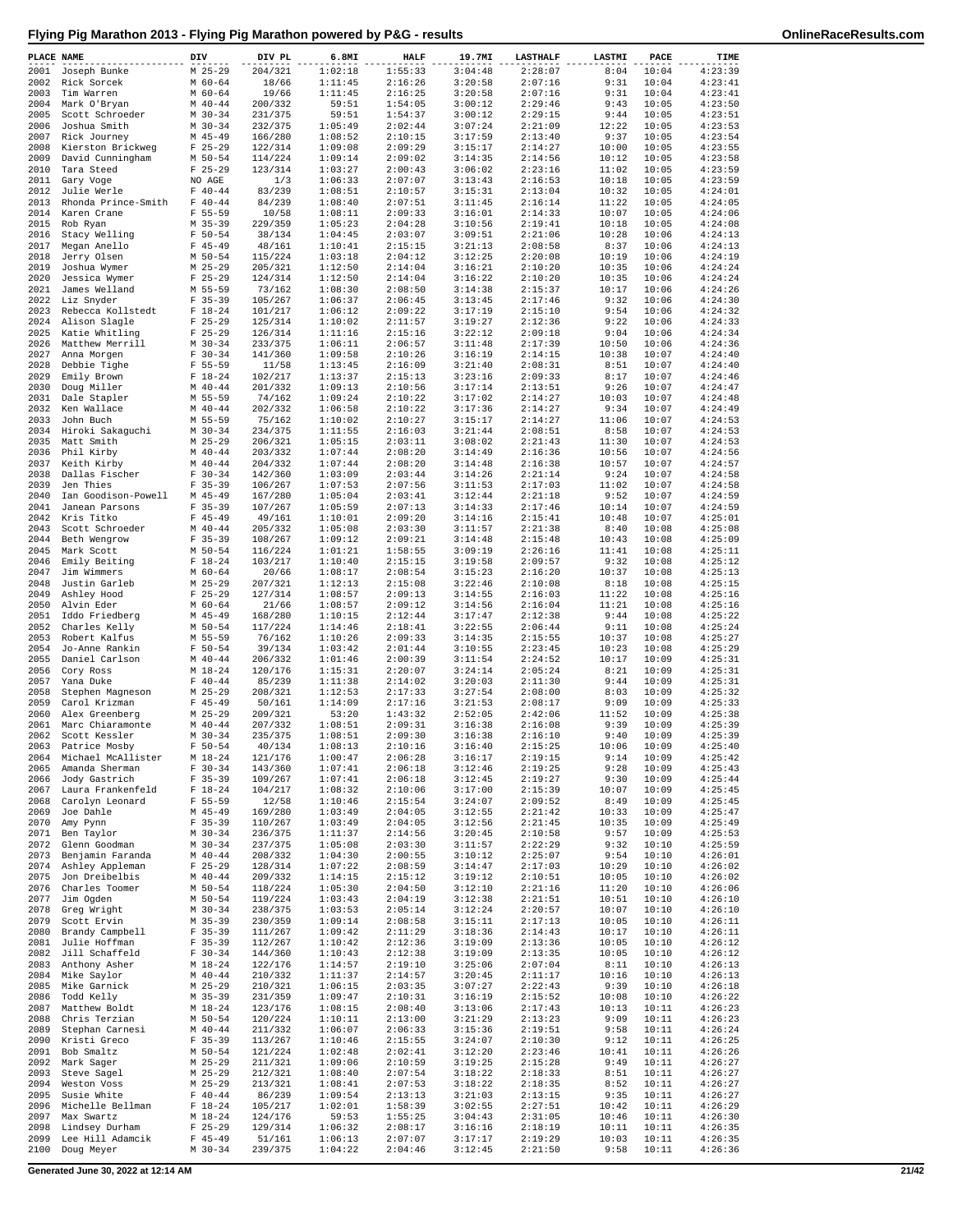| PLACE NAME   |                                          | DIV                        | DIV PL             | 6.8MI              | <b>HALF</b>        | 19.7MI             | <b>LASTHALF</b>    | LASTMI         | PACE           | TIME               |
|--------------|------------------------------------------|----------------------------|--------------------|--------------------|--------------------|--------------------|--------------------|----------------|----------------|--------------------|
| 2001         | Joseph Bunke                             | $M$ 25-29                  | 204/321            | 1:02:18            | 1:55:33            | 3:04:48            | 2:28:07            | 8:04           | 10:04          | 4:23:39            |
| 2002         | Rick Sorcek                              | $M$ 60-64                  | 18/66              | 1:11:45            | 2:16:26            | 3:20:58            | 2:07:16            | 9:31           | 10:04          | 4:23:41            |
| 2003         | Tim Warren                               | $M$ 60-64                  | 19/66              | 1:11:45            | 2:16:25            | 3:20:58            | 2:07:16            | 9:31           | 10:04          | 4:23:41            |
| 2004         | Mark O'Bryan                             | $M$ 40-44                  | 200/332            | 59:51              | 1:54:05            | 3:00:12            | 2:29:46            | 9:43           | 10:05          | 4:23:50            |
| 2005<br>2006 | Scott Schroeder<br>Joshua Smith          | $M$ 30-34<br>$M$ 30-34     | 231/375<br>232/375 | 59:51<br>1:05:49   | 1:54:37<br>2:02:44 | 3:00:12<br>3:07:24 | 2:29:15<br>2:21:09 | 9:44<br>12:22  | 10:05<br>10:05 | 4:23:51<br>4:23:53 |
| 2007         | Rick Journey                             | $M$ 45-49                  | 166/280            | 1:08:52            | 2:10:15            | 3:17:59            | 2:13:40            | 9:37           | 10:05          | 4:23:54            |
| 2008         | Kierston Brickweg                        | $F$ 25-29                  | 122/314            | 1:09:08            | 2:09:29            | 3:15:17            | 2:14:27            | 10:00          | 10:05          | 4:23:55            |
| 2009         | David Cunningham                         | M 50-54                    | 114/224            | 1:09:14            | 2:09:02            | 3:14:35            | 2:14:56            | 10:12          | 10:05          | 4:23:58            |
| 2010         | Tara Steed                               | $F$ 25-29                  | 123/314            | 1:03:27            | 2:00:43            | 3:06:02            | 2:23:16            | 11:02          | 10:05          | 4:23:59            |
| 2011         | Gary Voge                                | NO AGE                     | 1/3                | 1:06:33            | 2:07:07            | 3:13:43            | 2:16:53            | 10:18          | 10:05          | 4:23:59            |
| 2012         | Julie Werle                              | $F 40 - 44$                | 83/239             | 1:08:51            | 2:10:57            | 3:15:31            | 2:13:04            | 10:32          | 10:05          | 4:24:01            |
| 2013<br>2014 | Rhonda Prince-Smith<br>Karen Crane       | $F 40 - 44$<br>$F 55 - 59$ | 84/239<br>10/58    | 1:08:40<br>1:08:11 | 2:07:51<br>2:09:33 | 3:11:45<br>3:16:01 | 2:16:14<br>2:14:33 | 11:22<br>10:07 | 10:05<br>10:05 | 4:24:05<br>4:24:06 |
| 2015         | Rob Ryan                                 | $M$ 35-39                  | 229/359            | 1:05:23            | 2:04:28            | 3:10:56            | 2:19:41            | 10:18          | 10:05          | 4:24:08            |
| 2016         | Stacy Welling                            | $F 50 - 54$                | 38/134             | 1:04:45            | 2:03:07            | 3:09:51            | 2:21:06            | 10:28          | 10:06          | 4:24:13            |
| 2017         | Megan Anello                             | $F$ 45-49                  | 48/161             | 1:10:41            | 2:15:15            | 3:21:13            | 2:08:58            | 8:37           | 10:06          | 4:24:13            |
| 2018         | Jerry Olsen                              | M 50-54                    | 115/224            | 1:03:18            | 2:04:12            | 3:12:25            | 2:20:08            | 10:19          | 10:06          | 4:24:19            |
| 2019         | Joshua Wymer                             | $M$ 25-29                  | 205/321            | 1:12:50            | 2:14:04            | 3:16:21            | 2:10:20            | 10:35          | 10:06          | 4:24:24            |
| 2020         | Jessica Wymer                            | $F$ 25-29                  | 124/314            | 1:12:50            | 2:14:04            | 3:16:22            | 2:10:20            | 10:35          | 10:06          | 4:24:24            |
| 2021<br>2022 | James Welland<br>Liz Snyder              | M 55-59<br>$F$ 35-39       | 73/162<br>105/267  | 1:08:30<br>1:06:37 | 2:08:50<br>2:06:45 | 3:14:38<br>3:13:45 | 2:15:37<br>2:17:46 | 10:17<br>9:32  | 10:06<br>10:06 | 4:24:26<br>4:24:30 |
| 2023         | Rebecca Kollstedt                        | $F$ 18-24                  | 101/217            | 1:06:12            | 2:09:22            | 3:17:19            | 2:15:10            | 9:54           | 10:06          | 4:24:32            |
| 2024         | Alison Slagle                            | $F$ 25-29                  | 125/314            | 1:10:02            | 2:11:57            | 3:19:27            | 2:12:36            | 9:22           | 10:06          | 4:24:33            |
| 2025         | Katie Whitling                           | $F$ 25-29                  | 126/314            | 1:11:16            | 2:15:16            | 3:22:12            | 2:09:18            | 9:04           | 10:06          | 4:24:34            |
| 2026         | Matthew Merrill                          | $M$ 30-34                  | 233/375            | 1:06:11            | 2:06:57            | 3:11:48            | 2:17:39            | 10:50          | 10:06          | 4:24:36            |
| 2027         | Anna Morgen                              | $F 30 - 34$                | 141/360            | 1:09:58            | 2:10:26            | 3:16:19            | 2:14:15            | 10:38          | 10:07          | 4:24:40            |
| 2028         | Debbie Tighe                             | $F 55 - 59$                | 11/58              | 1:13:45            | 2:16:09            | 3:21:40            | 2:08:31            | 8:51           | 10:07          | 4:24:40            |
| 2029<br>2030 | Emily Brown<br>Doug Miller               | $F 18-24$<br>$M$ 40-44     | 102/217<br>201/332 | 1:13:37<br>1:09:13 | 2:15:13<br>2:10:56 | 3:23:16<br>3:17:14 | 2:09:33<br>2:13:51 | 8:17<br>9:26   | 10:07<br>10:07 | 4:24:46<br>4:24:47 |
| 2031         | Dale Stapler                             | M 55-59                    | 74/162             | 1:09:24            | 2:10:22            | 3:17:02            | 2:14:27            | 10:03          | 10:07          | 4:24:48            |
| 2032         | Ken Wallace                              | $M$ 40-44                  | 202/332            | 1:06:58            | 2:10:22            | 3:17:36            | 2:14:27            | 9:34           | 10:07          | 4:24:49            |
| 2033         | John Buch                                | M 55-59                    | 75/162             | 1:10:02            | 2:10:27            | 3:15:17            | 2:14:27            | 11:06          | 10:07          | 4:24:53            |
|              | 2034 Hiroki Sakaguchi                    | $M$ 30-34                  | 234/375            | 1:11:55            | 2:16:03            | 3:21:44            | 2:08:51            | 8:58           | 10:07          | 4:24:53            |
| 2035         | Matt Smith                               | $M$ 25-29                  | 206/321            | 1:05:15            | 2:03:11            | 3:08:02            | 2:21:43            | 11:30          | 10:07          | 4:24:53            |
| 2036         | Phil Kirby                               | $M$ 40-44                  | 203/332            | 1:07:44            | 2:08:20            | 3:14:49            | 2:16:36            | 10:56          | 10:07          | 4:24:56            |
| 2037         | Keith Kirby<br>Dallas Fischer            | $M$ 40-44<br>$F 30 - 34$   | 204/332<br>142/360 | 1:07:44<br>1:03:09 | 2:08:20<br>2:03:44 | 3:14:48            | 2:16:38            | 10:57          | 10:07          | 4:24:57<br>4:24:58 |
| 2038<br>2039 | Jen Thies                                | $F$ 35-39                  | 106/267            | 1:07:53            | 2:07:56            | 3:14:26<br>3:11:53 | 2:21:14<br>2:17:03 | 9:24<br>11:02  | 10:07<br>10:07 | 4:24:58            |
| 2040         | Ian Goodison-Powell                      | $M$ 45-49                  | 167/280            | 1:05:04            | 2:03:41            | 3:12:44            | 2:21:18            | 9:52           | 10:07          | 4:24:59            |
| 2041         | Janean Parsons                           | $F$ 35-39                  | 107/267            | 1:05:59            | 2:07:13            | 3:14:33            | 2:17:46            | 10:14          | 10:07          | 4:24:59            |
| 2042         | Kris Titko                               | $F$ 45-49                  | 49/161             | 1:10:01            | 2:09:20            | 3:14:16            | 2:15:41            | 10:48          | 10:07          | 4:25:01            |
| 2043         | Scott Schroeder                          | $M$ 40-44                  | 205/332            | 1:05:08            | 2:03:30            | 3:11:57            | 2:21:38            | 8:40           | 10:08          | 4:25:08            |
| 2044         | Beth Wengrow                             | $F$ 35-39                  | 108/267            | 1:09:12            | 2:09:21            | 3:14:48            | 2:15:48            | 10:43          | 10:08          | 4:25:09            |
| 2045         | Mark Scott                               | M 50-54                    | 116/224            | 1:01:21            | 1:58:55            | 3:09:19            | 2:26:16            | 11:41          | 10:08          | 4:25:11            |
| 2046<br>2047 | Emily Beiting<br>Jim Wimmers             | $F 18-24$<br>$M$ 60-64     | 103/217<br>20/66   | 1:10:40<br>1:08:17 | 2:15:15<br>2:08:54 | 3:19:58<br>3:15:23 | 2:09:57<br>2:16:20 | 9:32<br>10:37  | 10:08<br>10:08 | 4:25:12<br>4:25:13 |
| 2048         | Justin Garleb                            | $M$ 25-29                  | 207/321            | 1:12:13            | 2:15:08            | 3:22:46            | 2:10:08            | 8:18           | 10:08          | 4:25:15            |
| 2049         | Ashley Hood                              | $F$ 25-29                  | 127/314            | 1:08:57            | 2:09:13            | 3:14:55            | 2:16:03            | 11:22          | 10:08          | 4:25:16            |
| 2050         | Alvin Eder                               | M 60-64                    | 21/66              | 1:08:57            | 2:09:12            | 3:14:56            | 2:16:04            | 11:21          | 10:08          | 4:25:16            |
| 2051         | Iddo Friedberg                           | $M$ 45-49                  | 168/280            | 1:10:15            | 2:12:44            | 3:17:47            | 2:12:38            | 9:44           | 10:08          | 4:25:22            |
| 2052         | Charles Kelly                            | M 50-54                    | 117/224            | 1:14:46            | 2:18:41            | 3:22:55            | 2:06:44            | 9:11           | 10:08          | 4:25:24            |
| 2053<br>2054 | Robert Kalfus<br>Jo-Anne Rankin          | M 55-59<br>$F 50 - 54$     | 76/162             | 1:10:26<br>1:03:42 | 2:09:33<br>2:01:44 | 3:14:35<br>3:10:55 | 2:15:55<br>2:23:45 | 10:37<br>10:23 | 10:08<br>10:08 | 4:25:27<br>4:25:29 |
| 2055         | Daniel Carlson                           | $M$ 40-44                  | 39/134<br>206/332  | 1:01:46            | 2:00:39            | 3:11:54            | 2:24:52            | 10:17          | 10:09          | 4:25:31            |
| 2056         | Cory Ross                                | $M$ 18-24                  | 120/176            | 1:15:31            | 2:20:07            | 3:24:14            | 2:05:24            | 8:21           | 10:09          | 4:25:31            |
| 2057         | Yana Duke                                | $F 40 - 44$                | 85/239             | 1:11:38            | 2:14:02            | 3:20:03            | 2:11:30            | 9:44           | 10:09          | 4:25:31            |
| 2058         | Stephen Magneson                         | $M$ 25-29                  | 208/321            | 1:12:53            | 2:17:33            | 3:27:54            | 2:08:00            | 8:03           | 10:09          | 4:25:32            |
| 2059         | Carol Krizman                            | $F$ 45-49                  | 50/161             | 1:14:09            | 2:17:16            | 3:21:53            | 2:08:17            | 9:09           | 10:09          | 4:25:33            |
| 2060         | Alex Greenberg                           | $M$ 25-29                  | 209/321            | 53:20              | 1:43:32            | 2:52:05            | 2:42:06            | 11:52          | 10:09          | 4:25:38            |
| 2061         | Marc Chiaramonte                         | $M$ 40-44<br>$M$ 30-34     | 207/332            | 1:08:51<br>1:08:51 | 2:09:31<br>2:09:30 | 3:16:38            | 2:16:08            | 9:39           | 10:09<br>10:09 | 4:25:39<br>4:25:39 |
|              | 2062 Scott Kessler<br>2063 Patrice Mosby | $F 50 - 54$                | 235/375<br>40/134  | 1:08:13            | 2:10:16            | 3:16:38<br>3:16:40 | 2:16:10<br>2:15:25 | 9:40<br>10:06  | 10:09          | 4:25:40            |
| 2064         | Michael McAllister                       | $M_1 18 - 24$              | 121/176            | 1:00:47            | 2:06:28            | 3:16:17            | 2:19:15            | 9:14           | 10:09          | 4:25:42            |
| 2065         | Amanda Sherman                           | $F 30 - 34$                | 143/360            | 1:07:41            | 2:06:18            | 3:12:46            | 2:19:25            | 9:28           | 10:09          | 4:25:43            |
| 2066         | Jody Gastrich                            | $F 35 - 39$                | 109/267            | 1:07:41            | 2:06:18            | 3:12:45            | 2:19:27            | 9:30           | 10:09          | 4:25:44            |
| 2067         | Laura Frankenfeld                        | $F 18-24$                  | 104/217            | 1:08:32            | 2:10:06            | 3:17:00            | 2:15:39            | 10:07          | 10:09          | 4:25:45            |
| 2068         | Carolyn Leonard                          | $F 55 - 59$                | 12/58              | 1:10:46            | 2:15:54            | 3:24:07            | 2:09:52            | 8:49           | 10:09          | 4:25:45            |
| 2069<br>2070 | Joe Dahle<br>Amy Pynn                    | $M$ 45-49<br>$F$ 35-39     | 169/280<br>110/267 | 1:03:49<br>1:03:49 | 2:04:05<br>2:04:05 | 3:12:55<br>3:12:56 | 2:21:42<br>2:21:45 | 10:33<br>10:35 | 10:09<br>10:09 | 4:25:47<br>4:25:49 |
| 2071         | Ben Taylor                               | $M$ 30-34                  | 236/375            | 1:11:37            | 2:14:56            | 3:20:45            | 2:10:58            | 9:57           | 10:09          | 4:25:53            |
| 2072         | Glenn Goodman                            | $M$ 30-34                  | 237/375            | 1:05:08            | 2:03:30            | 3:11:57            | 2:22:29            | 9:32           | 10:10          | 4:25:59            |
| 2073         | Benjamin Faranda                         | $M$ 40-44                  | 208/332            | 1:04:30            | 2:00:55            | 3:10:12            | 2:25:07            | 9:54           | 10:10          | 4:26:01            |
| 2074         | Ashley Appleman                          | $F$ 25-29                  | 128/314            | 1:07:22            | 2:08:59            | 3:14:47            | 2:17:03            | 10:29          | 10:10          | 4:26:02            |
| 2075         | Jon Dreibelbis                           | $M$ 40-44                  | 209/332            | 1:14:15            | 2:15:12            | 3:19:12            | 2:10:51            | 10:05          | 10:10          | 4:26:02            |
| 2076         | Charles Toomer<br>Jim Ogden              | M 50-54<br>$M$ 50-54       | 118/224            | 1:05:30<br>1:03:43 | 2:04:50<br>2:04:19 | 3:12:10<br>3:12:38 | 2:21:16<br>2:21:51 | 11:20<br>10:51 | 10:10<br>10:10 | 4:26:06<br>4:26:10 |
| 2077<br>2078 | Greg Wright                              | $M$ 30-34                  | 119/224<br>238/375 | 1:03:53            | 2:05:14            | 3:12:24            | 2:20:57            | 10:07          | 10:10          | 4:26:10            |
| 2079         | Scott Ervin                              | $M$ 35-39                  | 230/359            | 1:09:14            | 2:08:58            | 3:15:11            | 2:17:13            | 10:05          | 10:10          | 4:26:11            |
| 2080         | Brandy Campbell                          | $F$ 35-39                  | 111/267            | 1:09:42            | 2:11:29            | 3:18:36            | 2:14:43            | 10:17          | 10:10          | 4:26:11            |
| 2081         | Julie Hoffman                            | $F$ 35-39                  | 112/267            | 1:10:42            | 2:12:36            | 3:19:09            | 2:13:36            | 10:05          | 10:10          | 4:26:12            |
| 2082         | Jill Schaffeld                           | $F 30-34$                  | 144/360            | 1:10:43            | 2:12:38            | 3:19:09            | 2:13:35            | 10:05          | 10:10          | 4:26:12            |
| 2083         | Anthony Asher                            | $M_18-24$                  | 122/176            | 1:14:57            | 2:19:10            | 3:25:06            | 2:07:04            | 8:11           | 10:10          | 4:26:13            |
| 2084<br>2085 | Mike Saylor<br>Mike Garnick              | $M$ 40-44<br>$M$ 25-29     | 210/332<br>210/321 | 1:11:37<br>1:06:15 | 2:14:57<br>2:03:35 | 3:20:45<br>3:07:27 | 2:11:17<br>2:22:43 | 10:16<br>9:39  | 10:10<br>10:10 | 4:26:13<br>4:26:18 |
| 2086         | Todd Kelly                               | $M$ 35-39                  | 231/359            | 1:09:47            | 2:10:31            | 3:16:19            | 2:15:52            | 10:08          | 10:10          | 4:26:22            |
| 2087         | Matthew Boldt                            | $M_18-24$                  | 123/176            | 1:08:15            | 2:08:40            | 3:13:06            | 2:17:43            | 10:13          | 10:11          | 4:26:23            |
| 2088         | Chris Terzian                            | $M$ 50-54                  | 120/224            | 1:10:11            | 2:13:00            | 3:21:29            | 2:13:23            | 9:09           | 10:11          | 4:26:23            |
| 2089         | Stephan Carnesi                          | $M$ 40-44                  | 211/332            | 1:06:07            | 2:06:33            | 3:15:36            | 2:19:51            | 9:58           | 10:11          | 4:26:24            |
| 2090         | Kristi Greco                             | $F$ 35-39                  | 113/267            | 1:10:46            | 2:15:55            | 3:24:07            | 2:10:30            | 9:12           | 10:11          | 4:26:25            |
| 2091         | Bob Smaltz                               | $M$ 50-54                  | 121/224            | 1:02:48            | 2:02:41            | 3:12:20            | 2:23:46            | 10:41          | 10:11          | 4:26:26            |
| 2092<br>2093 | Mark Sager<br>Steve Sagel                | $M$ 25-29<br>$M$ 25-29     | 211/321<br>212/321 | 1:09:06<br>1:08:40 | 2:10:59<br>2:07:54 | 3:19:25<br>3:18:22 | 2:15:28<br>2:18:33 | 9:49<br>8:51   | 10:11<br>10:11 | 4:26:27<br>4:26:27 |
| 2094         | Weston Voss                              | $M$ 25-29                  | 213/321            | 1:08:41            | 2:07:53            | 3:18:22            | 2:18:35            | 8:52           | 10:11          | 4:26:27            |
| 2095         | Susie White                              | $F 40 - 44$                | 86/239             | 1:09:54            | 2:13:13            | 3:21:03            | 2:13:15            | 9:35           | 10:11          | 4:26:27            |
| 2096         | Michelle Bellman                         | $F 18-24$                  | 105/217            | 1:02:01            | 1:58:39            | 3:02:55            | 2:27:51            | 10:42          | 10:11          | 4:26:29            |
| 2097         | Max Swartz                               | $M_1 18 - 24$              | 124/176            | 59:53              | 1:55:25            | 3:04:43            | 2:31:05            | 10:46          | 10:11          | 4:26:30            |
| 2098         | Lindsey Durham                           | $F$ 25-29                  | 129/314            | 1:06:32            | 2:08:17            | 3:16:16            | 2:18:19            | 10:11          | 10:11          | 4:26:35            |
| 2099         | Lee Hill Adamcik                         | $F$ 45-49                  | 51/161             | 1:06:13            | 2:07:07            | 3:17:17            | 2:19:29            | 10:03          | 10:11          | 4:26:35            |
| 2100         | Doug Meyer                               | $M$ 30-34                  | 239/375            | 1:04:22            | 2:04:46            | 3:12:45            | 2:21:50            | 9:58           | 10:11          | 4:26:36            |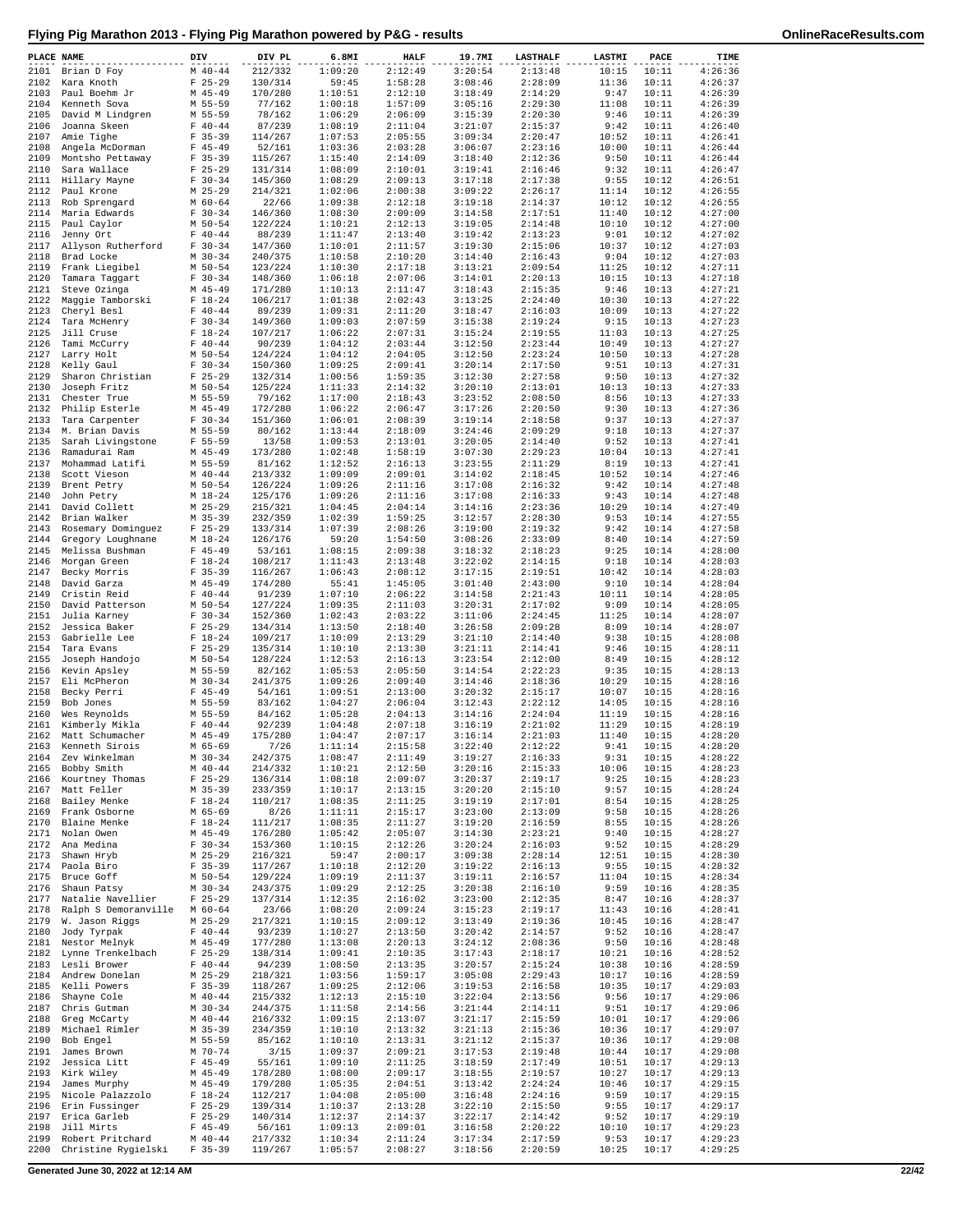| PLACE NAME   |                                                   | DIV                    | DIV PL             | 6.8MI              | <b>HALF</b>        | 19.7MI             | <b>LASTHALF</b>    | LASTMI         | PACE           | TIME               |
|--------------|---------------------------------------------------|------------------------|--------------------|--------------------|--------------------|--------------------|--------------------|----------------|----------------|--------------------|
| 2101         | Brian D Foy                                       | $M$ 40-44              | 212/332            | 1:09:20            | 2:12:49            | 3:20:54            | 2:13:48            | 10:15          | 10:11          | 4:26:36            |
|              | 2102 Kara Knoth                                   | $F$ 25-29              | 130/314            | 59:45              | 1:58:28            | 3:08:46            | 2:28:09            | 11:36          | 10:11          | 4:26:37            |
| 2103         | Paul Boehm Jr                                     | $M$ 45-49              | 170/280            | 1:10:51            | 2:12:10            | 3:18:49            | 2:14:29            | 9:47           | 10:11          | 4:26:39            |
| 2104<br>2105 | Kenneth Sova                                      | M 55-59                | 77/162<br>78/162   | 1:00:18<br>1:06:29 | 1:57:09<br>2:06:09 | 3:05:16<br>3:15:39 | 2:29:30            | 11:08<br>9:46  | 10:11<br>10:11 | 4:26:39<br>4:26:39 |
| 2106         | David M Lindgren<br>Joanna Skeen                  | M 55-59<br>$F 40 - 44$ | 87/239             | 1:08:19            | 2:11:04            | 3:21:07            | 2:20:30<br>2:15:37 | 9:42           | 10:11          | 4:26:40            |
| 2107         | Amie Tighe                                        | $F$ 35-39              | 114/267            | 1:07:53            | 2:05:55            | 3:09:34            | 2:20:47            | 10:52          | 10:11          | 4:26:41            |
| 2108         | Angela McDorman                                   | $F$ 45-49              | 52/161             | 1:03:36            | 2:03:28            | 3:06:07            | 2:23:16            | 10:00          | 10:11          | 4:26:44            |
| 2109         | Montsho Pettaway                                  | $F$ 35-39              | 115/267            | 1:15:40            | 2:14:09            | 3:18:40            | 2:12:36            | 9:50           | 10:11          | 4:26:44            |
| 2110         | Sara Wallace                                      | $F$ 25-29              | 131/314            | 1:08:09            | 2:10:01            | 3:19:41            | 2:16:46            | 9:32           | 10:11          | 4:26:47            |
| 2111         | Hillary Mayne                                     | $F 30-34$              | 145/360            | 1:08:29            | 2:09:13            | 3:17:18            | 2:17:38            | 9:55           | 10:12          | 4:26:51            |
| 2112         | Paul Krone                                        | $M$ 25-29              | 214/321            | 1:02:06<br>1:09:38 | 2:00:38            | 3:09:22<br>3:19:18 | 2:26:17            | 11:14          | 10:12          | 4:26:55            |
| 2113<br>2114 | Rob Sprengard<br>Maria Edwards                    | $M$ 60-64<br>$F 30-34$ | 22/66<br>146/360   | 1:08:30            | 2:12:18<br>2:09:09 | 3:14:58            | 2:14:37<br>2:17:51 | 10:12<br>11:40 | 10:12<br>10:12 | 4:26:55<br>4:27:00 |
| 2115         | Paul Caylor                                       | M 50-54                | 122/224            | 1:10:21            | 2:12:13            | 3:19:05            | 2:14:48            | 10:10          | 10:12          | 4:27:00            |
| 2116         | Jenny Ort                                         | $F 40 - 44$            | 88/239             | 1:11:47            | 2:13:40            | 3:19:42            | 2:13:23            | 9:01           | 10:12          | 4:27:02            |
| 2117         | Allyson Rutherford                                | $F 30-34$              | 147/360            | 1:10:01            | 2:11:57            | 3:19:30            | 2:15:06            | 10:37          | 10:12          | 4:27:03            |
| 2118         | Brad Locke                                        | $M$ 30-34              | 240/375            | 1:10:58            | 2:10:20            | 3:14:40            | 2:16:43            | 9:04           | 10:12          | 4:27:03            |
| 2119         | Frank Liegibel                                    | $M$ 50-54              | 123/224            | 1:10:30            | 2:17:18            | 3:13:21            | 2:09:54            | 11:25          | 10:12          | 4:27:11            |
| 2120         | Tamara Taggart                                    | $F 30-34$              | 148/360            | 1:06:18            | 2:07:06            | 3:14:01            | 2:20:13            | 10:15          | 10:13          | 4:27:18            |
| 2121<br>2122 | Steve Ozinga<br>Maggie Tamborski                  | $M$ 45-49<br>$F 18-24$ | 171/280<br>106/217 | 1:10:13<br>1:01:38 | 2:11:47<br>2:02:43 | 3:18:43<br>3:13:25 | 2:15:35<br>2:24:40 | 9:46<br>10:30  | 10:13<br>10:13 | 4:27:21<br>4:27:22 |
| 2123         | Cheryl Besl                                       | $F 40 - 44$            | 89/239             | 1:09:31            | 2:11:20            | 3:18:47            | 2:16:03            | 10:09          | 10:13          | 4:27:22            |
| 2124         | Tara McHenry                                      | $F 30-34$              | 149/360            | 1:09:03            | 2:07:59            | 3:15:38            | 2:19:24            | 9:15           | 10:13          | 4:27:23            |
| 2125         | Jill Cruse                                        | $F 18-24$              | 107/217            | 1:06:22            | 2:07:31            | 3:15:24            | 2:19:55            | 11:03          | 10:13          | 4:27:25            |
| 2126         | Tami McCurry                                      | $F 40 - 44$            | 90/239             | 1:04:12            | 2:03:44            | 3:12:50            | 2:23:44            | 10:49          | 10:13          | 4:27:27            |
| 2127         | Larry Holt                                        | M 50-54                | 124/224            | 1:04:12            | 2:04:05            | 3:12:50            | 2:23:24            | 10:50          | 10:13          | 4:27:28            |
| 2128         | Kelly Gaul                                        | $F 30-34$              | 150/360            | 1:09:25            | 2:09:41            | 3:20:14<br>3:12:30 | 2:17:50            | 9:51           | 10:13          | 4:27:31            |
| 2129<br>2130 | Sharon Christian<br>Joseph Fritz                  | $F$ 25-29<br>$M$ 50-54 | 132/314<br>125/224 | 1:00:56<br>1:11:33 | 1:59:35<br>2:14:32 | 3:20:10            | 2:27:58<br>2:13:01 | 9:50<br>10:13  | 10:13<br>10:13 | 4:27:32<br>4:27:33 |
| 2131         | Chester True                                      | M 55-59                | 79/162             | 1:17:00            | 2:18:43            | 3:23:52            | 2:08:50            | 8:56           | 10:13          | 4:27:33            |
| 2132         | Philip Esterle                                    | $M$ 45-49              | 172/280            | 1:06:22            | 2:06:47            | 3:17:26            | 2:20:50            | 9:30           | 10:13          | 4:27:36            |
| 2133         | Tara Carpenter                                    | $F 30-34$              | 151/360            | 1:06:01            | 2:08:39            | 3:19:14            | 2:18:58            | 9:37           | 10:13          | 4:27:37            |
| 2134         | M. Brian Davis                                    | M 55-59                | 80/162             | 1:13:44            | 2:18:09            | 3:24:46            | 2:09:29            | 9:18           | 10:13          | 4:27:37            |
| 2135         | Sarah Livingstone                                 | $F 55 - 59$            | 13/58              | 1:09:53            | 2:13:01            | 3:20:05            | 2:14:40            | 9:52           | 10:13          | 4:27:41            |
| 2136         | Ramadurai Ram                                     | $M$ 45-49              | 173/280            | 1:02:48            | 1:58:19            | 3:07:30            | 2:29:23            | 10:04          | 10:13          | 4:27:41            |
| 2137         | Mohammad Latifi                                   | M 55-59                | 81/162<br>213/332  | 1:12:52            | 2:16:13            | 3:23:55            | 2:11:29            | 8:19           | 10:13<br>10:14 | 4:27:41<br>4:27:46 |
| 2138<br>2139 | Scott Vieson<br>Brent Petry                       | $M$ 40-44<br>M 50-54   | 126/224            | 1:09:09<br>1:09:26 | 2:09:01<br>2:11:16 | 3:14:02<br>3:17:08 | 2:18:45<br>2:16:32 | 10:52<br>9:42  | 10:14          | 4:27:48            |
| 2140         | John Petry                                        | $M_18-24$              | 125/176            | 1:09:26            | 2:11:16            | 3:17:08            | 2:16:33            | 9:43           | 10:14          | 4:27:48            |
| 2141         | David Collett                                     | $M$ 25-29              | 215/321            | 1:04:45            | 2:04:14            | 3:14:16            | 2:23:36            | 10:29          | 10:14          | 4:27:49            |
| 2142         | Brian Walker                                      | M 35-39                | 232/359            | 1:02:39            | 1:59:25            | 3:12:57            | 2:28:30            | 9:53           | 10:14          | 4:27:55            |
| 2143         | Rosemary Dominguez                                | $F$ 25-29              | 133/314            | 1:07:39            | 2:08:26            | 3:19:00            | 2:19:32            | 9:42           | 10:14          | 4:27:58            |
| 2144         | Gregory Loughnane                                 | $M_18-24$              | 126/176            | 59:20              | 1:54:50            | 3:08:26            | 2:33:09            | 8:40           | 10:14          | 4:27:59            |
| 2145         | Melissa Bushman                                   | $F$ 45-49              | 53/161             | 1:08:15            | 2:09:38            | 3:18:32            | 2:18:23            | 9:25           | 10:14          | 4:28:00            |
| 2146<br>2147 | Morgan Green<br>Becky Morris                      | $F 18-24$<br>$F$ 35-39 | 108/217<br>116/267 | 1:11:43<br>1:06:43 | 2:13:48<br>2:08:12 | 3:22:02<br>3:17:15 | 2:14:15<br>2:19:51 | 9:18<br>10:42  | 10:14<br>10:14 | 4:28:03<br>4:28:03 |
| 2148         | David Garza                                       | $M$ 45-49              | 174/280            | 55:41              | 1:45:05            | 3:01:40            | 2:43:00            | 9:10           | 10:14          | 4:28:04            |
| 2149         | Cristin Reid                                      | $F 40 - 44$            | 91/239             | 1:07:10            | 2:06:22            | 3:14:58            | 2:21:43            | 10:11          | 10:14          | 4:28:05            |
| 2150         | David Patterson                                   | $M$ 50-54              | 127/224            | 1:09:35            | 2:11:03            | 3:20:31            | 2:17:02            | 9:09           | 10:14          | 4:28:05            |
| 2151         | Julia Karney                                      | $F 30-34$              | 152/360            | 1:02:43            | 2:03:22            | 3:11:06            | 2:24:45            | 11:25          | 10:14          | 4:28:07            |
| 2152         | Jessica Baker                                     | $F$ 25-29              | 134/314            | 1:13:50            | 2:18:40            | 3:26:58            | 2:09:28            | 8:09           | 10:14          | 4:28:07            |
| 2153         | Gabrielle Lee                                     | $F 18-24$              | 109/217            | 1:10:09            | 2:13:29            | 3:21:10            | 2:14:40            | 9:38           | 10:15          | 4:28:08            |
| 2154<br>2155 | Tara Evans<br>Joseph Handojo                      | $F$ 25-29<br>M 50-54   | 135/314<br>128/224 | 1:10:10<br>1:12:53 | 2:13:30<br>2:16:13 | 3:21:11<br>3:23:54 | 2:14:41<br>2:12:00 | 9:46<br>8:49   | 10:15<br>10:15 | 4:28:11<br>4:28:12 |
| 2156         | Kevin Apsley                                      | M 55-59                | 82/162             | 1:05:53            | 2:05:50            | 3:14:54            | 2:22:23            | 9:35           | 10:15          | 4:28:13            |
| 2157         | Eli McPheron                                      | $M$ 30-34              | 241/375            | 1:09:26            | 2:09:40            | 3:14:46            | 2:18:36            | 10:29          | 10:15          | 4:28:16            |
| 2158         | Becky Perri                                       | $F$ 45-49              | 54/161             | 1:09:51            | 2:13:00            | 3:20:32            | 2:15:17            | 10:07          | 10:15          | 4:28:16            |
| 2159         | Bob Jones                                         | M 55-59                | 83/162             | 1:04:27            | 2:06:04            | 3:12:43            | 2:22:12            | 14:05          | 10:15          | 4:28:16            |
| 2160         | Wes Reynolds                                      | M 55-59                | 84/162             | 1:05:28            | 2:04:13            | 3:14:16            | 2:24:04            | 11:19          | 10:15          | 4:28:16            |
| 2161         | Kimberly Mikla                                    | $F 40 - 44$            | 92/239             | 1:04:48            | 2:07:18            | 3:16:19            | 2:21:02            | 11:29          | 10:15          | 4:28:19            |
| 2162         | Matt Schumacher<br>2163 Kenneth Sirois            | $M$ 45-49<br>M 65-69   | 175/280<br>7/26    | 1:04:47<br>1:11:14 | 2:07:17<br>2:15:58 | 3:16:14<br>3:22:40 | 2:21:03<br>2:12:22 | 11:40<br>9:41  | 10:15<br>10:15 | 4:28:20<br>4:28:20 |
|              | 2164 Zev Winkelman                                | $M$ 30-34              | 242/375            | 1:08:47            | 2:11:49            | 3:19:27            | 2:16:33            | 9:31           | 10:15          | 4:28:22            |
| 2165         | Bobby Smith                                       | $M$ 40-44              | 214/332            | 1:10:21            | 2:12:50            | 3:20:16            | 2:15:33            | 10:06          | 10:15          | 4:28:23            |
| 2166         | Kourtney Thomas                                   | $F$ 25-29              | 136/314            | 1:08:18            | 2:09:07            | 3:20:37            | 2:19:17            | 9:25           | 10:15          | 4:28:23            |
| 2167         | Matt Feller                                       | M 35-39                | 233/359            | 1:10:17            | 2:13:15            | 3:20:20            | 2:15:10            | 9:57           | 10:15          | 4:28:24            |
| 2168         | Bailey Menke                                      | $F$ 18-24              | 110/217            | 1:08:35            | 2:11:25            | 3:19:19            | 2:17:01            | 8:54           | 10:15          | 4:28:25            |
| 2169         | Frank Osborne                                     | M 65-69                | 8/26               | 1:11:11            | 2:15:17            | 3:23:00            | 2:13:09            | 9:58           | 10:15          | 4:28:26            |
| 2171         | 2170 Blaine Menke<br>Nolan Owen                   | $F$ 18-24<br>$M$ 45-49 | 111/217<br>176/280 | 1:08:35<br>1:05:42 | 2:11:27<br>2:05:07 | 3:19:20<br>3:14:30 | 2:16:59<br>2:23:21 | 8:55<br>9:40   | 10:15<br>10:15 | 4:28:26<br>4:28:27 |
| 2172         | Ana Medina                                        | $F 30-34$              | 153/360            | 1:10:15            | 2:12:26            | 3:20:24            | 2:16:03            | 9:52           | 10:15          | 4:28:29            |
| 2173         | Shawn Hryb                                        | $M$ 25-29              | 216/321            | 59:47              | 2:00:17            | 3:09:38            | 2:28:14            | 12:51          | 10:15          | 4:28:30            |
|              | 2174 Paola Biro                                   | $F$ 35-39              | 117/267            | 1:10:18            | 2:12:20            | 3:19:22            | 2:16:13            | 9:55           | 10:15          | 4:28:32            |
|              | 2175 Bruce Goff                                   | M 50-54                | 129/224            | 1:09:19            | 2:11:37            | 3:19:11            | 2:16:57            | 11:04          | 10:15          | 4:28:34            |
|              | 2176 Shaun Patsy                                  | $M \ 30-34$            | 243/375            | 1:09:29            | 2:12:25            | 3:20:38            | 2:16:10            | 9:59           | 10:16          | 4:28:35            |
| 2177<br>2178 | Natalie Navellier<br>Ralph S Demoranville M 60-64 | $F$ 25-29              | 137/314<br>23/66   | 1:12:35<br>1:08:20 | 2:16:02<br>2:09:24 | 3:23:00<br>3:15:23 | 2:12:35<br>2:19:17 | 8:47<br>11:43  | 10:16<br>10:16 | 4:28:37<br>4:28:41 |
| 2179         | W. Jason Riggs                                    | $M$ 25-29              | 217/321            | 1:10:15            | 2:09:12            | 3:13:49            | 2:19:36            | 10:45          | 10:16          | 4:28:47            |
| 2180         | Jody Tyrpak                                       | $F 40 - 44$            | 93/239             | 1:10:27            | 2:13:50            | 3:20:42            | 2:14:57            | 9:52           | 10:16          | 4:28:47            |
| 2181         | Nestor Melnyk                                     | $M$ 45-49              | 177/280            | 1:13:08            | 2:20:13            | 3:24:12            | 2:08:36            | 9:50           | 10:16          | 4:28:48            |
| 2182         | Lynne Trenkelbach                                 | $F$ 25-29              | 138/314            | 1:09:41            | 2:10:35            | 3:17:43            | 2:18:17            | 10:21          | 10:16          | 4:28:52            |
| 2183         | Lesli Brower                                      | $F 40-44$              | 94/239             | 1:08:50            | 2:13:35            | 3:20:57            | 2:15:24            | 10:38          | 10:16          | 4:28:59            |
| 2184         | Andrew Donelan                                    | M 25-29                | 218/321            | 1:03:56            | 1:59:17            | 3:05:08            | 2:29:43            | 10:17          | 10:16          | 4:28:59            |
| 2185<br>2186 | Kelli Powers<br>Shayne Cole                       | $F$ 35-39<br>$M$ 40-44 | 118/267<br>215/332 | 1:09:25<br>1:12:13 | 2:12:06<br>2:15:10 | 3:19:53<br>3:22:04 | 2:16:58<br>2:13:56 | 10:35<br>9:56  | 10:17<br>10:17 | 4:29:03<br>4:29:06 |
| 2187         | Chris Gutman                                      | M 30-34                | 244/375            | 1:11:58            | 2:14:56            | 3:21:44            | 2:14:11            | 9:51           | 10:17          | 4:29:06            |
| 2188         | Greg McCarty                                      | $M$ 40-44              | 216/332            | 1:09:15            | 2:13:07            | 3:21:17            | 2:15:59            | 10:01          | 10:17          | 4:29:06            |
| 2189         | Michael Rimler                                    | $M$ 35-39              | 234/359            | 1:10:10            | 2:13:32            | 3:21:13            | 2:15:36            | 10:36          | 10:17          | 4:29:07            |
| 2190         | Bob Engel                                         | M 55-59                | 85/162             | 1:10:10            | 2:13:31            | 3:21:12            | 2:15:37            | 10:36          | 10:17          | 4:29:08            |
| 2191         | James Brown                                       | $M$ 70-74              | 3/15               | 1:09:37            | 2:09:21            | 3:17:53            | 2:19:48            | 10:44          | 10:17          | 4:29:08            |
| 2192<br>2193 | Jessica Litt<br>Kirk Wiley                        | $F$ 45-49<br>M 45-49   | 55/161<br>178/280  | 1:09:10<br>1:08:00 | 2:11:25<br>2:09:17 | 3:18:59<br>3:18:55 | 2:17:49<br>2:19:57 | 10:51<br>10:27 | 10:17<br>10:17 | 4:29:13<br>4:29:13 |
| 2194         | James Murphy                                      | $M$ 45-49              | 179/280            | 1:05:35            | 2:04:51            | 3:13:42            | 2:24:24            | 10:46          | 10:17          | 4:29:15            |
| 2195         | Nicole Palazzolo                                  | $F 18-24$              | 112/217            | 1:04:08            | 2:05:00            | 3:16:48            | 2:24:16            | 9:59           | 10:17          | 4:29:15            |
| 2196         | Erin Fussinger                                    | $F$ 25-29              | 139/314            | 1:10:37            | 2:13:28            | 3:22:10            | 2:15:50            | 9:55           | 10:17          | 4:29:17            |
| 2197         | Erica Garleb                                      | $F$ 25-29              | 140/314            | 1:12:37            | 2:14:37            | 3:22:17            | 2:14:42            | 9:52           | 10:17          | 4:29:19            |
|              | 2198 Jill Mirts                                   | $F$ 45-49              | 56/161             | 1:09:13            | 2:09:01            | 3:16:58            | 2:20:22            | 10:10          | 10:17          | 4:29:23            |
| 2199         | Robert Pritchard                                  | $M$ 40-44              | 217/332            | 1:10:34            | 2:11:24            | 3:17:34            | 2:17:59            | 9:53           | 10:17          | 4:29:23            |
| 2200         | Christine Rygielski                               | $F$ 35-39              | 119/267            | 1:05:57            | 2:08:27            | 3:18:56            | 2:20:59            | 10:25          | 10:17          | 4:29:25            |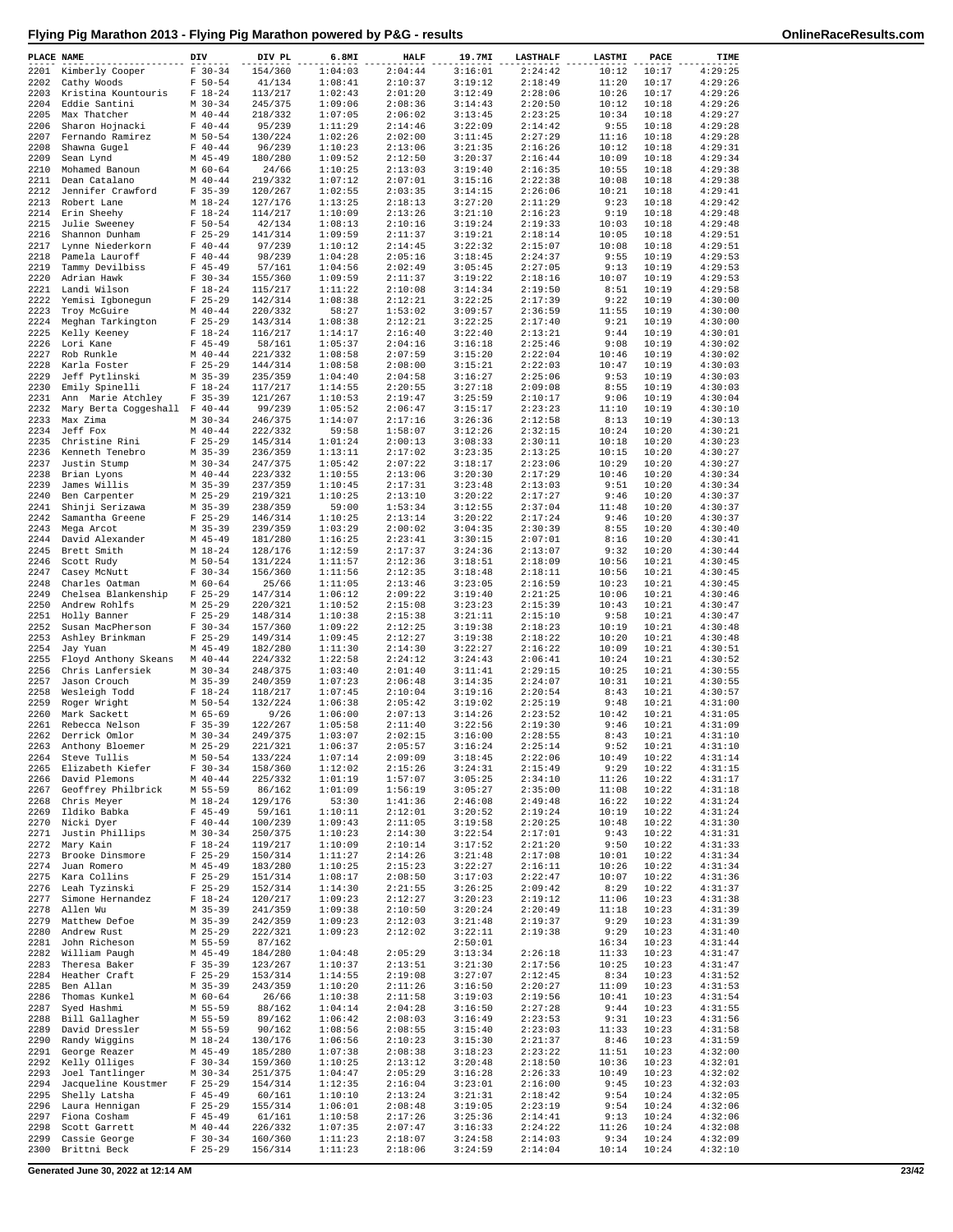| PLACE NAME   |                                                     | DIV                      | DIV PL             | 6.8MI              | <b>HALF</b>        | 19.7MI             | <b>LASTHALF</b>    | LASTMI         | PACE           | TIME               |
|--------------|-----------------------------------------------------|--------------------------|--------------------|--------------------|--------------------|--------------------|--------------------|----------------|----------------|--------------------|
| 2201         | Kimberly Cooper                                     | $F 30-34$                | 154/360            | 1:04:03            | 2:04:44            | 3:16:01            | 2:24:42            | 10:12          | 10:17          | 4:29:25            |
| 2202         | Cathy Woods                                         | $F 50 - 54$              | 41/134             | 1:08:41            | 2:10:37            | 3:19:12            | 2:18:49            | 11:20          | 10:17          | 4:29:26            |
| 2203         | Kristina Kountouris                                 | $F 18-24$                | 113/217            | 1:02:43            | 2:01:20            | 3:12:49            | 2:28:06            | 10:26          | 10:17          | 4:29:26            |
| 2204         | Eddie Santini                                       | $M$ 30-34                | 245/375            | 1:09:06            | 2:08:36            | 3:14:43            | 2:20:50            | 10:12          | 10:18          | 4:29:26            |
| 2205<br>2206 | Max Thatcher<br>Sharon Hojnacki                     | $M$ 40-44<br>$F 40 - 44$ | 218/332<br>95/239  | 1:07:05<br>1:11:29 | 2:06:02<br>2:14:46 | 3:13:45<br>3:22:09 | 2:23:25<br>2:14:42 | 10:34<br>9:55  | 10:18<br>10:18 | 4:29:27<br>4:29:28 |
| 2207         | Fernando Ramirez                                    | M 50-54                  | 130/224            | 1:02:26            | 2:02:00            | 3:11:45            | 2:27:29            | 11:16          | 10:18          | 4:29:28            |
| 2208         | Shawna Gugel                                        | $F 40 - 44$              | 96/239             | 1:10:23            | 2:13:06            | 3:21:35            | 2:16:26            | 10:12          | 10:18          | 4:29:31            |
| 2209         | Sean Lynd                                           | $M$ 45-49                | 180/280            | 1:09:52            | 2:12:50            | 3:20:37            | 2:16:44            | 10:09          | 10:18          | 4:29:34            |
| 2210         | Mohamed Banoun                                      | $M$ 60-64                | 24/66              | 1:10:25            | 2:13:03            | 3:19:40            | 2:16:35            | 10:55          | 10:18          | 4:29:38            |
| 2211         | Dean Catalano                                       | $M$ 40-44                | 219/332            | 1:07:12            | 2:07:01            | 3:15:16            | 2:22:38            | 10:08          | 10:18          | 4:29:38            |
| 2212<br>2213 | Jennifer Crawford<br>Robert Lane                    | $F$ 35-39<br>$M_18-24$   | 120/267<br>127/176 | 1:02:55<br>1:13:25 | 2:03:35<br>2:18:13 | 3:14:15<br>3:27:20 | 2:26:06<br>2:11:29 | 10:21<br>9:23  | 10:18<br>10:18 | 4:29:41<br>4:29:42 |
| 2214         | Erin Sheehy                                         | $F$ 18-24                | 114/217            | 1:10:09            | 2:13:26            | 3:21:10            | 2:16:23            | 9:19           | 10:18          | 4:29:48            |
| 2215         | Julie Sweeney                                       | $F 50 - 54$              | 42/134             | 1:08:13            | 2:10:16            | 3:19:24            | 2:19:33            | 10:03          | 10:18          | 4:29:48            |
| 2216         | Shannon Dunham                                      | $F$ 25-29                | 141/314            | 1:09:59            | 2:11:37            | 3:19:21            | 2:18:14            | 10:05          | 10:18          | 4:29:51            |
| 2217         | Lynne Niederkorn                                    | $F 40 - 44$              | 97/239             | 1:10:12            | 2:14:45            | 3:22:32            | 2:15:07            | 10:08          | 10:18          | 4:29:51            |
| 2218<br>2219 | Pamela Lauroff<br>Tammy Devilbiss                   | $F 40 - 44$<br>$F$ 45-49 | 98/239<br>57/161   | 1:04:28<br>1:04:56 | 2:05:16<br>2:02:49 | 3:18:45<br>3:05:45 | 2:24:37<br>2:27:05 | 9:55<br>9:13   | 10:19<br>10:19 | 4:29:53<br>4:29:53 |
| 2220         | Adrian Hawk                                         | $F 30-34$                | 155/360            | 1:09:59            | 2:11:37            | 3:19:22            | 2:18:16            | 10:07          | 10:19          | 4:29:53            |
| 2221         | Landi Wilson                                        | $F 18-24$                | 115/217            | 1:11:22            | 2:10:08            | 3:14:34            | 2:19:50            | 8:51           | 10:19          | 4:29:58            |
| 2222         | Yemisi Igbonegun                                    | $F$ 25-29                | 142/314            | 1:08:38            | 2:12:21            | 3:22:25            | 2:17:39            | 9:22           | 10:19          | 4:30:00            |
| 2223         | Troy McGuire                                        | $M$ 40-44                | 220/332            | 58:27              | 1:53:02            | 3:09:57            | 2:36:59            | 11:55          | 10:19          | 4:30:00            |
| 2224<br>2225 | Meghan Tarkington                                   | $F$ 25-29<br>$F 18-24$   | 143/314            | 1:08:38<br>1:14:17 | 2:12:21<br>2:16:40 | 3:22:25<br>3:22:40 | 2:17:40<br>2:13:21 | 9:21<br>9:44   | 10:19<br>10:19 | 4:30:00<br>4:30:01 |
| 2226         | Kelly Keeney<br>Lori Kane                           | $F$ 45-49                | 116/217<br>58/161  | 1:05:37            | 2:04:16            | 3:16:18            | 2:25:46            | 9:08           | 10:19          | 4:30:02            |
| 2227         | Rob Runkle                                          | $M$ 40-44                | 221/332            | 1:08:58            | 2:07:59            | 3:15:20            | 2:22:04            | 10:46          | 10:19          | 4:30:02            |
| 2228         | Karla Foster                                        | $F$ 25-29                | 144/314            | 1:08:58            | 2:08:00            | 3:15:21            | 2:22:03            | 10:47          | 10:19          | 4:30:03            |
| 2229         | Jeff Pytlinski                                      | $M$ 35-39                | 235/359            | 1:04:40            | 2:04:58            | 3:16:27            | 2:25:06            | 9:53           | 10:19          | 4:30:03            |
| 2230         | Emily Spinelli                                      | $F 18-24$                | 117/217            | 1:14:55<br>1:10:53 | 2:20:55            | 3:27:18            | 2:09:08            | 8:55           | 10:19          | 4:30:03<br>4:30:04 |
| 2231<br>2232 | Ann Marie Atchley<br>Mary Berta Coggeshall F 40-44  | $F$ 35-39                | 121/267<br>99/239  | 1:05:52            | 2:19:47<br>2:06:47 | 3:25:59<br>3:15:17 | 2:10:17<br>2:23:23 | 9:06<br>11:10  | 10:19<br>10:19 | 4:30:10            |
| 2233         | Max Zima                                            | $M$ 30-34                | 246/375            | 1:14:07            | 2:17:16            | 3:26:36            | 2:12:58            | 8:13           | 10:19          | 4:30:13            |
|              | 2234 Jeff Fox                                       | $M$ 40-44                | 222/332            | 59:58              | 1:58:07            | 3:12:26            | 2:32:15            | 10:24          | 10:20          | 4:30:21            |
| 2235         | Christine Rini                                      | $F$ 25-29                | 145/314            | 1:01:24            | 2:00:13            | 3:08:33            | 2:30:11            | 10:18          | 10:20          | 4:30:23            |
| 2236         | Kenneth Tenebro                                     | $M$ 35-39                | 236/359            | 1:13:11            | 2:17:02            | 3:23:35            | 2:13:25            | 10:15          | 10:20          | 4:30:27            |
| 2237         | Justin Stump                                        | $M$ 30-34                | 247/375<br>223/332 | 1:05:42            | 2:07:22            | 3:18:17            | 2:23:06            | 10:29          | 10:20          | 4:30:27            |
| 2238<br>2239 | Brian Lyons<br>James Willis                         | $M$ 40-44<br>$M$ 35-39   | 237/359            | 1:10:55<br>1:10:45 | 2:13:06<br>2:17:31 | 3:20:30<br>3:23:48 | 2:17:29<br>2:13:03 | 10:46<br>9:51  | 10:20<br>10:20 | 4:30:34<br>4:30:34 |
| 2240         | Ben Carpenter                                       | $M$ 25-29                | 219/321            | 1:10:25            | 2:13:10            | 3:20:22            | 2:17:27            | 9:46           | 10:20          | 4:30:37            |
| 2241         | Shinji Serizawa                                     | $M$ 35-39                | 238/359            | 59:00              | 1:53:34            | 3:12:55            | 2:37:04            | 11:48          | 10:20          | 4:30:37            |
| 2242         | Samantha Greene                                     | $F$ 25-29                | 146/314            | 1:10:25            | 2:13:14            | 3:20:22            | 2:17:24            | 9:46           | 10:20          | 4:30:37            |
| 2243         | Mega Arcot                                          | $M$ 35-39                | 239/359            | 1:03:29            | 2:00:02            | 3:04:35            | 2:30:39            | 8:55           | 10:20          | 4:30:40            |
| 2244<br>2245 | David Alexander<br>Brett Smith                      | $M$ 45-49<br>$M_18-24$   | 181/280<br>128/176 | 1:16:25<br>1:12:59 | 2:23:41<br>2:17:37 | 3:30:15<br>3:24:36 | 2:07:01<br>2:13:07 | 8:16<br>9:32   | 10:20<br>10:20 | 4:30:41<br>4:30:44 |
| 2246         | Scott Rudy                                          | M 50-54                  | 131/224            | 1:11:57            | 2:12:36            | 3:18:51            | 2:18:09            | 10:56          | 10:21          | 4:30:45            |
| 2247         | Casey McNutt                                        | $F 30 - 34$              | 156/360            | 1:11:56            | 2:12:35            | 3:18:48            | 2:18:11            | 10:56          | 10:21          | 4:30:45            |
| 2248         | Charles Oatman                                      | $M$ 60-64                | 25/66              | 1:11:05            | 2:13:46            | 3:23:05            | 2:16:59            | 10:23          | 10:21          | 4:30:45            |
| 2249         | Chelsea Blankenship                                 | $F$ 25-29                | 147/314            | 1:06:12            | 2:09:22            | 3:19:40            | 2:21:25            | 10:06          | 10:21          | 4:30:46            |
| 2250<br>2251 | Andrew Rohlfs<br>Holly Banner                       | $M$ 25-29<br>$F$ 25-29   | 220/321<br>148/314 | 1:10:52<br>1:10:38 | 2:15:08<br>2:15:38 | 3:23:23<br>3:21:11 | 2:15:39<br>2:15:10 | 10:43<br>9:58  | 10:21<br>10:21 | 4:30:47<br>4:30:47 |
| 2252         | Susan MacPherson                                    | $F 30-34$                | 157/360            | 1:09:22            | 2:12:25            | 3:19:38            | 2:18:23            | 10:19          | 10:21          | 4:30:48            |
| 2253         | Ashley Brinkman                                     | $F$ 25-29                | 149/314            | 1:09:45            | 2:12:27            | 3:19:38            | 2:18:22            | 10:20          | 10:21          | 4:30:48            |
| 2254         | Jay Yuan                                            | $M$ 45-49                | 182/280            | 1:11:30            | 2:14:30            | 3:22:27            | 2:16:22            | 10:09          | 10:21          | 4:30:51            |
| 2255         | Floyd Anthony Skeans                                | $M$ 40-44                | 224/332            | 1:22:58            | 2:24:12            | 3:24:43            | 2:06:41            | 10:24          | 10:21          | 4:30:52            |
| 2256<br>2257 | Chris Lanfersiek<br>Jason Crouch                    | $M$ 30-34<br>M 35-39     | 248/375<br>240/359 | 1:03:40<br>1:07:23 | 2:01:40<br>2:06:48 | 3:11:41<br>3:14:35 | 2:29:15<br>2:24:07 | 10:25<br>10:31 | 10:21<br>10:21 | 4:30:55<br>4:30:55 |
| 2258         | Wesleigh Todd                                       | $F 18-24$                | 118/217            | 1:07:45            | 2:10:04            | 3:19:16            | 2:20:54            | 8:43           | 10:21          | 4:30:57            |
| 2259         | Roger Wright                                        | $M$ 50-54                | 132/224            | 1:06:38            | 2:05:42            | 3:19:02            | 2:25:19            | 9:48           | 10:21          | 4:31:00            |
| 2260         | Mark Sackett                                        | M 65-69                  | 9/26               | 1:06:00            | 2:07:13            | 3:14:26            | 2:23:52            | 10:42          | 10:21          | 4:31:05            |
| 2261         | Rebecca Nelson                                      | $F$ 35-39                | 122/267            | 1:05:58            | 2:11:40            | 3:22:56            | 2:19:30            | 9:46           | 10:21          | 4:31:09            |
|              | 2262 Derrick Omlor                                  | $M$ 30-34<br>M 25-29     | 249/375            | 1:03:07<br>1:06:37 | 2:02:15<br>2:05:57 | 3:16:00<br>3:16:24 | 2:28:55<br>2:25:14 | 8:43<br>9:52   | 10:21<br>10:21 | 4:31:10<br>4:31:10 |
|              | 2263 Anthony Bloemer<br>2264 Steve Tullis           | $M$ 50-54                | 221/321<br>133/224 | 1:07:14            | 2:09:09            | 3:18:45            | 2:22:06            | 10:49          | 10:22          | 4:31:14            |
|              | 2265 Elizabeth Kiefer                               |                          | 158/360            | 1:12:02            | 2:15:26            | 3:24:31            | 2:15:49            | 9:29           | 10:22          | 4:31:15            |
|              | 2266 David Plemons                                  | $F 30-34$<br>M $40-44$   | 225/332            | 1:01:19            | 1:57:07            | 3:05:25            | 2:34:10            | 11:26          | 10:22          | 4:31:17            |
|              | 2267 Geoffrey Philbrick                             | M 55-59                  | 86/162             | 1:01:09            | 1:56:19            | 3:05:27            | 2:35:00            | 11:08          | 10:22          | 4:31:18            |
|              | 2268 Chris Meyer                                    | $M 18-24$                | 129/176            | 53:30              | 1:41:36            | 2:46:08            | 2:49:48            | 16:22          | 10:22          | 4:31:24            |
|              | 2269 Ildiko Babka<br>2270 Nicki Dyer                | $F$ 45-49<br>$F 40-44$   | 59/161<br>100/239  | 1:10:11<br>1:09:43 | 2:12:01<br>2:11:05 | 3:20:52<br>3:19:58 | 2:19:24<br>2:20:25 | 10:19<br>10:48 | 10:22<br>10:22 | 4:31:24<br>4:31:30 |
|              | 2271 Justin Phillips                                | $M \ 30 - 34$            | 250/375            | 1:10:23            | 2:14:30            | 3:22:54            | 2:17:01            | 9:43           | 10:22          | 4:31:31            |
|              | 2272 Mary Kain                                      | $F 18-24$                | 119/217            | 1:10:09            | 2:10:14            | 3:17:52            | 2:21:20            | 9:50           | 10:22          | 4:31:33            |
|              | 2273 Brooke Dinsmore                                | $F$ 25-29                | 150/314            | 1:11:27            | 2:14:26            | 3:21:48            | 2:17:08            | 10:01          | 10:22          | 4:31:34            |
|              | 2274 Juan Romero                                    | M 45-49                  | 183/280            | 1:10:25            | 2:15:23            | 3:22:27            | 2:16:11            | 10:26          | 10:22          | 4:31:34            |
|              | 2275 Kara Collins<br>2276 Leah Tyzinski             | $F$ 25-29<br>$F$ 25-29   | 151/314<br>152/314 | 1:08:17<br>1:14:30 | 2:08:50<br>2:21:55 | 3:17:03<br>3:26:25 | 2:22:47<br>2:09:42 | 10:07<br>8:29  | 10:22<br>10:22 | 4:31:36<br>4:31:37 |
| 2277         | Simone Hernandez                                    | $F 18-24$                | 120/217            | 1:09:23            | 2:12:27            | 3:20:23            | 2:19:12            | 11:06          | 10:23          | 4:31:38            |
|              | 2278 Allen Wu                                       | M 35-39                  | 241/359            | 1:09:38            | 2:10:50            | 3:20:24            | 2:20:49            | 11:18          | 10:23          | 4:31:39            |
|              | 2279 Matthew Defoe                                  | $M$ 35-39                | 242/359            | 1:09:23            | 2:12:03            | 3:21:48            | 2:19:37            | 9:29           | 10:23          | 4:31:39            |
|              | 2280 Andrew Rust                                    | M 25-29                  | 222/321            | 1:09:23            | 2:12:02            | 3:22:11            | 2:19:38            | 9:29           | 10:23          | 4:31:40            |
|              | 2281 John Richeson<br>2282 William Paugh            | M 55-59<br>$M$ 45-49     | 87/162<br>184/280  | 1:04:48            | 2:05:29            | 2:50:01<br>3:13:34 | 2:26:18            | 16:34<br>11:33 | 10:23<br>10:23 | 4:31:44<br>4:31:47 |
|              | 2283 Theresa Baker                                  | $F$ 35-39                | 123/267            | 1:10:37            | 2:13:51            | 3:21:30            | 2:17:56            | 10:25          | 10:23          | 4:31:47            |
|              | 2284 Heather Craft                                  | $F$ 25-29                | 153/314            | 1:14:55            | 2:19:08            | 3:27:07            | 2:12:45            | 8:34           | 10:23          | 4:31:52            |
|              | 2285 Ben Allan                                      | $M$ 35-39                | 243/359            | 1:10:20            | 2:11:26            | 3:16:50            | 2:20:27            | 11:09          | 10:23          | 4:31:53            |
|              | 2286 Thomas Kunkel                                  | $M$ 60-64                | 26/66              | 1:10:38            | 2:11:58            | 3:19:03            | 2:19:56            | 10:41          | 10:23          | 4:31:54            |
| 2287         | Syed Hashmi<br>2288 Bill Gallagher                  | M 55-59<br>M 55-59       | 88/162<br>89/162   | 1:04:14<br>1:06:42 | 2:04:28<br>2:08:03 | 3:16:50<br>3:16:49 | 2:27:28<br>2:23:53 | 9:44<br>9:31   | 10:23<br>10:23 | 4:31:55<br>4:31:56 |
| 2289         | David Dressler                                      | M 55-59                  | 90/162             | 1:08:56            | 2:08:55            | 3:15:40            | 2:23:03            | 11:33          | 10:23          | 4:31:58            |
| 2290         | Randy Wiggins                                       | M 18-24                  | 130/176            | 1:06:56            | 2:10:23            | 3:15:30            | 2:21:37            | 8:46           | 10:23          | 4:31:59            |
|              | 2291 George Reazer                                  | $M$ 45-49                | 185/280            | 1:07:38            | 2:08:38            | 3:18:23            | 2:23:22            | 11:51          | 10:23          | 4:32:00            |
|              | 2292 Kelly Olliges                                  | $F 30-34$                | 159/360            | 1:10:25            | 2:13:12            | 3:20:48            | 2:18:50            | 10:36          | 10:23          | 4:32:01            |
| 2293         | Joel Tantlinger<br>2294 Jacqueline Koustmer F 25-29 | $M \ 30-34$              | 251/375<br>154/314 | 1:04:47<br>1:12:35 | 2:05:29<br>2:16:04 | 3:16:28<br>3:23:01 | 2:26:33<br>2:16:00 | 10:49<br>9:45  | 10:23<br>10:23 | 4:32:02<br>4:32:03 |
| 2295         | Shelly Latsha                                       | $F$ 45-49                | 60/161             | 1:10:10            | 2:13:24            | 3:21:31            | 2:18:42            | 9:54           | 10:24          | 4:32:05            |
|              | 2296 Laura Hennigan                                 | $F$ 25-29                | 155/314            | 1:06:01            | 2:08:48            | 3:19:05            | 2:23:19            | 9:54           | 10:24          | 4:32:06            |
| 2297         | Fiona Cosham                                        | $F$ 45-49                | 61/161             | 1:10:58            | 2:17:26            | 3:25:36            | 2:14:41            | 9:13           | 10:24          | 4:32:06            |
| 2298         | Scott Garrett                                       | $M$ 40-44                | 226/332            | 1:07:35            | 2:07:47            | 3:16:33            | 2:24:22            | 11:26          | 10:24          | 4:32:08            |
| 2299         | Cassie George<br>2300 Brittni Beck                  | $F 30-34$<br>$F$ 25-29   | 160/360<br>156/314 | 1:11:23<br>1:11:23 | 2:18:07<br>2:18:06 | 3:24:58<br>3:24:59 | 2:14:03<br>2:14:04 | 9:34<br>10:14  | 10:24<br>10:24 | 4:32:09<br>4:32:10 |
|              |                                                     |                          |                    |                    |                    |                    |                    |                |                |                    |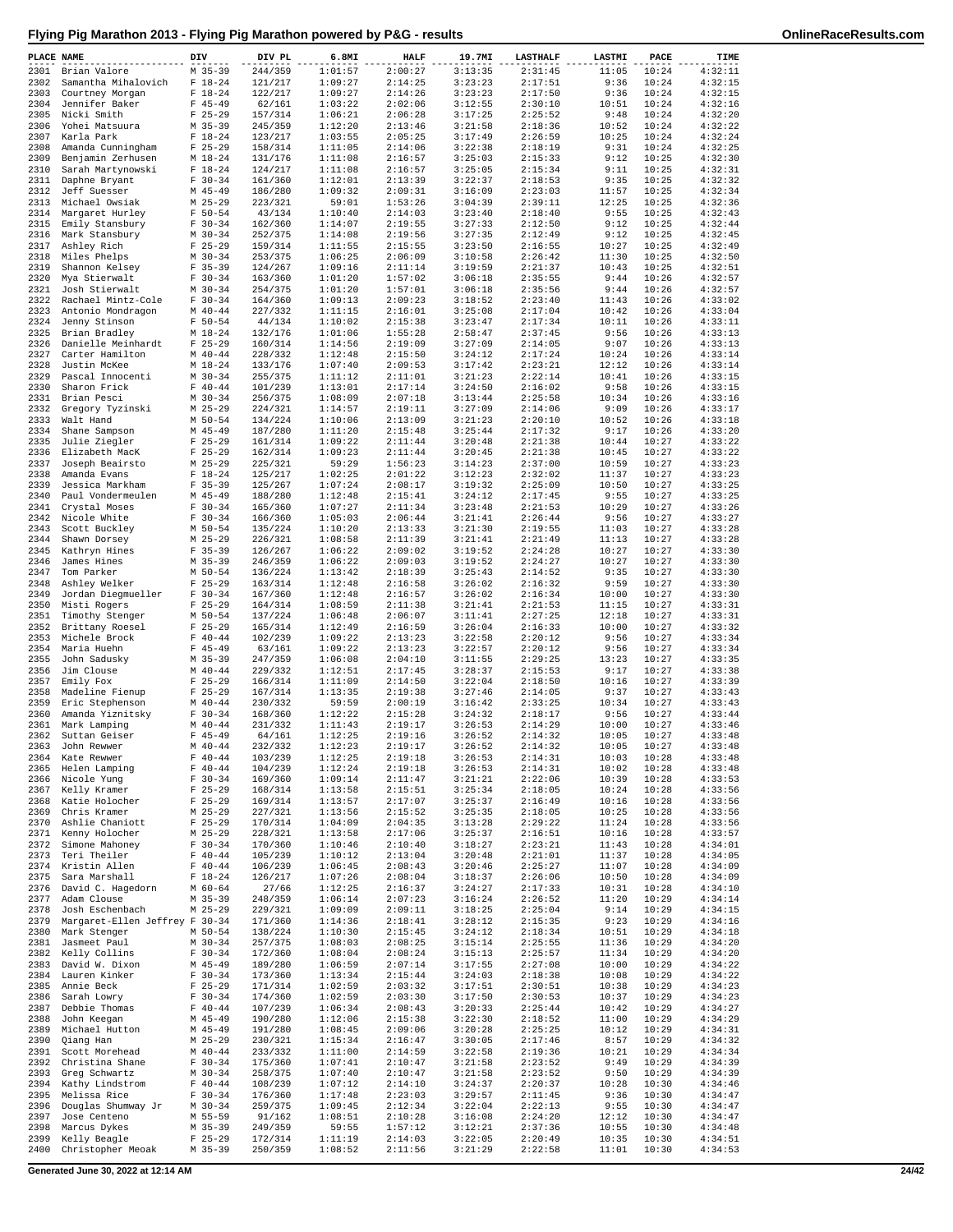|  | Flying Pig Marathon 2013 - Flying Pig Marathon powered by P&G - results |  |
|--|-------------------------------------------------------------------------|--|
|  |                                                                         |  |

| PLACE NAME   |                                                | DIV |                          | DIV PL             | 6.8MI              | <b>HALF</b>        | 19.7MI             | <b>LASTHALF</b>    | LASTMI         | PACE           | TIME               |
|--------------|------------------------------------------------|-----|--------------------------|--------------------|--------------------|--------------------|--------------------|--------------------|----------------|----------------|--------------------|
| 2301         | Brian Valore                                   |     | $M$ 35-39                | 244/359            | 1:01:57            | 2:00:27            | 3:13:35            | 2:31:45            | 11:05          | 10:24          | 4:32:11            |
| 2302         | Samantha Mihalovich                            |     | $F 18-24$                | 121/217            | 1:09:27            | 2:14:25            | 3:23:23            | 2:17:51            | 9:36           | 10:24          | 4:32:15            |
| 2303         | Courtney Morgan                                |     | $F 18-24$                | 122/217            | 1:09:27            | 2:14:26            | 3:23:23            | 2:17:50            | 9:36           | 10:24          | 4:32:15            |
| 2304         | Jennifer Baker                                 |     | $F$ 45-49                | 62/161             | 1:03:22            | 2:02:06            | 3:12:55            | 2:30:10            | 10:51          | 10:24          | 4:32:16            |
| 2305<br>2306 | Nicki Smith<br>Yohei Matsuura                  |     | $F$ 25-29<br>$M$ 35-39   | 157/314<br>245/359 | 1:06:21<br>1:12:20 | 2:06:28<br>2:13:46 | 3:17:25<br>3:21:58 | 2:25:52<br>2:18:36 | 9:48<br>10:52  | 10:24<br>10:24 | 4:32:20<br>4:32:22 |
| 2307         | Karla Park                                     |     | $F 18-24$                | 123/217            | 1:03:55            | 2:05:25            | 3:17:49            | 2:26:59            | 10:25          | 10:24          | 4:32:24            |
| 2308         | Amanda Cunningham                              |     | $F$ 25-29                | 158/314            | 1:11:05            | 2:14:06            | 3:22:38            | 2:18:19            | 9:31           | 10:24          | 4:32:25            |
| 2309         | Benjamin Zerhusen                              |     | $M_18-24$                | 131/176            | 1:11:08            | 2:16:57            | 3:25:03            | 2:15:33            | 9:12           | 10:25          | 4:32:30            |
| 2310         | Sarah Martynowski                              |     | $F 18-24$                | 124/217            | 1:11:08            | 2:16:57            | 3:25:05            | 2:15:34            | 9:11           | 10:25          | 4:32:31            |
| 2311         | Daphne Bryant                                  |     | $F 30-34$                | 161/360            | 1:12:01            | 2:13:39            | 3:22:37            | 2:18:53            | 9:35           | 10:25          | 4:32:32            |
| 2312         | Jeff Suesser                                   |     | $M$ 45-49                | 186/280            | 1:09:32            | 2:09:31            | 3:16:09            | 2:23:03            | 11:57          | 10:25          | 4:32:34            |
| 2313         | Michael Owsiak                                 |     | $M$ 25-29                | 223/321            | 59:01              | 1:53:26            | 3:04:39            | 2:39:11            | 12:25          | 10:25          | 4:32:36<br>4:32:43 |
| 2314<br>2315 | Margaret Hurley<br>Emily Stansbury             |     | $F 50 - 54$<br>$F 30-34$ | 43/134<br>162/360  | 1:10:40<br>1:14:07 | 2:14:03<br>2:19:55 | 3:23:40<br>3:27:33 | 2:18:40<br>2:12:50 | 9:55<br>9:12   | 10:25<br>10:25 | 4:32:44            |
| 2316         | Mark Stansbury                                 |     | $M$ 30-34                | 252/375            | 1:14:08            | 2:19:56            | 3:27:35            | 2:12:49            | 9:12           | 10:25          | 4:32:45            |
| 2317         | Ashley Rich                                    |     | $F$ 25-29                | 159/314            | 1:11:55            | 2:15:55            | 3:23:50            | 2:16:55            | 10:27          | 10:25          | 4:32:49            |
| 2318         | Miles Phelps                                   |     | $M$ 30-34                | 253/375            | 1:06:25            | 2:06:09            | 3:10:58            | 2:26:42            | 11:30          | 10:25          | 4:32:50            |
| 2319         | Shannon Kelsey                                 |     | $F$ 35-39                | 124/267            | 1:09:16            | 2:11:14            | 3:19:59            | 2:21:37            | 10:43          | 10:25          | 4:32:51            |
| 2320         | Mya Stierwalt                                  |     | $F 30-34$                | 163/360            | 1:01:20            | 1:57:02            | 3:06:18            | 2:35:55            | 9:44           | 10:26          | 4:32:57            |
| 2321         | Josh Stierwalt                                 |     | $M$ 30-34                | 254/375            | 1:01:20            | 1:57:01            | 3:06:18            | 2:35:56            | 9:44           | 10:26          | 4:32:57            |
| 2322<br>2323 | Rachael Mintz-Cole<br>Antonio Mondragon        |     | $F 30-34$<br>$M$ 40-44   | 164/360<br>227/332 | 1:09:13<br>1:11:15 | 2:09:23<br>2:16:01 | 3:18:52<br>3:25:08 | 2:23:40<br>2:17:04 | 11:43<br>10:42 | 10:26<br>10:26 | 4:33:02<br>4:33:04 |
| 2324         | Jenny Stinson                                  |     | $F 50 - 54$              | 44/134             | 1:10:02            | 2:15:38            | 3:23:47            | 2:17:34            | 10:11          | 10:26          | 4:33:11            |
| 2325         | Brian Bradley                                  |     | $M_18-24$                | 132/176            | 1:01:06            | 1:55:28            | 2:58:47            | 2:37:45            | 9:56           | 10:26          | 4:33:13            |
| 2326         | Danielle Meinhardt                             |     | $F$ 25-29                | 160/314            | 1:14:56            | 2:19:09            | 3:27:09            | 2:14:05            | 9:07           | 10:26          | 4:33:13            |
| 2327         | Carter Hamilton                                |     | $M$ 40-44                | 228/332            | 1:12:48            | 2:15:50            | 3:24:12            | 2:17:24            | 10:24          | 10:26          | 4:33:14            |
| 2328         | Justin McKee                                   |     | $M_18-24$                | 133/176            | 1:07:40            | 2:09:53            | 3:17:42            | 2:23:21            | 12:12          | 10:26          | 4:33:14            |
| 2329         | Pascal Innocenti                               |     | $M$ 30-34                | 255/375            | 1:11:12            | 2:11:01            | 3:21:23<br>3:24:50 | 2:22:14<br>2:16:02 | 10:41          | 10:26          | 4:33:15<br>4:33:15 |
| 2330<br>2331 | Sharon Frick<br>Brian Pesci                    |     | $F 40 - 44$<br>$M$ 30-34 | 101/239<br>256/375 | 1:13:01<br>1:08:09 | 2:17:14<br>2:07:18 | 3:13:44            | 2:25:58            | 9:58<br>10:34  | 10:26<br>10:26 | 4:33:16            |
| 2332         | Gregory Tyzinski                               |     | $M$ 25-29                | 224/321            | 1:14:57            | 2:19:11            | 3:27:09            | 2:14:06            | 9:09           | 10:26          | 4:33:17            |
| 2333         | Walt Hand                                      |     | M 50-54                  | 134/224            | 1:10:06            | 2:13:09            | 3:21:23            | 2:20:10            | 10:52          | 10:26          | 4:33:18            |
| 2334         | Shane Sampson                                  |     | $M$ 45-49                | 187/280            | 1:11:20            | 2:15:48            | 3:25:44            | 2:17:32            | 9:17           | 10:26          | 4:33:20            |
| 2335         | Julie Ziegler                                  |     | $F$ 25-29                | 161/314            | 1:09:22            | 2:11:44            | 3:20:48            | 2:21:38            | 10:44          | 10:27          | 4:33:22            |
| 2336         | Elizabeth MacK                                 |     | $F$ 25-29                | 162/314            | 1:09:23            | 2:11:44            | 3:20:45            | 2:21:38            | 10:45          | 10:27          | 4:33:22            |
| 2337         | Joseph Beairsto                                |     | $M$ 25-29                | 225/321            | 59:29              | 1:56:23            | 3:14:23            | 2:37:00            | 10:59          | 10:27          | 4:33:23            |
| 2338         | Amanda Evans                                   |     | $F 18-24$                | 125/217            | 1:02:25            | 2:01:22            | 3:12:23<br>3:19:32 | 2:32:02            | 11:37          | 10:27          | 4:33:23            |
| 2339<br>2340 | Jessica Markham<br>Paul Vondermeulen           |     | $F$ 35-39<br>$M$ 45-49   | 125/267<br>188/280 | 1:07:24<br>1:12:48 | 2:08:17<br>2:15:41 | 3:24:12            | 2:25:09<br>2:17:45 | 10:50<br>9:55  | 10:27<br>10:27 | 4:33:25<br>4:33:25 |
| 2341         | Crystal Moses                                  |     | $F 30-34$                | 165/360            | 1:07:27            | 2:11:34            | 3:23:48            | 2:21:53            | 10:29          | 10:27          | 4:33:26            |
| 2342         | Nicole White                                   |     | $F 30-34$                | 166/360            | 1:05:03            | 2:06:44            | 3:21:41            | 2:26:44            | 9:56           | 10:27          | 4:33:27            |
| 2343         | Scott Buckley                                  |     | $M$ 50-54                | 135/224            | 1:10:20            | 2:13:33            | 3:21:30            | 2:19:55            | 11:03          | 10:27          | 4:33:28            |
| 2344         | Shawn Dorsey                                   |     | $M$ 25-29                | 226/321            | 1:08:58            | 2:11:39            | 3:21:41            | 2:21:49            | 11:13          | 10:27          | 4:33:28            |
| 2345         | Kathryn Hines                                  |     | $F$ 35-39                | 126/267            | 1:06:22            | 2:09:02            | 3:19:52            | 2:24:28            | 10:27          | 10:27          | 4:33:30            |
| 2346         | James Hines                                    |     | $M$ 35-39                | 246/359            | 1:06:22            | 2:09:03            | 3:19:52            | 2:24:27            | 10:27          | 10:27          | 4:33:30            |
| 2347<br>2348 | Tom Parker<br>Ashley Welker                    |     | $M$ 50-54<br>$F$ 25-29   | 136/224<br>163/314 | 1:13:42<br>1:12:48 | 2:18:39<br>2:16:58 | 3:25:43<br>3:26:02 | 2:14:52<br>2:16:32 | 9:35<br>9:59   | 10:27<br>10:27 | 4:33:30<br>4:33:30 |
| 2349         | Jordan Diegmueller                             |     | $F 30-34$                | 167/360            | 1:12:48            | 2:16:57            | 3:26:02            | 2:16:34            | 10:00          | 10:27          | 4:33:30            |
| 2350         | Misti Rogers                                   |     | $F$ 25-29                | 164/314            | 1:08:59            | 2:11:38            | 3:21:41            | 2:21:53            | 11:15          | 10:27          | 4:33:31            |
| 2351         | Timothy Stenger                                |     | M 50-54                  | 137/224            | 1:06:48            | 2:06:07            | 3:11:41            | 2:27:25            | 12:18          | 10:27          | 4:33:31            |
|              | 2352 Brittany Roesel                           |     | $F$ 25-29                | 165/314            | 1:12:49            | 2:16:59            | 3:26:04            | 2:16:33            | 10:00          | 10:27          | 4:33:32            |
| 2353         | Michele Brock                                  |     | $F 40 - 44$              | 102/239            | 1:09:22            | 2:13:23            | 3:22:58            | 2:20:12            | 9:56           | 10:27          | 4:33:34            |
| 2354         | Maria Huehn                                    |     | $F$ 45-49                | 63/161             | 1:09:22            | 2:13:23            | 3:22:57            | 2:20:12            | 9:56           | 10:27          | 4:33:34            |
| 2355<br>2356 | John Sadusky<br>Jim Clouse                     |     | $M$ 35-39<br>$M$ 40-44   | 247/359<br>229/332 | 1:06:08<br>1:12:51 | 2:04:10<br>2:17:45 | 3:11:55<br>3:28:37 | 2:29:25<br>2:15:53 | 13:23<br>9:17  | 10:27<br>10:27 | 4:33:35<br>4:33:38 |
| 2357         | Emily Fox                                      |     | $F$ 25-29                | 166/314            | 1:11:09            | 2:14:50            | 3:22:04            | 2:18:50            | 10:16          | 10:27          | 4:33:39            |
| 2358         | Madeline Fienup                                |     | $F$ 25-29                | 167/314            | 1:13:35            | 2:19:38            | 3:27:46            | 2:14:05            | 9:37           | 10:27          | 4:33:43            |
| 2359         | Eric Stephenson                                |     | $M$ 40-44                | 230/332            | 59:59              | 2:00:19            | 3:16:42            | 2:33:25            | 10:34          | 10:27          | 4:33:43            |
| 2360         | Amanda Yiznitsky                               |     | $F 30-34$                | 168/360            | 1:12:22            | 2:15:28            | 3:24:32            | 2:18:17            | 9:56           | 10:27          | 4:33:44            |
| 2361         | Mark Lamping                                   |     | $M$ 40-44                | 231/332            | 1:11:43            | 2:19:17            | 3:26:53            | 2:14:29            | 10:00          | 10:27          | 4:33:46            |
| 2362         | Suttan Geiser                                  |     | $F$ 45-49                | 64/161             | 1:12:25            | 2:19:16            | 3:26:52            | 2:14:32            | 10:05          | 10:27          | 4:33:48            |
| 2364         | 2363 John Rewwer<br>Kate Rewwer                |     | $M$ 40-44<br>$F 40 - 44$ | 232/332<br>103/239 | 1:12:23<br>1:12:25 | 2:19:17<br>2:19:18 | 3:26:52<br>3:26:53 | 2:14:32<br>2:14:31 | 10:05<br>10:03 | 10:27<br>10:28 | 4:33:48<br>4:33:48 |
| 2365         | Helen Lamping                                  |     | $F 40 - 44$              | 104/239            | 1:12:24            | 2:19:18            | 3:26:53            | 2:14:31            | 10:02          | 10:28          | 4:33:48            |
| 2366         | Nicole Yung                                    |     | $F 30-34$                | 169/360            | 1:09:14            | 2:11:47            | 3:21:21            | 2:22:06            | 10:39          | 10:28          | 4:33:53            |
| 2367         | Kelly Kramer                                   |     | $F$ 25-29                | 168/314            | 1:13:58            | 2:15:51            | 3:25:34            | 2:18:05            | 10:24          | 10:28          | 4:33:56            |
| 2368         | Katie Holocher                                 |     | $F$ 25-29                | 169/314            | 1:13:57            | 2:17:07            | 3:25:37            | 2:16:49            | 10:16          | 10:28          | 4:33:56            |
| 2369         | Chris Kramer                                   |     | $M$ 25-29                | 227/321            | 1:13:56            | 2:15:52            | 3:25:35            | 2:18:05            | 10:25          | 10:28          | 4:33:56            |
| 2370         | Ashlie Chaniott                                |     | $F$ 25-29                | 170/314            | 1:04:09            | 2:04:35            | 3:13:28            | 2:29:22            | 11:24          | 10:28          | 4:33:56            |
| 2371<br>2372 | Kenny Holocher<br>Simone Mahoney               |     | $M$ 25-29<br>$F 30-34$   | 228/321<br>170/360 | 1:13:58<br>1:10:46 | 2:17:06<br>2:10:40 | 3:25:37<br>3:18:27 | 2:16:51<br>2:23:21 | 10:16<br>11:43 | 10:28<br>10:28 | 4:33:57<br>4:34:01 |
| 2373         | Teri Theiler                                   |     | $F 40 - 44$              | 105/239            | 1:10:12            | 2:13:04            | 3:20:48            | 2:21:01            | 11:37          | 10:28          | 4:34:05            |
| 2374         | Kristin Allen                                  |     | $F 40 - 44$              | 106/239            | 1:06:45            | 2:08:43            | 3:20:46            | 2:25:27            | 11:07          | 10:28          | 4:34:09            |
| 2375         | Sara Marshall                                  |     | $F 18-24$                | 126/217            | 1:07:26            | 2:08:04            | 3:18:37            | 2:26:06            | 10:50          | 10:28          | 4:34:09            |
| 2376         | David C. Hagedorn                              |     | $M$ 60-64                | 27/66              | 1:12:25            | 2:16:37            | 3:24:27            | 2:17:33            | 10:31          | 10:28          | 4:34:10            |
| 2377         | Adam Clouse                                    |     | $M$ 35-39                | 248/359            | 1:06:14            | 2:07:23            | 3:16:24            | 2:26:52            | 11:20          | 10:29          | 4:34:14            |
| 2378         | Josh Eschenbach                                |     | $M$ 25-29                | 229/321            | 1:09:09            | 2:09:11            | 3:18:25            | 2:25:04            | 9:14           | 10:29          | 4:34:15            |
| 2379<br>2380 | Margaret-Ellen Jeffrey F 30-34<br>Mark Stenger |     | $M$ 50-54                | 171/360<br>138/224 | 1:14:36<br>1:10:30 | 2:18:41<br>2:15:45 | 3:28:12<br>3:24:12 | 2:15:35<br>2:18:34 | 9:23<br>10:51  | 10:29<br>10:29 | 4:34:16<br>4:34:18 |
| 2381         | Jasmeet Paul                                   |     | $M$ 30-34                | 257/375            | 1:08:03            | 2:08:25            | 3:15:14            | 2:25:55            | 11:36          | 10:29          | 4:34:20            |
| 2382         | Kelly Collins                                  |     | $F 30-34$                | 172/360            | 1:08:04            | 2:08:24            | 3:15:13            | 2:25:57            | 11:34          | 10:29          | 4:34:20            |
| 2383         | David W. Dixon                                 |     | $M$ 45-49                | 189/280            | 1:06:59            | 2:07:14            | 3:17:55            | 2:27:08            | 10:00          | 10:29          | 4:34:22            |
| 2384         | Lauren Kinker                                  |     | $F 30-34$                | 173/360            | 1:13:34            | 2:15:44            | 3:24:03            | 2:18:38            | 10:08          | 10:29          | 4:34:22            |
| 2385         | Annie Beck                                     |     | $F$ 25-29                | 171/314            | 1:02:59            | 2:03:32            | 3:17:51            | 2:30:51            | 10:38          | 10:29          | 4:34:23            |
| 2386         | Sarah Lowry                                    |     | $F 30-34$                | 174/360            | 1:02:59            | 2:03:30            | 3:17:50            | 2:30:53            | 10:37          | 10:29          | 4:34:23            |
| 2387         | Debbie Thomas                                  |     | $F 40 - 44$<br>$M$ 45-49 | 107/239            | 1:06:34            | 2:08:43            | 3:20:33            | 2:25:44            | 10:42          | 10:29          | 4:34:27<br>4:34:29 |
| 2388<br>2389 | John Keegan<br>Michael Hutton                  |     | $M$ 45-49                | 190/280<br>191/280 | 1:12:06<br>1:08:45 | 2:15:38<br>2:09:06 | 3:22:30<br>3:20:28 | 2:18:52<br>2:25:25 | 11:00<br>10:12 | 10:29<br>10:29 | 4:34:31            |
| 2390         | Qiang Han                                      |     | $M$ 25-29                | 230/321            | 1:15:34            | 2:16:47            | 3:30:05            | 2:17:46            | 8:57           | 10:29          | 4:34:32            |
| 2391         | Scott Morehead                                 |     | $M$ 40-44                | 233/332            | 1:11:00            | 2:14:59            | 3:22:58            | 2:19:36            | 10:21          | 10:29          | 4:34:34            |
| 2392         | Christina Shane                                |     | $F 30-34$                | 175/360            | 1:07:41            | 2:10:47            | 3:21:58            | 2:23:52            | 9:49           | 10:29          | 4:34:39            |
| 2393         | Greg Schwartz                                  |     | $M$ 30-34                | 258/375            | 1:07:40            | 2:10:47            | 3:21:58            | 2:23:52            | 9:50           | 10:29          | 4:34:39            |
| 2394         | Kathy Lindstrom                                |     | $F 40 - 44$              | 108/239            | 1:07:12            | 2:14:10            | 3:24:37            | 2:20:37            | 10:28          | 10:30          | 4:34:46            |
| 2395<br>2396 | Melissa Rice<br>Douglas Shumway Jr             |     | $F 30-34$<br>$M$ 30-34   | 176/360            | 1:17:48<br>1:09:45 | 2:23:03<br>2:12:34 | 3:29:57<br>3:22:04 | 2:11:45<br>2:22:13 | 9:36<br>9:55   | 10:30<br>10:30 | 4:34:47<br>4:34:47 |
| 2397         | Jose Centeno                                   |     | M 55-59                  | 259/375<br>91/162  | 1:08:51            | 2:10:28            | 3:16:08            | 2:24:20            | 12:12          | 10:30          | 4:34:47            |
| 2398         | Marcus Dykes                                   |     | $M$ 35-39                | 249/359            | 59:55              | 1:57:12            | 3:12:21            | 2:37:36            | 10:55          | 10:30          | 4:34:48            |
| 2399         | Kelly Beagle                                   |     | $F$ 25-29                | 172/314            | 1:11:19            | 2:14:03            | 3:22:05            | 2:20:49            | 10:35          | 10:30          | 4:34:51            |
| 2400         | Christopher Meoak                              |     | $M$ 35-39                | 250/359            | 1:08:52            | 2:11:56            | 3:21:29            | 2:22:58            | 11:01          | 10:30          | 4:34:53            |

**Generated June 30, 2022 at 12:14 AM 24/42**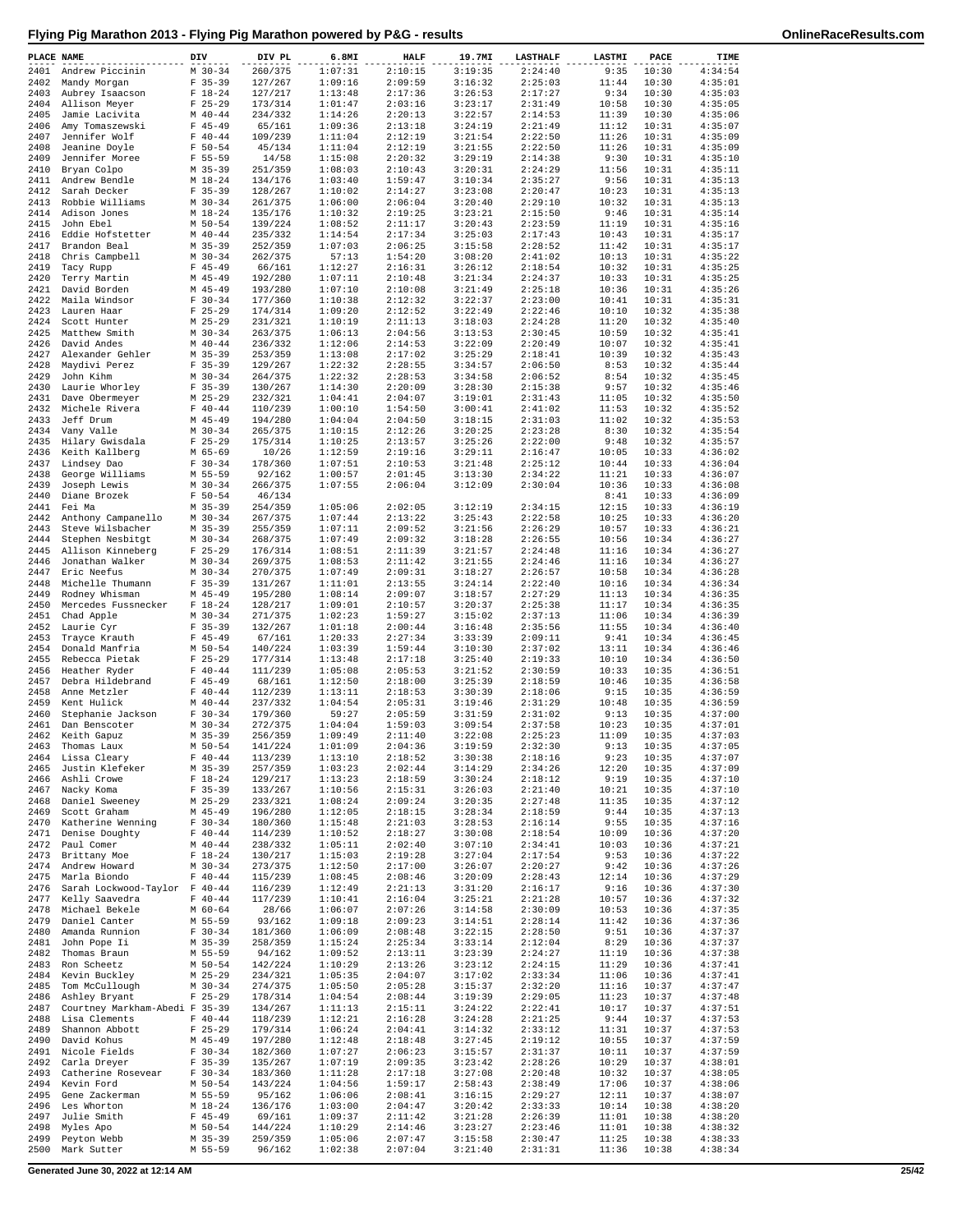| PLACE NAME   |                                        | DIV                      | DIV PL             | 6.8MI              | <b>HALF</b>        | 19.7MI             | <b>LASTHALF</b>    | LASTMI         | PACE           | TIME               |
|--------------|----------------------------------------|--------------------------|--------------------|--------------------|--------------------|--------------------|--------------------|----------------|----------------|--------------------|
| 2401         | Andrew Piccinin                        | $M$ 30-34                | 260/375            | 1:07:31            | 2:10:15            | 3:19:35            | 2:24:40            | 9:35           | 10:30          | 4:34:54            |
| 2402         | Mandy Morgan                           | $F$ 35-39                | 127/267            | 1:09:16            | 2:09:59            | 3:16:32            | 2:25:03            | 11:44          | 10:30          | 4:35:01            |
| 2403         | Aubrey Isaacson                        | $F 18-24$                | 127/217            | 1:13:48            | 2:17:36            | 3:26:53            | 2:17:27            | 9:34           | 10:30          | 4:35:03            |
| 2404         | Allison Meyer                          | $F$ 25-29                | 173/314            | 1:01:47            | 2:03:16            | 3:23:17            | 2:31:49            | 10:58          | 10:30          | 4:35:05            |
| 2405<br>2406 | Jamie Lacivita<br>Amy Tomaszewski      | $M$ 40-44<br>$F$ 45-49   | 234/332<br>65/161  | 1:14:26<br>1:09:36 | 2:20:13<br>2:13:18 | 3:22:57<br>3:24:19 | 2:14:53<br>2:21:49 | 11:39<br>11:12 | 10:30<br>10:31 | 4:35:06<br>4:35:07 |
| 2407         | Jennifer Wolf                          | $F 40 - 44$              | 109/239            | 1:11:04            | 2:12:19            | 3:21:54            | 2:22:50            | 11:26          | 10:31          | 4:35:09            |
| 2408         | Jeanine Doyle                          | $F 50 - 54$              | 45/134             | 1:11:04            | 2:12:19            | 3:21:55            | 2:22:50            | 11:26          | 10:31          | 4:35:09            |
| 2409         | Jennifer Moree                         | $F 55 - 59$              | 14/58              | 1:15:08            | 2:20:32            | 3:29:19            | 2:14:38            | 9:30           | 10:31          | 4:35:10            |
| 2410         | Bryan Colpo                            | $M$ 35-39                | 251/359            | 1:08:03            | 2:10:43            | 3:20:31            | 2:24:29            | 11:56          | 10:31          | 4:35:11            |
| 2411         | Andrew Bendle                          | $M_18-24$                | 134/176            | 1:03:40            | 1:59:47            | 3:10:34            | 2:35:27            | 9:56           | 10:31          | 4:35:13            |
| 2412         | Sarah Decker                           | $F$ 35-39                | 128/267            | 1:10:02            | 2:14:27            | 3:23:08            | 2:20:47            | 10:23          | 10:31          | 4:35:13            |
| 2413         | Robbie Williams<br>Adison Jones        | $M$ 30-34                | 261/375            | 1:06:00            | 2:06:04            | 3:20:40<br>3:23:21 | 2:29:10            | 10:32          | 10:31          | 4:35:13<br>4:35:14 |
| 2414<br>2415 | John Ebel                              | $M_18-24$<br>M 50-54     | 135/176<br>139/224 | 1:10:32<br>1:08:52 | 2:19:25<br>2:11:17 | 3:20:43            | 2:15:50<br>2:23:59 | 9:46<br>11:19  | 10:31<br>10:31 | 4:35:16            |
| 2416         | Eddie Hofstetter                       | $M$ 40-44                | 235/332            | 1:14:54            | 2:17:34            | 3:25:03            | 2:17:43            | 10:43          | 10:31          | 4:35:17            |
| 2417         | Brandon Beal                           | $M$ 35-39                | 252/359            | 1:07:03            | 2:06:25            | 3:15:58            | 2:28:52            | 11:42          | 10:31          | 4:35:17            |
| 2418         | Chris Campbell                         | $M$ 30-34                | 262/375            | 57:13              | 1:54:20            | 3:08:20            | 2:41:02            | 10:13          | 10:31          | 4:35:22            |
| 2419         | Tacy Rupp                              | $F$ 45-49                | 66/161             | 1:12:27            | 2:16:31            | 3:26:12            | 2:18:54            | 10:32          | 10:31          | 4:35:25            |
| 2420         | Terry Martin                           | $M$ 45-49                | 192/280            | 1:07:11            | 2:10:48            | 3:21:34            | 2:24:37            | 10:33          | 10:31          | 4:35:25            |
| 2421         | David Borden                           | $M$ 45-49                | 193/280            | 1:07:10            | 2:10:08            | 3:21:49            | 2:25:18            | 10:36          | 10:31          | 4:35:26            |
| 2422<br>2423 | Maila Windsor<br>Lauren Haar           | $F 30-34$<br>$F$ 25-29   | 177/360<br>174/314 | 1:10:38<br>1:09:20 | 2:12:32<br>2:12:52 | 3:22:37<br>3:22:49 | 2:23:00<br>2:22:46 | 10:41<br>10:10 | 10:31<br>10:32 | 4:35:31<br>4:35:38 |
| 2424         | Scott Hunter                           | $M$ 25-29                | 231/321            | 1:10:19            | 2:11:13            | 3:18:03            | 2:24:28            | 11:20          | 10:32          | 4:35:40            |
| 2425         | Matthew Smith                          | $M$ 30-34                | 263/375            | 1:06:13            | 2:04:56            | 3:13:53            | 2:30:45            | 10:59          | 10:32          | 4:35:41            |
| 2426         | David Andes                            | $M$ 40-44                | 236/332            | 1:12:06            | 2:14:53            | 3:22:09            | 2:20:49            | 10:07          | 10:32          | 4:35:41            |
| 2427         | Alexander Gehler                       | M 35-39                  | 253/359            | 1:13:08            | 2:17:02            | 3:25:29            | 2:18:41            | 10:39          | 10:32          | 4:35:43            |
| 2428         | Maydivi Perez                          | $F$ 35-39                | 129/267            | 1:22:32            | 2:28:55            | 3:34:57            | 2:06:50            | 8:53           | 10:32          | 4:35:44            |
| 2429         | John Kihm                              | $M$ 30-34                | 264/375            | 1:22:32            | 2:28:53            | 3:34:58            | 2:06:52            | 8:54           | 10:32          | 4:35:45            |
| 2430         | Laurie Whorley                         | $F$ 35-39                | 130/267            | 1:14:30            | 2:20:09            | 3:28:30            | 2:15:38            | 9:57           | 10:32          | 4:35:46            |
| 2431         | Dave Obermeyer                         | $M$ 25-29                | 232/321            | 1:04:41<br>1:00:10 | 2:04:07            | 3:19:01            | 2:31:43            | 11:05          | 10:32          | 4:35:50            |
| 2432<br>2433 | Michele Rivera<br>Jeff Drum            | $F 40 - 44$<br>$M$ 45-49 | 110/239<br>194/280 | 1:04:04            | 1:54:50<br>2:04:50 | 3:00:41<br>3:18:15 | 2:41:02<br>2:31:03 | 11:53<br>11:02 | 10:32<br>10:32 | 4:35:52<br>4:35:53 |
|              | 2434 Vany Valle                        | $M$ 30-34                | 265/375            | 1:10:15            | 2:12:26            | 3:20:25            | 2:23:28            | 8:30           | 10:32          | 4:35:54            |
| 2435         | Hilary Gwisdala                        | $F$ 25-29                | 175/314            | 1:10:25            | 2:13:57            | 3:25:26            | 2:22:00            | 9:48           | 10:32          | 4:35:57            |
| 2436         | Keith Kallberg                         | M 65-69                  | 10/26              | 1:12:59            | 2:19:16            | 3:29:11            | 2:16:47            | 10:05          | 10:33          | 4:36:02            |
| 2437         | Lindsey Dao                            | $F 30-34$                | 178/360            | 1:07:51            | 2:10:53            | 3:21:48            | 2:25:12            | 10:44          | 10:33          | 4:36:04            |
| 2438         | George Williams                        | M 55-59                  | 92/162             | 1:00:57            | 2:01:45            | 3:13:30            | 2:34:22            | 11:21          | 10:33          | 4:36:07            |
| 2439         | Joseph Lewis                           | $M$ 30-34                | 266/375            | 1:07:55            | 2:06:04            | 3:12:09            | 2:30:04            | 10:36          | 10:33          | 4:36:08            |
| 2440         | Diane Brozek                           | $F 50 - 54$              | 46/134             |                    |                    |                    |                    | 8:41           | 10:33          | 4:36:09            |
| 2441         | Fei Ma                                 | $M$ 35-39                | 254/359            | 1:05:06<br>1:07:44 | 2:02:05            | 3:12:19<br>3:25:43 | 2:34:15            | 12:15          | 10:33          | 4:36:19            |
| 2442<br>2443 | Anthony Campanello<br>Steve Wilsbacher | $M$ 30-34<br>M 35-39     | 267/375<br>255/359 | 1:07:11            | 2:13:22<br>2:09:52 | 3:21:56            | 2:22:58<br>2:26:29 | 10:25<br>10:57 | 10:33<br>10:33 | 4:36:20<br>4:36:21 |
| 2444         | Stephen Nesbitgt                       | $M$ 30-34                | 268/375            | 1:07:49            | 2:09:32            | 3:18:28            | 2:26:55            | 10:56          | 10:34          | 4:36:27            |
| 2445         | Allison Kinneberg                      | $F$ 25-29                | 176/314            | 1:08:51            | 2:11:39            | 3:21:57            | 2:24:48            | 11:16          | 10:34          | 4:36:27            |
| 2446         | Jonathan Walker                        | $M$ 30-34                | 269/375            | 1:08:53            | 2:11:42            | 3:21:55            | 2:24:46            | 11:16          | 10:34          | 4:36:27            |
| 2447         | Eric Neefus                            | $M$ 30-34                | 270/375            | 1:07:49            | 2:09:31            | 3:18:27            | 2:26:57            | 10:58          | 10:34          | 4:36:28            |
| 2448         | Michelle Thumann                       | $F$ 35-39                | 131/267            | 1:11:01            | 2:13:55            | 3:24:14            | 2:22:40            | 10:16          | 10:34          | 4:36:34            |
| 2449         | Rodney Whisman                         | $M$ 45-49                | 195/280            | 1:08:14            | 2:09:07            | 3:18:57            | 2:27:29            | 11:13          | 10:34          | 4:36:35            |
| 2450         | Mercedes Fussnecker                    | $F 18-24$                | 128/217            | 1:09:01            | 2:10:57            | 3:20:37            | 2:25:38            | 11:17          | 10:34          | 4:36:35            |
| 2451<br>2452 | Chad Apple                             | $M$ 30-34<br>$F$ 35-39   | 271/375<br>132/267 | 1:02:23<br>1:01:18 | 1:59:27<br>2:00:44 | 3:15:02<br>3:16:48 | 2:37:13<br>2:35:56 | 11:06<br>11:55 | 10:34<br>10:34 | 4:36:39<br>4:36:40 |
| 2453         | Laurie Cyr<br>Trayce Krauth            | $F$ 45-49                | 67/161             | 1:20:33            | 2:27:34            | 3:33:39            | 2:09:11            | 9:41           | 10:34          | 4:36:45            |
| 2454         | Donald Manfria                         | $M$ 50-54                | 140/224            | 1:03:39            | 1:59:44            | 3:10:30            | 2:37:02            | 13:11          | 10:34          | 4:36:46            |
| 2455         | Rebecca Pietak                         | $F$ 25-29                | 177/314            | 1:13:48            | 2:17:18            | 3:25:40            | 2:19:33            | 10:10          | 10:34          | 4:36:50            |
| 2456         | Heather Ryder                          | $F 40 - 44$              | 111/239            | 1:05:08            | 2:05:53            | 3:21:52            | 2:30:59            | 10:33          | 10:35          | 4:36:51            |
| 2457         | Debra Hildebrand                       | $F$ 45-49                | 68/161             | 1:12:50            | 2:18:00            | 3:25:39            | 2:18:59            | 10:46          | 10:35          | 4:36:58            |
| 2458         | Anne Metzler                           | $F 40 - 44$              | 112/239            | 1:13:11            | 2:18:53            | 3:30:39            | 2:18:06            | 9:15           | 10:35          | 4:36:59            |
| 2459         | Kent Hulick                            | $M$ 40-44                | 237/332            | 1:04:54            | 2:05:31            | 3:19:46            | 2:31:29            | 10:48          | 10:35          | 4:36:59            |
| 2460<br>2461 | Stephanie Jackson<br>Dan Benscoter     | $F 30-34$<br>$M$ 30-34   | 179/360<br>272/375 | 59:27<br>1:04:04   | 2:05:59<br>1:59:03 | 3:31:59<br>3:09:54 | 2:31:02<br>2:37:58 | 9:13<br>10:23  | 10:35<br>10:35 | 4:37:00<br>4:37:01 |
| 2462         | Keith Gapuz                            | $M$ 35-39                | 256/359            | 1:09:49            | 2:11:40            | 3:22:08            | 2:25:23            | 11:09          | 10:35          | 4:37:03            |
|              | 2463 Thomas Laux                       | $M$ 50-54                | 141/224            | 1:01:09            | 2:04:36            | 3:19:59            | 2:32:30            | 9:13           | 10:35          | 4:37:05            |
| 2464         | Lissa Cleary                           | $F 40 - 44$              | 113/239            | 1:13:10            | 2:18:52            | 3:30:38            | 2:18:16            | 9:23           | 10:35          | 4:37:07            |
| 2465         | Justin Klefeker                        | $M$ 35-39                | 257/359            | 1:03:23            | 2:02:44            | 3:14:29            | 2:34:26            | 12:20          | 10:35          | 4:37:09            |
| 2466         | Ashli Crowe                            | $F 18-24$                | 129/217            | 1:13:23            | 2:18:59            | 3:30:24            | 2:18:12            | 9:19           | 10:35          | 4:37:10            |
| 2467         | Nacky Koma                             | $F$ 35-39                | 133/267            | 1:10:56            | 2:15:31            | 3:26:03            | 2:21:40            | 10:21          | 10:35          | 4:37:10            |
| 2468         | Daniel Sweeney                         | $M$ 25-29                | 233/321            | 1:08:24            | 2:09:24            | 3:20:35            | 2:27:48            | 11:35          | 10:35          | 4:37:12            |
| 2469<br>2470 | Scott Graham<br>Katherine Wenning      | $M$ 45-49<br>$F 30-34$   | 196/280<br>180/360 | 1:12:05<br>1:15:48 | 2:18:15<br>2:21:03 | 3:28:34<br>3:28:53 | 2:18:59<br>2:16:14 | 9:44<br>9:55   | 10:35<br>10:35 | 4:37:13<br>4:37:16 |
| 2471         | Denise Doughty                         | $F 40 - 44$              | 114/239            | 1:10:52            | 2:18:27            | 3:30:08            | 2:18:54            | 10:09          | 10:36          | 4:37:20            |
| 2472         | Paul Comer                             | $M$ 40-44                | 238/332            | 1:05:11            | 2:02:40            | 3:07:10            | 2:34:41            | 10:03          | 10:36          | 4:37:21            |
| 2473         | Brittany Moe                           | $F 18-24$                | 130/217            | 1:15:03            | 2:19:28            | 3:27:04            | 2:17:54            | 9:53           | 10:36          | 4:37:22            |
| 2474         | Andrew Howard                          | $M$ 30-34                | 273/375            | 1:12:50            | 2:17:00            | 3:26:07            | 2:20:27            | 9:42           | 10:36          | 4:37:26            |
| 2475         | Marla Biondo                           | $F 40 - 44$              | 115/239            | 1:08:45            | 2:08:46            | 3:20:09            | 2:28:43            | 12:14          | 10:36          | 4:37:29            |
| 2476         | Sarah Lockwood-Taylor F 40-44          |                          | 116/239            | 1:12:49            | 2:21:13            | 3:31:20            | 2:16:17            | 9:16           | 10:36          | 4:37:30            |
| 2477         | Kelly Saavedra                         | $F 40 - 44$              | 117/239            | 1:10:41            | 2:16:04            | 3:25:21            | 2:21:28            | 10:57          | 10:36          | 4:37:32            |
| 2478         | Michael Bekele                         | $M$ 60-64                | 28/66<br>93/162    | 1:06:07            | 2:07:26            | 3:14:58            | 2:30:09            | 10:53          | 10:36          | 4:37:35<br>4:37:36 |
| 2479<br>2480 | Daniel Canter<br>Amanda Runnion        | M 55-59<br>$F 30-34$     | 181/360            | 1:09:18<br>1:06:09 | 2:09:23<br>2:08:48 | 3:14:51<br>3:22:15 | 2:28:14<br>2:28:50 | 11:42<br>9:51  | 10:36<br>10:36 | 4:37:37            |
| 2481         | John Pope Ii                           | $M$ 35-39                | 258/359            | 1:15:24            | 2:25:34            | 3:33:14            | 2:12:04            | 8:29           | 10:36          | 4:37:37            |
| 2482         | Thomas Braun                           | M 55-59                  | 94/162             | 1:09:52            | 2:13:11            | 3:23:39            | 2:24:27            | 11:19          | 10:36          | 4:37:38            |
| 2483         | Ron Scheetz                            | M 50-54                  | 142/224            | 1:10:29            | 2:13:26            | 3:23:12            | 2:24:15            | 11:29          | 10:36          | 4:37:41            |
| 2484         | Kevin Buckley                          | $M$ 25-29                | 234/321            | 1:05:35            | 2:04:07            | 3:17:02            | 2:33:34            | 11:06          | 10:36          | 4:37:41            |
| 2485         | Tom McCullough                         | $M$ 30-34                | 274/375            | 1:05:50            | 2:05:28            | 3:15:37            | 2:32:20            | 11:16          | 10:37          | 4:37:47            |
| 2486         | Ashley Bryant                          | $F$ 25-29                | 178/314            | 1:04:54            | 2:08:44            | 3:19:39            | 2:29:05            | 11:23          | 10:37          | 4:37:48            |
| 2487         | Courtney Markham-Abedi F 35-39         |                          | 134/267            | 1:11:13            | 2:15:11            | 3:24:22            | 2:22:41            | 10:17          | 10:37          | 4:37:51            |
| 2488<br>2489 | Lisa Clements<br>Shannon Abbott        | $F 40 - 44$<br>$F$ 25-29 | 118/239<br>179/314 | 1:12:21<br>1:06:24 | 2:16:28<br>2:04:41 | 3:24:28<br>3:14:32 | 2:21:25<br>2:33:12 | 9:44<br>11:31  | 10:37<br>10:37 | 4:37:53<br>4:37:53 |
| 2490         | David Kohus                            | $M$ 45-49                | 197/280            | 1:12:48            | 2:18:48            | 3:27:45            | 2:19:12            | 10:55          | 10:37          | 4:37:59            |
| 2491         | Nicole Fields                          | $F 30-34$                | 182/360            | 1:07:27            | 2:06:23            | 3:15:57            | 2:31:37            | 10:11          | 10:37          | 4:37:59            |
| 2492         | Carla Dreyer                           | $F$ 35-39                | 135/267            | 1:07:19            | 2:09:35            | 3:23:42            | 2:28:26            | 10:29          | 10:37          | 4:38:01            |
| 2493         | Catherine Rosevear                     | $F 30-34$                | 183/360            | 1:11:28            | 2:17:18            | 3:27:08            | 2:20:48            | 10:32          | 10:37          | 4:38:05            |
| 2494         | Kevin Ford                             | M 50-54                  | 143/224            | 1:04:56            | 1:59:17            | 2:58:43            | 2:38:49            | 17:06          | 10:37          | 4:38:06            |
| 2495         | Gene Zackerman                         | M 55-59                  | 95/162             | 1:06:06            | 2:08:41            | 3:16:15            | 2:29:27            | 12:11          | 10:37          | 4:38:07            |
| 2496         | Les Whorton                            | $M_18-24$                | 136/176            | 1:03:00            | 2:04:47            | 3:20:42            | 2:33:33            | 10:14          | 10:38          | 4:38:20            |
| 2497<br>2498 | Julie Smith<br>Myles Apo               | $F$ 45-49<br>$M$ 50-54   | 69/161<br>144/224  | 1:09:37<br>1:10:29 | 2:11:42<br>2:14:46 | 3:21:28<br>3:23:27 | 2:26:39<br>2:23:46 | 11:01<br>11:01 | 10:38<br>10:38 | 4:38:20<br>4:38:32 |
| 2499         | Peyton Webb                            | $M$ 35-39                | 259/359            | 1:05:06            | 2:07:47            | 3:15:58            | 2:30:47            | 11:25          | 10:38          | 4:38:33            |
| 2500         | Mark Sutter                            | M 55-59                  | 96/162             | 1:02:38            | 2:07:04            | 3:21:40            | 2:31:31            | 11:36          | 10:38          | 4:38:34            |
|              |                                        |                          |                    |                    |                    |                    |                    |                |                |                    |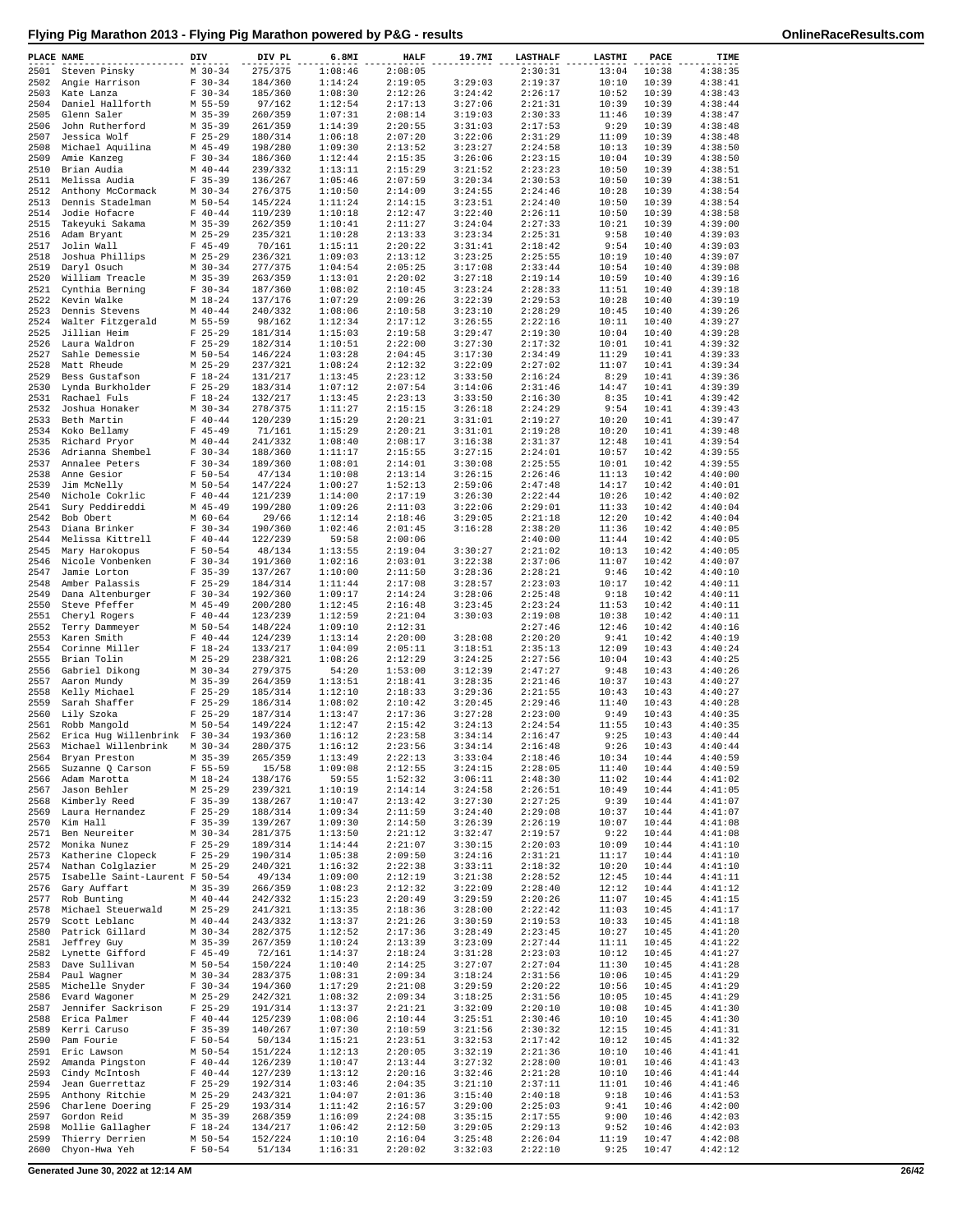| PLACE NAME   |                                    | DIV |                          | DIV PL             | 6.8MI              | HALF               | 19.7MI             | <b>LASTHALF</b>    | LASTMI         | PACE           | TIME               |
|--------------|------------------------------------|-----|--------------------------|--------------------|--------------------|--------------------|--------------------|--------------------|----------------|----------------|--------------------|
| 2501         | Steven Pinsky                      |     | $M$ 30-34                | 275/375            | 1:08:46            | 2:08:05            |                    | 2:30:31            | 13:04          | 10:38          | 4:38:35            |
| 2502         | Angie Harrison                     |     | $F 30-34$<br>$F 30 - 34$ | 184/360            | 1:14:24            | 2:19:05<br>2:12:26 | 3:29:03<br>3:24:42 | 2:19:37<br>2:26:17 | 10:10          | 10:39          | 4:38:41<br>4:38:43 |
| 2503<br>2504 | Kate Lanza<br>Daniel Hallforth     |     | M 55-59                  | 185/360<br>97/162  | 1:08:30<br>1:12:54 | 2:17:13            | 3:27:06            | 2:21:31            | 10:52<br>10:39 | 10:39<br>10:39 | 4:38:44            |
| 2505         | Glenn Saler                        |     | M 35-39                  | 260/359            | 1:07:31            | 2:08:14            | 3:19:03            | 2:30:33            | 11:46          | 10:39          | 4:38:47            |
| 2506         | John Rutherford                    |     | M 35-39                  | 261/359            | 1:14:39            | 2:20:55            | 3:31:03            | 2:17:53            | 9:29           | 10:39          | 4:38:48            |
| 2507         | Jessica Wolf                       |     | $F$ 25-29                | 180/314            | 1:06:18            | 2:07:20            | 3:22:06            | 2:31:29            | 11:09          | 10:39          | 4:38:48            |
| 2508<br>2509 | Michael Aquilina<br>Amie Kanzeg    |     | $M$ 45-49<br>$F 30-34$   | 198/280<br>186/360 | 1:09:30<br>1:12:44 | 2:13:52<br>2:15:35 | 3:23:27<br>3:26:06 | 2:24:58<br>2:23:15 | 10:13<br>10:04 | 10:39<br>10:39 | 4:38:50<br>4:38:50 |
| 2510         | Brian Audia                        |     | $M$ 40-44                | 239/332            | 1:13:11            | 2:15:29            | 3:21:52            | 2:23:23            | 10:50          | 10:39          | 4:38:51            |
| 2511         | Melissa Audia                      |     | $F$ 35-39                | 136/267            | 1:05:46            | 2:07:59            | 3:20:34            | 2:30:53            | 10:50          | 10:39          | 4:38:51            |
| 2512         | Anthony McCormack                  |     | $M$ 30-34                | 276/375            | 1:10:50            | 2:14:09            | 3:24:55            | 2:24:46            | 10:28          | 10:39          | 4:38:54            |
| 2513         | Dennis Stadelman                   |     | M 50-54                  | 145/224            | 1:11:24            | 2:14:15            | 3:23:51            | 2:24:40            | 10:50          | 10:39          | 4:38:54            |
| 2514<br>2515 | Jodie Hofacre<br>Takeyuki Sakama   |     | $F 40 - 44$<br>M 35-39   | 119/239<br>262/359 | 1:10:18<br>1:10:41 | 2:12:47<br>2:11:27 | 3:22:40<br>3:24:04 | 2:26:11<br>2:27:33 | 10:50<br>10:21 | 10:39<br>10:39 | 4:38:58<br>4:39:00 |
| 2516         | Adam Bryant                        |     | $M$ 25-29                | 235/321            | 1:10:28            | 2:13:33            | 3:23:34            | 2:25:31            | 9:58           | 10:40          | 4:39:03            |
| 2517         | Jolin Wall                         |     | $F$ 45-49                | 70/161             | 1:15:11            | 2:20:22            | 3:31:41            | 2:18:42            | 9:54           | 10:40          | 4:39:03            |
| 2518         | Joshua Phillips                    |     | $M$ 25-29                | 236/321            | 1:09:03            | 2:13:12            | 3:23:25            | 2:25:55            | 10:19          | 10:40          | 4:39:07            |
| 2519         | Daryl Osuch                        |     | $M$ 30-34                | 277/375            | 1:04:54            | 2:05:25            | 3:17:08            | 2:33:44            | 10:54          | 10:40          | 4:39:08            |
| 2520<br>2521 | William Treacle<br>Cynthia Berning |     | $M$ 35-39<br>$F 30-34$   | 263/359<br>187/360 | 1:13:01<br>1:08:02 | 2:20:02<br>2:10:45 | 3:27:18<br>3:23:24 | 2:19:14<br>2:28:33 | 10:59<br>11:51 | 10:40<br>10:40 | 4:39:16<br>4:39:18 |
| 2522         | Kevin Walke                        |     | M 18-24                  | 137/176            | 1:07:29            | 2:09:26            | 3:22:39            | 2:29:53            | 10:28          | 10:40          | 4:39:19            |
| 2523         | Dennis Stevens                     |     | $M$ 40-44                | 240/332            | 1:08:06            | 2:10:58            | 3:23:10            | 2:28:29            | 10:45          | 10:40          | 4:39:26            |
| 2524         | Walter Fitzgerald                  |     | M 55-59                  | 98/162             | 1:12:34            | 2:17:12            | 3:26:55            | 2:22:16            | 10:11          | 10:40          | 4:39:27            |
| 2525<br>2526 | Jillian Heim<br>Laura Waldron      |     | $F$ 25-29<br>$F$ 25-29   | 181/314<br>182/314 | 1:15:03<br>1:10:51 | 2:19:58<br>2:22:00 | 3:29:47<br>3:27:30 | 2:19:30<br>2:17:32 | 10:04<br>10:01 | 10:40<br>10:41 | 4:39:28<br>4:39:32 |
| 2527         | Sahle Demessie                     |     | M 50-54                  | 146/224            | 1:03:28            | 2:04:45            | 3:17:30            | 2:34:49            | 11:29          | 10:41          | 4:39:33            |
| 2528         | Matt Rheude                        |     | $M$ 25-29                | 237/321            | 1:08:24            | 2:12:32            | 3:22:09            | 2:27:02            | 11:07          | 10:41          | 4:39:34            |
| 2529         | Bess Gustafson                     |     | $F 18-24$                | 131/217            | 1:13:45            | 2:23:12            | 3:33:50            | 2:16:24            | 8:29           | 10:41          | 4:39:36            |
| 2530         | Lynda Burkholder                   |     | $F$ 25-29                | 183/314            | 1:07:12            | 2:07:54            | 3:14:06            | 2:31:46            | 14:47          | 10:41          | 4:39:39            |
| 2531<br>2532 | Rachael Fuls<br>Joshua Honaker     |     | $F 18-24$<br>$M$ 30-34   | 132/217<br>278/375 | 1:13:45<br>1:11:27 | 2:23:13<br>2:15:15 | 3:33:50<br>3:26:18 | 2:16:30<br>2:24:29 | 8:35<br>9:54   | 10:41<br>10:41 | 4:39:42<br>4:39:43 |
| 2533         | Beth Martin                        |     | $F 40 - 44$              | 120/239            | 1:15:29            | 2:20:21            | 3:31:01            | 2:19:27            | 10:20          | 10:41          | 4:39:47            |
| 2534         | Koko Bellamy                       |     | $F$ 45-49                | 71/161             | 1:15:29            | 2:20:21            | 3:31:01            | 2:19:28            | 10:20          | 10:41          | 4:39:48            |
| 2535         | Richard Pryor                      |     | $M$ 40-44                | 241/332            | 1:08:40            | 2:08:17            | 3:16:38            | 2:31:37            | 12:48          | 10:41          | 4:39:54            |
| 2536         | Adrianna Shembel                   |     | $F 30-34$                | 188/360            | 1:11:17            | 2:15:55            | 3:27:15            | 2:24:01            | 10:57          | 10:42          | 4:39:55            |
| 2537<br>2538 | Annalee Peters<br>Anne Gesior      |     | $F 30-34$<br>$F 50 - 54$ | 189/360<br>47/134  | 1:08:01<br>1:10:08 | 2:14:01<br>2:13:14 | 3:30:08<br>3:26:15 | 2:25:55<br>2:26:46 | 10:01<br>11:13 | 10:42<br>10:42 | 4:39:55<br>4:40:00 |
| 2539         | Jim McNelly                        |     | M 50-54                  | 147/224            | 1:00:27            | 1:52:13            | 2:59:06            | 2:47:48            | 14:17          | 10:42          | 4:40:01            |
| 2540         | Nichole Cokrlic                    |     | $F 40 - 44$              | 121/239            | 1:14:00            | 2:17:19            | 3:26:30            | 2:22:44            | 10:26          | 10:42          | 4:40:02            |
| 2541         | Sury Peddireddi                    |     | $M$ 45-49                | 199/280            | 1:09:26            | 2:11:03            | 3:22:06            | 2:29:01            | 11:33          | 10:42          | 4:40:04            |
| 2542         | Bob Obert                          |     | $M$ 60-64                | 29/66              | 1:12:14            | 2:18:46            | 3:29:05            | 2:21:18            | 12:20          | 10:42          | 4:40:04            |
| 2543<br>2544 | Diana Brinker<br>Melissa Kittrell  |     | $F 30-34$<br>$F 40 - 44$ | 190/360<br>122/239 | 1:02:46<br>59:58   | 2:01:45<br>2:00:06 | 3:16:28            | 2:38:20<br>2:40:00 | 11:36<br>11:44 | 10:42<br>10:42 | 4:40:05<br>4:40:05 |
| 2545         | Mary Harokopus                     |     | $F 50 - 54$              | 48/134             | 1:13:55            | 2:19:04            | 3:30:27            | 2:21:02            | 10:13          | 10:42          | 4:40:05            |
| 2546         | Nicole Vonbenken                   |     | $F 30-34$                | 191/360            | 1:02:16            | 2:03:01            | 3:22:38            | 2:37:06            | 11:07          | 10:42          | 4:40:07            |
| 2547         | Jamie Lorton                       |     | $F$ 35-39                | 137/267            | 1:10:00            | 2:11:50            | 3:28:36            | 2:28:21            | 9:46           | 10:42          | 4:40:10            |
| 2548         | Amber Palassis                     |     | $F$ 25-29                | 184/314            | 1:11:44            | 2:17:08            | 3:28:57            | 2:23:03            | 10:17          | 10:42          | 4:40:11            |
| 2549<br>2550 | Dana Altenburger<br>Steve Pfeffer  |     | $F 30-34$<br>$M$ 45-49   | 192/360<br>200/280 | 1:09:17<br>1:12:45 | 2:14:24<br>2:16:48 | 3:28:06<br>3:23:45 | 2:25:48<br>2:23:24 | 9:18<br>11:53  | 10:42<br>10:42 | 4:40:11<br>4:40:11 |
| 2551         | Cheryl Rogers                      |     | $F 40 - 44$              | 123/239            | 1:12:59            | 2:21:04            | 3:30:03            | 2:19:08            | 10:38          | 10:42          | 4:40:11            |
| 2552         | Terry Dammeyer                     |     | M 50-54                  | 148/224            | 1:09:10            | 2:12:31            |                    | 2:27:46            | 12:46          | 10:42          | 4:40:16            |
| 2553         | Karen Smith                        |     | $F 40 - 44$              | 124/239            | 1:13:14            | 2:20:00            | 3:28:08            | 2:20:20            | 9:41           | 10:42          | 4:40:19            |
| 2554<br>2555 | Corinne Miller<br>Brian Tolin      |     | $F 18-24$<br>$M$ 25-29   | 133/217<br>238/321 | 1:04:09<br>1:08:26 | 2:05:11<br>2:12:29 | 3:18:51<br>3:24:25 | 2:35:13<br>2:27:56 | 12:09<br>10:04 | 10:43<br>10:43 | 4:40:24<br>4:40:25 |
| 2556         | Gabriel Dikong                     |     | $M$ 30-34                | 279/375            | 54:20              | 1:53:00            | 3:12:39            | 2:47:27            | 9:48           | 10:43          | 4:40:26            |
| 2557         | Aaron Mundy                        |     | M 35-39                  | 264/359            | 1:13:51            | 2:18:41            | 3:28:35            | 2:21:46            | 10:37          | 10:43          | 4:40:27            |
| 2558         | Kelly Michael                      |     | $F$ 25-29                | 185/314            | 1:12:10            | 2:18:33            | 3:29:36            | 2:21:55            | 10:43          | 10:43          | 4:40:27            |
| 2559         | Sarah Shaffer                      |     | $F$ 25-29                | 186/314            | 1:08:02            | 2:10:42            | 3:20:45            | 2:29:46            | 11:40          | 10:43          | 4:40:28            |
| 2560<br>2561 | Lily Szoka<br>Robb Mangold         |     | $F$ 25-29<br>$M$ 50-54   | 187/314<br>149/224 | 1:13:47<br>1:12:47 | 2:17:36<br>2:15:42 | 3:27:28<br>3:24:13 | 2:23:00<br>2:24:54 | 9:49<br>11:55  | 10:43<br>10:43 | 4:40:35<br>4:40:35 |
| 2562         | Erica Hug Willenbrink F 30-34      |     |                          | 193/360            | 1:16:12            | 2:23:58            | 3:34:14            | 2:16:47            | 9:25           | 10:43          | 4:40:44            |
|              | 2563 Michael Willenbrink M 30-34   |     |                          | 280/375            | 1:16:12            | 2:23:56            | 3:34:14            | 2:16:48            |                | $9:26$ 10:43   | 4:40:44            |
|              | 2564 Bryan Preston                 |     | $M$ 35-39                | 265/359            | 1:13:49            | 2:22:13            | 3:33:04            | 2:18:46            | 10:34          | 10:44          | 4:40:59            |
| 2565<br>2566 | Suzanne O Carson<br>Adam Marotta   |     | $F 55 - 59$<br>$M_18-24$ | 15/58              | 1:09:08            | 2:12:55            | 3:24:15<br>3:06:11 | 2:28:05            | 11:40<br>11:02 | 10:44<br>10:44 | 4:40:59<br>4:41:02 |
| 2567         | Jason Behler                       |     | $M$ 25-29                | 138/176<br>239/321 | 59:55<br>1:10:19   | 1:52:32<br>2:14:14 | 3:24:58            | 2:48:30<br>2:26:51 | 10:49          | 10:44          | 4:41:05            |
| 2568         | Kimberly Reed                      |     | $F$ 35-39                | 138/267            | 1:10:47            | 2:13:42            | 3:27:30            | 2:27:25            | 9:39           | 10:44          | 4:41:07            |
| 2569         | Laura Hernandez                    |     | $F$ 25-29                | 188/314            | 1:09:34            | 2:11:59            | 3:24:40            | 2:29:08            | 10:37          | 10:44          | 4:41:07            |
| 2570         | Kim Hall                           |     | $F$ 35-39                | 139/267            | 1:09:30<br>1:13:50 | 2:14:50            | 3:26:39<br>3:32:47 | 2:26:19            | 10:07          | 10:44          | 4:41:08            |
| 2571<br>2572 | Ben Neureiter<br>Monika Nunez      |     | $M$ 30-34<br>$F$ 25-29   | 281/375<br>189/314 | 1:14:44            | 2:21:12<br>2:21:07 | 3:30:15            | 2:19:57<br>2:20:03 | 9:22<br>10:09  | 10:44<br>10:44 | 4:41:08<br>4:41:10 |
| 2573         | Katherine Clopeck                  |     | $F$ 25-29                | 190/314            | 1:05:38            | 2:09:50            | 3:24:16            | 2:31:21            | 11:17          | 10:44          | 4:41:10            |
| 2574         | Nathan Colglazier                  |     | $M$ 25-29                | 240/321            | 1:16:32            | 2:22:38            | 3:33:11            | 2:18:32            | 10:20          | 10:44          | 4:41:10            |
| 2575         | Isabelle Saint-Laurent F 50-54     |     |                          | 49/134             | 1:09:00            | 2:12:19            | 3:21:38            | 2:28:52            | 12:45          | 10:44          | 4:41:11            |
| 2576         | Gary Auffart                       |     | $M$ 35-39                | 266/359<br>242/332 | 1:08:23<br>1:15:23 | 2:12:32            | 3:22:09            | 2:28:40            | 12:12          | 10:44          | 4:41:12            |
| 2577<br>2578 | Rob Bunting<br>Michael Steuerwald  |     | $M$ 40-44<br>$M$ 25-29   | 241/321            | 1:13:35            | 2:20:49<br>2:18:36 | 3:29:59<br>3:28:00 | 2:20:26<br>2:22:42 | 11:07<br>11:03 | 10:45<br>10:45 | 4:41:15<br>4:41:17 |
| 2579         | Scott Leblanc                      |     | $M$ 40-44                | 243/332            | 1:13:37            | 2:21:26            | 3:30:59            | 2:19:53            | 10:33          | 10:45          | 4:41:18            |
| 2580         | Patrick Gillard                    |     | $M$ 30-34                | 282/375            | 1:12:52            | 2:17:36            | 3:28:49            | 2:23:45            | 10:27          | 10:45          | 4:41:20            |
| 2581         | Jeffrey Guy                        |     | $M$ 35-39                | 267/359            | 1:10:24            | 2:13:39            | 3:23:09            | 2:27:44            | 11:11          | 10:45          | 4:41:22            |
| 2582<br>2583 | Lynette Gifford<br>Dave Sullivan   |     | $F$ 45-49<br>M 50-54     | 72/161<br>150/224  | 1:14:37<br>1:10:40 | 2:18:24<br>2:14:25 | 3:31:28<br>3:27:07 | 2:23:03<br>2:27:04 | 10:12<br>11:30 | 10:45<br>10:45 | 4:41:27<br>4:41:28 |
| 2584         | Paul Wagner                        |     | $M$ 30-34                | 283/375            | 1:08:31            | 2:09:34            | 3:18:24            | 2:31:56            | 10:06          | 10:45          | 4:41:29            |
| 2585         | Michelle Snyder                    |     | $F 30-34$                | 194/360            | 1:17:29            | 2:21:08            | 3:29:59            | 2:20:22            | 10:56          | 10:45          | 4:41:29            |
| 2586         | Evard Wagoner                      |     | $M$ 25-29                | 242/321            | 1:08:32            | 2:09:34            | 3:18:25            | 2:31:56            | 10:05          | 10:45          | 4:41:29            |
| 2587         | Jennifer Sackrison                 |     | $F$ 25-29                | 191/314            | 1:13:37            | 2:21:21            | 3:32:09            | 2:20:10            | 10:08          | 10:45          | 4:41:30            |
| 2588<br>2589 | Erica Palmer<br>Kerri Caruso       |     | $F 40 - 44$<br>$F$ 35-39 | 125/239<br>140/267 | 1:08:06<br>1:07:30 | 2:10:44<br>2:10:59 | 3:25:51<br>3:21:56 | 2:30:46<br>2:30:32 | 10:10<br>12:15 | 10:45<br>10:45 | 4:41:30<br>4:41:31 |
| 2590         | Pam Fourie                         |     | $F 50 - 54$              | 50/134             | 1:15:21            | 2:23:51            | 3:32:53            | 2:17:42            | 10:12          | 10:45          | 4:41:32            |
| 2591         | Eric Lawson                        |     | M 50-54                  | 151/224            | 1:12:13            | 2:20:05            | 3:32:19            | 2:21:36            | 10:10          | 10:46          | 4:41:41            |
| 2592         | Amanda Pingston                    |     | $F 40 - 44$              | 126/239            | 1:10:47            | 2:13:44            | 3:27:32            | 2:28:00            | 10:01          | 10:46          | 4:41:43            |
| 2593<br>2594 | Cindy McIntosh                     |     | $F 40 - 44$              | 127/239            | 1:13:12            | 2:20:16            | 3:32:46            | 2:21:28            | 10:10          | 10:46          | 4:41:44            |
| 2595         | Jean Guerrettaz<br>Anthony Ritchie |     | $F$ 25-29<br>$M$ 25-29   | 192/314<br>243/321 | 1:03:46<br>1:04:07 | 2:04:35<br>2:01:36 | 3:21:10<br>3:15:40 | 2:37:11<br>2:40:18 | 11:01<br>9:18  | 10:46<br>10:46 | 4:41:46<br>4:41:53 |
| 2596         | Charlene Doering                   |     | $F$ 25-29                | 193/314            | 1:11:42            | 2:16:57            | 3:29:00            | 2:25:03            | 9:41           | 10:46          | 4:42:00            |
| 2597         | Gordon Reid                        |     | $M$ 35-39                | 268/359            | 1:16:09            | 2:24:08            | 3:35:15            | 2:17:55            | 9:00           | 10:46          | 4:42:03            |
| 2598         | Mollie Gallagher                   |     | $F 18-24$                | 134/217            | 1:06:42            | 2:12:50            | 3:29:05            | 2:29:13            | 9:52           | 10:46          | 4:42:03            |
| 2599<br>2600 | Thierry Derrien<br>Chyon-Hwa Yeh   |     | M 50-54<br>$F 50 - 54$   | 152/224<br>51/134  | 1:10:10<br>1:16:31 | 2:16:04<br>2:20:02 | 3:25:48<br>3:32:03 | 2:26:04<br>2:22:10 | 11:19<br>9:25  | 10:47<br>10:47 | 4:42:08<br>4:42:12 |
|              |                                    |     |                          |                    |                    |                    |                    |                    |                |                |                    |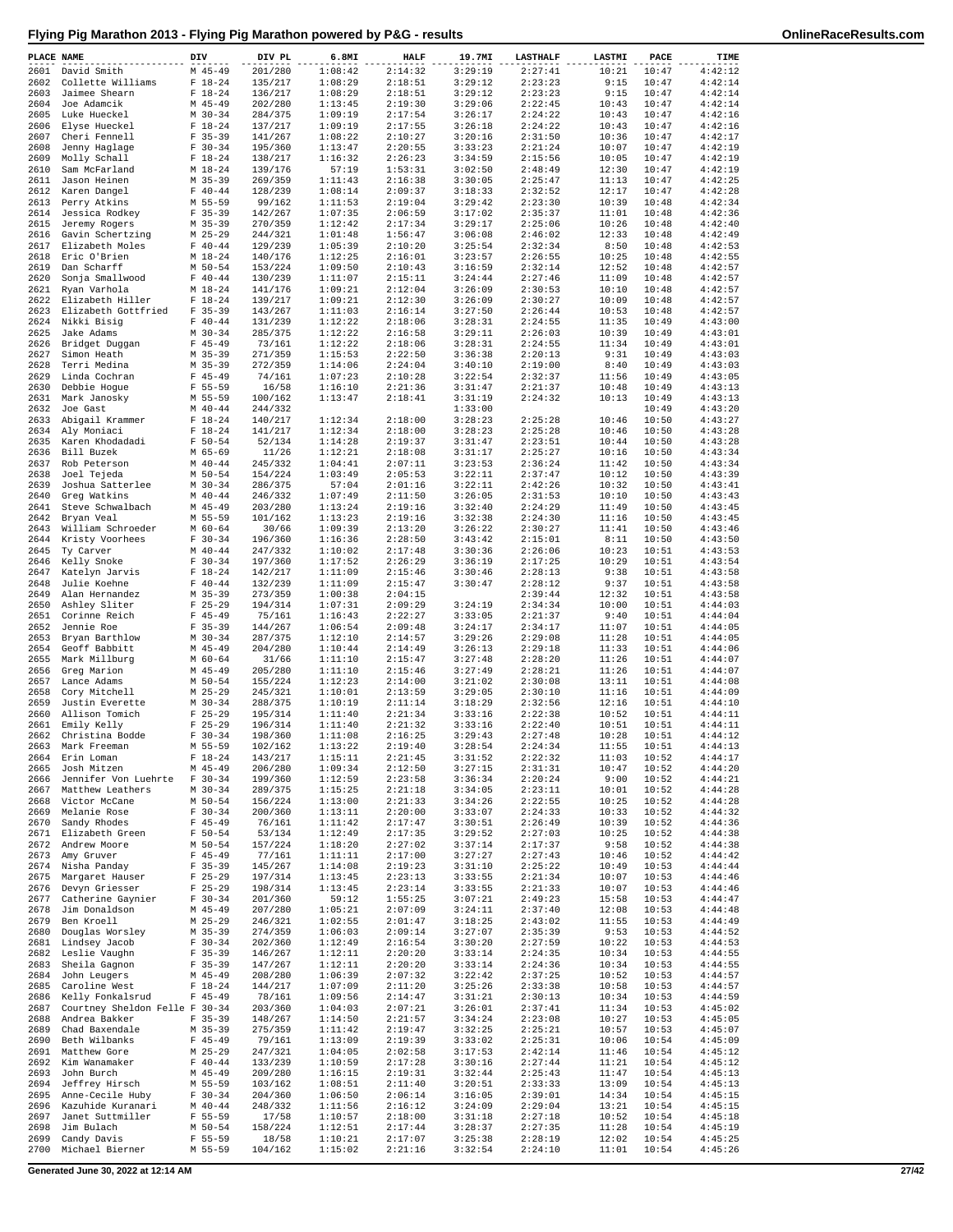| PLACE NAME   |                                                 | DIV                        | DIV PL             | 6.8MI              | <b>HALF</b>        | 19.7MI             | <b>LASTHALF</b>    | <b>LASTMI</b>  | PACE           | TIME               |
|--------------|-------------------------------------------------|----------------------------|--------------------|--------------------|--------------------|--------------------|--------------------|----------------|----------------|--------------------|
| 2602         | 2601 David Smith<br>Collette Williams           | $M$ 45-49<br>$F 18-24$     | 201/280<br>135/217 | 1:08:42<br>1:08:29 | 2:14:32<br>2:18:51 | 3:29:19<br>3:29:12 | 2:27:41<br>2:23:23 | 10:21<br>9:15  | 10:47<br>10:47 | 4:42:12<br>4:42:14 |
| 2603         | Jaimee Shearn                                   | $F 18-24$                  | 136/217            | 1:08:29            | 2:18:51            | 3:29:12            | 2:23:23            | 9:15           | 10:47          | 4:42:14            |
| 2604         | Joe Adamcik                                     | $M$ 45-49                  | 202/280            | 1:13:45            | 2:19:30            | 3:29:06            | 2:22:45            | 10:43          | 10:47          | 4:42:14            |
| 2605         | Luke Hueckel                                    | $M$ 30-34                  | 284/375            | 1:09:19            | 2:17:54            | 3:26:17            | 2:24:22            | 10:43          | 10:47          | 4:42:16            |
| 2606<br>2607 | Elyse Hueckel<br>Cheri Fennell                  | $F 18-24$<br>$F$ 35-39     | 137/217<br>141/267 | 1:09:19<br>1:08:22 | 2:17:55<br>2:10:27 | 3:26:18<br>3:20:16 | 2:24:22<br>2:31:50 | 10:43<br>10:36 | 10:47<br>10:47 | 4:42:16<br>4:42:17 |
| 2608         | Jenny Haglage                                   | $F 30-34$                  | 195/360            | 1:13:47            | 2:20:55            | 3:33:23            | 2:21:24            | 10:07          | 10:47          | 4:42:19            |
| 2609         | Molly Schall                                    | $F 18-24$                  | 138/217            | 1:16:32            | 2:26:23            | 3:34:59            | 2:15:56            | 10:05          | 10:47          | 4:42:19            |
| 2610<br>2611 | Sam McFarland<br>Jason Heinen                   | M 18-24<br>$M$ 35-39       | 139/176<br>269/359 | 57:19<br>1:11:43   | 1:53:31<br>2:16:38 | 3:02:50<br>3:30:05 | 2:48:49<br>2:25:47 | 12:30<br>11:13 | 10:47<br>10:47 | 4:42:19<br>4:42:25 |
| 2612         | Karen Dangel                                    | $F 40 - 44$                | 128/239            | 1:08:14            | 2:09:37            | 3:18:33            | 2:32:52            | 12:17          | 10:47          | 4:42:28            |
| 2613         | Perry Atkins                                    | M 55-59                    | 99/162             | 1:11:53            | 2:19:04            | 3:29:42            | 2:23:30            | 10:39          | 10:48          | 4:42:34            |
| 2614         | Jessica Rodkey                                  | $F$ 35-39                  | 142/267            | 1:07:35            | 2:06:59            | 3:17:02            | 2:35:37            | 11:01          | 10:48          | 4:42:36            |
| 2615<br>2616 | Jeremy Rogers<br>Gavin Schertzing               | $M$ 35-39<br>$M$ 25-29     | 270/359<br>244/321 | 1:12:42<br>1:01:48 | 2:17:34<br>1:56:47 | 3:29:17<br>3:06:08 | 2:25:06<br>2:46:02 | 10:26<br>12:33 | 10:48<br>10:48 | 4:42:40<br>4:42:49 |
| 2617         | Elizabeth Moles                                 | $F 40 - 44$                | 129/239            | 1:05:39            | 2:10:20            | 3:25:54            | 2:32:34            | 8:50           | 10:48          | 4:42:53            |
| 2618         | Eric O'Brien                                    | $M_18-24$                  | 140/176            | 1:12:25            | 2:16:01            | 3:23:57            | 2:26:55            | 10:25          | 10:48          | 4:42:55            |
| 2619         | Dan Scharff                                     | M 50-54                    | 153/224            | 1:09:50            | 2:10:43            | 3:16:59            | 2:32:14            | 12:52          | 10:48          | 4:42:57            |
| 2620<br>2621 | Sonja Smallwood<br>Ryan Varhola                 | $F 40 - 44$<br>$M_18-24$   | 130/239<br>141/176 | 1:11:07<br>1:09:21 | 2:15:11<br>2:12:04 | 3:24:44<br>3:26:09 | 2:27:46<br>2:30:53 | 11:09<br>10:10 | 10:48<br>10:48 | 4:42:57<br>4:42:57 |
| 2622         | Elizabeth Hiller                                | $F 18-24$                  | 139/217            | 1:09:21            | 2:12:30            | 3:26:09            | 2:30:27            | 10:09          | 10:48          | 4:42:57            |
| 2623         | Elizabeth Gottfried                             | $F$ 35-39                  | 143/267            | 1:11:03            | 2:16:14            | 3:27:50            | 2:26:44            | 10:53          | 10:48          | 4:42:57            |
| 2624         | Nikki Bisig                                     | $F 40 - 44$                | 131/239            | 1:12:22            | 2:18:06            | 3:28:31            | 2:24:55            | 11:35          | 10:49          | 4:43:00            |
| 2625<br>2626 | Jake Adams<br>Bridget Duggan                    | $M$ 30-34<br>$F$ 45-49     | 285/375<br>73/161  | 1:12:22<br>1:12:22 | 2:16:58<br>2:18:06 | 3:29:11<br>3:28:31 | 2:26:03<br>2:24:55 | 10:39<br>11:34 | 10:49<br>10:49 | 4:43:01<br>4:43:01 |
| 2627         | Simon Heath                                     | $M$ 35-39                  | 271/359            | 1:15:53            | 2:22:50            | 3:36:38            | 2:20:13            | 9:31           | 10:49          | 4:43:03            |
| 2628         | Terri Medina                                    | $M$ 35-39                  | 272/359            | 1:14:06            | 2:24:04            | 3:40:10            | 2:19:00            | 8:40           | 10:49          | 4:43:03            |
| 2629<br>2630 | Linda Cochran<br>Debbie Hoque                   | $F$ 45-49<br>$F 55 - 59$   | 74/161<br>16/58    | 1:07:23<br>1:16:10 | 2:10:28<br>2:21:36 | 3:22:54<br>3:31:47 | 2:32:37<br>2:21:37 | 11:56<br>10:48 | 10:49<br>10:49 | 4:43:05<br>4:43:13 |
| 2631         | Mark Janosky                                    | M 55-59                    | 100/162            | 1:13:47            | 2:18:41            | 3:31:19            | 2:24:32            | 10:13          | 10:49          | 4:43:13            |
| 2632         | Joe Gast                                        | $M$ 40-44                  | 244/332            |                    |                    | 1:33:00            |                    |                | 10:49          | 4:43:20            |
| 2633         | Abigail Krammer                                 | $F 18-24$                  | 140/217            | 1:12:34            | 2:18:00            | 3:28:23            | 2:25:28            | 10:46          | 10:50          | 4:43:27            |
| 2634         | Aly Moniaci                                     | $F 18-24$                  | 141/217            | 1:12:34            | 2:18:00<br>2:19:37 | 3:28:23            | 2:25:28            | 10:46          | 10:50          | 4:43:28            |
| 2635<br>2636 | Karen Khodadadi<br>Bill Buzek                   | $F 50 - 54$<br>M 65-69     | 52/134<br>11/26    | 1:14:28<br>1:12:21 | 2:18:08            | 3:31:47<br>3:31:17 | 2:23:51<br>2:25:27 | 10:44<br>10:16 | 10:50<br>10:50 | 4:43:28<br>4:43:34 |
| 2637         | Rob Peterson                                    | $M$ 40-44                  | 245/332            | 1:04:41            | 2:07:11            | 3:23:53            | 2:36:24            | 11:42          | 10:50          | 4:43:34            |
| 2638         | Joel Tejeda                                     | $M$ 50-54                  | 154/224            | 1:03:49            | 2:05:53            | 3:22:11            | 2:37:47            | 10:12          | 10:50          | 4:43:39            |
| 2639         | Joshua Satterlee                                | $M$ 30-34                  | 286/375            | 57:04              | 2:01:16            | 3:22:11            | 2:42:26<br>2:31:53 | 10:32          | 10:50          | 4:43:41            |
| 2640<br>2641 | Greg Watkins<br>Steve Schwalbach                | $M$ 40-44<br>$M$ 45-49     | 246/332<br>203/280 | 1:07:49<br>1:13:24 | 2:11:50<br>2:19:16 | 3:26:05<br>3:32:40 | 2:24:29            | 10:10<br>11:49 | 10:50<br>10:50 | 4:43:43<br>4:43:45 |
| 2642         | Bryan Veal                                      | M 55-59                    | 101/162            | 1:13:23            | 2:19:16            | 3:32:38            | 2:24:30            | 11:16          | 10:50          | 4:43:45            |
| 2643         | William Schroeder                               | M 60-64                    | 30/66              | 1:09:39            | 2:13:20            | 3:26:22            | 2:30:27            | 11:41          | 10:50          | 4:43:46            |
| 2644         | Kristy Voorhees                                 | $F 30-34$                  | 196/360            | 1:16:36            | 2:28:50            | 3:43:42            | 2:15:01            | 8:11           | 10:50          | 4:43:50            |
| 2645<br>2646 | Ty Carver<br>Kelly Snoke                        | $M$ 40-44<br>$F 30-34$     | 247/332<br>197/360 | 1:10:02<br>1:17:52 | 2:17:48<br>2:26:29 | 3:30:36<br>3:36:19 | 2:26:06<br>2:17:25 | 10:23<br>10:29 | 10:51<br>10:51 | 4:43:53<br>4:43:54 |
| 2647         | Katelyn Jarvis                                  | $F 18-24$                  | 142/217            | 1:11:09            | 2:15:46            | 3:30:46            | 2:28:13            | 9:38           | 10:51          | 4:43:58            |
| 2648         | Julie Koehne                                    | $F 40 - 44$                | 132/239            | 1:11:09            | 2:15:47            | 3:30:47            | 2:28:12            | 9:37           | 10:51          | 4:43:58            |
| 2649         | Alan Hernandez                                  | $M$ 35-39                  | 273/359            | 1:00:38            | 2:04:15            |                    | 2:39:44            | 12:32          | 10:51          | 4:43:58<br>4:44:03 |
| 2650<br>2651 | Ashley Sliter<br>Corinne Reich                  | $F$ 25-29<br>$F$ 45-49     | 194/314<br>75/161  | 1:07:31<br>1:16:43 | 2:09:29<br>2:22:27 | 3:24:19<br>3:33:05 | 2:34:34<br>2:21:37 | 10:00<br>9:40  | 10:51<br>10:51 | 4:44:04            |
| 2652         | Jennie Roe                                      | $F$ 35-39                  | 144/267            | 1:06:54            | 2:09:48            | 3:24:17            | 2:34:17            | 11:07          | 10:51          | 4:44:05            |
| 2653         | Bryan Barthlow                                  | $M$ 30-34                  | 287/375            | 1:12:10            | 2:14:57            | 3:29:26            | 2:29:08            | 11:28          | 10:51          | 4:44:05            |
| 2654<br>2655 | Geoff Babbitt<br>Mark Millburg                  | $M$ 45-49<br>$M$ 60-64     | 204/280<br>31/66   | 1:10:44<br>1:11:10 | 2:14:49<br>2:15:47 | 3:26:13<br>3:27:48 | 2:29:18<br>2:28:20 | 11:33<br>11:26 | 10:51<br>10:51 | 4:44:06<br>4:44:07 |
| 2656         | Greg Marion                                     | $M$ 45-49                  | 205/280            | 1:11:10            | 2:15:46            | 3:27:49            | 2:28:21            | 11:26          | 10:51          | 4:44:07            |
| 2657         | Lance Adams                                     | M 50-54                    | 155/224            | 1:12:23            | 2:14:00            | 3:21:02            | 2:30:08            | 13:11          | 10:51          | 4:44:08            |
| 2658         | Cory Mitchell                                   | $M$ 25-29                  | 245/321            | 1:10:01            | 2:13:59            | 3:29:05            | 2:30:10            | 11:16          | 10:51          | 4:44:09            |
| 2659<br>2660 | Justin Everette<br>Allison Tomich               | $M$ 30-34<br>$F$ 25-29     | 288/375<br>195/314 | 1:10:19<br>1:11:40 | 2:11:14<br>2:21:34 | 3:18:29<br>3:33:16 | 2:32:56<br>2:22:38 | 12:16<br>10:52 | 10:51<br>10:51 | 4:44:10<br>4:44:11 |
| 2661         | Emily Kelly                                     | $F$ 25-29                  | 196/314            | 1:11:40            | 2:21:32            | 3:33:16            | 2:22:40            | 10:51          | 10:51          | 4:44:11            |
| 2662         | Christina Bodde                                 | $F 30-34$                  | 198/360            | 1:11:08            | 2:16:25            | 3:29:43            | 2:27:48            | 10:28          | 10:51          | 4:44:12            |
| 2663         | Mark Freeman                                    | M 55-59<br>$F 18 - 24$     | 102/162<br>143/217 | 1:13:22<br>1:15:11 | 2:19:40<br>2:21:45 | 3:28:54<br>3:31:52 | 2:24:34<br>2:22:32 | 11:55<br>11:03 | 10:51<br>10:52 | 4:44:13<br>4:44:17 |
| 2664<br>2665 | Erin Loman<br>Josh Mitzen                       | $M$ 45-49                  | 206/280            | 1:09:34            | 2:12:50            | 3:27:15            | 2:31:31            | 10:47          | 10:52          | 4:44:20            |
| 2666         | Jennifer Von Luehrte                            | $F 30-34$                  | 199/360            | 1:12:59            | 2:23:58            | 3:36:34            | 2:20:24            | 9:00           | 10:52          | 4:44:21            |
| 2667         | Matthew Leathers                                | $M$ 30-34                  | 289/375            | 1:15:25            | 2:21:18            | 3:34:05            | 2:23:11            | 10:01          | 10:52          | 4:44:28            |
| 2668<br>2669 | Victor McCane<br>Melanie Rose                   | $M 50 - 54$<br>$F 30-34$   | 156/224<br>200/360 | 1:13:00<br>1:13:11 | 2:21:33<br>2:20:00 | 3:34:26<br>3:33:07 | 2:22:55<br>2:24:33 | 10:25<br>10:33 | 10:52<br>10:52 | 4:44:28<br>4:44:32 |
| 2670         | Sandy Rhodes                                    | $F$ 45-49                  | 76/161             | 1:11:42            | 2:17:47            | 3:30:51            | 2:26:49            | 10:39          | 10:52          | 4:44:36            |
| 2671         | Elizabeth Green                                 | $F 50 - 54$                | 53/134             | 1:12:49            | 2:17:35            | 3:29:52            | 2:27:03            | 10:25          | 10:52          | 4:44:38            |
| 2672         | Andrew Moore                                    | M 50-54                    | 157/224            | 1:18:20            | 2:27:02            | 3:37:14            | 2:17:37            | 9:58           | 10:52          | 4:44:38            |
| 2673<br>2674 | Amy Gruver<br>Nisha Panday                      | $F$ 45-49<br>$F$ 35-39     | 77/161<br>145/267  | 1:11:11<br>1:14:08 | 2:17:00<br>2:19:23 | 3:27:27<br>3:31:10 | 2:27:43<br>2:25:22 | 10:46<br>10:49 | 10:52<br>10:53 | 4:44:42<br>4:44:44 |
| 2675         | Margaret Hauser                                 | $F$ 25-29                  | 197/314            | 1:13:45            | 2:23:13            | 3:33:55            | 2:21:34            | 10:07          | 10:53          | 4:44:46            |
| 2676         | Devyn Griesser                                  | $F$ 25-29                  | 198/314            | 1:13:45            | 2:23:14            | 3:33:55            | 2:21:33            | 10:07          | 10:53          | 4:44:46            |
| 2677         | Catherine Gaynier                               | $F 30-34$                  | 201/360            | 59:12              | 1:55:25            | 3:07:21            | 2:49:23            | 15:58          | 10:53          | 4:44:47            |
| 2678<br>2679 | Jim Donaldson<br>Ben Kroell                     | $M$ 45-49<br>$M$ 25-29     | 207/280<br>246/321 | 1:05:21<br>1:02:55 | 2:07:09<br>2:01:47 | 3:24:11<br>3:18:25 | 2:37:40<br>2:43:02 | 12:08<br>11:55 | 10:53<br>10:53 | 4:44:48<br>4:44:49 |
| 2680         | Douglas Worsley                                 | $M$ 35-39                  | 274/359            | 1:06:03            | 2:09:14            | 3:27:07            | 2:35:39            | 9:53           | 10:53          | 4:44:52            |
| 2681         | Lindsey Jacob                                   | $F 30-34$                  | 202/360            | 1:12:49            | 2:16:54            | 3:30:20            | 2:27:59            | 10:22          | 10:53          | 4:44:53            |
| 2682<br>2683 | Leslie Vaughn<br>Sheila Gagnon                  | $F$ 35-39<br>$F$ 35-39     | 146/267<br>147/267 | 1:12:11<br>1:12:11 | 2:20:20<br>2:20:20 | 3:33:14<br>3:33:14 | 2:24:35<br>2:24:36 | 10:34<br>10:34 | 10:53<br>10:53 | 4:44:55<br>4:44:55 |
| 2684         | John Leugers                                    | $M$ 45-49                  | 208/280            | 1:06:39            | 2:07:32            | 3:22:42            | 2:37:25            | 10:52          | 10:53          | 4:44:57            |
| 2685         | Caroline West                                   | $F 18-24$                  | 144/217            | 1:07:09            | 2:11:20            | 3:25:26            | 2:33:38            | 10:58          | 10:53          | 4:44:57            |
| 2686         | Kelly Fonkalsrud                                | $F$ 45-49                  | 78/161             | 1:09:56            | 2:14:47            | 3:31:21            | 2:30:13            | 10:34          | 10:53          | 4:44:59            |
| 2687<br>2688 | Courtney Sheldon Felle F 30-34<br>Andrea Bakker | $F$ 35-39                  | 203/360<br>148/267 | 1:04:03<br>1:14:50 | 2:07:21<br>2:21:57 | 3:26:01<br>3:34:24 | 2:37:41<br>2:23:08 | 11:34<br>10:27 | 10:53<br>10:53 | 4:45:02<br>4:45:05 |
| 2689         | Chad Baxendale                                  | $M$ 35-39                  | 275/359            | 1:11:42            | 2:19:47            | 3:32:25            | 2:25:21            | 10:57          | 10:53          | 4:45:07            |
| 2690         | Beth Wilbanks                                   | $F$ 45-49                  | 79/161             | 1:13:09            | 2:19:39            | 3:33:02            | 2:25:31            | 10:06          | 10:54          | 4:45:09            |
| 2691         | Matthew Gore                                    | $M$ 25-29                  | 247/321            | 1:04:05            | 2:02:58            | 3:17:53            | 2:42:14            | 11:46          | 10:54          | 4:45:12            |
| 2692<br>2693 | Kim Wanamaker<br>John Burch                     | $F 40 - 44$<br>$M$ 45-49   | 133/239<br>209/280 | 1:10:59<br>1:16:15 | 2:17:28<br>2:19:31 | 3:30:16<br>3:32:44 | 2:27:44<br>2:25:43 | 11:21<br>11:47 | 10:54<br>10:54 | 4:45:12<br>4:45:13 |
| 2694         | Jeffrey Hirsch                                  | M 55-59                    | 103/162            | 1:08:51            | 2:11:40            | 3:20:51            | 2:33:33            | 13:09          | 10:54          | 4:45:13            |
| 2695         | Anne-Cecile Huby                                | $F 30-34$                  | 204/360            | 1:06:50            | 2:06:14            | 3:16:05            | 2:39:01            | 14:34          | 10:54          | 4:45:15            |
| 2696         | Kazuhide Kuranari                               | $M$ 40-44                  | 248/332            | 1:11:56            | 2:16:12            | 3:24:09            | 2:29:04            | 13:21          | 10:54          | 4:45:15            |
| 2697<br>2698 | Janet Suttmiller<br>Jim Bulach                  | $F 55 - 59$<br>$M 50 - 54$ | 17/58<br>158/224   | 1:10:57<br>1:12:51 | 2:18:00<br>2:17:44 | 3:31:18<br>3:28:37 | 2:27:18<br>2:27:35 | 10:52<br>11:28 | 10:54<br>10:54 | 4:45:18<br>4:45:19 |
| 2699         | Candy Davis                                     | $F 55 - 59$                | 18/58              | 1:10:21            | 2:17:07            | 3:25:38            | 2:28:19            | 12:02          | 10:54          | 4:45:25            |
| 2700         | Michael Bierner                                 | M 55-59                    | 104/162            | 1:15:02            | 2:21:16            | 3:32:54            | 2:24:10            | 11:01          | 10:54          | 4:45:26            |

**Generated June 30, 2022 at 12:14 AM 27/42**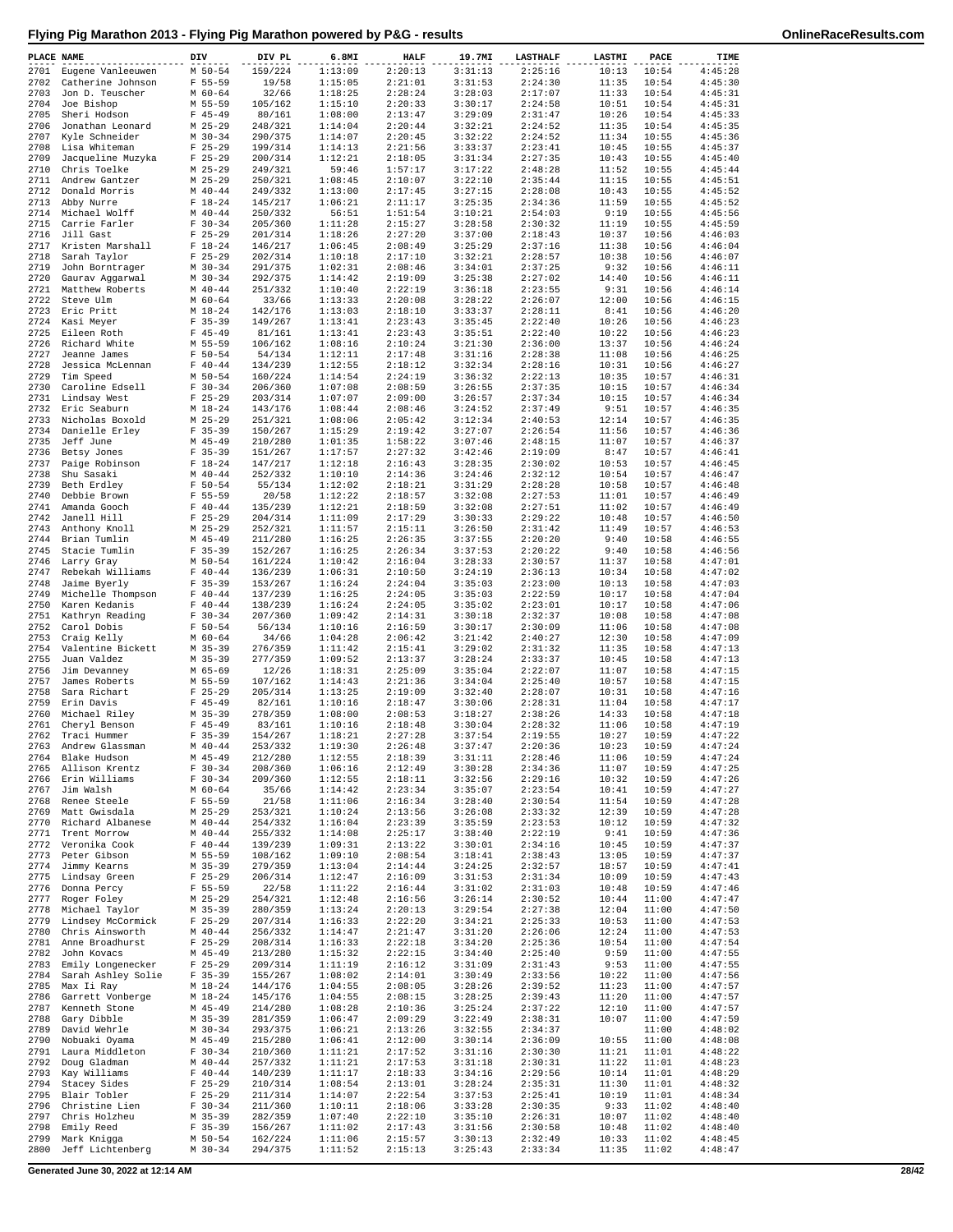| PLACE NAME   |                                         | DIV                        | DIV PL             | 6.8MI              | <b>HALF</b>        | 19.7MI             | <b>LASTHALF</b>    | LASTMI         | PACE           | TIME               |
|--------------|-----------------------------------------|----------------------------|--------------------|--------------------|--------------------|--------------------|--------------------|----------------|----------------|--------------------|
|              | 2701 Eugene Vanleeuwen                  | $M$ 50-54                  | 159/224            | 1:13:09            | 2:20:13            | 3:31:13            | 2:25:16            | 10:13          | 10:54          | 4:45:28            |
| 2702         | Catherine Johnson                       | $F 55 - 59$                | 19/58              | 1:15:05            | 2:21:01            | 3:31:53            | 2:24:30            | 11:35          | 10:54          | 4:45:30            |
| 2703         | Jon D. Teuscher                         | $M$ 60-64                  | 32/66              | 1:18:25            | 2:28:24            | 3:28:03            | 2:17:07            | 11:33          | 10:54          | 4:45:31            |
| 2704         | Joe Bishop                              | M 55-59                    | 105/162            | 1:15:10            | 2:20:33            | 3:30:17            | 2:24:58            | 10:51          | 10:54          | 4:45:31            |
| 2705<br>2706 | Sheri Hodson<br>Jonathan Leonard        | $F$ 45-49<br>$M$ 25-29     | 80/161<br>248/321  | 1:08:00<br>1:14:04 | 2:13:47<br>2:20:44 | 3:29:09<br>3:32:21 | 2:31:47<br>2:24:52 | 10:26<br>11:35 | 10:54<br>10:54 | 4:45:33<br>4:45:35 |
| 2707         | Kyle Schneider                          | $M$ 30-34                  | 290/375            | 1:14:07            | 2:20:45            | 3:32:22            | 2:24:52            | 11:34          | 10:55          | 4:45:36            |
| 2708         | Lisa Whiteman                           | $F$ 25-29                  | 199/314            | 1:14:13            | 2:21:56            | 3:33:37            | 2:23:41            | 10:45          | 10:55          | 4:45:37            |
| 2709         | Jacqueline Muzyka                       | $F$ 25-29                  | 200/314            | 1:12:21            | 2:18:05            | 3:31:34            | 2:27:35            | 10:43          | 10:55          | 4:45:40            |
| 2710         | Chris Toelke                            | $M$ 25-29                  | 249/321            | 59:46              | 1:57:17            | 3:17:22            | 2:48:28            | 11:52          | 10:55          | 4:45:44            |
| 2711         | Andrew Gantzer                          | $M$ 25-29                  | 250/321            | 1:08:45            | 2:10:07            | 3:22:10            | 2:35:44            | 11:15          | 10:55          | 4:45:51            |
| 2712         | Donald Morris                           | $M$ 40-44                  | 249/332            | 1:13:00            | 2:17:45            | 3:27:15            | 2:28:08            | 10:43          | 10:55          | 4:45:52            |
| 2713         | Abby Nurre                              | $F 18-24$                  | 145/217            | 1:06:21            | 2:11:17            | 3:25:35            | 2:34:36            | 11:59          | 10:55          | 4:45:52            |
| 2714         | Michael Wolff                           | $M$ 40-44                  | 250/332            | 56:51              | 1:51:54            | 3:10:21            | 2:54:03            | 9:19           | 10:55          | 4:45:56            |
| 2715         | Carrie Farler                           | $F 30-34$                  | 205/360<br>201/314 | 1:11:28            | 2:15:27            | 3:28:58            | 2:30:32<br>2:18:43 | 11:19<br>10:37 | 10:55          | 4:45:59<br>4:46:03 |
| 2716<br>2717 | Jill Gast<br>Kristen Marshall           | $F$ 25-29<br>$F 18-24$     | 146/217            | 1:18:26<br>1:06:45 | 2:27:20<br>2:08:49 | 3:37:00<br>3:25:29 | 2:37:16            | 11:38          | 10:56<br>10:56 | 4:46:04            |
| 2718         | Sarah Taylor                            | $F$ 25-29                  | 202/314            | 1:10:18            | 2:17:10            | 3:32:21            | 2:28:57            | 10:38          | 10:56          | 4:46:07            |
| 2719         | John Borntrager                         | $M$ 30-34                  | 291/375            | 1:02:31            | 2:08:46            | 3:34:01            | 2:37:25            | 9:32           | 10:56          | 4:46:11            |
| 2720         | Gaurav Aggarwal                         | $M$ 30-34                  | 292/375            | 1:14:42            | 2:19:09            | 3:25:38            | 2:27:02            | 14:40          | 10:56          | 4:46:11            |
| 2721         | Matthew Roberts                         | $M$ 40-44                  | 251/332            | 1:10:40            | 2:22:19            | 3:36:18            | 2:23:55            | 9:31           | 10:56          | 4:46:14            |
| 2722         | Steve Ulm                               | $M$ 60-64                  | 33/66              | 1:13:33            | 2:20:08            | 3:28:22            | 2:26:07            | 12:00          | 10:56          | 4:46:15            |
| 2723         | Eric Pritt                              | $M_18-24$                  | 142/176            | 1:13:03            | 2:18:10            | 3:33:37            | 2:28:11            | 8:41           | 10:56          | 4:46:20            |
| 2724         | Kasi Meyer                              | $F$ 35-39                  | 149/267            | 1:13:41            | 2:23:43            | 3:35:45            | 2:22:40            | 10:26          | 10:56          | 4:46:23            |
| 2725         | Eileen Roth                             | $F$ 45-49                  | 81/161             | 1:13:41            | 2:23:43            | 3:35:51            | 2:22:40            | 10:22          | 10:56          | 4:46:23            |
| 2726         | Richard White                           | M 55-59                    | 106/162            | 1:08:16            | 2:10:24            | 3:21:30            | 2:36:00            | 13:37          | 10:56          | 4:46:24            |
| 2727         | Jeanne James                            | $F 50 - 54$<br>$F 40 - 44$ | 54/134             | 1:12:11            | 2:17:48            | 3:31:16            | 2:28:38            | 11:08          | 10:56          | 4:46:25            |
| 2728<br>2729 | Jessica McLennan<br>Tim Speed           | M 50-54                    | 134/239<br>160/224 | 1:12:55<br>1:14:54 | 2:18:12<br>2:24:19 | 3:32:34<br>3:36:32 | 2:28:16<br>2:22:13 | 10:31<br>10:35 | 10:56<br>10:57 | 4:46:27<br>4:46:31 |
| 2730         | Caroline Edsell                         | $F 30-34$                  | 206/360            | 1:07:08            | 2:08:59            | 3:26:55            | 2:37:35            | 10:15          | 10:57          | 4:46:34            |
| 2731         | Lindsay West                            | $F$ 25-29                  | 203/314            | 1:07:07            | 2:09:00            | 3:26:57            | 2:37:34            | 10:15          | 10:57          | 4:46:34            |
| 2732         | Eric Seaburn                            | $M_18-24$                  | 143/176            | 1:08:44            | 2:08:46            | 3:24:52            | 2:37:49            | 9:51           | 10:57          | 4:46:35            |
| 2733         | Nicholas Boxold                         | $M$ 25-29                  | 251/321            | 1:08:06            | 2:05:42            | 3:12:34            | 2:40:53            | 12:14          | 10:57          | 4:46:35            |
| 2734         | Danielle Erley                          | $F$ 35-39                  | 150/267            | 1:15:29            | 2:19:42            | 3:27:07            | 2:26:54            | 11:56          | 10:57          | 4:46:36            |
| 2735         | Jeff June                               | $M$ 45-49                  | 210/280            | 1:01:35            | 1:58:22            | 3:07:46            | 2:48:15            | 11:07          | 10:57          | 4:46:37            |
| 2736         | Betsy Jones                             | $F$ 35-39                  | 151/267            | 1:17:57            | 2:27:32            | 3:42:46            | 2:19:09            | 8:47           | 10:57          | 4:46:41            |
| 2737         | Paige Robinson                          | $F 18-24$                  | 147/217            | 1:12:18            | 2:16:43            | 3:28:35            | 2:30:02            | 10:53          | 10:57          | 4:46:45            |
| 2738         | Shu Sasaki                              | $M$ 40-44                  | 252/332            | 1:10:10            | 2:14:36            | 3:24:46            | 2:32:12            | 10:54          | 10:57          | 4:46:47            |
| 2739<br>2740 | Beth Erdley                             | $F 50 - 54$                | 55/134             | 1:12:02            | 2:18:21            | 3:31:29            | 2:28:28            | 10:58<br>11:01 | 10:57          | 4:46:48            |
| 2741         | Debbie Brown<br>Amanda Gooch            | $F 55 - 59$<br>$F 40 - 44$ | 20/58<br>135/239   | 1:12:22<br>1:12:21 | 2:18:57<br>2:18:59 | 3:32:08<br>3:32:08 | 2:27:53<br>2:27:51 | 11:02          | 10:57<br>10:57 | 4:46:49<br>4:46:49 |
| 2742         | Janell Hill                             | $F$ 25-29                  | 204/314            | 1:11:09            | 2:17:29            | 3:30:33            | 2:29:22            | 10:48          | 10:57          | 4:46:50            |
| 2743         | Anthony Knoll                           | $M$ 25-29                  | 252/321            | 1:11:57            | 2:15:11            | 3:26:50            | 2:31:42            | 11:49          | 10:57          | 4:46:53            |
| 2744         | Brian Tumlin                            | $M$ 45-49                  | 211/280            | 1:16:25            | 2:26:35            | 3:37:55            | 2:20:20            | 9:40           | 10:58          | 4:46:55            |
| 2745         | Stacie Tumlin                           | $F 35-39$                  | 152/267            | 1:16:25            | 2:26:34            | 3:37:53            | 2:20:22            | 9:40           | 10:58          | 4:46:56            |
| 2746         | Larry Gray                              | $M$ 50-54                  | 161/224            | 1:10:42            | 2:16:04            | 3:28:33            | 2:30:57            | 11:37          | 10:58          | 4:47:01            |
| 2747         | Rebekah Williams                        | $F 40 - 44$                | 136/239            | 1:06:31            | 2:10:50            | 3:24:19            | 2:36:13            | 10:34          | 10:58          | 4:47:02            |
| 2748         | Jaime Byerly                            | $F$ 35-39                  | 153/267            | 1:16:24            | 2:24:04            | 3:35:03            | 2:23:00            | 10:13          | 10:58          | 4:47:03            |
| 2749         | Michelle Thompson                       | $F 40 - 44$                | 137/239            | 1:16:25            | 2:24:05            | 3:35:03            | 2:22:59            | 10:17          | 10:58          | 4:47:04            |
| 2750         | Karen Kedanis                           | $F 40 - 44$<br>$F 30-34$   | 138/239            | 1:16:24            | 2:24:05            | 3:35:02            | 2:23:01            | 10:17          | 10:58          | 4:47:06            |
| 2751<br>2752 | Kathryn Reading<br>Carol Dobis          | $F 50 - 54$                | 207/360<br>56/134  | 1:09:42<br>1:10:16 | 2:14:31<br>2:16:59 | 3:30:18<br>3:30:17 | 2:32:37<br>2:30:09 | 10:08<br>11:06 | 10:58<br>10:58 | 4:47:08<br>4:47:08 |
| 2753         | Craig Kelly                             | $M$ 60-64                  | 34/66              | 1:04:28            | 2:06:42            | 3:21:42            | 2:40:27            | 12:30          | 10:58          | 4:47:09            |
| 2754         | Valentine Bickett                       | $M$ 35-39                  | 276/359            | 1:11:42            | 2:15:41            | 3:29:02            | 2:31:32            | 11:35          | 10:58          | 4:47:13            |
| 2755         | Juan Valdez                             | $M$ 35-39                  | 277/359            | 1:09:52            | 2:13:37            | 3:28:24            | 2:33:37            | 10:45          | 10:58          | 4:47:13            |
| 2756         | Jim Devanney                            | M 65-69                    | 12/26              | 1:18:31            | 2:25:09            | 3:35:04            | 2:22:07            | 11:07          | 10:58          | 4:47:15            |
| 2757         | James Roberts                           | M 55-59                    | 107/162            | 1:14:43            | 2:21:36            | 3:34:04            | 2:25:40            | 10:57          | 10:58          | 4:47:15            |
| 2758         | Sara Richart                            | $F$ 25-29                  | 205/314            | 1:13:25            | 2:19:09            | 3:32:40            | 2:28:07            | 10:31          | 10:58          | 4:47:16            |
| 2759         | Erin Davis                              | $F$ 45-49                  | 82/161             | 1:10:16            | 2:18:47            | 3:30:06            | 2:28:31            | 11:04          | 10:58          | 4:47:17            |
| 2760         | Michael Riley                           | $M$ 35-39                  | 278/359            | 1:08:00            | 2:08:53            | 3:18:27            | 2:38:26            | 14:33          | 10:58          | 4:47:18            |
| 2761<br>2762 | Cheryl Benson<br>Traci Hummer           | $F$ 45-49<br>$F$ 35-39     | 83/161<br>154/267  | 1:10:16<br>1:18:21 | 2:18:48<br>2:27:28 | 3:30:04<br>3:37:54 | 2:28:32<br>2:19:55 | 11:06<br>10:27 | 10:58<br>10:59 | 4:47:19<br>4:47:22 |
|              | 2763 Andrew Glassman                    | $M$ 40-44                  | 253/332            | 1:19:30            | 2:26:48            | 3:37:47            | 2:20:36            | 10:23          | 10:59          | 4:47:24            |
| 2764         | Blake Hudson                            | $M$ 45-49                  | 212/280            | 1:12:55            | 2:18:39            | 3:31:11            | 2:28:46            | 11:06          | 10:59          | 4:47:24            |
| 2765         | Allison Krentz                          | $F 30 - 34$                | 208/360            | 1:06:16            | 2:12:49            | 3:30:28            | 2:34:36            | 11:07          | 10:59          | 4:47:25            |
| 2766         | Erin Williams                           | $F 30-34$                  | 209/360            | 1:12:55            | 2:18:11            | 3:32:56            | 2:29:16            | 10:32          | 10:59          | 4:47:26            |
| 2767         | Jim Walsh                               | M 60-64                    | 35/66              | 1:14:42            | 2:23:34            | 3:35:07            | 2:23:54            | 10:41          | 10:59          | 4:47:27            |
| 2768         | Renee Steele                            | $F 55 - 59$                | 21/58              | 1:11:06            | 2:16:34            | 3:28:40            | 2:30:54            | 11:54          | 10:59          | 4:47:28            |
| 2769         | Matt Gwisdala                           | $M$ 25-29                  | 253/321            | 1:10:24            | 2:13:56            | 3:26:08            | 2:33:32            | 12:39          | 10:59          | 4:47:28            |
| 2770         | Richard Albanese                        | $M$ 40-44                  | 254/332            | 1:16:04            | 2:23:39            | 3:35:59            | 2:23:53            | 10:12          | 10:59          | 4:47:32            |
| 2771<br>2772 | Trent Morrow<br>Veronika Cook           | $M$ 40-44<br>$F 40 - 44$   | 255/332<br>139/239 | 1:14:08<br>1:09:31 | 2:25:17<br>2:13:22 | 3:38:40<br>3:30:01 | 2:22:19<br>2:34:16 | 9:41<br>10:45  | 10:59<br>10:59 | 4:47:36<br>4:47:37 |
| 2773         | Peter Gibson                            | M 55-59                    | 108/162            | 1:09:10            | 2:08:54            | 3:18:41            | 2:38:43            | 13:05          | 10:59          | 4:47:37            |
| 2774         | Jimmy Kearns                            | $M$ 35-39                  | 279/359            | 1:13:04            | 2:14:44            | 3:24:25            | 2:32:57            | 18:57          | 10:59          | 4:47:41            |
| 2775         | Lindsay Green                           | $F$ 25-29                  | 206/314            | 1:12:47            | 2:16:09            | 3:31:53            | 2:31:34            | 10:09          | 10:59          | 4:47:43            |
| 2776         | Donna Percy                             | $F 55 - 59$                | 22/58              | 1:11:22            | 2:16:44            | 3:31:02            | 2:31:03            | 10:48          | 10:59          | 4:47:46            |
| 2777         | Roger Foley                             | $M$ 25-29                  | 254/321            | 1:12:48            | 2:16:56            | 3:26:14            | 2:30:52            | 10:44          | 11:00          | 4:47:47            |
| 2778         | Michael Taylor                          | $M$ 35-39                  | 280/359            | 1:13:24            | 2:20:13            | 3:29:54            | 2:27:38            | 12:04          | 11:00          | 4:47:50            |
| 2779         | Lindsey McCormick                       | $F$ 25-29                  | 207/314            | 1:16:33            | 2:22:20            | 3:34:21            | 2:25:33            | 10:53          | 11:00          | 4:47:53            |
| 2780         | Chris Ainsworth                         | $M$ 40-44                  | 256/332            | 1:14:47            | 2:21:47            | 3:31:20            | 2:26:06            | 12:24          | 11:00          | 4:47:53            |
| 2781         | Anne Broadhurst                         | $F$ 25-29                  | 208/314            | 1:16:33            | 2:22:18            | 3:34:20            | 2:25:36            | 10:54          | 11:00          | 4:47:54            |
| 2782         | John Kovacs                             | $M$ 45-49<br>$F$ 25-29     | 213/280            | 1:15:32<br>1:11:19 | 2:22:15<br>2:16:12 | 3:34:40            | 2:25:40            | 9:59<br>9:53   | 11:00<br>11:00 | 4:47:55<br>4:47:55 |
| 2783<br>2784 | Emily Longenecker<br>Sarah Ashley Solie | $F$ 35-39                  | 209/314<br>155/267 | 1:08:02            | 2:14:01            | 3:31:09<br>3:30:49 | 2:31:43<br>2:33:56 | 10:22          | 11:00          | 4:47:56            |
| 2785         | Max Ii Ray                              | $M_18-24$                  | 144/176            | 1:04:55            | 2:08:05            | 3:28:26            | 2:39:52            | 11:23          | 11:00          | 4:47:57            |
| 2786         | Garrett Vonberge                        | $M_18-24$                  | 145/176            | 1:04:55            | 2:08:15            | 3:28:25            | 2:39:43            | 11:20          | 11:00          | 4:47:57            |
| 2787         | Kenneth Stone                           | $M$ 45-49                  | 214/280            | 1:08:28            | 2:10:36            | 3:25:24            | 2:37:22            | 12:10          | 11:00          | 4:47:57            |
| 2788         | Gary Dibble                             | $M$ 35-39                  | 281/359            | 1:06:47            | 2:09:29            | 3:22:49            | 2:38:31            | 10:07          | 11:00          | 4:47:59            |
| 2789         | David Wehrle                            | $M$ 30-34                  | 293/375            | 1:06:21            | 2:13:26            | 3:32:55            | 2:34:37            |                | 11:00          | 4:48:02            |
| 2790         | Nobuaki Oyama                           | $M$ 45-49                  | 215/280            | 1:06:41            | 2:12:00            | 3:30:14            | 2:36:09            | 10:55          | 11:00          | 4:48:08            |
| 2791         | Laura Middleton                         | $F 30-34$                  | 210/360            | 1:11:21            | 2:17:52            | 3:31:16            | 2:30:30            | 11:21          | 11:01          | 4:48:22            |
| 2792         | Doug Gladman                            | $M$ 40-44                  | 257/332            | 1:11:21            | 2:17:53            | 3:31:18            | 2:30:31            | 11:22          | 11:01          | 4:48:23            |
| 2793         | Kay Williams                            | $F 40 - 44$<br>$F$ 25-29   | 140/239            | 1:11:17            | 2:18:33            | 3:34:16            | 2:29:56            | 10:14          | 11:01          | 4:48:29<br>4:48:32 |
| 2794<br>2795 | Stacey Sides<br>Blair Tobler            | $F$ 25-29                  | 210/314<br>211/314 | 1:08:54<br>1:14:07 | 2:13:01<br>2:22:54 | 3:28:24<br>3:37:53 | 2:35:31<br>2:25:41 | 11:30<br>10:19 | 11:01<br>11:01 | 4:48:34            |
| 2796         | Christine Lien                          | $F 30-34$                  | 211/360            | 1:10:11            | 2:18:06            | 3:33:28            | 2:30:35            | 9:33           | 11:02          | 4:48:40            |
| 2797         | Chris Holzheu                           | $M$ 35-39                  | 282/359            | 1:07:40            | 2:22:10            | 3:35:10            | 2:26:31            | 10:07          | 11:02          | 4:48:40            |
| 2798         | Emily Reed                              | $F$ 35-39                  | 156/267            | 1:11:02            | 2:17:43            | 3:31:56            | 2:30:58            | 10:48          | 11:02          | 4:48:40            |
| 2799         | Mark Knigga                             | M 50-54                    | 162/224            | 1:11:06            | 2:15:57            | 3:30:13            | 2:32:49            | 10:33          | 11:02          | 4:48:45            |
| 2800         | Jeff Lichtenberg                        | $M$ 30-34                  | 294/375            | 1:11:52            | 2:15:13            | 3:25:43            | 2:33:34            | 11:35          | 11:02          | 4:48:47            |

**Generated June 30, 2022 at 12:14 AM 28/42**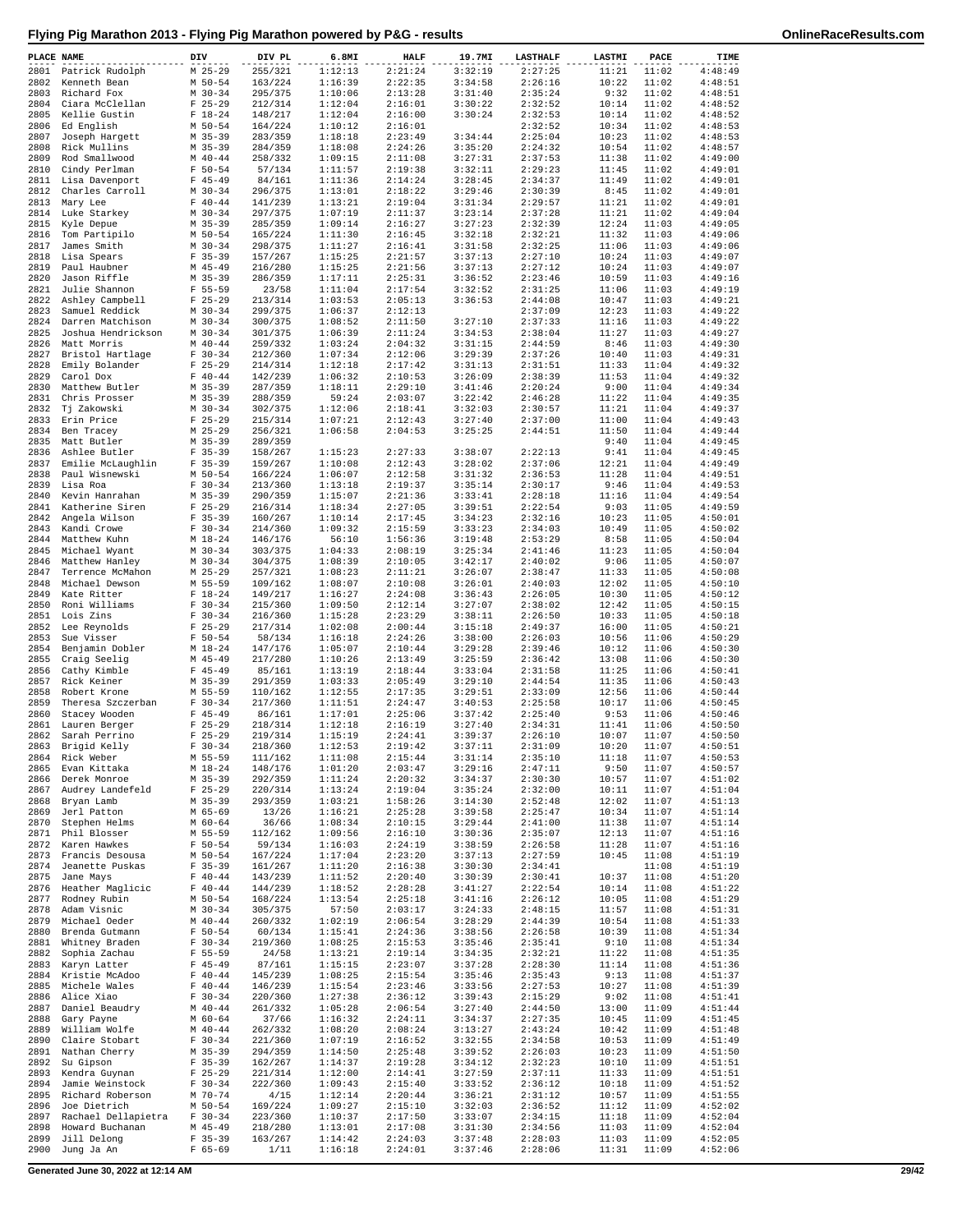| PLACE NAME   |                                      | DIV                      | DIV PL             | 6.8MI              | <b>HALF</b>        | 19.7MI             | <b>LASTHALF</b>    | LASTMI         | PACE           | TIME               |
|--------------|--------------------------------------|--------------------------|--------------------|--------------------|--------------------|--------------------|--------------------|----------------|----------------|--------------------|
|              | 2801 Patrick Rudolph                 | $M$ 25-29                | 255/321            | 1:12:13            | 2:21:24            | 3:32:19            | 2:27:25            | 11:21          | 11:02          | 4:48:49            |
|              | 2802 Kenneth Bean                    | M 50-54                  | 163/224            | 1:16:39            | 2:22:35            | 3:34:58            | 2:26:16            | 10:22          | 11:02          | 4:48:51            |
| 2803         | Richard Fox                          | $M$ 30-34                | 295/375            | 1:10:06            | 2:13:28            | 3:31:40            | 2:35:24            | 9:32           | 11:02          | 4:48:51            |
| 2804<br>2805 | Ciara McClellan<br>Kellie Gustin     | $F$ 25-29<br>$F 18-24$   | 212/314<br>148/217 | 1:12:04<br>1:12:04 | 2:16:01<br>2:16:00 | 3:30:22<br>3:30:24 | 2:32:52<br>2:32:53 | 10:14<br>10:14 | 11:02<br>11:02 | 4:48:52<br>4:48:52 |
| 2806         | Ed English                           | M 50-54                  | 164/224            | 1:10:12            | 2:16:01            |                    | 2:32:52            | 10:34          | 11:02          | 4:48:53            |
| 2807         | Joseph Hargett                       | $M$ 35-39                | 283/359            | 1:18:18            | 2:23:49            | 3:34:44            | 2:25:04            | 10:23          | 11:02          | 4:48:53            |
| 2808         | Rick Mullins                         | $M$ 35-39                | 284/359            | 1:18:08            | 2:24:26            | 3:35:20            | 2:24:32            | 10:54          | 11:02          | 4:48:57            |
| 2809         | Rod Smallwood                        | $M$ 40-44                | 258/332            | 1:09:15            | 2:11:08            | 3:27:31            | 2:37:53            | 11:38          | 11:02          | 4:49:00            |
| 2810<br>2811 | Cindy Perlman<br>Lisa Davenport      | $F 50 - 54$<br>$F$ 45-49 | 57/134<br>84/161   | 1:11:57<br>1:11:36 | 2:19:38<br>2:14:24 | 3:32:11<br>3:28:45 | 2:29:23<br>2:34:37 | 11:45<br>11:49 | 11:02<br>11:02 | 4:49:01<br>4:49:01 |
| 2812         | Charles Carroll                      | $M$ 30-34                | 296/375            | 1:13:01            | 2:18:22            | 3:29:46            | 2:30:39            | 8:45           | 11:02          | 4:49:01            |
| 2813         | Mary Lee                             | $F 40 - 44$              | 141/239            | 1:13:21            | 2:19:04            | 3:31:34            | 2:29:57            | 11:21          | 11:02          | 4:49:01            |
| 2814         | Luke Starkey                         | $M$ 30-34                | 297/375            | 1:07:19            | 2:11:37            | 3:23:14            | 2:37:28            | 11:21          | 11:02          | 4:49:04            |
| 2815         | Kyle Depue                           | $M$ 35-39                | 285/359            | 1:09:14            | 2:16:27            | 3:27:23            | 2:32:39            | 12:24          | 11:03          | 4:49:05            |
| 2816         | Tom Partipilo                        | M 50-54                  | 165/224            | 1:11:30            | 2:16:45            | 3:32:18            | 2:32:21            | 11:32          | 11:03          | 4:49:06            |
| 2817         | James Smith                          | $M$ 30-34<br>$F$ 35-39   | 298/375            | 1:11:27<br>1:15:25 | 2:16:41<br>2:21:57 | 3:31:58<br>3:37:13 | 2:32:25            | 11:06          | 11:03          | 4:49:06            |
| 2818<br>2819 | Lisa Spears<br>Paul Haubner          | $M$ 45-49                | 157/267<br>216/280 | 1:15:25            | 2:21:56            | 3:37:13            | 2:27:10<br>2:27:12 | 10:24<br>10:24 | 11:03<br>11:03 | 4:49:07<br>4:49:07 |
| 2820         | Jason Riffle                         | $M$ 35-39                | 286/359            | 1:17:11            | 2:25:31            | 3:36:52            | 2:23:46            | 10:59          | 11:03          | 4:49:16            |
| 2821         | Julie Shannon                        | $F 55 - 59$              | 23/58              | 1:11:04            | 2:17:54            | 3:32:52            | 2:31:25            | 11:06          | 11:03          | 4:49:19            |
| 2822         | Ashley Campbell                      | $F$ 25-29                | 213/314            | 1:03:53            | 2:05:13            | 3:36:53            | 2:44:08            | 10:47          | 11:03          | 4:49:21            |
| 2823         | Samuel Reddick                       | $M$ 30-34                | 299/375            | 1:06:37            | 2:12:13            |                    | 2:37:09            | 12:23          | 11:03          | 4:49:22            |
| 2824         | Darren Matchison                     | $M$ 30-34                | 300/375            | 1:08:52            | 2:11:50            | 3:27:10            | 2:37:33            | 11:16          | 11:03          | 4:49:22            |
| 2825<br>2826 | Joshua Hendrickson<br>Matt Morris    | $M$ 30-34<br>$M$ 40-44   | 301/375<br>259/332 | 1:06:39<br>1:03:24 | 2:11:24<br>2:04:32 | 3:34:53<br>3:31:15 | 2:38:04<br>2:44:59 | 11:27<br>8:46  | 11:03<br>11:03 | 4:49:27<br>4:49:30 |
| 2827         | Bristol Hartlage                     | $F 30-34$                | 212/360            | 1:07:34            | 2:12:06            | 3:29:39            | 2:37:26            | 10:40          | 11:03          | 4:49:31            |
| 2828         | Emily Bolander                       | $F$ 25-29                | 214/314            | 1:12:18            | 2:17:42            | 3:31:13            | 2:31:51            | 11:33          | 11:04          | 4:49:32            |
| 2829         | Carol Dox                            | $F 40 - 44$              | 142/239            | 1:06:32            | 2:10:53            | 3:26:09            | 2:38:39            | 11:53          | 11:04          | 4:49:32            |
| 2830         | Matthew Butler                       | $M$ 35-39                | 287/359            | 1:18:11            | 2:29:10            | 3:41:46            | 2:20:24            | 9:00           | 11:04          | 4:49:34            |
| 2831         | Chris Prosser                        | $M$ 35-39                | 288/359            | 59:24              | 2:03:07            | 3:22:42            | 2:46:28            | 11:22          | 11:04          | 4:49:35            |
| 2832         | Tj Zakowski                          | $M$ 30-34                | 302/375            | 1:12:06            | 2:18:41            | 3:32:03            | 2:30:57            | 11:21          | 11:04          | 4:49:37            |
| 2834         | 2833 Erin Price<br>Ben Tracey        | $F$ 25-29<br>$M$ 25-29   | 215/314<br>256/321 | 1:07:21<br>1:06:58 | 2:12:43<br>2:04:53 | 3:27:40<br>3:25:25 | 2:37:00<br>2:44:51 | 11:00<br>11:50 | 11:04<br>11:04 | 4:49:43<br>4:49:44 |
| 2835         | Matt Butler                          | $M$ 35-39                | 289/359            |                    |                    |                    |                    | 9:40           | 11:04          | 4:49:45            |
| 2836         | Ashlee Butler                        | $F$ 35-39                | 158/267            | 1:15:23            | 2:27:33            | 3:38:07            | 2:22:13            | 9:41           | 11:04          | 4:49:45            |
| 2837         | Emilie McLaughlin                    | $F$ 35-39                | 159/267            | 1:10:08            | 2:12:43            | 3:28:02            | 2:37:06            | 12:21          | 11:04          | 4:49:49            |
| 2838         | Paul Wisnewski                       | M 50-54                  | 166/224            | 1:06:07            | 2:12:58            | 3:31:32            | 2:36:53            | 11:28          | 11:04          | 4:49:51            |
| 2839         | Lisa Roa                             | $F 30 - 34$              | 213/360            | 1:13:18            | 2:19:37            | 3:35:14            | 2:30:17            | 9:46           | 11:04          | 4:49:53            |
| 2840         | Kevin Hanrahan                       | $M$ 35-39                | 290/359            | 1:15:07            | 2:21:36            | 3:33:41            | 2:28:18            | 11:16          | 11:04          | 4:49:54            |
| 2841         | Katherine Siren                      | $F$ 25-29                | 216/314            | 1:18:34            | 2:27:05            | 3:39:51            | 2:22:54            | 9:03           | 11:05          | 4:49:59            |
| 2842<br>2843 | Angela Wilson<br>Kandi Crowe         | $F$ 35-39<br>$F 30-34$   | 160/267<br>214/360 | 1:10:14<br>1:09:32 | 2:17:45<br>2:15:59 | 3:34:23<br>3:33:23 | 2:32:16<br>2:34:03 | 10:23<br>10:49 | 11:05<br>11:05 | 4:50:01<br>4:50:02 |
| 2844         | Matthew Kuhn                         | $M_18-24$                | 146/176            | 56:10              | 1:56:36            | 3:19:48            | 2:53:29            | 8:58           | 11:05          | 4:50:04            |
| 2845         | Michael Wyant                        | $M$ 30-34                | 303/375            | 1:04:33            | 2:08:19            | 3:25:34            | 2:41:46            | 11:23          | 11:05          | 4:50:04            |
| 2846         | Matthew Hanley                       | $M$ 30-34                | 304/375            | 1:08:39            | 2:10:05            | 3:42:17            | 2:40:02            | 9:06           | 11:05          | 4:50:07            |
| 2847         | Terrence McMahon                     | $M$ 25-29                | 257/321            | 1:08:23            | 2:11:21            | 3:26:07            | 2:38:47            | 11:33          | 11:05          | 4:50:08            |
| 2848         | Michael Dewson                       | M 55-59                  | 109/162            | 1:08:07            | 2:10:08            | 3:26:01            | 2:40:03            | 12:02          | 11:05          | 4:50:10            |
| 2849         | Kate Ritter                          | $F 18-24$                | 149/217            | 1:16:27            | 2:24:08            | 3:36:43            | 2:26:05            | 10:30          | 11:05          | 4:50:12            |
| 2850<br>2851 | Roni Williams<br>Lois Zins           | $F 30-34$<br>$F 30-34$   | 215/360<br>216/360 | 1:09:50<br>1:15:28 | 2:12:14<br>2:23:29 | 3:27:07<br>3:38:11 | 2:38:02<br>2:26:50 | 12:42<br>10:33 | 11:05<br>11:05 | 4:50:15<br>4:50:18 |
| 2852         | Lee Reynolds                         | $F$ 25-29                | 217/314            | 1:02:08            | 2:00:44            | 3:15:18            | 2:49:37            | 16:00          | 11:05          | 4:50:21            |
| 2853         | Sue Visser                           | $F 50 - 54$              | 58/134             | 1:16:18            | 2:24:26            | 3:38:00            | 2:26:03            | 10:56          | 11:06          | 4:50:29            |
| 2854         | Benjamin Dobler                      | $M_18-24$                | 147/176            | 1:05:07            | 2:10:44            | 3:29:28            | 2:39:46            | 10:12          | 11:06          | 4:50:30            |
| 2855         | Craig Seelig                         | $M$ 45-49                | 217/280            | 1:10:26            | 2:13:49            | 3:25:59            | 2:36:42            | 13:08          | 11:06          | 4:50:30            |
| 2856         | Cathy Kimble                         | $F$ 45-49                | 85/161             | 1:13:19            | 2:18:44            | 3:33:04            | 2:31:58            | 11:25          | 11:06          | 4:50:41            |
| 2857<br>2858 | Rick Keiner<br>Robert Krone          | $M$ 35-39<br>M 55-59     | 291/359<br>110/162 | 1:03:33<br>1:12:55 | 2:05:49<br>2:17:35 | 3:29:10<br>3:29:51 | 2:44:54<br>2:33:09 | 11:35<br>12:56 | 11:06<br>11:06 | 4:50:43<br>4:50:44 |
| 2859         | Theresa Szczerban                    | $F 30-34$                | 217/360            | 1:11:51            | 2:24:47            | 3:40:53            | 2:25:58            | 10:17          | 11:06          | 4:50:45            |
| 2860         | Stacey Wooden                        | $F$ 45-49                | 86/161             | 1:17:01            | 2:25:06            | 3:37:42            | 2:25:40            | 9:53           | 11:06          | 4:50:46            |
|              | 2861 Lauren Berger                   | $F$ 25-29                | 218/314            | 1:12:18            | 2:16:19            | 3:27:40            | 2:34:31            | 11:41          | 11:06          | 4:50:50            |
|              | 2862 Sarah Perrino                   | $F$ 25-29                | 219/314            | 1:15:19            | 2:24:41            | 3:39:37            | 2:26:10            | 10:07          | 11:07          | 4:50:50            |
|              | 2863 Brigid Kelly                    | $F 30-34$                | 218/360            | 1:12:53            | 2:19:42            | 3:37:11            | 2:31:09            | 10:20          | 11:07          | 4:50:51            |
|              | 2864 Rick Weber<br>2865 Evan Kittaka | M 55-59<br>$M_18-24$     | 111/162<br>148/176 | 1:11:08<br>1:01:20 | 2:15:44<br>2:03:47 | 3:31:14<br>3:29:16 | 2:35:10<br>2:47:11 | 11:18<br>9:50  | 11:07<br>11:07 | 4:50:53<br>4:50:57 |
| 2866         | Derek Monroe                         | M 35-39                  | 292/359            | 1:11:24            | 2:20:32            | 3:34:37            | 2:30:30            | 10:57          | 11:07          | 4:51:02            |
| 2867         | Audrey Landefeld                     | $F$ 25-29                | 220/314            | 1:13:24            | 2:19:04            | 3:35:24            | 2:32:00            | 10:11          | 11:07          | 4:51:04            |
| 2868         | Bryan Lamb                           | M 35-39                  | 293/359            | 1:03:21            | 1:58:26            | 3:14:30            | 2:52:48            | 12:02          | 11:07          | 4:51:13            |
| 2869         | Jerl Patton                          | M 65-69                  | 13/26              | 1:16:21            | 2:25:28            | 3:39:58            | 2:25:47            | 10:34          | 11:07          | 4:51:14            |
| 2870         | Stephen Helms                        | M 60-64                  | 36/66              | 1:08:34            | 2:10:15            | 3:29:44            | 2:41:00            | 11:38          | 11:07          | 4:51:14            |
| 2871         | Phil Blosser<br>2872 Karen Hawkes    | M 55-59<br>F 50-54       | 112/162<br>59/134  | 1:09:56<br>1:16:03 | 2:16:10<br>2:24:19 | 3:30:36<br>3:38:59 | 2:35:07<br>2:26:58 | 12:13<br>11:28 | 11:07<br>11:07 | 4:51:16<br>4:51:16 |
|              | 2873 Francis Desousa                 | $M$ 50-54                | 167/224            | 1:17:04            | 2:23:20            | 3:37:13            | 2:27:59            | 10:45          | 11:08          | 4:51:19            |
| 2874         | Jeanette Puskas                      | $F$ 35-39                | 161/267            | 1:11:20            | 2:16:38            | 3:30:30            | 2:34:41            |                | 11:08          | 4:51:19            |
| 2875         | Jane Mays                            | $F 40-44$                | 143/239            | 1:11:52            | 2:20:40            | 3:30:39            | 2:30:41            | 10:37          | 11:08          | 4:51:20            |
|              | 2876 Heather Maglicic                | $F 40-44$                | 144/239            | 1:18:52            | 2:28:28            | 3:41:27            | 2:22:54            | 10:14          | 11:08          | 4:51:22            |
| 2877         | Rodney Rubin                         | M 50-54                  | 168/224            | 1:13:54            | 2:25:18            | 3:41:16            | 2:26:12            | 10:05          | 11:08          | 4:51:29            |
| 2878         | Adam Visnic                          | $M \ 30 - 34$            | 305/375            | 57:50              | 2:03:17            | 3:24:33            | 2:48:15            | 11:57          | 11:08          | 4:51:31            |
| 2879         | Michael Oeder<br>2880 Brenda Gutmann | $M$ 40-44<br>F 50-54     | 260/332<br>60/134  | 1:02:19<br>1:15:41 | 2:06:54<br>2:24:36 | 3:28:29<br>3:38:56 | 2:44:39<br>2:26:58 | 10:54<br>10:39 | 11:08<br>11:08 | 4:51:33<br>4:51:34 |
| 2881         | Whitney Braden                       | $F 30-34$                | 219/360            | 1:08:25            | 2:15:53            | 3:35:46            | 2:35:41            | 9:10           | 11:08          | 4:51:34            |
|              | 2882 Sophia Zachau                   | F 55-59                  | 24/58              | 1:13:21            | 2:19:14            | 3:34:35            | 2:32:21            | 11:22          | 11:08          | 4:51:35            |
| 2883         | Karyn Latter                         | $F$ 45-49                | 87/161             | 1:15:15            | 2:23:07            | 3:37:28            | 2:28:30            | 11:14          | 11:08          | 4:51:36            |
|              | 2884 Kristie McAdoo                  | $F 40-44$                | 145/239            | 1:08:25            | 2:15:54            | 3:35:46            | 2:35:43            | 9:13           | 11:08          | 4:51:37            |
|              | 2885 Michele Wales                   | $F 40-44$                | 146/239            | 1:15:54            | 2:23:46            | 3:33:56            | 2:27:53            | 10:27          | 11:08          | 4:51:39            |
|              | 2886 Alice Xiao                      | $F 30-34$                | 220/360            | 1:27:38            | 2:36:12            | 3:39:43            | 2:15:29            | 9:02           | 11:08          | 4:51:41            |
| 2887         | Daniel Beaudry<br>2888 Gary Payne    | $M$ 40-44<br>M 60-64     | 261/332<br>37/66   | 1:05:28<br>1:16:32 | 2:06:54<br>2:24:11 | 3:27:40<br>3:34:37 | 2:44:50<br>2:27:35 | 13:00<br>10:45 | 11:09<br>11:09 | 4:51:44<br>4:51:45 |
| 2889         | William Wolfe                        | $M$ 40-44                | 262/332            | 1:08:20            | 2:08:24            | 3:13:27            | 2:43:24            | 10:42          | 11:09          | 4:51:48            |
| 2890         | Claire Stobart                       | $F 30-34$                | 221/360            | 1:07:19            | 2:16:52            | 3:32:55            | 2:34:58            | 10:53          | 11:09          | 4:51:49            |
|              | 2891 Nathan Cherry                   | M 35-39                  | 294/359            | 1:14:50            | 2:25:48            | 3:39:52            | 2:26:03            | 10:23          | 11:09          | 4:51:50            |
| 2892         | Su Gipson                            | $F$ 35-39                | 162/267            | 1:14:37            | 2:19:28            | 3:34:12            | 2:32:23            | 10:10          | 11:09          | 4:51:51            |
| 2893         | Kendra Guynan                        | $F$ 25-29                | 221/314            | 1:12:00            | 2:14:41            | 3:27:59            | 2:37:11            | 11:33          | 11:09          | 4:51:51            |
| 2894         | Jamie Weinstock                      | $F 30-34$                | 222/360            | 1:09:43            | 2:15:40            | 3:33:52            | 2:36:12            | 10:18          | 11:09          | 4:51:52            |
| 2895<br>2896 | Richard Roberson<br>Joe Dietrich     | M 70-74<br>M 50-54       | 4/15<br>169/224    | 1:12:14<br>1:09:27 | 2:20:44<br>2:15:10 | 3:36:21<br>3:32:03 | 2:31:12<br>2:36:52 | 10:57<br>11:12 | 11:09<br>11:09 | 4:51:55<br>4:52:02 |
| 2897         | Rachael Dellapietra                  | $F 30-34$                | 223/360            | 1:10:37            | 2:17:50            | 3:33:07            | 2:34:15            | 11:18          | 11:09          | 4:52:04            |
| 2898         | Howard Buchanan                      | $M$ 45-49                | 218/280            | 1:13:01            | 2:17:08            | 3:31:30            | 2:34:56            | 11:03          | 11:09          | 4:52:04            |
| 2899         | Jill Delong                          | $F$ 35-39                | 163/267            | 1:14:42            | 2:24:03            | 3:37:48            | 2:28:03            | 11:03          | 11:09          | 4:52:05            |
| 2900         | Jung Ja An                           | $F 65 - 69$              | 1/11               | 1:16:18            | 2:24:01            | 3:37:46            | 2:28:06            | 11:31          | 11:09          | 4:52:06            |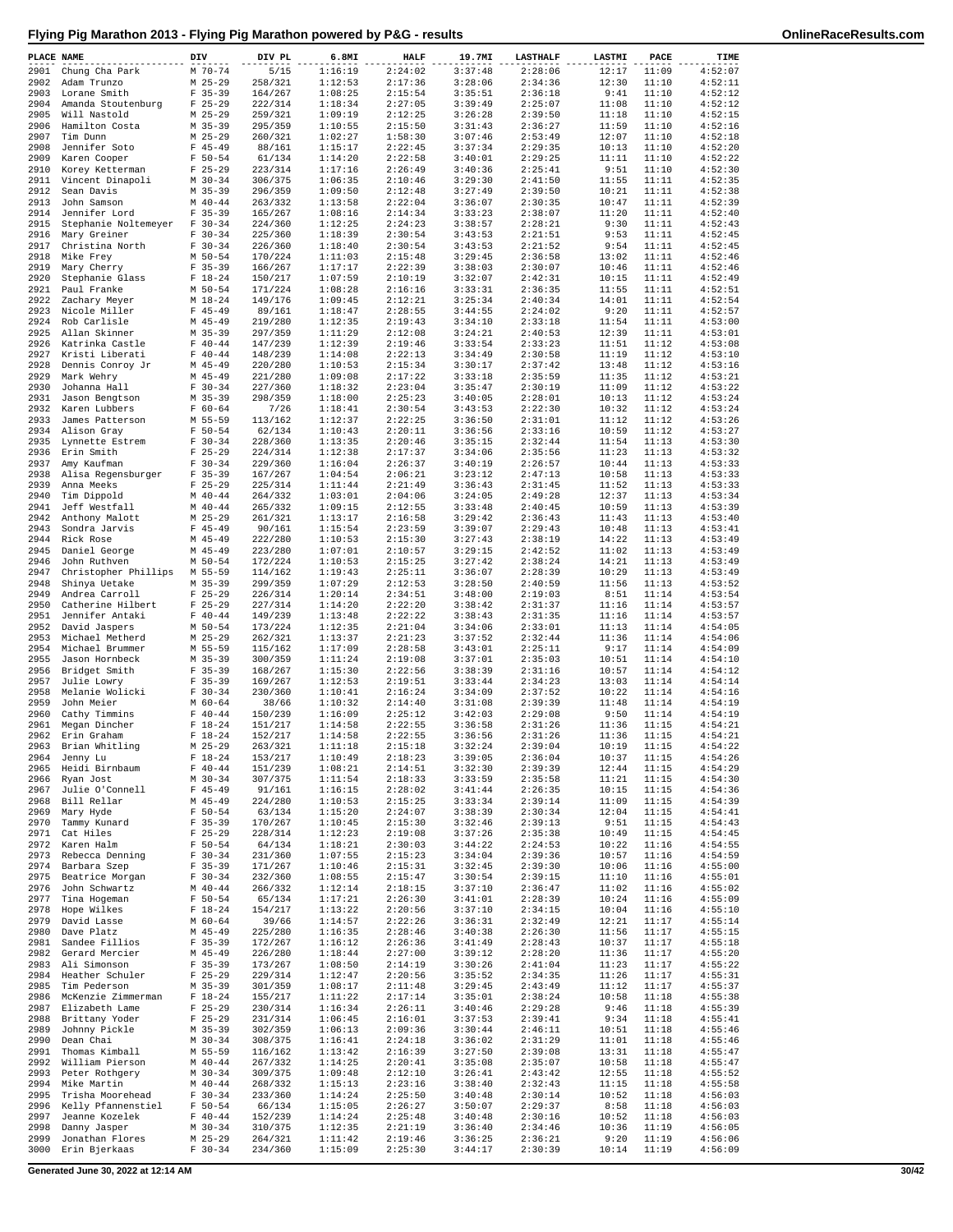| PLACE NAME   |                                              | DIV                      | DIV PL             | 6.8MI              | <b>HALF</b>        | 19.7MI             | <b>LASTHALF</b>    | <b>LASTMI</b>  | PACE           | TIME               |
|--------------|----------------------------------------------|--------------------------|--------------------|--------------------|--------------------|--------------------|--------------------|----------------|----------------|--------------------|
| 2901         | Chung Cha Park                               | M 70-74                  | 5/15               | 1:16:19            | 2:24:02            | 3:37:48            | 2:28:06            | 12:17          | 11:09          | 4:52:07            |
| 2902         | Adam Trunzo                                  | $M$ 25-29                | 258/321            | 1:12:53            | 2:17:36            | 3:28:06            | 2:34:36            | 12:30          | 11:10          | 4:52:11            |
| 2903<br>2904 | Lorane Smith<br>Amanda Stoutenburg           | $F$ 35-39<br>$F$ 25-29   | 164/267<br>222/314 | 1:08:25<br>1:18:34 | 2:15:54<br>2:27:05 | 3:35:51<br>3:39:49 | 2:36:18<br>2:25:07 | 9:41<br>11:08  | 11:10<br>11:10 | 4:52:12<br>4:52:12 |
| 2905         | Will Nastold                                 | $M$ 25-29                | 259/321            | 1:09:19            | 2:12:25            | 3:26:28            | 2:39:50            | 11:18          | 11:10          | 4:52:15            |
| 2906         | Hamilton Costa                               | $M$ 35-39                | 295/359            | 1:10:55            | 2:15:50            | 3:31:43            | 2:36:27            | 11:59          | 11:10          | 4:52:16            |
| 2907         | Tim Dunn                                     | $M$ 25-29                | 260/321            | 1:02:27            | 1:58:30            | 3:07:46            | 2:53:49            | 12:07          | 11:10          | 4:52:18            |
| 2908         | Jennifer Soto                                | $F$ 45-49                | 88/161             | 1:15:17            | 2:22:45            | 3:37:34            | 2:29:35            | 10:13          | 11:10          | 4:52:20            |
| 2909         | Karen Cooper                                 | $F 50 - 54$              | 61/134             | 1:14:20            | 2:22:58            | 3:40:01            | 2:29:25            | 11:11          | 11:10          | 4:52:22            |
| 2910<br>2911 | Korey Ketterman<br>Vincent Dinapoli          | $F$ 25-29<br>$M$ 30-34   | 223/314<br>306/375 | 1:17:16<br>1:06:35 | 2:26:49<br>2:10:46 | 3:40:36<br>3:29:30 | 2:25:41<br>2:41:50 | 9:51<br>11:55  | 11:10<br>11:11 | 4:52:30<br>4:52:35 |
| 2912         | Sean Davis                                   | M 35-39                  | 296/359            | 1:09:50            | 2:12:48            | 3:27:49            | 2:39:50            | 10:21          | 11:11          | 4:52:38            |
| 2913         | John Samson                                  | $M$ 40-44                | 263/332            | 1:13:58            | 2:22:04            | 3:36:07            | 2:30:35            | 10:47          | 11:11          | 4:52:39            |
| 2914         | Jennifer Lord                                | $F$ 35-39                | 165/267            | 1:08:16            | 2:14:34            | 3:33:23            | 2:38:07            | 11:20          | 11:11          | 4:52:40            |
| 2915         | Stephanie Noltemeyer                         | $F 30-34$                | 224/360            | 1:12:25            | 2:24:23            | 3:38:57            | 2:28:21            | 9:30           | 11:11          | 4:52:43            |
| 2916         | Mary Greiner                                 | $F 30-34$                | 225/360            | 1:18:39            | 2:30:54            | 3:43:53            | 2:21:51            | 9:53           | 11:11          | 4:52:45            |
| 2917<br>2918 | Christina North<br>Mike Frey                 | $F 30-34$<br>M 50-54     | 226/360<br>170/224 | 1:18:40<br>1:11:03 | 2:30:54<br>2:15:48 | 3:43:53<br>3:29:45 | 2:21:52<br>2:36:58 | 9:54<br>13:02  | 11:11<br>11:11 | 4:52:45<br>4:52:46 |
| 2919         | Mary Cherry                                  | $F$ 35-39                | 166/267            | 1:17:17            | 2:22:39            | 3:38:03            | 2:30:07            | 10:46          | 11:11          | 4:52:46            |
| 2920         | Stephanie Glass                              | $F 18-24$                | 150/217            | 1:07:59            | 2:10:19            | 3:32:07            | 2:42:31            | 10:15          | 11:11          | 4:52:49            |
| 2921         | Paul Franke                                  | M 50-54                  | 171/224            | 1:08:28            | 2:16:16            | 3:33:31            | 2:36:35            | 11:55          | 11:11          | 4:52:51            |
| 2922         | Zachary Meyer                                | $M_18-24$                | 149/176            | 1:09:45            | 2:12:21            | 3:25:34            | 2:40:34            | 14:01          | 11:11          | 4:52:54            |
| 2923         | Nicole Miller                                | $F$ 45-49                | 89/161             | 1:18:47            | 2:28:55            | 3:44:55            | 2:24:02            | 9:20           | 11:11          | 4:52:57            |
| 2924<br>2925 | Rob Carlisle<br>Allan Skinner                | $M$ 45-49<br>M 35-39     | 219/280<br>297/359 | 1:12:35<br>1:11:29 | 2:19:43<br>2:12:08 | 3:34:10<br>3:24:21 | 2:33:18<br>2:40:53 | 11:54<br>12:39 | 11:11<br>11:11 | 4:53:00<br>4:53:01 |
| 2926         | Katrinka Castle                              | $F 40 - 44$              | 147/239            | 1:12:39            | 2:19:46            | 3:33:54            | 2:33:23            | 11:51          | 11:12          | 4:53:08            |
| 2927         | Kristi Liberati                              | $F 40 - 44$              | 148/239            | 1:14:08            | 2:22:13            | 3:34:49            | 2:30:58            | 11:19          | 11:12          | 4:53:10            |
| 2928         | Dennis Conroy Jr                             | $M$ 45-49                | 220/280            | 1:10:53            | 2:15:34            | 3:30:17            | 2:37:42            | 13:48          | 11:12          | 4:53:16            |
| 2929         | Mark Wehry                                   | M 45-49                  | 221/280            | 1:09:08            | 2:17:22            | 3:33:18            | 2:35:59            | 11:35          | 11:12          | 4:53:21            |
| 2930         | Johanna Hall                                 | $F 30-34$                | 227/360            | 1:18:32            | 2:23:04            | 3:35:47            | 2:30:19            | 11:09          | 11:12          | 4:53:22            |
| 2931<br>2932 | Jason Bengtson<br>Karen Lubbers              | $M$ 35-39<br>$F 60 - 64$ | 298/359<br>7/26    | 1:18:00<br>1:18:41 | 2:25:23<br>2:30:54 | 3:40:05<br>3:43:53 | 2:28:01<br>2:22:30 | 10:13<br>10:32 | 11:12<br>11:12 | 4:53:24<br>4:53:24 |
| 2933         | James Patterson                              | M 55-59                  | 113/162            | 1:12:37            | 2:22:25            | 3:36:50            | 2:31:01            | 11:12          | 11:12          | 4:53:26            |
| 2934         | Alison Gray                                  | $F 50 - 54$              | 62/134             | 1:10:43            | 2:20:11            | 3:36:56            | 2:33:16            | 10:59          | 11:12          | 4:53:27            |
| 2935         | Lynnette Estrem                              | $F 30-34$                | 228/360            | 1:13:35            | 2:20:46            | 3:35:15            | 2:32:44            | 11:54          | 11:13          | 4:53:30            |
| 2936         | Erin Smith                                   | $F$ 25-29                | 224/314            | 1:12:38            | 2:17:37            | 3:34:06            | 2:35:56            | 11:23          | 11:13          | 4:53:32            |
| 2937         | Amy Kaufman                                  | $F 30-34$                | 229/360            | 1:16:04            | 2:26:37            | 3:40:19            | 2:26:57            | 10:44          | 11:13          | 4:53:33            |
| 2938<br>2939 | Alisa Regensburger<br>Anna Meeks             | $F$ 35-39<br>$F$ 25-29   | 167/267<br>225/314 | 1:04:54<br>1:11:44 | 2:06:21<br>2:21:49 | 3:23:12<br>3:36:43 | 2:47:13<br>2:31:45 | 10:58<br>11:52 | 11:13<br>11:13 | 4:53:33<br>4:53:33 |
| 2940         | Tim Dippold                                  | $M$ 40-44                | 264/332            | 1:03:01            | 2:04:06            | 3:24:05            | 2:49:28            | 12:37          | 11:13          | 4:53:34            |
| 2941         | Jeff Westfall                                | $M$ 40-44                | 265/332            | 1:09:15            | 2:12:55            | 3:33:48            | 2:40:45            | 10:59          | 11:13          | 4:53:39            |
| 2942         | Anthony Malott                               | $M$ 25-29                | 261/321            | 1:13:17            | 2:16:58            | 3:29:42            | 2:36:43            | 11:43          | 11:13          | 4:53:40            |
| 2943         | Sondra Jarvis                                | $F$ 45-49                | 90/161             | 1:15:54            | 2:23:59            | 3:39:07            | 2:29:43            | 10:48          | 11:13          | 4:53:41            |
| 2944         | Rick Rose                                    | $M$ 45-49                | 222/280            | 1:10:53            | 2:15:30            | 3:27:43            | 2:38:19            | 14:22          | 11:13          | 4:53:49            |
| 2945<br>2946 | Daniel George                                | $M$ 45-49<br>M 50-54     | 223/280<br>172/224 | 1:07:01<br>1:10:53 | 2:10:57<br>2:15:25 | 3:29:15<br>3:27:42 | 2:42:52<br>2:38:24 | 11:02<br>14:21 | 11:13<br>11:13 | 4:53:49<br>4:53:49 |
| 2947         | John Ruthven<br>Christopher Phillips M 55-59 |                          | 114/162            | 1:19:43            | 2:25:11            | 3:36:07            | 2:28:39            | 10:29          | 11:13          | 4:53:49            |
| 2948         | Shinya Uetake                                | $M$ 35-39                | 299/359            | 1:07:29            | 2:12:53            | 3:28:50            | 2:40:59            | 11:56          | 11:13          | 4:53:52            |
| 2949         | Andrea Carroll                               | $F$ 25-29                | 226/314            | 1:20:14            | 2:34:51            | 3:48:00            | 2:19:03            | 8:51           | 11:14          | 4:53:54            |
| 2950         | Catherine Hilbert                            | $F$ 25-29                | 227/314            | 1:14:20            | 2:22:20            | 3:38:42            | 2:31:37            | 11:16          | 11:14          | 4:53:57            |
| 2951         | Jennifer Antaki                              | $F 40 - 44$              | 149/239            | 1:13:48            | 2:22:22            | 3:38:43            | 2:31:35            | 11:16          | 11:14          | 4:53:57            |
| 2952<br>2953 | David Jaspers<br>Michael Metherd             | $M$ 50-54<br>$M$ 25-29   | 173/224<br>262/321 | 1:12:35<br>1:13:37 | 2:21:04<br>2:21:23 | 3:34:06<br>3:37:52 | 2:33:01<br>2:32:44 | 11:13<br>11:36 | 11:14<br>11:14 | 4:54:05<br>4:54:06 |
| 2954         | Michael Brummer                              | M 55-59                  | 115/162            | 1:17:09            | 2:28:58            | 3:43:01            | 2:25:11            | 9:17           | 11:14          | 4:54:09            |
| 2955         | Jason Hornbeck                               | $M$ 35-39                | 300/359            | 1:11:24            | 2:19:08            | 3:37:01            | 2:35:03            | 10:51          | 11:14          | 4:54:10            |
| 2956         | Bridget Smith                                | $F$ 35-39                | 168/267            | 1:15:30            | 2:22:56            | 3:38:39            | 2:31:16            | 10:57          | 11:14          | 4:54:12            |
| 2957         | Julie Lowry                                  | $F$ 35-39                | 169/267            | 1:12:53            | 2:19:51            | 3:33:44            | 2:34:23            | 13:03          | 11:14          | 4:54:14            |
| 2958         | Melanie Wolicki                              | $F 30-34$                | 230/360            | 1:10:41            | 2:16:24            | 3:34:09            | 2:37:52            | 10:22          | 11:14          | 4:54:16            |
| 2959<br>2960 | John Meier<br>Cathy Timmins                  | $M$ 60-64<br>$F 40 - 44$ | 38/66<br>150/239   | 1:10:32<br>1:16:09 | 2:14:40<br>2:25:12 | 3:31:08<br>3:42:03 | 2:39:39<br>2:29:08 | 11:48<br>9:50  | 11:14<br>11:14 | 4:54:19<br>4:54:19 |
| 2961         | Megan Dincher                                | $F 18-24$                | 151/217            | 1:14:58            | 2:22:55            | 3:36:58            | 2:31:26            | 11:36          | 11:15          | 4:54:21            |
|              | 2962 Erin Graham                             | $F 18-24$                | 152/217            | 1:14:58            | 2:22:55            | 3:36:56            | 2:31:26            | 11:36          | 11:15          | 4:54:21            |
|              | 2963 Brian Whitling                          | M 25-29                  | 263/321            | 1:11:18            | 2:15:18            | 3:32:24            | 2:39:04            | 10:19          | 11:15          | 4:54:22            |
| 2964         | Jenny Lu                                     | $F 18-24$                | 153/217            | 1:10:49            | 2:18:23            | 3:39:05            | 2:36:04            | 10:37          | 11:15          | 4:54:26            |
| 2965         | Heidi Birnbaum<br>Ryan Jost                  | $F 40 - 44$              | 151/239            | 1:08:21<br>1:11:54 | 2:14:51            | 3:32:30            | 2:39:39            | 12:44          | 11:15          | 4:54:29            |
| 2966<br>2967 | Julie O'Connell                              | $M$ 30-34<br>$F$ 45-49   | 307/375<br>91/161  | 1:16:15            | 2:18:33<br>2:28:02 | 3:33:59<br>3:41:44 | 2:35:58<br>2:26:35 | 11:21<br>10:15 | 11:15<br>11:15 | 4:54:30<br>4:54:36 |
| 2968         | Bill Rellar                                  | $M$ 45-49                | 224/280            | 1:10:53            | 2:15:25            | 3:33:34            | 2:39:14            | 11:09          | 11:15          | 4:54:39            |
| 2969         | Mary Hyde                                    | $F 50 - 54$              | 63/134             | 1:15:20            | 2:24:07            | 3:38:39            | 2:30:34            | 12:04          | 11:15          | 4:54:41            |
| 2970         | Tammy Kunard                                 | $F$ 35-39                | 170/267            | 1:10:45            | 2:15:30            | 3:32:46            | 2:39:13            | 9:51           | 11:15          | 4:54:43            |
| 2971         | Cat Hiles                                    | $F$ 25-29                | 228/314            | 1:12:23            | 2:19:08            | 3:37:26            | 2:35:38            | 10:49          | 11:15          | 4:54:45            |
| 2972<br>2973 | Karen Halm<br>Rebecca Denning                | $F 50 - 54$<br>$F 30-34$ | 64/134<br>231/360  | 1:18:21<br>1:07:55 | 2:30:03<br>2:15:23 | 3:44:22<br>3:34:04 | 2:24:53<br>2:39:36 | 10:22<br>10:57 | 11:16<br>11:16 | 4:54:55<br>4:54:59 |
| 2974         | Barbara Szep                                 | $F$ 35-39                | 171/267            | 1:10:46            | 2:15:31            | 3:32:45            | 2:39:30            | 10:06          | 11:16          | 4:55:00            |
| 2975         | Beatrice Morgan                              | $F 30-34$                | 232/360            | 1:08:55            | 2:15:47            | 3:30:54            | 2:39:15            | 11:10          | 11:16          | 4:55:01            |
| 2976         | John Schwartz                                | $M$ 40-44                | 266/332            | 1:12:14            | 2:18:15            | 3:37:10            | 2:36:47            | 11:02          | 11:16          | 4:55:02            |
| 2977         | Tina Hogeman                                 | $F 50 - 54$              | 65/134             | 1:17:21            | 2:26:30            | 3:41:01            | 2:28:39            | 10:24          | 11:16          | 4:55:09            |
| 2978         | Hope Wilkes                                  | $F 18-24$                | 154/217            | 1:13:22            | 2:20:56            | 3:37:10            | 2:34:15            | 10:04          | 11:16          | 4:55:10            |
| 2979<br>2980 | David Lasse<br>Dave Platz                    | $M$ 60-64<br>$M$ 45-49   | 39/66<br>225/280   | 1:14:57<br>1:16:35 | 2:22:26<br>2:28:46 | 3:36:31<br>3:40:38 | 2:32:49<br>2:26:30 | 12:21<br>11:56 | 11:17<br>11:17 | 4:55:14<br>4:55:15 |
| 2981         | Sandee Fillios                               | $F$ 35-39                | 172/267            | 1:16:12            | 2:26:36            | 3:41:49            | 2:28:43            | 10:37          | 11:17          | 4:55:18            |
| 2982         | Gerard Mercier                               | $M$ 45-49                | 226/280            | 1:18:44            | 2:27:00            | 3:39:12            | 2:28:20            | 11:36          | 11:17          | 4:55:20            |
| 2983         | Ali Simonson                                 | $F$ 35-39                | 173/267            | 1:08:50            | 2:14:19            | 3:30:26            | 2:41:04            | 11:23          | 11:17          | 4:55:22            |
| 2984         | Heather Schuler                              | $F$ 25-29                | 229/314            | 1:12:47            | 2:20:56            | 3:35:52            | 2:34:35            | 11:26          | 11:17          | 4:55:31            |
| 2985<br>2986 | Tim Pederson<br>McKenzie Zimmerman           | $M$ 35-39<br>$F 18-24$   | 301/359<br>155/217 | 1:08:17<br>1:11:22 | 2:11:48<br>2:17:14 | 3:29:45<br>3:35:01 | 2:43:49<br>2:38:24 | 11:12<br>10:58 | 11:17<br>11:18 | 4:55:37<br>4:55:38 |
| 2987         | Elizabeth Lame                               | $F$ 25-29                | 230/314            | 1:16:34            | 2:26:11            | 3:40:46            | 2:29:28            | 9:46           | 11:18          | 4:55:39            |
| 2988         | Brittany Yoder                               | $F$ 25-29                | 231/314            | 1:06:45            | 2:16:01            | 3:37:53            | 2:39:41            | 9:34           | 11:18          | 4:55:41            |
| 2989         | Johnny Pickle                                | $M$ 35-39                | 302/359            | 1:06:13            | 2:09:36            | 3:30:44            | 2:46:11            | 10:51          | 11:18          | 4:55:46            |
| 2990         | Dean Chai                                    | $M$ 30-34                | 308/375            | 1:16:41            | 2:24:18            | 3:36:02            | 2:31:29            | 11:01          | 11:18          | 4:55:46            |
| 2991         | Thomas Kimball                               | M 55-59                  | 116/162            | 1:13:42            | 2:16:39            | 3:27:50            | 2:39:08            | 13:31          | 11:18          | 4:55:47            |
| 2992<br>2993 | William Pierson<br>Peter Rothgery            | $M$ 40-44<br>$M$ 30-34   | 267/332<br>309/375 | 1:14:25<br>1:09:48 | 2:20:41<br>2:12:10 | 3:35:08<br>3:26:41 | 2:35:07<br>2:43:42 | 10:58<br>12:55 | 11:18<br>11:18 | 4:55:47<br>4:55:52 |
| 2994         | Mike Martin                                  | $M$ 40-44                | 268/332            | 1:15:13            | 2:23:16            | 3:38:40            | 2:32:43            | 11:15          | 11:18          | 4:55:58            |
| 2995         | Trisha Moorehead                             | $F 30-34$                | 233/360            | 1:14:24            | 2:25:50            | 3:40:48            | 2:30:14            | 10:52          | 11:18          | 4:56:03            |
| 2996         | Kelly Pfannenstiel                           | $F 50 - 54$              | 66/134             | 1:15:05            | 2:26:27            | 3:50:07            | 2:29:37            | 8:58           | 11:18          | 4:56:03            |
| 2997         | Jeanne Kozelek                               | $F 40 - 44$              | 152/239            | 1:14:24            | 2:25:48            | 3:40:48            | 2:30:16            | 10:52          | 11:18          | 4:56:03            |
| 2998<br>2999 | Danny Jasper<br>Jonathan Flores              | $M$ 30-34<br>$M$ 25-29   | 310/375<br>264/321 | 1:12:35<br>1:11:42 | 2:21:19<br>2:19:46 | 3:36:40<br>3:36:25 | 2:34:46<br>2:36:21 | 10:36<br>9:20  | 11:19<br>11:19 | 4:56:05<br>4:56:06 |
| 3000         | Erin Bjerkaas                                | $F 30-34$                | 234/360            | 1:15:09            | 2:25:30            | 3:44:17            | 2:30:39            | 10:14          | 11:19          | 4:56:09            |
|              |                                              |                          |                    |                    |                    |                    |                    |                |                |                    |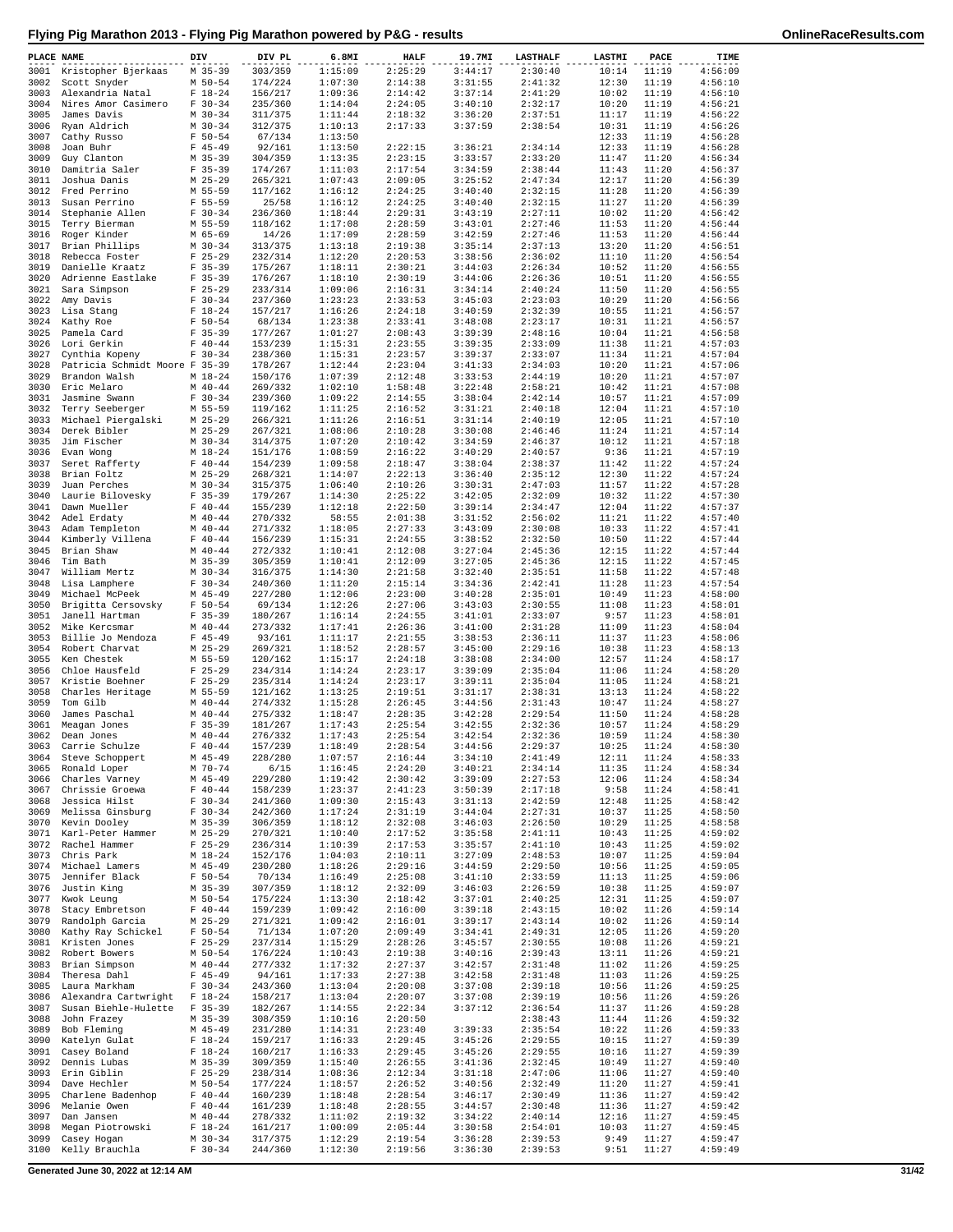| PLACE NAME   |                                             | DIV                      | DIV PL             | 6.8MI              | <b>HALF</b>        | 19.7MI             | <b>LASTHALF</b>    | LASTMI         | PACE           | TIME               |
|--------------|---------------------------------------------|--------------------------|--------------------|--------------------|--------------------|--------------------|--------------------|----------------|----------------|--------------------|
|              | 3001 Kristopher Bjerkaas                    | M 35-39                  | 303/359            | 1:15:09            | 2:25:29            | 3:44:17            | 2:30:40            | 10:14          | 11:19          | 4:56:09            |
| 3002         | Scott Snyder                                | M 50-54                  | 174/224            | 1:07:30            | 2:14:38            | 3:31:55            | 2:41:32            | 12:30          | 11:19          | 4:56:10            |
| 3003         | Alexandria Natal<br>Nires Amor Casimero     | $F 18-24$                | 156/217            | 1:09:36            | 2:14:42<br>2:24:05 | 3:37:14            | 2:41:29<br>2:32:17 | 10:02          | 11:19          | 4:56:10            |
| 3004<br>3005 | James Davis                                 | $F 30-34$<br>$M$ 30-34   | 235/360<br>311/375 | 1:14:04<br>1:11:44 | 2:18:32            | 3:40:10<br>3:36:20 | 2:37:51            | 10:20<br>11:17 | 11:19<br>11:19 | 4:56:21<br>4:56:22 |
| 3006         | Ryan Aldrich                                | $M$ 30-34                | 312/375            | 1:10:13            | 2:17:33            | 3:37:59            | 2:38:54            | 10:31          | 11:19          | 4:56:26            |
| 3007         | Cathy Russo                                 | $F 50 - 54$              | 67/134             | 1:13:50            |                    |                    |                    | 12:33          | 11:19          | 4:56:28            |
| 3008         | Joan Buhr                                   | $F$ 45-49                | 92/161             | 1:13:50            | 2:22:15            | 3:36:21            | 2:34:14            | 12:33          | 11:19          | 4:56:28            |
| 3009         | Guy Clanton                                 | $M$ 35-39                | 304/359            | 1:13:35            | 2:23:15            | 3:33:57            | 2:33:20            | 11:47          | 11:20          | 4:56:34            |
| 3010<br>3011 | Damitria Saler<br>Joshua Danis              | $F$ 35-39<br>$M$ 25-29   | 174/267<br>265/321 | 1:11:03<br>1:07:43 | 2:17:54<br>2:09:05 | 3:34:59<br>3:25:52 | 2:38:44<br>2:47:34 | 11:43<br>12:17 | 11:20<br>11:20 | 4:56:37<br>4:56:39 |
| 3012         | Fred Perrino                                | M 55-59                  | 117/162            | 1:16:12            | 2:24:25            | 3:40:40            | 2:32:15            | 11:28          | 11:20          | 4:56:39            |
| 3013         | Susan Perrino                               | F 55-59                  | 25/58              | 1:16:12            | 2:24:25            | 3:40:40            | 2:32:15            | 11:27          | 11:20          | 4:56:39            |
| 3014         | Stephanie Allen                             | $F 30-34$                | 236/360            | 1:18:44            | 2:29:31            | 3:43:19            | 2:27:11            | 10:02          | 11:20          | 4:56:42            |
| 3015         | Terry Bierman                               | M 55-59                  | 118/162            | 1:17:08            | 2:28:59            | 3:43:01            | 2:27:46            | 11:53          | 11:20          | 4:56:44            |
| 3016<br>3017 | Roger Kinder<br>Brian Phillips              | M 65-69<br>$M$ 30-34     | 14/26<br>313/375   | 1:17:09<br>1:13:18 | 2:28:59<br>2:19:38 | 3:42:59<br>3:35:14 | 2:27:46<br>2:37:13 | 11:53<br>13:20 | 11:20<br>11:20 | 4:56:44<br>4:56:51 |
| 3018         | Rebecca Foster                              | $F$ 25-29                | 232/314            | 1:12:20            | 2:20:53            | 3:38:56            | 2:36:02            | 11:10          | 11:20          | 4:56:54            |
| 3019         | Danielle Kraatz                             | $F$ 35-39                | 175/267            | 1:18:11            | 2:30:21            | 3:44:03            | 2:26:34            | 10:52          | 11:20          | 4:56:55            |
| 3020         | Adrienne Eastlake                           | $F$ 35-39                | 176/267            | 1:18:10            | 2:30:19            | 3:44:06            | 2:26:36            | 10:51          | 11:20          | 4:56:55            |
| 3021         | Sara Simpson                                | $F$ 25-29                | 233/314            | 1:09:06            | 2:16:31            | 3:34:14            | 2:40:24            | 11:50          | 11:20          | 4:56:55            |
| 3022         | Amy Davis                                   | $F 30-34$                | 237/360            | 1:23:23            | 2:33:53            | 3:45:03            | 2:23:03            | 10:29          | 11:20          | 4:56:56            |
| 3023<br>3024 | Lisa Stang<br>Kathy Roe                     | $F 18-24$<br>$F 50 - 54$ | 157/217<br>68/134  | 1:16:26<br>1:23:38 | 2:24:18<br>2:33:41 | 3:40:59<br>3:48:08 | 2:32:39<br>2:23:17 | 10:55<br>10:31 | 11:21<br>11:21 | 4:56:57<br>4:56:57 |
| 3025         | Pamela Card                                 | $F$ 35-39                | 177/267            | 1:01:27            | 2:08:43            | 3:39:39            | 2:48:16            | 10:04          | 11:21          | 4:56:58            |
| 3026         | Lori Gerkin                                 | $F 40 - 44$              | 153/239            | 1:15:31            | 2:23:55            | 3:39:35            | 2:33:09            | 11:38          | 11:21          | 4:57:03            |
| 3027         | Cynthia Kopeny                              | $F 30-34$                | 238/360            | 1:15:31            | 2:23:57            | 3:39:37            | 2:33:07            | 11:34          | 11:21          | 4:57:04            |
| 3028         | Patricia Schmidt Moore F 35-39              |                          | 178/267            | 1:12:44            | 2:23:04            | 3:41:33            | 2:34:03            | 10:20          | 11:21          | 4:57:06            |
| 3029<br>3030 | Brandon Walsh                               | $M$ 18-24<br>$M$ 40-44   | 150/176            | 1:07:39<br>1:02:10 | 2:12:48            | 3:33:53            | 2:44:19<br>2:58:21 | 10:20          | 11:21          | 4:57:07            |
| 3031         | Eric Melaro<br>Jasmine Swann                | $F 30 - 34$              | 269/332<br>239/360 | 1:09:22            | 1:58:48<br>2:14:55 | 3:22:48<br>3:38:04 | 2:42:14            | 10:42<br>10:57 | 11:21<br>11:21 | 4:57:08<br>4:57:09 |
| 3032         | Terry Seeberger                             | M 55-59                  | 119/162            | 1:11:25            | 2:16:52            | 3:31:21            | 2:40:18            | 12:04          | 11:21          | 4:57:10            |
| 3033         | Michael Piergalski                          | $M$ 25-29                | 266/321            | 1:11:26            | 2:16:51            | 3:31:14            | 2:40:19            | 12:05          | 11:21          | 4:57:10            |
| 3034         | Derek Bibler                                | $M$ 25-29                | 267/321            | 1:08:06            | 2:10:28            | 3:30:08            | 2:46:46            | 11:24          | 11:21          | 4:57:14            |
| 3035         | Jim Fischer                                 | $M$ 30-34                | 314/375            | 1:07:20            | 2:10:42            | 3:34:59            | 2:46:37            | 10:12          | 11:21          | 4:57:18            |
| 3036<br>3037 | Evan Wong                                   | $M_18-24$<br>$F 40 - 44$ | 151/176<br>154/239 | 1:08:59<br>1:09:58 | 2:16:22<br>2:18:47 | 3:40:29<br>3:38:04 | 2:40:57<br>2:38:37 | 9:36<br>11:42  | 11:21<br>11:22 | 4:57:19<br>4:57:24 |
| 3038         | Seret Rafferty<br>Brian Foltz               | $M$ 25-29                | 268/321            | 1:14:07            | 2:22:13            | 3:36:40            | 2:35:12            | 12:30          | 11:22          | 4:57:24            |
| 3039         | Juan Perches                                | $M$ 30-34                | 315/375            | 1:06:40            | 2:10:26            | 3:30:31            | 2:47:03            | 11:57          | 11:22          | 4:57:28            |
| 3040         | Laurie Bilovesky                            | $F$ 35-39                | 179/267            | 1:14:30            | 2:25:22            | 3:42:05            | 2:32:09            | 10:32          | 11:22          | 4:57:30            |
| 3041         | Dawn Mueller                                | $F 40 - 44$              | 155/239            | 1:12:18            | 2:22:50            | 3:39:14            | 2:34:47            | 12:04          | 11:22          | 4:57:37            |
| 3042         | Adel Erdaty                                 | $M$ 40-44                | 270/332            | 58:55              | 2:01:38            | 3:31:52            | 2:56:02            | 11:21          | 11:22          | 4:57:40            |
| 3043<br>3044 | Adam Templeton                              | $M$ 40-44<br>$F 40 - 44$ | 271/332<br>156/239 | 1:18:05<br>1:15:31 | 2:27:33<br>2:24:55 | 3:43:09<br>3:38:52 | 2:30:08<br>2:32:50 | 10:33<br>10:50 | 11:22<br>11:22 | 4:57:41<br>4:57:44 |
| 3045         | Kimberly Villena<br>Brian Shaw              | $M$ 40-44                | 272/332            | 1:10:41            | 2:12:08            | 3:27:04            | 2:45:36            | 12:15          | 11:22          | 4:57:44            |
| 3046         | Tim Bath                                    | M 35-39                  | 305/359            | 1:10:41            | 2:12:09            | 3:27:05            | 2:45:36            | 12:15          | 11:22          | 4:57:45            |
| 3047         | William Mertz                               | $M$ 30-34                | 316/375            | 1:14:30            | 2:21:58            | 3:32:40            | 2:35:51            | 11:58          | 11:22          | 4:57:48            |
| 3048         | Lisa Lamphere                               | $F 30-34$                | 240/360            | 1:11:20            | 2:15:14            | 3:34:36            | 2:42:41            | 11:28          | 11:23          | 4:57:54            |
| 3049         | Michael McPeek                              | M 45-49                  | 227/280            | 1:12:06            | 2:23:00            | 3:40:28            | 2:35:01            | 10:49          | 11:23          | 4:58:00            |
| 3050<br>3051 | Brigitta Cersovsky<br>Janell Hartman        | $F 50 - 54$<br>$F$ 35-39 | 69/134<br>180/267  | 1:12:26<br>1:16:14 | 2:27:06<br>2:24:55 | 3:43:03<br>3:41:01 | 2:30:55<br>2:33:07 | 11:08<br>9:57  | 11:23<br>11:23 | 4:58:01<br>4:58:01 |
| 3052         | Mike Kercsmar                               | $M$ 40-44                | 273/332            | 1:17:41            | 2:26:36            | 3:41:00            | 2:31:28            | 11:09          | 11:23          | 4:58:04            |
| 3053         | Billie Jo Mendoza                           | $F$ 45-49                | 93/161             | 1:11:17            | 2:21:55            | 3:38:53            | 2:36:11            | 11:37          | 11:23          | 4:58:06            |
| 3054         | Robert Charvat                              | $M$ 25-29                | 269/321            | 1:18:52            | 2:28:57            | 3:45:00            | 2:29:16            | 10:38          | 11:23          | 4:58:13            |
| 3055         | Ken Chestek                                 | M 55-59                  | 120/162            | 1:15:17            | 2:24:18            | 3:38:08            | 2:34:00            | 12:57          | 11:24          | 4:58:17            |
| 3056         | Chloe Hausfeld                              | $F$ 25-29                | 234/314            | 1:14:24            | 2:23:17            | 3:39:09            | 2:35:04            | 11:06          | 11:24          | 4:58:20            |
| 3057<br>3058 | Kristie Boehner<br>Charles Heritage         | $F$ 25-29<br>M 55-59     | 235/314<br>121/162 | 1:14:24<br>1:13:25 | 2:23:17<br>2:19:51 | 3:39:11<br>3:31:17 | 2:35:04<br>2:38:31 | 11:05<br>13:13 | 11:24<br>11:24 | 4:58:21<br>4:58:22 |
| 3059         | Tom Gilb                                    | $M$ 40-44                | 274/332            | 1:15:28            | 2:26:45            | 3:44:56            | 2:31:43            | 10:47          | 11:24          | 4:58:27            |
| 3060         | James Paschal                               | $M$ 40-44                | 275/332            | 1:18:47            | 2:28:35            | 3:42:28            | 2:29:54            | 11:50          | 11:24          | 4:58:28            |
| 3061         | Meagan Jones                                | $F$ 35-39                | 181/267            | 1:17:43            | 2:25:54            | 3:42:55            | 2:32:36            | 10:57          | 11:24          | 4:58:29            |
|              | 3062 Dean Jones                             | $M$ 40-44                | 276/332            | 1:17:43            | 2:25:54            | 3:42:54            | 2:32:36            | 10:59          | 11:24          | 4:58:30            |
|              | 3063 Carrie Schulze<br>3064 Steve Schoppert | $F 40-44$<br>$M$ 45-49   | 157/239<br>228/280 | 1:18:49<br>1:07:57 | 2:28:54<br>2:16:44 | 3:44:56<br>3:34:10 | 2:29:37<br>2:41:49 | 10:25<br>12:11 | 11:24<br>11:24 | 4:58:30<br>4:58:33 |
|              | 3065 Ronald Loper                           | M 70-74                  | 6/15               | 1:16:45            | 2:24:20            | 3:40:21            | 2:34:14            | 11:35          | 11:24          | 4:58:34            |
| 3066         | Charles Varney                              | $M$ 45-49                | 229/280            | 1:19:42            | 2:30:42            | 3:39:09            | 2:27:53            | 12:06          | 11:24          | 4:58:34            |
|              | 3067 Chrissie Groewa                        | $F 40 - 44$              | 158/239            | 1:23:37            | 2:41:23            | 3:50:39            | 2:17:18            | 9:58           | 11:24          | 4:58:41            |
| 3068         | Jessica Hilst                               | $F 30-34$                | 241/360            | 1:09:30            | 2:15:43            | 3:31:13            | 2:42:59            | 12:48          | 11:25          | 4:58:42            |
| 3069         | Melissa Ginsburg<br>3070 Kevin Dooley       | $F 30-34$<br>$M$ 35-39   | 242/360            | 1:17:24<br>1:18:12 | 2:31:19<br>2:32:08 | 3:44:04<br>3:46:03 | 2:27:31<br>2:26:50 | 10:37<br>10:29 | 11:25<br>11:25 | 4:58:50<br>4:58:58 |
| 3071         | Karl-Peter Hammer                           | $M$ 25-29                | 306/359<br>270/321 | 1:10:40            | 2:17:52            | 3:35:58            | 2:41:11            | 10:43          | 11:25          | 4:59:02            |
| 3072         | Rachel Hammer                               | $F$ 25-29                | 236/314            | 1:10:39            | 2:17:53            | 3:35:57            | 2:41:10            | 10:43          | 11:25          | 4:59:02            |
|              | 3073 Chris Park                             | $M_18-24$                | 152/176            | 1:04:03            | 2:10:11            | 3:27:09            | 2:48:53            | 10:07          | 11:25          | 4:59:04            |
|              | 3074 Michael Lamers                         | $M$ 45-49                | 230/280            | 1:18:26            | 2:29:16            | 3:44:59            | 2:29:50            | 10:56          | 11:25          | 4:59:05            |
| 3075<br>3076 | Jennifer Black                              | $F 50 - 54$              | 70/134             | 1:16:49            | 2:25:08            | 3:41:10            | 2:33:59            | 11:13          | 11:25          | 4:59:06<br>4:59:07 |
| 3077         | Justin King<br>Kwok Leung                   | M 35-39<br>$M$ 50-54     | 307/359<br>175/224 | 1:18:12<br>1:13:30 | 2:32:09<br>2:18:42 | 3:46:03<br>3:37:01 | 2:26:59<br>2:40:25 | 10:38<br>12:31 | 11:25<br>11:25 | 4:59:07            |
| 3078         | Stacy Embretson                             | $F 40-44$                | 159/239            | 1:09:42            | 2:16:00            | 3:39:18            | 2:43:15            | 10:02          | 11:26          | 4:59:14            |
| 3079         | Randolph Garcia                             | $M$ 25-29                | 271/321            | 1:09:42            | 2:16:01            | 3:39:17            | 2:43:14            | 10:02          | 11:26          | 4:59:14            |
| 3080         | Kathy Ray Schickel                          | $F 50 - 54$              | 71/134             | 1:07:20            | 2:09:49            | 3:34:41            | 2:49:31            | 12:05          | 11:26          | 4:59:20            |
| 3081         | Kristen Jones                               | $F$ 25-29                | 237/314            | 1:15:29            | 2:28:26            | 3:45:57            | 2:30:55            | 10:08          | 11:26          | 4:59:21            |
|              | 3082 Robert Bowers                          | $M$ 50-54                | 176/224            | 1:10:43            | 2:19:38            | 3:40:16            | 2:39:43            | 13:11          | 11:26          | 4:59:21            |
| 3083<br>3084 | Brian Simpson<br>Theresa Dahl               | $M$ 40-44<br>$F$ 45-49   | 277/332<br>94/161  | 1:17:32<br>1:17:33 | 2:27:37<br>2:27:38 | 3:42:57<br>3:42:58 | 2:31:48<br>2:31:48 | 11:02<br>11:03 | 11:26<br>11:26 | 4:59:25<br>4:59:25 |
| 3085         | Laura Markham                               | $F 30-34$                | 243/360            | 1:13:04            | 2:20:08            | 3:37:08            | 2:39:18            | 10:56          | 11:26          | 4:59:25            |
| 3086         | Alexandra Cartwright F 18-24                |                          | 158/217            | 1:13:04            | 2:20:07            | 3:37:08            | 2:39:19            | 10:56          | 11:26          | 4:59:26            |
| 3087         | Susan Biehle-Hulette F 35-39                |                          | 182/267            | 1:14:55            | 2:22:34            | 3:37:12            | 2:36:54            | 11:37          | 11:26          | 4:59:28            |
| 3088         | John Frazey                                 | $M$ 35-39                | 308/359            | 1:10:16            | 2:20:50            |                    | 2:38:43            | 11:44          | 11:26          | 4:59:32            |
| 3089         | Bob Fleming                                 | M 45-49                  | 231/280            | 1:14:31            | 2:23:40            | 3:39:33            | 2:35:54            | 10:22          | 11:26          | 4:59:33            |
| 3090<br>3091 | Katelyn Gulat<br>Casey Boland               | $F 18-24$<br>$F 18-24$   | 159/217<br>160/217 | 1:16:33<br>1:16:33 | 2:29:45<br>2:29:45 | 3:45:26<br>3:45:26 | 2:29:55<br>2:29:55 | 10:15<br>10:16 | 11:27<br>11:27 | 4:59:39<br>4:59:39 |
| 3092         | Dennis Lubas                                | M 35-39                  | 309/359            | 1:15:40            | 2:26:55            | 3:41:36            | 2:32:45            | 10:49          | 11:27          | 4:59:40            |
| 3093         | Erin Giblin                                 | $F$ 25-29                | 238/314            | 1:08:36            | 2:12:34            | 3:31:18            | 2:47:06            | 11:06          | 11:27          | 4:59:40            |
|              | 3094 Dave Hechler                           | $M$ 50-54                | 177/224            | 1:18:57            | 2:26:52            | 3:40:56            | 2:32:49            | 11:20          | 11:27          | 4:59:41            |
| 3095         | Charlene Badenhop                           | $F 40-44$                | 160/239            | 1:18:48            | 2:28:54            | 3:46:17            | 2:30:49            | 11:36          | 11:27          | 4:59:42            |
| 3096<br>3097 | Melanie Owen<br>Dan Jansen                  | $F 40-44$<br>$M$ 40-44   | 161/239<br>278/332 | 1:18:48<br>1:11:02 | 2:28:55<br>2:19:32 | 3:44:57<br>3:34:22 | 2:30:48<br>2:40:14 | 11:36<br>12:16 | 11:27<br>11:27 | 4:59:42<br>4:59:45 |
| 3098         | Megan Piotrowski                            | $F 18-24$                | 161/217            | 1:00:09            | 2:05:44            | 3:30:58            | 2:54:01            | 10:03          | 11:27          | 4:59:45            |
| 3099         | Casey Hogan                                 | $M$ 30-34                | 317/375            | 1:12:29            | 2:19:54            | 3:36:28            | 2:39:53            | 9:49           | 11:27          | 4:59:47            |
| 3100         | Kelly Brauchla                              | $F 30-34$                | 244/360            | 1:12:30            | 2:19:56            | 3:36:30            | 2:39:53            | 9:51           | 11:27          | 4:59:49            |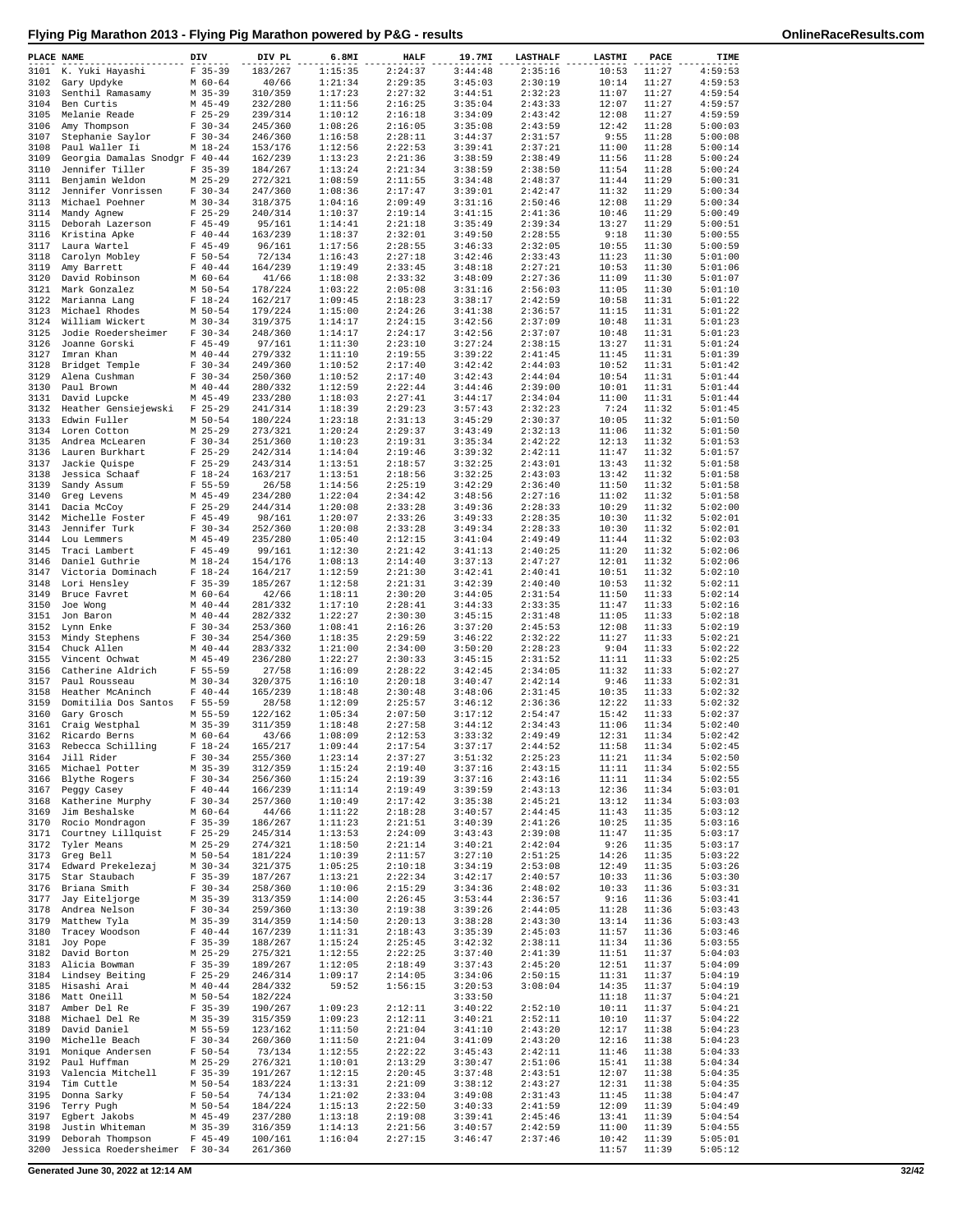| PLACE NAME   |                                           | DIV                      | DIV PL             | 6.8MI              | <b>HALF</b>        | 19.7MI             | <b>LASTHALF</b>    | <b>LASTMI</b>  | PACE           | TIME               |
|--------------|-------------------------------------------|--------------------------|--------------------|--------------------|--------------------|--------------------|--------------------|----------------|----------------|--------------------|
| 3101         | K. Yuki Hayashi                           | $F$ 35-39                | 183/267            | 1:15:35            | 2:24:37            | 3:44:48            | 2:35:16            | 10:53          | 11:27          | 4:59:53            |
| 3102         | Gary Updyke                               | $M$ 60-64                | 40/66              | 1:21:34            | 2:29:35            | 3:45:03            | 2:30:19            | 10:14          | 11:27          | 4:59:53            |
| 3103         | Senthil Ramasamy                          | $M$ 35-39                | 310/359            | 1:17:23            | 2:27:32            | 3:44:51            | 2:32:23            | 11:07          | 11:27          | 4:59:54            |
| 3104         | Ben Curtis                                | $M$ 45-49                | 232/280            | 1:11:56            | 2:16:25            | 3:35:04            | 2:43:33            | 12:07          | 11:27          | 4:59:57            |
| 3105<br>3106 | Melanie Reade<br>Amy Thompson             | $F$ 25-29<br>$F 30-34$   | 239/314<br>245/360 | 1:10:12<br>1:08:26 | 2:16:18<br>2:16:05 | 3:34:09<br>3:35:08 | 2:43:42<br>2:43:59 | 12:08<br>12:42 | 11:27<br>11:28 | 4:59:59<br>5:00:03 |
| 3107         | Stephanie Saylor                          | $F 30-34$                | 246/360            | 1:16:58            | 2:28:11            | 3:44:37            | 2:31:57            | 9:55           | 11:28          | 5:00:08            |
| 3108         | Paul Waller Ii                            | $M_18-24$                | 153/176            | 1:12:56            | 2:22:53            | 3:39:41            | 2:37:21            | 11:00          | 11:28          | 5:00:14            |
| 3109         | Georgia Damalas Snodgr F 40-44            |                          | 162/239            | 1:13:23            | 2:21:36            | 3:38:59            | 2:38:49            | 11:56          | 11:28          | 5:00:24            |
| 3110         | Jennifer Tiller                           | $F$ 35-39                | 184/267            | 1:13:24            | 2:21:34            | 3:38:59            | 2:38:50            | 11:54          | 11:28          | 5:00:24            |
| 3111         | Benjamin Weldon                           | $M$ 25-29                | 272/321            | 1:08:59            | 2:11:55            | 3:34:48            | 2:48:37            | 11:44          | 11:29          | 5:00:31            |
| 3112         | Jennifer Vonrissen                        | $F 30-34$                | 247/360            | 1:08:36            | 2:17:47            | 3:39:01            | 2:42:47            | 11:32          | 11:29          | 5:00:34            |
| 3113         | Michael Poehner                           | $M$ 30-34                | 318/375            | 1:04:16            | 2:09:49            | 3:31:16            | 2:50:46            | 12:08          | 11:29          | 5:00:34            |
| 3114<br>3115 | Mandy Agnew                               | $F$ 25-29<br>$F$ 45-49   | 240/314            | 1:10:37<br>1:14:41 | 2:19:14<br>2:21:18 | 3:41:15<br>3:35:49 | 2:41:36<br>2:39:34 | 10:46<br>13:27 | 11:29<br>11:29 | 5:00:49<br>5:00:51 |
| 3116         | Deborah Lazerson<br>Kristina Apke         | $F 40 - 44$              | 95/161<br>163/239  | 1:18:37            | 2:32:01            | 3:49:50            | 2:28:55            | 9:18           | 11:30          | 5:00:55            |
| 3117         | Laura Wartel                              | $F$ 45-49                | 96/161             | 1:17:56            | 2:28:55            | 3:46:33            | 2:32:05            | 10:55          | 11:30          | 5:00:59            |
| 3118         | Carolyn Mobley                            | $F 50 - 54$              | 72/134             | 1:16:43            | 2:27:18            | 3:42:46            | 2:33:43            | 11:23          | 11:30          | 5:01:00            |
| 3119         | Amy Barrett                               | $F 40 - 44$              | 164/239            | 1:19:49            | 2:33:45            | 3:48:18            | 2:27:21            | 10:53          | 11:30          | 5:01:06            |
| 3120         | David Robinson                            | $M$ 60-64                | 41/66              | 1:18:08            | 2:33:32            | 3:48:09            | 2:27:36            | 11:09          | 11:30          | 5:01:07            |
| 3121         | Mark Gonzalez                             | M 50-54                  | 178/224            | 1:03:22            | 2:05:08            | 3:31:16            | 2:56:03            | 11:05          | 11:30          | 5:01:10            |
| 3122         | Marianna Lang                             | $F 18-24$                | 162/217            | 1:09:45            | 2:18:23            | 3:38:17            | 2:42:59            | 10:58          | 11:31          | 5:01:22            |
| 3123<br>3124 | Michael Rhodes<br>William Wickert         | $M$ 50-54<br>$M$ 30-34   | 179/224<br>319/375 | 1:15:00<br>1:14:17 | 2:24:26<br>2:24:15 | 3:41:38<br>3:42:56 | 2:36:57<br>2:37:09 | 11:15<br>10:48 | 11:31<br>11:31 | 5:01:22<br>5:01:23 |
| 3125         | Jodie Roedersheimer                       | $F 30-34$                | 248/360            | 1:14:17            | 2:24:17            | 3:42:56            | 2:37:07            | 10:48          | 11:31          | 5:01:23            |
| 3126         | Joanne Gorski                             | $F$ 45-49                | 97/161             | 1:11:30            | 2:23:10            | 3:27:24            | 2:38:15            | 13:27          | 11:31          | 5:01:24            |
| 3127         | Imran Khan                                | $M$ 40-44                | 279/332            | 1:11:10            | 2:19:55            | 3:39:22            | 2:41:45            | 11:45          | 11:31          | 5:01:39            |
| 3128         | Bridget Temple                            | $F 30-34$                | 249/360            | 1:10:52            | 2:17:40            | 3:42:42            | 2:44:03            | 10:52          | 11:31          | 5:01:42            |
| 3129         | Alena Cushman                             | $F 30-34$                | 250/360            | 1:10:52            | 2:17:40            | 3:42:43            | 2:44:04            | 10:54          | 11:31          | 5:01:44            |
| 3130         | Paul Brown                                | $M$ 40-44                | 280/332            | 1:12:59            | 2:22:44            | 3:44:46            | 2:39:00            | 10:01          | 11:31          | 5:01:44            |
| 3131         | David Lupcke                              | $M$ 45-49                | 233/280            | 1:18:03            | 2:27:41            | 3:44:17            | 2:34:04            | 11:00          | 11:31          | 5:01:44            |
| 3132         | Heather Gensiejewski                      | $F$ 25-29                | 241/314            | 1:18:39            | 2:29:23            | 3:57:43            | 2:32:23            | 7:24           | 11:32          | 5:01:45            |
| 3133<br>3134 | Edwin Fuller                              | $M$ 50-54                | 180/224            | 1:23:18<br>1:20:24 | 2:31:13<br>2:29:37 | 3:45:29<br>3:43:49 | 2:30:37            | 10:05          | 11:32<br>11:32 | 5:01:50<br>5:01:50 |
| 3135         | Loren Cotton<br>Andrea McLearen           | $M$ 25-29<br>$F 30 - 34$ | 273/321<br>251/360 | 1:10:23            | 2:19:31            | 3:35:34            | 2:32:13<br>2:42:22 | 11:06<br>12:13 | 11:32          | 5:01:53            |
| 3136         | Lauren Burkhart                           | $F$ 25-29                | 242/314            | 1:14:04            | 2:19:46            | 3:39:32            | 2:42:11            | 11:47          | 11:32          | 5:01:57            |
| 3137         | Jackie Quispe                             | $F$ 25-29                | 243/314            | 1:13:51            | 2:18:57            | 3:32:25            | 2:43:01            | 13:43          | 11:32          | 5:01:58            |
| 3138         | Jessica Schaaf                            | $F 18-24$                | 163/217            | 1:13:51            | 2:18:56            | 3:32:25            | 2:43:03            | 13:42          | 11:32          | 5:01:58            |
| 3139         | Sandy Assum                               | $F 55 - 59$              | 26/58              | 1:14:56            | 2:25:19            | 3:42:29            | 2:36:40            | 11:50          | 11:32          | 5:01:58            |
| 3140         | Greq Levens                               | M 45-49                  | 234/280            | 1:22:04            | 2:34:42            | 3:48:56            | 2:27:16            | 11:02          | 11:32          | 5:01:58            |
| 3141         | Dacia McCoy                               | $F$ 25-29                | 244/314            | 1:20:08            | 2:33:28            | 3:49:36            | 2:28:33            | 10:29          | 11:32          | 5:02:00            |
| 3142         | Michelle Foster                           | $F$ 45-49                | 98/161             | 1:20:07            | 2:33:26            | 3:49:33            | 2:28:35            | 10:30          | 11:32          | 5:02:01            |
| 3143         | Jennifer Turk                             | $F 30-34$                | 252/360            | 1:20:08            | 2:33:28            | 3:49:34            | 2:28:33            | 10:30          | 11:32          | 5:02:01            |
| 3144<br>3145 | Lou Lemmers                               | $M$ 45-49<br>$F$ 45-49   | 235/280<br>99/161  | 1:05:40<br>1:12:30 | 2:12:15<br>2:21:42 | 3:41:04<br>3:41:13 | 2:49:49<br>2:40:25 | 11:44<br>11:20 | 11:32<br>11:32 | 5:02:03<br>5:02:06 |
| 3146         | Traci Lambert<br>Daniel Guthrie           | $M_18-24$                | 154/176            | 1:08:13            | 2:14:40            | 3:37:13            | 2:47:27            | 12:01          | 11:32          | 5:02:06            |
| 3147         | Victoria Dominach                         | $F 18-24$                | 164/217            | 1:12:59            | 2:21:30            | 3:42:41            | 2:40:41            | 10:51          | 11:32          | 5:02:10            |
| 3148         | Lori Hensley                              | $F$ 35-39                | 185/267            | 1:12:58            | 2:21:31            | 3:42:39            | 2:40:40            | 10:53          | 11:32          | 5:02:11            |
| 3149         | Bruce Favret                              | M 60-64                  | 42/66              | 1:18:11            | 2:30:20            | 3:44:05            | 2:31:54            | 11:50          | 11:33          | 5:02:14            |
| 3150         | Joe Wong                                  | $M$ 40-44                | 281/332            | 1:17:10            | 2:28:41            | 3:44:33            | 2:33:35            | 11:47          | 11:33          | 5:02:16            |
| 3151         | Jon Baron                                 | $M$ 40-44                | 282/332            | 1:22:27            | 2:30:30            | 3:45:15            | 2:31:48            | 11:05          | 11:33          | 5:02:18            |
| 3152         | Lynn Enke                                 | $F 30-34$                | 253/360            | 1:08:41            | 2:16:26            | 3:37:20            | 2:45:53            | 12:08          | 11:33          | 5:02:19            |
| 3153         | Mindy Stephens                            | $F 30-34$                | 254/360            | 1:18:35            | 2:29:59            | 3:46:22            | 2:32:22            | 11:27          | 11:33          | 5:02:21            |
| 3154<br>3155 | Chuck Allen<br>Vincent Ochwat             | $M$ 40-44<br>$M$ 45-49   | 283/332<br>236/280 | 1:21:00<br>1:22:27 | 2:34:00<br>2:30:33 | 3:50:20<br>3:45:15 | 2:28:23<br>2:31:52 | 9:04<br>11:11  | 11:33<br>11:33 | 5:02:22<br>5:02:25 |
| 3156         | Catherine Aldrich                         | $F 55 - 59$              | 27/58              | 1:16:09            | 2:28:22            | 3:42:45            | 2:34:05            | 11:32          | 11:33          | 5:02:27            |
| 3157         | Paul Rousseau                             | $M$ 30-34                | 320/375            | 1:16:10            | 2:20:18            | 3:40:47            | 2:42:14            | 9:46           | 11:33          | 5:02:31            |
| 3158         | Heather McAninch                          | $F 40 - 44$              | 165/239            | 1:18:48            | 2:30:48            | 3:48:06            | 2:31:45            | 10:35          | 11:33          | 5:02:32            |
| 3159         | Domitilia Dos Santos                      | $F 55 - 59$              | 28/58              | 1:12:09            | 2:25:57            | 3:46:12            | 2:36:36            | 12:22          | 11:33          | 5:02:32            |
| 3160         | Gary Grosch                               | M 55-59                  | 122/162            | 1:05:34            | 2:07:50            | 3:17:12            | 2:54:47            | 15:42          | 11:33          | 5:02:37            |
| 3161         | Craig Westphal                            | $M$ 35-39                | 311/359            | 1:18:48            | 2:27:58            | 3:44:12            | 2:34:43            | 11:06          | 11:34          | 5:02:40            |
|              | 3162 Ricardo Berns                        | $M$ 60-64<br>$F 18 - 24$ | 43/66              | 1:08:09            | 2:12:53<br>2:17:54 | 3:33:32<br>3:37:17 | 2:49:49            | 12:31          | 11:34<br>11:34 | 5:02:42<br>5:02:45 |
|              | 3163 Rebecca Schilling<br>3164 Jill Rider | $F 30-34$                | 165/217<br>255/360 | 1:09:44<br>1:23:14 | 2:37:27            | 3:51:32            | 2:44:52<br>2:25:23 | 11:58<br>11:21 | 11:34          | 5:02:50            |
| 3165         | Michael Potter                            | $M$ 35-39                | 312/359            | 1:15:24            | 2:19:40            | 3:37:16            | 2:43:15            | 11:11          | 11:34          | 5:02:55            |
| 3166         | Blythe Rogers                             | $F 30-34$                | 256/360            | 1:15:24            | 2:19:39            | 3:37:16            | 2:43:16            | 11:11          | 11:34          | 5:02:55            |
| 3167         | Peggy Casey                               | $F 40 - 44$              | 166/239            | 1:11:14            | 2:19:49            | 3:39:59            | 2:43:13            | 12:36          | 11:34          | 5:03:01            |
| 3168         | Katherine Murphy                          | $F 30-34$                | 257/360            | 1:10:49            | 2:17:42            | 3:35:38            | 2:45:21            | 13:12          | 11:34          | 5:03:03            |
| 3169         | Jim Beshalske                             | M 60-64                  | 44/66              | 1:11:22            | 2:18:28            | 3:40:57            | 2:44:45            | 11:43          | 11:35          | 5:03:12            |
| 3170         | Rocio Mondragon                           | $F$ 35-39                | 186/267            | 1:11:23            | 2:21:51            | 3:40:39            | 2:41:26            | 10:25          | 11:35          | 5:03:16            |
| 3171         | Courtney Lillquist                        | $F$ 25-29<br>$M$ 25-29   | 245/314            | 1:13:53            | 2:24:09            | 3:43:43            | 2:39:08<br>2:42:04 | 11:47          | 11:35          | 5:03:17<br>5:03:17 |
| 3172<br>3173 | Tyler Means<br>Greg Bell                  | $M$ 50-54                | 274/321<br>181/224 | 1:18:50<br>1:10:39 | 2:21:14<br>2:11:57 | 3:40:21<br>3:27:10 | 2:51:25            | 9:26<br>14:26  | 11:35<br>11:35 | 5:03:22            |
| 3174         | Edward Prekelezaj                         | $M$ 30-34                | 321/375            | 1:05:25            | 2:10:18            | 3:34:19            | 2:53:08            | 12:49          | 11:35          | 5:03:26            |
| 3175         | Star Staubach                             | $F$ 35-39                | 187/267            | 1:13:21            | 2:22:34            | 3:42:17            | 2:40:57            | 10:33          | 11:36          | 5:03:30            |
| 3176         | Briana Smith                              | $F 30-34$                | 258/360            | 1:10:06            | 2:15:29            | 3:34:36            | 2:48:02            | 10:33          | 11:36          | 5:03:31            |
| 3177         | Jay Eiteljorge                            | $M$ 35-39                | 313/359            | 1:14:00            | 2:26:45            | 3:53:44            | 2:36:57            | 9:16           | 11:36          | 5:03:41            |
| 3178         | Andrea Nelson                             | $F 30-34$                | 259/360            | 1:13:30            | 2:19:38            | 3:39:26            | 2:44:05            | 11:28          | 11:36          | 5:03:43            |
| 3179         | Matthew Tyla                              | M 35-39                  | 314/359            | 1:14:50            | 2:20:13            | 3:38:28            | 2:43:30            | 13:14          | 11:36          | 5:03:43            |
| 3180         | Tracey Woodson                            | $F 40 - 44$              | 167/239            | 1:11:31            | 2:18:43            | 3:35:39            | 2:45:03            | 11:57          | 11:36          | 5:03:46            |
| 3181         | Joy Pope                                  | $F$ 35-39                | 188/267            | 1:15:24            | 2:25:45            | 3:42:32            | 2:38:11            | 11:34          | 11:36          | 5:03:55            |
| 3182<br>3183 | David Borton<br>Alicia Bowman             | M 25-29<br>$F$ 35-39     | 275/321<br>189/267 | 1:12:55<br>1:12:05 | 2:22:25<br>2:18:49 | 3:37:40<br>3:37:43 | 2:41:39<br>2:45:20 | 11:51<br>12:51 | 11:37<br>11:37 | 5:04:03<br>5:04:09 |
| 3184         | Lindsey Beiting                           | $F$ 25-29                | 246/314            | 1:09:17            | 2:14:05            | 3:34:06            | 2:50:15            | 11:31          | 11:37          | 5:04:19            |
| 3185         | Hisashi Arai                              | $M$ 40-44                | 284/332            | 59:52              | 1:56:15            | 3:20:53            | 3:08:04            | 14:35          | 11:37          | 5:04:19            |
| 3186         | Matt Oneill                               | $M$ 50-54                | 182/224            |                    |                    | 3:33:50            |                    | 11:18          | 11:37          | 5:04:21            |
| 3187         | Amber Del Re                              | $F$ 35-39                | 190/267            | 1:09:23            | 2:12:11            | 3:40:22            | 2:52:10            | 10:11          | 11:37          | 5:04:21            |
| 3188         | Michael Del Re                            | $M$ 35-39                | 315/359            | 1:09:23            | 2:12:11            | 3:40:21            | 2:52:11            | 10:10          | 11:37          | 5:04:22            |
| 3189         | David Daniel                              | M 55-59                  | 123/162            | 1:11:50            | 2:21:04            | 3:41:10            | 2:43:20            | 12:17          | 11:38          | 5:04:23            |
| 3190<br>3191 | Michelle Beach<br>Monique Andersen        | $F 30-34$<br>$F 50 - 54$ | 260/360<br>73/134  | 1:11:50<br>1:12:55 | 2:21:04<br>2:22:22 | 3:41:09<br>3:45:43 | 2:43:20<br>2:42:11 | 12:16<br>11:46 | 11:38<br>11:38 | 5:04:23<br>5:04:33 |
| 3192         | Paul Huffman                              | $M$ 25-29                | 276/321            | 1:10:01            | 2:13:29            | 3:30:47            | 2:51:06            | 15:41          | 11:38          | 5:04:34            |
| 3193         | Valencia Mitchell                         | $F$ 35-39                | 191/267            | 1:12:15            | 2:20:45            | 3:37:48            | 2:43:51            | 12:07          | 11:38          | 5:04:35            |
| 3194         | Tim Cuttle                                | M 50-54                  | 183/224            | 1:13:31            | 2:21:09            | 3:38:12            | 2:43:27            | 12:31          | 11:38          | 5:04:35            |
| 3195         | Donna Sarky                               | $F 50 - 54$              | 74/134             | 1:21:02            | 2:33:04            | 3:49:08            | 2:31:43            | 11:45          | 11:38          | 5:04:47            |
| 3196         | Terry Pugh                                | M 50-54                  | 184/224            | 1:15:13            | 2:22:50            | 3:40:33            | 2:41:59            | 12:09          | 11:39          | 5:04:49            |
| 3197         | Egbert Jakobs                             | $M$ 45-49                | 237/280            | 1:13:18            | 2:19:08            | 3:39:41            | 2:45:46            | 13:41          | 11:39          | 5:04:54            |
| 3198<br>3199 | Justin Whiteman<br>Deborah Thompson       | $M$ 35-39<br>$F$ 45-49   | 316/359<br>100/161 | 1:14:13<br>1:16:04 | 2:21:56<br>2:27:15 | 3:40:57            | 2:42:59<br>2:37:46 | 11:00<br>10:42 | 11:39<br>11:39 | 5:04:55<br>5:05:01 |
| 3200         | Jessica Roedersheimer F 30-34             |                          | 261/360            |                    |                    | 3:46:47            |                    | 11:57          | 11:39          | 5:05:12            |

**Generated June 30, 2022 at 12:14 AM 32/42**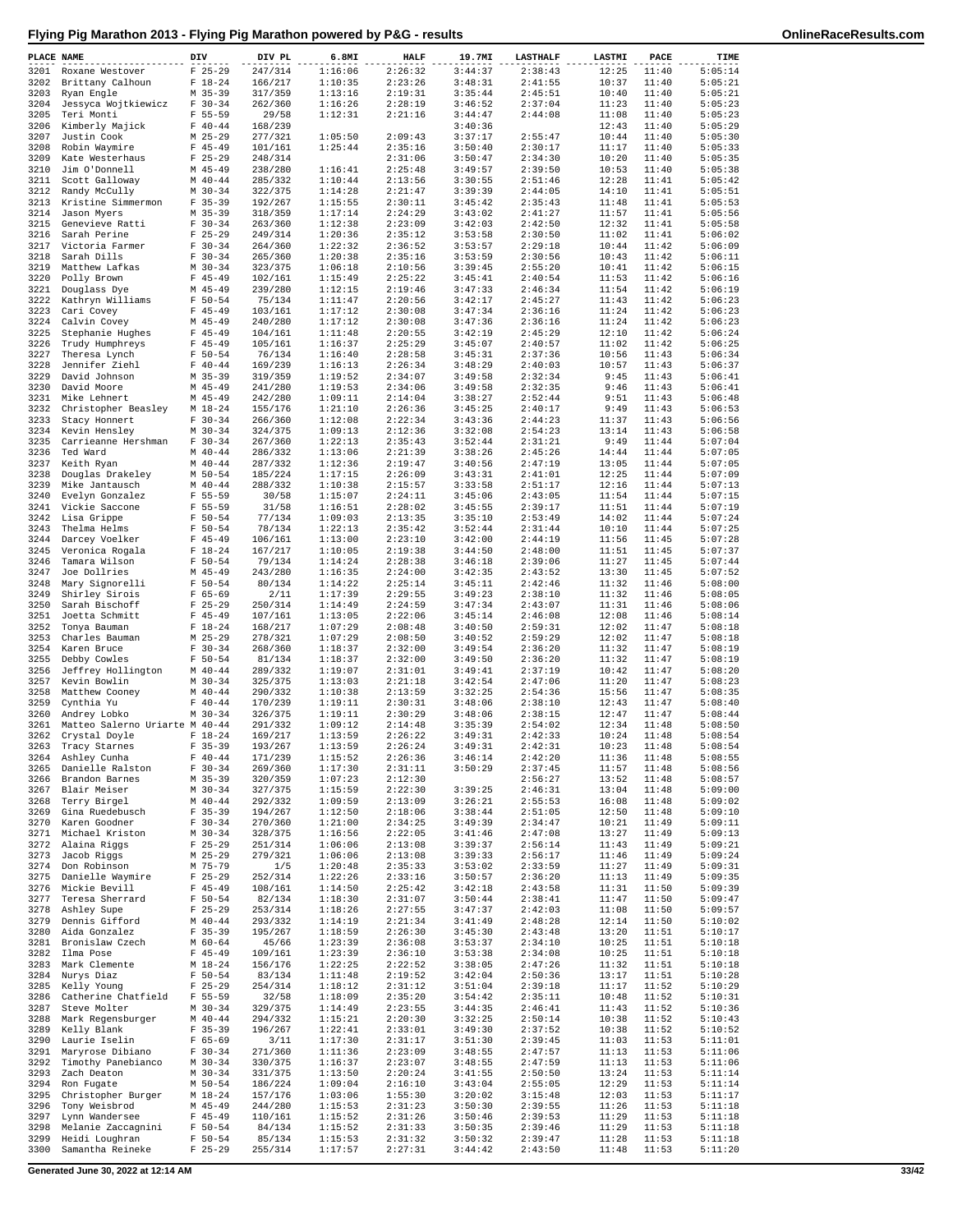| PLACE NAME   |                                       | DIV                         | DIV PL             | 6.8MI              | <b>HALF</b>        | 19.7MI             | <b>LASTHALF</b>    | LASTMI         | PACE           | TIME               |
|--------------|---------------------------------------|-----------------------------|--------------------|--------------------|--------------------|--------------------|--------------------|----------------|----------------|--------------------|
| 3201         | Roxane Westover                       | $F$ 25-29                   | 247/314            | 1:16:06            | 2:26:32            | 3:44:37            | 2:38:43            | 12:25          | 11:40          | 5:05:14            |
| 3202         | Brittany Calhoun                      | $F 18-24$                   | 166/217            | 1:10:35            | 2:23:26            | 3:48:31            | 2:41:55            | 10:37          | 11:40          | 5:05:21            |
| 3203         | Ryan Engle                            | $M$ 35-39                   | 317/359            | 1:13:16            | 2:19:31            | 3:35:44            | 2:45:51            | 10:40          | 11:40          | 5:05:21            |
| 3204         | Jessyca Wojtkiewicz                   | $F 30-34$                   | 262/360            | 1:16:26            | 2:28:19            | 3:46:52            | 2:37:04            | 11:23          | 11:40          | 5:05:23            |
| 3205<br>3206 | Teri Monti<br>Kimberly Majick         | $F 55 - 59$<br>$F 40 - 44$  | 29/58<br>168/239   | 1:12:31            | 2:21:16            | 3:44:47<br>3:40:36 | 2:44:08            | 11:08<br>12:43 | 11:40<br>11:40 | 5:05:23<br>5:05:29 |
| 3207         | Justin Cook                           | $M$ 25-29                   | 277/321            | 1:05:50            | 2:09:43            | 3:37:17            | 2:55:47            | 10:44          | 11:40          | 5:05:30            |
| 3208         | Robin Waymire                         | $F$ 45-49                   | 101/161            | 1:25:44            | 2:35:16            | 3:50:40            | 2:30:17            | 11:17          | 11:40          | 5:05:33            |
| 3209         | Kate Westerhaus                       | $F$ 25-29                   | 248/314            |                    | 2:31:06            | 3:50:47            | 2:34:30            | 10:20          | 11:40          | 5:05:35            |
| 3210         | Jim O'Donnell                         | $M$ 45-49                   | 238/280            | 1:16:41            | 2:25:48            | 3:49:57            | 2:39:50            | 10:53          | 11:40          | 5:05:38            |
| 3211         | Scott Galloway                        | $M$ 40-44                   | 285/332            | 1:10:44            | 2:13:56            | 3:30:55            | 2:51:46            | 12:28          | 11:41          | 5:05:42            |
| 3212         | Randy McCully                         | $M$ 30-34                   | 322/375            | 1:14:28            | 2:21:47            | 3:39:39            | 2:44:05            | 14:10          | 11:41          | 5:05:51            |
| 3213         | Kristine Simmermon                    | $F$ 35-39                   | 192/267            | 1:15:55            | 2:30:11            | 3:45:42            | 2:35:43            | 11:48          | 11:41          | 5:05:53<br>5:05:56 |
| 3214<br>3215 | Jason Myers<br>Genevieve Ratti        | $M$ 35-39<br>$F 30-34$      | 318/359<br>263/360 | 1:17:14<br>1:12:38 | 2:24:29<br>2:23:09 | 3:43:02<br>3:42:03 | 2:41:27<br>2:42:50 | 11:57<br>12:32 | 11:41<br>11:41 | 5:05:58            |
| 3216         | Sarah Perine                          | $F$ 25-29                   | 249/314            | 1:20:36            | 2:35:12            | 3:53:58            | 2:30:50            | 11:02          | 11:41          | 5:06:02            |
| 3217         | Victoria Farmer                       | $F 30-34$                   | 264/360            | 1:22:32            | 2:36:52            | 3:53:57            | 2:29:18            | 10:44          | 11:42          | 5:06:09            |
| 3218         | Sarah Dills                           | $F 30-34$                   | 265/360            | 1:20:38            | 2:35:16            | 3:53:59            | 2:30:56            | 10:43          | 11:42          | 5:06:11            |
| 3219         | Matthew Lafkas                        | $M$ 30-34                   | 323/375            | 1:06:18            | 2:10:56            | 3:39:45            | 2:55:20            | 10:41          | 11:42          | 5:06:15            |
| 3220         | Polly Brown                           | $F$ 45-49                   | 102/161            | 1:15:49            | 2:25:22            | 3:45:41            | 2:40:54            | 11:53          | 11:42          | 5:06:16            |
| 3221         | Douglass Dye                          | $M$ 45-49                   | 239/280            | 1:12:15            | 2:19:46            | 3:47:33            | 2:46:34            | 11:54          | 11:42          | 5:06:19            |
| 3222<br>3223 | Kathryn Williams<br>Cari Covey        | $F 50 - 54$<br>$F$ 45-49    | 75/134<br>103/161  | 1:11:47<br>1:17:12 | 2:20:56<br>2:30:08 | 3:42:17<br>3:47:34 | 2:45:27<br>2:36:16 | 11:43<br>11:24 | 11:42<br>11:42 | 5:06:23<br>5:06:23 |
| 3224         | Calvin Covey                          | $M$ 45-49                   | 240/280            | 1:17:12            | 2:30:08            | 3:47:36            | 2:36:16            | 11:24          | 11:42          | 5:06:23            |
| 3225         | Stephanie Hughes                      | $F$ 45-49                   | 104/161            | 1:11:48            | 2:20:55            | 3:42:19            | 2:45:29            | 12:10          | 11:42          | 5:06:24            |
| 3226         | Trudy Humphreys                       | $F$ 45-49                   | 105/161            | 1:16:37            | 2:25:29            | 3:45:07            | 2:40:57            | 11:02          | 11:42          | 5:06:25            |
| 3227         | Theresa Lynch                         | $F 50 - 54$                 | 76/134             | 1:16:40            | 2:28:58            | 3:45:31            | 2:37:36            | 10:56          | 11:43          | 5:06:34            |
| 3228         | Jennifer Ziehl                        | $F 40 - 44$                 | 169/239            | 1:16:13            | 2:26:34            | 3:48:29            | 2:40:03            | 10:57          | 11:43          | 5:06:37            |
| 3229         | David Johnson                         | $M$ 35-39                   | 319/359            | 1:19:52            | 2:34:07            | 3:49:58            | 2:32:34            | 9:45           | 11:43          | 5:06:41            |
| 3230         | David Moore                           | $M$ 45-49                   | 241/280            | 1:19:53            | 2:34:06            | 3:49:58<br>3:38:27 | 2:32:35            | 9:46           | 11:43          | 5:06:41            |
| 3231<br>3232 | Mike Lehnert<br>Christopher Beasley   | $M$ 45-49<br>$M_18-24$      | 242/280<br>155/176 | 1:09:11<br>1:21:10 | 2:14:04<br>2:26:36 | 3:45:25            | 2:52:44<br>2:40:17 | 9:51<br>9:49   | 11:43<br>11:43 | 5:06:48<br>5:06:53 |
| 3233         | Stacy Honnert                         | $F 30-34$                   | 266/360            | 1:12:08            | 2:22:34            | 3:43:36            | 2:44:23            | 11:37          | 11:43          | 5:06:56            |
| 3234         | Kevin Hensley                         | $M$ 30-34                   | 324/375            | 1:09:13            | 2:12:36            | 3:32:08            | 2:54:23            | 13:14          | 11:43          | 5:06:58            |
| 3235         | Carrieanne Hershman                   | $F 30-34$                   | 267/360            | 1:22:13            | 2:35:43            | 3:52:44            | 2:31:21            | 9:49           | 11:44          | 5:07:04            |
| 3236         | Ted Ward                              | $M$ 40-44                   | 286/332            | 1:13:06            | 2:21:39            | 3:38:26            | 2:45:26            | 14:44          | 11:44          | 5:07:05            |
| 3237         | Keith Ryan                            | $M$ 40-44                   | 287/332            | 1:12:36            | 2:19:47            | 3:40:56            | 2:47:19            | 13:05          | 11:44          | 5:07:05            |
| 3238         | Douglas Drakeley                      | $M$ 50-54                   | 185/224            | 1:17:15            | 2:26:09            | 3:43:31            | 2:41:01            | 12:25          | 11:44          | 5:07:09            |
| 3239         | Mike Jantausch                        | $M$ 40-44                   | 288/332            | 1:10:38<br>1:15:07 | 2:15:57            | 3:33:58            | 2:51:17<br>2:43:05 | 12:16          | 11:44          | 5:07:13            |
| 3240<br>3241 | Evelyn Gonzalez<br>Vickie Saccone     | $F 55 - 59$<br>$F 55 - 59$  | 30/58<br>31/58     | 1:16:51            | 2:24:11<br>2:28:02 | 3:45:06<br>3:45:55 | 2:39:17            | 11:54<br>11:51 | 11:44<br>11:44 | 5:07:15<br>5:07:19 |
| 3242         | Lisa Grippe                           | $F 50 - 54$                 | 77/134             | 1:09:03            | 2:13:35            | 3:35:10            | 2:53:49            | 14:02          | 11:44          | 5:07:24            |
| 3243         | Thelma Helms                          | $F 50 - 54$                 | 78/134             | 1:22:13            | 2:35:42            | 3:52:44            | 2:31:44            | 10:10          | 11:44          | 5:07:25            |
| 3244         | Darcey Voelker                        | $F$ 45-49                   | 106/161            | 1:13:00            | 2:23:10            | 3:42:00            | 2:44:19            | 11:56          | 11:45          | 5:07:28            |
| 3245         | Veronica Rogala                       | $F 18-24$                   | 167/217            | 1:10:05            | 2:19:38            | 3:44:50            | 2:48:00            | 11:51          | 11:45          | 5:07:37            |
| 3246         | Tamara Wilson                         | $F 50 - 54$                 | 79/134             | 1:14:24            | 2:28:38            | 3:46:18            | 2:39:06            | 11:27          | 11:45          | 5:07:44            |
| 3247<br>3248 | Joe Dollries                          | $M$ 45-49                   | 243/280            | 1:16:35            | 2:24:00            | 3:42:35            | 2:43:52            | 13:30          | 11:45          | 5:07:52            |
| 3249         | Mary Signorelli<br>Shirley Sirois     | $F 50 - 54$<br>$F 65 - 69$  | 80/134<br>2/11     | 1:14:22<br>1:17:39 | 2:25:14<br>2:29:55 | 3:45:11<br>3:49:23 | 2:42:46<br>2:38:10 | 11:32<br>11:32 | 11:46<br>11:46 | 5:08:00<br>5:08:05 |
| 3250         | Sarah Bischoff                        | $F$ 25-29                   | 250/314            | 1:14:49            | 2:24:59            | 3:47:34            | 2:43:07            | 11:31          | 11:46          | 5:08:06            |
| 3251         | Joetta Schmitt                        | $F$ 45-49                   | 107/161            | 1:13:05            | 2:22:06            | 3:45:14            | 2:46:08            | 12:08          | 11:46          | 5:08:14            |
| 3252         | Tonya Bauman                          | $F 18-24$                   | 168/217            | 1:07:29            | 2:08:48            | 3:40:50            | 2:59:31            | 12:02          | 11:47          | 5:08:18            |
| 3253         | Charles Bauman                        | $M$ 25-29                   | 278/321            | 1:07:29            | 2:08:50            | 3:40:52            | 2:59:29            | 12:02          | 11:47          | 5:08:18            |
| 3254         | Karen Bruce                           | $F 30-34$                   | 268/360            | 1:18:37            | 2:32:00            | 3:49:54            | 2:36:20            | 11:32          | 11:47          | 5:08:19            |
| 3255         | Debby Cowles                          | $F 50 - 54$                 | 81/134             | 1:18:37            | 2:32:00            | 3:49:50            | 2:36:20            | 11:32          | 11:47          | 5:08:19            |
| 3256<br>3257 | Jeffrey Hollington<br>Kevin Bowlin    | $M$ 40-44<br>$M$ 30-34      | 289/332<br>325/375 | 1:19:07<br>1:13:03 | 2:31:01<br>2:21:18 | 3:49:41<br>3:42:54 | 2:37:19<br>2:47:06 | 10:42<br>11:20 | 11:47<br>11:47 | 5:08:20<br>5:08:23 |
| 3258         | Matthew Cooney                        | $M$ 40-44                   | 290/332            | 1:10:38            | 2:13:59            | 3:32:25            | 2:54:36            | 15:56          | 11:47          | 5:08:35            |
| 3259         | Cynthia Yu                            | $F 40 - 44$                 | 170/239            | 1:19:11            | 2:30:31            | 3:48:06            | 2:38:10            | 12:43          | 11:47          | 5:08:40            |
| 3260         | Andrey Lobko                          | $M$ 30-34                   | 326/375            | 1:19:11            | 2:30:29            | 3:48:06            | 2:38:15            | 12:47          | 11:47          | 5:08:44            |
| 3261         | Matteo Salerno Uriarte M 40-44        |                             | 291/332            | 1:09:12            | 2:14:48            | 3:35:39            | 2:54:02            | 12:34          | 11:48          | 5:08:50            |
| 3262         | Crystal Doyle                         | $F 18-24$                   | 169/217            | 1:13:59            | 2:26:22            | 3:49:31            | 2:42:33            | 10:24          | 11:48          | 5:08:54            |
|              | 3263 Tracy Starnes                    | $F$ 35-39                   | 193/267            | 1:13:59            | 2:26:24            | 3:49:31            | 2:42:31            | 10:23          | 11:48          | 5:08:54            |
| 3265         | 3264 Ashley Cunha<br>Danielle Ralston | $F 40 - 44$<br>$F 30-34$    | 171/239<br>269/360 | 1:15:52<br>1:17:30 | 2:26:36<br>2:31:11 | 3:46:14<br>3:50:29 | 2:42:20<br>2:37:45 | 11:36<br>11:57 | 11:48<br>11:48 | 5:08:55<br>5:08:56 |
| 3266         | Brandon Barnes                        | $M$ 35-39                   | 320/359            | 1:07:23            | 2:12:30            |                    | 2:56:27            | 13:52          | 11:48          | 5:08:57            |
| 3267         | Blair Meiser                          | $M$ 30-34                   | 327/375            | 1:15:59            | 2:22:30            | 3:39:25            | 2:46:31            | 13:04          | 11:48          | 5:09:00            |
| 3268         | Terry Birgel                          | $M$ 40-44                   | 292/332            | 1:09:59            | 2:13:09            | 3:26:21            | 2:55:53            | 16:08          | 11:48          | 5:09:02            |
| 3269         | Gina Ruedebusch                       | $F$ 35-39                   | 194/267            | 1:12:50            | 2:18:06            | 3:38:44            | 2:51:05            | 12:50          | 11:48          | 5:09:10            |
| 3270         | Karen Goodner                         | $F 30-34$                   | 270/360            | 1:21:00            | 2:34:25            | 3:49:39            | 2:34:47            | 10:21          | 11:49          | 5:09:11            |
| 3271         | Michael Kriston<br>Alaina Riggs       | $M$ 30-34<br>$F$ 25-29      | 328/375            | 1:16:56            | 2:22:05            | 3:41:46            | 2:47:08            | 13:27          | 11:49          | 5:09:13<br>5:09:21 |
| 3272<br>3273 | Jacob Riggs                           | $M$ 25-29                   | 251/314<br>279/321 | 1:06:06<br>1:06:06 | 2:13:08<br>2:13:08 | 3:39:37<br>3:39:33 | 2:56:14<br>2:56:17 | 11:43<br>11:46 | 11:49<br>11:49 | 5:09:24            |
| 3274         | Don Robinson                          | M 75-79                     | 1/5                | 1:20:48            | 2:35:33            | 3:53:02            | 2:33:59            | 11:27          | 11:49          | 5:09:31            |
| 3275         | Danielle Waymire                      | $F$ 25-29                   | 252/314            | 1:22:26            | 2:33:16            | 3:50:57            | 2:36:20            | 11:13          | 11:49          | 5:09:35            |
| 3276         | Mickie Bevill                         | $F$ 45-49                   | 108/161            | 1:14:50            | 2:25:42            | 3:42:18            | 2:43:58            | 11:31          | 11:50          | 5:09:39            |
| 3277         | Teresa Sherrard                       | $F 50 - 54$                 | 82/134             | 1:18:30            | 2:31:07            | 3:50:44            | 2:38:41            | 11:47          | 11:50          | 5:09:47            |
| 3278         | Ashley Supe                           | $F$ 25-29                   | 253/314            | 1:18:26            | 2:27:55            | 3:47:37            | 2:42:03            | 11:08          | 11:50          | 5:09:57            |
| 3279         | Dennis Gifford                        | $M$ 40-44                   | 293/332            | 1:14:19            | 2:21:34            | 3:41:49            | 2:48:28            | 12:14          | 11:50          | 5:10:02            |
| 3280<br>3281 | Aida Gonzalez<br>Bronislaw Czech      | $F$ 35-39<br>M 60-64        | 195/267<br>45/66   | 1:18:59<br>1:23:39 | 2:26:30<br>2:36:08 | 3:45:30<br>3:53:37 | 2:43:48<br>2:34:10 | 13:20<br>10:25 | 11:51<br>11:51 | 5:10:17<br>5:10:18 |
| 3282         | Ilma Pose                             | $F$ 45-49                   | 109/161            | 1:23:39            | 2:36:10            | 3:53:38            | 2:34:08            | 10:25          | 11:51          | 5:10:18            |
| 3283         | Mark Clemente                         | $M_18-24$                   | 156/176            | 1:22:25            | 2:22:52            | 3:38:05            | 2:47:26            | 11:32          | 11:51          | 5:10:18            |
| 3284         | Nurys Diaz                            | $F 50 - 54$                 | 83/134             | 1:11:48            | 2:19:52            | 3:42:04            | 2:50:36            | 13:17          | 11:51          | 5:10:28            |
| 3285         | Kelly Young                           | $F$ 25-29                   | 254/314            | 1:18:12            | 2:31:12            | 3:51:04            | 2:39:18            | 11:17          | 11:52          | 5:10:29            |
| 3286         | Catherine Chatfield                   | $F 55 - 59$                 | 32/58              | 1:18:09            | 2:35:20            | 3:54:42            | 2:35:11            | 10:48          | 11:52          | 5:10:31            |
| 3287         | Steve Molter                          | $M$ 30-34                   | 329/375            | 1:14:49            | 2:23:55            | 3:44:35            | 2:46:41            | 11:43          | 11:52          | 5:10:36            |
| 3288         | Mark Regensburger<br>Kelly Blank      | $M$ 40-44<br>F<br>$35 - 39$ | 294/332            | 1:15:21            | 2:20:30            | 3:32:25            | 2:50:14            | 10:38<br>10:38 | 11:52          | 5:10:43<br>5:10:52 |
| 3289<br>3290 | Laurie Iselin                         | $F 65 - 69$                 | 196/267<br>3/11    | 1:22:41<br>1:17:30 | 2:33:01<br>2:31:17 | 3:49:30<br>3:51:30 | 2:37:52<br>2:39:45 | 11:03          | 11:52<br>11:53 | 5:11:01            |
| 3291         | Maryrose Dibiano                      | $F 30-34$                   | 271/360            | 1:11:36            | 2:23:09            | 3:48:55            | 2:47:57            | 11:13          | 11:53          | 5:11:06            |
| 3292         | Timothy Panebianco                    | $M$ 30-34                   | 330/375            | 1:16:37            | 2:23:07            | 3:48:55            | 2:47:59            | 11:13          | 11:53          | 5:11:06            |
| 3293         | Zach Deaton                           | $M$ 30-34                   | 331/375            | 1:13:50            | 2:20:24            | 3:41:55            | 2:50:50            | 13:24          | 11:53          | 5:11:14            |
| 3294         | Ron Fugate                            | M 50-54                     | 186/224            | 1:09:04            | 2:16:10            | 3:43:04            | 2:55:05            | 12:29          | 11:53          | 5:11:14            |
| 3295         | Christopher Burger                    | $M 18 - 24$                 | 157/176            | 1:03:06            | 1:55:30            | 3:20:02            | 3:15:48            | 12:03          | 11:53          | 5:11:17            |
| 3296<br>3297 | Tony Weisbrod<br>Lynn Wandersee       | $M$ 45-49<br>$F$ 45-49      | 244/280<br>110/161 | 1:15:53<br>1:15:52 | 2:31:23<br>2:31:26 | 3:50:30<br>3:50:46 | 2:39:55<br>2:39:53 | 11:26<br>11:29 | 11:53<br>11:53 | 5:11:18<br>5:11:18 |
| 3298         | Melanie Zaccagnini                    | $F 50 - 54$                 | 84/134             | 1:15:52            | 2:31:33            | 3:50:35            | 2:39:46            | 11:29          | 11:53          | 5:11:18            |
| 3299         | Heidi Loughran                        | $F 50 - 54$                 | 85/134             | 1:15:53            | 2:31:32            | 3:50:32            | 2:39:47            | 11:28          | 11:53          | 5:11:18            |
| 3300         | Samantha Reineke                      | $F$ 25-29                   | 255/314            | 1:17:57            | 2:27:31            | 3:44:42            | 2:43:50            | 11:48          | 11:53          | 5:11:20            |

**Generated June 30, 2022 at 12:14 AM 33/42**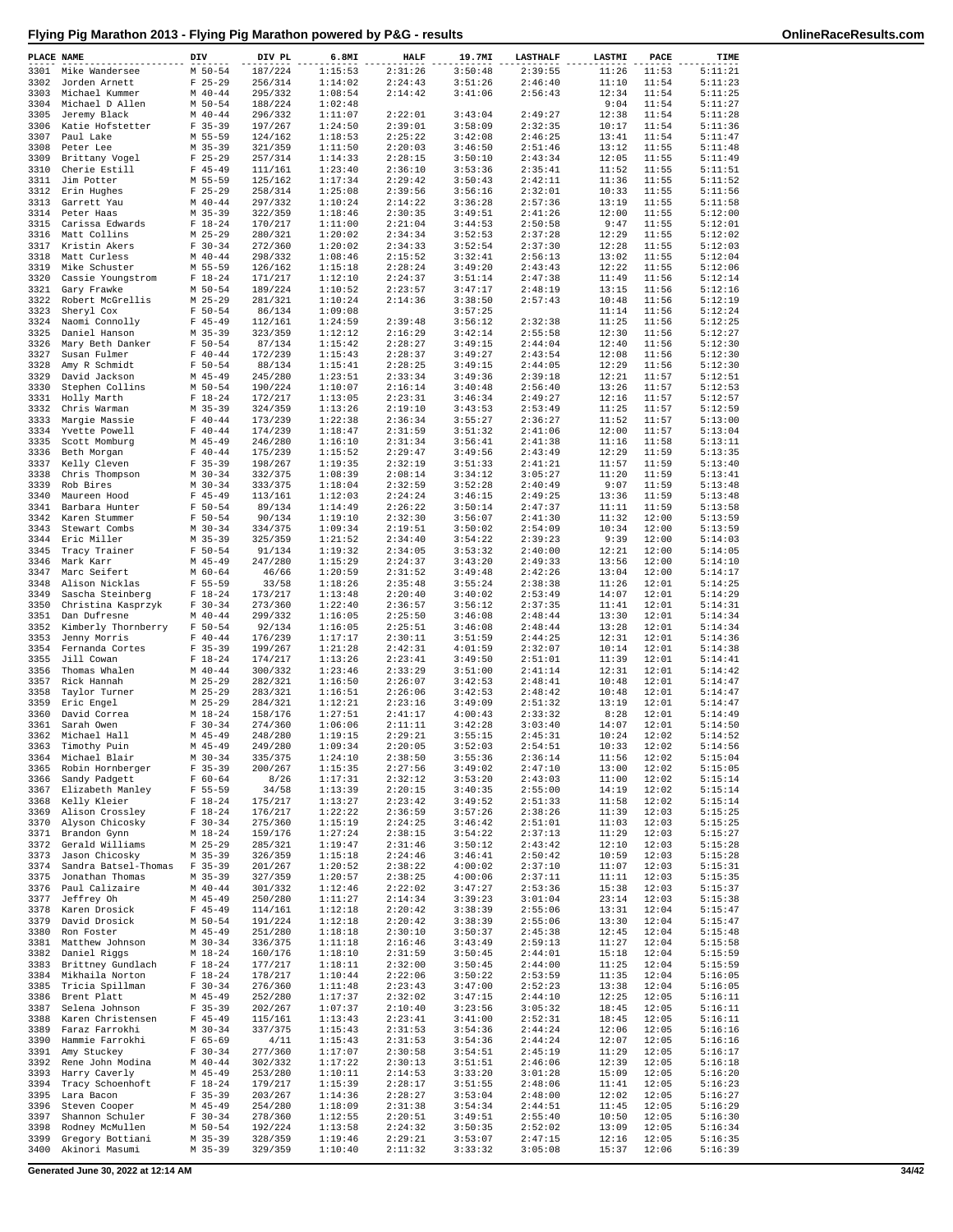| PLACE NAME   |                                         | DIV                        | DIV PL             | 6.8MI              | <b>HALF</b>        | 19.7MI             | <b>LASTHALF</b>    | LASTMI                   | PACE           | TIME               |
|--------------|-----------------------------------------|----------------------------|--------------------|--------------------|--------------------|--------------------|--------------------|--------------------------|----------------|--------------------|
| 3301         | Mike Wandersee                          | M 50-54                    | 187/224            | 1:15:53            | 2:31:26            | 3:50:48            | 2:39:55            | 11:26                    | 11:53          | 5:11:21            |
| 3302         | Jorden Arnett                           | $F$ 25-29                  | 256/314            | 1:14:02            | 2:24:43            | 3:51:26            | 2:46:40            | 11:10                    | 11:54          | 5:11:23            |
| 3303         | Michael Kummer                          | $M$ 40-44                  | 295/332            | 1:08:54            | 2:14:42            | 3:41:06            | 2:56:43            | 12:34                    | 11:54          | 5:11:25            |
| 3304         | Michael D Allen                         | M 50-54                    | 188/224            | 1:02:48            |                    |                    |                    | 9:04                     | 11:54          | 5:11:27            |
| 3305<br>3306 | Jeremy Black<br>Katie Hofstetter        | $M$ 40-44<br>$F$ 35-39     | 296/332<br>197/267 | 1:11:07<br>1:24:50 | 2:22:01<br>2:39:01 | 3:43:04<br>3:58:09 | 2:49:27<br>2:32:35 | 12:38<br>10:17           | 11:54<br>11:54 | 5:11:28<br>5:11:36 |
| 3307         | Paul Lake                               | M 55-59                    | 124/162            | 1:18:53            | 2:25:22            | 3:42:08            | 2:46:25            | 13:41                    | 11:54          | 5:11:47            |
|              | 3308 Peter Lee                          | $M$ 35-39                  | 321/359            | 1:11:50            | 2:20:03            | 3:46:50            | 2:51:46            | 13:12                    | 11:55          | 5:11:48            |
|              | 3309 Brittany Vogel                     | $F$ 25-29                  | 257/314            | 1:14:33            | 2:28:15            | 3:50:10            | 2:43:34            | 12:05                    | 11:55          | 5:11:49            |
|              | 3310 Cherie Estill                      | $F$ 45-49                  | 111/161            | 1:23:40            | 2:36:10            | 3:53:36            | 2:35:41            | 11:52                    | 11:55          | 5:11:51            |
| 3311         | Jim Potter                              | M 55-59                    | 125/162            | 1:17:34            | 2:29:42            | 3:50:43            | 2:42:11            | 11:36                    | 11:55          | 5:11:52            |
| 3313         | 3312 Erin Hughes<br>Garrett Yau         | $F$ 25-29<br>$M$ 40-44     | 258/314<br>297/332 | 1:25:08<br>1:10:24 | 2:39:56<br>2:14:22 | 3:56:16<br>3:36:28 | 2:32:01<br>2:57:36 | 10:33<br>13:19           | 11:55<br>11:55 | 5:11:56<br>5:11:58 |
|              | 3314 Peter Haas                         | $M$ 35-39                  | 322/359            | 1:18:46            | 2:30:35            | 3:49:51            | 2:41:26            | 12:00                    | 11:55          | 5:12:00            |
|              | 3315 Carissa Edwards                    | $F 18-24$                  | 170/217            | 1:11:00            | 2:21:04            | 3:44:53            | 2:50:58            | 9:47                     | 11:55          | 5:12:01            |
|              | 3316 Matt Collins                       | $M$ 25-29                  | 280/321            | 1:20:02            | 2:34:34            | 3:52:53            | 2:37:28            | 12:29                    | 11:55          | 5:12:02            |
| 3317         | Kristin Akers                           | $F 30-34$                  | 272/360            | 1:20:02            | 2:34:33            | 3:52:54            | 2:37:30            | 12:28                    | 11:55          | 5:12:03            |
|              | 3318 Matt Curless                       | $M$ 40-44                  | 298/332            | 1:08:46            | 2:15:52            | 3:32:41            | 2:56:13            | 13:02                    | 11:55          | 5:12:04            |
| 3319         | Mike Schuster<br>3320 Cassie Youngstrom | M 55-59<br>$F 18-24$       | 126/162<br>171/217 | 1:15:18<br>1:12:10 | 2:28:24<br>2:24:37 | 3:49:20            | 2:43:43<br>2:47:38 | 12:22<br>11:49           | 11:55<br>11:56 | 5:12:06<br>5:12:14 |
|              | 3321 Gary Frawke                        | M 50-54                    | 189/224            | 1:10:52            | 2:23:57            | 3:51:14<br>3:47:17 | 2:48:19            | 13:15                    | 11:56          | 5:12:16            |
|              | 3322 Robert McGrellis                   | $M$ 25-29                  | 281/321            | 1:10:24            | 2:14:36            | 3:38:50            | 2:57:43            | 10:48                    | 11:56          | 5:12:19            |
| 3323         | Sheryl Cox                              | $F 50 - 54$                | 86/134             | 1:09:08            |                    | 3:57:25            |                    | 11:14                    | 11:56          | 5:12:24            |
| 3324         | Naomi Connolly                          | $F$ 45-49                  | 112/161            | 1:24:59            | 2:39:48            | 3:56:12            | 2:32:38            | 11:25                    | 11:56          | 5:12:25            |
| 3325         | Daniel Hanson                           | $M$ 35-39                  | 323/359            | 1:12:12            | 2:16:29            | 3:42:14            | 2:55:58            | 12:30                    | 11:56          | 5:12:27            |
| 3326         | Mary Beth Danker                        | $F 50 - 54$                | 87/134             | 1:15:42            | 2:28:27            | 3:49:15            | 2:44:04            | 12:40                    | 11:56          | 5:12:30<br>5:12:30 |
| 3327<br>3328 | Susan Fulmer<br>Amy R Schmidt           | $F 40 - 44$<br>$F 50 - 54$ | 172/239<br>88/134  | 1:15:43<br>1:15:41 | 2:28:37<br>2:28:25 | 3:49:27<br>3:49:15 | 2:43:54<br>2:44:05 | 12:08<br>12:29           | 11:56<br>11:56 | 5:12:30            |
| 3329         | David Jackson                           | $M$ 45-49                  | 245/280            | 1:23:51            | 2:33:34            | 3:49:36            | 2:39:18            | 12:21                    | 11:57          | 5:12:51            |
| 3330         | Stephen Collins                         | M 50-54                    | 190/224            | 1:10:07            | 2:16:14            | 3:40:48            | 2:56:40            | 13:26                    | 11:57          | 5:12:53            |
| 3331         | Holly Marth                             | $F$ 18-24                  | 172/217            | 1:13:05            | 2:23:31            | 3:46:34            | 2:49:27            | 12:16                    | 11:57          | 5:12:57            |
|              | 3332 Chris Warman                       | $M$ 35-39                  | 324/359            | 1:13:26            | 2:19:10            | 3:43:53            | 2:53:49            | 11:25                    | 11:57          | 5:12:59            |
| 3333         | Margie Massie                           | $F 40 - 44$                | 173/239            | 1:22:38            | 2:36:34            | 3:55:27            | 2:36:27            | 11:52                    | 11:57          | 5:13:00            |
| 3335         | 3334 Yvette Powell<br>Scott Momburg     | $F 40 - 44$<br>$M$ 45-49   | 174/239<br>246/280 | 1:18:47<br>1:16:10 | 2:31:59<br>2:31:34 | 3:51:32<br>3:56:41 | 2:41:06<br>2:41:38 | 12:00<br>11:16           | 11:57<br>11:58 | 5:13:04<br>5:13:11 |
| 3336         | Beth Morgan                             | $F 40 - 44$                | 175/239            | 1:15:52            | 2:29:47            | 3:49:56            | 2:43:49            | 12:29                    | 11:59          | 5:13:35            |
| 3337         | Kelly Cleven                            | $F$ 35-39                  | 198/267            | 1:19:35            | 2:32:19            | 3:51:33            | 2:41:21            | 11:57                    | 11:59          | 5:13:40            |
| 3338         | Chris Thompson                          | $M$ 30-34                  | 332/375            | 1:08:39            | 2:08:14            | 3:34:12            | 3:05:27            | 11:20                    | 11:59          | 5:13:41            |
| 3339         | Rob Bires                               | $M$ 30-34                  | 333/375            | 1:18:04            | 2:32:59            | 3:52:28            | 2:40:49            | 9:07                     | 11:59          | 5:13:48            |
| 3340         | Maureen Hood                            | $F$ 45-49                  | 113/161            | 1:12:03            | 2:24:24            | 3:46:15            | 2:49:25            | 13:36                    | 11:59          | 5:13:48            |
| 3341<br>3342 | Barbara Hunter<br>Karen Stummer         | $F 50 - 54$<br>$F 50 - 54$ | 89/134<br>90/134   | 1:14:49<br>1:19:10 | 2:26:22<br>2:32:30 | 3:50:14<br>3:56:07 | 2:47:37<br>2:41:30 | 11:11<br>11:32           | 11:59<br>12:00 | 5:13:58<br>5:13:59 |
| 3343         | Stewart Combs                           | $M$ 30-34                  | 334/375            | 1:09:34            | 2:19:51            | 3:50:02            | 2:54:09            | 10:34                    | 12:00          | 5:13:59            |
|              | 3344 Eric Miller                        | $M$ 35-39                  | 325/359            | 1:21:52            | 2:34:40            | 3:54:22            | 2:39:23            | 9:39                     | 12:00          | 5:14:03            |
|              | 3345 Tracy Trainer                      | $F 50 - 54$                | 91/134             | 1:19:32            | 2:34:05            | 3:53:32            | 2:40:00            | 12:21                    | 12:00          | 5:14:05            |
| 3346         | Mark Karr                               | $M$ 45-49                  | 247/280            | 1:15:29            | 2:24:37            | 3:43:20            | 2:49:33            | 13:56                    | 12:00          | 5:14:10            |
| 3347         | Marc Seifert                            | M 60-64                    | 46/66              | 1:20:59            | 2:31:52            | 3:49:48            | 2:42:26            | 13:04                    | 12:00          | 5:14:17            |
| 3348         | Alison Nicklas                          | $F 55 - 59$                | 33/58              | 1:18:26            | 2:35:48            | 3:55:24            | 2:38:38            | 11:26                    | 12:01          | 5:14:25            |
| 3349<br>3350 | Sascha Steinberg<br>Christina Kasprzyk  | $F 18-24$<br>$F 30-34$     | 173/217<br>273/360 | 1:13:48<br>1:22:40 | 2:20:40<br>2:36:57 | 3:40:02<br>3:56:12 | 2:53:49<br>2:37:35 | 14:07<br>11:41           | 12:01<br>12:01 | 5:14:29<br>5:14:31 |
| 3351         | Dan Dufresne                            | $M$ 40-44                  | 299/332            | 1:16:05            | 2:25:50            | 3:46:08            | 2:48:44            | 13:30                    | 12:01          | 5:14:34            |
|              | 3352 Kimberly Thornberry                | $F 50 - 54$                | 92/134             | 1:16:05            | 2:25:51            | 3:46:08            | 2:48:44            | 13:28                    | 12:01          | 5:14:34            |
| 3353         | Jenny Morris                            | $F 40 - 44$                | 176/239            | 1:17:17            | 2:30:11            | 3:51:59            | 2:44:25            | 12:31                    | 12:01          | 5:14:36            |
| 3354         | Fernanda Cortes                         | $F$ 35-39                  | 199/267            | 1:21:28            | 2:42:31            | 4:01:59            | 2:32:07            | 10:14                    | 12:01          | 5:14:38            |
| 3355         | Jill Cowan                              | $F 18-24$<br>$M$ 40-44     | 174/217            | 1:13:26            | 2:23:41<br>2:33:29 | 3:49:50            | 2:51:01            | 11:39<br>12:31           | 12:01          | 5:14:41            |
| 3356<br>3357 | Thomas Whalen<br>Rick Hannah            | $M$ 25-29                  | 300/332<br>282/321 | 1:23:46<br>1:16:50 | 2:26:07            | 3:51:00<br>3:42:53 | 2:41:14<br>2:48:41 | 10:48                    | 12:01<br>12:01 | 5:14:42<br>5:14:47 |
| 3358         | Taylor Turner                           | $M$ 25-29                  | 283/321            | 1:16:51            | 2:26:06            | 3:42:53            | 2:48:42            | 10:48                    | 12:01          | 5:14:47            |
| 3359         | Eric Engel                              | $M$ 25-29                  | 284/321            | 1:12:21            | 2:23:16            | 3:49:09            | 2:51:32            | 13:19                    | 12:01          | 5:14:47            |
| 3360         | David Correa                            | $M_18-24$                  | 158/176            | 1:27:51            | 2:41:17            | 4:00:43            | 2:33:32            | 8:28                     | 12:01          | 5:14:49            |
| 3361         | Sarah Owen                              | $F 30-34$                  | 274/360            | 1:06:06            | 2:11:11            | 3:42:28            | 3:03:40            | 14:07                    | 12:01          | 5:14:50            |
|              | 3362 Michael Hall                       | $M$ 45-49                  | 248/280            | 1:19:15            | 2:29:21            | 3:55:15            | 2:45:31            | 10:24                    | 12:02          | 5:14:52            |
|              | 3363 Timothy Puin<br>3364 Michael Blair | M 45-49<br>$M$ 30-34       | 249/280<br>335/375 | 1:09:34<br>1:24:10 | 2:20:05<br>2:38:50 | 3:52:03<br>3:55:36 | 2:54:51<br>2:36:14 | $10:33$ $12:02$<br>11:56 | 12:02          | 5:14:56<br>5:15:04 |
|              | 3365 Robin Hornberger                   | $F$ 35-39                  | 200/267            | 1:15:35            | 2:27:56            | 3:49:02            | 2:47:10            | 13:00                    | 12:02          | 5:15:05            |
| 3366         | Sandy Padgett                           | $F 60 - 64$                | 8/26               | 1:17:31            | 2:32:12            | 3:53:20            | 2:43:03            | 11:00                    | 12:02          | 5:15:14            |
| 3367         | Elizabeth Manley                        | $F 55 - 59$                | 34/58              | 1:13:39            | 2:20:15            | 3:40:35            | 2:55:00            | 14:19                    | 12:02          | 5:15:14            |
| 3368         | Kelly Kleier                            | $F$ 18-24                  | 175/217            | 1:13:27            | 2:23:42            | 3:49:52            | 2:51:33            | 11:58                    | 12:02          | 5:15:14            |
| 3369<br>3370 | Alison Crossley<br>Alyson Chicosky      | $F$ 18-24<br>$F 30-34$     | 176/217<br>275/360 | 1:22:22<br>1:15:19 | 2:36:59<br>2:24:25 | 3:57:26<br>3:46:42 | 2:38:26<br>2:51:01 | 11:39<br>11:03           | 12:03<br>12:03 | 5:15:25<br>5:15:25 |
| 3371         | Brandon Gynn                            | $M_18-24$                  | 159/176            | 1:27:24            | 2:38:15            | 3:54:22            | 2:37:13            | 11:29                    | 12:03          | 5:15:27            |
| 3372         | Gerald Williams                         | M 25-29                    | 285/321            | 1:19:47            | 2:31:46            | 3:50:12            | 2:43:42            | 12:10                    | 12:03          | 5:15:28            |
| 3373         | Jason Chicosky                          | $M$ 35-39                  | 326/359            | 1:15:18            | 2:24:46            | 3:46:41            | 2:50:42            | 10:59                    | 12:03          | 5:15:28            |
|              | 3374 Sandra Batsel-Thomas F 35-39       |                            | 201/267            | 1:20:52            | 2:38:22            | 4:00:02            | 2:37:10            | 11:07                    | 12:03          | 5:15:31            |
| 3375         | Jonathan Thomas                         | M 35-39                    | 327/359            | 1:20:57            | 2:38:25            | 4:00:06            | 2:37:11            | 11:11                    | 12:03          | 5:15:35            |
| 3377         | 3376 Paul Calizaire<br>Jeffrey Oh       | $M$ 40-44<br>$M$ 45-49     | 301/332<br>250/280 | 1:12:46<br>1:11:27 | 2:22:02<br>2:14:34 | 3:47:27<br>3:39:23 | 2:53:36<br>3:01:04 | 15:38<br>23:14           | 12:03<br>12:03 | 5:15:37<br>5:15:38 |
|              | 3378 Karen Drosick                      | $F$ 45-49                  | 114/161            | 1:12:18            | 2:20:42            | 3:38:39            | 2:55:06            | 13:31                    | 12:04          | 5:15:47            |
| 3379         | David Drosick                           | M 50-54                    | 191/224            | 1:12:18            | 2:20:42            | 3:38:39            | 2:55:06            | 13:30                    | 12:04          | 5:15:47            |
|              | 3380 Ron Foster                         | M 45-49                    | 251/280            | 1:18:18            | 2:30:10            | 3:50:37            | 2:45:38            | 12:45                    | 12:04          | 5:15:48            |
|              | 3381 Matthew Johnson                    | M 30-34                    | 336/375            | 1:11:18            | 2:16:46            | 3:43:49            | 2:59:13            | 11:27                    | 12:04          | 5:15:58            |
|              | 3382 Daniel Riggs                       | M 18-24                    | 160/176            | 1:18:10            | 2:31:59            | 3:50:45            | 2:44:01            | 15:18                    | 12:04          | 5:15:59            |
| 3383<br>3384 | Brittney Gundlach<br>Mikhaila Norton    | $F 18-24$<br>$F 18-24$     | 177/217<br>178/217 | 1:18:11<br>1:10:44 | 2:32:00<br>2:22:06 | 3:50:45<br>3:50:22 | 2:44:00<br>2:53:59 | 11:25<br>11:35           | 12:04<br>12:04 | 5:15:59<br>5:16:05 |
| 3385         | Tricia Spillman                         | $F 30-34$                  | 276/360            | 1:11:48            | 2:23:43            | 3:47:00            | 2:52:23            | 13:38                    | 12:04          | 5:16:05            |
|              | 3386 Brent Platt                        | $M$ 45-49                  | 252/280            | 1:17:37            | 2:32:02            | 3:47:15            | 2:44:10            | 12:25                    | 12:05          | 5:16:11            |
| 3387         | Selena Johnson                          | $F$ 35-39                  | 202/267            | 1:07:37            | 2:10:40            | 3:23:56            | 3:05:32            | 18:45                    | 12:05          | 5:16:11            |
| 3388         | Karen Christensen                       | $F$ 45-49                  | 115/161            | 1:13:43            | 2:23:41            | 3:41:00            | 2:52:31            | 18:45                    | 12:05          | 5:16:11            |
| 3389         | Faraz Farrokhi                          | $M$ 30-34                  | 337/375            | 1:15:43            | 2:31:53            | 3:54:36            | 2:44:24            | 12:06                    | 12:05          | 5:16:16            |
| 3390<br>3391 | Hammie Farrokhi<br>Amy Stuckey          | F 65-69<br>$F 30-34$       | 4/11<br>277/360    | 1:15:43<br>1:17:07 | 2:31:53<br>2:30:58 | 3:54:36<br>3:54:51 | 2:44:24<br>2:45:19 | 12:07<br>11:29           | 12:05<br>12:05 | 5:16:16<br>5:16:17 |
| 3392         | Rene John Modina                        | $M$ 40-44                  | 302/332            | 1:17:22            | 2:30:13            | 3:51:51            | 2:46:06            | 12:39                    | 12:05          | 5:16:18            |
| 3393         | Harry Caverly                           | M 45-49                    | 253/280            | 1:10:11            | 2:14:53            | 3:33:20            | 3:01:28            | 15:09                    | 12:05          | 5:16:20            |
| 3394         | Tracy Schoenhoft                        | $F 18-24$                  | 179/217            | 1:15:39            | 2:28:17            | 3:51:55            | 2:48:06            | 11:41                    | 12:05          | 5:16:23            |
| 3395         | Lara Bacon                              | $F$ 35-39                  | 203/267            | 1:14:36            | 2:28:27            | 3:53:04            | 2:48:00            | 12:02                    | 12:05          | 5:16:27            |
| 3396         | Steven Cooper                           | M 45-49                    | 254/280            | 1:18:09            | 2:31:38            | 3:54:34            | 2:44:51            | 11:45                    | 12:05          | 5:16:29            |
| 3397<br>3398 | Shannon Schuler<br>Rodney McMullen      | $F 30-34$<br>M 50-54       | 278/360<br>192/224 | 1:12:55<br>1:13:58 | 2:20:51<br>2:24:32 | 3:49:51<br>3:50:35 | 2:55:40<br>2:52:02 | 10:50<br>13:09           | 12:05<br>12:05 | 5:16:30<br>5:16:34 |
| 3399         | Gregory Bottiani                        | $M$ 35-39                  | 328/359            | 1:19:46            | 2:29:21            | 3:53:07            | 2:47:15            | 12:16                    | 12:05          | 5:16:35            |
| 3400         | Akinori Masumi                          | $M$ 35-39                  | 329/359            | 1:10:40            | 2:11:32            | 3:33:32            | 3:05:08            | 15:37                    | 12:06          | 5:16:39            |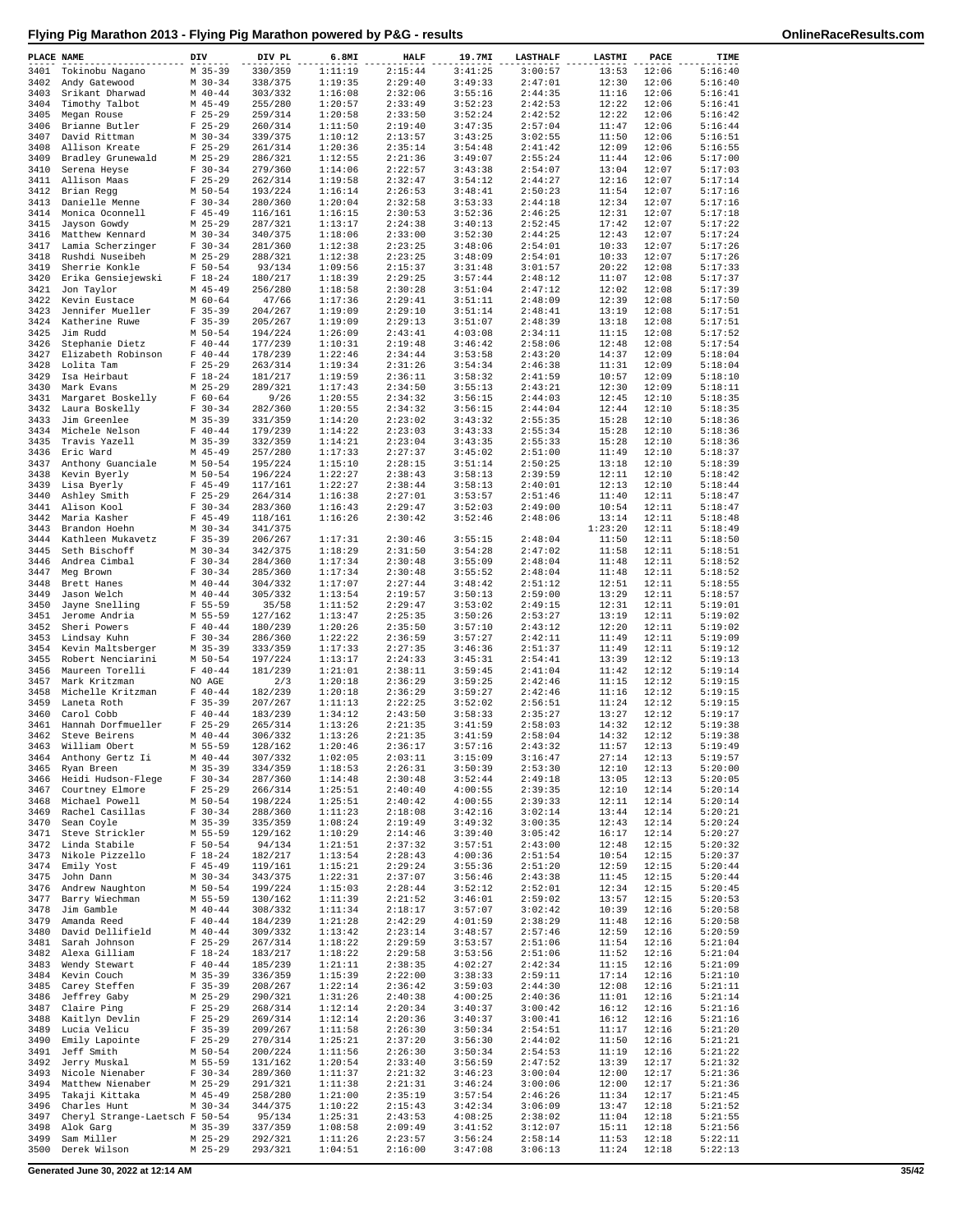| PLACE NAME   |                                     | DIV |                        | DIV PL             | 6.8MI              | <b>HALF</b>        | 19.7MI             | <b>LASTHALF</b>    | LASTMI         | PACE           | TIME               |
|--------------|-------------------------------------|-----|------------------------|--------------------|--------------------|--------------------|--------------------|--------------------|----------------|----------------|--------------------|
| 3401         | Tokinobu Nagano                     |     | $M$ 35-39              | 330/359            | 1:11:19            | 2:15:44            | 3:41:25            | 3:00:57            | 13:53          | 12:06          | 5:16:40            |
| 3402         | Andy Gatewood                       |     | $M$ 30-34              | 338/375            | 1:19:35            | 2:29:40            | 3:49:33            | 2:47:01            | 12:30          | 12:06          | 5:16:40            |
| 3403         | Srikant Dharwad                     |     | $M$ 40-44              | 303/332            | 1:16:08            | 2:32:06            | 3:55:16            | 2:44:35            | 11:16          | 12:06          | 5:16:41            |
| 3404         | Timothy Talbot                      |     | M 45-49                | 255/280            | 1:20:57            | 2:33:49            | 3:52:23            | 2:42:53            | 12:22          | 12:06          | 5:16:41            |
| 3405         | Megan Rouse                         |     | $F$ 25-29              | 259/314            | 1:20:58            | 2:33:50            | 3:52:24            | 2:42:52            | 12:22          | 12:06          | 5:16:42            |
| 3406         | Brianne Butler                      |     | $F$ 25-29              | 260/314            | 1:11:50            | 2:19:40            | 3:47:35            | 2:57:04            | 11:47          | 12:06          | 5:16:44            |
| 3407         | David Rittman                       |     | $M$ 30-34              | 339/375<br>261/314 | 1:10:12            | 2:13:57<br>2:35:14 | 3:43:25            | 3:02:55            | 11:50<br>12:09 | 12:06          | 5:16:51            |
| 3408<br>3409 | Allison Kreate<br>Bradley Grunewald |     | $F$ 25-29<br>$M$ 25-29 | 286/321            | 1:20:36<br>1:12:55 | 2:21:36            | 3:54:48<br>3:49:07 | 2:41:42<br>2:55:24 | 11:44          | 12:06<br>12:06 | 5:16:55<br>5:17:00 |
| 3410         | Serena Heyse                        |     | $F 30-34$              | 279/360            | 1:14:06            | 2:22:57            | 3:43:38            | 2:54:07            | 13:04          | 12:07          | 5:17:03            |
| 3411         | Allison Maas                        |     | $F$ 25-29              | 262/314            | 1:19:58            | 2:32:47            | 3:54:12            | 2:44:27            | 12:16          | 12:07          | 5:17:14            |
| 3412         | Brian Regg                          |     | $M$ 50-54              | 193/224            | 1:16:14            | 2:26:53            | 3:48:41            | 2:50:23            | 11:54          | 12:07          | 5:17:16            |
| 3413         | Danielle Menne                      |     | $F 30-34$              | 280/360            | 1:20:04            | 2:32:58            | 3:53:33            | 2:44:18            | 12:34          | 12:07          | 5:17:16            |
| 3414         | Monica Oconnell                     |     | $F$ 45-49              | 116/161            | 1:16:15            | 2:30:53            | 3:52:36            | 2:46:25            | 12:31          | 12:07          | 5:17:18            |
| 3415         | Jayson Gowdy                        |     | $M$ 25-29              | 287/321            | 1:13:17            | 2:24:38            | 3:40:13            | 2:52:45            | 17:42          | 12:07          | 5:17:22            |
| 3416         | Matthew Kennard                     |     | $M$ 30-34              | 340/375            | 1:18:06            | 2:33:00            | 3:52:30            | 2:44:25            | 12:43          | 12:07          | 5:17:24            |
| 3417         | Lamia Scherzinger                   |     | $F 30-34$              | 281/360            | 1:12:38            | 2:23:25            | 3:48:06            | 2:54:01            | 10:33          | 12:07          | 5:17:26            |
| 3418         | Rushdi Nuseibeh                     |     | $M$ 25-29              | 288/321            | 1:12:38            | 2:23:25            | 3:48:09            | 2:54:01            | 10:33          | 12:07          | 5:17:26            |
| 3419         | Sherrie Konkle                      |     | $F 50 - 54$            | 93/134             | 1:09:56            | 2:15:37            | 3:31:48            | 3:01:57            | 20:22          | 12:08          | 5:17:33            |
| 3420         | Erika Gensiejewski                  |     | $F 18-24$              | 180/217            | 1:18:39            | 2:29:25            | 3:57:44            | 2:48:12            | 11:07          | 12:08          | 5:17:37            |
| 3421         | Jon Taylor                          |     | M 45-49                | 256/280            | 1:18:58            | 2:30:28            | 3:51:04            | 2:47:12            | 12:02          | 12:08          | 5:17:39            |
| 3422<br>3423 | Kevin Eustace<br>Jennifer Mueller   |     | $M$ 60-64<br>$F$ 35-39 | 47/66<br>204/267   | 1:17:36<br>1:19:09 | 2:29:41<br>2:29:10 | 3:51:11<br>3:51:14 | 2:48:09<br>2:48:41 | 12:39<br>13:19 | 12:08<br>12:08 | 5:17:50<br>5:17:51 |
| 3424         | Katherine Ruwe                      |     | $F$ 35-39              | 205/267            | 1:19:09            | 2:29:13            | 3:51:07            | 2:48:39            | 13:18          | 12:08          | 5:17:51            |
| 3425         | Jim Rudd                            |     | $M$ 50-54              | 194/224            | 1:26:09            | 2:43:41            | 4:03:08            | 2:34:11            | 11:15          | 12:08          | 5:17:52            |
| 3426         | Stephanie Dietz                     |     | $F 40 - 44$            | 177/239            | 1:10:31            | 2:19:48            | 3:46:42            | 2:58:06            | 12:48          | 12:08          | 5:17:54            |
| 3427         | Elizabeth Robinson                  |     | $F 40 - 44$            | 178/239            | 1:22:46            | 2:34:44            | 3:53:58            | 2:43:20            | 14:37          | 12:09          | 5:18:04            |
| 3428         | Lolita Tam                          |     | $F$ 25-29              | 263/314            | 1:19:34            | 2:31:26            | 3:54:34            | 2:46:38            | 11:31          | 12:09          | 5:18:04            |
| 3429         | Isa Heirbaut                        |     | $F 18 - 24$            | 181/217            | 1:19:59            | 2:36:11            | 3:58:32            | 2:41:59            | 10:57          | 12:09          | 5:18:10            |
| 3430         | Mark Evans                          |     | $M$ 25-29              | 289/321            | 1:17:43            | 2:34:50            | 3:55:13            | 2:43:21            | 12:30          | 12:09          | 5:18:11            |
| 3431         | Margaret Boskelly                   |     | $F 60 - 64$            | 9/26               | 1:20:55            | 2:34:32            | 3:56:15            | 2:44:03            | 12:45          | 12:10          | 5:18:35            |
| 3432         | Laura Boskelly                      |     | $F 30-34$              | 282/360            | 1:20:55            | 2:34:32            | 3:56:15            | 2:44:04            | 12:44          | 12:10          | 5:18:35            |
| 3433         | Jim Greenlee                        |     | M 35-39                | 331/359            | 1:14:20            | 2:23:02            | 3:43:32            | 2:55:35            | 15:28          | 12:10          | 5:18:36            |
| 3434         | Michele Nelson                      |     | $F 40 - 44$            | 179/239            | 1:14:22            | 2:23:03            | 3:43:33            | 2:55:34            | 15:28          | 12:10          | 5:18:36            |
| 3435         | Travis Yazell                       |     | $M$ 35-39              | 332/359            | 1:14:21            | 2:23:04            | 3:43:35            | 2:55:33            | 15:28          | 12:10          | 5:18:36            |
| 3436         | Eric Ward                           |     | M 45-49                | 257/280            | 1:17:33            | 2:27:37            | 3:45:02            | 2:51:00            | 11:49          | 12:10          | 5:18:37            |
| 3437         | Anthony Guanciale                   |     | M 50-54                | 195/224            | 1:15:10            | 2:28:15            | 3:51:14            | 2:50:25            | 13:18          | 12:10          | 5:18:39            |
| 3438<br>3439 | Kevin Byerly                        |     | $M$ 50-54<br>$F$ 45-49 | 196/224            | 1:22:27<br>1:22:27 | 2:38:43<br>2:38:44 | 3:58:13            | 2:39:59<br>2:40:01 | 12:11<br>12:13 | 12:10<br>12:10 | 5:18:42<br>5:18:44 |
| 3440         | Lisa Byerly<br>Ashley Smith         |     | $F$ 25-29              | 117/161<br>264/314 | 1:16:38            | 2:27:01            | 3:58:13<br>3:53:57 | 2:51:46            | 11:40          | 12:11          | 5:18:47            |
| 3441         | Alison Kool                         |     | $F 30-34$              | 283/360            | 1:16:43            | 2:29:47            | 3:52:03            | 2:49:00            | 10:54          | 12:11          | 5:18:47            |
| 3442         | Maria Kasher                        |     | $F$ 45-49              | 118/161            | 1:16:26            | 2:30:42            | 3:52:46            | 2:48:06            | 13:14          | 12:11          | 5:18:48            |
| 3443         | Brandon Hoehn                       |     | $M$ 30-34              | 341/375            |                    |                    |                    |                    | 1:23:20        | 12:11          | 5:18:49            |
| 3444         | Kathleen Mukavetz                   |     | $F$ 35-39              | 206/267            | 1:17:31            | 2:30:46            | 3:55:15            | 2:48:04            | 11:50          | 12:11          | 5:18:50            |
| 3445         | Seth Bischoff                       |     | $M$ 30-34              | 342/375            | 1:18:29            | 2:31:50            | 3:54:28            | 2:47:02            | 11:58          | 12:11          | 5:18:51            |
| 3446         | Andrea Cimbal                       |     | $F 30-34$              | 284/360            | 1:17:34            | 2:30:48            | 3:55:09            | 2:48:04            | 11:48          | 12:11          | 5:18:52            |
| 3447         | Meg Brown                           |     | $F 30-34$              | 285/360            | 1:17:34            | 2:30:48            | 3:55:52            | 2:48:04            | 11:48          | 12:11          | 5:18:52            |
| 3448         | Brett Hanes                         |     | $M$ 40-44              | 304/332            | 1:17:07            | 2:27:44            | 3:48:42            | 2:51:12            | 12:51          | 12:11          | 5:18:55            |
| 3449         | Jason Welch                         |     | $M$ 40-44              | 305/332            | 1:13:54            | 2:19:57            | 3:50:13            | 2:59:00            | 13:29          | 12:11          | 5:18:57            |
| 3450         | Jayne Snelling                      |     | $F 55 - 59$            | 35/58              | 1:11:52            | 2:29:47            | 3:53:02            | 2:49:15            | 12:31          | 12:11          | 5:19:01            |
| 3451         | Jerome Andria                       |     | M 55-59                | 127/162            | 1:13:47            | 2:25:35            | 3:50:26            | 2:53:27            | 13:19          | 12:11          | 5:19:02            |
| 3452         | Sheri Powers                        |     | $F 40 - 44$            | 180/239            | 1:20:26            | 2:35:50            | 3:57:10            | 2:43:12            | 12:20          | 12:11          | 5:19:02            |
| 3453<br>3454 | Lindsay Kuhn<br>Kevin Maltsberger   |     | $F 30-34$<br>$M$ 35-39 | 286/360<br>333/359 | 1:22:22<br>1:17:33 | 2:36:59<br>2:27:35 | 3:57:27<br>3:46:36 | 2:42:11<br>2:51:37 | 11:49<br>11:49 | 12:11<br>12:11 | 5:19:09<br>5:19:12 |
| 3455         | Robert Nenciarini                   |     | $M$ 50-54              | 197/224            | 1:13:17            | 2:24:33            | 3:45:31            | 2:54:41            | 13:39          | 12:12          | 5:19:13            |
| 3456         | Maureen Torelli                     |     | $F 40 - 44$            | 181/239            | 1:21:01            | 2:38:11            | 3:59:45            | 2:41:04            | 11:42          | 12:12          | 5:19:14            |
| 3457         | Mark Kritzman                       |     | NO AGE                 | 2/3                | 1:20:18            | 2:36:29            | 3:59:25            | 2:42:46            | 11:15          | 12:12          | 5:19:15            |
| 3458         | Michelle Kritzman                   |     | $F 40 - 44$            | 182/239            | 1:20:18            | 2:36:29            | 3:59:27            | 2:42:46            | 11:16          | 12:12          | 5:19:15            |
| 3459         | Laneta Roth                         |     | $F$ 35-39              | 207/267            | 1:11:13            | 2:22:25            | 3:52:02            | 2:56:51            | 11:24          | 12:12          | 5:19:15            |
| 3460         | Carol Cobb                          |     | $F 40 - 44$            | 183/239            | 1:34:12            | 2:43:50            | 3:58:33            | 2:35:27            | 13:27          | 12:12          | 5:19:17            |
| 3461         | Hannah Dorfmueller                  |     | $F$ 25-29              | 265/314            | 1:13:26            | 2:21:35            | 3:41:59            | 2:58:03            | 14:32          | 12:12          | 5:19:38            |
| 3462         | Steve Beirens                       |     | $M$ 40-44              | 306/332            | 1:13:26            | 2:21:35            | 3:41:59            | 2:58:04            | 14:32          | 12:12          | 5:19:38            |
|              | 3463 William Obert                  |     | M 55-59                | 128/162            | 1:20:46            | 2:36:17            | 3:57:16            | 2:43:32            | 11:57          | 12:13          | 5:19:49            |
| 3464         | Anthony Gertz Ii                    |     | $M$ 40-44              | 307/332            | 1:02:05            | 2:03:11            | 3:15:09            | 3:16:47            | 27:14          | 12:13          | 5:19:57            |
| 3465<br>3466 | Ryan Breen<br>Heidi Hudson-Flege    |     | $M$ 35-39<br>$F 30-34$ | 334/359            | 1:18:53<br>1:14:48 | 2:26:31<br>2:30:48 | 3:50:39<br>3:52:44 | 2:53:30<br>2:49:18 | 12:10<br>13:05 | 12:13<br>12:13 | 5:20:00<br>5:20:05 |
| 3467         | Courtney Elmore                     |     | $F$ 25-29              | 287/360<br>266/314 | 1:25:51            | 2:40:40            | 4:00:55            | 2:39:35            | 12:10          | 12:14          | 5:20:14            |
| 3468         | Michael Powell                      |     | $M$ 50-54              | 198/224            | 1:25:51            | 2:40:42            | 4:00:55            | 2:39:33            | 12:11          | 12:14          | 5:20:14            |
| 3469         | Rachel Casillas                     |     | $F 30-34$              | 288/360            | 1:11:23            | 2:18:08            | 3:42:16            | 3:02:14            | 13:44          | 12:14          | 5:20:21            |
| 3470         | Sean Coyle                          |     | $M$ 35-39              | 335/359            | 1:08:24            | 2:19:49            | 3:49:32            | 3:00:35            | 12:43          | 12:14          | 5:20:24            |
| 3471         | Steve Strickler                     |     | M 55-59                | 129/162            | 1:10:29            | 2:14:46            | 3:39:40            | 3:05:42            | 16:17          | 12:14          | 5:20:27            |
| 3472         | Linda Stabile                       |     | $F 50-54$              | 94/134             | 1:21:51            | 2:37:32            | 3:57:51            | 2:43:00            | 12:48          | 12:15          | 5:20:32            |
| 3473         | Nikole Pizzello                     |     | $F 18-24$              | 182/217            | 1:13:54            | 2:28:43            | 4:00:36            | 2:51:54            | 10:54          | 12:15          | 5:20:37            |
| 3474         | Emily Yost                          |     | $F$ 45-49              | 119/161            | 1:15:21            | 2:29:24            | 3:55:36            | 2:51:20            | 12:59          | 12:15          | 5:20:44            |
| 3475         | John Dann                           |     | $M$ 30-34              | 343/375            | 1:22:31            | 2:37:07            | 3:56:46            | 2:43:38            | 11:45          | 12:15          | 5:20:44            |
| 3476         | Andrew Naughton                     |     | $M$ 50-54              | 199/224            | 1:15:03            | 2:28:44            | 3:52:12            | 2:52:01            | 12:34          | 12:15          | 5:20:45            |
| 3477         | Barry Wiechman                      |     | M 55-59<br>$M$ 40-44   | 130/162            | 1:11:39            | 2:21:52            | 3:46:01            | 2:59:02            | 13:57          | 12:15          | 5:20:53            |
| 3478<br>3479 | Jim Gamble<br>Amanda Reed           |     | $F 40 - 44$            | 308/332<br>184/239 | 1:11:34            | 2:18:17<br>2:42:29 | 3:57:07<br>4:01:59 | 3:02:42            | 10:39<br>11:48 | 12:16<br>12:16 | 5:20:58<br>5:20:58 |
| 3480         | David Dellifield                    |     | $M$ 40-44              | 309/332            | 1:21:28<br>1:13:42 | 2:23:14            | 3:48:57            | 2:38:29<br>2:57:46 | 12:59          | 12:16          | 5:20:59            |
| 3481         | Sarah Johnson                       |     | $F$ 25-29              | 267/314            | 1:18:22            | 2:29:59            | 3:53:57            | 2:51:06            | 11:54          | 12:16          | 5:21:04            |
| 3482         | Alexa Gilliam                       |     | $F 18-24$              | 183/217            | 1:18:22            | 2:29:58            | 3:53:56            | 2:51:06            | 11:52          | 12:16          | 5:21:04            |
| 3483         | Wendy Stewart                       |     | $F 40 - 44$            | 185/239            | 1:21:11            | 2:38:35            | 4:02:27            | 2:42:34            | 11:15          | 12:16          | 5:21:09            |
| 3484         | Kevin Couch                         |     | $M$ 35-39              | 336/359            | 1:15:39            | 2:22:00            | 3:38:33            | 2:59:11            | 17:14          | 12:16          | 5:21:10            |
| 3485         | Carey Steffen                       |     | $F$ 35-39              | 208/267            | 1:22:14            | 2:36:42            | 3:59:03            | 2:44:30            | 12:08          | 12:16          | 5:21:11            |
| 3486         | Jeffrey Gaby                        |     | $M$ 25-29              | 290/321            | 1:31:26            | 2:40:38            | 4:00:25            | 2:40:36            | 11:01          | 12:16          | 5:21:14            |
| 3487         | Claire Ping                         |     | $F$ 25-29              | 268/314            | 1:12:14            | 2:20:34            | 3:40:37            | 3:00:42            | 16:12          | 12:16          | 5:21:16            |
| 3488         | Kaitlyn Devlin                      |     | $F$ 25-29              | 269/314            | 1:12:14            | 2:20:36            | 3:40:37            | 3:00:41            | 16:12          | 12:16          | 5:21:16            |
| 3489         | Lucia Velicu                        |     | $F$ 35-39              | 209/267            | 1:11:58            | 2:26:30            | 3:50:34            | 2:54:51            | 11:17          | 12:16          | 5:21:20            |
| 3490         | Emily Lapointe                      |     | $F$ 25-29              | 270/314            | 1:25:21            | 2:37:20            | 3:56:30            | 2:44:02            | 11:50          | 12:16          | 5:21:21            |
| 3491         | Jeff Smith                          |     | $M$ 50-54              | 200/224            | 1:11:56            | 2:26:30            | 3:50:34            | 2:54:53            | 11:19          | 12:16          | 5:21:22            |
| 3492<br>3493 | Jerry Muskal<br>Nicole Nienaber     |     | M 55-59<br>$F 30-34$   | 131/162            | 1:20:54<br>1:11:37 | 2:33:40<br>2:21:32 | 3:56:59            | 2:47:52<br>3:00:04 | 13:39<br>12:00 | 12:17<br>12:17 | 5:21:32<br>5:21:36 |
| 3494         | Matthew Nienaber                    |     | $M$ 25-29              | 289/360<br>291/321 | 1:11:38            | 2:21:31            | 3:46:23<br>3:46:24 | 3:00:06            | 12:00          | 12:17          | 5:21:36            |
| 3495         | Takaji Kittaka                      |     | $M$ 45-49              | 258/280            | 1:21:00            | 2:35:19            | 3:57:54            | 2:46:26            | 11:34          | 12:17          | 5:21:45            |
| 3496         | Charles Hunt                        |     | $M$ 30-34              | 344/375            | 1:10:22            | 2:15:43            | 3:42:34            | 3:06:09            | 13:47          | 12:18          | 5:21:52            |
| 3497         | Cheryl Strange-Laetsch F 50-54      |     |                        | 95/134             | 1:25:31            | 2:43:53            | 4:08:25            | 2:38:02            | 11:04          | 12:18          | 5:21:55            |
| 3498         | Alok Garq                           |     | $M$ 35-39              | 337/359            | 1:08:58            | 2:09:49            | 3:41:52            | 3:12:07            | 15:11          | 12:18          | 5:21:56            |
| 3499         | Sam Miller                          |     | $M$ 25-29              | 292/321            | 1:11:26            | 2:23:57            | 3:56:24            | 2:58:14            | 11:53          | 12:18          | 5:22:11            |
| 3500         | Derek Wilson                        |     | $M$ 25-29              | 293/321            | 1:04:51            | 2:16:00            | 3:47:08            | 3:06:13            | 11:24          | 12:18          | 5:22:13            |

**Generated June 30, 2022 at 12:14 AM 35/42**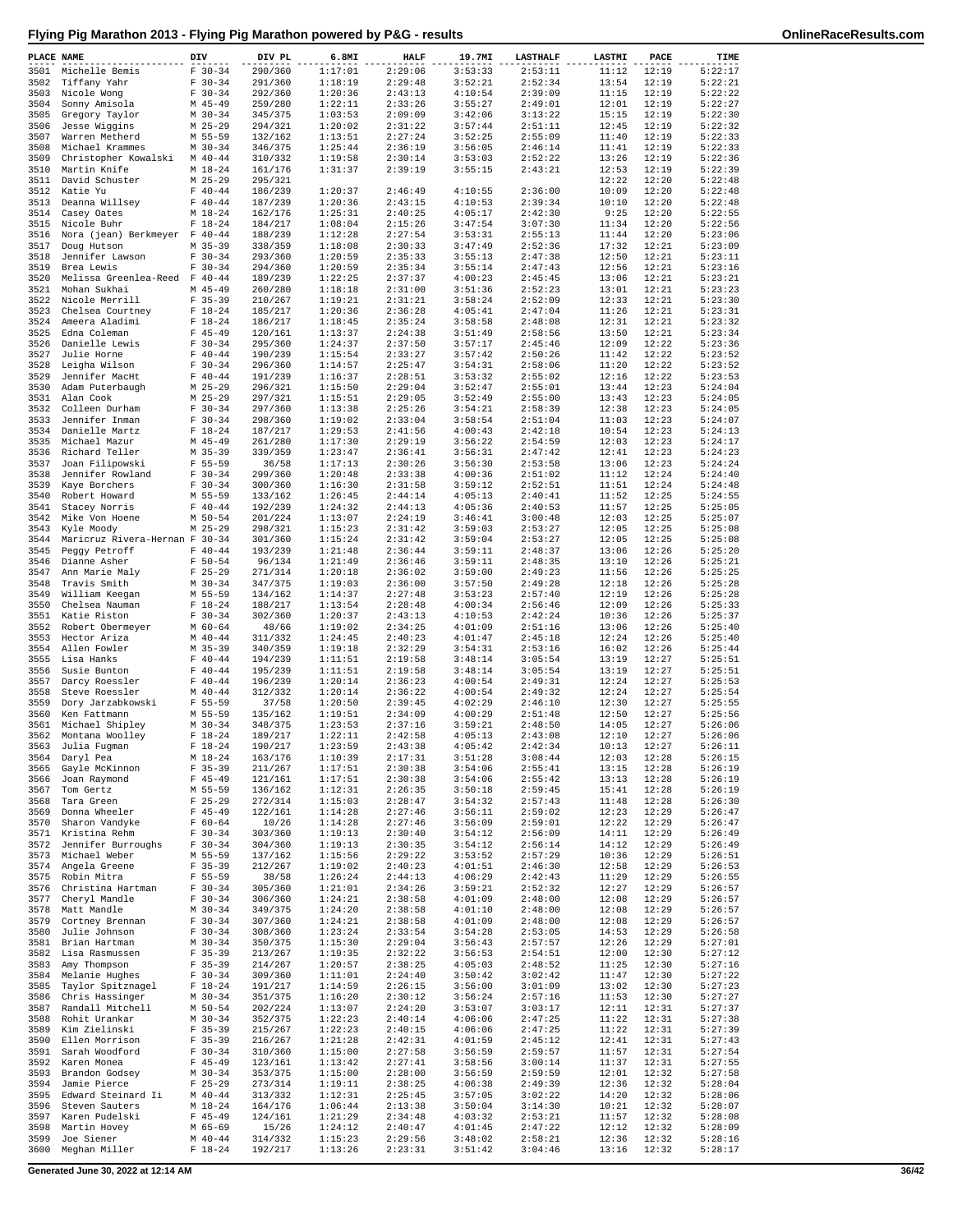| PLACE NAME   | ---------                                  | DIV                      | DIV PL             | 6.8MI              | <b>HALF</b>        | 19.7MI             | <b>LASTHALF</b>    | <b>LASTMI</b>  | PACE            | TIME               |
|--------------|--------------------------------------------|--------------------------|--------------------|--------------------|--------------------|--------------------|--------------------|----------------|-----------------|--------------------|
| 3501         | Michelle Bemis                             | $F 30-34$                | 290/360            | 1:17:01            | 2:29:06            | 3:53:33            | 2:53:11            | 11:12          | 12:19           | 5:22:17            |
| 3502         | Tiffany Yahr                               | $F 30-34$                | 291/360            | 1:18:19            | 2:29:48            | 3:52:21            | 2:52:34            | 13:54          | 12:19           | 5:22:21            |
| 3503         | Nicole Wong                                | $F 30-34$                | 292/360            | 1:20:36            | 2:43:13            | 4:10:54            | 2:39:09            | 11:15          | 12:19           | 5:22:22<br>5:22:27 |
| 3504<br>3505 | Sonny Amisola<br>Gregory Taylor            | M 45-49<br>$M$ 30-34     | 259/280<br>345/375 | 1:22:11<br>1:03:53 | 2:33:26<br>2:09:09 | 3:55:27<br>3:42:06 | 2:49:01<br>3:13:22 | 12:01<br>15:15 | 12:19<br>12:19  | 5:22:30            |
| 3506         | Jesse Wiggins                              | $M$ 25-29                | 294/321            | 1:20:02            | 2:31:22            | 3:57:44            | 2:51:11            | 12:45          | 12:19           | 5:22:32            |
| 3507         | Warren Metherd                             | M 55-59                  | 132/162            | 1:13:51            | 2:27:24            | 3:52:25            | 2:55:09            | 11:40          | 12:19           | 5:22:33            |
| 3508         | Michael Krammes                            | $M$ 30-34                | 346/375            | 1:25:44            | 2:36:19            | 3:56:05            | 2:46:14            | 11:41          | 12:19           | 5:22:33            |
| 3509         | Christopher Kowalski                       | $M$ 40-44                | 310/332            | 1:19:58            | 2:30:14            | 3:53:03            | 2:52:22            | 13:26          | 12:19           | 5:22:36            |
| 3510<br>3511 | Martin Knife<br>David Schuster             | M 18-24<br>$M$ 25-29     | 161/176<br>295/321 | 1:31:37            | 2:39:19            | 3:55:15            | 2:43:21            | 12:53<br>12:22 | 12:19<br>12:20  | 5:22:39<br>5:22:48 |
| 3512         | Katie Yu                                   | $F 40 - 44$              | 186/239            | 1:20:37            | 2:46:49            | 4:10:55            | 2:36:00            | 10:09          | 12:20           | 5:22:48            |
| 3513         | Deanna Willsey                             | $F 40 - 44$              | 187/239            | 1:20:36            | 2:43:15            | 4:10:53            | 2:39:34            | 10:10          | 12:20           | 5:22:48            |
|              | 3514 Casey Oates                           | $M_18-24$                | 162/176            | 1:25:31            | 2:40:25            | 4:05:17            | 2:42:30            | 9:25           | 12:20           | 5:22:55            |
| 3515         | Nicole Buhr                                | $F 18-24$                | 184/217            | 1:08:04            | 2:15:26            | 3:47:54            | 3:07:30            | 11:34          | 12:20           | 5:22:56            |
| 3516         | Nora (jean) Berkmeyer F 40-44              |                          | 188/239            | 1:12:28            | 2:27:54            | 3:53:31            | 2:55:13            | 11:44          | 12:20           | 5:23:06            |
| 3517<br>3518 | Doug Hutson<br>Jennifer Lawson             | $M$ 35-39<br>$F 30-34$   | 338/359<br>293/360 | 1:18:08<br>1:20:59 | 2:30:33<br>2:35:33 | 3:47:49<br>3:55:13 | 2:52:36<br>2:47:38 | 17:32<br>12:50 | 12:21<br>12:21  | 5:23:09<br>5:23:11 |
| 3519         | Brea Lewis                                 | $F 30-34$                | 294/360            | 1:20:59            | 2:35:34            | 3:55:14            | 2:47:43            | 12:56          | 12:21           | 5:23:16            |
| 3520         | Melissa Greenlea-Reed F 40-44              |                          | 189/239            | 1:22:25            | 2:37:37            | 4:00:23            | 2:45:45            | 13:06          | 12:21           | 5:23:21            |
| 3521         | Mohan Sukhai                               | M 45-49                  | 260/280            | 1:18:18            | 2:31:00            | 3:51:36            | 2:52:23            | 13:01          | 12:21           | 5:23:23            |
| 3522         | Nicole Merrill                             | $F$ 35-39                | 210/267            | 1:19:21            | 2:31:21            | 3:58:24            | 2:52:09            | 12:33          | 12:21           | 5:23:30            |
| 3523         | Chelsea Courtney                           | $F 18-24$                | 185/217            | 1:20:36            | 2:36:28            | 4:05:41            | 2:47:04            | 11:26          | 12:21           | 5:23:31            |
| 3524<br>3525 | Ameera Aladimi<br>Edna Coleman             | $F 18-24$<br>$F$ 45-49   | 186/217<br>120/161 | 1:18:45<br>1:13:37 | 2:35:24<br>2:24:38 | 3:58:58<br>3:51:49 | 2:48:08<br>2:58:56 | 12:31<br>13:50 | 12:21<br>12:21  | 5:23:32<br>5:23:34 |
| 3526         | Danielle Lewis                             | $F 30-34$                | 295/360            | 1:24:37            | 2:37:50            | 3:57:17            | 2:45:46            | 12:09          | 12:22           | 5:23:36            |
| 3527         | Julie Horne                                | $F 40-44$                | 190/239            | 1:15:54            | 2:33:27            | 3:57:42            | 2:50:26            | 11:42          | 12:22           | 5:23:52            |
| 3528         | Leigha Wilson                              | $F 30-34$                | 296/360            | 1:14:57            | 2:25:47            | 3:54:31            | 2:58:06            | 11:20          | 12:22           | 5:23:52            |
| 3529         | Jennifer MacHt                             | $F 40 - 44$              | 191/239            | 1:16:37            | 2:28:51            | 3:53:32            | 2:55:02            | 12:16          | 12:22           | 5:23:53            |
| 3530         | Adam Puterbaugh                            | $M$ 25-29                | 296/321            | 1:15:50            | 2:29:04            | 3:52:47            | 2:55:01            | 13:44          | 12:23           | 5:24:04            |
| 3531         | Alan Cook<br>3532 Colleen Durham           | $M$ 25-29<br>$F 30-34$   | 297/321<br>297/360 | 1:15:51<br>1:13:38 | 2:29:05<br>2:25:26 | 3:52:49<br>3:54:21 | 2:55:00<br>2:58:39 | 13:43<br>12:38 | 12:23<br>12:23  | 5:24:05<br>5:24:05 |
| 3533         | Jennifer Inman                             | $F 30-34$                | 298/360            | 1:19:02            | 2:33:04            | 3:58:54            | 2:51:04            | 11:03          | 12:23           | 5:24:07            |
|              | 3534 Danielle Martz                        | $F 18-24$                | 187/217            | 1:29:53            | 2:41:56            | 4:00:43            | 2:42:18            | 10:54          | 12:23           | 5:24:13            |
| 3535         | Michael Mazur                              | $M$ 45-49                | 261/280            | 1:17:30            | 2:29:19            | 3:56:22            | 2:54:59            | 12:03          | 12:23           | 5:24:17            |
| 3536         | Richard Teller                             | $M$ 35-39                | 339/359            | 1:23:47            | 2:36:41            | 3:56:31            | 2:47:42            | 12:41          | 12:23           | 5:24:23            |
| 3537         | Joan Filipowski                            | $F 55 - 59$              | 36/58              | 1:17:13            | 2:30:26            | 3:56:30            | 2:53:58            | 13:06          | 12:23           | 5:24:24            |
| 3538         | Jennifer Rowland                           | $F 30-34$                | 299/360            | 1:20:48            | 2:33:38            | 4:00:36            | 2:51:02            | 11:12          | 12:24           | 5:24:40            |
| 3539<br>3540 | Kaye Borchers<br>Robert Howard             | $F 30-34$<br>M 55-59     | 300/360<br>133/162 | 1:16:30<br>1:26:45 | 2:31:58<br>2:44:14 | 3:59:12<br>4:05:13 | 2:52:51<br>2:40:41 | 11:51<br>11:52 | 12:24<br>12:25  | 5:24:48<br>5:24:55 |
| 3541         | Stacey Norris                              | $F 40 - 44$              | 192/239            | 1:24:32            | 2:44:13            | 4:05:36            | 2:40:53            | 11:57          | 12:25           | 5:25:05            |
| 3542         | Mike Von Hoene                             | $M$ 50-54                | 201/224            | 1:13:07            | 2:24:19            | 3:46:41            | 3:00:48            | 12:03          | 12:25           | 5:25:07            |
| 3543         | Kyle Moody                                 | $M$ 25-29                | 298/321            | 1:15:23            | 2:31:42            | 3:59:03            | 2:53:27            | 12:05          | 12:25           | 5:25:08            |
| 3544         | Maricruz Rivera-Hernan F 30-34             |                          | 301/360            | 1:15:24            | 2:31:42            | 3:59:04            | 2:53:27            | 12:05          | 12:25           | 5:25:08            |
| 3545         | Peggy Petroff                              | $F$ 40-44                | 193/239            | 1:21:48            | 2:36:44            | 3:59:11            | 2:48:37            | 13:06          | 12:26           | 5:25:20            |
| 3546<br>3547 | Dianne Asher<br>Ann Marie Maly             | $F 50 - 54$<br>$F$ 25-29 | 96/134<br>271/314  | 1:21:49<br>1:20:18 | 2:36:46<br>2:36:02 | 3:59:11<br>3:59:00 | 2:48:35<br>2:49:23 | 13:10<br>11:56 | 12:26<br>12:26  | 5:25:21<br>5:25:25 |
| 3548         | Travis Smith                               | $M$ 30-34                | 347/375            | 1:19:03            | 2:36:00            | 3:57:50            | 2:49:28            | 12:18          | 12:26           | 5:25:28            |
| 3549         | William Keegan                             | M 55-59                  | 134/162            | 1:14:37            | 2:27:48            | 3:53:23            | 2:57:40            | 12:19          | 12:26           | 5:25:28            |
|              | 3550 Chelsea Nauman                        | $F 18-24$                | 188/217            | 1:13:54            | 2:28:48            | 4:00:34            | 2:56:46            | 12:09          | 12:26           | 5:25:33            |
| 3551         | Katie Riston                               | $F 30-34$                | 302/360            | 1:20:37            | 2:43:13            | 4:10:53            | 2:42:24            | 10:36          | 12:26           | 5:25:37            |
|              | 3552 Robert Obermeyer                      | M 60-64                  | 48/66              | 1:19:02            | 2:34:25            | 4:01:09            | 2:51:16            | 13:06          | 12:26           | 5:25:40            |
| 3553<br>3554 | Hector Ariza<br>Allen Fowler               | $M$ 40-44<br>$M$ 35-39   | 311/332<br>340/359 | 1:24:45<br>1:19:18 | 2:40:23<br>2:32:29 | 4:01:47<br>3:54:31 | 2:45:18<br>2:53:16 | 12:24<br>16:02 | 12:26<br>12:26  | 5:25:40<br>5:25:44 |
| 3555         | Lisa Hanks                                 | $F 40 - 44$              | 194/239            | 1:11:51            | 2:19:58            | 3:48:14            | 3:05:54            | 13:19          | 12:27           | 5:25:51            |
| 3556         | Susie Bunton                               | $F 40 - 44$              | 195/239            | 1:11:51            | 2:19:58            | 3:48:14            | 3:05:54            | 13:19          | 12:27           | 5:25:51            |
| 3557         | Darcy Roessler                             | $F 40-44$                | 196/239            | 1:20:14            | 2:36:23            | 4:00:54            | 2:49:31            | 12:24          | 12:27           | 5:25:53            |
| 3558         | Steve Roessler                             | $M$ 40-44                | 312/332            | 1:20:14            | 2:36:22            | 4:00:54            | 2:49:32            | 12:24          | 12:27           | 5:25:54            |
| 3559         | Dory Jarzabkowski                          | $F 55 - 59$              | 37/58              | 1:20:50            | 2:39:45            | 4:02:29            | 2:46:10            | 12:30          | 12:27           | 5:25:55            |
| 3560<br>3561 | Ken Fattmann<br>Michael Shipley            | M 55-59<br>$M$ 30-34     | 135/162<br>348/375 | 1:19:51<br>1:23:53 | 2:34:09<br>2:37:16 | 4:00:29<br>3:59:21 | 2:51:48<br>2:48:50 | 12:50<br>14:05 | 12:27<br>12:27  | 5:25:56<br>5:26:06 |
|              | 3562 Montana Woolley                       | $F 18-24$                | 189/217            | 1:22:11            | 2:42:58            | 4:05:13            | 2:43:08            | 12:10          | 12:27           | 5:26:06            |
|              | 3563 Julia Fugman                          | $F 18 - 24$              | 190/217            | 1:23:59            | 2:43:38            | 4:05:42            | 2:42:34            |                | $10:13$ $12:27$ | 5:26:11            |
|              | 3564 Daryl Pea                             | $M_18-24$                | 163/176            | 1:10:39            | 2:17:31            | 3:51:28            | 3:08:44            | 12:03          | 12:28           | 5:26:15            |
| 3565         | Gayle McKinnon                             | $F$ 35-39                | 211/267            | 1:17:51            | 2:30:38            | 3:54:06            | 2:55:41            | 13:15          | 12:28           | 5:26:19            |
| 3566         | Joan Raymond                               | F 45-49                  | 121/161            | 1:17:51            | 2:30:38            | 3:54:06            | 2:55:42            | 13:13          | 12:28           | 5:26:19            |
| 3567<br>3568 | Tom Gertz<br>Tara Green                    | M 55-59<br>$F$ 25-29     | 136/162<br>272/314 | 1:12:31<br>1:15:03 | 2:26:35<br>2:28:47 | 3:50:18<br>3:54:32 | 2:59:45<br>2:57:43 | 15:41<br>11:48 | 12:28<br>12:28  | 5:26:19<br>5:26:30 |
| 3569         | Donna Wheeler                              | $F$ 45-49                | 122/161            | 1:14:28            | 2:27:46            | 3:56:11            | 2:59:02            | 12:23          | 12:29           | 5:26:47            |
| 3570         | Sharon Vandyke                             | $F 60 - 64$              | 10/26              | 1:14:28            | 2:27:46            | 3:56:09            | 2:59:01            | 12:22          | 12:29           | 5:26:47            |
| 3571         | Kristina Rehm                              | $F 30-34$                | 303/360            | 1:19:13            | 2:30:40            | 3:54:12            | 2:56:09            | 14:11          | 12:29           | 5:26:49            |
| 3572         | Jennifer Burroughs                         | $F$ 30-34                | 304/360            | 1:19:13            | 2:30:35            | 3:54:12            | 2:56:14            | 14:12          | 12:29           | 5:26:49            |
| 3573<br>3574 | Michael Weber<br>Angela Greene             | M 55-59<br>$F$ 35-39     | 137/162<br>212/267 | 1:15:56            | 2:29:22            | 3:53:52            | 2:57:29<br>2:46:30 | 10:36          | 12:29<br>12:29  | 5:26:51<br>5:26:53 |
| 3575         | Robin Mitra                                | F 55-59                  | 38/58              | 1:19:02<br>1:26:24 | 2:40:23<br>2:44:13 | 4:01:51<br>4:06:29 | 2:42:43            | 12:58<br>11:29 | 12:29           | 5:26:55            |
| 3576         | Christina Hartman                          | $F 30-34$                | 305/360            | 1:21:01            | 2:34:26            | 3:59:21            | 2:52:32            | 12:27          | 12:29           | 5:26:57            |
| 3577         | Cheryl Mandle                              | $F 30-34$                | 306/360            | 1:24:21            | 2:38:58            | 4:01:09            | 2:48:00            | 12:08          | 12:29           | 5:26:57            |
| 3578         | Matt Mandle                                | $M$ 30-34                | 349/375            | 1:24:20            | 2:38:58            | 4:01:10            | 2:48:00            | 12:08          | 12:29           | 5:26:57            |
| 3579         | Cortney Brennan                            | $F 30-34$                | 307/360            | 1:24:21            | 2:38:58            | 4:01:09            | 2:48:00            | 12:08          | 12:29           | 5:26:57            |
| 3580         | Julie Johnson                              | $F 30-34$                | 308/360            | 1:23:24            | 2:33:54            | 3:54:28            | 2:53:05            | 14:53          | 12:29           | 5:26:58            |
| 3581<br>3582 | Brian Hartman<br>Lisa Rasmussen            | $M$ 30-34<br>$F$ 35-39   | 350/375<br>213/267 | 1:15:30<br>1:19:35 | 2:29:04<br>2:32:22 | 3:56:43<br>3:56:53 | 2:57:57<br>2:54:51 | 12:26<br>12:00 | 12:29<br>12:30  | 5:27:01<br>5:27:12 |
| 3583         | Amy Thompson                               | $F$ 35-39                | 214/267            | 1:20:57            | 2:38:25            | 4:05:03            | 2:48:52            | 11:25          | 12:30           | 5:27:16            |
| 3584         | Melanie Hughes                             | $F 30-34$                | 309/360            | 1:11:01            | 2:24:40            | 3:50:42            | 3:02:42            | 11:47          | 12:30           | 5:27:22            |
| 3585         | Taylor Spitznagel                          | $F 18-24$                | 191/217            | 1:14:59            | 2:26:15            | 3:56:00            | 3:01:09            | 13:02          | 12:30           | 5:27:23            |
| 3586         | Chris Hassinger                            | $M$ 30-34                | 351/375            | 1:16:20            | 2:30:12            | 3:56:24            | 2:57:16            | 11:53          | 12:30           | 5:27:27            |
| 3587         | Randall Mitchell                           | M 50-54                  | 202/224            | 1:13:07            | 2:24:20            | 3:53:07            | 3:03:17            | 12:11          | 12:31           | 5:27:37            |
| 3588<br>3589 | Rohit Urankar<br>Kim Zielinski             | $M$ 30-34<br>$F$ 35-39   | 352/375<br>215/267 | 1:22:23<br>1:22:23 | 2:40:14<br>2:40:15 | 4:06:06<br>4:06:06 | 2:47:25<br>2:47:25 | 11:22<br>11:22 | 12:31<br>12:31  | 5:27:38<br>5:27:39 |
| 3590         | Ellen Morrison                             | $F$ 35-39                | 216/267            | 1:21:28            | 2:42:31            | 4:01:59            | 2:45:12            | 12:41          | 12:31           | 5:27:43            |
| 3591         | Sarah Woodford                             | $F 30-34$                | 310/360            | 1:15:00            | 2:27:58            | 3:56:59            | 2:59:57            | 11:57          | 12:31           | 5:27:54            |
| 3592         | Karen Monea                                | $F$ 45-49                | 123/161            | 1:13:42            | 2:27:41            | 3:58:56            | 3:00:14            | 11:37          | 12:31           | 5:27:55            |
| 3593         | Brandon Godsey                             | M 30-34                  | 353/375            | 1:15:00            | 2:28:00            | 3:56:59            | 2:59:59            | 12:01          | 12:32           | 5:27:58            |
| 3594<br>3595 | Jamie Pierce<br>Edward Steinard Ii M 40-44 | $F$ 25-29                | 273/314            | 1:19:11            | 2:38:25<br>2:25:45 | 4:06:38            | 2:49:39<br>3:02:22 | 12:36          | 12:32<br>12:32  | 5:28:04<br>5:28:06 |
| 3596         | Steven Sauters                             | $M_18-24$                | 313/332<br>164/176 | 1:12:31<br>1:06:44 | 2:13:38            | 3:57:05<br>3:50:04 | 3:14:30            | 14:20<br>10:21 | 12:32           | 5:28:07            |
| 3597         | Karen Pudelski                             | $F$ 45-49                | 124/161            | 1:21:29            | 2:34:48            | 4:03:32            | 2:53:21            | 11:57          | 12:32           | 5:28:08            |
| 3598         | Martin Hovey                               | M 65-69                  | 15/26              | 1:24:12            | 2:40:47            | 4:01:45            | 2:47:22            | 12:12          | 12:32           | 5:28:09            |
| 3599         | Joe Siener                                 | $M$ 40-44                | 314/332            | 1:15:23            | 2:29:56            | 3:48:02            | 2:58:21            | 12:36          | 12:32           | 5:28:16            |
| 3600         | Meghan Miller                              | $F 18-24$                | 192/217            | 1:13:26            | 2:23:31            | 3:51:42            | 3:04:46            | 13:16          | 12:32           | 5:28:17            |

**Generated June 30, 2022 at 12:14 AM 36/42**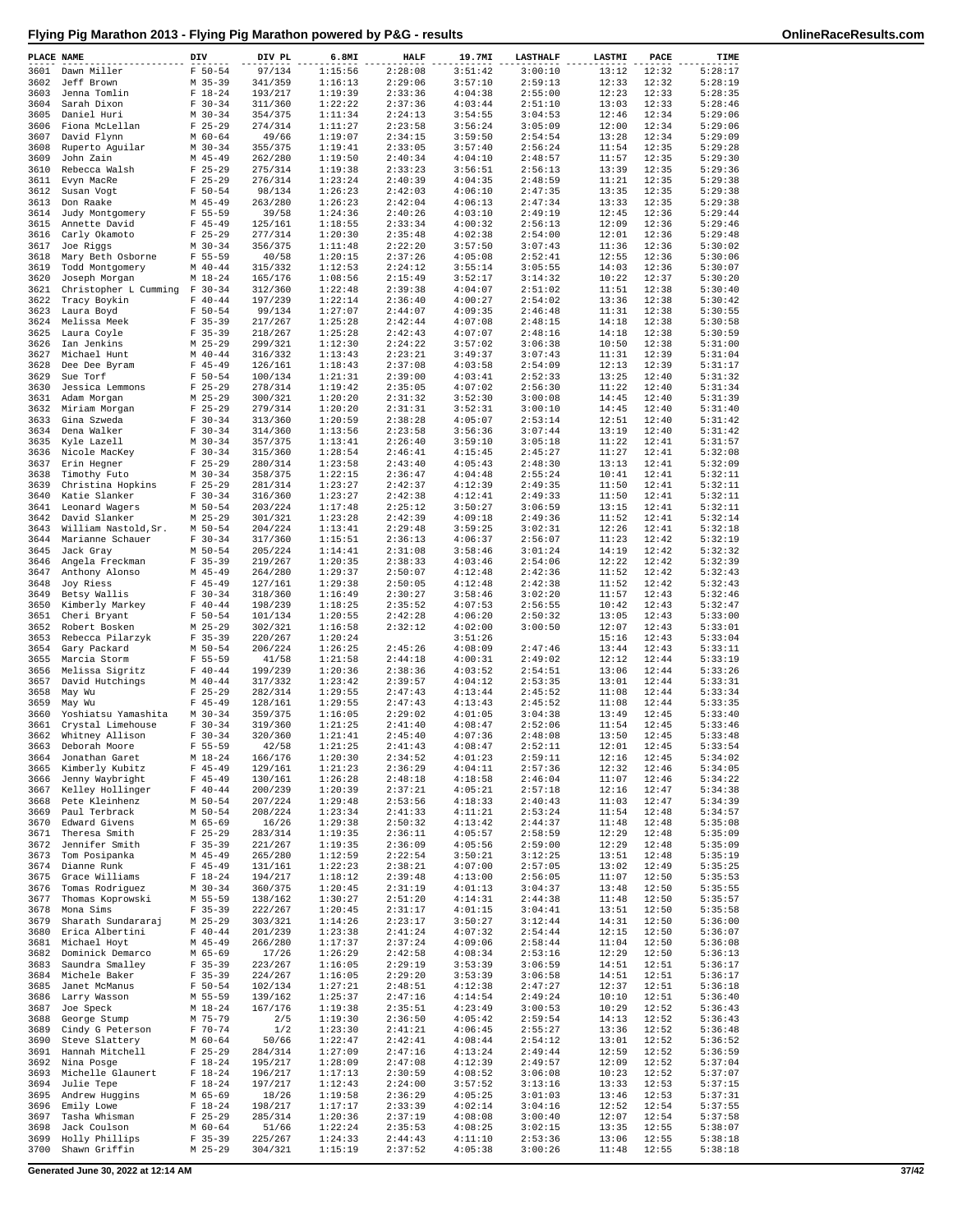| PLACE NAME   |                                                | DIV                        | DIV PL             | 6.8MI              | HALF               | 19.7MI             | <b>LASTHALF</b>    | <b>LASTMI</b>  | PACE           | TIME               |
|--------------|------------------------------------------------|----------------------------|--------------------|--------------------|--------------------|--------------------|--------------------|----------------|----------------|--------------------|
| 3601         | Dawn Miller                                    | $F 50 - 54$                | 97/134             | 1:15:56            | 2:28:08            | 3:51:42            | 3:00:10            | 13:12          | 12:32          | 5:28:17            |
| 3602<br>3603 | Jeff Brown                                     | $M$ 35-39<br>$F 18 - 24$   | 341/359            | 1:16:13<br>1:19:39 | 2:29:06<br>2:33:36 | 3:57:10<br>4:04:38 | 2:59:13            | 12:33<br>12:23 | 12:32<br>12:33 | 5:28:19<br>5:28:35 |
| 3604         | Jenna Tomlin<br>Sarah Dixon                    | $F 30-34$                  | 193/217<br>311/360 | 1:22:22            | 2:37:36            | 4:03:44            | 2:55:00<br>2:51:10 | 13:03          | 12:33          | 5:28:46            |
| 3605         | Daniel Huri                                    | $M$ 30-34                  | 354/375            | 1:11:34            | 2:24:13            | 3:54:55            | 3:04:53            | 12:46          | 12:34          | 5:29:06            |
| 3606         | Fiona McLellan                                 | $F$ 25-29                  | 274/314            | 1:11:27            | 2:23:58            | 3:56:24            | 3:05:09            | 12:00          | 12:34          | 5:29:06            |
| 3607         | David Flynn                                    | $M$ 60-64                  | 49/66              | 1:19:07            | 2:34:15            | 3:59:50            | 2:54:54            | 13:28          | 12:34          | 5:29:09            |
| 3608<br>3609 | Ruperto Aguilar<br>John Zain                   | $M$ 30-34<br>$M$ 45-49     | 355/375<br>262/280 | 1:19:41<br>1:19:50 | 2:33:05<br>2:40:34 | 3:57:40<br>4:04:10 | 2:56:24<br>2:48:57 | 11:54<br>11:57 | 12:35<br>12:35 | 5:29:28<br>5:29:30 |
| 3610         | Rebecca Walsh                                  | $F$ 25-29                  | 275/314            | 1:19:38            | 2:33:23            | 3:56:51            | 2:56:13            | 13:39          | 12:35          | 5:29:36            |
| 3611         | Evyn MacRe                                     | $F$ 25-29                  | 276/314            | 1:23:24            | 2:40:39            | 4:04:35            | 2:48:59            | 11:21          | 12:35          | 5:29:38            |
| 3612         | Susan Vogt                                     | $F 50 - 54$                | 98/134             | 1:26:23            | 2:42:03            | 4:06:10            | 2:47:35            | 13:35          | 12:35          | 5:29:38            |
| 3613         | Don Raake                                      | $M$ 45-49                  | 263/280            | 1:26:23            | 2:42:04            | 4:06:13            | 2:47:34            | 13:33          | 12:35          | 5:29:38            |
| 3614<br>3615 | Judy Montgomery                                | $F 55 - 59$<br>$F$ 45-49   | 39/58<br>125/161   | 1:24:36<br>1:18:55 | 2:40:26<br>2:33:34 | 4:03:10<br>4:00:32 | 2:49:19<br>2:56:13 | 12:45<br>12:09 | 12:36<br>12:36 | 5:29:44<br>5:29:46 |
| 3616         | Annette David<br>Carly Okamoto                 | $F$ 25-29                  | 277/314            | 1:20:30            | 2:35:48            | 4:02:38            | 2:54:00            | 12:01          | 12:36          | 5:29:48            |
| 3617         | Joe Riggs                                      | $M$ 30-34                  | 356/375            | 1:11:48            | 2:22:20            | 3:57:50            | 3:07:43            | 11:36          | 12:36          | 5:30:02            |
| 3618         | Mary Beth Osborne                              | $F 55 - 59$                | 40/58              | 1:20:15            | 2:37:26            | 4:05:08            | 2:52:41            | 12:55          | 12:36          | 5:30:06            |
| 3619         | Todd Montgomery                                | $M$ 40-44                  | 315/332            | 1:12:53            | 2:24:12            | 3:55:14            | 3:05:55            | 14:03          | 12:36          | 5:30:07            |
| 3620<br>3621 | Joseph Morgan<br>Christopher L Cumming F 30-34 | $M_18-24$                  | 165/176<br>312/360 | 1:08:56<br>1:22:48 | 2:15:49<br>2:39:38 | 3:52:17<br>4:04:07 | 3:14:32<br>2:51:02 | 10:22<br>11:51 | 12:37<br>12:38 | 5:30:20<br>5:30:40 |
| 3622         | Tracy Boykin                                   | $F 40-44$                  | 197/239            | 1:22:14            | 2:36:40            | 4:00:27            | 2:54:02            | 13:36          | 12:38          | 5:30:42            |
| 3623         | Laura Boyd                                     | $F 50 - 54$                | 99/134             | 1:27:07            | 2:44:07            | 4:09:35            | 2:46:48            | 11:31          | 12:38          | 5:30:55            |
| 3624         | Melissa Meek                                   | $F$ 35-39                  | 217/267            | 1:25:28            | 2:42:44            | 4:07:08            | 2:48:15            | 14:18          | 12:38          | 5:30:58            |
| 3625         | Laura Coyle                                    | $F$ 35-39                  | 218/267            | 1:25:28            | 2:42:43            | 4:07:07            | 2:48:16            | 14:18          | 12:38          | 5:30:59            |
| 3626<br>3627 | Ian Jenkins<br>Michael Hunt                    | $M$ 25-29<br>$M$ 40-44     | 299/321<br>316/332 | 1:12:30<br>1:13:43 | 2:24:22<br>2:23:21 | 3:57:02<br>3:49:37 | 3:06:38<br>3:07:43 | 10:50<br>11:31 | 12:38<br>12:39 | 5:31:00<br>5:31:04 |
| 3628         | Dee Dee Byram                                  | $F$ 45-49                  | 126/161            | 1:18:43            | 2:37:08            | 4:03:58            | 2:54:09            | 12:13          | 12:39          | 5:31:17            |
| 3629         | Sue Torf                                       | $F 50 - 54$                | 100/134            | 1:21:31            | 2:39:00            | 4:03:41            | 2:52:33            | 13:25          | 12:40          | 5:31:32            |
| 3630         | Jessica Lemmons                                | $F$ 25-29                  | 278/314            | 1:19:42            | 2:35:05            | 4:07:02            | 2:56:30            | 11:22          | 12:40          | 5:31:34            |
| 3631         | Adam Morgan                                    | $M$ 25-29                  | 300/321            | 1:20:20            | 2:31:32            | 3:52:30            | 3:00:08            | 14:45          | 12:40          | 5:31:39            |
| 3632<br>3633 | Miriam Morgan<br>Gina Szweda                   | $F$ 25-29<br>$F 30-34$     | 279/314<br>313/360 | 1:20:20<br>1:20:59 | 2:31:31<br>2:38:28 | 3:52:31<br>4:05:07 | 3:00:10<br>2:53:14 | 14:45<br>12:51 | 12:40<br>12:40 | 5:31:40<br>5:31:42 |
| 3634         | Dena Walker                                    | $F 30-34$                  | 314/360            | 1:13:56            | 2:23:58            | 3:56:36            | 3:07:44            | 13:19          | 12:40          | 5:31:42            |
| 3635         | Kyle Lazell                                    | $M$ 30-34                  | 357/375            | 1:13:41            | 2:26:40            | 3:59:10            | 3:05:18            | 11:22          | 12:41          | 5:31:57            |
| 3636         | Nicole MacKey                                  | $F 30-34$                  | 315/360            | 1:28:54            | 2:46:41            | 4:15:45            | 2:45:27            | 11:27          | 12:41          | 5:32:08            |
| 3637         | Erin Hegner                                    | $F$ 25-29                  | 280/314            | 1:23:58            | 2:43:40            | 4:05:43            | 2:48:30            | 13:13          | 12:41          | 5:32:09            |
| 3638<br>3639 | Timothy Futo<br>Christina Hopkins              | $M$ 30-34<br>$F$ 25-29     | 358/375<br>281/314 | 1:22:15<br>1:23:27 | 2:36:47<br>2:42:37 | 4:04:48<br>4:12:39 | 2:55:24<br>2:49:35 | 10:41<br>11:50 | 12:41<br>12:41 | 5:32:11<br>5:32:11 |
| 3640         | Katie Slanker                                  | $F 30-34$                  | 316/360            | 1:23:27            | 2:42:38            | 4:12:41            | 2:49:33            | 11:50          | 12:41          | 5:32:11            |
| 3641         | Leonard Wagers                                 | $M$ 50-54                  | 203/224            | 1:17:48            | 2:25:12            | 3:50:27            | 3:06:59            | 13:15          | 12:41          | 5:32:11            |
| 3642         | David Slanker                                  | $M$ 25-29                  | 301/321            | 1:23:28            | 2:42:39            | 4:09:18            | 2:49:36            | 11:52          | 12:41          | 5:32:14            |
| 3643         | William Nastold, Sr.                           | $M$ 50-54                  | 204/224            | 1:13:41            | 2:29:48            | 3:59:25            | 3:02:31            | 12:26          | 12:41          | 5:32:18            |
| 3644<br>3645 | Marianne Schauer<br>Jack Gray                  | $F 30-34$<br>$M$ 50-54     | 317/360<br>205/224 | 1:15:51<br>1:14:41 | 2:36:13<br>2:31:08 | 4:06:37<br>3:58:46 | 2:56:07<br>3:01:24 | 11:23<br>14:19 | 12:42<br>12:42 | 5:32:19<br>5:32:32 |
| 3646         | Angela Freckman                                | $F$ 35-39                  | 219/267            | 1:20:35            | 2:38:33            | 4:03:46            | 2:54:06            | 12:22          | 12:42          | 5:32:39            |
| 3647         | Anthony Alonso                                 | $M$ 45-49                  | 264/280            | 1:29:37            | 2:50:07            | 4:12:48            | 2:42:36            | 11:52          | 12:42          | 5:32:43            |
| 3648         | Joy Riess                                      | $F$ 45-49                  | 127/161            | 1:29:38            | 2:50:05            | 4:12:48            | 2:42:38            | 11:52          | 12:42          | 5:32:43            |
| 3649         | Betsy Wallis                                   | $F 30-34$                  | 318/360            | 1:16:49            | 2:30:27            | 3:58:46            | 3:02:20            | 11:57          | 12:43          | 5:32:46            |
| 3650<br>3651 | Kimberly Markey<br>Cheri Bryant                | $F 40 - 44$<br>$F 50 - 54$ | 198/239<br>101/134 | 1:18:25<br>1:20:55 | 2:35:52<br>2:42:28 | 4:07:53<br>4:06:20 | 2:56:55<br>2:50:32 | 10:42<br>13:05 | 12:43<br>12:43 | 5:32:47<br>5:33:00 |
| 3652         | Robert Bosken                                  | $M$ 25-29                  | 302/321            | 1:16:58            | 2:32:12            | 4:02:00            | 3:00:50            | 12:07          | 12:43          | 5:33:01            |
| 3653         | Rebecca Pilarzyk                               | $F$ 35-39                  | 220/267            | 1:20:24            |                    | 3:51:26            |                    | 15:16          | 12:43          | 5:33:04            |
| 3654         | Gary Packard                                   | $M$ 50-54                  | 206/224            | 1:26:25            | 2:45:26            | 4:08:09            | 2:47:46            | 13:44          | 12:43          | 5:33:11            |
| 3655         | Marcia Storm                                   | $F 55 - 59$<br>$F 40 - 44$ | 41/58              | 1:21:58<br>1:20:36 | 2:44:18            | 4:00:31            | 2:49:02            | 12:12          | 12:44          | 5:33:19            |
| 3656<br>3657 | Melissa Sigritz<br>David Hutchings             | $M$ 40-44                  | 199/239<br>317/332 | 1:23:42            | 2:38:36<br>2:39:57 | 4:03:52<br>4:04:12 | 2:54:51<br>2:53:35 | 13:06<br>13:01 | 12:44<br>12:44 | 5:33:26<br>5:33:31 |
| 3658         | May Wu                                         | $F$ 25-29                  | 282/314            | 1:29:55            | 2:47:43            | 4:13:44            | 2:45:52            | 11:08          | 12:44          | 5:33:34            |
| 3659         | May Wu                                         | $F$ 45-49                  | 128/161            | 1:29:55            | 2:47:43            | 4:13:43            | 2:45:52            | 11:08          | 12:44          | 5:33:35            |
| 3660         | Yoshiatsu Yamashita                            | $M$ 30-34                  | 359/375            | 1:16:05            | 2:29:02            | 4:01:05            | 3:04:38            | 13:49          | 12:45          | 5:33:40            |
| 3661         | Crystal Limehouse                              | $F 30-34$                  | 319/360            | 1:21:25            | 2:41:40            | 4:08:47            | 2:52:06            | 11:54          | 12:45          | 5:33:46            |
| 3662         | Whitney Allison<br>3663 Deborah Moore          | $F 30-34$<br>$F 55 - 59$   | 320/360<br>42/58   | 1:21:41<br>1:21:25 | 2:45:40<br>2:41:43 | 4:07:36<br>4:08:47 | 2:48:08<br>2:52:11 | 13:50<br>12:01 | 12:45<br>12:45 | 5:33:48<br>5:33:54 |
|              | 3664 Jonathan Garet                            | $M_18-24$                  | 166/176            | 1:20:30            | 2:34:52            | 4:01:23            | 2:59:11            | 12:16          | 12:45          | 5:34:02            |
| 3665         | Kimberly Kubitz                                | $F$ 45-49                  | 129/161            | 1:21:23            | 2:36:29            | 4:04:11            | 2:57:36            | 12:32          | 12:46          | 5:34:05            |
| 3666         | Jenny Waybright                                | $F$ 45-49                  | 130/161            | 1:26:28            | 2:48:18            | 4:18:58            | 2:46:04            | 11:07          | 12:46          | 5:34:22            |
| 3667         | Kelley Hollinger                               | $F 40 - 44$                | 200/239            | 1:20:39            | 2:37:21            | 4:05:21            | 2:57:18            | 12:16          | 12:47          | 5:34:38            |
| 3668<br>3669 | Pete Kleinhenz<br>Paul Terbrack                | $M 50 - 54$<br>$M$ 50-54   | 207/224<br>208/224 | 1:29:48<br>1:23:34 | 2:53:56<br>2:41:33 | 4:18:33<br>4:11:21 | 2:40:43<br>2:53:24 | 11:03<br>11:54 | 12:47<br>12:48 | 5:34:39<br>5:34:57 |
| 3670         | Edward Givens                                  | M 65-69                    | 16/26              | 1:29:38            | 2:50:32            | 4:13:42            | 2:44:37            | 11:48          | 12:48          | 5:35:08            |
| 3671         | Theresa Smith                                  | $F$ 25-29                  | 283/314            | 1:19:35            | 2:36:11            | 4:05:57            | 2:58:59            | 12:29          | 12:48          | 5:35:09            |
| 3672         | Jennifer Smith                                 | $F$ 35-39                  | 221/267            | 1:19:35            | 2:36:09            | 4:05:56            | 2:59:00            | 12:29          | 12:48          | 5:35:09            |
| 3673         | Tom Posipanka                                  | $M$ 45-49                  | 265/280            | 1:12:59            | 2:22:54            | 3:50:21            | 3:12:25            | 13:51          | 12:48          | 5:35:19            |
| 3674<br>3675 | Dianne Runk<br>Grace Williams                  | $F$ 45-49<br>$F 18-24$     | 131/161<br>194/217 | 1:22:23<br>1:18:12 | 2:38:21<br>2:39:48 | 4:07:00<br>4:13:00 | 2:57:05<br>2:56:05 | 13:02<br>11:07 | 12:49<br>12:50 | 5:35:25<br>5:35:53 |
| 3676         | Tomas Rodriguez                                | $M$ 30-34                  | 360/375            | 1:20:45            | 2:31:19            | 4:01:13            | 3:04:37            | 13:48          | 12:50          | 5:35:55            |
| 3677         | Thomas Koprowski                               | M 55-59                    | 138/162            | 1:30:27            | 2:51:20            | 4:14:31            | 2:44:38            | 11:48          | 12:50          | 5:35:57            |
| 3678         | Mona Sims                                      | $F$ 35-39                  | 222/267            | 1:20:45            | 2:31:17            | 4:01:15            | 3:04:41            | 13:51          | 12:50          | 5:35:58            |
| 3679         | Sharath Sundararaj                             | $M$ 25-29                  | 303/321            | 1:14:26            | 2:23:17            | 3:50:27            | 3:12:44            | 14:31          | 12:50          | 5:36:00            |
| 3680<br>3681 | Erica Albertini<br>Michael Hoyt                | $F 40 - 44$<br>$M$ 45-49   | 201/239<br>266/280 | 1:23:38<br>1:17:37 | 2:41:24<br>2:37:24 | 4:07:32<br>4:09:06 | 2:54:44<br>2:58:44 | 12:15<br>11:04 | 12:50<br>12:50 | 5:36:07<br>5:36:08 |
| 3682         | Dominick Demarco                               | M 65-69                    | 17/26              | 1:26:29            | 2:42:58            | 4:08:34            | 2:53:16            | 12:29          | 12:50          | 5:36:13            |
| 3683         | Saundra Smalley                                | $F$ 35-39                  | 223/267            | 1:16:05            | 2:29:19            | 3:53:39            | 3:06:59            | 14:51          | 12:51          | 5:36:17            |
| 3684         | Michele Baker                                  | $F$ 35-39                  | 224/267            | 1:16:05            | 2:29:20            | 3:53:39            | 3:06:58            | 14:51          | 12:51          | 5:36:17            |
| 3685         | Janet McManus                                  | $F 50 - 54$                | 102/134            | 1:27:21            | 2:48:51            | 4:12:38            | 2:47:27            | 12:37          | 12:51          | 5:36:18            |
| 3686<br>3687 | Larry Wasson<br>Joe Speck                      | M 55-59<br>$M_18-24$       | 139/162<br>167/176 | 1:25:37<br>1:19:38 | 2:47:16<br>2:35:51 | 4:14:54<br>4:23:49 | 2:49:24<br>3:00:53 | 10:10<br>10:29 | 12:51<br>12:52 | 5:36:40<br>5:36:43 |
| 3688         | George Stump                                   | M 75-79                    | 2/5                | 1:19:30            | 2:36:50            | 4:05:42            | 2:59:54            | 14:13          | 12:52          | 5:36:43            |
| 3689         | Cindy G Peterson                               | $F 70 - 74$                | 1/2                | 1:23:30            | 2:41:21            | 4:06:45            | 2:55:27            | 13:36          | 12:52          | 5:36:48            |
| 3690         | Steve Slattery                                 | $M$ 60-64                  | 50/66              | 1:22:47            | 2:42:41            | 4:08:44            | 2:54:12            | 13:01          | 12:52          | 5:36:52            |
| 3691         | Hannah Mitchell                                | $F$ 25-29                  | 284/314            | 1:27:09            | 2:47:16            | 4:13:24            | 2:49:44            | 12:59          | 12:52          | 5:36:59            |
| 3692<br>3693 | Nina Posge<br>Michelle Glaunert                | $F 18-24$<br>$F 18-24$     | 195/217<br>196/217 | 1:28:09<br>1:17:13 | 2:47:08<br>2:30:59 | 4:12:39<br>4:08:52 | 2:49:57<br>3:06:08 | 12:09<br>10:23 | 12:52<br>12:52 | 5:37:04<br>5:37:07 |
| 3694         | Julie Tepe                                     | $F 18-24$                  | 197/217            | 1:12:43            | 2:24:00            | 3:57:52            | 3:13:16            | 13:33          | 12:53          | 5:37:15            |
| 3695         | Andrew Huggins                                 | M 65-69                    | 18/26              | 1:19:58            | 2:36:29            | 4:05:25            | 3:01:03            | 13:46          | 12:53          | 5:37:31            |
| 3696         | Emily Lowe                                     | $F 18-24$                  | 198/217            | 1:17:17            | 2:33:39            | 4:02:14            | 3:04:16            | 12:52          | 12:54          | 5:37:55            |
| 3697         | Tasha Whisman                                  | $F$ 25-29                  | 285/314            | 1:20:36            | 2:37:19            | 4:08:08            | 3:00:40            | 12:07          | 12:54          | 5:37:58            |
| 3698<br>3699 | Jack Coulson<br>Holly Phillips                 | $M$ 60-64<br>$F$ 35-39     | 51/66<br>225/267   | 1:22:24<br>1:24:33 | 2:35:53<br>2:44:43 | 4:08:25<br>4:11:10 | 3:02:15<br>2:53:36 | 13:35<br>13:06 | 12:55<br>12:55 | 5:38:07<br>5:38:18 |
| 3700         | Shawn Griffin                                  | $M$ 25-29                  | 304/321            | 1:15:19            | 2:37:52            | 4:05:38            | 3:00:26            | 11:48          | 12:55          | 5:38:18            |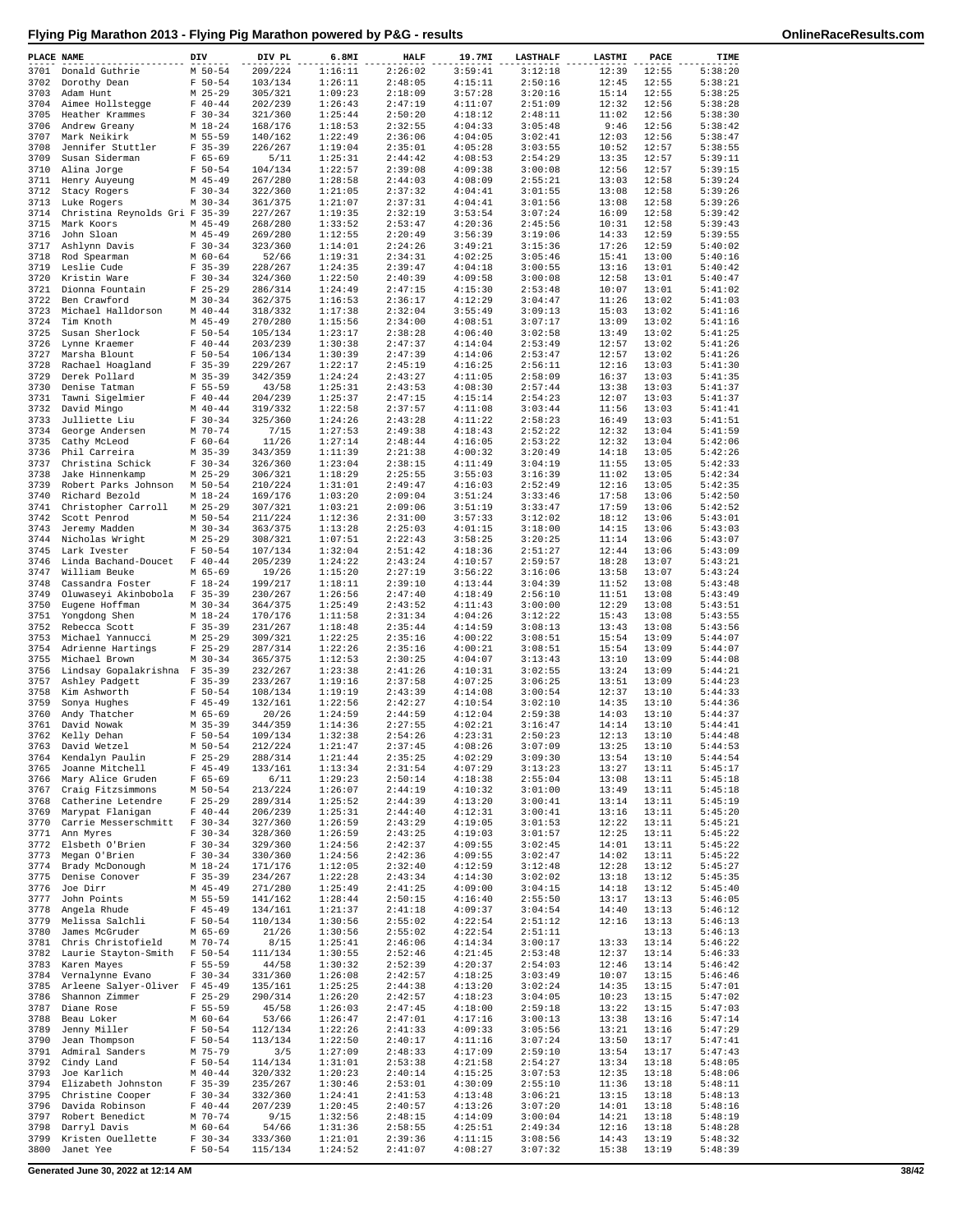| PLACE NAME   |                                                 | DIV                      | DIV PL             | 6.8MI              | <b>HALF</b>        | 19.7MI             | <b>LASTHALF</b>    | LASTMI         | PACE           | TIME               |
|--------------|-------------------------------------------------|--------------------------|--------------------|--------------------|--------------------|--------------------|--------------------|----------------|----------------|--------------------|
| 3701         | Donald Guthrie                                  | M 50-54                  | 209/224            | 1:16:11            | 2:26:02            | 3:59:41            | 3:12:18            | 12:39          | 12:55          | 5:38:20            |
| 3702         | Dorothy Dean                                    | $F 50 - 54$              | 103/134            | 1:26:11            | 2:48:05            | 4:15:11            | 2:50:16            | 12:45          | 12:55          | 5:38:21            |
| 3703         | Adam Hunt                                       | M 25-29                  | 305/321            | 1:09:23            | 2:18:09            | 3:57:28            | 3:20:16            | 15:14          | 12:55          | 5:38:25            |
| 3704         | Aimee Hollstegge                                | $F 40 - 44$              | 202/239            | 1:26:43            | 2:47:19            | 4:11:07            | 2:51:09            | 12:32          | 12:56          | 5:38:28            |
| 3705<br>3706 | Heather Krammes<br>Andrew Greany                | $F 30-34$<br>$M_18-24$   | 321/360<br>168/176 | 1:25:44<br>1:18:53 | 2:50:20<br>2:32:55 | 4:18:12<br>4:04:33 | 2:48:11<br>3:05:48 | 11:02<br>9:46  | 12:56<br>12:56 | 5:38:30<br>5:38:42 |
| 3707         | Mark Neikirk                                    | M 55-59                  | 140/162            | 1:22:49            | 2:36:06            | 4:04:05            | 3:02:41            | 12:03          | 12:56          | 5:38:47            |
| 3708         | Jennifer Stuttler                               | $F$ 35-39                | 226/267            | 1:19:04            | 2:35:01            | 4:05:28            | 3:03:55            | 10:52          | 12:57          | 5:38:55            |
| 3709         | Susan Siderman                                  | $F 65 - 69$              | 5/11               | 1:25:31            | 2:44:42            | 4:08:53            | 2:54:29            | 13:35          | 12:57          | 5:39:11            |
| 3710         | Alina Jorge                                     | $F 50 - 54$              | 104/134            | 1:22:57            | 2:39:08            | 4:09:38            | 3:00:08            | 12:56          | 12:57          | 5:39:15            |
| 3711         | Henry Auyeung                                   | $M$ 45-49                | 267/280            | 1:28:58            | 2:44:03            | 4:08:09            | 2:55:21            | 13:03          | 12:58          | 5:39:24            |
| 3712<br>3713 | Stacy Rogers                                    | $F 30-34$<br>$M$ 30-34   | 322/360<br>361/375 | 1:21:05<br>1:21:07 | 2:37:32<br>2:37:31 | 4:04:41<br>4:04:41 | 3:01:55<br>3:01:56 | 13:08<br>13:08 | 12:58<br>12:58 | 5:39:26<br>5:39:26 |
| 3714         | Luke Rogers<br>Christina Reynolds Gri F 35-39   |                          | 227/267            | 1:19:35            | 2:32:19            | 3:53:54            | 3:07:24            | 16:09          | 12:58          | 5:39:42            |
| 3715         | Mark Koors                                      | M 45-49                  | 268/280            | 1:33:52            | 2:53:47            | 4:20:36            | 2:45:56            | 10:31          | 12:58          | 5:39:43            |
| 3716         | John Sloan                                      | $M$ 45-49                | 269/280            | 1:12:55            | 2:20:49            | 3:56:39            | 3:19:06            | 14:33          | 12:59          | 5:39:55            |
| 3717         | Ashlynn Davis                                   | $F 30-34$                | 323/360            | 1:14:01            | 2:24:26            | 3:49:21            | 3:15:36            | 17:26          | 12:59          | 5:40:02            |
| 3718         | Rod Spearman                                    | $M$ 60-64                | 52/66              | 1:19:31            | 2:34:31            | 4:02:25            | 3:05:46            | 15:41          | 13:00          | 5:40:16            |
| 3719         | Leslie Cude                                     | $F$ 35-39                | 228/267            | 1:24:35            | 2:39:47            | 4:04:18            | 3:00:55            | 13:16          | 13:01          | 5:40:42            |
| 3720<br>3721 | Kristin Ware<br>Dionna Fountain                 | $F 30-34$<br>$F$ 25-29   | 324/360<br>286/314 | 1:22:50<br>1:24:49 | 2:40:39<br>2:47:15 | 4:09:58<br>4:15:30 | 3:00:08<br>2:53:48 | 12:58<br>10:07 | 13:01<br>13:01 | 5:40:47<br>5:41:02 |
| 3722         | Ben Crawford                                    | $M$ 30-34                | 362/375            | 1:16:53            | 2:36:17            | 4:12:29            | 3:04:47            | 11:26          | 13:02          | 5:41:03            |
| 3723         | Michael Halldorson                              | $M$ 40-44                | 318/332            | 1:17:38            | 2:32:04            | 3:55:49            | 3:09:13            | 15:03          | 13:02          | 5:41:16            |
| 3724         | Tim Knoth                                       | $M$ 45-49                | 270/280            | 1:15:56            | 2:34:00            | 4:08:51            | 3:07:17            | 13:09          | 13:02          | 5:41:16            |
| 3725         | Susan Sherlock                                  | $F 50 - 54$              | 105/134            | 1:23:17            | 2:38:28            | 4:06:40            | 3:02:58            | 13:49          | 13:02          | 5:41:25            |
| 3726         | Lynne Kraemer                                   | $F 40 - 44$              | 203/239            | 1:30:38            | 2:47:37            | 4:14:04            | 2:53:49            | 12:57          | 13:02          | 5:41:26            |
| 3727<br>3728 | Marsha Blount<br>Rachael Hoagland               | $F 50 - 54$<br>$F$ 35-39 | 106/134<br>229/267 | 1:30:39<br>1:22:17 | 2:47:39<br>2:45:19 | 4:14:06<br>4:16:25 | 2:53:47<br>2:56:11 | 12:57<br>12:16 | 13:02<br>13:03 | 5:41:26<br>5:41:30 |
| 3729         | Derek Pollard                                   | $M$ 35-39                | 342/359            | 1:24:24            | 2:43:27            | 4:11:05            | 2:58:09            | 16:37          | 13:03          | 5:41:35            |
| 3730         | Denise Tatman                                   | $F 55 - 59$              | 43/58              | 1:25:31            | 2:43:53            | 4:08:30            | 2:57:44            | 13:38          | 13:03          | 5:41:37            |
| 3731         | Tawni Sigelmier                                 | $F 40 - 44$              | 204/239            | 1:25:37            | 2:47:15            | 4:15:14            | 2:54:23            | 12:07          | 13:03          | 5:41:37            |
| 3732         | David Mingo                                     | $M$ 40-44                | 319/332            | 1:22:58            | 2:37:57            | 4:11:08            | 3:03:44            | 11:56          | 13:03          | 5:41:41            |
| 3733         | Julliette Liu                                   | $F 30-34$                | 325/360            | 1:24:26            | 2:43:28            | 4:11:22            | 2:58:23            | 16:49          | 13:03          | 5:41:51            |
| 3734<br>3735 | George Andersen<br>Cathy McLeod                 | M 70-74<br>$F 60 - 64$   | 7/15<br>11/26      | 1:27:53<br>1:27:14 | 2:49:38<br>2:48:44 | 4:18:43<br>4:16:05 | 2:52:22<br>2:53:22 | 12:32<br>12:32 | 13:04<br>13:04 | 5:41:59<br>5:42:06 |
| 3736         | Phil Carreira                                   | $M$ 35-39                | 343/359            | 1:11:39            | 2:21:38            | 4:00:32            | 3:20:49            | 14:18          | 13:05          | 5:42:26            |
| 3737         | Christina Schick                                | $F 30-34$                | 326/360            | 1:23:04            | 2:38:15            | 4:11:49            | 3:04:19            | 11:55          | 13:05          | 5:42:33            |
| 3738         | Jake Hinnenkamp                                 | $M$ 25-29                | 306/321            | 1:18:29            | 2:25:55            | 3:55:03            | 3:16:39            | 11:02          | 13:05          | 5:42:34            |
| 3739         | Robert Parks Johnson                            | M 50-54                  | 210/224            | 1:31:01            | 2:49:47            | 4:16:03            | 2:52:49            | 12:16          | 13:05          | 5:42:35            |
| 3740         | Richard Bezold                                  | $M_18-24$                | 169/176            | 1:03:20            | 2:09:04            | 3:51:24            | 3:33:46            | 17:58          | 13:06          | 5:42:50            |
| 3741         | Christopher Carroll                             | $M$ 25-29                | 307/321            | 1:03:21            | 2:09:06            | 3:51:19            | 3:33:47            | 17:59          | 13:06          | 5:42:52            |
| 3742<br>3743 | Scott Penrod<br>Jeremy Madden                   | $M$ 50-54<br>$M$ 30-34   | 211/224<br>363/375 | 1:12:36<br>1:13:28 | 2:31:00<br>2:25:03 | 3:57:33<br>4:01:15 | 3:12:02<br>3:18:00 | 18:12<br>14:15 | 13:06<br>13:06 | 5:43:01<br>5:43:03 |
| 3744         | Nicholas Wright                                 | $M$ 25-29                | 308/321            | 1:07:51            | 2:22:43            | 3:58:25            | 3:20:25            | 11:14          | 13:06          | 5:43:07            |
| 3745         | Lark Ivester                                    | $F 50 - 54$              | 107/134            | 1:32:04            | 2:51:42            | 4:18:36            | 2:51:27            | 12:44          | 13:06          | 5:43:09            |
| 3746         | Linda Bachand-Doucet                            | $F 40 - 44$              | 205/239            | 1:24:22            | 2:43:24            | 4:10:57            | 2:59:57            | 18:28          | 13:07          | 5:43:21            |
| 3747         | William Beuke                                   | M 65-69                  | 19/26              | 1:15:20            | 2:27:19            | 3:56:22            | 3:16:06            | 13:58          | 13:07          | 5:43:24            |
| 3748         | Cassandra Foster                                | $F 18-24$                | 199/217            | 1:18:11            | 2:39:10            | 4:13:44            | 3:04:39            | 11:52          | 13:08          | 5:43:48            |
| 3749         | Oluwaseyi Akinbobola                            | $F$ 35-39                | 230/267            | 1:26:56            | 2:47:40            | 4:18:49            | 2:56:10            | 11:51          | 13:08          | 5:43:49<br>5:43:51 |
| 3750<br>3751 | Eugene Hoffman<br>Yongdong Shen                 | $M$ 30-34<br>M 18-24     | 364/375<br>170/176 | 1:25:49<br>1:11:58 | 2:43:52<br>2:31:34 | 4:11:43<br>4:04:26 | 3:00:00<br>3:12:22 | 12:29<br>15:43 | 13:08<br>13:08 | 5:43:55            |
| 3752         | Rebecca Scott                                   | $F$ 35-39                | 231/267            | 1:18:48            | 2:35:44            | 4:14:59            | 3:08:13            | 13:43          | 13:08          | 5:43:56            |
| 3753         | Michael Yannucci                                | $M$ 25-29                | 309/321            | 1:22:25            | 2:35:16            | 4:00:22            | 3:08:51            | 15:54          | 13:09          | 5:44:07            |
| 3754         | Adrienne Hartings                               | $F$ 25-29                | 287/314            | 1:22:26            | 2:35:16            | 4:00:21            | 3:08:51            | 15:54          | 13:09          | 5:44:07            |
| 3755         | Michael Brown                                   | $M$ 30-34                | 365/375            | 1:12:53            | 2:30:25            | 4:04:07            | 3:13:43            | 13:10          | 13:09          | 5:44:08            |
| 3756         | Lindsay Gopalakrishna F 35-39                   |                          | 232/267            | 1:23:38            | 2:41:26            | 4:10:31            | 3:02:55            | 13:24          | 13:09          | 5:44:21            |
| 3757<br>3758 | Ashley Padgett<br>Kim Ashworth                  | $F$ 35-39<br>$F 50 - 54$ | 233/267<br>108/134 | 1:19:16<br>1:19:19 | 2:37:58<br>2:43:39 | 4:07:25<br>4:14:08 | 3:06:25<br>3:00:54 | 13:51<br>12:37 | 13:09<br>13:10 | 5:44:23<br>5:44:33 |
| 3759         | Sonya Hughes                                    | $F$ 45-49                | 132/161            | 1:22:56            | 2:42:27            | 4:10:54            | 3:02:10            | 14:35          | 13:10          | 5:44:36            |
| 3760         | Andy Thatcher                                   | M 65-69                  | 20/26              | 1:24:59            | 2:44:59            | 4:12:04            | 2:59:38            | 14:03          | 13:10          | 5:44:37            |
| 3761         | David Nowak                                     | $M$ 35-39                | 344/359            | 1:14:36            | 2:27:55            | 4:02:21            | 3:16:47            | 14:14          | 13:10          | 5:44:41            |
| 3762         | Kelly Dehan                                     | $F 50 - 54$              | 109/134            | 1:32:38            | 2:54:26            | 4:23:31            | 2:50:23            | 12:13          | 13:10          | 5:44:48            |
|              | 3763 David Wetzel                               | M 50-54                  | 212/224            | 1:21:47            | 2:37:45            | 4:08:26            | 3:07:09            | 13:25          | 13:10          | 5:44:53            |
| 3764<br>3765 | Kendalyn Paulin<br>Joanne Mitchell              | $F$ 25-29<br>$F$ 45-49   | 288/314<br>133/161 | 1:21:44<br>1:13:34 | 2:35:25<br>2:31:54 | 4:02:29<br>4:07:29 | 3:09:30<br>3:13:23 | 13:54<br>13:27 | 13:10<br>13:11 | 5:44:54<br>5:45:17 |
| 3766         | Mary Alice Gruden                               | $F 65 - 69$              | 6/11               | 1:29:23            | 2:50:14            | 4:18:38            | 2:55:04            | 13:08          | 13:11          | 5:45:18            |
| 3767         | Craig Fitzsimmons                               | $M$ 50-54                | 213/224            | 1:26:07            | 2:44:19            | 4:10:32            | 3:01:00            | 13:49          | 13:11          | 5:45:18            |
| 3768         | Catherine Letendre                              | $F$ 25-29                | 289/314            | 1:25:52            | 2:44:39            | 4:13:20            | 3:00:41            | 13:14          | 13:11          | 5:45:19            |
| 3769         | Marypat Flanigan                                | $F 40 - 44$              | 206/239            | 1:25:31            | 2:44:40            | 4:12:31            | 3:00:41            | 13:16          | 13:11          | 5:45:20            |
| 3770         | Carrie Messerschmitt<br>Ann Myres               | $F 30-34$<br>$F 30-34$   | 327/360            | 1:26:59            | 2:43:29<br>2:43:25 | 4:19:05<br>4:19:03 | 3:01:53<br>3:01:57 | 12:22          | 13:11<br>13:11 | 5:45:21<br>5:45:22 |
| 3771<br>3772 | Elsbeth O'Brien                                 | $F 30-34$                | 328/360<br>329/360 | 1:26:59<br>1:24:56 | 2:42:37            | 4:09:55            | 3:02:45            | 12:25<br>14:01 | 13:11          | 5:45:22            |
| 3773         | Megan O'Brien                                   | $F 30-34$                | 330/360            | 1:24:56            | 2:42:36            | 4:09:55            | 3:02:47            | 14:02          | 13:11          | 5:45:22            |
| 3774         | Brady McDonough                                 | $M 18 - 24$              | 171/176            | 1:12:05            | 2:32:40            | 4:12:59            | 3:12:48            | 12:28          | 13:12          | 5:45:27            |
| 3775         | Denise Conover                                  | $F$ 35-39                | 234/267            | 1:22:28            | 2:43:34            | 4:14:30            | 3:02:02            | 13:18          | 13:12          | 5:45:35            |
| 3776         | Joe Dirr                                        | $M$ 45-49                | 271/280            | 1:25:49            | 2:41:25            | 4:09:00            | 3:04:15            | 14:18          | 13:12          | 5:45:40            |
| 3777         | John Points                                     | M 55-59                  | 141/162            | 1:28:44            | 2:50:15            | 4:16:40            | 2:55:50            | 13:17          | 13:13          | 5:46:05            |
| 3778<br>3779 | Angela Rhude<br>Melissa Salchli                 | $F$ 45-49<br>$F 50 - 54$ | 134/161<br>110/134 | 1:21:37<br>1:30:56 | 2:41:18<br>2:55:02 | 4:09:37<br>4:22:54 | 3:04:54<br>2:51:12 | 14:40<br>12:16 | 13:13<br>13:13 | 5:46:12<br>5:46:13 |
| 3780         | James McGruder                                  | M 65-69                  | 21/26              | 1:30:56            | 2:55:02            | 4:22:54            | 2:51:11            |                | 13:13          | 5:46:13            |
| 3781         | Chris Christofield                              | M 70-74                  | 8/15               | 1:25:41            | 2:46:06            | 4:14:34            | 3:00:17            | 13:33          | 13:14          | 5:46:22            |
| 3782         | Laurie Stayton-Smith                            | $F 50 - 54$              | 111/134            | 1:30:55            | 2:52:46            | 4:21:45            | 2:53:48            | 12:37          | 13:14          | 5:46:33            |
| 3783         | Karen Mayes                                     | $F 55 - 59$              | 44/58              | 1:30:32            | 2:52:39            | 4:20:37            | 2:54:03            | 12:46          | 13:14          | 5:46:42            |
| 3784         | Vernalynne Evano                                | $F 30-34$                | 331/360            | 1:26:08            | 2:42:57            | 4:18:25            | 3:03:49            | 10:07          | 13:15          | 5:46:46            |
| 3785<br>3786 | Arleene Salyer-Oliver F 45-49<br>Shannon Zimmer | $F$ 25-29                | 135/161<br>290/314 | 1:25:25<br>1:26:20 | 2:44:38<br>2:42:57 | 4:13:20<br>4:18:23 | 3:02:24<br>3:04:05 | 14:35<br>10:23 | 13:15<br>13:15 | 5:47:01<br>5:47:02 |
| 3787         | Diane Rose                                      | $F 55 - 59$              | 45/58              | 1:26:03            | 2:47:45            | 4:18:00            | 2:59:18            | 13:22          | 13:15          | 5:47:03            |
| 3788         | Beau Loker                                      | M 60-64                  | 53/66              | 1:26:47            | 2:47:01            | 4:17:16            | 3:00:13            | 13:38          | 13:16          | 5:47:14            |
| 3789         | Jenny Miller                                    | $F 50 - 54$              | 112/134            | 1:22:26            | 2:41:33            | 4:09:33            | 3:05:56            | 13:21          | 13:16          | 5:47:29            |
| 3790         | Jean Thompson                                   | $F 50 - 54$              | 113/134            | 1:22:50            | 2:40:17            | 4:11:16            | 3:07:24            | 13:50          | 13:17          | 5:47:41            |
| 3791         | Admiral Sanders                                 | M 75-79                  | 3/5                | 1:27:09            | 2:48:33            | 4:17:09            | 2:59:10            | 13:54          | 13:17          | 5:47:43            |
| 3792<br>3793 | Cindy Land<br>Joe Karlich                       | $F 50 - 54$<br>$M$ 40-44 | 114/134<br>320/332 | 1:31:01<br>1:20:23 | 2:53:38<br>2:40:14 | 4:21:58<br>4:15:25 | 2:54:27<br>3:07:53 | 13:34<br>12:35 | 13:18<br>13:18 | 5:48:05<br>5:48:06 |
| 3794         | Elizabeth Johnston                              | $F$ 35-39                | 235/267            | 1:30:46            | 2:53:01            | 4:30:09            | 2:55:10            | 11:36          | 13:18          | 5:48:11            |
| 3795         | Christine Cooper                                | $F 30-34$                | 332/360            | 1:24:41            | 2:41:53            | 4:13:48            | 3:06:21            | 13:15          | 13:18          | 5:48:13            |
| 3796         | Davida Robinson                                 | $F 40 - 44$              | 207/239            | 1:20:45            | 2:40:57            | 4:13:26            | 3:07:20            | 14:01          | 13:18          | 5:48:16            |
| 3797         | Robert Benedict                                 | M 70-74                  | 9/15               | 1:32:56            | 2:48:15            | 4:14:09            | 3:00:04            | 14:21          | 13:18          | 5:48:19            |
| 3798         | Darryl Davis                                    | $M$ 60-64                | 54/66              | 1:31:36            | 2:58:55            | 4:25:51            | 2:49:34            | 12:16          | 13:18          | 5:48:28            |
| 3799<br>3800 | Kristen Ouellette<br>Janet Yee                  | $F 30-34$<br>$F 50 - 54$ | 333/360<br>115/134 | 1:21:01<br>1:24:52 | 2:39:36<br>2:41:07 | 4:11:15<br>4:08:27 | 3:08:56<br>3:07:32 | 14:43<br>15:38 | 13:19<br>13:19 | 5:48:32<br>5:48:39 |
|              |                                                 |                          |                    |                    |                    |                    |                    |                |                |                    |

**Generated June 30, 2022 at 12:14 AM 38/42**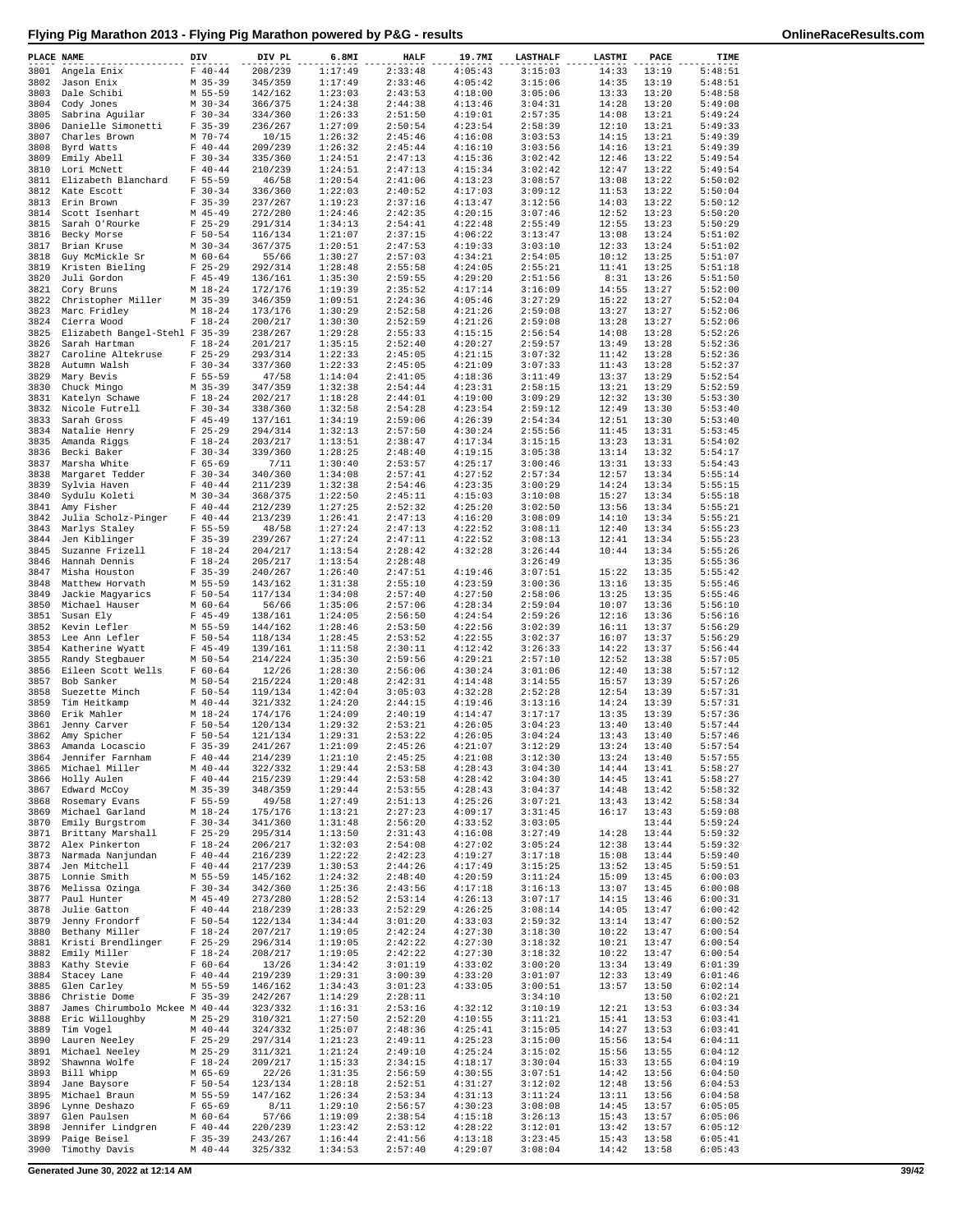| PLACE NAME   |                                     | DIV                      | DIV PL             | 6.8MI              | HALF               | 19.7MI             | <b>LASTHALF</b>    | <b>LASTMI</b>  | PACE           | TIME               |
|--------------|-------------------------------------|--------------------------|--------------------|--------------------|--------------------|--------------------|--------------------|----------------|----------------|--------------------|
| 3801         | Angela Enix                         | $F 40 - 44$              | 208/239            | 1:17:49            | 2:33:48            | 4:05:43            | 3:15:03            | 14:33          | 13:19          | 5:48:51            |
| 3802         | Jason Enix                          | M 35-39                  | 345/359            | 1:17:49            | 2:33:46            | 4:05:42            | 3:15:06            | 14:35          | 13:19          | 5:48:51            |
| 3803         | Dale Schibi                         | M 55-59                  | 142/162            | 1:23:03            | 2:43:53            | 4:18:00            | 3:05:06            | 13:33          | 13:20          | 5:48:58            |
| 3804         | Cody Jones                          | $M$ 30-34                | 366/375            | 1:24:38            | 2:44:38            | 4:13:46            | 3:04:31            | 14:28          | 13:20          | 5:49:08            |
| 3805<br>3806 | Sabrina Aguilar                     | $F 30-34$<br>$F$ 35-39   | 334/360            | 1:26:33<br>1:27:09 | 2:51:50<br>2:50:54 | 4:19:01<br>4:23:54 | 2:57:35<br>2:58:39 | 14:08<br>12:10 | 13:21<br>13:21 | 5:49:24<br>5:49:33 |
| 3807         | Danielle Simonetti<br>Charles Brown | $M$ 70-74                | 236/267<br>10/15   | 1:26:32            | 2:45:46            | 4:16:08            | 3:03:53            | 14:15          | 13:21          | 5:49:39            |
| 3808         | Byrd Watts                          | $F 40 - 44$              | 209/239            | 1:26:32            | 2:45:44            | 4:16:10            | 3:03:56            | 14:16          | 13:21          | 5:49:39            |
| 3809         | Emily Abell                         | $F 30-34$                | 335/360            | 1:24:51            | 2:47:13            | 4:15:36            | 3:02:42            | 12:46          | 13:22          | 5:49:54            |
| 3810         | Lori McNett                         | $F 40 - 44$              | 210/239            | 1:24:51            | 2:47:13            | 4:15:34            | 3:02:42            | 12:47          | 13:22          | 5:49:54            |
| 3811         | Elizabeth Blanchard                 | $F 55 - 59$              | 46/58              | 1:20:54            | 2:41:06            | 4:13:23            | 3:08:57            | 13:08          | 13:22          | 5:50:02            |
| 3812         | Kate Escott                         | $F 30-34$                | 336/360            | 1:22:03            | 2:40:52            | 4:17:03            | 3:09:12            | 11:53          | 13:22          | 5:50:04            |
| 3813         | Erin Brown                          | $F$ 35-39                | 237/267            | 1:19:23            | 2:37:16            | 4:13:47            | 3:12:56            | 14:03          | 13:22          | 5:50:12            |
| 3814         | Scott Isenhart                      | M 45-49                  | 272/280            | 1:24:46            | 2:42:35            | 4:20:15            | 3:07:46            | 12:52          | 13:23          | 5:50:20            |
| 3815         | Sarah O'Rourke                      | $F$ 25-29                | 291/314            | 1:34:13            | 2:54:41            | 4:22:48            | 2:55:49            | 12:55          | 13:23          | 5:50:29            |
| 3817         | 3816 Becky Morse                    | $F 50 - 54$<br>$M$ 30-34 | 116/134<br>367/375 | 1:21:07<br>1:20:51 | 2:37:15<br>2:47:53 | 4:06:22<br>4:19:33 | 3:13:47<br>3:03:10 | 13:08<br>12:33 | 13:24<br>13:24 | 5:51:02<br>5:51:02 |
| 3818         | Brian Kruse<br>Guy McMickle Sr      | M 60-64                  | 55/66              | 1:30:27            | 2:57:03            | 4:34:21            | 2:54:05            | 10:12          | 13:25          | 5:51:07            |
| 3819         | Kristen Bieling                     | $F$ 25-29                | 292/314            | 1:28:48            | 2:55:58            | 4:24:05            | 2:55:21            | 11:41          | 13:25          | 5:51:18            |
| 3820         | Juli Gordon                         | $F$ 45-49                | 136/161            | 1:35:30            | 2:59:55            | 4:29:20            | 2:51:56            | 8:31           | 13:26          | 5:51:50            |
| 3821         | Cory Bruns                          | $M_18-24$                | 172/176            | 1:19:39            | 2:35:52            | 4:17:14            | 3:16:09            | 14:55          | 13:27          | 5:52:00            |
| 3822         | Christopher Miller                  | $M$ 35-39                | 346/359            | 1:09:51            | 2:24:36            | 4:05:46            | 3:27:29            | 15:22          | 13:27          | 5:52:04            |
| 3823         | Marc Fridley                        | $M_18-24$                | 173/176            | 1:30:29            | 2:52:58            | 4:21:26            | 2:59:08            | 13:27          | 13:27          | 5:52:06            |
| 3824         | Cierra Wood                         | $F 18-24$                | 200/217            | 1:30:30            | 2:52:59            | 4:21:26            | 2:59:08            | 13:28          | 13:27          | 5:52:06            |
| 3825         | Elizabeth Bangel-Stehl F 35-39      |                          | 238/267            | 1:29:28            | 2:55:33            | 4:15:15            | 2:56:54            | 14:08          | 13:28          | 5:52:26            |
| 3826<br>3827 | Sarah Hartman<br>Caroline Altekruse | $F 18-24$<br>$F$ 25-29   | 201/217<br>293/314 | 1:35:15<br>1:22:33 | 2:52:40<br>2:45:05 | 4:20:27<br>4:21:15 | 2:59:57<br>3:07:32 | 13:49<br>11:42 | 13:28<br>13:28 | 5:52:36<br>5:52:36 |
| 3828         | Autumn Walsh                        | $F 30-34$                | 337/360            | 1:22:33            | 2:45:05            | 4:21:09            | 3:07:33            | 11:43          | 13:28          | 5:52:37            |
| 3829         | Mary Bevis                          | $F 55 - 59$              | 47/58              | 1:14:04            | 2:41:05            | 4:18:36            | 3:11:49            | 13:37          | 13:29          | 5:52:54            |
| 3830         | Chuck Mingo                         | $M$ 35-39                | 347/359            | 1:32:38            | 2:54:44            | 4:23:31            | 2:58:15            | 13:21          | 13:29          | 5:52:59            |
| 3831         | Katelyn Schawe                      | $F 18-24$                | 202/217            | 1:18:28            | 2:44:01            | 4:19:00            | 3:09:29            | 12:32          | 13:30          | 5:53:30            |
| 3832         | Nicole Futrell                      | $F 30-34$                | 338/360            | 1:32:58            | 2:54:28            | 4:23:54            | 2:59:12            | 12:49          | 13:30          | 5:53:40            |
| 3833         | Sarah Gross                         | $F$ 45-49                | 137/161            | 1:34:19            | 2:59:06            | 4:26:39            | 2:54:34            | 12:51          | 13:30          | 5:53:40            |
| 3834         | Natalie Henry                       | $F$ 25-29                | 294/314            | 1:32:13            | 2:57:50            | 4:30:24            | 2:55:56            | 11:45          | 13:31          | 5:53:45            |
| 3835         | Amanda Riggs                        | $F 18-24$                | 203/217            | 1:13:51            | 2:38:47            | 4:17:34            | 3:15:15            | 13:23          | 13:31          | 5:54:02            |
| 3836         | Becki Baker<br>Marsha White         | $F 30-34$                | 339/360            | 1:28:25<br>1:30:40 | 2:48:40<br>2:53:57 | 4:19:15<br>4:25:17 | 3:05:38            | 13:14          | 13:32          | 5:54:17            |
| 3837<br>3838 | Margaret Tedder                     | $F 65 - 69$<br>$F 30-34$ | 7/11<br>340/360    | 1:34:08            | 2:57:41            | 4:27:52            | 3:00:46<br>2:57:34 | 13:31<br>12:57 | 13:33<br>13:34 | 5:54:43<br>5:55:14 |
| 3839         | Sylvia Haven                        | $F 40 - 44$              | 211/239            | 1:32:38            | 2:54:46            | 4:23:35            | 3:00:29            | 14:24          | 13:34          | 5:55:15            |
| 3840         | Sydulu Koleti                       | $M$ 30-34                | 368/375            | 1:22:50            | 2:45:11            | 4:15:03            | 3:10:08            | 15:27          | 13:34          | 5:55:18            |
| 3841         | Amy Fisher                          | $F 40 - 44$              | 212/239            | 1:27:25            | 2:52:32            | 4:25:20            | 3:02:50            | 13:56          | 13:34          | 5:55:21            |
| 3842         | Julia Scholz-Pinger                 | $F 40-44$                | 213/239            | 1:26:41            | 2:47:13            | 4:16:20            | 3:08:09            | 14:10          | 13:34          | 5:55:21            |
| 3843         | Marlys Staley                       | $F 55 - 59$              | 48/58              | 1:27:24            | 2:47:13            | 4:22:52            | 3:08:11            | 12:40          | 13:34          | 5:55:23            |
| 3844         | Jen Kiblinger                       | $F$ 35-39                | 239/267            | 1:27:24            | 2:47:11            | 4:22:52            | 3:08:13            | 12:41          | 13:34          | 5:55:23            |
| 3845         | Suzanne Frizell                     | $F 18-24$                | 204/217            | 1:13:54            | 2:28:42            | 4:32:28            | 3:26:44            | 10:44          | 13:34          | 5:55:26            |
| 3846         | Hannah Dennis                       | $F 18-24$                | 205/217            | 1:13:54            | 2:28:48            |                    | 3:26:49            |                | 13:35          | 5:55:36            |
| 3847<br>3848 | Misha Houston<br>Matthew Horvath    | $F$ 35-39<br>M 55-59     | 240/267<br>143/162 | 1:26:40<br>1:31:38 | 2:47:51<br>2:55:10 | 4:19:46<br>4:23:59 | 3:07:51<br>3:00:36 | 15:22<br>13:16 | 13:35<br>13:35 | 5:55:42<br>5:55:46 |
| 3849         | Jackie Magyarics                    | $F 50 - 54$              | 117/134            | 1:34:08            | 2:57:40            | 4:27:50            | 2:58:06            | 13:25          | 13:35          | 5:55:46            |
| 3850         | Michael Hauser                      | $M$ 60-64                | 56/66              | 1:35:06            | 2:57:06            | 4:28:34            | 2:59:04            | 10:07          | 13:36          | 5:56:10            |
| 3851         | Susan Ely                           | $F$ 45-49                | 138/161            | 1:24:05            | 2:56:50            | 4:24:54            | 2:59:26            | 12:16          | 13:36          | 5:56:16            |
| 3852         | Kevin Lefler                        | M 55-59                  | 144/162            | 1:28:46            | 2:53:50            | 4:22:56            | 3:02:39            | 16:11          | 13:37          | 5:56:29            |
| 3853         | Lee Ann Lefler                      | $F 50 - 54$              | 118/134            | 1:28:45            | 2:53:52            | 4:22:55            | 3:02:37            | 16:07          | 13:37          | 5:56:29            |
| 3854         | Katherine Wyatt                     | $F$ 45-49                | 139/161            | 1:11:58            | 2:30:11            | 4:12:42            | 3:26:33            | 14:22          | 13:37          | 5:56:44            |
| 3855         | Randy Stegbauer                     | M 50-54                  | 214/224            | 1:35:30            | 2:59:56            | 4:29:21            | 2:57:10            | 12:52          | 13:38          | 5:57:05            |
| 3856         | Eileen Scott Wells                  | $F 60 - 64$              | 12/26              | 1:28:30            | 2:56:06            | 4:30:24            | 3:01:06            | 12:40          | 13:38          | 5:57:12            |
| 3857<br>3858 | Bob Sanker<br>Suezette Minch        | $M$ 50-54<br>$F 50 - 54$ | 215/224<br>119/134 | 1:20:48<br>1:42:04 | 2:42:31<br>3:05:03 | 4:14:48<br>4:32:28 | 3:14:55<br>2:52:28 | 15:57<br>12:54 | 13:39<br>13:39 | 5:57:26<br>5:57:31 |
| 3859         | Tim Heitkamp                        | $M$ 40-44                | 321/332            | 1:24:20            | 2:44:15            | 4:19:46            | 3:13:16            | 14:24          | 13:39          | 5:57:31            |
| 3860         | Erik Mahler                         | M 18-24                  | 174/176            | 1:24:09            | 2:40:19            | 4:14:47            | 3:17:17            | 13:35          | 13:39          | 5:57:36            |
| 3861         | Jenny Carver                        | $F 50 - 54$              | 120/134            | 1:29:32            | 2:53:21            | 4:26:05            | 3:04:23            | 13:40          | 13:40          | 5:57:44            |
| 3862         | Amy Spicher                         | $F 50 - 54$              | 121/134            | 1:29:31            | 2:53:22            | 4:26:05            | 3:04:24            | 13:43          | 13:40          | 5:57:46            |
| 3863         | Amanda Locascio                     | $F$ 35-39                | 241/267            | 1:21:09            | 2:45:26            | 4:21:07            | 3:12:29            | 13:24          | 13:40          | 5:57:54            |
| 3864         | Jennifer Farnham                    | $F 40 - 44$              | 214/239            | 1:21:10            | 2:45:25            | 4:21:08            | 3:12:30            | 13:24          | 13:40          | 5:57:55            |
| 3865         | Michael Miller                      | $M$ 40-44                | 322/332            | 1:29:44            | 2:53:58            | 4:28:43            | 3:04:30            | 14:44          | 13:41          | 5:58:27            |
| 3866         | Holly Aulen                         | $F 40 - 44$              | 215/239            | 1:29:44            | 2:53:58            | 4:28:42            | 3:04:30            | 14:45          | 13:41          | 5:58:27            |
| 3867<br>3868 | Edward McCoy<br>Rosemary Evans      | $M$ 35-39<br>$F 55 - 59$ | 348/359            | 1:29:44<br>1:27:49 | 2:53:55<br>2:51:13 | 4:28:43<br>4:25:26 | 3:04:37<br>3:07:21 | 14:48<br>13:43 | 13:42<br>13:42 | 5:58:32<br>5:58:34 |
| 3869         | Michael Garland                     | $M_18-24$                | 49/58<br>175/176   | 1:13:21            | 2:27:23            | 4:09:17            | 3:31:45            | 16:17          | 13:43          | 5:59:08            |
| 3870         | Emily Burgstrom                     | $F 30-34$                | 341/360            | 1:31:48            | 2:56:20            | 4:33:52            | 3:03:05            |                | 13:44          | 5:59:24            |
| 3871         | Brittany Marshall                   | $F$ 25-29                | 295/314            | 1:13:50            | 2:31:43            | 4:16:08            | 3:27:49            | 14:28          | 13:44          | 5:59:32            |
| 3872         | Alex Pinkerton                      | $F 18-24$                | 206/217            | 1:32:03            | 2:54:08            | 4:27:02            | 3:05:24            | 12:38          | 13:44          | 5:59:32            |
| 3873         | Narmada Nanjundan                   | $F 40 - 44$              | 216/239            | 1:22:22            | 2:42:23            | 4:19:27            | 3:17:18            | 15:08          | 13:44          | 5:59:40            |
| 3874         | Jen Mitchell                        | $F 40 - 44$              | 217/239            | 1:30:53            | 2:44:26            | 4:17:49            | 3:15:25            | 13:52          | 13:45          | 5:59:51            |
| 3875         | Lonnie Smith                        | M 55-59                  | 145/162            | 1:24:32            | 2:48:40            | 4:20:59            | 3:11:24            | 15:09          | 13:45          | 6:00:03            |
| 3876         | Melissa Ozinga                      | $F 30-34$                | 342/360            | 1:25:36            | 2:43:56            | 4:17:18            | 3:16:13            | 13:07          | 13:45          | 6:00:08            |
| 3877<br>3878 | Paul Hunter<br>Julie Gatton         | $M$ 45-49<br>$F 40 - 44$ | 273/280<br>218/239 | 1:28:52<br>1:28:33 | 2:53:14<br>2:52:29 | 4:26:13<br>4:26:25 | 3:07:17<br>3:08:14 | 14:15<br>14:05 | 13:46<br>13:47 | 6:00:31<br>6:00:42 |
| 3879         | Jenny Frondorf                      | $F 50 - 54$              | 122/134            | 1:34:44            | 3:01:20            | 4:33:03            | 2:59:32            | 13:14          | 13:47          | 6:00:52            |
| 3880         | Bethany Miller                      | $F 18-24$                | 207/217            | 1:19:05            | 2:42:24            | 4:27:30            | 3:18:30            | 10:22          | 13:47          | 6:00:54            |
| 3881         | Kristi Brendlinger                  | $F$ 25-29                | 296/314            | 1:19:05            | 2:42:22            | 4:27:30            | 3:18:32            | 10:21          | 13:47          | 6:00:54            |
| 3882         | Emily Miller                        | $F 18-24$                | 208/217            | 1:19:05            | 2:42:22            | 4:27:30            | 3:18:32            | 10:22          | 13:47          | 6:00:54            |
| 3883         | Kathy Stevie                        | $F 60 - 64$              | 13/26              | 1:34:42            | 3:01:19            | 4:33:02            | 3:00:20            | 13:34          | 13:49          | 6:01:39            |
| 3884         | Stacey Lane                         | $F 40 - 44$              | 219/239            | 1:29:31            | 3:00:39            | 4:33:20            | 3:01:07            | 12:33          | 13:49          | 6:01:46            |
| 3885         | Glen Carley                         | M 55-59                  | 146/162            | 1:34:43            | 3:01:23            | 4:33:05            | 3:00:51            | 13:57          | 13:50          | 6:02:14            |
| 3886         | Christie Dome                       | $F$ 35-39                | 242/267            | 1:14:29            | 2:28:11            |                    | 3:34:10            |                | 13:50          | 6:02:21            |
| 3887         | James Chirumbolo Mckee M 40-44      |                          | 323/332            | 1:16:31            | 2:53:16            | 4:32:12            | 3:10:19            | 12:21          | 13:53          | 6:03:34            |
| 3888         | Eric Willoughby<br>Tim Vogel        | $M$ 25-29<br>$M$ 40-44   | 310/321            | 1:27:50            | 2:52:20            | 4:10:55            | 3:11:21            | 15:41          | 13:53          | 6:03:41<br>6:03:41 |
| 3889<br>3890 | Lauren Neeley                       | $F$ 25-29                | 324/332<br>297/314 | 1:25:07<br>1:21:23 | 2:48:36<br>2:49:11 | 4:25:41<br>4:25:23 | 3:15:05<br>3:15:00 | 14:27<br>15:56 | 13:53<br>13:54 | 6:04:11            |
| 3891         | Michael Neeley                      | $M$ 25-29                | 311/321            | 1:21:24            | 2:49:10            | 4:25:24            | 3:15:02            | 15:56          | 13:55          | 6:04:12            |
| 3892         | Shawnna Wolfe                       | $F 18-24$                | 209/217            | 1:15:33            | 2:34:15            | 4:18:17            | 3:30:04            | 15:33          | 13:55          | 6:04:19            |
| 3893         | Bill Whipp                          | M 65-69                  | 22/26              | 1:31:35            | 2:56:59            | 4:30:55            | 3:07:51            | 14:42          | 13:56          | 6:04:50            |
| 3894         | Jane Baysore                        | $F 50 - 54$              | 123/134            | 1:28:18            | 2:52:51            | 4:31:27            | 3:12:02            | 12:48          | 13:56          | 6:04:53            |
| 3895         | Michael Braun                       | M 55-59                  | 147/162            | 1:26:34            | 2:53:34            | 4:31:13            | 3:11:24            | 13:11          | 13:56          | 6:04:58            |
| 3896         | Lynne Deshazo                       | $F 65 - 69$              | 8/11               | 1:29:10            | 2:56:57            | 4:30:23            | 3:08:08            | 14:45          | 13:57          | 6:05:05            |
| 3897         | Glen Paulsen                        | M 60-64                  | 57/66              | 1:19:09            | 2:38:54            | 4:15:18            | 3:26:13            | 15:43          | 13:57          | 6:05:06            |
| 3898<br>3899 | Jennifer Lindgren<br>Paige Beisel   | $F 40 - 44$<br>$F$ 35-39 | 220/239<br>243/267 | 1:23:42<br>1:16:44 | 2:53:12<br>2:41:56 | 4:28:22<br>4:13:18 | 3:12:01<br>3:23:45 | 13:42<br>15:43 | 13:57<br>13:58 | 6:05:12<br>6:05:41 |
| 3900         | Timothy Davis                       | $M$ 40-44                | 325/332            | 1:34:53            | 2:57:40            | 4:29:07            | 3:08:04            | 14:42          | 13:58          | 6:05:43            |
|              |                                     |                          |                    |                    |                    |                    |                    |                |                |                    |

**Generated June 30, 2022 at 12:14 AM 39/42**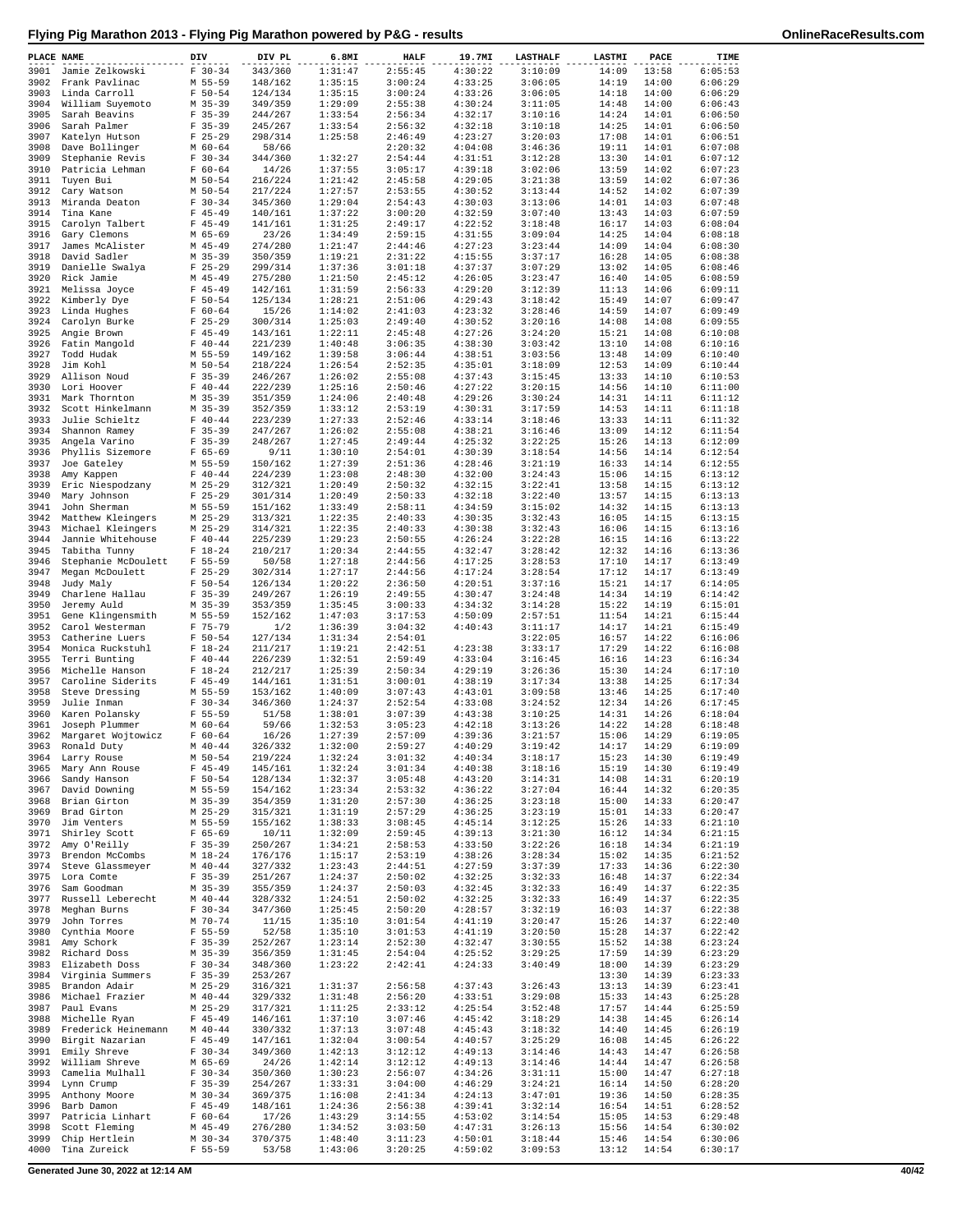| PLACE NAME   |                                        | DIV                        | DIV PL             | 6.8MI              | <b>HALF</b>        | 19.7MI             | <b>LASTHALF</b>    | LASTMI         | PACE           | TIME               |
|--------------|----------------------------------------|----------------------------|--------------------|--------------------|--------------------|--------------------|--------------------|----------------|----------------|--------------------|
| 3901         | Jamie Zelkowski                        | $F 30-34$                  | 343/360            | 1:31:47            | 2:55:45            | 4:30:22            | 3:10:09            | 14:09          | 13:58          | 6:05:53            |
| 3902         | Frank Pavlinac                         | M 55-59                    | 148/162            | 1:35:15            | 3:00:24            | 4:33:25            | 3:06:05            | 14:19          | 14:00          | 6:06:29            |
| 3903         | Linda Carroll                          | $F 50 - 54$                | 124/134            | 1:35:15            | 3:00:24<br>2:55:38 | 4:33:26            | 3:06:05            | 14:18          | 14:00          | 6:06:29<br>6:06:43 |
| 3904<br>3905 | William Suyemoto<br>Sarah Beavins      | $M$ 35-39<br>$F$ 35-39     | 349/359<br>244/267 | 1:29:09<br>1:33:54 | 2:56:34            | 4:30:24<br>4:32:17 | 3:11:05<br>3:10:16 | 14:48<br>14:24 | 14:00<br>14:01 | 6:06:50            |
| 3906         | Sarah Palmer                           | $F$ 35-39                  | 245/267            | 1:33:54            | 2:56:32            | 4:32:18            | 3:10:18            | 14:25          | 14:01          | 6:06:50            |
| 3907         | Katelyn Hutson                         | $F$ 25-29                  | 298/314            | 1:25:58            | 2:46:49            | 4:23:27            | 3:20:03            | 17:08          | 14:01          | 6:06:51            |
| 3908         | Dave Bollinger                         | $M$ 60-64                  | 58/66              |                    | 2:20:32            | 4:04:08            | 3:46:36            | 19:11          | 14:01          | 6:07:08            |
| 3909         | Stephanie Revis                        | $F 30-34$                  | 344/360            | 1:32:27            | 2:54:44            | 4:31:51            | 3:12:28            | 13:30          | 14:01          | 6:07:12            |
| 3910         | Patricia Lehman                        | $F 60 - 64$                | 14/26              | 1:37:55            | 3:05:17            | 4:39:18            | 3:02:06            | 13:59          | 14:02          | 6:07:23            |
| 3911         | Tuyen Bui                              | $M$ 50-54                  | 216/224            | 1:21:42<br>1:27:57 | 2:45:58            | 4:29:05            | 3:21:38            | 13:59          | 14:02          | 6:07:36            |
| 3912<br>3913 | Cary Watson<br>Miranda Deaton          | $M$ 50-54<br>$F 30-34$     | 217/224<br>345/360 | 1:29:04            | 2:53:55<br>2:54:43 | 4:30:52<br>4:30:03 | 3:13:44<br>3:13:06 | 14:52<br>14:01 | 14:02<br>14:03 | 6:07:39<br>6:07:48 |
| 3914         | Tina Kane                              | $F$ 45-49                  | 140/161            | 1:37:22            | 3:00:20            | 4:32:59            | 3:07:40            | 13:43          | 14:03          | 6:07:59            |
| 3915         | Carolyn Talbert                        | $F$ 45-49                  | 141/161            | 1:31:25            | 2:49:17            | 4:22:52            | 3:18:48            | 16:17          | 14:03          | 6:08:04            |
| 3916         | Gary Clemons                           | M 65-69                    | 23/26              | 1:34:49            | 2:59:15            | 4:31:55            | 3:09:04            | 14:25          | 14:04          | 6:08:18            |
| 3917         | James McAlister                        | $M$ 45-49                  | 274/280            | 1:21:47            | 2:44:46            | 4:27:23            | 3:23:44            | 14:09          | 14:04          | 6:08:30            |
| 3918         | David Sadler                           | $M$ 35-39                  | 350/359            | 1:19:21            | 2:31:22            | 4:15:55            | 3:37:17            | 16:28          | 14:05          | 6:08:38            |
| 3919         | Danielle Swalya                        | $F$ 25-29                  | 299/314            | 1:37:36            | 3:01:18            | 4:37:37            | 3:07:29            | 13:02          | 14:05          | 6:08:46            |
| 3920<br>3921 | Rick Jamie                             | $M$ 45-49<br>$F$ 45-49     | 275/280<br>142/161 | 1:21:50<br>1:31:59 | 2:45:12<br>2:56:33 | 4:26:05<br>4:29:20 | 3:23:47<br>3:12:39 | 16:40<br>11:13 | 14:05<br>14:06 | 6:08:59<br>6:09:11 |
| 3922         | Melissa Joyce<br>Kimberly Dye          | $F 50 - 54$                | 125/134            | 1:28:21            | 2:51:06            | 4:29:43            | 3:18:42            | 15:49          | 14:07          | 6:09:47            |
| 3923         | Linda Hughes                           | $F 60 - 64$                | 15/26              | 1:14:02            | 2:41:03            | 4:23:32            | 3:28:46            | 14:59          | 14:07          | 6:09:49            |
| 3924         | Carolyn Burke                          | $F$ 25-29                  | 300/314            | 1:25:03            | 2:49:40            | 4:30:52            | 3:20:16            | 14:08          | 14:08          | 6:09:55            |
| 3925         | Angie Brown                            | $F$ 45-49                  | 143/161            | 1:22:11            | 2:45:48            | 4:27:26            | 3:24:20            | 15:21          | 14:08          | 6:10:08            |
| 3926         | Fatin Mangold                          | $F 40 - 44$                | 221/239            | 1:40:48            | 3:06:35            | 4:38:30            | 3:03:42            | 13:10          | 14:08          | 6:10:16            |
| 3927         | Todd Hudak                             | M 55-59                    | 149/162            | 1:39:58            | 3:06:44            | 4:38:51            | 3:03:56            | 13:48          | 14:09          | 6:10:40            |
| 3928<br>3929 | Jim Kohl<br>Allison Noud               | $M$ 50-54<br>$F$ 35-39     | 218/224<br>246/267 | 1:26:54<br>1:26:02 | 2:52:35<br>2:55:08 | 4:35:01<br>4:37:43 | 3:18:09<br>3:15:45 | 12:53<br>13:33 | 14:09<br>14:10 | 6:10:44<br>6:10:53 |
| 3930         | Lori Hoover                            | $F 40 - 44$                | 222/239            | 1:25:16            | 2:50:46            | 4:27:22            | 3:20:15            | 14:56          | 14:10          | 6:11:00            |
| 3931         | Mark Thornton                          | $M$ 35-39                  | 351/359            | 1:24:06            | 2:40:48            | 4:29:26            | 3:30:24            | 14:31          | 14:11          | 6:11:12            |
| 3932         | Scott Hinkelmann                       | $M$ 35-39                  | 352/359            | 1:33:12            | 2:53:19            | 4:30:31            | 3:17:59            | 14:53          | 14:11          | 6:11:18            |
| 3933         | Julie Schieltz                         | $F 40 - 44$                | 223/239            | 1:27:33            | 2:52:46            | 4:33:14            | 3:18:46            | 13:33          | 14:11          | 6:11:32            |
| 3934         | Shannon Ramey                          | $F$ 35-39                  | 247/267            | 1:26:02            | 2:55:08            | 4:38:21            | 3:16:46            | 13:09          | 14:12          | 6:11:54            |
| 3935         | Angela Varino                          | $F$ 35-39                  | 248/267            | 1:27:45            | 2:49:44            | 4:25:32            | 3:22:25            | 15:26          | 14:13          | 6:12:09            |
| 3936         | Phyllis Sizemore                       | $F 65 - 69$                | 9/11               | 1:30:10            | 2:54:01            | 4:30:39            | 3:18:54            | 14:56          | 14:14          | 6:12:54            |
| 3937<br>3938 | Joe Gateley<br>Amy Kappen              | M 55-59<br>$F 40 - 44$     | 150/162<br>224/239 | 1:27:39<br>1:23:08 | 2:51:36<br>2:48:30 | 4:28:46<br>4:32:00 | 3:21:19<br>3:24:43 | 16:33<br>15:06 | 14:14<br>14:15 | 6:12:55<br>6:13:12 |
| 3939         | Eric Niespodzany                       | M 25-29                    | 312/321            | 1:20:49            | 2:50:32            | 4:32:15            | 3:22:41            | 13:58          | 14:15          | 6:13:12            |
| 3940         | Mary Johnson                           | $F$ 25-29                  | 301/314            | 1:20:49            | 2:50:33            | 4:32:18            | 3:22:40            | 13:57          | 14:15          | 6:13:13            |
| 3941         | John Sherman                           | M 55-59                    | 151/162            | 1:33:49            | 2:58:11            | 4:34:59            | 3:15:02            | 14:32          | 14:15          | 6:13:13            |
| 3942         | Matthew Kleingers                      | $M$ 25-29                  | 313/321            | 1:22:35            | 2:40:33            | 4:30:35            | 3:32:43            | 16:05          | 14:15          | 6:13:15            |
| 3943         | Michael Kleingers                      | $M$ 25-29                  | 314/321            | 1:22:35            | 2:40:33            | 4:30:38            | 3:32:43            | 16:06          | 14:15          | 6:13:16            |
| 3944         | Jannie Whitehouse                      | $F 40 - 44$                | 225/239            | 1:29:23            | 2:50:55            | 4:26:24            | 3:22:28            | 16:15          | 14:16          | 6:13:22            |
| 3945<br>3946 | Tabitha Tunny                          | $F 18 - 24$<br>$F 55 - 59$ | 210/217<br>50/58   | 1:20:34<br>1:27:18 | 2:44:55<br>2:44:56 | 4:32:47<br>4:17:25 | 3:28:42<br>3:28:53 | 12:32<br>17:10 | 14:16<br>14:17 | 6:13:36<br>6:13:49 |
| 3947         | Stephanie McDoulett<br>Megan McDoulett | $F$ 25-29                  | 302/314            | 1:27:17            | 2:44:56            | 4:17:24            | 3:28:54            | 17:12          | 14:17          | 6:13:49            |
| 3948         | Judy Maly                              | $F 50 - 54$                | 126/134            | 1:20:22            | 2:36:50            | 4:20:51            | 3:37:16            | 15:21          | 14:17          | 6:14:05            |
| 3949         | Charlene Hallau                        | $F$ 35-39                  | 249/267            | 1:26:19            | 2:49:55            | 4:30:47            | 3:24:48            | 14:34          | 14:19          | 6:14:42            |
| 3950         | Jeremy Auld                            | $M$ 35-39                  | 353/359            | 1:35:45            | 3:00:33            | 4:34:32            | 3:14:28            | 15:22          | 14:19          | 6:15:01            |
| 3951         | Gene Klingensmith                      | M 55-59                    | 152/162            | 1:47:03            | 3:17:53            | 4:50:09            | 2:57:51            | 11:54          | 14:21          | 6:15:44            |
| 3952         | Carol Westerman                        | $F 75 - 79$                | 1/2                | 1:36:39            | 3:04:32            | 4:40:43            | 3:11:17            | 14:17          | 14:21          | 6:15:49            |
| 3953<br>3954 | Catherine Luers<br>Monica Ruckstuhl    | $F 50 - 54$<br>$F 18-24$   | 127/134<br>211/217 | 1:31:34<br>1:19:21 | 2:54:01<br>2:42:51 | 4:23:38            | 3:22:05<br>3:33:17 | 16:57<br>17:29 | 14:22<br>14:22 | 6:16:06<br>6:16:08 |
| 3955         | Terri Bunting                          | $F 40 - 44$                | 226/239            | 1:32:51            | 2:59:49            | 4:33:04            | 3:16:45            | 16:16          | 14:23          | 6:16:34            |
| 3956         | Michelle Hanson                        | $F 18 - 24$                | 212/217            | 1:25:39            | 2:50:34            | 4:29:19            | 3:26:36            | 15:30          | 14:24          | 6:17:10            |
| 3957         | Caroline Siderits                      | $F$ 45-49                  | 144/161            | 1:31:51            | 3:00:01            | 4:38:19            | 3:17:34            | 13:38          | 14:25          | 6:17:34            |
| 3958         | Steve Dressing                         | M 55-59                    | 153/162            | 1:40:09            | 3:07:43            | 4:43:01            | 3:09:58            | 13:46          | 14:25          | 6:17:40            |
| 3959         | Julie Inman                            | $F 30-34$                  | 346/360            | 1:24:37            | 2:52:54            | 4:33:08            | 3:24:52            | 12:34          | 14:26          | 6:17:45            |
| 3960         | Karen Polansky                         | $F 55 - 59$                | 51/58              | 1:38:01<br>1:32:53 | 3:07:39            | 4:43:38<br>4:42:18 | 3:10:25<br>3:13:26 | 14:31          | 14:26          | 6:18:04<br>6:18:48 |
| 3961<br>3962 | Joseph Plummer<br>Margaret Wojtowicz   | $M$ 60-64<br>$F 60 - 64$   | 59/66<br>16/26     | 1:27:39            | 3:05:23<br>2:57:09 | 4:39:36            | 3:21:57            | 14:22<br>15:06 | 14:28<br>14:29 | 6:19:05            |
| 3963         | Ronald Duty                            | $M$ 40-44                  | 326/332            | 1:32:00            | 2:59:27            | 4:40:29            | 3:19:42            | 14:17          | 14:29          | 6:19:09            |
|              | 3964 Larry Rouse                       | M 50-54                    | 219/224            | 1:32:24            | 3:01:32            | 4:40:34            | 3:18:17            | 15:23          | 14:30          | 6:19:49            |
| 3965         | Mary Ann Rouse                         | $F$ 45-49                  | 145/161            | 1:32:24            | 3:01:34            | 4:40:38            | 3:18:16            | 15:19          | 14:30          | 6:19:49            |
| 3966         | Sandy Hanson                           | $F 50 - 54$                | 128/134            | 1:32:37            | 3:05:48            | 4:43:20            | 3:14:31            | 14:08          | 14:31          | 6:20:19            |
| 3967         | David Downing                          | M 55-59                    | 154/162            | 1:23:34            | 2:53:32            | 4:36:22            | 3:27:04            | 16:44          | 14:32          | 6:20:35            |
| 3968         | Brian Girton                           | $M$ 35-39                  | 354/359            | 1:31:20            | 2:57:30            | 4:36:25            | 3:23:18            | 15:00          | 14:33          | 6:20:47            |
| 3969<br>3970 | Brad Girton<br>Jim Venters             | $M$ 25-29<br>M 55-59       | 315/321<br>155/162 | 1:31:19<br>1:38:33 | 2:57:29<br>3:08:45 | 4:36:25<br>4:45:14 | 3:23:19<br>3:12:25 | 15:01<br>15:26 | 14:33<br>14:33 | 6:20:47<br>6:21:10 |
| 3971         | Shirley Scott                          | $F 65 - 69$                | 10/11              | 1:32:09            | 2:59:45            | 4:39:13            | 3:21:30            | 16:12          | 14:34          | 6:21:15            |
| 3972         | Amy O'Reilly                           | $F$ 35-39                  | 250/267            | 1:34:21            | 2:58:53            | 4:33:50            | 3:22:26            | 16:18          | 14:34          | 6:21:19            |
| 3973         | Brendon McCombs                        | $M_18-24$                  | 176/176            | 1:15:17            | 2:53:19            | 4:38:26            | 3:28:34            | 15:02          | 14:35          | 6:21:52            |
| 3974         | Steve Glassmeyer                       | $M$ 40-44                  | 327/332            | 1:23:43            | 2:44:51            | 4:27:59            | 3:37:39            | 17:33          | 14:36          | 6:22:30            |
| 3975         | Lora Comte                             | $F 35 - 39$                | 251/267            | 1:24:37            | 2:50:02            | 4:32:25            | 3:32:33            | 16:48          | 14:37          | 6:22:34            |
| 3976<br>3977 | Sam Goodman<br>Russell Leberecht       | $M$ 35-39<br>$M$ 40-44     | 355/359<br>328/332 | 1:24:37<br>1:24:51 | 2:50:03<br>2:50:02 | 4:32:45<br>4:32:25 | 3:32:33<br>3:32:33 | 16:49<br>16:49 | 14:37<br>14:37 | 6:22:35<br>6:22:35 |
| 3978         | Meghan Burns                           | $F 30-34$                  | 347/360            | 1:25:45            | 2:50:20            | 4:28:57            | 3:32:19            | 16:03          | 14:37          | 6:22:38            |
| 3979         | John Torres                            | M 70-74                    | 11/15              | 1:35:10            | 3:01:54            | 4:41:19            | 3:20:47            | 15:26          | 14:37          | 6:22:40            |
| 3980         | Cynthia Moore                          | $F 55 - 59$                | 52/58              | 1:35:10            | 3:01:53            | 4:41:19            | 3:20:50            | 15:28          | 14:37          | 6:22:42            |
| 3981         | Amy Schork                             | $F$ 35-39                  | 252/267            | 1:23:14            | 2:52:30            | 4:32:47            | 3:30:55            | 15:52          | 14:38          | 6:23:24            |
| 3982         | Richard Doss                           | $M$ 35-39                  | 356/359            | 1:31:45            | 2:54:04            | 4:25:52            | 3:29:25            | 17:59          | 14:39          | 6:23:29            |
| 3983         | Elizabeth Doss                         | $F 30-34$                  | 348/360            | 1:23:22            | 2:42:41            | 4:24:33            | 3:40:49            | 18:00          | 14:39          | 6:23:29            |
| 3984<br>3985 | Virginia Summers<br>Brandon Adair      | $F 35 - 39$<br>$M$ 25-29   | 253/267<br>316/321 | 1:31:37            | 2:56:58            | 4:37:43            | 3:26:43            | 13:30<br>13:13 | 14:39<br>14:39 | 6:23:33<br>6:23:41 |
| 3986         | Michael Frazier                        | $M$ 40-44                  | 329/332            | 1:31:48            | 2:56:20            | 4:33:51            | 3:29:08            | 15:33          | 14:43          | 6:25:28            |
| 3987         | Paul Evans                             | $M$ 25-29                  | 317/321            | 1:11:25            | 2:33:12            | 4:25:54            | 3:52:48            | 17:57          | 14:44          | 6:25:59            |
| 3988         | Michelle Ryan                          | $F$ 45-49                  | 146/161            | 1:37:10            | 3:07:46            | 4:45:42            | 3:18:29            | 14:38          | 14:45          | 6:26:14            |
| 3989         | Frederick Heinemann                    | $M$ 40-44                  | 330/332            | 1:37:13            | 3:07:48            | 4:45:43            | 3:18:32            | 14:40          | 14:45          | 6:26:19            |
| 3990         | Birgit Nazarian                        | $F$ 45-49                  | 147/161            | 1:32:04            | 3:00:54            | 4:40:57            | 3:25:29            | 16:08          | 14:45          | 6:26:22            |
| 3991         | Emily Shreve                           | $F 30-34$                  | 349/360            | 1:42:13            | 3:12:12            | 4:49:13            | 3:14:46            | 14:43          | 14:47          | 6:26:58            |
| 3992<br>3993 | William Shreve<br>Camelia Mulhall      | M 65-69<br>$F 30-34$       | 24/26<br>350/360   | 1:42:14<br>1:30:23 | 3:12:12<br>2:56:07 | 4:49:13<br>4:34:26 | 3:14:46<br>3:31:11 | 14:44<br>15:00 | 14:47<br>14:47 | 6:26:58<br>6:27:18 |
| 3994         | Lynn Crump                             | $F$ 35-39                  | 254/267            | 1:33:31            | 3:04:00            | 4:46:29            | 3:24:21            | 16:14          | 14:50          | 6:28:20            |
| 3995         | Anthony Moore                          | $M$ 30-34                  | 369/375            | 1:16:08            | 2:41:34            | 4:24:13            | 3:47:01            | 19:36          | 14:50          | 6:28:35            |
| 3996         | Barb Damon                             | $F$ 45-49                  | 148/161            | 1:24:36            | 2:56:38            | 4:39:41            | 3:32:14            | 16:54          | 14:51          | 6:28:52            |
| 3997         | Patricia Linhart                       | $F 60 - 64$                | 17/26              | 1:43:29            | 3:14:55            | 4:53:02            | 3:14:54            | 15:05          | 14:53          | 6:29:48            |
| 3998         | Scott Fleming                          | $M$ 45-49                  | 276/280            | 1:34:52            | 3:03:50            | 4:47:31            | 3:26:13            | 15:56          | 14:54          | 6:30:02            |
| 3999<br>4000 | Chip Hertlein<br>Tina Zureick          | $M$ 30-34<br>$F 55 - 59$   | 370/375            | 1:48:40            | 3:11:23            | 4:50:01            | 3:18:44            | 15:46          | 14:54          | 6:30:06<br>6:30:17 |
|              |                                        |                            | 53/58              | 1:43:06            | 3:20:25            | 4:59:02            | 3:09:53            | 13:12          | 14:54          |                    |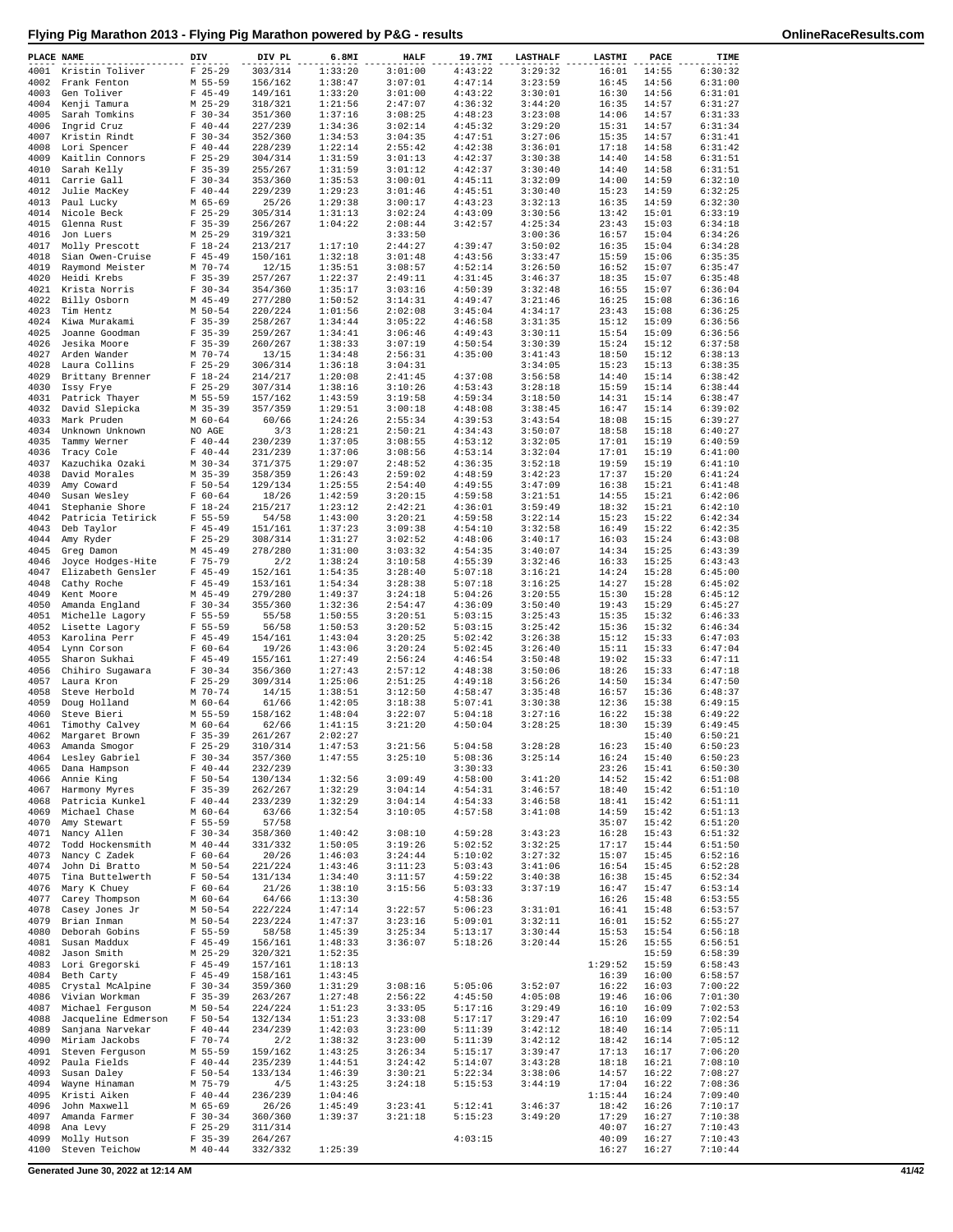| $F$ 25-29<br>303/314<br>3:01:00<br>4:43:22<br>14:55<br>4001<br>Kristin Toliver<br>1:33:20<br>3:29:32<br>16:01<br>6:30:32<br>1:38:47<br>3:07:01<br>4:47:14<br>3:23:59<br>6:31:00<br>4002<br>Frank Fenton<br>M 55-59<br>156/162<br>16:45<br>14:56<br>6:31:01<br>4003<br>$F$ 45-49<br>149/161<br>1:33:20<br>3:01:00<br>4:43:22<br>3:30:01<br>16:30<br>14:56<br>Gen Toliver<br>6:31:27<br>4004<br>Kenji Tamura<br>$M$ 25-29<br>318/321<br>1:21:56<br>2:47:07<br>4:36:32<br>3:44:20<br>16:35<br>14:57<br>4:48:23<br>4005<br>Sarah Tomkins<br>$F 30-34$<br>351/360<br>1:37:16<br>3:08:25<br>3:23:08<br>14:06<br>14:57<br>6:31:33<br>$F 40 - 44$<br>1:34:36<br>3:02:14<br>4:45:32<br>14:57<br>6:31:34<br>4006<br>Ingrid Cruz<br>227/239<br>3:29:20<br>15:31<br>14:57<br>6:31:41<br>4007<br>Kristin Rindt<br>$F 30-34$<br>352/360<br>1:34:53<br>3:04:35<br>4:47:51<br>3:27:06<br>15:35<br>4008<br>Lori Spencer<br>$F 40 - 44$<br>228/239<br>1:22:14<br>2:55:42<br>4:42:38<br>3:36:01<br>17:18<br>14:58<br>6:31:42<br>4009<br>$F$ 25-29<br>1:31:59<br>3:01:13<br>4:42:37<br>3:30:38<br>14:58<br>6:31:51<br>Kaitlin Connors<br>304/314<br>14:40<br>4:42:37<br>14:40<br>4010<br>Sarah Kelly<br>$F$ 35-39<br>255/267<br>1:31:59<br>3:01:12<br>3:30:40<br>14:58<br>6:31:51<br>4011<br>Carrie Gall<br>$F 30-34$<br>353/360<br>1:35:53<br>3:00:01<br>4:45:11<br>3:32:09<br>14:00<br>14:59<br>6:32:10<br>$F 40 - 44$<br>229/239<br>1:29:23<br>3:01:46<br>4:45:51<br>3:30:40<br>15:23<br>14:59<br>6:32:25<br>4012<br>Julie MacKey<br>4013<br>Paul Lucky<br>M 65-69<br>25/26<br>1:29:38<br>3:00:17<br>4:43:23<br>3:32:13<br>16:35<br>14:59<br>6:32:30<br>4014<br>Nicole Beck<br>$F$ 25-29<br>305/314<br>1:31:13<br>3:02:24<br>4:43:09<br>3:30:56<br>13:42<br>15:01<br>6:33:19<br>256/267<br>1:04:22<br>2:08:44<br>3:42:57<br>4:25:34<br>15:03<br>6:34:18<br>4015<br>Glenna Rust<br>$F$ 35-39<br>23:43<br>4016<br>$M$ 25-29<br>319/321<br>3:33:50<br>3:00:36<br>16:57<br>15:04<br>6:34:26<br>Jon Luers<br>4017<br>Molly Prescott<br>$F 18 - 24$<br>213/217<br>1:17:10<br>2:44:27<br>4:39:47<br>3:50:02<br>16:35<br>15:04<br>6:34:28<br>$F$ 45-49<br>150/161<br>1:32:18<br>4:43:56<br>15:06<br>6:35:35<br>4018<br>Sian Owen-Cruise<br>3:01:48<br>3:33:47<br>15:59<br>4019<br>M 70-74<br>12/15<br>1:35:51<br>3:08:57<br>4:52:14<br>3:26:50<br>16:52<br>15:07<br>6:35:47<br>Raymond Meister<br>257/267<br>4020<br>Heidi Krebs<br>$F$ 35-39<br>1:22:37<br>2:49:11<br>4:31:45<br>3:46:37<br>18:35<br>15:07<br>6:35:48<br>$F 30-34$<br>1:35:17<br>3:03:16<br>4:50:39<br>15:07<br>6:36:04<br>4021<br>Krista Norris<br>354/360<br>3:32:48<br>16:55<br>4022<br>Billy Osborn<br>$M$ 45-49<br>277/280<br>1:50:52<br>3:14:31<br>4:49:47<br>3:21:46<br>16:25<br>15:08<br>6:36:16<br>4023<br>Tim Hentz<br>M 50-54<br>220/224<br>1:01:56<br>2:02:08<br>3:45:04<br>4:34:17<br>23:43<br>15:08<br>6:36:25<br>4024<br>$F$ 35-39<br>1:34:44<br>3:05:22<br>4:46:58<br>3:31:35<br>15:12<br>15:09<br>6:36:56<br>Kiwa Murakami<br>258/267<br>4025<br>Joanne Goodman<br>$F$ 35-39<br>259/267<br>1:34:41<br>3:06:46<br>4:49:43<br>3:30:11<br>15:54<br>15:09<br>6:36:56<br>4026<br>Jesika Moore<br>$F$ 35-39<br>260/267<br>1:38:33<br>3:07:19<br>4:50:54<br>3:30:39<br>15:24<br>15:12<br>6:37:58<br>4027<br>M 70-74<br>1:34:48<br>2:56:31<br>4:35:00<br>3:41:43<br>18:50<br>15:12<br>6:38:13<br>Arden Wander<br>13/15<br>4028<br>Laura Collins<br>$F$ 25-29<br>306/314<br>1:36:18<br>3:04:31<br>3:34:05<br>15:23<br>15:13<br>6:38:35<br>4029<br>Brittany Brenner<br>$F 18-24$<br>214/217<br>1:20:08<br>2:41:45<br>4:37:08<br>3:56:58<br>14:40<br>15:14<br>6:38:42<br>4:53:43<br>15:59<br>15:14<br>6:38:44<br>4030<br>Issy Frye<br>$F$ 25-29<br>307/314<br>1:38:16<br>3:10:26<br>3:28:18<br>4031<br>Patrick Thayer<br>M 55-59<br>157/162<br>1:43:59<br>3:19:58<br>4:59:34<br>3:18:50<br>14:31<br>15:14<br>6:38:47<br>4032<br>David Slepicka<br>$M$ 35-39<br>357/359<br>1:29:51<br>3:00:18<br>4:48:08<br>3:38:45<br>16:47<br>15:14<br>6:39:02<br>1:24:26<br>3:43:54<br>15:15<br>6:39:27<br>4033<br>Mark Pruden<br>M 60-64<br>60/66<br>2:55:34<br>4:39:53<br>18:08<br>6:40:27<br>4034<br>Unknown Unknown<br>NO AGE<br>3/3<br>1:28:21<br>2:50:21<br>4:34:43<br>3:50:07<br>18:58<br>15:18<br>4035<br>Tammy Werner<br>$F 40 - 44$<br>230/239<br>1:37:05<br>3:08:55<br>4:53:12<br>3:32:05<br>17:01<br>15:19<br>6:40:59<br>$F 40 - 44$<br>231/239<br>1:37:06<br>4:53:14<br>3:32:04<br>15:19<br>6:41:00<br>4036<br>Tracy Cole<br>3:08:56<br>17:01<br>6:41:10<br>4037<br>Kazuchika Ozaki<br>$M$ 30-34<br>371/375<br>1:29:07<br>2:48:52<br>4:36:35<br>3:52:18<br>19:59<br>15:19<br>4038<br>David Morales<br>$M$ 35-39<br>358/359<br>1:26:43<br>2:59:02<br>4:48:59<br>3:42:23<br>17:37<br>15:20<br>6:41:24<br>2:54:40<br>4:49:55<br>3:47:09<br>15:21<br>6:41:48<br>4039<br>Amy Coward<br>$F 50 - 54$<br>129/134<br>1:25:55<br>16:38<br>4040<br>Susan Wesley<br>$F 60 - 64$<br>18/26<br>1:42:59<br>3:20:15<br>4:59:58<br>3:21:51<br>14:55<br>15:21<br>6:42:06<br>4041<br>Stephanie Shore<br>$F 18-24$<br>215/217<br>1:23:12<br>2:42:21<br>4:36:01<br>3:59:49<br>18:32<br>15:21<br>6:42:10<br>54/58<br>1:43:00<br>4:59:58<br>3:22:14<br>15:22<br>6:42:34<br>4042<br>Patricia Tetirick<br>$F 55 - 59$<br>3:20:21<br>15:23<br>4043<br>$F$ 45-49<br>151/161<br>1:37:23<br>3:09:38<br>4:54:10<br>16:49<br>15:22<br>6:42:35<br>Deb Taylor<br>3:32:58<br>4044<br>Amy Ryder<br>$F$ 25-29<br>308/314<br>1:31:27<br>3:02:52<br>4:48:06<br>3:40:17<br>16:03<br>15:24<br>6:43:08<br>$M$ 45-49<br>278/280<br>1:31:00<br>3:03:32<br>3:40:07<br>15:25<br>6:43:39<br>4045<br>Greg Damon<br>4:54:35<br>14:34<br>$F$ 75-79<br>6:43:43<br>4046<br>2/2<br>1:38:24<br>3:10:58<br>4:55:39<br>3:32:46<br>16:33<br>15:25<br>Joyce Hodges-Hite<br>4047<br>Elizabeth Gensler<br>$F$ 45-49<br>152/161<br>1:54:35<br>3:28:40<br>5:07:18<br>3:16:21<br>14:24<br>15:28<br>6:45:00<br>$F$ 45-49<br>5:07:18<br>14:27<br>15:28<br>6:45:02<br>4048<br>Cathy Roche<br>153/161<br>1:54:34<br>3:28:38<br>3:16:25<br>6:45:12<br>4049<br>$M$ 45-49<br>279/280<br>1:49:37<br>3:24:18<br>5:04:26<br>3:20:55<br>15:30<br>15:28<br>Kent Moore<br>4050<br>Amanda England<br>$F 30-34$<br>355/360<br>1:32:36<br>2:54:47<br>4:36:09<br>3:50:40<br>19:43<br>15:29<br>6:45:27<br>4051<br>55/58<br>3:20:51<br>5:03:15<br>3:25:43<br>15:32<br>6:46:33<br>Michelle Lagory<br>$F 55 - 59$<br>1:50:55<br>15:35<br>4052<br>$F 55 - 59$<br>56/58<br>1:50:53<br>3:20:52<br>5:03:15<br>3:25:42<br>15:36<br>15:32<br>6:46:34<br>Lisette Lagory<br>4053<br>Karolina Perr<br>$F$ 45-49<br>154/161<br>1:43:04<br>3:20:25<br>5:02:42<br>3:26:38<br>15:12<br>15:33<br>6:47:03<br>19/26<br>1:43:06<br>5:02:45<br>3:26:40<br>15:11<br>15:33<br>6:47:04<br>4054<br>Lynn Corson<br>$F 60 - 64$<br>3:20:24<br>4055<br>$F$ 45-49<br>155/161<br>1:27:49<br>2:56:24<br>4:46:54<br>3:50:48<br>19:02<br>15:33<br>6:47:11<br>Sharon Sukhai<br>4056<br>Chihiro Sugawara<br>$F 30-34$<br>356/360<br>1:27:43<br>2:57:12<br>4:48:38<br>3:50:06<br>18:26<br>15:33<br>6:47:18<br>$F$ 25-29<br>1:25:06<br>2:51:25<br>4:49:18<br>3:56:26<br>6:47:50<br>4057<br>Laura Kron<br>309/314<br>14:50<br>15:34<br>4058<br>Steve Herbold<br>M 70-74<br>14/15<br>1:38:51<br>3:12:50<br>4:58:47<br>3:35:48<br>16:57<br>15:36<br>6:48:37<br>4059<br>Doug Holland<br>$M$ 60-64<br>61/66<br>1:42:05<br>3:18:38<br>5:07:41<br>3:30:38<br>12:36<br>15:38<br>6:49:15<br>6:49:22<br>4060<br>Steve Bieri<br>M 55-59<br>158/162<br>1:48:04<br>3:22:07<br>5:04:18<br>3:27:16<br>16:22<br>15:38<br>4061<br>$M$ 60-64<br>62/66<br>1:41:15<br>3:21:20<br>4:50:04<br>3:28:25<br>18:30<br>15:39<br>6:49:45<br>Timothy Calvey<br>4062<br>Margaret Brown<br>$F$ 35-39<br>261/267<br>2:02:27<br>15:40<br>6:50:21<br>$3:21:56$ $5:04:58$<br>3:28:28<br>16:23<br>15:40<br>$F$ 25-29<br>310/314<br>1:47:53<br>6:50:23<br>4063 Amanda Smogor<br>$F 30-34$<br>1:47:55<br>3:25:14<br>6:50:23<br>4064 Lesley Gabriel<br>357/360<br>3:25:10<br>5:08:36<br>16:24<br>15:40<br>$F 40 - 44$<br>6:50:30<br>4065<br>Dana Hampson<br>232/239<br>3:30:33<br>23:26<br>15:41<br>$F 50 - 54$<br>15:42<br>6:51:08<br>4066<br>Annie King<br>130/134<br>1:32:56<br>3:09:49<br>4:58:00<br>3:41:20<br>14:52<br>15:42<br>6:51:10<br>4067<br>Harmony Myres<br>$F$ 35-39<br>262/267<br>1:32:29<br>3:04:14<br>4:54:31<br>3:46:57<br>18:40<br>1:32:29<br>3:04:14<br>3:46:58<br>15:42<br>4068<br>Patricia Kunkel<br>$F 40-44$<br>233/239<br>4:54:33<br>18:41<br>6:51:11<br>4069<br>M 60-64<br>1:32:54<br>3:10:05<br>3:41:08<br>14:59<br>15:42<br>6:51:13<br>Michael Chase<br>63/66<br>4:57:58<br>$F 55 - 59$<br>4070<br>Amy Stewart<br>57/58<br>35:07<br>15:42<br>6:51:20<br>$F 30-34$<br>6:51:32<br>4071<br>Nancy Allen<br>358/360<br>1:40:42<br>3:08:10<br>4:59:28<br>3:43:23<br>16:28<br>15:43<br>4072<br>$M$ 40-44<br>1:50:05<br>3:19:26<br>5:02:52<br>3:32:25<br>15:44<br>6:51:50<br>Todd Hockensmith<br>331/332<br>17:17<br>$F 60 - 64$<br>4073<br>Nancy C Zadek<br>20/26<br>1:46:03<br>3:24:44<br>5:10:02<br>3:27:32<br>15:07<br>15:45<br>6:52:16<br>221/224<br>3:41:06<br>4074<br>John Di Bratto<br>M 50-54<br>1:43:46<br>3:11:23<br>5:03:43<br>16:54<br>15:45<br>6:52:28<br>4075<br>$F 50-54$<br>3:40:38<br>6:52:34<br>Tina Buttelwerth<br>131/134<br>1:34:40<br>3:11:57<br>4:59:22<br>16:38<br>15:45<br>$F 60 - 64$<br>3:37:19<br>4076<br>Mary K Chuey<br>21/26<br>3:15:56<br>5:03:33<br>16:47<br>15:47<br>6:53:14<br>1:38:10<br>4077<br>Carey Thompson<br>M 60-64<br>64/66<br>1:13:30<br>4:58:36<br>16:26<br>15:48<br>6:53:55<br>4078<br>Casey Jones Jr<br>$M$ 50-54<br>222/224<br>3:22:57<br>5:06:23<br>16:41<br>15:48<br>6:53:57<br>1:47:14<br>3:31:01<br>4079<br>Brian Inman<br>M 50-54<br>223/224<br>1:47:37<br>3:23:16<br>5:09:01<br>3:32:11<br>16:01<br>15:52<br>6:55:27<br>4080<br>Deborah Gobins<br>$F 55 - 59$<br>58/58<br>1:45:39<br>3:25:34<br>5:13:17<br>3:30:44<br>15:53<br>15:54<br>6:56:18<br>4081<br>$F 45 - 49$<br>3:36:07<br>3:20:44<br>15:26<br>6:56:51<br>Susan Maddux<br>156/161<br>1:48:33<br>5:18:26<br>15:55<br>4082<br>Jason Smith<br>$M$ 25-29<br>320/321<br>1:52:35<br>15:59<br>6:58:39<br>6:58:43<br>4083<br>Lori Gregorski<br>$F$ 45-49<br>157/161<br>1:18:13<br>1:29:52<br>15:59<br>4084<br>$F 45 - 49$<br>16:39<br>16:00<br>6:58:57<br>Beth Carty<br>158/161<br>1:43:45<br>$F 30-34$<br>5:05:06<br>4085<br>Crystal McAlpine<br>359/360<br>1:31:29<br>3:08:16<br>3:52:07<br>16:22<br>16:03<br>7:00:22<br>$F$ 35-39<br>2:56:22<br>4:45:50<br>7:01:30<br>4086<br>Vivian Workman<br>263/267<br>1:27:48<br>4:05:08<br>19:46<br>16:06<br>4087<br>M 50-54<br>3:33:05<br>5:17:16<br>3:29:49<br>16:10<br>16:09<br>7:02:53<br>Michael Ferguson<br>224/224<br>1:51:23<br>7:02:54<br>4088<br>Jacqueline Edmerson<br>$F 50-54$<br>132/134<br>1:51:23<br>3:33:08<br>5:17:17<br>3:29:47<br>16:10<br>16:09<br>4089<br>Sanjana Narvekar<br>$F 40-44$<br>234/239<br>1:42:03<br>3:23:00<br>5:11:39<br>3:42:12<br>18:40<br>16:14<br>7:05:11<br>4090<br>Miriam Jackobs<br>$F 70-74$<br>3:23:00<br>3:42:12<br>18:42<br>16:14<br>7:05:12<br>2/2<br>1:38:32<br>5:11:39<br>4091<br>Steven Ferguson<br>M 55-59<br>159/162<br>1:43:25<br>3:26:34<br>3:39:47<br>17:13<br>16:17<br>7:06:20<br>5:15:17<br>7:08:10<br>4092<br>Paula Fields<br>$F 40 - 44$<br>235/239<br>1:44:51<br>3:24:42<br>5:14:07<br>3:43:28<br>18:18<br>16:21<br>4093<br>$F 50 - 54$<br>3:30:21<br>3:38:06<br>16:22<br>7:08:27<br>Susan Daley<br>133/134<br>1:46:39<br>5:22:34<br>14:57<br>M 75-79<br>4094<br>Wayne Hinaman<br>3:24:18<br>3:44:19<br>17:04<br>16:22<br>7:08:36<br>4/5<br>1:43:25<br>5:15:53<br>7:09:40<br>4095<br>Kristi Aiken<br>$F 40 - 44$<br>236/239<br>1:04:46<br>1:15:44<br>16:24<br>4096<br>M 65-69<br>3:23:41<br>5:12:41<br>3:46:37<br>16:26<br>7:10:17<br>John Maxwell<br>26/26<br>1:45:49<br>18:42<br>4097<br>Amanda Farmer<br>$F 30-34$<br>360/360<br>1:39:37<br>3:21:18<br>5:15:23<br>3:49:20<br>17:29<br>16:27<br>7:10:38<br>7:10:43<br>4098<br>Ana Levy<br>$F$ 25-29<br>311/314<br>40:07<br>16:27<br>4099<br>7:10:43<br>Molly Hutson<br>$F$ 35-39<br>264/267<br>4:03:15<br>40:09<br>16:27<br>$M$ 40-44<br>1:25:39<br>4100<br>Steven Teichow<br>332/332<br>16:27<br>16:27<br>7:10:44 | PLACE NAME | DIV | DIV PL | 6.8MI | <b>HALF</b> | 19.7MI | <b>LASTHALF</b> | LASTMI | PACE | TIME |
|-------------------------------------------------------------------------------------------------------------------------------------------------------------------------------------------------------------------------------------------------------------------------------------------------------------------------------------------------------------------------------------------------------------------------------------------------------------------------------------------------------------------------------------------------------------------------------------------------------------------------------------------------------------------------------------------------------------------------------------------------------------------------------------------------------------------------------------------------------------------------------------------------------------------------------------------------------------------------------------------------------------------------------------------------------------------------------------------------------------------------------------------------------------------------------------------------------------------------------------------------------------------------------------------------------------------------------------------------------------------------------------------------------------------------------------------------------------------------------------------------------------------------------------------------------------------------------------------------------------------------------------------------------------------------------------------------------------------------------------------------------------------------------------------------------------------------------------------------------------------------------------------------------------------------------------------------------------------------------------------------------------------------------------------------------------------------------------------------------------------------------------------------------------------------------------------------------------------------------------------------------------------------------------------------------------------------------------------------------------------------------------------------------------------------------------------------------------------------------------------------------------------------------------------------------------------------------------------------------------------------------------------------------------------------------------------------------------------------------------------------------------------------------------------------------------------------------------------------------------------------------------------------------------------------------------------------------------------------------------------------------------------------------------------------------------------------------------------------------------------------------------------------------------------------------------------------------------------------------------------------------------------------------------------------------------------------------------------------------------------------------------------------------------------------------------------------------------------------------------------------------------------------------------------------------------------------------------------------------------------------------------------------------------------------------------------------------------------------------------------------------------------------------------------------------------------------------------------------------------------------------------------------------------------------------------------------------------------------------------------------------------------------------------------------------------------------------------------------------------------------------------------------------------------------------------------------------------------------------------------------------------------------------------------------------------------------------------------------------------------------------------------------------------------------------------------------------------------------------------------------------------------------------------------------------------------------------------------------------------------------------------------------------------------------------------------------------------------------------------------------------------------------------------------------------------------------------------------------------------------------------------------------------------------------------------------------------------------------------------------------------------------------------------------------------------------------------------------------------------------------------------------------------------------------------------------------------------------------------------------------------------------------------------------------------------------------------------------------------------------------------------------------------------------------------------------------------------------------------------------------------------------------------------------------------------------------------------------------------------------------------------------------------------------------------------------------------------------------------------------------------------------------------------------------------------------------------------------------------------------------------------------------------------------------------------------------------------------------------------------------------------------------------------------------------------------------------------------------------------------------------------------------------------------------------------------------------------------------------------------------------------------------------------------------------------------------------------------------------------------------------------------------------------------------------------------------------------------------------------------------------------------------------------------------------------------------------------------------------------------------------------------------------------------------------------------------------------------------------------------------------------------------------------------------------------------------------------------------------------------------------------------------------------------------------------------------------------------------------------------------------------------------------------------------------------------------------------------------------------------------------------------------------------------------------------------------------------------------------------------------------------------------------------------------------------------------------------------------------------------------------------------------------------------------------------------------------------------------------------------------------------------------------------------------------------------------------------------------------------------------------------------------------------------------------------------------------------------------------------------------------------------------------------------------------------------------------------------------------------------------------------------------------------------------------------------------------------------------------------------------------------------------------------------------------------------------------------------------------------------------------------------------------------------------------------------------------------------------------------------------------------------------------------------------------------------------------------------------------------------------------------------------------------------------------------------------------------------------------------------------------------------------------------------------------------------------------------------------------------------------------------------------------------------------------------------------------------------------------------------------------------------------------------------------------------------------------------------------------------------------------------------------------------------------------------------------------------------------------------------------------------------------------------------------------------------------------------------------------------------------------------------------------------------------------------------------------------------------------------------------------------------------------------------------------------------------------------------------------------------------------------------------------------------------------------------------------------------------------------------------------------------------------------------------------------------------------------------------------------------------------------------------------------------------------------------------------------------------------------------------------------------------------------------------------------------------------------------------------------------------------------------------------------------------------------------------------------------------------------------------------------------------------------------------------------------------------------------------------------------------------------------------------------------------------------------------------------------------------------------------------------------------------------------------------------------------------------------------------------------------------------------------------------------------------------------------------------------------------------------------------------------------------------------------------------------------------------------------------------------------------------------------------------------------------------------------------------------------------------------------------------------------------------------------------------------------------------------------------------------------------------------------------------------------------------------------------------------------------------------------------------------------------------------------------------------------------------------------------------------------------------------------------------------------------------------------------------------------------------------------------------------------------------------------------------------------------------------------------------------------------------------------------------------------------------------------------------------------------------------------------------------------------------------------------------------------------------------------------------------------------------------------------------------------------------------------------------------------------------------------------------------------------------------------------------------------------------------------------------------------------------------------------------------------------------------------------------------------------------------------------------------------------------------------------------------------------------------------------------------------------------------------------------------------------------------|------------|-----|--------|-------|-------------|--------|-----------------|--------|------|------|
|                                                                                                                                                                                                                                                                                                                                                                                                                                                                                                                                                                                                                                                                                                                                                                                                                                                                                                                                                                                                                                                                                                                                                                                                                                                                                                                                                                                                                                                                                                                                                                                                                                                                                                                                                                                                                                                                                                                                                                                                                                                                                                                                                                                                                                                                                                                                                                                                                                                                                                                                                                                                                                                                                                                                                                                                                                                                                                                                                                                                                                                                                                                                                                                                                                                                                                                                                                                                                                                                                                                                                                                                                                                                                                                                                                                                                                                                                                                                                                                                                                                                                                                                                                                                                                                                                                                                                                                                                                                                                                                                                                                                                                                                                                                                                                                                                                                                                                                                                                                                                                                                                                                                                                                                                                                                                                                                                                                                                                                                                                                                                                                                                                                                                                                                                                                                                                                                                                                                                                                                                                                                                                                                                                                                                                                                                                                                                                                                                                                                                                                                                                                                                                                                                                                                                                                                                                                                                                                                                                                                                                                                                                                                                                                                                                                                                                                                                                                                                                                                                                                                                                                                                                                                                                                                                                                                                                                                                                                                                                                                                                                                                                                                                                                                                                                                                                                                                                                                                                                                                                                                                                                                                                                                                                                                                                                                                                                                                                                                                                                                                                                                                                                                                                                                                                                                                                                                                                                                                                                                                                                                                                                                                                                                                                                                                                                                                                                                                                                                                                                                                                                                                                                                                                                                                                                                                                                                                                                                                                                                                                                                                                                                                                                                                                                                                                                                                                                                                                                                                                                                                                                                                                                                                                                                                                                                                                                                                                                                                                                                                                                                                                                                                                                                                                                                                                                                                                                                                                                                                                                                                                                                                                                                                                                           |            |     |        |       |             |        |                 |        |      |      |
|                                                                                                                                                                                                                                                                                                                                                                                                                                                                                                                                                                                                                                                                                                                                                                                                                                                                                                                                                                                                                                                                                                                                                                                                                                                                                                                                                                                                                                                                                                                                                                                                                                                                                                                                                                                                                                                                                                                                                                                                                                                                                                                                                                                                                                                                                                                                                                                                                                                                                                                                                                                                                                                                                                                                                                                                                                                                                                                                                                                                                                                                                                                                                                                                                                                                                                                                                                                                                                                                                                                                                                                                                                                                                                                                                                                                                                                                                                                                                                                                                                                                                                                                                                                                                                                                                                                                                                                                                                                                                                                                                                                                                                                                                                                                                                                                                                                                                                                                                                                                                                                                                                                                                                                                                                                                                                                                                                                                                                                                                                                                                                                                                                                                                                                                                                                                                                                                                                                                                                                                                                                                                                                                                                                                                                                                                                                                                                                                                                                                                                                                                                                                                                                                                                                                                                                                                                                                                                                                                                                                                                                                                                                                                                                                                                                                                                                                                                                                                                                                                                                                                                                                                                                                                                                                                                                                                                                                                                                                                                                                                                                                                                                                                                                                                                                                                                                                                                                                                                                                                                                                                                                                                                                                                                                                                                                                                                                                                                                                                                                                                                                                                                                                                                                                                                                                                                                                                                                                                                                                                                                                                                                                                                                                                                                                                                                                                                                                                                                                                                                                                                                                                                                                                                                                                                                                                                                                                                                                                                                                                                                                                                                                                                                                                                                                                                                                                                                                                                                                                                                                                                                                                                                                                                                                                                                                                                                                                                                                                                                                                                                                                                                                                                                                                                                                                                                                                                                                                                                                                                                                                                                                                                                                                                                           |            |     |        |       |             |        |                 |        |      |      |
|                                                                                                                                                                                                                                                                                                                                                                                                                                                                                                                                                                                                                                                                                                                                                                                                                                                                                                                                                                                                                                                                                                                                                                                                                                                                                                                                                                                                                                                                                                                                                                                                                                                                                                                                                                                                                                                                                                                                                                                                                                                                                                                                                                                                                                                                                                                                                                                                                                                                                                                                                                                                                                                                                                                                                                                                                                                                                                                                                                                                                                                                                                                                                                                                                                                                                                                                                                                                                                                                                                                                                                                                                                                                                                                                                                                                                                                                                                                                                                                                                                                                                                                                                                                                                                                                                                                                                                                                                                                                                                                                                                                                                                                                                                                                                                                                                                                                                                                                                                                                                                                                                                                                                                                                                                                                                                                                                                                                                                                                                                                                                                                                                                                                                                                                                                                                                                                                                                                                                                                                                                                                                                                                                                                                                                                                                                                                                                                                                                                                                                                                                                                                                                                                                                                                                                                                                                                                                                                                                                                                                                                                                                                                                                                                                                                                                                                                                                                                                                                                                                                                                                                                                                                                                                                                                                                                                                                                                                                                                                                                                                                                                                                                                                                                                                                                                                                                                                                                                                                                                                                                                                                                                                                                                                                                                                                                                                                                                                                                                                                                                                                                                                                                                                                                                                                                                                                                                                                                                                                                                                                                                                                                                                                                                                                                                                                                                                                                                                                                                                                                                                                                                                                                                                                                                                                                                                                                                                                                                                                                                                                                                                                                                                                                                                                                                                                                                                                                                                                                                                                                                                                                                                                                                                                                                                                                                                                                                                                                                                                                                                                                                                                                                                                                                                                                                                                                                                                                                                                                                                                                                                                                                                                                                                                           |            |     |        |       |             |        |                 |        |      |      |
|                                                                                                                                                                                                                                                                                                                                                                                                                                                                                                                                                                                                                                                                                                                                                                                                                                                                                                                                                                                                                                                                                                                                                                                                                                                                                                                                                                                                                                                                                                                                                                                                                                                                                                                                                                                                                                                                                                                                                                                                                                                                                                                                                                                                                                                                                                                                                                                                                                                                                                                                                                                                                                                                                                                                                                                                                                                                                                                                                                                                                                                                                                                                                                                                                                                                                                                                                                                                                                                                                                                                                                                                                                                                                                                                                                                                                                                                                                                                                                                                                                                                                                                                                                                                                                                                                                                                                                                                                                                                                                                                                                                                                                                                                                                                                                                                                                                                                                                                                                                                                                                                                                                                                                                                                                                                                                                                                                                                                                                                                                                                                                                                                                                                                                                                                                                                                                                                                                                                                                                                                                                                                                                                                                                                                                                                                                                                                                                                                                                                                                                                                                                                                                                                                                                                                                                                                                                                                                                                                                                                                                                                                                                                                                                                                                                                                                                                                                                                                                                                                                                                                                                                                                                                                                                                                                                                                                                                                                                                                                                                                                                                                                                                                                                                                                                                                                                                                                                                                                                                                                                                                                                                                                                                                                                                                                                                                                                                                                                                                                                                                                                                                                                                                                                                                                                                                                                                                                                                                                                                                                                                                                                                                                                                                                                                                                                                                                                                                                                                                                                                                                                                                                                                                                                                                                                                                                                                                                                                                                                                                                                                                                                                                                                                                                                                                                                                                                                                                                                                                                                                                                                                                                                                                                                                                                                                                                                                                                                                                                                                                                                                                                                                                                                                                                                                                                                                                                                                                                                                                                                                                                                                                                                                                                                           |            |     |        |       |             |        |                 |        |      |      |
|                                                                                                                                                                                                                                                                                                                                                                                                                                                                                                                                                                                                                                                                                                                                                                                                                                                                                                                                                                                                                                                                                                                                                                                                                                                                                                                                                                                                                                                                                                                                                                                                                                                                                                                                                                                                                                                                                                                                                                                                                                                                                                                                                                                                                                                                                                                                                                                                                                                                                                                                                                                                                                                                                                                                                                                                                                                                                                                                                                                                                                                                                                                                                                                                                                                                                                                                                                                                                                                                                                                                                                                                                                                                                                                                                                                                                                                                                                                                                                                                                                                                                                                                                                                                                                                                                                                                                                                                                                                                                                                                                                                                                                                                                                                                                                                                                                                                                                                                                                                                                                                                                                                                                                                                                                                                                                                                                                                                                                                                                                                                                                                                                                                                                                                                                                                                                                                                                                                                                                                                                                                                                                                                                                                                                                                                                                                                                                                                                                                                                                                                                                                                                                                                                                                                                                                                                                                                                                                                                                                                                                                                                                                                                                                                                                                                                                                                                                                                                                                                                                                                                                                                                                                                                                                                                                                                                                                                                                                                                                                                                                                                                                                                                                                                                                                                                                                                                                                                                                                                                                                                                                                                                                                                                                                                                                                                                                                                                                                                                                                                                                                                                                                                                                                                                                                                                                                                                                                                                                                                                                                                                                                                                                                                                                                                                                                                                                                                                                                                                                                                                                                                                                                                                                                                                                                                                                                                                                                                                                                                                                                                                                                                                                                                                                                                                                                                                                                                                                                                                                                                                                                                                                                                                                                                                                                                                                                                                                                                                                                                                                                                                                                                                                                                                                                                                                                                                                                                                                                                                                                                                                                                                                                                                                                           |            |     |        |       |             |        |                 |        |      |      |
|                                                                                                                                                                                                                                                                                                                                                                                                                                                                                                                                                                                                                                                                                                                                                                                                                                                                                                                                                                                                                                                                                                                                                                                                                                                                                                                                                                                                                                                                                                                                                                                                                                                                                                                                                                                                                                                                                                                                                                                                                                                                                                                                                                                                                                                                                                                                                                                                                                                                                                                                                                                                                                                                                                                                                                                                                                                                                                                                                                                                                                                                                                                                                                                                                                                                                                                                                                                                                                                                                                                                                                                                                                                                                                                                                                                                                                                                                                                                                                                                                                                                                                                                                                                                                                                                                                                                                                                                                                                                                                                                                                                                                                                                                                                                                                                                                                                                                                                                                                                                                                                                                                                                                                                                                                                                                                                                                                                                                                                                                                                                                                                                                                                                                                                                                                                                                                                                                                                                                                                                                                                                                                                                                                                                                                                                                                                                                                                                                                                                                                                                                                                                                                                                                                                                                                                                                                                                                                                                                                                                                                                                                                                                                                                                                                                                                                                                                                                                                                                                                                                                                                                                                                                                                                                                                                                                                                                                                                                                                                                                                                                                                                                                                                                                                                                                                                                                                                                                                                                                                                                                                                                                                                                                                                                                                                                                                                                                                                                                                                                                                                                                                                                                                                                                                                                                                                                                                                                                                                                                                                                                                                                                                                                                                                                                                                                                                                                                                                                                                                                                                                                                                                                                                                                                                                                                                                                                                                                                                                                                                                                                                                                                                                                                                                                                                                                                                                                                                                                                                                                                                                                                                                                                                                                                                                                                                                                                                                                                                                                                                                                                                                                                                                                                                                                                                                                                                                                                                                                                                                                                                                                                                                                                                                                           |            |     |        |       |             |        |                 |        |      |      |
|                                                                                                                                                                                                                                                                                                                                                                                                                                                                                                                                                                                                                                                                                                                                                                                                                                                                                                                                                                                                                                                                                                                                                                                                                                                                                                                                                                                                                                                                                                                                                                                                                                                                                                                                                                                                                                                                                                                                                                                                                                                                                                                                                                                                                                                                                                                                                                                                                                                                                                                                                                                                                                                                                                                                                                                                                                                                                                                                                                                                                                                                                                                                                                                                                                                                                                                                                                                                                                                                                                                                                                                                                                                                                                                                                                                                                                                                                                                                                                                                                                                                                                                                                                                                                                                                                                                                                                                                                                                                                                                                                                                                                                                                                                                                                                                                                                                                                                                                                                                                                                                                                                                                                                                                                                                                                                                                                                                                                                                                                                                                                                                                                                                                                                                                                                                                                                                                                                                                                                                                                                                                                                                                                                                                                                                                                                                                                                                                                                                                                                                                                                                                                                                                                                                                                                                                                                                                                                                                                                                                                                                                                                                                                                                                                                                                                                                                                                                                                                                                                                                                                                                                                                                                                                                                                                                                                                                                                                                                                                                                                                                                                                                                                                                                                                                                                                                                                                                                                                                                                                                                                                                                                                                                                                                                                                                                                                                                                                                                                                                                                                                                                                                                                                                                                                                                                                                                                                                                                                                                                                                                                                                                                                                                                                                                                                                                                                                                                                                                                                                                                                                                                                                                                                                                                                                                                                                                                                                                                                                                                                                                                                                                                                                                                                                                                                                                                                                                                                                                                                                                                                                                                                                                                                                                                                                                                                                                                                                                                                                                                                                                                                                                                                                                                                                                                                                                                                                                                                                                                                                                                                                                                                                                                                                           |            |     |        |       |             |        |                 |        |      |      |
|                                                                                                                                                                                                                                                                                                                                                                                                                                                                                                                                                                                                                                                                                                                                                                                                                                                                                                                                                                                                                                                                                                                                                                                                                                                                                                                                                                                                                                                                                                                                                                                                                                                                                                                                                                                                                                                                                                                                                                                                                                                                                                                                                                                                                                                                                                                                                                                                                                                                                                                                                                                                                                                                                                                                                                                                                                                                                                                                                                                                                                                                                                                                                                                                                                                                                                                                                                                                                                                                                                                                                                                                                                                                                                                                                                                                                                                                                                                                                                                                                                                                                                                                                                                                                                                                                                                                                                                                                                                                                                                                                                                                                                                                                                                                                                                                                                                                                                                                                                                                                                                                                                                                                                                                                                                                                                                                                                                                                                                                                                                                                                                                                                                                                                                                                                                                                                                                                                                                                                                                                                                                                                                                                                                                                                                                                                                                                                                                                                                                                                                                                                                                                                                                                                                                                                                                                                                                                                                                                                                                                                                                                                                                                                                                                                                                                                                                                                                                                                                                                                                                                                                                                                                                                                                                                                                                                                                                                                                                                                                                                                                                                                                                                                                                                                                                                                                                                                                                                                                                                                                                                                                                                                                                                                                                                                                                                                                                                                                                                                                                                                                                                                                                                                                                                                                                                                                                                                                                                                                                                                                                                                                                                                                                                                                                                                                                                                                                                                                                                                                                                                                                                                                                                                                                                                                                                                                                                                                                                                                                                                                                                                                                                                                                                                                                                                                                                                                                                                                                                                                                                                                                                                                                                                                                                                                                                                                                                                                                                                                                                                                                                                                                                                                                                                                                                                                                                                                                                                                                                                                                                                                                                                                                                                                           |            |     |        |       |             |        |                 |        |      |      |
|                                                                                                                                                                                                                                                                                                                                                                                                                                                                                                                                                                                                                                                                                                                                                                                                                                                                                                                                                                                                                                                                                                                                                                                                                                                                                                                                                                                                                                                                                                                                                                                                                                                                                                                                                                                                                                                                                                                                                                                                                                                                                                                                                                                                                                                                                                                                                                                                                                                                                                                                                                                                                                                                                                                                                                                                                                                                                                                                                                                                                                                                                                                                                                                                                                                                                                                                                                                                                                                                                                                                                                                                                                                                                                                                                                                                                                                                                                                                                                                                                                                                                                                                                                                                                                                                                                                                                                                                                                                                                                                                                                                                                                                                                                                                                                                                                                                                                                                                                                                                                                                                                                                                                                                                                                                                                                                                                                                                                                                                                                                                                                                                                                                                                                                                                                                                                                                                                                                                                                                                                                                                                                                                                                                                                                                                                                                                                                                                                                                                                                                                                                                                                                                                                                                                                                                                                                                                                                                                                                                                                                                                                                                                                                                                                                                                                                                                                                                                                                                                                                                                                                                                                                                                                                                                                                                                                                                                                                                                                                                                                                                                                                                                                                                                                                                                                                                                                                                                                                                                                                                                                                                                                                                                                                                                                                                                                                                                                                                                                                                                                                                                                                                                                                                                                                                                                                                                                                                                                                                                                                                                                                                                                                                                                                                                                                                                                                                                                                                                                                                                                                                                                                                                                                                                                                                                                                                                                                                                                                                                                                                                                                                                                                                                                                                                                                                                                                                                                                                                                                                                                                                                                                                                                                                                                                                                                                                                                                                                                                                                                                                                                                                                                                                                                                                                                                                                                                                                                                                                                                                                                                                                                                                                                                                           |            |     |        |       |             |        |                 |        |      |      |
|                                                                                                                                                                                                                                                                                                                                                                                                                                                                                                                                                                                                                                                                                                                                                                                                                                                                                                                                                                                                                                                                                                                                                                                                                                                                                                                                                                                                                                                                                                                                                                                                                                                                                                                                                                                                                                                                                                                                                                                                                                                                                                                                                                                                                                                                                                                                                                                                                                                                                                                                                                                                                                                                                                                                                                                                                                                                                                                                                                                                                                                                                                                                                                                                                                                                                                                                                                                                                                                                                                                                                                                                                                                                                                                                                                                                                                                                                                                                                                                                                                                                                                                                                                                                                                                                                                                                                                                                                                                                                                                                                                                                                                                                                                                                                                                                                                                                                                                                                                                                                                                                                                                                                                                                                                                                                                                                                                                                                                                                                                                                                                                                                                                                                                                                                                                                                                                                                                                                                                                                                                                                                                                                                                                                                                                                                                                                                                                                                                                                                                                                                                                                                                                                                                                                                                                                                                                                                                                                                                                                                                                                                                                                                                                                                                                                                                                                                                                                                                                                                                                                                                                                                                                                                                                                                                                                                                                                                                                                                                                                                                                                                                                                                                                                                                                                                                                                                                                                                                                                                                                                                                                                                                                                                                                                                                                                                                                                                                                                                                                                                                                                                                                                                                                                                                                                                                                                                                                                                                                                                                                                                                                                                                                                                                                                                                                                                                                                                                                                                                                                                                                                                                                                                                                                                                                                                                                                                                                                                                                                                                                                                                                                                                                                                                                                                                                                                                                                                                                                                                                                                                                                                                                                                                                                                                                                                                                                                                                                                                                                                                                                                                                                                                                                                                                                                                                                                                                                                                                                                                                                                                                                                                                                                                                           |            |     |        |       |             |        |                 |        |      |      |
|                                                                                                                                                                                                                                                                                                                                                                                                                                                                                                                                                                                                                                                                                                                                                                                                                                                                                                                                                                                                                                                                                                                                                                                                                                                                                                                                                                                                                                                                                                                                                                                                                                                                                                                                                                                                                                                                                                                                                                                                                                                                                                                                                                                                                                                                                                                                                                                                                                                                                                                                                                                                                                                                                                                                                                                                                                                                                                                                                                                                                                                                                                                                                                                                                                                                                                                                                                                                                                                                                                                                                                                                                                                                                                                                                                                                                                                                                                                                                                                                                                                                                                                                                                                                                                                                                                                                                                                                                                                                                                                                                                                                                                                                                                                                                                                                                                                                                                                                                                                                                                                                                                                                                                                                                                                                                                                                                                                                                                                                                                                                                                                                                                                                                                                                                                                                                                                                                                                                                                                                                                                                                                                                                                                                                                                                                                                                                                                                                                                                                                                                                                                                                                                                                                                                                                                                                                                                                                                                                                                                                                                                                                                                                                                                                                                                                                                                                                                                                                                                                                                                                                                                                                                                                                                                                                                                                                                                                                                                                                                                                                                                                                                                                                                                                                                                                                                                                                                                                                                                                                                                                                                                                                                                                                                                                                                                                                                                                                                                                                                                                                                                                                                                                                                                                                                                                                                                                                                                                                                                                                                                                                                                                                                                                                                                                                                                                                                                                                                                                                                                                                                                                                                                                                                                                                                                                                                                                                                                                                                                                                                                                                                                                                                                                                                                                                                                                                                                                                                                                                                                                                                                                                                                                                                                                                                                                                                                                                                                                                                                                                                                                                                                                                                                                                                                                                                                                                                                                                                                                                                                                                                                                                                                                                                           |            |     |        |       |             |        |                 |        |      |      |
|                                                                                                                                                                                                                                                                                                                                                                                                                                                                                                                                                                                                                                                                                                                                                                                                                                                                                                                                                                                                                                                                                                                                                                                                                                                                                                                                                                                                                                                                                                                                                                                                                                                                                                                                                                                                                                                                                                                                                                                                                                                                                                                                                                                                                                                                                                                                                                                                                                                                                                                                                                                                                                                                                                                                                                                                                                                                                                                                                                                                                                                                                                                                                                                                                                                                                                                                                                                                                                                                                                                                                                                                                                                                                                                                                                                                                                                                                                                                                                                                                                                                                                                                                                                                                                                                                                                                                                                                                                                                                                                                                                                                                                                                                                                                                                                                                                                                                                                                                                                                                                                                                                                                                                                                                                                                                                                                                                                                                                                                                                                                                                                                                                                                                                                                                                                                                                                                                                                                                                                                                                                                                                                                                                                                                                                                                                                                                                                                                                                                                                                                                                                                                                                                                                                                                                                                                                                                                                                                                                                                                                                                                                                                                                                                                                                                                                                                                                                                                                                                                                                                                                                                                                                                                                                                                                                                                                                                                                                                                                                                                                                                                                                                                                                                                                                                                                                                                                                                                                                                                                                                                                                                                                                                                                                                                                                                                                                                                                                                                                                                                                                                                                                                                                                                                                                                                                                                                                                                                                                                                                                                                                                                                                                                                                                                                                                                                                                                                                                                                                                                                                                                                                                                                                                                                                                                                                                                                                                                                                                                                                                                                                                                                                                                                                                                                                                                                                                                                                                                                                                                                                                                                                                                                                                                                                                                                                                                                                                                                                                                                                                                                                                                                                                                                                                                                                                                                                                                                                                                                                                                                                                                                                                                                                                           |            |     |        |       |             |        |                 |        |      |      |
|                                                                                                                                                                                                                                                                                                                                                                                                                                                                                                                                                                                                                                                                                                                                                                                                                                                                                                                                                                                                                                                                                                                                                                                                                                                                                                                                                                                                                                                                                                                                                                                                                                                                                                                                                                                                                                                                                                                                                                                                                                                                                                                                                                                                                                                                                                                                                                                                                                                                                                                                                                                                                                                                                                                                                                                                                                                                                                                                                                                                                                                                                                                                                                                                                                                                                                                                                                                                                                                                                                                                                                                                                                                                                                                                                                                                                                                                                                                                                                                                                                                                                                                                                                                                                                                                                                                                                                                                                                                                                                                                                                                                                                                                                                                                                                                                                                                                                                                                                                                                                                                                                                                                                                                                                                                                                                                                                                                                                                                                                                                                                                                                                                                                                                                                                                                                                                                                                                                                                                                                                                                                                                                                                                                                                                                                                                                                                                                                                                                                                                                                                                                                                                                                                                                                                                                                                                                                                                                                                                                                                                                                                                                                                                                                                                                                                                                                                                                                                                                                                                                                                                                                                                                                                                                                                                                                                                                                                                                                                                                                                                                                                                                                                                                                                                                                                                                                                                                                                                                                                                                                                                                                                                                                                                                                                                                                                                                                                                                                                                                                                                                                                                                                                                                                                                                                                                                                                                                                                                                                                                                                                                                                                                                                                                                                                                                                                                                                                                                                                                                                                                                                                                                                                                                                                                                                                                                                                                                                                                                                                                                                                                                                                                                                                                                                                                                                                                                                                                                                                                                                                                                                                                                                                                                                                                                                                                                                                                                                                                                                                                                                                                                                                                                                                                                                                                                                                                                                                                                                                                                                                                                                                                                                                                                           |            |     |        |       |             |        |                 |        |      |      |
|                                                                                                                                                                                                                                                                                                                                                                                                                                                                                                                                                                                                                                                                                                                                                                                                                                                                                                                                                                                                                                                                                                                                                                                                                                                                                                                                                                                                                                                                                                                                                                                                                                                                                                                                                                                                                                                                                                                                                                                                                                                                                                                                                                                                                                                                                                                                                                                                                                                                                                                                                                                                                                                                                                                                                                                                                                                                                                                                                                                                                                                                                                                                                                                                                                                                                                                                                                                                                                                                                                                                                                                                                                                                                                                                                                                                                                                                                                                                                                                                                                                                                                                                                                                                                                                                                                                                                                                                                                                                                                                                                                                                                                                                                                                                                                                                                                                                                                                                                                                                                                                                                                                                                                                                                                                                                                                                                                                                                                                                                                                                                                                                                                                                                                                                                                                                                                                                                                                                                                                                                                                                                                                                                                                                                                                                                                                                                                                                                                                                                                                                                                                                                                                                                                                                                                                                                                                                                                                                                                                                                                                                                                                                                                                                                                                                                                                                                                                                                                                                                                                                                                                                                                                                                                                                                                                                                                                                                                                                                                                                                                                                                                                                                                                                                                                                                                                                                                                                                                                                                                                                                                                                                                                                                                                                                                                                                                                                                                                                                                                                                                                                                                                                                                                                                                                                                                                                                                                                                                                                                                                                                                                                                                                                                                                                                                                                                                                                                                                                                                                                                                                                                                                                                                                                                                                                                                                                                                                                                                                                                                                                                                                                                                                                                                                                                                                                                                                                                                                                                                                                                                                                                                                                                                                                                                                                                                                                                                                                                                                                                                                                                                                                                                                                                                                                                                                                                                                                                                                                                                                                                                                                                                                                                                                           |            |     |        |       |             |        |                 |        |      |      |
|                                                                                                                                                                                                                                                                                                                                                                                                                                                                                                                                                                                                                                                                                                                                                                                                                                                                                                                                                                                                                                                                                                                                                                                                                                                                                                                                                                                                                                                                                                                                                                                                                                                                                                                                                                                                                                                                                                                                                                                                                                                                                                                                                                                                                                                                                                                                                                                                                                                                                                                                                                                                                                                                                                                                                                                                                                                                                                                                                                                                                                                                                                                                                                                                                                                                                                                                                                                                                                                                                                                                                                                                                                                                                                                                                                                                                                                                                                                                                                                                                                                                                                                                                                                                                                                                                                                                                                                                                                                                                                                                                                                                                                                                                                                                                                                                                                                                                                                                                                                                                                                                                                                                                                                                                                                                                                                                                                                                                                                                                                                                                                                                                                                                                                                                                                                                                                                                                                                                                                                                                                                                                                                                                                                                                                                                                                                                                                                                                                                                                                                                                                                                                                                                                                                                                                                                                                                                                                                                                                                                                                                                                                                                                                                                                                                                                                                                                                                                                                                                                                                                                                                                                                                                                                                                                                                                                                                                                                                                                                                                                                                                                                                                                                                                                                                                                                                                                                                                                                                                                                                                                                                                                                                                                                                                                                                                                                                                                                                                                                                                                                                                                                                                                                                                                                                                                                                                                                                                                                                                                                                                                                                                                                                                                                                                                                                                                                                                                                                                                                                                                                                                                                                                                                                                                                                                                                                                                                                                                                                                                                                                                                                                                                                                                                                                                                                                                                                                                                                                                                                                                                                                                                                                                                                                                                                                                                                                                                                                                                                                                                                                                                                                                                                                                                                                                                                                                                                                                                                                                                                                                                                                                                                                                                                           |            |     |        |       |             |        |                 |        |      |      |
|                                                                                                                                                                                                                                                                                                                                                                                                                                                                                                                                                                                                                                                                                                                                                                                                                                                                                                                                                                                                                                                                                                                                                                                                                                                                                                                                                                                                                                                                                                                                                                                                                                                                                                                                                                                                                                                                                                                                                                                                                                                                                                                                                                                                                                                                                                                                                                                                                                                                                                                                                                                                                                                                                                                                                                                                                                                                                                                                                                                                                                                                                                                                                                                                                                                                                                                                                                                                                                                                                                                                                                                                                                                                                                                                                                                                                                                                                                                                                                                                                                                                                                                                                                                                                                                                                                                                                                                                                                                                                                                                                                                                                                                                                                                                                                                                                                                                                                                                                                                                                                                                                                                                                                                                                                                                                                                                                                                                                                                                                                                                                                                                                                                                                                                                                                                                                                                                                                                                                                                                                                                                                                                                                                                                                                                                                                                                                                                                                                                                                                                                                                                                                                                                                                                                                                                                                                                                                                                                                                                                                                                                                                                                                                                                                                                                                                                                                                                                                                                                                                                                                                                                                                                                                                                                                                                                                                                                                                                                                                                                                                                                                                                                                                                                                                                                                                                                                                                                                                                                                                                                                                                                                                                                                                                                                                                                                                                                                                                                                                                                                                                                                                                                                                                                                                                                                                                                                                                                                                                                                                                                                                                                                                                                                                                                                                                                                                                                                                                                                                                                                                                                                                                                                                                                                                                                                                                                                                                                                                                                                                                                                                                                                                                                                                                                                                                                                                                                                                                                                                                                                                                                                                                                                                                                                                                                                                                                                                                                                                                                                                                                                                                                                                                                                                                                                                                                                                                                                                                                                                                                                                                                                                                                                                                           |            |     |        |       |             |        |                 |        |      |      |
|                                                                                                                                                                                                                                                                                                                                                                                                                                                                                                                                                                                                                                                                                                                                                                                                                                                                                                                                                                                                                                                                                                                                                                                                                                                                                                                                                                                                                                                                                                                                                                                                                                                                                                                                                                                                                                                                                                                                                                                                                                                                                                                                                                                                                                                                                                                                                                                                                                                                                                                                                                                                                                                                                                                                                                                                                                                                                                                                                                                                                                                                                                                                                                                                                                                                                                                                                                                                                                                                                                                                                                                                                                                                                                                                                                                                                                                                                                                                                                                                                                                                                                                                                                                                                                                                                                                                                                                                                                                                                                                                                                                                                                                                                                                                                                                                                                                                                                                                                                                                                                                                                                                                                                                                                                                                                                                                                                                                                                                                                                                                                                                                                                                                                                                                                                                                                                                                                                                                                                                                                                                                                                                                                                                                                                                                                                                                                                                                                                                                                                                                                                                                                                                                                                                                                                                                                                                                                                                                                                                                                                                                                                                                                                                                                                                                                                                                                                                                                                                                                                                                                                                                                                                                                                                                                                                                                                                                                                                                                                                                                                                                                                                                                                                                                                                                                                                                                                                                                                                                                                                                                                                                                                                                                                                                                                                                                                                                                                                                                                                                                                                                                                                                                                                                                                                                                                                                                                                                                                                                                                                                                                                                                                                                                                                                                                                                                                                                                                                                                                                                                                                                                                                                                                                                                                                                                                                                                                                                                                                                                                                                                                                                                                                                                                                                                                                                                                                                                                                                                                                                                                                                                                                                                                                                                                                                                                                                                                                                                                                                                                                                                                                                                                                                                                                                                                                                                                                                                                                                                                                                                                                                                                                                                                                           |            |     |        |       |             |        |                 |        |      |      |
|                                                                                                                                                                                                                                                                                                                                                                                                                                                                                                                                                                                                                                                                                                                                                                                                                                                                                                                                                                                                                                                                                                                                                                                                                                                                                                                                                                                                                                                                                                                                                                                                                                                                                                                                                                                                                                                                                                                                                                                                                                                                                                                                                                                                                                                                                                                                                                                                                                                                                                                                                                                                                                                                                                                                                                                                                                                                                                                                                                                                                                                                                                                                                                                                                                                                                                                                                                                                                                                                                                                                                                                                                                                                                                                                                                                                                                                                                                                                                                                                                                                                                                                                                                                                                                                                                                                                                                                                                                                                                                                                                                                                                                                                                                                                                                                                                                                                                                                                                                                                                                                                                                                                                                                                                                                                                                                                                                                                                                                                                                                                                                                                                                                                                                                                                                                                                                                                                                                                                                                                                                                                                                                                                                                                                                                                                                                                                                                                                                                                                                                                                                                                                                                                                                                                                                                                                                                                                                                                                                                                                                                                                                                                                                                                                                                                                                                                                                                                                                                                                                                                                                                                                                                                                                                                                                                                                                                                                                                                                                                                                                                                                                                                                                                                                                                                                                                                                                                                                                                                                                                                                                                                                                                                                                                                                                                                                                                                                                                                                                                                                                                                                                                                                                                                                                                                                                                                                                                                                                                                                                                                                                                                                                                                                                                                                                                                                                                                                                                                                                                                                                                                                                                                                                                                                                                                                                                                                                                                                                                                                                                                                                                                                                                                                                                                                                                                                                                                                                                                                                                                                                                                                                                                                                                                                                                                                                                                                                                                                                                                                                                                                                                                                                                                                                                                                                                                                                                                                                                                                                                                                                                                                                                                                                                           |            |     |        |       |             |        |                 |        |      |      |
|                                                                                                                                                                                                                                                                                                                                                                                                                                                                                                                                                                                                                                                                                                                                                                                                                                                                                                                                                                                                                                                                                                                                                                                                                                                                                                                                                                                                                                                                                                                                                                                                                                                                                                                                                                                                                                                                                                                                                                                                                                                                                                                                                                                                                                                                                                                                                                                                                                                                                                                                                                                                                                                                                                                                                                                                                                                                                                                                                                                                                                                                                                                                                                                                                                                                                                                                                                                                                                                                                                                                                                                                                                                                                                                                                                                                                                                                                                                                                                                                                                                                                                                                                                                                                                                                                                                                                                                                                                                                                                                                                                                                                                                                                                                                                                                                                                                                                                                                                                                                                                                                                                                                                                                                                                                                                                                                                                                                                                                                                                                                                                                                                                                                                                                                                                                                                                                                                                                                                                                                                                                                                                                                                                                                                                                                                                                                                                                                                                                                                                                                                                                                                                                                                                                                                                                                                                                                                                                                                                                                                                                                                                                                                                                                                                                                                                                                                                                                                                                                                                                                                                                                                                                                                                                                                                                                                                                                                                                                                                                                                                                                                                                                                                                                                                                                                                                                                                                                                                                                                                                                                                                                                                                                                                                                                                                                                                                                                                                                                                                                                                                                                                                                                                                                                                                                                                                                                                                                                                                                                                                                                                                                                                                                                                                                                                                                                                                                                                                                                                                                                                                                                                                                                                                                                                                                                                                                                                                                                                                                                                                                                                                                                                                                                                                                                                                                                                                                                                                                                                                                                                                                                                                                                                                                                                                                                                                                                                                                                                                                                                                                                                                                                                                                                                                                                                                                                                                                                                                                                                                                                                                                                                                                                                                           |            |     |        |       |             |        |                 |        |      |      |
|                                                                                                                                                                                                                                                                                                                                                                                                                                                                                                                                                                                                                                                                                                                                                                                                                                                                                                                                                                                                                                                                                                                                                                                                                                                                                                                                                                                                                                                                                                                                                                                                                                                                                                                                                                                                                                                                                                                                                                                                                                                                                                                                                                                                                                                                                                                                                                                                                                                                                                                                                                                                                                                                                                                                                                                                                                                                                                                                                                                                                                                                                                                                                                                                                                                                                                                                                                                                                                                                                                                                                                                                                                                                                                                                                                                                                                                                                                                                                                                                                                                                                                                                                                                                                                                                                                                                                                                                                                                                                                                                                                                                                                                                                                                                                                                                                                                                                                                                                                                                                                                                                                                                                                                                                                                                                                                                                                                                                                                                                                                                                                                                                                                                                                                                                                                                                                                                                                                                                                                                                                                                                                                                                                                                                                                                                                                                                                                                                                                                                                                                                                                                                                                                                                                                                                                                                                                                                                                                                                                                                                                                                                                                                                                                                                                                                                                                                                                                                                                                                                                                                                                                                                                                                                                                                                                                                                                                                                                                                                                                                                                                                                                                                                                                                                                                                                                                                                                                                                                                                                                                                                                                                                                                                                                                                                                                                                                                                                                                                                                                                                                                                                                                                                                                                                                                                                                                                                                                                                                                                                                                                                                                                                                                                                                                                                                                                                                                                                                                                                                                                                                                                                                                                                                                                                                                                                                                                                                                                                                                                                                                                                                                                                                                                                                                                                                                                                                                                                                                                                                                                                                                                                                                                                                                                                                                                                                                                                                                                                                                                                                                                                                                                                                                                                                                                                                                                                                                                                                                                                                                                                                                                                                                                                                           |            |     |        |       |             |        |                 |        |      |      |
|                                                                                                                                                                                                                                                                                                                                                                                                                                                                                                                                                                                                                                                                                                                                                                                                                                                                                                                                                                                                                                                                                                                                                                                                                                                                                                                                                                                                                                                                                                                                                                                                                                                                                                                                                                                                                                                                                                                                                                                                                                                                                                                                                                                                                                                                                                                                                                                                                                                                                                                                                                                                                                                                                                                                                                                                                                                                                                                                                                                                                                                                                                                                                                                                                                                                                                                                                                                                                                                                                                                                                                                                                                                                                                                                                                                                                                                                                                                                                                                                                                                                                                                                                                                                                                                                                                                                                                                                                                                                                                                                                                                                                                                                                                                                                                                                                                                                                                                                                                                                                                                                                                                                                                                                                                                                                                                                                                                                                                                                                                                                                                                                                                                                                                                                                                                                                                                                                                                                                                                                                                                                                                                                                                                                                                                                                                                                                                                                                                                                                                                                                                                                                                                                                                                                                                                                                                                                                                                                                                                                                                                                                                                                                                                                                                                                                                                                                                                                                                                                                                                                                                                                                                                                                                                                                                                                                                                                                                                                                                                                                                                                                                                                                                                                                                                                                                                                                                                                                                                                                                                                                                                                                                                                                                                                                                                                                                                                                                                                                                                                                                                                                                                                                                                                                                                                                                                                                                                                                                                                                                                                                                                                                                                                                                                                                                                                                                                                                                                                                                                                                                                                                                                                                                                                                                                                                                                                                                                                                                                                                                                                                                                                                                                                                                                                                                                                                                                                                                                                                                                                                                                                                                                                                                                                                                                                                                                                                                                                                                                                                                                                                                                                                                                                                                                                                                                                                                                                                                                                                                                                                                                                                                                                                                                           |            |     |        |       |             |        |                 |        |      |      |
|                                                                                                                                                                                                                                                                                                                                                                                                                                                                                                                                                                                                                                                                                                                                                                                                                                                                                                                                                                                                                                                                                                                                                                                                                                                                                                                                                                                                                                                                                                                                                                                                                                                                                                                                                                                                                                                                                                                                                                                                                                                                                                                                                                                                                                                                                                                                                                                                                                                                                                                                                                                                                                                                                                                                                                                                                                                                                                                                                                                                                                                                                                                                                                                                                                                                                                                                                                                                                                                                                                                                                                                                                                                                                                                                                                                                                                                                                                                                                                                                                                                                                                                                                                                                                                                                                                                                                                                                                                                                                                                                                                                                                                                                                                                                                                                                                                                                                                                                                                                                                                                                                                                                                                                                                                                                                                                                                                                                                                                                                                                                                                                                                                                                                                                                                                                                                                                                                                                                                                                                                                                                                                                                                                                                                                                                                                                                                                                                                                                                                                                                                                                                                                                                                                                                                                                                                                                                                                                                                                                                                                                                                                                                                                                                                                                                                                                                                                                                                                                                                                                                                                                                                                                                                                                                                                                                                                                                                                                                                                                                                                                                                                                                                                                                                                                                                                                                                                                                                                                                                                                                                                                                                                                                                                                                                                                                                                                                                                                                                                                                                                                                                                                                                                                                                                                                                                                                                                                                                                                                                                                                                                                                                                                                                                                                                                                                                                                                                                                                                                                                                                                                                                                                                                                                                                                                                                                                                                                                                                                                                                                                                                                                                                                                                                                                                                                                                                                                                                                                                                                                                                                                                                                                                                                                                                                                                                                                                                                                                                                                                                                                                                                                                                                                                                                                                                                                                                                                                                                                                                                                                                                                                                                                                                                           |            |     |        |       |             |        |                 |        |      |      |
|                                                                                                                                                                                                                                                                                                                                                                                                                                                                                                                                                                                                                                                                                                                                                                                                                                                                                                                                                                                                                                                                                                                                                                                                                                                                                                                                                                                                                                                                                                                                                                                                                                                                                                                                                                                                                                                                                                                                                                                                                                                                                                                                                                                                                                                                                                                                                                                                                                                                                                                                                                                                                                                                                                                                                                                                                                                                                                                                                                                                                                                                                                                                                                                                                                                                                                                                                                                                                                                                                                                                                                                                                                                                                                                                                                                                                                                                                                                                                                                                                                                                                                                                                                                                                                                                                                                                                                                                                                                                                                                                                                                                                                                                                                                                                                                                                                                                                                                                                                                                                                                                                                                                                                                                                                                                                                                                                                                                                                                                                                                                                                                                                                                                                                                                                                                                                                                                                                                                                                                                                                                                                                                                                                                                                                                                                                                                                                                                                                                                                                                                                                                                                                                                                                                                                                                                                                                                                                                                                                                                                                                                                                                                                                                                                                                                                                                                                                                                                                                                                                                                                                                                                                                                                                                                                                                                                                                                                                                                                                                                                                                                                                                                                                                                                                                                                                                                                                                                                                                                                                                                                                                                                                                                                                                                                                                                                                                                                                                                                                                                                                                                                                                                                                                                                                                                                                                                                                                                                                                                                                                                                                                                                                                                                                                                                                                                                                                                                                                                                                                                                                                                                                                                                                                                                                                                                                                                                                                                                                                                                                                                                                                                                                                                                                                                                                                                                                                                                                                                                                                                                                                                                                                                                                                                                                                                                                                                                                                                                                                                                                                                                                                                                                                                                                                                                                                                                                                                                                                                                                                                                                                                                                                                                                                           |            |     |        |       |             |        |                 |        |      |      |
|                                                                                                                                                                                                                                                                                                                                                                                                                                                                                                                                                                                                                                                                                                                                                                                                                                                                                                                                                                                                                                                                                                                                                                                                                                                                                                                                                                                                                                                                                                                                                                                                                                                                                                                                                                                                                                                                                                                                                                                                                                                                                                                                                                                                                                                                                                                                                                                                                                                                                                                                                                                                                                                                                                                                                                                                                                                                                                                                                                                                                                                                                                                                                                                                                                                                                                                                                                                                                                                                                                                                                                                                                                                                                                                                                                                                                                                                                                                                                                                                                                                                                                                                                                                                                                                                                                                                                                                                                                                                                                                                                                                                                                                                                                                                                                                                                                                                                                                                                                                                                                                                                                                                                                                                                                                                                                                                                                                                                                                                                                                                                                                                                                                                                                                                                                                                                                                                                                                                                                                                                                                                                                                                                                                                                                                                                                                                                                                                                                                                                                                                                                                                                                                                                                                                                                                                                                                                                                                                                                                                                                                                                                                                                                                                                                                                                                                                                                                                                                                                                                                                                                                                                                                                                                                                                                                                                                                                                                                                                                                                                                                                                                                                                                                                                                                                                                                                                                                                                                                                                                                                                                                                                                                                                                                                                                                                                                                                                                                                                                                                                                                                                                                                                                                                                                                                                                                                                                                                                                                                                                                                                                                                                                                                                                                                                                                                                                                                                                                                                                                                                                                                                                                                                                                                                                                                                                                                                                                                                                                                                                                                                                                                                                                                                                                                                                                                                                                                                                                                                                                                                                                                                                                                                                                                                                                                                                                                                                                                                                                                                                                                                                                                                                                                                                                                                                                                                                                                                                                                                                                                                                                                                                                                                                                           |            |     |        |       |             |        |                 |        |      |      |
|                                                                                                                                                                                                                                                                                                                                                                                                                                                                                                                                                                                                                                                                                                                                                                                                                                                                                                                                                                                                                                                                                                                                                                                                                                                                                                                                                                                                                                                                                                                                                                                                                                                                                                                                                                                                                                                                                                                                                                                                                                                                                                                                                                                                                                                                                                                                                                                                                                                                                                                                                                                                                                                                                                                                                                                                                                                                                                                                                                                                                                                                                                                                                                                                                                                                                                                                                                                                                                                                                                                                                                                                                                                                                                                                                                                                                                                                                                                                                                                                                                                                                                                                                                                                                                                                                                                                                                                                                                                                                                                                                                                                                                                                                                                                                                                                                                                                                                                                                                                                                                                                                                                                                                                                                                                                                                                                                                                                                                                                                                                                                                                                                                                                                                                                                                                                                                                                                                                                                                                                                                                                                                                                                                                                                                                                                                                                                                                                                                                                                                                                                                                                                                                                                                                                                                                                                                                                                                                                                                                                                                                                                                                                                                                                                                                                                                                                                                                                                                                                                                                                                                                                                                                                                                                                                                                                                                                                                                                                                                                                                                                                                                                                                                                                                                                                                                                                                                                                                                                                                                                                                                                                                                                                                                                                                                                                                                                                                                                                                                                                                                                                                                                                                                                                                                                                                                                                                                                                                                                                                                                                                                                                                                                                                                                                                                                                                                                                                                                                                                                                                                                                                                                                                                                                                                                                                                                                                                                                                                                                                                                                                                                                                                                                                                                                                                                                                                                                                                                                                                                                                                                                                                                                                                                                                                                                                                                                                                                                                                                                                                                                                                                                                                                                                                                                                                                                                                                                                                                                                                                                                                                                                                                                                                                           |            |     |        |       |             |        |                 |        |      |      |
|                                                                                                                                                                                                                                                                                                                                                                                                                                                                                                                                                                                                                                                                                                                                                                                                                                                                                                                                                                                                                                                                                                                                                                                                                                                                                                                                                                                                                                                                                                                                                                                                                                                                                                                                                                                                                                                                                                                                                                                                                                                                                                                                                                                                                                                                                                                                                                                                                                                                                                                                                                                                                                                                                                                                                                                                                                                                                                                                                                                                                                                                                                                                                                                                                                                                                                                                                                                                                                                                                                                                                                                                                                                                                                                                                                                                                                                                                                                                                                                                                                                                                                                                                                                                                                                                                                                                                                                                                                                                                                                                                                                                                                                                                                                                                                                                                                                                                                                                                                                                                                                                                                                                                                                                                                                                                                                                                                                                                                                                                                                                                                                                                                                                                                                                                                                                                                                                                                                                                                                                                                                                                                                                                                                                                                                                                                                                                                                                                                                                                                                                                                                                                                                                                                                                                                                                                                                                                                                                                                                                                                                                                                                                                                                                                                                                                                                                                                                                                                                                                                                                                                                                                                                                                                                                                                                                                                                                                                                                                                                                                                                                                                                                                                                                                                                                                                                                                                                                                                                                                                                                                                                                                                                                                                                                                                                                                                                                                                                                                                                                                                                                                                                                                                                                                                                                                                                                                                                                                                                                                                                                                                                                                                                                                                                                                                                                                                                                                                                                                                                                                                                                                                                                                                                                                                                                                                                                                                                                                                                                                                                                                                                                                                                                                                                                                                                                                                                                                                                                                                                                                                                                                                                                                                                                                                                                                                                                                                                                                                                                                                                                                                                                                                                                                                                                                                                                                                                                                                                                                                                                                                                                                                                                                                                           |            |     |        |       |             |        |                 |        |      |      |
|                                                                                                                                                                                                                                                                                                                                                                                                                                                                                                                                                                                                                                                                                                                                                                                                                                                                                                                                                                                                                                                                                                                                                                                                                                                                                                                                                                                                                                                                                                                                                                                                                                                                                                                                                                                                                                                                                                                                                                                                                                                                                                                                                                                                                                                                                                                                                                                                                                                                                                                                                                                                                                                                                                                                                                                                                                                                                                                                                                                                                                                                                                                                                                                                                                                                                                                                                                                                                                                                                                                                                                                                                                                                                                                                                                                                                                                                                                                                                                                                                                                                                                                                                                                                                                                                                                                                                                                                                                                                                                                                                                                                                                                                                                                                                                                                                                                                                                                                                                                                                                                                                                                                                                                                                                                                                                                                                                                                                                                                                                                                                                                                                                                                                                                                                                                                                                                                                                                                                                                                                                                                                                                                                                                                                                                                                                                                                                                                                                                                                                                                                                                                                                                                                                                                                                                                                                                                                                                                                                                                                                                                                                                                                                                                                                                                                                                                                                                                                                                                                                                                                                                                                                                                                                                                                                                                                                                                                                                                                                                                                                                                                                                                                                                                                                                                                                                                                                                                                                                                                                                                                                                                                                                                                                                                                                                                                                                                                                                                                                                                                                                                                                                                                                                                                                                                                                                                                                                                                                                                                                                                                                                                                                                                                                                                                                                                                                                                                                                                                                                                                                                                                                                                                                                                                                                                                                                                                                                                                                                                                                                                                                                                                                                                                                                                                                                                                                                                                                                                                                                                                                                                                                                                                                                                                                                                                                                                                                                                                                                                                                                                                                                                                                                                                                                                                                                                                                                                                                                                                                                                                                                                                                                                                                                           |            |     |        |       |             |        |                 |        |      |      |
|                                                                                                                                                                                                                                                                                                                                                                                                                                                                                                                                                                                                                                                                                                                                                                                                                                                                                                                                                                                                                                                                                                                                                                                                                                                                                                                                                                                                                                                                                                                                                                                                                                                                                                                                                                                                                                                                                                                                                                                                                                                                                                                                                                                                                                                                                                                                                                                                                                                                                                                                                                                                                                                                                                                                                                                                                                                                                                                                                                                                                                                                                                                                                                                                                                                                                                                                                                                                                                                                                                                                                                                                                                                                                                                                                                                                                                                                                                                                                                                                                                                                                                                                                                                                                                                                                                                                                                                                                                                                                                                                                                                                                                                                                                                                                                                                                                                                                                                                                                                                                                                                                                                                                                                                                                                                                                                                                                                                                                                                                                                                                                                                                                                                                                                                                                                                                                                                                                                                                                                                                                                                                                                                                                                                                                                                                                                                                                                                                                                                                                                                                                                                                                                                                                                                                                                                                                                                                                                                                                                                                                                                                                                                                                                                                                                                                                                                                                                                                                                                                                                                                                                                                                                                                                                                                                                                                                                                                                                                                                                                                                                                                                                                                                                                                                                                                                                                                                                                                                                                                                                                                                                                                                                                                                                                                                                                                                                                                                                                                                                                                                                                                                                                                                                                                                                                                                                                                                                                                                                                                                                                                                                                                                                                                                                                                                                                                                                                                                                                                                                                                                                                                                                                                                                                                                                                                                                                                                                                                                                                                                                                                                                                                                                                                                                                                                                                                                                                                                                                                                                                                                                                                                                                                                                                                                                                                                                                                                                                                                                                                                                                                                                                                                                                                                                                                                                                                                                                                                                                                                                                                                                                                                                                                                                           |            |     |        |       |             |        |                 |        |      |      |
|                                                                                                                                                                                                                                                                                                                                                                                                                                                                                                                                                                                                                                                                                                                                                                                                                                                                                                                                                                                                                                                                                                                                                                                                                                                                                                                                                                                                                                                                                                                                                                                                                                                                                                                                                                                                                                                                                                                                                                                                                                                                                                                                                                                                                                                                                                                                                                                                                                                                                                                                                                                                                                                                                                                                                                                                                                                                                                                                                                                                                                                                                                                                                                                                                                                                                                                                                                                                                                                                                                                                                                                                                                                                                                                                                                                                                                                                                                                                                                                                                                                                                                                                                                                                                                                                                                                                                                                                                                                                                                                                                                                                                                                                                                                                                                                                                                                                                                                                                                                                                                                                                                                                                                                                                                                                                                                                                                                                                                                                                                                                                                                                                                                                                                                                                                                                                                                                                                                                                                                                                                                                                                                                                                                                                                                                                                                                                                                                                                                                                                                                                                                                                                                                                                                                                                                                                                                                                                                                                                                                                                                                                                                                                                                                                                                                                                                                                                                                                                                                                                                                                                                                                                                                                                                                                                                                                                                                                                                                                                                                                                                                                                                                                                                                                                                                                                                                                                                                                                                                                                                                                                                                                                                                                                                                                                                                                                                                                                                                                                                                                                                                                                                                                                                                                                                                                                                                                                                                                                                                                                                                                                                                                                                                                                                                                                                                                                                                                                                                                                                                                                                                                                                                                                                                                                                                                                                                                                                                                                                                                                                                                                                                                                                                                                                                                                                                                                                                                                                                                                                                                                                                                                                                                                                                                                                                                                                                                                                                                                                                                                                                                                                                                                                                                                                                                                                                                                                                                                                                                                                                                                                                                                                                                                                           |            |     |        |       |             |        |                 |        |      |      |
|                                                                                                                                                                                                                                                                                                                                                                                                                                                                                                                                                                                                                                                                                                                                                                                                                                                                                                                                                                                                                                                                                                                                                                                                                                                                                                                                                                                                                                                                                                                                                                                                                                                                                                                                                                                                                                                                                                                                                                                                                                                                                                                                                                                                                                                                                                                                                                                                                                                                                                                                                                                                                                                                                                                                                                                                                                                                                                                                                                                                                                                                                                                                                                                                                                                                                                                                                                                                                                                                                                                                                                                                                                                                                                                                                                                                                                                                                                                                                                                                                                                                                                                                                                                                                                                                                                                                                                                                                                                                                                                                                                                                                                                                                                                                                                                                                                                                                                                                                                                                                                                                                                                                                                                                                                                                                                                                                                                                                                                                                                                                                                                                                                                                                                                                                                                                                                                                                                                                                                                                                                                                                                                                                                                                                                                                                                                                                                                                                                                                                                                                                                                                                                                                                                                                                                                                                                                                                                                                                                                                                                                                                                                                                                                                                                                                                                                                                                                                                                                                                                                                                                                                                                                                                                                                                                                                                                                                                                                                                                                                                                                                                                                                                                                                                                                                                                                                                                                                                                                                                                                                                                                                                                                                                                                                                                                                                                                                                                                                                                                                                                                                                                                                                                                                                                                                                                                                                                                                                                                                                                                                                                                                                                                                                                                                                                                                                                                                                                                                                                                                                                                                                                                                                                                                                                                                                                                                                                                                                                                                                                                                                                                                                                                                                                                                                                                                                                                                                                                                                                                                                                                                                                                                                                                                                                                                                                                                                                                                                                                                                                                                                                                                                                                                                                                                                                                                                                                                                                                                                                                                                                                                                                                                                                                           |            |     |        |       |             |        |                 |        |      |      |
|                                                                                                                                                                                                                                                                                                                                                                                                                                                                                                                                                                                                                                                                                                                                                                                                                                                                                                                                                                                                                                                                                                                                                                                                                                                                                                                                                                                                                                                                                                                                                                                                                                                                                                                                                                                                                                                                                                                                                                                                                                                                                                                                                                                                                                                                                                                                                                                                                                                                                                                                                                                                                                                                                                                                                                                                                                                                                                                                                                                                                                                                                                                                                                                                                                                                                                                                                                                                                                                                                                                                                                                                                                                                                                                                                                                                                                                                                                                                                                                                                                                                                                                                                                                                                                                                                                                                                                                                                                                                                                                                                                                                                                                                                                                                                                                                                                                                                                                                                                                                                                                                                                                                                                                                                                                                                                                                                                                                                                                                                                                                                                                                                                                                                                                                                                                                                                                                                                                                                                                                                                                                                                                                                                                                                                                                                                                                                                                                                                                                                                                                                                                                                                                                                                                                                                                                                                                                                                                                                                                                                                                                                                                                                                                                                                                                                                                                                                                                                                                                                                                                                                                                                                                                                                                                                                                                                                                                                                                                                                                                                                                                                                                                                                                                                                                                                                                                                                                                                                                                                                                                                                                                                                                                                                                                                                                                                                                                                                                                                                                                                                                                                                                                                                                                                                                                                                                                                                                                                                                                                                                                                                                                                                                                                                                                                                                                                                                                                                                                                                                                                                                                                                                                                                                                                                                                                                                                                                                                                                                                                                                                                                                                                                                                                                                                                                                                                                                                                                                                                                                                                                                                                                                                                                                                                                                                                                                                                                                                                                                                                                                                                                                                                                                                                                                                                                                                                                                                                                                                                                                                                                                                                                                                                                                           |            |     |        |       |             |        |                 |        |      |      |
|                                                                                                                                                                                                                                                                                                                                                                                                                                                                                                                                                                                                                                                                                                                                                                                                                                                                                                                                                                                                                                                                                                                                                                                                                                                                                                                                                                                                                                                                                                                                                                                                                                                                                                                                                                                                                                                                                                                                                                                                                                                                                                                                                                                                                                                                                                                                                                                                                                                                                                                                                                                                                                                                                                                                                                                                                                                                                                                                                                                                                                                                                                                                                                                                                                                                                                                                                                                                                                                                                                                                                                                                                                                                                                                                                                                                                                                                                                                                                                                                                                                                                                                                                                                                                                                                                                                                                                                                                                                                                                                                                                                                                                                                                                                                                                                                                                                                                                                                                                                                                                                                                                                                                                                                                                                                                                                                                                                                                                                                                                                                                                                                                                                                                                                                                                                                                                                                                                                                                                                                                                                                                                                                                                                                                                                                                                                                                                                                                                                                                                                                                                                                                                                                                                                                                                                                                                                                                                                                                                                                                                                                                                                                                                                                                                                                                                                                                                                                                                                                                                                                                                                                                                                                                                                                                                                                                                                                                                                                                                                                                                                                                                                                                                                                                                                                                                                                                                                                                                                                                                                                                                                                                                                                                                                                                                                                                                                                                                                                                                                                                                                                                                                                                                                                                                                                                                                                                                                                                                                                                                                                                                                                                                                                                                                                                                                                                                                                                                                                                                                                                                                                                                                                                                                                                                                                                                                                                                                                                                                                                                                                                                                                                                                                                                                                                                                                                                                                                                                                                                                                                                                                                                                                                                                                                                                                                                                                                                                                                                                                                                                                                                                                                                                                                                                                                                                                                                                                                                                                                                                                                                                                                                                                                                                           |            |     |        |       |             |        |                 |        |      |      |
|                                                                                                                                                                                                                                                                                                                                                                                                                                                                                                                                                                                                                                                                                                                                                                                                                                                                                                                                                                                                                                                                                                                                                                                                                                                                                                                                                                                                                                                                                                                                                                                                                                                                                                                                                                                                                                                                                                                                                                                                                                                                                                                                                                                                                                                                                                                                                                                                                                                                                                                                                                                                                                                                                                                                                                                                                                                                                                                                                                                                                                                                                                                                                                                                                                                                                                                                                                                                                                                                                                                                                                                                                                                                                                                                                                                                                                                                                                                                                                                                                                                                                                                                                                                                                                                                                                                                                                                                                                                                                                                                                                                                                                                                                                                                                                                                                                                                                                                                                                                                                                                                                                                                                                                                                                                                                                                                                                                                                                                                                                                                                                                                                                                                                                                                                                                                                                                                                                                                                                                                                                                                                                                                                                                                                                                                                                                                                                                                                                                                                                                                                                                                                                                                                                                                                                                                                                                                                                                                                                                                                                                                                                                                                                                                                                                                                                                                                                                                                                                                                                                                                                                                                                                                                                                                                                                                                                                                                                                                                                                                                                                                                                                                                                                                                                                                                                                                                                                                                                                                                                                                                                                                                                                                                                                                                                                                                                                                                                                                                                                                                                                                                                                                                                                                                                                                                                                                                                                                                                                                                                                                                                                                                                                                                                                                                                                                                                                                                                                                                                                                                                                                                                                                                                                                                                                                                                                                                                                                                                                                                                                                                                                                                                                                                                                                                                                                                                                                                                                                                                                                                                                                                                                                                                                                                                                                                                                                                                                                                                                                                                                                                                                                                                                                                                                                                                                                                                                                                                                                                                                                                                                                                                                                                                                           |            |     |        |       |             |        |                 |        |      |      |
|                                                                                                                                                                                                                                                                                                                                                                                                                                                                                                                                                                                                                                                                                                                                                                                                                                                                                                                                                                                                                                                                                                                                                                                                                                                                                                                                                                                                                                                                                                                                                                                                                                                                                                                                                                                                                                                                                                                                                                                                                                                                                                                                                                                                                                                                                                                                                                                                                                                                                                                                                                                                                                                                                                                                                                                                                                                                                                                                                                                                                                                                                                                                                                                                                                                                                                                                                                                                                                                                                                                                                                                                                                                                                                                                                                                                                                                                                                                                                                                                                                                                                                                                                                                                                                                                                                                                                                                                                                                                                                                                                                                                                                                                                                                                                                                                                                                                                                                                                                                                                                                                                                                                                                                                                                                                                                                                                                                                                                                                                                                                                                                                                                                                                                                                                                                                                                                                                                                                                                                                                                                                                                                                                                                                                                                                                                                                                                                                                                                                                                                                                                                                                                                                                                                                                                                                                                                                                                                                                                                                                                                                                                                                                                                                                                                                                                                                                                                                                                                                                                                                                                                                                                                                                                                                                                                                                                                                                                                                                                                                                                                                                                                                                                                                                                                                                                                                                                                                                                                                                                                                                                                                                                                                                                                                                                                                                                                                                                                                                                                                                                                                                                                                                                                                                                                                                                                                                                                                                                                                                                                                                                                                                                                                                                                                                                                                                                                                                                                                                                                                                                                                                                                                                                                                                                                                                                                                                                                                                                                                                                                                                                                                                                                                                                                                                                                                                                                                                                                                                                                                                                                                                                                                                                                                                                                                                                                                                                                                                                                                                                                                                                                                                                                                                                                                                                                                                                                                                                                                                                                                                                                                                                                                                                                           |            |     |        |       |             |        |                 |        |      |      |
|                                                                                                                                                                                                                                                                                                                                                                                                                                                                                                                                                                                                                                                                                                                                                                                                                                                                                                                                                                                                                                                                                                                                                                                                                                                                                                                                                                                                                                                                                                                                                                                                                                                                                                                                                                                                                                                                                                                                                                                                                                                                                                                                                                                                                                                                                                                                                                                                                                                                                                                                                                                                                                                                                                                                                                                                                                                                                                                                                                                                                                                                                                                                                                                                                                                                                                                                                                                                                                                                                                                                                                                                                                                                                                                                                                                                                                                                                                                                                                                                                                                                                                                                                                                                                                                                                                                                                                                                                                                                                                                                                                                                                                                                                                                                                                                                                                                                                                                                                                                                                                                                                                                                                                                                                                                                                                                                                                                                                                                                                                                                                                                                                                                                                                                                                                                                                                                                                                                                                                                                                                                                                                                                                                                                                                                                                                                                                                                                                                                                                                                                                                                                                                                                                                                                                                                                                                                                                                                                                                                                                                                                                                                                                                                                                                                                                                                                                                                                                                                                                                                                                                                                                                                                                                                                                                                                                                                                                                                                                                                                                                                                                                                                                                                                                                                                                                                                                                                                                                                                                                                                                                                                                                                                                                                                                                                                                                                                                                                                                                                                                                                                                                                                                                                                                                                                                                                                                                                                                                                                                                                                                                                                                                                                                                                                                                                                                                                                                                                                                                                                                                                                                                                                                                                                                                                                                                                                                                                                                                                                                                                                                                                                                                                                                                                                                                                                                                                                                                                                                                                                                                                                                                                                                                                                                                                                                                                                                                                                                                                                                                                                                                                                                                                                                                                                                                                                                                                                                                                                                                                                                                                                                                                                                                                           |            |     |        |       |             |        |                 |        |      |      |
|                                                                                                                                                                                                                                                                                                                                                                                                                                                                                                                                                                                                                                                                                                                                                                                                                                                                                                                                                                                                                                                                                                                                                                                                                                                                                                                                                                                                                                                                                                                                                                                                                                                                                                                                                                                                                                                                                                                                                                                                                                                                                                                                                                                                                                                                                                                                                                                                                                                                                                                                                                                                                                                                                                                                                                                                                                                                                                                                                                                                                                                                                                                                                                                                                                                                                                                                                                                                                                                                                                                                                                                                                                                                                                                                                                                                                                                                                                                                                                                                                                                                                                                                                                                                                                                                                                                                                                                                                                                                                                                                                                                                                                                                                                                                                                                                                                                                                                                                                                                                                                                                                                                                                                                                                                                                                                                                                                                                                                                                                                                                                                                                                                                                                                                                                                                                                                                                                                                                                                                                                                                                                                                                                                                                                                                                                                                                                                                                                                                                                                                                                                                                                                                                                                                                                                                                                                                                                                                                                                                                                                                                                                                                                                                                                                                                                                                                                                                                                                                                                                                                                                                                                                                                                                                                                                                                                                                                                                                                                                                                                                                                                                                                                                                                                                                                                                                                                                                                                                                                                                                                                                                                                                                                                                                                                                                                                                                                                                                                                                                                                                                                                                                                                                                                                                                                                                                                                                                                                                                                                                                                                                                                                                                                                                                                                                                                                                                                                                                                                                                                                                                                                                                                                                                                                                                                                                                                                                                                                                                                                                                                                                                                                                                                                                                                                                                                                                                                                                                                                                                                                                                                                                                                                                                                                                                                                                                                                                                                                                                                                                                                                                                                                                                                                                                                                                                                                                                                                                                                                                                                                                                                                                                                                                                           |            |     |        |       |             |        |                 |        |      |      |
|                                                                                                                                                                                                                                                                                                                                                                                                                                                                                                                                                                                                                                                                                                                                                                                                                                                                                                                                                                                                                                                                                                                                                                                                                                                                                                                                                                                                                                                                                                                                                                                                                                                                                                                                                                                                                                                                                                                                                                                                                                                                                                                                                                                                                                                                                                                                                                                                                                                                                                                                                                                                                                                                                                                                                                                                                                                                                                                                                                                                                                                                                                                                                                                                                                                                                                                                                                                                                                                                                                                                                                                                                                                                                                                                                                                                                                                                                                                                                                                                                                                                                                                                                                                                                                                                                                                                                                                                                                                                                                                                                                                                                                                                                                                                                                                                                                                                                                                                                                                                                                                                                                                                                                                                                                                                                                                                                                                                                                                                                                                                                                                                                                                                                                                                                                                                                                                                                                                                                                                                                                                                                                                                                                                                                                                                                                                                                                                                                                                                                                                                                                                                                                                                                                                                                                                                                                                                                                                                                                                                                                                                                                                                                                                                                                                                                                                                                                                                                                                                                                                                                                                                                                                                                                                                                                                                                                                                                                                                                                                                                                                                                                                                                                                                                                                                                                                                                                                                                                                                                                                                                                                                                                                                                                                                                                                                                                                                                                                                                                                                                                                                                                                                                                                                                                                                                                                                                                                                                                                                                                                                                                                                                                                                                                                                                                                                                                                                                                                                                                                                                                                                                                                                                                                                                                                                                                                                                                                                                                                                                                                                                                                                                                                                                                                                                                                                                                                                                                                                                                                                                                                                                                                                                                                                                                                                                                                                                                                                                                                                                                                                                                                                                                                                                                                                                                                                                                                                                                                                                                                                                                                                                                                                                                                           |            |     |        |       |             |        |                 |        |      |      |
|                                                                                                                                                                                                                                                                                                                                                                                                                                                                                                                                                                                                                                                                                                                                                                                                                                                                                                                                                                                                                                                                                                                                                                                                                                                                                                                                                                                                                                                                                                                                                                                                                                                                                                                                                                                                                                                                                                                                                                                                                                                                                                                                                                                                                                                                                                                                                                                                                                                                                                                                                                                                                                                                                                                                                                                                                                                                                                                                                                                                                                                                                                                                                                                                                                                                                                                                                                                                                                                                                                                                                                                                                                                                                                                                                                                                                                                                                                                                                                                                                                                                                                                                                                                                                                                                                                                                                                                                                                                                                                                                                                                                                                                                                                                                                                                                                                                                                                                                                                                                                                                                                                                                                                                                                                                                                                                                                                                                                                                                                                                                                                                                                                                                                                                                                                                                                                                                                                                                                                                                                                                                                                                                                                                                                                                                                                                                                                                                                                                                                                                                                                                                                                                                                                                                                                                                                                                                                                                                                                                                                                                                                                                                                                                                                                                                                                                                                                                                                                                                                                                                                                                                                                                                                                                                                                                                                                                                                                                                                                                                                                                                                                                                                                                                                                                                                                                                                                                                                                                                                                                                                                                                                                                                                                                                                                                                                                                                                                                                                                                                                                                                                                                                                                                                                                                                                                                                                                                                                                                                                                                                                                                                                                                                                                                                                                                                                                                                                                                                                                                                                                                                                                                                                                                                                                                                                                                                                                                                                                                                                                                                                                                                                                                                                                                                                                                                                                                                                                                                                                                                                                                                                                                                                                                                                                                                                                                                                                                                                                                                                                                                                                                                                                                                                                                                                                                                                                                                                                                                                                                                                                                                                                                                                                                           |            |     |        |       |             |        |                 |        |      |      |
|                                                                                                                                                                                                                                                                                                                                                                                                                                                                                                                                                                                                                                                                                                                                                                                                                                                                                                                                                                                                                                                                                                                                                                                                                                                                                                                                                                                                                                                                                                                                                                                                                                                                                                                                                                                                                                                                                                                                                                                                                                                                                                                                                                                                                                                                                                                                                                                                                                                                                                                                                                                                                                                                                                                                                                                                                                                                                                                                                                                                                                                                                                                                                                                                                                                                                                                                                                                                                                                                                                                                                                                                                                                                                                                                                                                                                                                                                                                                                                                                                                                                                                                                                                                                                                                                                                                                                                                                                                                                                                                                                                                                                                                                                                                                                                                                                                                                                                                                                                                                                                                                                                                                                                                                                                                                                                                                                                                                                                                                                                                                                                                                                                                                                                                                                                                                                                                                                                                                                                                                                                                                                                                                                                                                                                                                                                                                                                                                                                                                                                                                                                                                                                                                                                                                                                                                                                                                                                                                                                                                                                                                                                                                                                                                                                                                                                                                                                                                                                                                                                                                                                                                                                                                                                                                                                                                                                                                                                                                                                                                                                                                                                                                                                                                                                                                                                                                                                                                                                                                                                                                                                                                                                                                                                                                                                                                                                                                                                                                                                                                                                                                                                                                                                                                                                                                                                                                                                                                                                                                                                                                                                                                                                                                                                                                                                                                                                                                                                                                                                                                                                                                                                                                                                                                                                                                                                                                                                                                                                                                                                                                                                                                                                                                                                                                                                                                                                                                                                                                                                                                                                                                                                                                                                                                                                                                                                                                                                                                                                                                                                                                                                                                                                                                                                                                                                                                                                                                                                                                                                                                                                                                                                                                                                                           |            |     |        |       |             |        |                 |        |      |      |
|                                                                                                                                                                                                                                                                                                                                                                                                                                                                                                                                                                                                                                                                                                                                                                                                                                                                                                                                                                                                                                                                                                                                                                                                                                                                                                                                                                                                                                                                                                                                                                                                                                                                                                                                                                                                                                                                                                                                                                                                                                                                                                                                                                                                                                                                                                                                                                                                                                                                                                                                                                                                                                                                                                                                                                                                                                                                                                                                                                                                                                                                                                                                                                                                                                                                                                                                                                                                                                                                                                                                                                                                                                                                                                                                                                                                                                                                                                                                                                                                                                                                                                                                                                                                                                                                                                                                                                                                                                                                                                                                                                                                                                                                                                                                                                                                                                                                                                                                                                                                                                                                                                                                                                                                                                                                                                                                                                                                                                                                                                                                                                                                                                                                                                                                                                                                                                                                                                                                                                                                                                                                                                                                                                                                                                                                                                                                                                                                                                                                                                                                                                                                                                                                                                                                                                                                                                                                                                                                                                                                                                                                                                                                                                                                                                                                                                                                                                                                                                                                                                                                                                                                                                                                                                                                                                                                                                                                                                                                                                                                                                                                                                                                                                                                                                                                                                                                                                                                                                                                                                                                                                                                                                                                                                                                                                                                                                                                                                                                                                                                                                                                                                                                                                                                                                                                                                                                                                                                                                                                                                                                                                                                                                                                                                                                                                                                                                                                                                                                                                                                                                                                                                                                                                                                                                                                                                                                                                                                                                                                                                                                                                                                                                                                                                                                                                                                                                                                                                                                                                                                                                                                                                                                                                                                                                                                                                                                                                                                                                                                                                                                                                                                                                                                                                                                                                                                                                                                                                                                                                                                                                                                                                                                                                                           |            |     |        |       |             |        |                 |        |      |      |
|                                                                                                                                                                                                                                                                                                                                                                                                                                                                                                                                                                                                                                                                                                                                                                                                                                                                                                                                                                                                                                                                                                                                                                                                                                                                                                                                                                                                                                                                                                                                                                                                                                                                                                                                                                                                                                                                                                                                                                                                                                                                                                                                                                                                                                                                                                                                                                                                                                                                                                                                                                                                                                                                                                                                                                                                                                                                                                                                                                                                                                                                                                                                                                                                                                                                                                                                                                                                                                                                                                                                                                                                                                                                                                                                                                                                                                                                                                                                                                                                                                                                                                                                                                                                                                                                                                                                                                                                                                                                                                                                                                                                                                                                                                                                                                                                                                                                                                                                                                                                                                                                                                                                                                                                                                                                                                                                                                                                                                                                                                                                                                                                                                                                                                                                                                                                                                                                                                                                                                                                                                                                                                                                                                                                                                                                                                                                                                                                                                                                                                                                                                                                                                                                                                                                                                                                                                                                                                                                                                                                                                                                                                                                                                                                                                                                                                                                                                                                                                                                                                                                                                                                                                                                                                                                                                                                                                                                                                                                                                                                                                                                                                                                                                                                                                                                                                                                                                                                                                                                                                                                                                                                                                                                                                                                                                                                                                                                                                                                                                                                                                                                                                                                                                                                                                                                                                                                                                                                                                                                                                                                                                                                                                                                                                                                                                                                                                                                                                                                                                                                                                                                                                                                                                                                                                                                                                                                                                                                                                                                                                                                                                                                                                                                                                                                                                                                                                                                                                                                                                                                                                                                                                                                                                                                                                                                                                                                                                                                                                                                                                                                                                                                                                                                                                                                                                                                                                                                                                                                                                                                                                                                                                                                                                                           |            |     |        |       |             |        |                 |        |      |      |
|                                                                                                                                                                                                                                                                                                                                                                                                                                                                                                                                                                                                                                                                                                                                                                                                                                                                                                                                                                                                                                                                                                                                                                                                                                                                                                                                                                                                                                                                                                                                                                                                                                                                                                                                                                                                                                                                                                                                                                                                                                                                                                                                                                                                                                                                                                                                                                                                                                                                                                                                                                                                                                                                                                                                                                                                                                                                                                                                                                                                                                                                                                                                                                                                                                                                                                                                                                                                                                                                                                                                                                                                                                                                                                                                                                                                                                                                                                                                                                                                                                                                                                                                                                                                                                                                                                                                                                                                                                                                                                                                                                                                                                                                                                                                                                                                                                                                                                                                                                                                                                                                                                                                                                                                                                                                                                                                                                                                                                                                                                                                                                                                                                                                                                                                                                                                                                                                                                                                                                                                                                                                                                                                                                                                                                                                                                                                                                                                                                                                                                                                                                                                                                                                                                                                                                                                                                                                                                                                                                                                                                                                                                                                                                                                                                                                                                                                                                                                                                                                                                                                                                                                                                                                                                                                                                                                                                                                                                                                                                                                                                                                                                                                                                                                                                                                                                                                                                                                                                                                                                                                                                                                                                                                                                                                                                                                                                                                                                                                                                                                                                                                                                                                                                                                                                                                                                                                                                                                                                                                                                                                                                                                                                                                                                                                                                                                                                                                                                                                                                                                                                                                                                                                                                                                                                                                                                                                                                                                                                                                                                                                                                                                                                                                                                                                                                                                                                                                                                                                                                                                                                                                                                                                                                                                                                                                                                                                                                                                                                                                                                                                                                                                                                                                                                                                                                                                                                                                                                                                                                                                                                                                                                                                                                                           |            |     |        |       |             |        |                 |        |      |      |
|                                                                                                                                                                                                                                                                                                                                                                                                                                                                                                                                                                                                                                                                                                                                                                                                                                                                                                                                                                                                                                                                                                                                                                                                                                                                                                                                                                                                                                                                                                                                                                                                                                                                                                                                                                                                                                                                                                                                                                                                                                                                                                                                                                                                                                                                                                                                                                                                                                                                                                                                                                                                                                                                                                                                                                                                                                                                                                                                                                                                                                                                                                                                                                                                                                                                                                                                                                                                                                                                                                                                                                                                                                                                                                                                                                                                                                                                                                                                                                                                                                                                                                                                                                                                                                                                                                                                                                                                                                                                                                                                                                                                                                                                                                                                                                                                                                                                                                                                                                                                                                                                                                                                                                                                                                                                                                                                                                                                                                                                                                                                                                                                                                                                                                                                                                                                                                                                                                                                                                                                                                                                                                                                                                                                                                                                                                                                                                                                                                                                                                                                                                                                                                                                                                                                                                                                                                                                                                                                                                                                                                                                                                                                                                                                                                                                                                                                                                                                                                                                                                                                                                                                                                                                                                                                                                                                                                                                                                                                                                                                                                                                                                                                                                                                                                                                                                                                                                                                                                                                                                                                                                                                                                                                                                                                                                                                                                                                                                                                                                                                                                                                                                                                                                                                                                                                                                                                                                                                                                                                                                                                                                                                                                                                                                                                                                                                                                                                                                                                                                                                                                                                                                                                                                                                                                                                                                                                                                                                                                                                                                                                                                                                                                                                                                                                                                                                                                                                                                                                                                                                                                                                                                                                                                                                                                                                                                                                                                                                                                                                                                                                                                                                                                                                                                                                                                                                                                                                                                                                                                                                                                                                                                                                                                                           |            |     |        |       |             |        |                 |        |      |      |
|                                                                                                                                                                                                                                                                                                                                                                                                                                                                                                                                                                                                                                                                                                                                                                                                                                                                                                                                                                                                                                                                                                                                                                                                                                                                                                                                                                                                                                                                                                                                                                                                                                                                                                                                                                                                                                                                                                                                                                                                                                                                                                                                                                                                                                                                                                                                                                                                                                                                                                                                                                                                                                                                                                                                                                                                                                                                                                                                                                                                                                                                                                                                                                                                                                                                                                                                                                                                                                                                                                                                                                                                                                                                                                                                                                                                                                                                                                                                                                                                                                                                                                                                                                                                                                                                                                                                                                                                                                                                                                                                                                                                                                                                                                                                                                                                                                                                                                                                                                                                                                                                                                                                                                                                                                                                                                                                                                                                                                                                                                                                                                                                                                                                                                                                                                                                                                                                                                                                                                                                                                                                                                                                                                                                                                                                                                                                                                                                                                                                                                                                                                                                                                                                                                                                                                                                                                                                                                                                                                                                                                                                                                                                                                                                                                                                                                                                                                                                                                                                                                                                                                                                                                                                                                                                                                                                                                                                                                                                                                                                                                                                                                                                                                                                                                                                                                                                                                                                                                                                                                                                                                                                                                                                                                                                                                                                                                                                                                                                                                                                                                                                                                                                                                                                                                                                                                                                                                                                                                                                                                                                                                                                                                                                                                                                                                                                                                                                                                                                                                                                                                                                                                                                                                                                                                                                                                                                                                                                                                                                                                                                                                                                                                                                                                                                                                                                                                                                                                                                                                                                                                                                                                                                                                                                                                                                                                                                                                                                                                                                                                                                                                                                                                                                                                                                                                                                                                                                                                                                                                                                                                                                                                                                                                                           |            |     |        |       |             |        |                 |        |      |      |
|                                                                                                                                                                                                                                                                                                                                                                                                                                                                                                                                                                                                                                                                                                                                                                                                                                                                                                                                                                                                                                                                                                                                                                                                                                                                                                                                                                                                                                                                                                                                                                                                                                                                                                                                                                                                                                                                                                                                                                                                                                                                                                                                                                                                                                                                                                                                                                                                                                                                                                                                                                                                                                                                                                                                                                                                                                                                                                                                                                                                                                                                                                                                                                                                                                                                                                                                                                                                                                                                                                                                                                                                                                                                                                                                                                                                                                                                                                                                                                                                                                                                                                                                                                                                                                                                                                                                                                                                                                                                                                                                                                                                                                                                                                                                                                                                                                                                                                                                                                                                                                                                                                                                                                                                                                                                                                                                                                                                                                                                                                                                                                                                                                                                                                                                                                                                                                                                                                                                                                                                                                                                                                                                                                                                                                                                                                                                                                                                                                                                                                                                                                                                                                                                                                                                                                                                                                                                                                                                                                                                                                                                                                                                                                                                                                                                                                                                                                                                                                                                                                                                                                                                                                                                                                                                                                                                                                                                                                                                                                                                                                                                                                                                                                                                                                                                                                                                                                                                                                                                                                                                                                                                                                                                                                                                                                                                                                                                                                                                                                                                                                                                                                                                                                                                                                                                                                                                                                                                                                                                                                                                                                                                                                                                                                                                                                                                                                                                                                                                                                                                                                                                                                                                                                                                                                                                                                                                                                                                                                                                                                                                                                                                                                                                                                                                                                                                                                                                                                                                                                                                                                                                                                                                                                                                                                                                                                                                                                                                                                                                                                                                                                                                                                                                                                                                                                                                                                                                                                                                                                                                                                                                                                                                                                                           |            |     |        |       |             |        |                 |        |      |      |
|                                                                                                                                                                                                                                                                                                                                                                                                                                                                                                                                                                                                                                                                                                                                                                                                                                                                                                                                                                                                                                                                                                                                                                                                                                                                                                                                                                                                                                                                                                                                                                                                                                                                                                                                                                                                                                                                                                                                                                                                                                                                                                                                                                                                                                                                                                                                                                                                                                                                                                                                                                                                                                                                                                                                                                                                                                                                                                                                                                                                                                                                                                                                                                                                                                                                                                                                                                                                                                                                                                                                                                                                                                                                                                                                                                                                                                                                                                                                                                                                                                                                                                                                                                                                                                                                                                                                                                                                                                                                                                                                                                                                                                                                                                                                                                                                                                                                                                                                                                                                                                                                                                                                                                                                                                                                                                                                                                                                                                                                                                                                                                                                                                                                                                                                                                                                                                                                                                                                                                                                                                                                                                                                                                                                                                                                                                                                                                                                                                                                                                                                                                                                                                                                                                                                                                                                                                                                                                                                                                                                                                                                                                                                                                                                                                                                                                                                                                                                                                                                                                                                                                                                                                                                                                                                                                                                                                                                                                                                                                                                                                                                                                                                                                                                                                                                                                                                                                                                                                                                                                                                                                                                                                                                                                                                                                                                                                                                                                                                                                                                                                                                                                                                                                                                                                                                                                                                                                                                                                                                                                                                                                                                                                                                                                                                                                                                                                                                                                                                                                                                                                                                                                                                                                                                                                                                                                                                                                                                                                                                                                                                                                                                                                                                                                                                                                                                                                                                                                                                                                                                                                                                                                                                                                                                                                                                                                                                                                                                                                                                                                                                                                                                                                                                                                                                                                                                                                                                                                                                                                                                                                                                                                                                                                                           |            |     |        |       |             |        |                 |        |      |      |
|                                                                                                                                                                                                                                                                                                                                                                                                                                                                                                                                                                                                                                                                                                                                                                                                                                                                                                                                                                                                                                                                                                                                                                                                                                                                                                                                                                                                                                                                                                                                                                                                                                                                                                                                                                                                                                                                                                                                                                                                                                                                                                                                                                                                                                                                                                                                                                                                                                                                                                                                                                                                                                                                                                                                                                                                                                                                                                                                                                                                                                                                                                                                                                                                                                                                                                                                                                                                                                                                                                                                                                                                                                                                                                                                                                                                                                                                                                                                                                                                                                                                                                                                                                                                                                                                                                                                                                                                                                                                                                                                                                                                                                                                                                                                                                                                                                                                                                                                                                                                                                                                                                                                                                                                                                                                                                                                                                                                                                                                                                                                                                                                                                                                                                                                                                                                                                                                                                                                                                                                                                                                                                                                                                                                                                                                                                                                                                                                                                                                                                                                                                                                                                                                                                                                                                                                                                                                                                                                                                                                                                                                                                                                                                                                                                                                                                                                                                                                                                                                                                                                                                                                                                                                                                                                                                                                                                                                                                                                                                                                                                                                                                                                                                                                                                                                                                                                                                                                                                                                                                                                                                                                                                                                                                                                                                                                                                                                                                                                                                                                                                                                                                                                                                                                                                                                                                                                                                                                                                                                                                                                                                                                                                                                                                                                                                                                                                                                                                                                                                                                                                                                                                                                                                                                                                                                                                                                                                                                                                                                                                                                                                                                                                                                                                                                                                                                                                                                                                                                                                                                                                                                                                                                                                                                                                                                                                                                                                                                                                                                                                                                                                                                                                                                                                                                                                                                                                                                                                                                                                                                                                                                                                                                                                                           |            |     |        |       |             |        |                 |        |      |      |
|                                                                                                                                                                                                                                                                                                                                                                                                                                                                                                                                                                                                                                                                                                                                                                                                                                                                                                                                                                                                                                                                                                                                                                                                                                                                                                                                                                                                                                                                                                                                                                                                                                                                                                                                                                                                                                                                                                                                                                                                                                                                                                                                                                                                                                                                                                                                                                                                                                                                                                                                                                                                                                                                                                                                                                                                                                                                                                                                                                                                                                                                                                                                                                                                                                                                                                                                                                                                                                                                                                                                                                                                                                                                                                                                                                                                                                                                                                                                                                                                                                                                                                                                                                                                                                                                                                                                                                                                                                                                                                                                                                                                                                                                                                                                                                                                                                                                                                                                                                                                                                                                                                                                                                                                                                                                                                                                                                                                                                                                                                                                                                                                                                                                                                                                                                                                                                                                                                                                                                                                                                                                                                                                                                                                                                                                                                                                                                                                                                                                                                                                                                                                                                                                                                                                                                                                                                                                                                                                                                                                                                                                                                                                                                                                                                                                                                                                                                                                                                                                                                                                                                                                                                                                                                                                                                                                                                                                                                                                                                                                                                                                                                                                                                                                                                                                                                                                                                                                                                                                                                                                                                                                                                                                                                                                                                                                                                                                                                                                                                                                                                                                                                                                                                                                                                                                                                                                                                                                                                                                                                                                                                                                                                                                                                                                                                                                                                                                                                                                                                                                                                                                                                                                                                                                                                                                                                                                                                                                                                                                                                                                                                                                                                                                                                                                                                                                                                                                                                                                                                                                                                                                                                                                                                                                                                                                                                                                                                                                                                                                                                                                                                                                                                                                                                                                                                                                                                                                                                                                                                                                                                                                                                                                                                                           |            |     |        |       |             |        |                 |        |      |      |
|                                                                                                                                                                                                                                                                                                                                                                                                                                                                                                                                                                                                                                                                                                                                                                                                                                                                                                                                                                                                                                                                                                                                                                                                                                                                                                                                                                                                                                                                                                                                                                                                                                                                                                                                                                                                                                                                                                                                                                                                                                                                                                                                                                                                                                                                                                                                                                                                                                                                                                                                                                                                                                                                                                                                                                                                                                                                                                                                                                                                                                                                                                                                                                                                                                                                                                                                                                                                                                                                                                                                                                                                                                                                                                                                                                                                                                                                                                                                                                                                                                                                                                                                                                                                                                                                                                                                                                                                                                                                                                                                                                                                                                                                                                                                                                                                                                                                                                                                                                                                                                                                                                                                                                                                                                                                                                                                                                                                                                                                                                                                                                                                                                                                                                                                                                                                                                                                                                                                                                                                                                                                                                                                                                                                                                                                                                                                                                                                                                                                                                                                                                                                                                                                                                                                                                                                                                                                                                                                                                                                                                                                                                                                                                                                                                                                                                                                                                                                                                                                                                                                                                                                                                                                                                                                                                                                                                                                                                                                                                                                                                                                                                                                                                                                                                                                                                                                                                                                                                                                                                                                                                                                                                                                                                                                                                                                                                                                                                                                                                                                                                                                                                                                                                                                                                                                                                                                                                                                                                                                                                                                                                                                                                                                                                                                                                                                                                                                                                                                                                                                                                                                                                                                                                                                                                                                                                                                                                                                                                                                                                                                                                                                                                                                                                                                                                                                                                                                                                                                                                                                                                                                                                                                                                                                                                                                                                                                                                                                                                                                                                                                                                                                                                                                                                                                                                                                                                                                                                                                                                                                                                                                                                                                                                                           |            |     |        |       |             |        |                 |        |      |      |
|                                                                                                                                                                                                                                                                                                                                                                                                                                                                                                                                                                                                                                                                                                                                                                                                                                                                                                                                                                                                                                                                                                                                                                                                                                                                                                                                                                                                                                                                                                                                                                                                                                                                                                                                                                                                                                                                                                                                                                                                                                                                                                                                                                                                                                                                                                                                                                                                                                                                                                                                                                                                                                                                                                                                                                                                                                                                                                                                                                                                                                                                                                                                                                                                                                                                                                                                                                                                                                                                                                                                                                                                                                                                                                                                                                                                                                                                                                                                                                                                                                                                                                                                                                                                                                                                                                                                                                                                                                                                                                                                                                                                                                                                                                                                                                                                                                                                                                                                                                                                                                                                                                                                                                                                                                                                                                                                                                                                                                                                                                                                                                                                                                                                                                                                                                                                                                                                                                                                                                                                                                                                                                                                                                                                                                                                                                                                                                                                                                                                                                                                                                                                                                                                                                                                                                                                                                                                                                                                                                                                                                                                                                                                                                                                                                                                                                                                                                                                                                                                                                                                                                                                                                                                                                                                                                                                                                                                                                                                                                                                                                                                                                                                                                                                                                                                                                                                                                                                                                                                                                                                                                                                                                                                                                                                                                                                                                                                                                                                                                                                                                                                                                                                                                                                                                                                                                                                                                                                                                                                                                                                                                                                                                                                                                                                                                                                                                                                                                                                                                                                                                                                                                                                                                                                                                                                                                                                                                                                                                                                                                                                                                                                                                                                                                                                                                                                                                                                                                                                                                                                                                                                                                                                                                                                                                                                                                                                                                                                                                                                                                                                                                                                                                                                                                                                                                                                                                                                                                                                                                                                                                                                                                                                                                                           |            |     |        |       |             |        |                 |        |      |      |
|                                                                                                                                                                                                                                                                                                                                                                                                                                                                                                                                                                                                                                                                                                                                                                                                                                                                                                                                                                                                                                                                                                                                                                                                                                                                                                                                                                                                                                                                                                                                                                                                                                                                                                                                                                                                                                                                                                                                                                                                                                                                                                                                                                                                                                                                                                                                                                                                                                                                                                                                                                                                                                                                                                                                                                                                                                                                                                                                                                                                                                                                                                                                                                                                                                                                                                                                                                                                                                                                                                                                                                                                                                                                                                                                                                                                                                                                                                                                                                                                                                                                                                                                                                                                                                                                                                                                                                                                                                                                                                                                                                                                                                                                                                                                                                                                                                                                                                                                                                                                                                                                                                                                                                                                                                                                                                                                                                                                                                                                                                                                                                                                                                                                                                                                                                                                                                                                                                                                                                                                                                                                                                                                                                                                                                                                                                                                                                                                                                                                                                                                                                                                                                                                                                                                                                                                                                                                                                                                                                                                                                                                                                                                                                                                                                                                                                                                                                                                                                                                                                                                                                                                                                                                                                                                                                                                                                                                                                                                                                                                                                                                                                                                                                                                                                                                                                                                                                                                                                                                                                                                                                                                                                                                                                                                                                                                                                                                                                                                                                                                                                                                                                                                                                                                                                                                                                                                                                                                                                                                                                                                                                                                                                                                                                                                                                                                                                                                                                                                                                                                                                                                                                                                                                                                                                                                                                                                                                                                                                                                                                                                                                                                                                                                                                                                                                                                                                                                                                                                                                                                                                                                                                                                                                                                                                                                                                                                                                                                                                                                                                                                                                                                                                                                                                                                                                                                                                                                                                                                                                                                                                                                                                                                                                                           |            |     |        |       |             |        |                 |        |      |      |
|                                                                                                                                                                                                                                                                                                                                                                                                                                                                                                                                                                                                                                                                                                                                                                                                                                                                                                                                                                                                                                                                                                                                                                                                                                                                                                                                                                                                                                                                                                                                                                                                                                                                                                                                                                                                                                                                                                                                                                                                                                                                                                                                                                                                                                                                                                                                                                                                                                                                                                                                                                                                                                                                                                                                                                                                                                                                                                                                                                                                                                                                                                                                                                                                                                                                                                                                                                                                                                                                                                                                                                                                                                                                                                                                                                                                                                                                                                                                                                                                                                                                                                                                                                                                                                                                                                                                                                                                                                                                                                                                                                                                                                                                                                                                                                                                                                                                                                                                                                                                                                                                                                                                                                                                                                                                                                                                                                                                                                                                                                                                                                                                                                                                                                                                                                                                                                                                                                                                                                                                                                                                                                                                                                                                                                                                                                                                                                                                                                                                                                                                                                                                                                                                                                                                                                                                                                                                                                                                                                                                                                                                                                                                                                                                                                                                                                                                                                                                                                                                                                                                                                                                                                                                                                                                                                                                                                                                                                                                                                                                                                                                                                                                                                                                                                                                                                                                                                                                                                                                                                                                                                                                                                                                                                                                                                                                                                                                                                                                                                                                                                                                                                                                                                                                                                                                                                                                                                                                                                                                                                                                                                                                                                                                                                                                                                                                                                                                                                                                                                                                                                                                                                                                                                                                                                                                                                                                                                                                                                                                                                                                                                                                                                                                                                                                                                                                                                                                                                                                                                                                                                                                                                                                                                                                                                                                                                                                                                                                                                                                                                                                                                                                                                                                                                                                                                                                                                                                                                                                                                                                                                                                                                                                                                                           |            |     |        |       |             |        |                 |        |      |      |
|                                                                                                                                                                                                                                                                                                                                                                                                                                                                                                                                                                                                                                                                                                                                                                                                                                                                                                                                                                                                                                                                                                                                                                                                                                                                                                                                                                                                                                                                                                                                                                                                                                                                                                                                                                                                                                                                                                                                                                                                                                                                                                                                                                                                                                                                                                                                                                                                                                                                                                                                                                                                                                                                                                                                                                                                                                                                                                                                                                                                                                                                                                                                                                                                                                                                                                                                                                                                                                                                                                                                                                                                                                                                                                                                                                                                                                                                                                                                                                                                                                                                                                                                                                                                                                                                                                                                                                                                                                                                                                                                                                                                                                                                                                                                                                                                                                                                                                                                                                                                                                                                                                                                                                                                                                                                                                                                                                                                                                                                                                                                                                                                                                                                                                                                                                                                                                                                                                                                                                                                                                                                                                                                                                                                                                                                                                                                                                                                                                                                                                                                                                                                                                                                                                                                                                                                                                                                                                                                                                                                                                                                                                                                                                                                                                                                                                                                                                                                                                                                                                                                                                                                                                                                                                                                                                                                                                                                                                                                                                                                                                                                                                                                                                                                                                                                                                                                                                                                                                                                                                                                                                                                                                                                                                                                                                                                                                                                                                                                                                                                                                                                                                                                                                                                                                                                                                                                                                                                                                                                                                                                                                                                                                                                                                                                                                                                                                                                                                                                                                                                                                                                                                                                                                                                                                                                                                                                                                                                                                                                                                                                                                                                                                                                                                                                                                                                                                                                                                                                                                                                                                                                                                                                                                                                                                                                                                                                                                                                                                                                                                                                                                                                                                                                                                                                                                                                                                                                                                                                                                                                                                                                                                                                                                                           |            |     |        |       |             |        |                 |        |      |      |
|                                                                                                                                                                                                                                                                                                                                                                                                                                                                                                                                                                                                                                                                                                                                                                                                                                                                                                                                                                                                                                                                                                                                                                                                                                                                                                                                                                                                                                                                                                                                                                                                                                                                                                                                                                                                                                                                                                                                                                                                                                                                                                                                                                                                                                                                                                                                                                                                                                                                                                                                                                                                                                                                                                                                                                                                                                                                                                                                                                                                                                                                                                                                                                                                                                                                                                                                                                                                                                                                                                                                                                                                                                                                                                                                                                                                                                                                                                                                                                                                                                                                                                                                                                                                                                                                                                                                                                                                                                                                                                                                                                                                                                                                                                                                                                                                                                                                                                                                                                                                                                                                                                                                                                                                                                                                                                                                                                                                                                                                                                                                                                                                                                                                                                                                                                                                                                                                                                                                                                                                                                                                                                                                                                                                                                                                                                                                                                                                                                                                                                                                                                                                                                                                                                                                                                                                                                                                                                                                                                                                                                                                                                                                                                                                                                                                                                                                                                                                                                                                                                                                                                                                                                                                                                                                                                                                                                                                                                                                                                                                                                                                                                                                                                                                                                                                                                                                                                                                                                                                                                                                                                                                                                                                                                                                                                                                                                                                                                                                                                                                                                                                                                                                                                                                                                                                                                                                                                                                                                                                                                                                                                                                                                                                                                                                                                                                                                                                                                                                                                                                                                                                                                                                                                                                                                                                                                                                                                                                                                                                                                                                                                                                                                                                                                                                                                                                                                                                                                                                                                                                                                                                                                                                                                                                                                                                                                                                                                                                                                                                                                                                                                                                                                                                                                                                                                                                                                                                                                                                                                                                                                                                                                                                                                                           |            |     |        |       |             |        |                 |        |      |      |
|                                                                                                                                                                                                                                                                                                                                                                                                                                                                                                                                                                                                                                                                                                                                                                                                                                                                                                                                                                                                                                                                                                                                                                                                                                                                                                                                                                                                                                                                                                                                                                                                                                                                                                                                                                                                                                                                                                                                                                                                                                                                                                                                                                                                                                                                                                                                                                                                                                                                                                                                                                                                                                                                                                                                                                                                                                                                                                                                                                                                                                                                                                                                                                                                                                                                                                                                                                                                                                                                                                                                                                                                                                                                                                                                                                                                                                                                                                                                                                                                                                                                                                                                                                                                                                                                                                                                                                                                                                                                                                                                                                                                                                                                                                                                                                                                                                                                                                                                                                                                                                                                                                                                                                                                                                                                                                                                                                                                                                                                                                                                                                                                                                                                                                                                                                                                                                                                                                                                                                                                                                                                                                                                                                                                                                                                                                                                                                                                                                                                                                                                                                                                                                                                                                                                                                                                                                                                                                                                                                                                                                                                                                                                                                                                                                                                                                                                                                                                                                                                                                                                                                                                                                                                                                                                                                                                                                                                                                                                                                                                                                                                                                                                                                                                                                                                                                                                                                                                                                                                                                                                                                                                                                                                                                                                                                                                                                                                                                                                                                                                                                                                                                                                                                                                                                                                                                                                                                                                                                                                                                                                                                                                                                                                                                                                                                                                                                                                                                                                                                                                                                                                                                                                                                                                                                                                                                                                                                                                                                                                                                                                                                                                                                                                                                                                                                                                                                                                                                                                                                                                                                                                                                                                                                                                                                                                                                                                                                                                                                                                                                                                                                                                                                                                                                                                                                                                                                                                                                                                                                                                                                                                                                                                                                                           |            |     |        |       |             |        |                 |        |      |      |
|                                                                                                                                                                                                                                                                                                                                                                                                                                                                                                                                                                                                                                                                                                                                                                                                                                                                                                                                                                                                                                                                                                                                                                                                                                                                                                                                                                                                                                                                                                                                                                                                                                                                                                                                                                                                                                                                                                                                                                                                                                                                                                                                                                                                                                                                                                                                                                                                                                                                                                                                                                                                                                                                                                                                                                                                                                                                                                                                                                                                                                                                                                                                                                                                                                                                                                                                                                                                                                                                                                                                                                                                                                                                                                                                                                                                                                                                                                                                                                                                                                                                                                                                                                                                                                                                                                                                                                                                                                                                                                                                                                                                                                                                                                                                                                                                                                                                                                                                                                                                                                                                                                                                                                                                                                                                                                                                                                                                                                                                                                                                                                                                                                                                                                                                                                                                                                                                                                                                                                                                                                                                                                                                                                                                                                                                                                                                                                                                                                                                                                                                                                                                                                                                                                                                                                                                                                                                                                                                                                                                                                                                                                                                                                                                                                                                                                                                                                                                                                                                                                                                                                                                                                                                                                                                                                                                                                                                                                                                                                                                                                                                                                                                                                                                                                                                                                                                                                                                                                                                                                                                                                                                                                                                                                                                                                                                                                                                                                                                                                                                                                                                                                                                                                                                                                                                                                                                                                                                                                                                                                                                                                                                                                                                                                                                                                                                                                                                                                                                                                                                                                                                                                                                                                                                                                                                                                                                                                                                                                                                                                                                                                                                                                                                                                                                                                                                                                                                                                                                                                                                                                                                                                                                                                                                                                                                                                                                                                                                                                                                                                                                                                                                                                                                                                                                                                                                                                                                                                                                                                                                                                                                                                                                                                                           |            |     |        |       |             |        |                 |        |      |      |
|                                                                                                                                                                                                                                                                                                                                                                                                                                                                                                                                                                                                                                                                                                                                                                                                                                                                                                                                                                                                                                                                                                                                                                                                                                                                                                                                                                                                                                                                                                                                                                                                                                                                                                                                                                                                                                                                                                                                                                                                                                                                                                                                                                                                                                                                                                                                                                                                                                                                                                                                                                                                                                                                                                                                                                                                                                                                                                                                                                                                                                                                                                                                                                                                                                                                                                                                                                                                                                                                                                                                                                                                                                                                                                                                                                                                                                                                                                                                                                                                                                                                                                                                                                                                                                                                                                                                                                                                                                                                                                                                                                                                                                                                                                                                                                                                                                                                                                                                                                                                                                                                                                                                                                                                                                                                                                                                                                                                                                                                                                                                                                                                                                                                                                                                                                                                                                                                                                                                                                                                                                                                                                                                                                                                                                                                                                                                                                                                                                                                                                                                                                                                                                                                                                                                                                                                                                                                                                                                                                                                                                                                                                                                                                                                                                                                                                                                                                                                                                                                                                                                                                                                                                                                                                                                                                                                                                                                                                                                                                                                                                                                                                                                                                                                                                                                                                                                                                                                                                                                                                                                                                                                                                                                                                                                                                                                                                                                                                                                                                                                                                                                                                                                                                                                                                                                                                                                                                                                                                                                                                                                                                                                                                                                                                                                                                                                                                                                                                                                                                                                                                                                                                                                                                                                                                                                                                                                                                                                                                                                                                                                                                                                                                                                                                                                                                                                                                                                                                                                                                                                                                                                                                                                                                                                                                                                                                                                                                                                                                                                                                                                                                                                                                                                                                                                                                                                                                                                                                                                                                                                                                                                                                                                                                                           |            |     |        |       |             |        |                 |        |      |      |
|                                                                                                                                                                                                                                                                                                                                                                                                                                                                                                                                                                                                                                                                                                                                                                                                                                                                                                                                                                                                                                                                                                                                                                                                                                                                                                                                                                                                                                                                                                                                                                                                                                                                                                                                                                                                                                                                                                                                                                                                                                                                                                                                                                                                                                                                                                                                                                                                                                                                                                                                                                                                                                                                                                                                                                                                                                                                                                                                                                                                                                                                                                                                                                                                                                                                                                                                                                                                                                                                                                                                                                                                                                                                                                                                                                                                                                                                                                                                                                                                                                                                                                                                                                                                                                                                                                                                                                                                                                                                                                                                                                                                                                                                                                                                                                                                                                                                                                                                                                                                                                                                                                                                                                                                                                                                                                                                                                                                                                                                                                                                                                                                                                                                                                                                                                                                                                                                                                                                                                                                                                                                                                                                                                                                                                                                                                                                                                                                                                                                                                                                                                                                                                                                                                                                                                                                                                                                                                                                                                                                                                                                                                                                                                                                                                                                                                                                                                                                                                                                                                                                                                                                                                                                                                                                                                                                                                                                                                                                                                                                                                                                                                                                                                                                                                                                                                                                                                                                                                                                                                                                                                                                                                                                                                                                                                                                                                                                                                                                                                                                                                                                                                                                                                                                                                                                                                                                                                                                                                                                                                                                                                                                                                                                                                                                                                                                                                                                                                                                                                                                                                                                                                                                                                                                                                                                                                                                                                                                                                                                                                                                                                                                                                                                                                                                                                                                                                                                                                                                                                                                                                                                                                                                                                                                                                                                                                                                                                                                                                                                                                                                                                                                                                                                                                                                                                                                                                                                                                                                                                                                                                                                                                                                                                                           |            |     |        |       |             |        |                 |        |      |      |
|                                                                                                                                                                                                                                                                                                                                                                                                                                                                                                                                                                                                                                                                                                                                                                                                                                                                                                                                                                                                                                                                                                                                                                                                                                                                                                                                                                                                                                                                                                                                                                                                                                                                                                                                                                                                                                                                                                                                                                                                                                                                                                                                                                                                                                                                                                                                                                                                                                                                                                                                                                                                                                                                                                                                                                                                                                                                                                                                                                                                                                                                                                                                                                                                                                                                                                                                                                                                                                                                                                                                                                                                                                                                                                                                                                                                                                                                                                                                                                                                                                                                                                                                                                                                                                                                                                                                                                                                                                                                                                                                                                                                                                                                                                                                                                                                                                                                                                                                                                                                                                                                                                                                                                                                                                                                                                                                                                                                                                                                                                                                                                                                                                                                                                                                                                                                                                                                                                                                                                                                                                                                                                                                                                                                                                                                                                                                                                                                                                                                                                                                                                                                                                                                                                                                                                                                                                                                                                                                                                                                                                                                                                                                                                                                                                                                                                                                                                                                                                                                                                                                                                                                                                                                                                                                                                                                                                                                                                                                                                                                                                                                                                                                                                                                                                                                                                                                                                                                                                                                                                                                                                                                                                                                                                                                                                                                                                                                                                                                                                                                                                                                                                                                                                                                                                                                                                                                                                                                                                                                                                                                                                                                                                                                                                                                                                                                                                                                                                                                                                                                                                                                                                                                                                                                                                                                                                                                                                                                                                                                                                                                                                                                                                                                                                                                                                                                                                                                                                                                                                                                                                                                                                                                                                                                                                                                                                                                                                                                                                                                                                                                                                                                                                                                                                                                                                                                                                                                                                                                                                                                                                                                                                                                                                                           |            |     |        |       |             |        |                 |        |      |      |
|                                                                                                                                                                                                                                                                                                                                                                                                                                                                                                                                                                                                                                                                                                                                                                                                                                                                                                                                                                                                                                                                                                                                                                                                                                                                                                                                                                                                                                                                                                                                                                                                                                                                                                                                                                                                                                                                                                                                                                                                                                                                                                                                                                                                                                                                                                                                                                                                                                                                                                                                                                                                                                                                                                                                                                                                                                                                                                                                                                                                                                                                                                                                                                                                                                                                                                                                                                                                                                                                                                                                                                                                                                                                                                                                                                                                                                                                                                                                                                                                                                                                                                                                                                                                                                                                                                                                                                                                                                                                                                                                                                                                                                                                                                                                                                                                                                                                                                                                                                                                                                                                                                                                                                                                                                                                                                                                                                                                                                                                                                                                                                                                                                                                                                                                                                                                                                                                                                                                                                                                                                                                                                                                                                                                                                                                                                                                                                                                                                                                                                                                                                                                                                                                                                                                                                                                                                                                                                                                                                                                                                                                                                                                                                                                                                                                                                                                                                                                                                                                                                                                                                                                                                                                                                                                                                                                                                                                                                                                                                                                                                                                                                                                                                                                                                                                                                                                                                                                                                                                                                                                                                                                                                                                                                                                                                                                                                                                                                                                                                                                                                                                                                                                                                                                                                                                                                                                                                                                                                                                                                                                                                                                                                                                                                                                                                                                                                                                                                                                                                                                                                                                                                                                                                                                                                                                                                                                                                                                                                                                                                                                                                                                                                                                                                                                                                                                                                                                                                                                                                                                                                                                                                                                                                                                                                                                                                                                                                                                                                                                                                                                                                                                                                                                                                                                                                                                                                                                                                                                                                                                                                                                                                                                                                                           |            |     |        |       |             |        |                 |        |      |      |
|                                                                                                                                                                                                                                                                                                                                                                                                                                                                                                                                                                                                                                                                                                                                                                                                                                                                                                                                                                                                                                                                                                                                                                                                                                                                                                                                                                                                                                                                                                                                                                                                                                                                                                                                                                                                                                                                                                                                                                                                                                                                                                                                                                                                                                                                                                                                                                                                                                                                                                                                                                                                                                                                                                                                                                                                                                                                                                                                                                                                                                                                                                                                                                                                                                                                                                                                                                                                                                                                                                                                                                                                                                                                                                                                                                                                                                                                                                                                                                                                                                                                                                                                                                                                                                                                                                                                                                                                                                                                                                                                                                                                                                                                                                                                                                                                                                                                                                                                                                                                                                                                                                                                                                                                                                                                                                                                                                                                                                                                                                                                                                                                                                                                                                                                                                                                                                                                                                                                                                                                                                                                                                                                                                                                                                                                                                                                                                                                                                                                                                                                                                                                                                                                                                                                                                                                                                                                                                                                                                                                                                                                                                                                                                                                                                                                                                                                                                                                                                                                                                                                                                                                                                                                                                                                                                                                                                                                                                                                                                                                                                                                                                                                                                                                                                                                                                                                                                                                                                                                                                                                                                                                                                                                                                                                                                                                                                                                                                                                                                                                                                                                                                                                                                                                                                                                                                                                                                                                                                                                                                                                                                                                                                                                                                                                                                                                                                                                                                                                                                                                                                                                                                                                                                                                                                                                                                                                                                                                                                                                                                                                                                                                                                                                                                                                                                                                                                                                                                                                                                                                                                                                                                                                                                                                                                                                                                                                                                                                                                                                                                                                                                                                                                                                                                                                                                                                                                                                                                                                                                                                                                                                                                                                                                                           |            |     |        |       |             |        |                 |        |      |      |
|                                                                                                                                                                                                                                                                                                                                                                                                                                                                                                                                                                                                                                                                                                                                                                                                                                                                                                                                                                                                                                                                                                                                                                                                                                                                                                                                                                                                                                                                                                                                                                                                                                                                                                                                                                                                                                                                                                                                                                                                                                                                                                                                                                                                                                                                                                                                                                                                                                                                                                                                                                                                                                                                                                                                                                                                                                                                                                                                                                                                                                                                                                                                                                                                                                                                                                                                                                                                                                                                                                                                                                                                                                                                                                                                                                                                                                                                                                                                                                                                                                                                                                                                                                                                                                                                                                                                                                                                                                                                                                                                                                                                                                                                                                                                                                                                                                                                                                                                                                                                                                                                                                                                                                                                                                                                                                                                                                                                                                                                                                                                                                                                                                                                                                                                                                                                                                                                                                                                                                                                                                                                                                                                                                                                                                                                                                                                                                                                                                                                                                                                                                                                                                                                                                                                                                                                                                                                                                                                                                                                                                                                                                                                                                                                                                                                                                                                                                                                                                                                                                                                                                                                                                                                                                                                                                                                                                                                                                                                                                                                                                                                                                                                                                                                                                                                                                                                                                                                                                                                                                                                                                                                                                                                                                                                                                                                                                                                                                                                                                                                                                                                                                                                                                                                                                                                                                                                                                                                                                                                                                                                                                                                                                                                                                                                                                                                                                                                                                                                                                                                                                                                                                                                                                                                                                                                                                                                                                                                                                                                                                                                                                                                                                                                                                                                                                                                                                                                                                                                                                                                                                                                                                                                                                                                                                                                                                                                                                                                                                                                                                                                                                                                                                                                                                                                                                                                                                                                                                                                                                                                                                                                                                                                                                                           |            |     |        |       |             |        |                 |        |      |      |
|                                                                                                                                                                                                                                                                                                                                                                                                                                                                                                                                                                                                                                                                                                                                                                                                                                                                                                                                                                                                                                                                                                                                                                                                                                                                                                                                                                                                                                                                                                                                                                                                                                                                                                                                                                                                                                                                                                                                                                                                                                                                                                                                                                                                                                                                                                                                                                                                                                                                                                                                                                                                                                                                                                                                                                                                                                                                                                                                                                                                                                                                                                                                                                                                                                                                                                                                                                                                                                                                                                                                                                                                                                                                                                                                                                                                                                                                                                                                                                                                                                                                                                                                                                                                                                                                                                                                                                                                                                                                                                                                                                                                                                                                                                                                                                                                                                                                                                                                                                                                                                                                                                                                                                                                                                                                                                                                                                                                                                                                                                                                                                                                                                                                                                                                                                                                                                                                                                                                                                                                                                                                                                                                                                                                                                                                                                                                                                                                                                                                                                                                                                                                                                                                                                                                                                                                                                                                                                                                                                                                                                                                                                                                                                                                                                                                                                                                                                                                                                                                                                                                                                                                                                                                                                                                                                                                                                                                                                                                                                                                                                                                                                                                                                                                                                                                                                                                                                                                                                                                                                                                                                                                                                                                                                                                                                                                                                                                                                                                                                                                                                                                                                                                                                                                                                                                                                                                                                                                                                                                                                                                                                                                                                                                                                                                                                                                                                                                                                                                                                                                                                                                                                                                                                                                                                                                                                                                                                                                                                                                                                                                                                                                                                                                                                                                                                                                                                                                                                                                                                                                                                                                                                                                                                                                                                                                                                                                                                                                                                                                                                                                                                                                                                                                                                                                                                                                                                                                                                                                                                                                                                                                                                                                                                                           |            |     |        |       |             |        |                 |        |      |      |
|                                                                                                                                                                                                                                                                                                                                                                                                                                                                                                                                                                                                                                                                                                                                                                                                                                                                                                                                                                                                                                                                                                                                                                                                                                                                                                                                                                                                                                                                                                                                                                                                                                                                                                                                                                                                                                                                                                                                                                                                                                                                                                                                                                                                                                                                                                                                                                                                                                                                                                                                                                                                                                                                                                                                                                                                                                                                                                                                                                                                                                                                                                                                                                                                                                                                                                                                                                                                                                                                                                                                                                                                                                                                                                                                                                                                                                                                                                                                                                                                                                                                                                                                                                                                                                                                                                                                                                                                                                                                                                                                                                                                                                                                                                                                                                                                                                                                                                                                                                                                                                                                                                                                                                                                                                                                                                                                                                                                                                                                                                                                                                                                                                                                                                                                                                                                                                                                                                                                                                                                                                                                                                                                                                                                                                                                                                                                                                                                                                                                                                                                                                                                                                                                                                                                                                                                                                                                                                                                                                                                                                                                                                                                                                                                                                                                                                                                                                                                                                                                                                                                                                                                                                                                                                                                                                                                                                                                                                                                                                                                                                                                                                                                                                                                                                                                                                                                                                                                                                                                                                                                                                                                                                                                                                                                                                                                                                                                                                                                                                                                                                                                                                                                                                                                                                                                                                                                                                                                                                                                                                                                                                                                                                                                                                                                                                                                                                                                                                                                                                                                                                                                                                                                                                                                                                                                                                                                                                                                                                                                                                                                                                                                                                                                                                                                                                                                                                                                                                                                                                                                                                                                                                                                                                                                                                                                                                                                                                                                                                                                                                                                                                                                                                                                                                                                                                                                                                                                                                                                                                                                                                                                                                                                                                                           |            |     |        |       |             |        |                 |        |      |      |
|                                                                                                                                                                                                                                                                                                                                                                                                                                                                                                                                                                                                                                                                                                                                                                                                                                                                                                                                                                                                                                                                                                                                                                                                                                                                                                                                                                                                                                                                                                                                                                                                                                                                                                                                                                                                                                                                                                                                                                                                                                                                                                                                                                                                                                                                                                                                                                                                                                                                                                                                                                                                                                                                                                                                                                                                                                                                                                                                                                                                                                                                                                                                                                                                                                                                                                                                                                                                                                                                                                                                                                                                                                                                                                                                                                                                                                                                                                                                                                                                                                                                                                                                                                                                                                                                                                                                                                                                                                                                                                                                                                                                                                                                                                                                                                                                                                                                                                                                                                                                                                                                                                                                                                                                                                                                                                                                                                                                                                                                                                                                                                                                                                                                                                                                                                                                                                                                                                                                                                                                                                                                                                                                                                                                                                                                                                                                                                                                                                                                                                                                                                                                                                                                                                                                                                                                                                                                                                                                                                                                                                                                                                                                                                                                                                                                                                                                                                                                                                                                                                                                                                                                                                                                                                                                                                                                                                                                                                                                                                                                                                                                                                                                                                                                                                                                                                                                                                                                                                                                                                                                                                                                                                                                                                                                                                                                                                                                                                                                                                                                                                                                                                                                                                                                                                                                                                                                                                                                                                                                                                                                                                                                                                                                                                                                                                                                                                                                                                                                                                                                                                                                                                                                                                                                                                                                                                                                                                                                                                                                                                                                                                                                                                                                                                                                                                                                                                                                                                                                                                                                                                                                                                                                                                                                                                                                                                                                                                                                                                                                                                                                                                                                                                                                                                                                                                                                                                                                                                                                                                                                                                                                                                                                                                                           |            |     |        |       |             |        |                 |        |      |      |
|                                                                                                                                                                                                                                                                                                                                                                                                                                                                                                                                                                                                                                                                                                                                                                                                                                                                                                                                                                                                                                                                                                                                                                                                                                                                                                                                                                                                                                                                                                                                                                                                                                                                                                                                                                                                                                                                                                                                                                                                                                                                                                                                                                                                                                                                                                                                                                                                                                                                                                                                                                                                                                                                                                                                                                                                                                                                                                                                                                                                                                                                                                                                                                                                                                                                                                                                                                                                                                                                                                                                                                                                                                                                                                                                                                                                                                                                                                                                                                                                                                                                                                                                                                                                                                                                                                                                                                                                                                                                                                                                                                                                                                                                                                                                                                                                                                                                                                                                                                                                                                                                                                                                                                                                                                                                                                                                                                                                                                                                                                                                                                                                                                                                                                                                                                                                                                                                                                                                                                                                                                                                                                                                                                                                                                                                                                                                                                                                                                                                                                                                                                                                                                                                                                                                                                                                                                                                                                                                                                                                                                                                                                                                                                                                                                                                                                                                                                                                                                                                                                                                                                                                                                                                                                                                                                                                                                                                                                                                                                                                                                                                                                                                                                                                                                                                                                                                                                                                                                                                                                                                                                                                                                                                                                                                                                                                                                                                                                                                                                                                                                                                                                                                                                                                                                                                                                                                                                                                                                                                                                                                                                                                                                                                                                                                                                                                                                                                                                                                                                                                                                                                                                                                                                                                                                                                                                                                                                                                                                                                                                                                                                                                                                                                                                                                                                                                                                                                                                                                                                                                                                                                                                                                                                                                                                                                                                                                                                                                                                                                                                                                                                                                                                                                                                                                                                                                                                                                                                                                                                                                                                                                                                                                                                                           |            |     |        |       |             |        |                 |        |      |      |
|                                                                                                                                                                                                                                                                                                                                                                                                                                                                                                                                                                                                                                                                                                                                                                                                                                                                                                                                                                                                                                                                                                                                                                                                                                                                                                                                                                                                                                                                                                                                                                                                                                                                                                                                                                                                                                                                                                                                                                                                                                                                                                                                                                                                                                                                                                                                                                                                                                                                                                                                                                                                                                                                                                                                                                                                                                                                                                                                                                                                                                                                                                                                                                                                                                                                                                                                                                                                                                                                                                                                                                                                                                                                                                                                                                                                                                                                                                                                                                                                                                                                                                                                                                                                                                                                                                                                                                                                                                                                                                                                                                                                                                                                                                                                                                                                                                                                                                                                                                                                                                                                                                                                                                                                                                                                                                                                                                                                                                                                                                                                                                                                                                                                                                                                                                                                                                                                                                                                                                                                                                                                                                                                                                                                                                                                                                                                                                                                                                                                                                                                                                                                                                                                                                                                                                                                                                                                                                                                                                                                                                                                                                                                                                                                                                                                                                                                                                                                                                                                                                                                                                                                                                                                                                                                                                                                                                                                                                                                                                                                                                                                                                                                                                                                                                                                                                                                                                                                                                                                                                                                                                                                                                                                                                                                                                                                                                                                                                                                                                                                                                                                                                                                                                                                                                                                                                                                                                                                                                                                                                                                                                                                                                                                                                                                                                                                                                                                                                                                                                                                                                                                                                                                                                                                                                                                                                                                                                                                                                                                                                                                                                                                                                                                                                                                                                                                                                                                                                                                                                                                                                                                                                                                                                                                                                                                                                                                                                                                                                                                                                                                                                                                                                                                                                                                                                                                                                                                                                                                                                                                                                                                                                                                                                                           |            |     |        |       |             |        |                 |        |      |      |
|                                                                                                                                                                                                                                                                                                                                                                                                                                                                                                                                                                                                                                                                                                                                                                                                                                                                                                                                                                                                                                                                                                                                                                                                                                                                                                                                                                                                                                                                                                                                                                                                                                                                                                                                                                                                                                                                                                                                                                                                                                                                                                                                                                                                                                                                                                                                                                                                                                                                                                                                                                                                                                                                                                                                                                                                                                                                                                                                                                                                                                                                                                                                                                                                                                                                                                                                                                                                                                                                                                                                                                                                                                                                                                                                                                                                                                                                                                                                                                                                                                                                                                                                                                                                                                                                                                                                                                                                                                                                                                                                                                                                                                                                                                                                                                                                                                                                                                                                                                                                                                                                                                                                                                                                                                                                                                                                                                                                                                                                                                                                                                                                                                                                                                                                                                                                                                                                                                                                                                                                                                                                                                                                                                                                                                                                                                                                                                                                                                                                                                                                                                                                                                                                                                                                                                                                                                                                                                                                                                                                                                                                                                                                                                                                                                                                                                                                                                                                                                                                                                                                                                                                                                                                                                                                                                                                                                                                                                                                                                                                                                                                                                                                                                                                                                                                                                                                                                                                                                                                                                                                                                                                                                                                                                                                                                                                                                                                                                                                                                                                                                                                                                                                                                                                                                                                                                                                                                                                                                                                                                                                                                                                                                                                                                                                                                                                                                                                                                                                                                                                                                                                                                                                                                                                                                                                                                                                                                                                                                                                                                                                                                                                                                                                                                                                                                                                                                                                                                                                                                                                                                                                                                                                                                                                                                                                                                                                                                                                                                                                                                                                                                                                                                                                                                                                                                                                                                                                                                                                                                                                                                                                                                                                                                                           |            |     |        |       |             |        |                 |        |      |      |
|                                                                                                                                                                                                                                                                                                                                                                                                                                                                                                                                                                                                                                                                                                                                                                                                                                                                                                                                                                                                                                                                                                                                                                                                                                                                                                                                                                                                                                                                                                                                                                                                                                                                                                                                                                                                                                                                                                                                                                                                                                                                                                                                                                                                                                                                                                                                                                                                                                                                                                                                                                                                                                                                                                                                                                                                                                                                                                                                                                                                                                                                                                                                                                                                                                                                                                                                                                                                                                                                                                                                                                                                                                                                                                                                                                                                                                                                                                                                                                                                                                                                                                                                                                                                                                                                                                                                                                                                                                                                                                                                                                                                                                                                                                                                                                                                                                                                                                                                                                                                                                                                                                                                                                                                                                                                                                                                                                                                                                                                                                                                                                                                                                                                                                                                                                                                                                                                                                                                                                                                                                                                                                                                                                                                                                                                                                                                                                                                                                                                                                                                                                                                                                                                                                                                                                                                                                                                                                                                                                                                                                                                                                                                                                                                                                                                                                                                                                                                                                                                                                                                                                                                                                                                                                                                                                                                                                                                                                                                                                                                                                                                                                                                                                                                                                                                                                                                                                                                                                                                                                                                                                                                                                                                                                                                                                                                                                                                                                                                                                                                                                                                                                                                                                                                                                                                                                                                                                                                                                                                                                                                                                                                                                                                                                                                                                                                                                                                                                                                                                                                                                                                                                                                                                                                                                                                                                                                                                                                                                                                                                                                                                                                                                                                                                                                                                                                                                                                                                                                                                                                                                                                                                                                                                                                                                                                                                                                                                                                                                                                                                                                                                                                                                                                                                                                                                                                                                                                                                                                                                                                                                                                                                                                                                                           |            |     |        |       |             |        |                 |        |      |      |
|                                                                                                                                                                                                                                                                                                                                                                                                                                                                                                                                                                                                                                                                                                                                                                                                                                                                                                                                                                                                                                                                                                                                                                                                                                                                                                                                                                                                                                                                                                                                                                                                                                                                                                                                                                                                                                                                                                                                                                                                                                                                                                                                                                                                                                                                                                                                                                                                                                                                                                                                                                                                                                                                                                                                                                                                                                                                                                                                                                                                                                                                                                                                                                                                                                                                                                                                                                                                                                                                                                                                                                                                                                                                                                                                                                                                                                                                                                                                                                                                                                                                                                                                                                                                                                                                                                                                                                                                                                                                                                                                                                                                                                                                                                                                                                                                                                                                                                                                                                                                                                                                                                                                                                                                                                                                                                                                                                                                                                                                                                                                                                                                                                                                                                                                                                                                                                                                                                                                                                                                                                                                                                                                                                                                                                                                                                                                                                                                                                                                                                                                                                                                                                                                                                                                                                                                                                                                                                                                                                                                                                                                                                                                                                                                                                                                                                                                                                                                                                                                                                                                                                                                                                                                                                                                                                                                                                                                                                                                                                                                                                                                                                                                                                                                                                                                                                                                                                                                                                                                                                                                                                                                                                                                                                                                                                                                                                                                                                                                                                                                                                                                                                                                                                                                                                                                                                                                                                                                                                                                                                                                                                                                                                                                                                                                                                                                                                                                                                                                                                                                                                                                                                                                                                                                                                                                                                                                                                                                                                                                                                                                                                                                                                                                                                                                                                                                                                                                                                                                                                                                                                                                                                                                                                                                                                                                                                                                                                                                                                                                                                                                                                                                                                                                                                                                                                                                                                                                                                                                                                                                                                                                                                                                                                                           |            |     |        |       |             |        |                 |        |      |      |
|                                                                                                                                                                                                                                                                                                                                                                                                                                                                                                                                                                                                                                                                                                                                                                                                                                                                                                                                                                                                                                                                                                                                                                                                                                                                                                                                                                                                                                                                                                                                                                                                                                                                                                                                                                                                                                                                                                                                                                                                                                                                                                                                                                                                                                                                                                                                                                                                                                                                                                                                                                                                                                                                                                                                                                                                                                                                                                                                                                                                                                                                                                                                                                                                                                                                                                                                                                                                                                                                                                                                                                                                                                                                                                                                                                                                                                                                                                                                                                                                                                                                                                                                                                                                                                                                                                                                                                                                                                                                                                                                                                                                                                                                                                                                                                                                                                                                                                                                                                                                                                                                                                                                                                                                                                                                                                                                                                                                                                                                                                                                                                                                                                                                                                                                                                                                                                                                                                                                                                                                                                                                                                                                                                                                                                                                                                                                                                                                                                                                                                                                                                                                                                                                                                                                                                                                                                                                                                                                                                                                                                                                                                                                                                                                                                                                                                                                                                                                                                                                                                                                                                                                                                                                                                                                                                                                                                                                                                                                                                                                                                                                                                                                                                                                                                                                                                                                                                                                                                                                                                                                                                                                                                                                                                                                                                                                                                                                                                                                                                                                                                                                                                                                                                                                                                                                                                                                                                                                                                                                                                                                                                                                                                                                                                                                                                                                                                                                                                                                                                                                                                                                                                                                                                                                                                                                                                                                                                                                                                                                                                                                                                                                                                                                                                                                                                                                                                                                                                                                                                                                                                                                                                                                                                                                                                                                                                                                                                                                                                                                                                                                                                                                                                                                                                                                                                                                                                                                                                                                                                                                                                                                                                                                                                                           |            |     |        |       |             |        |                 |        |      |      |
|                                                                                                                                                                                                                                                                                                                                                                                                                                                                                                                                                                                                                                                                                                                                                                                                                                                                                                                                                                                                                                                                                                                                                                                                                                                                                                                                                                                                                                                                                                                                                                                                                                                                                                                                                                                                                                                                                                                                                                                                                                                                                                                                                                                                                                                                                                                                                                                                                                                                                                                                                                                                                                                                                                                                                                                                                                                                                                                                                                                                                                                                                                                                                                                                                                                                                                                                                                                                                                                                                                                                                                                                                                                                                                                                                                                                                                                                                                                                                                                                                                                                                                                                                                                                                                                                                                                                                                                                                                                                                                                                                                                                                                                                                                                                                                                                                                                                                                                                                                                                                                                                                                                                                                                                                                                                                                                                                                                                                                                                                                                                                                                                                                                                                                                                                                                                                                                                                                                                                                                                                                                                                                                                                                                                                                                                                                                                                                                                                                                                                                                                                                                                                                                                                                                                                                                                                                                                                                                                                                                                                                                                                                                                                                                                                                                                                                                                                                                                                                                                                                                                                                                                                                                                                                                                                                                                                                                                                                                                                                                                                                                                                                                                                                                                                                                                                                                                                                                                                                                                                                                                                                                                                                                                                                                                                                                                                                                                                                                                                                                                                                                                                                                                                                                                                                                                                                                                                                                                                                                                                                                                                                                                                                                                                                                                                                                                                                                                                                                                                                                                                                                                                                                                                                                                                                                                                                                                                                                                                                                                                                                                                                                                                                                                                                                                                                                                                                                                                                                                                                                                                                                                                                                                                                                                                                                                                                                                                                                                                                                                                                                                                                                                                                                                                                                                                                                                                                                                                                                                                                                                                                                                                                                                                                                           |            |     |        |       |             |        |                 |        |      |      |
|                                                                                                                                                                                                                                                                                                                                                                                                                                                                                                                                                                                                                                                                                                                                                                                                                                                                                                                                                                                                                                                                                                                                                                                                                                                                                                                                                                                                                                                                                                                                                                                                                                                                                                                                                                                                                                                                                                                                                                                                                                                                                                                                                                                                                                                                                                                                                                                                                                                                                                                                                                                                                                                                                                                                                                                                                                                                                                                                                                                                                                                                                                                                                                                                                                                                                                                                                                                                                                                                                                                                                                                                                                                                                                                                                                                                                                                                                                                                                                                                                                                                                                                                                                                                                                                                                                                                                                                                                                                                                                                                                                                                                                                                                                                                                                                                                                                                                                                                                                                                                                                                                                                                                                                                                                                                                                                                                                                                                                                                                                                                                                                                                                                                                                                                                                                                                                                                                                                                                                                                                                                                                                                                                                                                                                                                                                                                                                                                                                                                                                                                                                                                                                                                                                                                                                                                                                                                                                                                                                                                                                                                                                                                                                                                                                                                                                                                                                                                                                                                                                                                                                                                                                                                                                                                                                                                                                                                                                                                                                                                                                                                                                                                                                                                                                                                                                                                                                                                                                                                                                                                                                                                                                                                                                                                                                                                                                                                                                                                                                                                                                                                                                                                                                                                                                                                                                                                                                                                                                                                                                                                                                                                                                                                                                                                                                                                                                                                                                                                                                                                                                                                                                                                                                                                                                                                                                                                                                                                                                                                                                                                                                                                                                                                                                                                                                                                                                                                                                                                                                                                                                                                                                                                                                                                                                                                                                                                                                                                                                                                                                                                                                                                                                                                                                                                                                                                                                                                                                                                                                                                                                                                                                                                                                                           |            |     |        |       |             |        |                 |        |      |      |
|                                                                                                                                                                                                                                                                                                                                                                                                                                                                                                                                                                                                                                                                                                                                                                                                                                                                                                                                                                                                                                                                                                                                                                                                                                                                                                                                                                                                                                                                                                                                                                                                                                                                                                                                                                                                                                                                                                                                                                                                                                                                                                                                                                                                                                                                                                                                                                                                                                                                                                                                                                                                                                                                                                                                                                                                                                                                                                                                                                                                                                                                                                                                                                                                                                                                                                                                                                                                                                                                                                                                                                                                                                                                                                                                                                                                                                                                                                                                                                                                                                                                                                                                                                                                                                                                                                                                                                                                                                                                                                                                                                                                                                                                                                                                                                                                                                                                                                                                                                                                                                                                                                                                                                                                                                                                                                                                                                                                                                                                                                                                                                                                                                                                                                                                                                                                                                                                                                                                                                                                                                                                                                                                                                                                                                                                                                                                                                                                                                                                                                                                                                                                                                                                                                                                                                                                                                                                                                                                                                                                                                                                                                                                                                                                                                                                                                                                                                                                                                                                                                                                                                                                                                                                                                                                                                                                                                                                                                                                                                                                                                                                                                                                                                                                                                                                                                                                                                                                                                                                                                                                                                                                                                                                                                                                                                                                                                                                                                                                                                                                                                                                                                                                                                                                                                                                                                                                                                                                                                                                                                                                                                                                                                                                                                                                                                                                                                                                                                                                                                                                                                                                                                                                                                                                                                                                                                                                                                                                                                                                                                                                                                                                                                                                                                                                                                                                                                                                                                                                                                                                                                                                                                                                                                                                                                                                                                                                                                                                                                                                                                                                                                                                                                                                                                                                                                                                                                                                                                                                                                                                                                                                                                                                                                                           |            |     |        |       |             |        |                 |        |      |      |
|                                                                                                                                                                                                                                                                                                                                                                                                                                                                                                                                                                                                                                                                                                                                                                                                                                                                                                                                                                                                                                                                                                                                                                                                                                                                                                                                                                                                                                                                                                                                                                                                                                                                                                                                                                                                                                                                                                                                                                                                                                                                                                                                                                                                                                                                                                                                                                                                                                                                                                                                                                                                                                                                                                                                                                                                                                                                                                                                                                                                                                                                                                                                                                                                                                                                                                                                                                                                                                                                                                                                                                                                                                                                                                                                                                                                                                                                                                                                                                                                                                                                                                                                                                                                                                                                                                                                                                                                                                                                                                                                                                                                                                                                                                                                                                                                                                                                                                                                                                                                                                                                                                                                                                                                                                                                                                                                                                                                                                                                                                                                                                                                                                                                                                                                                                                                                                                                                                                                                                                                                                                                                                                                                                                                                                                                                                                                                                                                                                                                                                                                                                                                                                                                                                                                                                                                                                                                                                                                                                                                                                                                                                                                                                                                                                                                                                                                                                                                                                                                                                                                                                                                                                                                                                                                                                                                                                                                                                                                                                                                                                                                                                                                                                                                                                                                                                                                                                                                                                                                                                                                                                                                                                                                                                                                                                                                                                                                                                                                                                                                                                                                                                                                                                                                                                                                                                                                                                                                                                                                                                                                                                                                                                                                                                                                                                                                                                                                                                                                                                                                                                                                                                                                                                                                                                                                                                                                                                                                                                                                                                                                                                                                                                                                                                                                                                                                                                                                                                                                                                                                                                                                                                                                                                                                                                                                                                                                                                                                                                                                                                                                                                                                                                                                                                                                                                                                                                                                                                                                                                                                                                                                                                                                                                                           |            |     |        |       |             |        |                 |        |      |      |
|                                                                                                                                                                                                                                                                                                                                                                                                                                                                                                                                                                                                                                                                                                                                                                                                                                                                                                                                                                                                                                                                                                                                                                                                                                                                                                                                                                                                                                                                                                                                                                                                                                                                                                                                                                                                                                                                                                                                                                                                                                                                                                                                                                                                                                                                                                                                                                                                                                                                                                                                                                                                                                                                                                                                                                                                                                                                                                                                                                                                                                                                                                                                                                                                                                                                                                                                                                                                                                                                                                                                                                                                                                                                                                                                                                                                                                                                                                                                                                                                                                                                                                                                                                                                                                                                                                                                                                                                                                                                                                                                                                                                                                                                                                                                                                                                                                                                                                                                                                                                                                                                                                                                                                                                                                                                                                                                                                                                                                                                                                                                                                                                                                                                                                                                                                                                                                                                                                                                                                                                                                                                                                                                                                                                                                                                                                                                                                                                                                                                                                                                                                                                                                                                                                                                                                                                                                                                                                                                                                                                                                                                                                                                                                                                                                                                                                                                                                                                                                                                                                                                                                                                                                                                                                                                                                                                                                                                                                                                                                                                                                                                                                                                                                                                                                                                                                                                                                                                                                                                                                                                                                                                                                                                                                                                                                                                                                                                                                                                                                                                                                                                                                                                                                                                                                                                                                                                                                                                                                                                                                                                                                                                                                                                                                                                                                                                                                                                                                                                                                                                                                                                                                                                                                                                                                                                                                                                                                                                                                                                                                                                                                                                                                                                                                                                                                                                                                                                                                                                                                                                                                                                                                                                                                                                                                                                                                                                                                                                                                                                                                                                                                                                                                                                                                                                                                                                                                                                                                                                                                                                                                                                                                                                                                                           |            |     |        |       |             |        |                 |        |      |      |
|                                                                                                                                                                                                                                                                                                                                                                                                                                                                                                                                                                                                                                                                                                                                                                                                                                                                                                                                                                                                                                                                                                                                                                                                                                                                                                                                                                                                                                                                                                                                                                                                                                                                                                                                                                                                                                                                                                                                                                                                                                                                                                                                                                                                                                                                                                                                                                                                                                                                                                                                                                                                                                                                                                                                                                                                                                                                                                                                                                                                                                                                                                                                                                                                                                                                                                                                                                                                                                                                                                                                                                                                                                                                                                                                                                                                                                                                                                                                                                                                                                                                                                                                                                                                                                                                                                                                                                                                                                                                                                                                                                                                                                                                                                                                                                                                                                                                                                                                                                                                                                                                                                                                                                                                                                                                                                                                                                                                                                                                                                                                                                                                                                                                                                                                                                                                                                                                                                                                                                                                                                                                                                                                                                                                                                                                                                                                                                                                                                                                                                                                                                                                                                                                                                                                                                                                                                                                                                                                                                                                                                                                                                                                                                                                                                                                                                                                                                                                                                                                                                                                                                                                                                                                                                                                                                                                                                                                                                                                                                                                                                                                                                                                                                                                                                                                                                                                                                                                                                                                                                                                                                                                                                                                                                                                                                                                                                                                                                                                                                                                                                                                                                                                                                                                                                                                                                                                                                                                                                                                                                                                                                                                                                                                                                                                                                                                                                                                                                                                                                                                                                                                                                                                                                                                                                                                                                                                                                                                                                                                                                                                                                                                                                                                                                                                                                                                                                                                                                                                                                                                                                                                                                                                                                                                                                                                                                                                                                                                                                                                                                                                                                                                                                                                                                                                                                                                                                                                                                                                                                                                                                                                                                                                                                                           |            |     |        |       |             |        |                 |        |      |      |
|                                                                                                                                                                                                                                                                                                                                                                                                                                                                                                                                                                                                                                                                                                                                                                                                                                                                                                                                                                                                                                                                                                                                                                                                                                                                                                                                                                                                                                                                                                                                                                                                                                                                                                                                                                                                                                                                                                                                                                                                                                                                                                                                                                                                                                                                                                                                                                                                                                                                                                                                                                                                                                                                                                                                                                                                                                                                                                                                                                                                                                                                                                                                                                                                                                                                                                                                                                                                                                                                                                                                                                                                                                                                                                                                                                                                                                                                                                                                                                                                                                                                                                                                                                                                                                                                                                                                                                                                                                                                                                                                                                                                                                                                                                                                                                                                                                                                                                                                                                                                                                                                                                                                                                                                                                                                                                                                                                                                                                                                                                                                                                                                                                                                                                                                                                                                                                                                                                                                                                                                                                                                                                                                                                                                                                                                                                                                                                                                                                                                                                                                                                                                                                                                                                                                                                                                                                                                                                                                                                                                                                                                                                                                                                                                                                                                                                                                                                                                                                                                                                                                                                                                                                                                                                                                                                                                                                                                                                                                                                                                                                                                                                                                                                                                                                                                                                                                                                                                                                                                                                                                                                                                                                                                                                                                                                                                                                                                                                                                                                                                                                                                                                                                                                                                                                                                                                                                                                                                                                                                                                                                                                                                                                                                                                                                                                                                                                                                                                                                                                                                                                                                                                                                                                                                                                                                                                                                                                                                                                                                                                                                                                                                                                                                                                                                                                                                                                                                                                                                                                                                                                                                                                                                                                                                                                                                                                                                                                                                                                                                                                                                                                                                                                                                                                                                                                                                                                                                                                                                                                                                                                                                                                                                                                                           |            |     |        |       |             |        |                 |        |      |      |
|                                                                                                                                                                                                                                                                                                                                                                                                                                                                                                                                                                                                                                                                                                                                                                                                                                                                                                                                                                                                                                                                                                                                                                                                                                                                                                                                                                                                                                                                                                                                                                                                                                                                                                                                                                                                                                                                                                                                                                                                                                                                                                                                                                                                                                                                                                                                                                                                                                                                                                                                                                                                                                                                                                                                                                                                                                                                                                                                                                                                                                                                                                                                                                                                                                                                                                                                                                                                                                                                                                                                                                                                                                                                                                                                                                                                                                                                                                                                                                                                                                                                                                                                                                                                                                                                                                                                                                                                                                                                                                                                                                                                                                                                                                                                                                                                                                                                                                                                                                                                                                                                                                                                                                                                                                                                                                                                                                                                                                                                                                                                                                                                                                                                                                                                                                                                                                                                                                                                                                                                                                                                                                                                                                                                                                                                                                                                                                                                                                                                                                                                                                                                                                                                                                                                                                                                                                                                                                                                                                                                                                                                                                                                                                                                                                                                                                                                                                                                                                                                                                                                                                                                                                                                                                                                                                                                                                                                                                                                                                                                                                                                                                                                                                                                                                                                                                                                                                                                                                                                                                                                                                                                                                                                                                                                                                                                                                                                                                                                                                                                                                                                                                                                                                                                                                                                                                                                                                                                                                                                                                                                                                                                                                                                                                                                                                                                                                                                                                                                                                                                                                                                                                                                                                                                                                                                                                                                                                                                                                                                                                                                                                                                                                                                                                                                                                                                                                                                                                                                                                                                                                                                                                                                                                                                                                                                                                                                                                                                                                                                                                                                                                                                                                                                                                                                                                                                                                                                                                                                                                                                                                                                                                                                                                                           |            |     |        |       |             |        |                 |        |      |      |
|                                                                                                                                                                                                                                                                                                                                                                                                                                                                                                                                                                                                                                                                                                                                                                                                                                                                                                                                                                                                                                                                                                                                                                                                                                                                                                                                                                                                                                                                                                                                                                                                                                                                                                                                                                                                                                                                                                                                                                                                                                                                                                                                                                                                                                                                                                                                                                                                                                                                                                                                                                                                                                                                                                                                                                                                                                                                                                                                                                                                                                                                                                                                                                                                                                                                                                                                                                                                                                                                                                                                                                                                                                                                                                                                                                                                                                                                                                                                                                                                                                                                                                                                                                                                                                                                                                                                                                                                                                                                                                                                                                                                                                                                                                                                                                                                                                                                                                                                                                                                                                                                                                                                                                                                                                                                                                                                                                                                                                                                                                                                                                                                                                                                                                                                                                                                                                                                                                                                                                                                                                                                                                                                                                                                                                                                                                                                                                                                                                                                                                                                                                                                                                                                                                                                                                                                                                                                                                                                                                                                                                                                                                                                                                                                                                                                                                                                                                                                                                                                                                                                                                                                                                                                                                                                                                                                                                                                                                                                                                                                                                                                                                                                                                                                                                                                                                                                                                                                                                                                                                                                                                                                                                                                                                                                                                                                                                                                                                                                                                                                                                                                                                                                                                                                                                                                                                                                                                                                                                                                                                                                                                                                                                                                                                                                                                                                                                                                                                                                                                                                                                                                                                                                                                                                                                                                                                                                                                                                                                                                                                                                                                                                                                                                                                                                                                                                                                                                                                                                                                                                                                                                                                                                                                                                                                                                                                                                                                                                                                                                                                                                                                                                                                                                                                                                                                                                                                                                                                                                                                                                                                                                                                                                                                                           |            |     |        |       |             |        |                 |        |      |      |
|                                                                                                                                                                                                                                                                                                                                                                                                                                                                                                                                                                                                                                                                                                                                                                                                                                                                                                                                                                                                                                                                                                                                                                                                                                                                                                                                                                                                                                                                                                                                                                                                                                                                                                                                                                                                                                                                                                                                                                                                                                                                                                                                                                                                                                                                                                                                                                                                                                                                                                                                                                                                                                                                                                                                                                                                                                                                                                                                                                                                                                                                                                                                                                                                                                                                                                                                                                                                                                                                                                                                                                                                                                                                                                                                                                                                                                                                                                                                                                                                                                                                                                                                                                                                                                                                                                                                                                                                                                                                                                                                                                                                                                                                                                                                                                                                                                                                                                                                                                                                                                                                                                                                                                                                                                                                                                                                                                                                                                                                                                                                                                                                                                                                                                                                                                                                                                                                                                                                                                                                                                                                                                                                                                                                                                                                                                                                                                                                                                                                                                                                                                                                                                                                                                                                                                                                                                                                                                                                                                                                                                                                                                                                                                                                                                                                                                                                                                                                                                                                                                                                                                                                                                                                                                                                                                                                                                                                                                                                                                                                                                                                                                                                                                                                                                                                                                                                                                                                                                                                                                                                                                                                                                                                                                                                                                                                                                                                                                                                                                                                                                                                                                                                                                                                                                                                                                                                                                                                                                                                                                                                                                                                                                                                                                                                                                                                                                                                                                                                                                                                                                                                                                                                                                                                                                                                                                                                                                                                                                                                                                                                                                                                                                                                                                                                                                                                                                                                                                                                                                                                                                                                                                                                                                                                                                                                                                                                                                                                                                                                                                                                                                                                                                                                                                                                                                                                                                                                                                                                                                                                                                                                                                                                                                                           |            |     |        |       |             |        |                 |        |      |      |
|                                                                                                                                                                                                                                                                                                                                                                                                                                                                                                                                                                                                                                                                                                                                                                                                                                                                                                                                                                                                                                                                                                                                                                                                                                                                                                                                                                                                                                                                                                                                                                                                                                                                                                                                                                                                                                                                                                                                                                                                                                                                                                                                                                                                                                                                                                                                                                                                                                                                                                                                                                                                                                                                                                                                                                                                                                                                                                                                                                                                                                                                                                                                                                                                                                                                                                                                                                                                                                                                                                                                                                                                                                                                                                                                                                                                                                                                                                                                                                                                                                                                                                                                                                                                                                                                                                                                                                                                                                                                                                                                                                                                                                                                                                                                                                                                                                                                                                                                                                                                                                                                                                                                                                                                                                                                                                                                                                                                                                                                                                                                                                                                                                                                                                                                                                                                                                                                                                                                                                                                                                                                                                                                                                                                                                                                                                                                                                                                                                                                                                                                                                                                                                                                                                                                                                                                                                                                                                                                                                                                                                                                                                                                                                                                                                                                                                                                                                                                                                                                                                                                                                                                                                                                                                                                                                                                                                                                                                                                                                                                                                                                                                                                                                                                                                                                                                                                                                                                                                                                                                                                                                                                                                                                                                                                                                                                                                                                                                                                                                                                                                                                                                                                                                                                                                                                                                                                                                                                                                                                                                                                                                                                                                                                                                                                                                                                                                                                                                                                                                                                                                                                                                                                                                                                                                                                                                                                                                                                                                                                                                                                                                                                                                                                                                                                                                                                                                                                                                                                                                                                                                                                                                                                                                                                                                                                                                                                                                                                                                                                                                                                                                                                                                                                                                                                                                                                                                                                                                                                                                                                                                                                                                                                                                                           |            |     |        |       |             |        |                 |        |      |      |
|                                                                                                                                                                                                                                                                                                                                                                                                                                                                                                                                                                                                                                                                                                                                                                                                                                                                                                                                                                                                                                                                                                                                                                                                                                                                                                                                                                                                                                                                                                                                                                                                                                                                                                                                                                                                                                                                                                                                                                                                                                                                                                                                                                                                                                                                                                                                                                                                                                                                                                                                                                                                                                                                                                                                                                                                                                                                                                                                                                                                                                                                                                                                                                                                                                                                                                                                                                                                                                                                                                                                                                                                                                                                                                                                                                                                                                                                                                                                                                                                                                                                                                                                                                                                                                                                                                                                                                                                                                                                                                                                                                                                                                                                                                                                                                                                                                                                                                                                                                                                                                                                                                                                                                                                                                                                                                                                                                                                                                                                                                                                                                                                                                                                                                                                                                                                                                                                                                                                                                                                                                                                                                                                                                                                                                                                                                                                                                                                                                                                                                                                                                                                                                                                                                                                                                                                                                                                                                                                                                                                                                                                                                                                                                                                                                                                                                                                                                                                                                                                                                                                                                                                                                                                                                                                                                                                                                                                                                                                                                                                                                                                                                                                                                                                                                                                                                                                                                                                                                                                                                                                                                                                                                                                                                                                                                                                                                                                                                                                                                                                                                                                                                                                                                                                                                                                                                                                                                                                                                                                                                                                                                                                                                                                                                                                                                                                                                                                                                                                                                                                                                                                                                                                                                                                                                                                                                                                                                                                                                                                                                                                                                                                                                                                                                                                                                                                                                                                                                                                                                                                                                                                                                                                                                                                                                                                                                                                                                                                                                                                                                                                                                                                                                                                                                                                                                                                                                                                                                                                                                                                                                                                                                                                                                                           |            |     |        |       |             |        |                 |        |      |      |
|                                                                                                                                                                                                                                                                                                                                                                                                                                                                                                                                                                                                                                                                                                                                                                                                                                                                                                                                                                                                                                                                                                                                                                                                                                                                                                                                                                                                                                                                                                                                                                                                                                                                                                                                                                                                                                                                                                                                                                                                                                                                                                                                                                                                                                                                                                                                                                                                                                                                                                                                                                                                                                                                                                                                                                                                                                                                                                                                                                                                                                                                                                                                                                                                                                                                                                                                                                                                                                                                                                                                                                                                                                                                                                                                                                                                                                                                                                                                                                                                                                                                                                                                                                                                                                                                                                                                                                                                                                                                                                                                                                                                                                                                                                                                                                                                                                                                                                                                                                                                                                                                                                                                                                                                                                                                                                                                                                                                                                                                                                                                                                                                                                                                                                                                                                                                                                                                                                                                                                                                                                                                                                                                                                                                                                                                                                                                                                                                                                                                                                                                                                                                                                                                                                                                                                                                                                                                                                                                                                                                                                                                                                                                                                                                                                                                                                                                                                                                                                                                                                                                                                                                                                                                                                                                                                                                                                                                                                                                                                                                                                                                                                                                                                                                                                                                                                                                                                                                                                                                                                                                                                                                                                                                                                                                                                                                                                                                                                                                                                                                                                                                                                                                                                                                                                                                                                                                                                                                                                                                                                                                                                                                                                                                                                                                                                                                                                                                                                                                                                                                                                                                                                                                                                                                                                                                                                                                                                                                                                                                                                                                                                                                                                                                                                                                                                                                                                                                                                                                                                                                                                                                                                                                                                                                                                                                                                                                                                                                                                                                                                                                                                                                                                                                                                                                                                                                                                                                                                                                                                                                                                                                                                                                                                                           |            |     |        |       |             |        |                 |        |      |      |
|                                                                                                                                                                                                                                                                                                                                                                                                                                                                                                                                                                                                                                                                                                                                                                                                                                                                                                                                                                                                                                                                                                                                                                                                                                                                                                                                                                                                                                                                                                                                                                                                                                                                                                                                                                                                                                                                                                                                                                                                                                                                                                                                                                                                                                                                                                                                                                                                                                                                                                                                                                                                                                                                                                                                                                                                                                                                                                                                                                                                                                                                                                                                                                                                                                                                                                                                                                                                                                                                                                                                                                                                                                                                                                                                                                                                                                                                                                                                                                                                                                                                                                                                                                                                                                                                                                                                                                                                                                                                                                                                                                                                                                                                                                                                                                                                                                                                                                                                                                                                                                                                                                                                                                                                                                                                                                                                                                                                                                                                                                                                                                                                                                                                                                                                                                                                                                                                                                                                                                                                                                                                                                                                                                                                                                                                                                                                                                                                                                                                                                                                                                                                                                                                                                                                                                                                                                                                                                                                                                                                                                                                                                                                                                                                                                                                                                                                                                                                                                                                                                                                                                                                                                                                                                                                                                                                                                                                                                                                                                                                                                                                                                                                                                                                                                                                                                                                                                                                                                                                                                                                                                                                                                                                                                                                                                                                                                                                                                                                                                                                                                                                                                                                                                                                                                                                                                                                                                                                                                                                                                                                                                                                                                                                                                                                                                                                                                                                                                                                                                                                                                                                                                                                                                                                                                                                                                                                                                                                                                                                                                                                                                                                                                                                                                                                                                                                                                                                                                                                                                                                                                                                                                                                                                                                                                                                                                                                                                                                                                                                                                                                                                                                                                                                                                                                                                                                                                                                                                                                                                                                                                                                                                                                                                                           |            |     |        |       |             |        |                 |        |      |      |
|                                                                                                                                                                                                                                                                                                                                                                                                                                                                                                                                                                                                                                                                                                                                                                                                                                                                                                                                                                                                                                                                                                                                                                                                                                                                                                                                                                                                                                                                                                                                                                                                                                                                                                                                                                                                                                                                                                                                                                                                                                                                                                                                                                                                                                                                                                                                                                                                                                                                                                                                                                                                                                                                                                                                                                                                                                                                                                                                                                                                                                                                                                                                                                                                                                                                                                                                                                                                                                                                                                                                                                                                                                                                                                                                                                                                                                                                                                                                                                                                                                                                                                                                                                                                                                                                                                                                                                                                                                                                                                                                                                                                                                                                                                                                                                                                                                                                                                                                                                                                                                                                                                                                                                                                                                                                                                                                                                                                                                                                                                                                                                                                                                                                                                                                                                                                                                                                                                                                                                                                                                                                                                                                                                                                                                                                                                                                                                                                                                                                                                                                                                                                                                                                                                                                                                                                                                                                                                                                                                                                                                                                                                                                                                                                                                                                                                                                                                                                                                                                                                                                                                                                                                                                                                                                                                                                                                                                                                                                                                                                                                                                                                                                                                                                                                                                                                                                                                                                                                                                                                                                                                                                                                                                                                                                                                                                                                                                                                                                                                                                                                                                                                                                                                                                                                                                                                                                                                                                                                                                                                                                                                                                                                                                                                                                                                                                                                                                                                                                                                                                                                                                                                                                                                                                                                                                                                                                                                                                                                                                                                                                                                                                                                                                                                                                                                                                                                                                                                                                                                                                                                                                                                                                                                                                                                                                                                                                                                                                                                                                                                                                                                                                                                                                                                                                                                                                                                                                                                                                                                                                                                                                                                                                                                                           |            |     |        |       |             |        |                 |        |      |      |
|                                                                                                                                                                                                                                                                                                                                                                                                                                                                                                                                                                                                                                                                                                                                                                                                                                                                                                                                                                                                                                                                                                                                                                                                                                                                                                                                                                                                                                                                                                                                                                                                                                                                                                                                                                                                                                                                                                                                                                                                                                                                                                                                                                                                                                                                                                                                                                                                                                                                                                                                                                                                                                                                                                                                                                                                                                                                                                                                                                                                                                                                                                                                                                                                                                                                                                                                                                                                                                                                                                                                                                                                                                                                                                                                                                                                                                                                                                                                                                                                                                                                                                                                                                                                                                                                                                                                                                                                                                                                                                                                                                                                                                                                                                                                                                                                                                                                                                                                                                                                                                                                                                                                                                                                                                                                                                                                                                                                                                                                                                                                                                                                                                                                                                                                                                                                                                                                                                                                                                                                                                                                                                                                                                                                                                                                                                                                                                                                                                                                                                                                                                                                                                                                                                                                                                                                                                                                                                                                                                                                                                                                                                                                                                                                                                                                                                                                                                                                                                                                                                                                                                                                                                                                                                                                                                                                                                                                                                                                                                                                                                                                                                                                                                                                                                                                                                                                                                                                                                                                                                                                                                                                                                                                                                                                                                                                                                                                                                                                                                                                                                                                                                                                                                                                                                                                                                                                                                                                                                                                                                                                                                                                                                                                                                                                                                                                                                                                                                                                                                                                                                                                                                                                                                                                                                                                                                                                                                                                                                                                                                                                                                                                                                                                                                                                                                                                                                                                                                                                                                                                                                                                                                                                                                                                                                                                                                                                                                                                                                                                                                                                                                                                                                                                                                                                                                                                                                                                                                                                                                                                                                                                                                                                                                                           |            |     |        |       |             |        |                 |        |      |      |
|                                                                                                                                                                                                                                                                                                                                                                                                                                                                                                                                                                                                                                                                                                                                                                                                                                                                                                                                                                                                                                                                                                                                                                                                                                                                                                                                                                                                                                                                                                                                                                                                                                                                                                                                                                                                                                                                                                                                                                                                                                                                                                                                                                                                                                                                                                                                                                                                                                                                                                                                                                                                                                                                                                                                                                                                                                                                                                                                                                                                                                                                                                                                                                                                                                                                                                                                                                                                                                                                                                                                                                                                                                                                                                                                                                                                                                                                                                                                                                                                                                                                                                                                                                                                                                                                                                                                                                                                                                                                                                                                                                                                                                                                                                                                                                                                                                                                                                                                                                                                                                                                                                                                                                                                                                                                                                                                                                                                                                                                                                                                                                                                                                                                                                                                                                                                                                                                                                                                                                                                                                                                                                                                                                                                                                                                                                                                                                                                                                                                                                                                                                                                                                                                                                                                                                                                                                                                                                                                                                                                                                                                                                                                                                                                                                                                                                                                                                                                                                                                                                                                                                                                                                                                                                                                                                                                                                                                                                                                                                                                                                                                                                                                                                                                                                                                                                                                                                                                                                                                                                                                                                                                                                                                                                                                                                                                                                                                                                                                                                                                                                                                                                                                                                                                                                                                                                                                                                                                                                                                                                                                                                                                                                                                                                                                                                                                                                                                                                                                                                                                                                                                                                                                                                                                                                                                                                                                                                                                                                                                                                                                                                                                                                                                                                                                                                                                                                                                                                                                                                                                                                                                                                                                                                                                                                                                                                                                                                                                                                                                                                                                                                                                                                                                                                                                                                                                                                                                                                                                                                                                                                                                                                                                                                                           |            |     |        |       |             |        |                 |        |      |      |
|                                                                                                                                                                                                                                                                                                                                                                                                                                                                                                                                                                                                                                                                                                                                                                                                                                                                                                                                                                                                                                                                                                                                                                                                                                                                                                                                                                                                                                                                                                                                                                                                                                                                                                                                                                                                                                                                                                                                                                                                                                                                                                                                                                                                                                                                                                                                                                                                                                                                                                                                                                                                                                                                                                                                                                                                                                                                                                                                                                                                                                                                                                                                                                                                                                                                                                                                                                                                                                                                                                                                                                                                                                                                                                                                                                                                                                                                                                                                                                                                                                                                                                                                                                                                                                                                                                                                                                                                                                                                                                                                                                                                                                                                                                                                                                                                                                                                                                                                                                                                                                                                                                                                                                                                                                                                                                                                                                                                                                                                                                                                                                                                                                                                                                                                                                                                                                                                                                                                                                                                                                                                                                                                                                                                                                                                                                                                                                                                                                                                                                                                                                                                                                                                                                                                                                                                                                                                                                                                                                                                                                                                                                                                                                                                                                                                                                                                                                                                                                                                                                                                                                                                                                                                                                                                                                                                                                                                                                                                                                                                                                                                                                                                                                                                                                                                                                                                                                                                                                                                                                                                                                                                                                                                                                                                                                                                                                                                                                                                                                                                                                                                                                                                                                                                                                                                                                                                                                                                                                                                                                                                                                                                                                                                                                                                                                                                                                                                                                                                                                                                                                                                                                                                                                                                                                                                                                                                                                                                                                                                                                                                                                                                                                                                                                                                                                                                                                                                                                                                                                                                                                                                                                                                                                                                                                                                                                                                                                                                                                                                                                                                                                                                                                                                                                                                                                                                                                                                                                                                                                                                                                                                                                                                                                                           |            |     |        |       |             |        |                 |        |      |      |
|                                                                                                                                                                                                                                                                                                                                                                                                                                                                                                                                                                                                                                                                                                                                                                                                                                                                                                                                                                                                                                                                                                                                                                                                                                                                                                                                                                                                                                                                                                                                                                                                                                                                                                                                                                                                                                                                                                                                                                                                                                                                                                                                                                                                                                                                                                                                                                                                                                                                                                                                                                                                                                                                                                                                                                                                                                                                                                                                                                                                                                                                                                                                                                                                                                                                                                                                                                                                                                                                                                                                                                                                                                                                                                                                                                                                                                                                                                                                                                                                                                                                                                                                                                                                                                                                                                                                                                                                                                                                                                                                                                                                                                                                                                                                                                                                                                                                                                                                                                                                                                                                                                                                                                                                                                                                                                                                                                                                                                                                                                                                                                                                                                                                                                                                                                                                                                                                                                                                                                                                                                                                                                                                                                                                                                                                                                                                                                                                                                                                                                                                                                                                                                                                                                                                                                                                                                                                                                                                                                                                                                                                                                                                                                                                                                                                                                                                                                                                                                                                                                                                                                                                                                                                                                                                                                                                                                                                                                                                                                                                                                                                                                                                                                                                                                                                                                                                                                                                                                                                                                                                                                                                                                                                                                                                                                                                                                                                                                                                                                                                                                                                                                                                                                                                                                                                                                                                                                                                                                                                                                                                                                                                                                                                                                                                                                                                                                                                                                                                                                                                                                                                                                                                                                                                                                                                                                                                                                                                                                                                                                                                                                                                                                                                                                                                                                                                                                                                                                                                                                                                                                                                                                                                                                                                                                                                                                                                                                                                                                                                                                                                                                                                                                                                                                                                                                                                                                                                                                                                                                                                                                                                                                                                                                                           |            |     |        |       |             |        |                 |        |      |      |
|                                                                                                                                                                                                                                                                                                                                                                                                                                                                                                                                                                                                                                                                                                                                                                                                                                                                                                                                                                                                                                                                                                                                                                                                                                                                                                                                                                                                                                                                                                                                                                                                                                                                                                                                                                                                                                                                                                                                                                                                                                                                                                                                                                                                                                                                                                                                                                                                                                                                                                                                                                                                                                                                                                                                                                                                                                                                                                                                                                                                                                                                                                                                                                                                                                                                                                                                                                                                                                                                                                                                                                                                                                                                                                                                                                                                                                                                                                                                                                                                                                                                                                                                                                                                                                                                                                                                                                                                                                                                                                                                                                                                                                                                                                                                                                                                                                                                                                                                                                                                                                                                                                                                                                                                                                                                                                                                                                                                                                                                                                                                                                                                                                                                                                                                                                                                                                                                                                                                                                                                                                                                                                                                                                                                                                                                                                                                                                                                                                                                                                                                                                                                                                                                                                                                                                                                                                                                                                                                                                                                                                                                                                                                                                                                                                                                                                                                                                                                                                                                                                                                                                                                                                                                                                                                                                                                                                                                                                                                                                                                                                                                                                                                                                                                                                                                                                                                                                                                                                                                                                                                                                                                                                                                                                                                                                                                                                                                                                                                                                                                                                                                                                                                                                                                                                                                                                                                                                                                                                                                                                                                                                                                                                                                                                                                                                                                                                                                                                                                                                                                                                                                                                                                                                                                                                                                                                                                                                                                                                                                                                                                                                                                                                                                                                                                                                                                                                                                                                                                                                                                                                                                                                                                                                                                                                                                                                                                                                                                                                                                                                                                                                                                                                                                                                                                                                                                                                                                                                                                                                                                                                                                                                                                                                                           |            |     |        |       |             |        |                 |        |      |      |

**Generated June 30, 2022 at 12:14 AM 41/42**